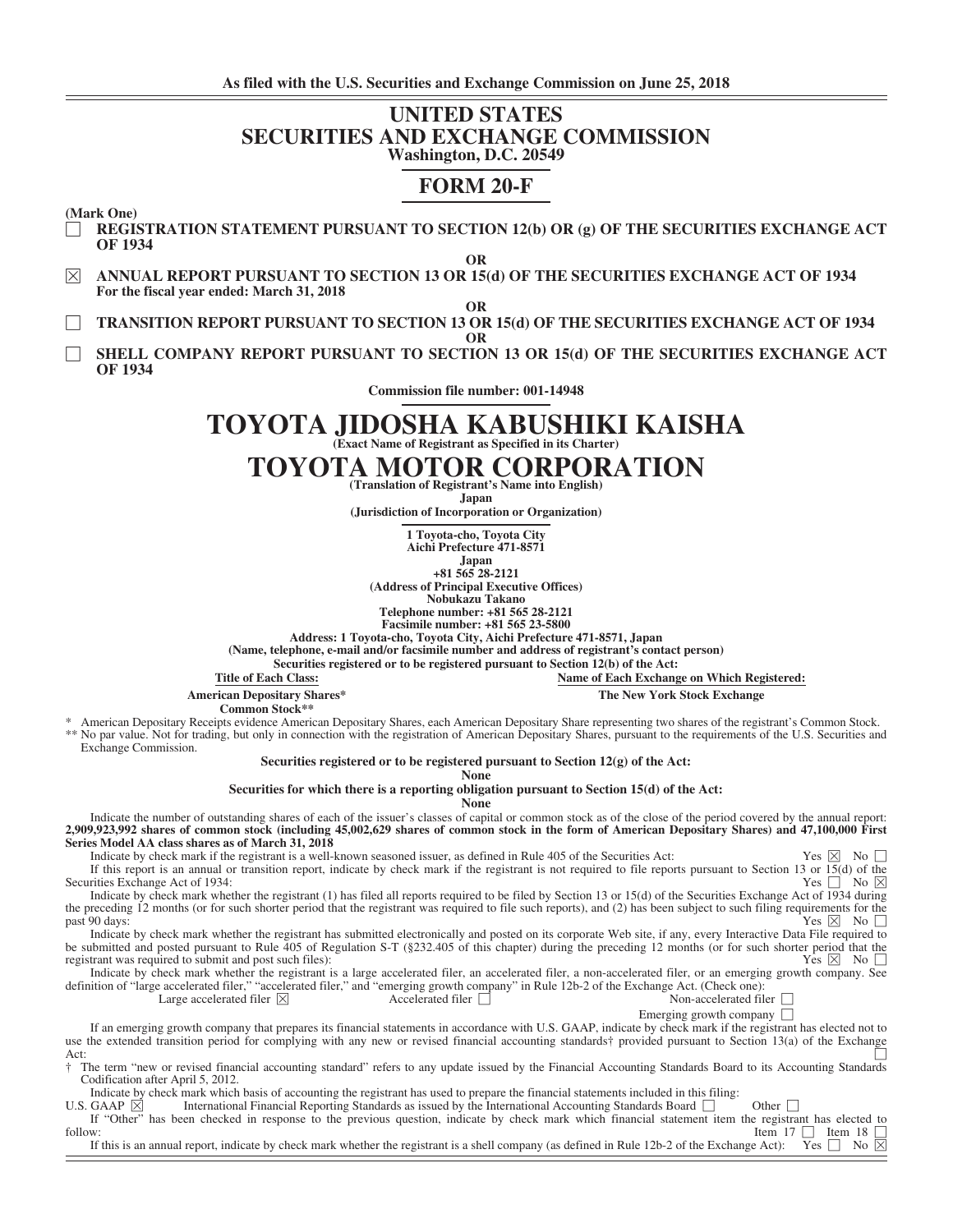# **UNITED STATES SECURITIES AND EXCHANGE COMMISSION Washington, D.C. 20549**

# **FORM 20-F**

**(Mark One)**

' **REGISTRATION STATEMENT PURSUANT TO SECTION 12(b) OR (g) OF THE SECURITIES EXCHANGE ACT OF 1934**

**OR**

 $\boxtimes$  ANNUAL REPORT PURSUANT TO SECTION 13 OR 15(d) OF THE SECURITIES EXCHANGE ACT OF 1934 **For the fiscal year ended: March 31, 2018**

**OR**

- ' **TRANSITION REPORT PURSUANT TO SECTION 13 OR 15(d) OF THE SECURITIES EXCHANGE ACT OF 1934 OR**
- ' **SHELL COMPANY REPORT PURSUANT TO SECTION 13 OR 15(d) OF THE SECURITIES EXCHANGE ACT OF 1934**

**Commission file number: 001-14948**

# **TOYOTA JIDOSHA KABUSHIKI KAISHA**

# **(Exact Name of Registrant as Specified in its Charter)**

#### **TOYOTA MOTOR CORPORATION (Translation of Registrant's Name into English)**

**Japan**

**(Jurisdiction of Incorporation or Organization)**

**1 Toyota-cho, Toyota City Aichi Prefecture 471-8571 Japan**

**+81 565 28-2121**

**(Address of Principal Executive Offices) Nobukazu Takano**

**Telephone number: +81 565 28-2121**

**Facsimile number: +81 565 23-5800**

**Address: 1 Toyota-cho, Toyota City, Aichi Prefecture 471-8571, Japan**

**(Name, telephone, e-mail and/or facsimile number and address of registrant's contact person) Securities registered or to be registered pursuant to Section 12(b) of the Act:**

**American Depositary Shares\* The New York Stock Exchange Common Stock\*\***

**Title of Each Class: Name of Each Exchange on Which Registered:**

American Depositary Receipts evidence American Depositary Shares, each American Depositary Share representing two shares of the registrant's Common Stock. \*\* No par value. Not for trading, but only in connection with the registration of American Depositary Shares, pursuant to the requirements of the U.S. Securities and Exchange Commission.

**Securities registered or to be registered pursuant to Section 12(g) of the Act:**

**None**

**Securities for which there is a reporting obligation pursuant to Section 15(d) of the Act:**

**None**

Indicate the number of outstanding shares of each of the issuer's classes of capital or common stock as of the close of the period covered by the annual report: **2,909,923,992 shares of common stock (including 45,002,629 shares of common stock in the form of American Depositary Shares) and 47,100,000 First Series Model AA class shares as of March 31, 2018**

Indicate by check mark if the registrant is a well-known seasoned issuer, as defined in Rule 405 of the Securities Act: Yes  $\boxtimes$  No  $\Box$ If this report is an annual or transition report, indicate by check mark if the registrant is not required to file reports pursuant to Section 13 or 15(d) of the rities Exchange Act of 1934:<br>
Yes  $\Box$  No  $\boxtimes$ Securities Exchange Act of 1934:

Indicate by check mark whether the registrant (1) has filed all reports required to be filed by Section 13 or 15(d) of the Securities Exchange Act of 1934 during the preceding 12 months (or for such shorter period that the registrant was required to file such reports), and (2) has been subject to such filing requirements for the past 90 days: Yes  $\boxtimes$  No  $\Box$ 

Indicate by check mark whether the registrant has submitted electronically and posted on its corporate Web site, if any, every Interactive Data File required to be submitted and posted pursuant to Rule  $\overline{405}$  of Regulation S-T (§232.405 of this chapter) during the preceding 12 months (or for such shorter period that the registrant was required to submit and post such files):<br> registrant was required to submit and post such files):

Indicate by check mark whether the registrant is a large accelerated filer, an accelerated filer, a non-accelerated filer, or an emerging growth company. See definition of "large accelerated filer," "accelerated filer," and "emerging growth company" in Rule 12b-2 of the Exchange Act. (Check one):<br>
Large accelerated filer ⊠ Accelerated filer □

Emerging growth company  $\Box$ If an emerging growth company that prepares its financial statements in accordance with U.S. GAAP, indicate by check mark if the registrant has elected not to use the extended transition period for complying with any new or revised financial accounting standards† provided pursuant to Section 13(a) of the Exchange Act:

† The term "new or revised financial accounting standard" refers to any update issued by the Financial Accounting Standards Board to its Accounting Standards Codification after April 5, 2012.

Indicate by check mark which basis of accounting the registrant has used to prepare the financial statements included in this filing:<br>U.S. GAAP  $\boxtimes$  International Financial Reporting Standards as issued by the Internatio

International Financial Reporting Standards as issued by the International Accounting Standards Board  $\Box$  Other  $\Box$ 

If "Other" has been checked in response to the previous question, indicate by check mark which financial statement item the registrant has elected to Item 18  $\Box$  Item 18  $\Box$ If this is an annual report, indicate by check mark whether the registrant is a shell company (as defined in Rule 12b-2 of the Exchange Act): Yes  $\Box$  No  $\overline{\boxtimes}$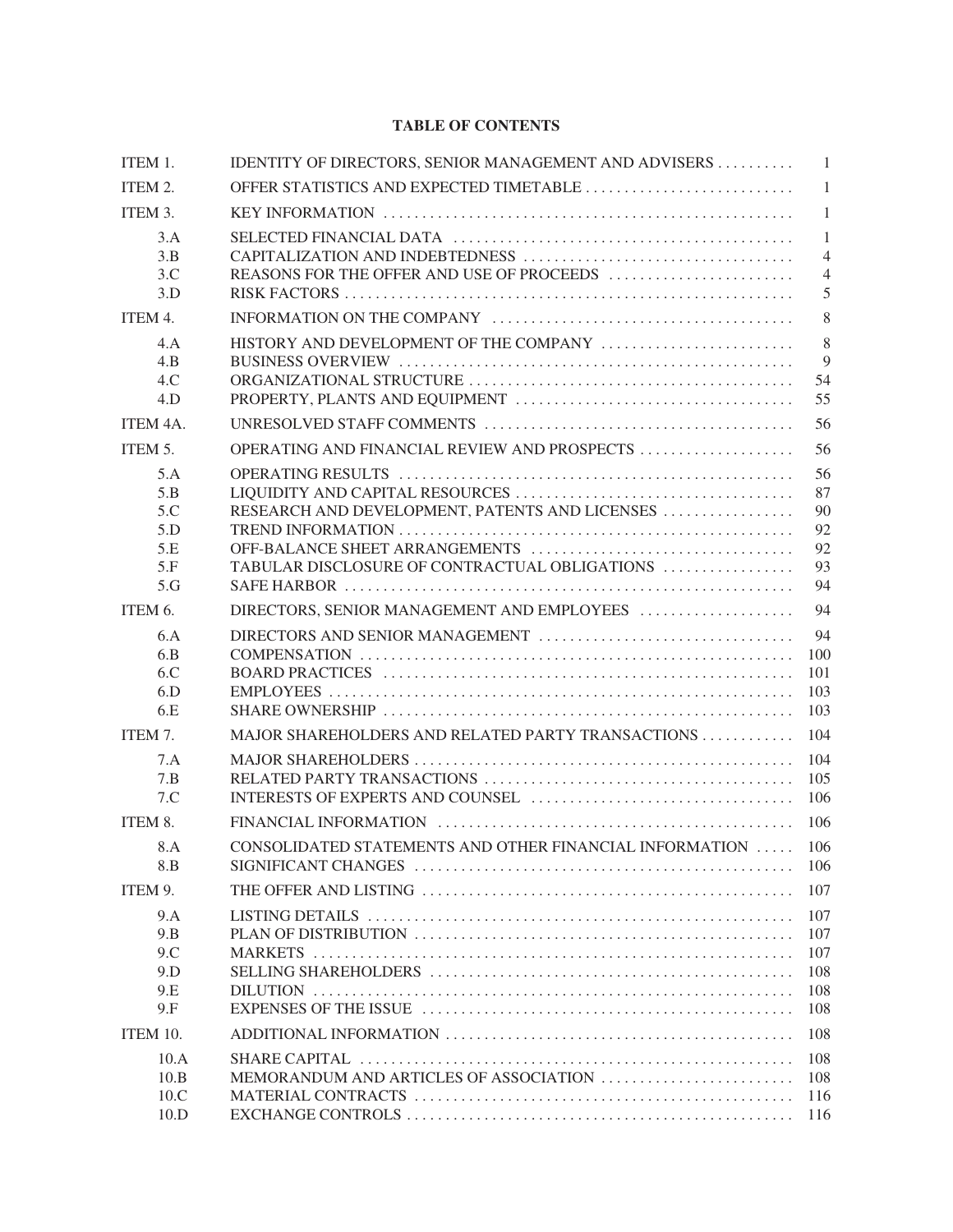# **TABLE OF CONTENTS**

| ITEM 1.                                       | IDENTITY OF DIRECTORS, SENIOR MANAGEMENT AND ADVISERS                                           | $\overline{1}$                                        |
|-----------------------------------------------|-------------------------------------------------------------------------------------------------|-------------------------------------------------------|
| ITEM 2.                                       | OFFER STATISTICS AND EXPECTED TIMETABLE                                                         | $\mathbf{1}$                                          |
| ITEM 3.                                       |                                                                                                 | $\mathbf{1}$                                          |
| 3.A<br>3.B<br>3.C<br>3.D                      |                                                                                                 | $\mathbf{1}$<br>$\overline{4}$<br>$\overline{4}$<br>5 |
| ITEM 4.                                       |                                                                                                 | 8                                                     |
| 4.A<br>4.B<br>4.C<br>4.D                      | HISTORY AND DEVELOPMENT OF THE COMPANY                                                          | 8<br>9<br>54<br>55                                    |
| ITEM 4A.                                      |                                                                                                 | 56                                                    |
| ITEM 5.                                       | OPERATING AND FINANCIAL REVIEW AND PROSPECTS                                                    | 56                                                    |
| 5.A<br>5.B<br>5.C<br>5.D<br>5.E<br>5.F<br>5.G | RESEARCH AND DEVELOPMENT, PATENTS AND LICENSES<br>TABULAR DISCLOSURE OF CONTRACTUAL OBLIGATIONS | 56<br>87<br>90<br>92<br>92<br>93<br>94                |
| ITEM 6.                                       | DIRECTORS, SENIOR MANAGEMENT AND EMPLOYEES                                                      | 94                                                    |
| 6.A<br>6.B<br>6.C<br>6.D<br>6.E               |                                                                                                 | 94<br>100<br>101<br>103<br>103                        |
| ITEM 7.                                       | MAJOR SHAREHOLDERS AND RELATED PARTY TRANSACTIONS                                               | 104                                                   |
| 7.A<br>7.B<br>7.C                             |                                                                                                 | 104<br>105<br>106                                     |
| ITEM 8.                                       |                                                                                                 | 106                                                   |
| 8.A<br>8.B                                    | CONSOLIDATED STATEMENTS AND OTHER FINANCIAL INFORMATION  106                                    | 106                                                   |
| ITEM 9.                                       |                                                                                                 | 107                                                   |
| 9.A<br>9.B<br>9.C<br>9.D<br>9.E<br>9.F        |                                                                                                 | 107<br>107<br>107<br>108<br>108<br>108                |
| ITEM 10.                                      |                                                                                                 | 108                                                   |
| 10.A<br>10.B<br>10.C<br>10.D                  | MEMORANDUM AND ARTICLES OF ASSOCIATION                                                          | 108<br>108<br>116<br>116                              |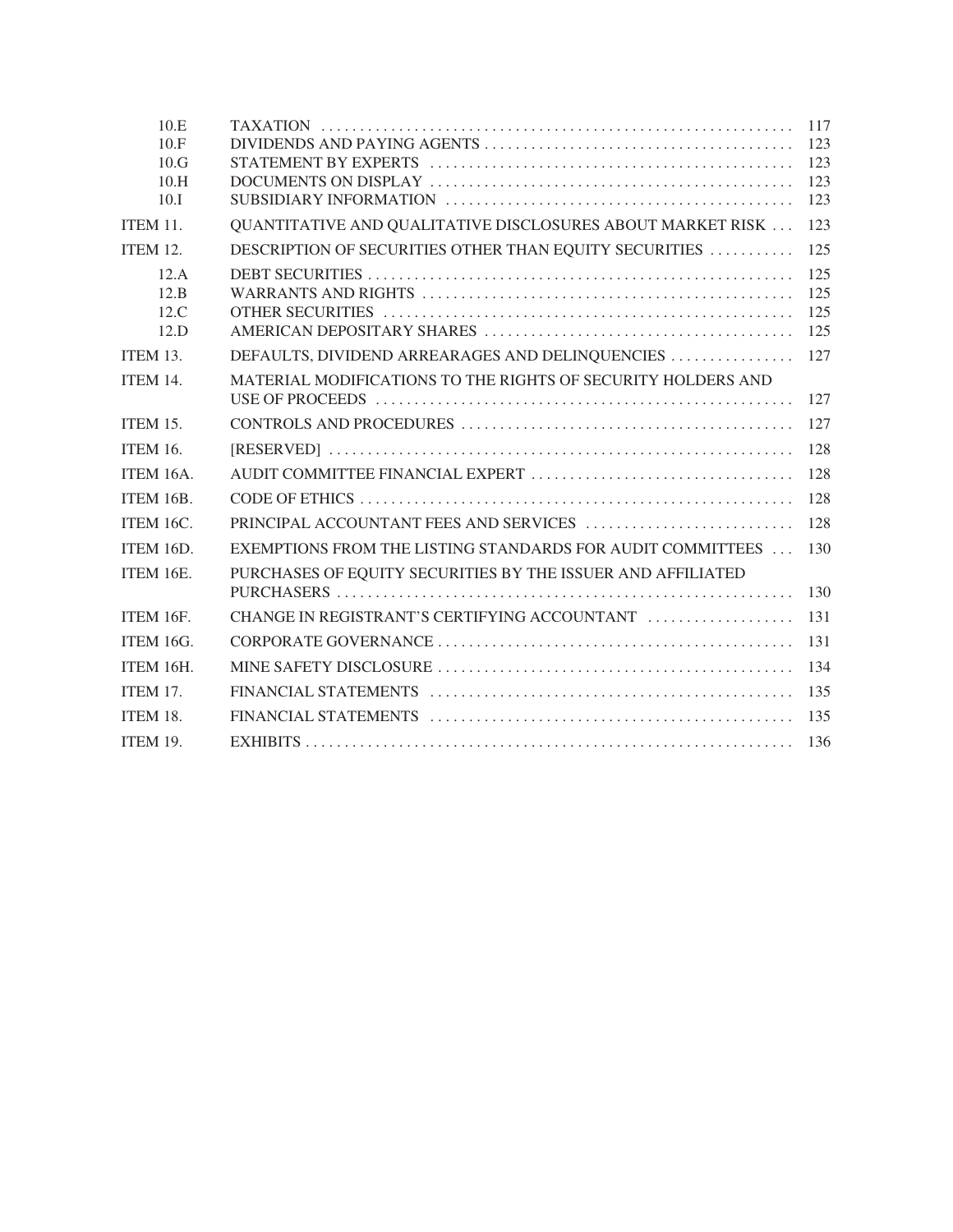| 10.E<br>10.F<br>10.G<br>10.H<br>10.1 |                                                              | 117<br>123<br>123<br>123<br>123 |
|--------------------------------------|--------------------------------------------------------------|---------------------------------|
| <b>ITEM 11.</b>                      | QUANTITATIVE AND QUALITATIVE DISCLOSURES ABOUT MARKET RISK   | 123                             |
| ITEM 12.                             | DESCRIPTION OF SECURITIES OTHER THAN EQUITY SECURITIES       | 125                             |
| 12.A<br>12.B<br>12.C<br>12.D         |                                                              | 125<br>125<br>125<br>125        |
| <b>ITEM 13.</b>                      | DEFAULTS, DIVIDEND ARREARAGES AND DELINQUENCIES              | 127                             |
| <b>ITEM 14.</b>                      | MATERIAL MODIFICATIONS TO THE RIGHTS OF SECURITY HOLDERS AND | 127                             |
| ITEM 15.                             |                                                              | 127                             |
| <b>ITEM 16.</b>                      |                                                              | 128                             |
| ITEM 16A.                            |                                                              | 128                             |
| ITEM 16B.                            |                                                              | 128                             |
| <b>ITEM 16C.</b>                     |                                                              | 128                             |
| ITEM 16D.                            | EXEMPTIONS FROM THE LISTING STANDARDS FOR AUDIT COMMITTEES   | 130                             |
| ITEM 16E.                            | PURCHASES OF EQUITY SECURITIES BY THE ISSUER AND AFFILIATED  | 130                             |
| ITEM 16F.                            | CHANGE IN REGISTRANT'S CERTIFYING ACCOUNTANT                 | 131                             |
| ITEM 16G.                            |                                                              | 131                             |
| ITEM 16H.                            |                                                              | 134                             |
| <b>ITEM 17.</b>                      |                                                              | 135                             |
| <b>ITEM 18.</b>                      |                                                              | 135                             |
| <b>ITEM 19.</b>                      |                                                              | 136                             |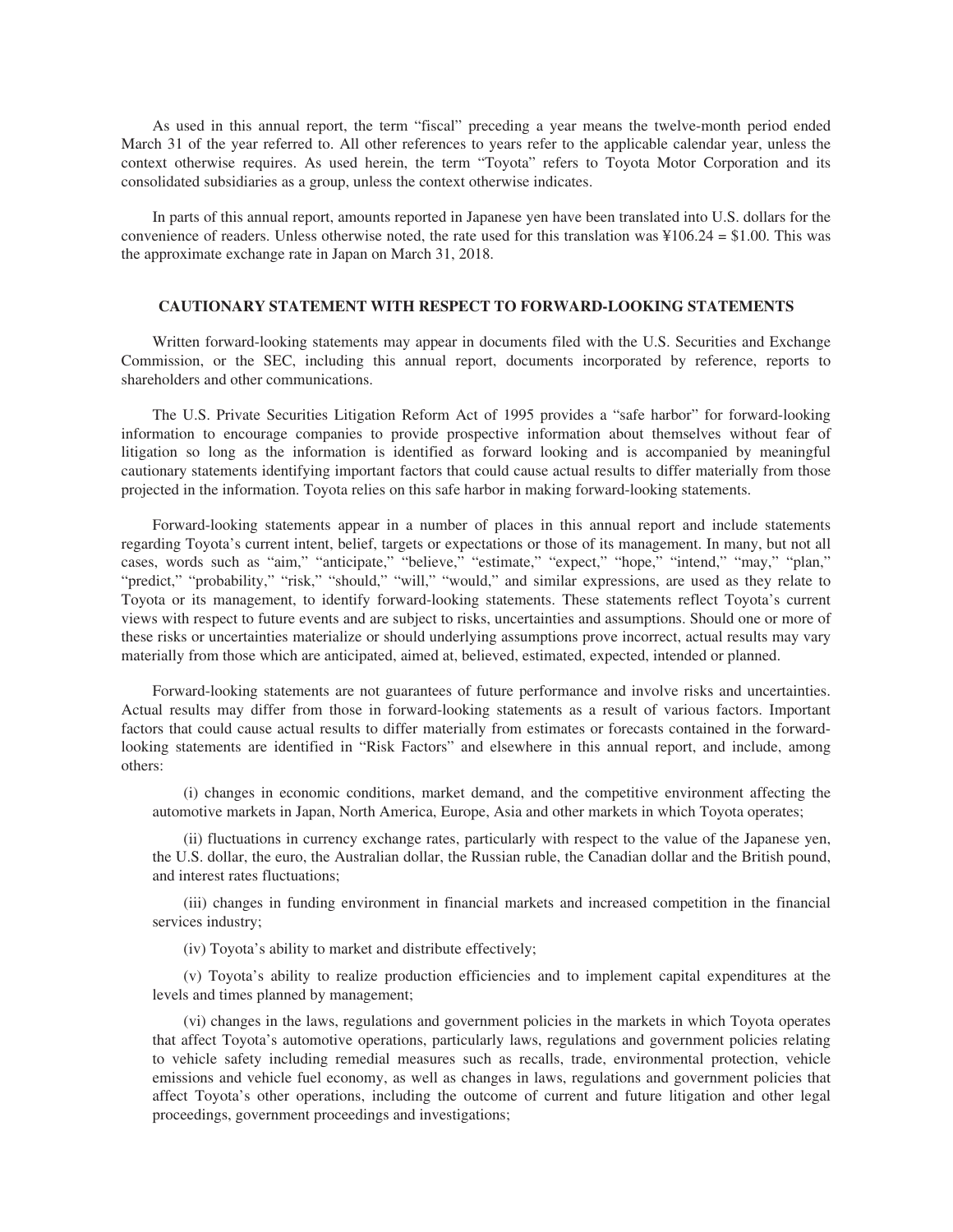As used in this annual report, the term "fiscal" preceding a year means the twelve-month period ended March 31 of the year referred to. All other references to years refer to the applicable calendar year, unless the context otherwise requires. As used herein, the term "Toyota" refers to Toyota Motor Corporation and its consolidated subsidiaries as a group, unless the context otherwise indicates.

In parts of this annual report, amounts reported in Japanese yen have been translated into U.S. dollars for the convenience of readers. Unless otherwise noted, the rate used for this translation was  $\frac{106.24}{\pm} 1.00$ . This was the approximate exchange rate in Japan on March 31, 2018.

## **CAUTIONARY STATEMENT WITH RESPECT TO FORWARD-LOOKING STATEMENTS**

Written forward-looking statements may appear in documents filed with the U.S. Securities and Exchange Commission, or the SEC, including this annual report, documents incorporated by reference, reports to shareholders and other communications.

The U.S. Private Securities Litigation Reform Act of 1995 provides a "safe harbor" for forward-looking information to encourage companies to provide prospective information about themselves without fear of litigation so long as the information is identified as forward looking and is accompanied by meaningful cautionary statements identifying important factors that could cause actual results to differ materially from those projected in the information. Toyota relies on this safe harbor in making forward-looking statements.

Forward-looking statements appear in a number of places in this annual report and include statements regarding Toyota's current intent, belief, targets or expectations or those of its management. In many, but not all cases, words such as "aim," "anticipate," "believe," "estimate," "expect," "hope," "intend," "may," "plan," "predict," "probability," "risk," "should," "will," "would," and similar expressions, are used as they relate to Toyota or its management, to identify forward-looking statements. These statements reflect Toyota's current views with respect to future events and are subject to risks, uncertainties and assumptions. Should one or more of these risks or uncertainties materialize or should underlying assumptions prove incorrect, actual results may vary materially from those which are anticipated, aimed at, believed, estimated, expected, intended or planned.

Forward-looking statements are not guarantees of future performance and involve risks and uncertainties. Actual results may differ from those in forward-looking statements as a result of various factors. Important factors that could cause actual results to differ materially from estimates or forecasts contained in the forwardlooking statements are identified in "Risk Factors" and elsewhere in this annual report, and include, among others:

(i) changes in economic conditions, market demand, and the competitive environment affecting the automotive markets in Japan, North America, Europe, Asia and other markets in which Toyota operates;

(ii) fluctuations in currency exchange rates, particularly with respect to the value of the Japanese yen, the U.S. dollar, the euro, the Australian dollar, the Russian ruble, the Canadian dollar and the British pound, and interest rates fluctuations;

(iii) changes in funding environment in financial markets and increased competition in the financial services industry;

(iv) Toyota's ability to market and distribute effectively;

(v) Toyota's ability to realize production efficiencies and to implement capital expenditures at the levels and times planned by management;

(vi) changes in the laws, regulations and government policies in the markets in which Toyota operates that affect Toyota's automotive operations, particularly laws, regulations and government policies relating to vehicle safety including remedial measures such as recalls, trade, environmental protection, vehicle emissions and vehicle fuel economy, as well as changes in laws, regulations and government policies that affect Toyota's other operations, including the outcome of current and future litigation and other legal proceedings, government proceedings and investigations;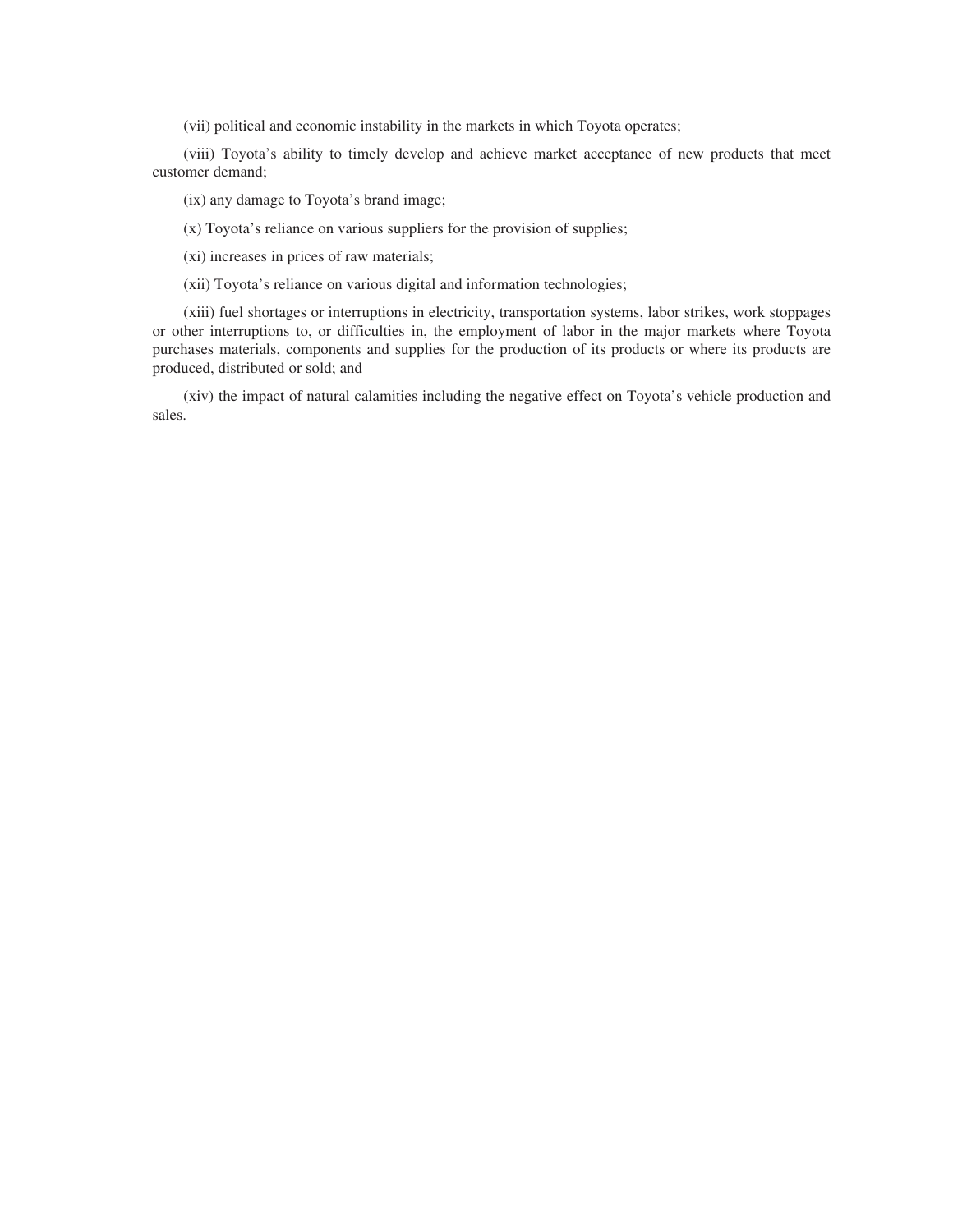(vii) political and economic instability in the markets in which Toyota operates;

(viii) Toyota's ability to timely develop and achieve market acceptance of new products that meet customer demand;

(ix) any damage to Toyota's brand image;

(x) Toyota's reliance on various suppliers for the provision of supplies;

(xi) increases in prices of raw materials;

(xii) Toyota's reliance on various digital and information technologies;

(xiii) fuel shortages or interruptions in electricity, transportation systems, labor strikes, work stoppages or other interruptions to, or difficulties in, the employment of labor in the major markets where Toyota purchases materials, components and supplies for the production of its products or where its products are produced, distributed or sold; and

(xiv) the impact of natural calamities including the negative effect on Toyota's vehicle production and sales.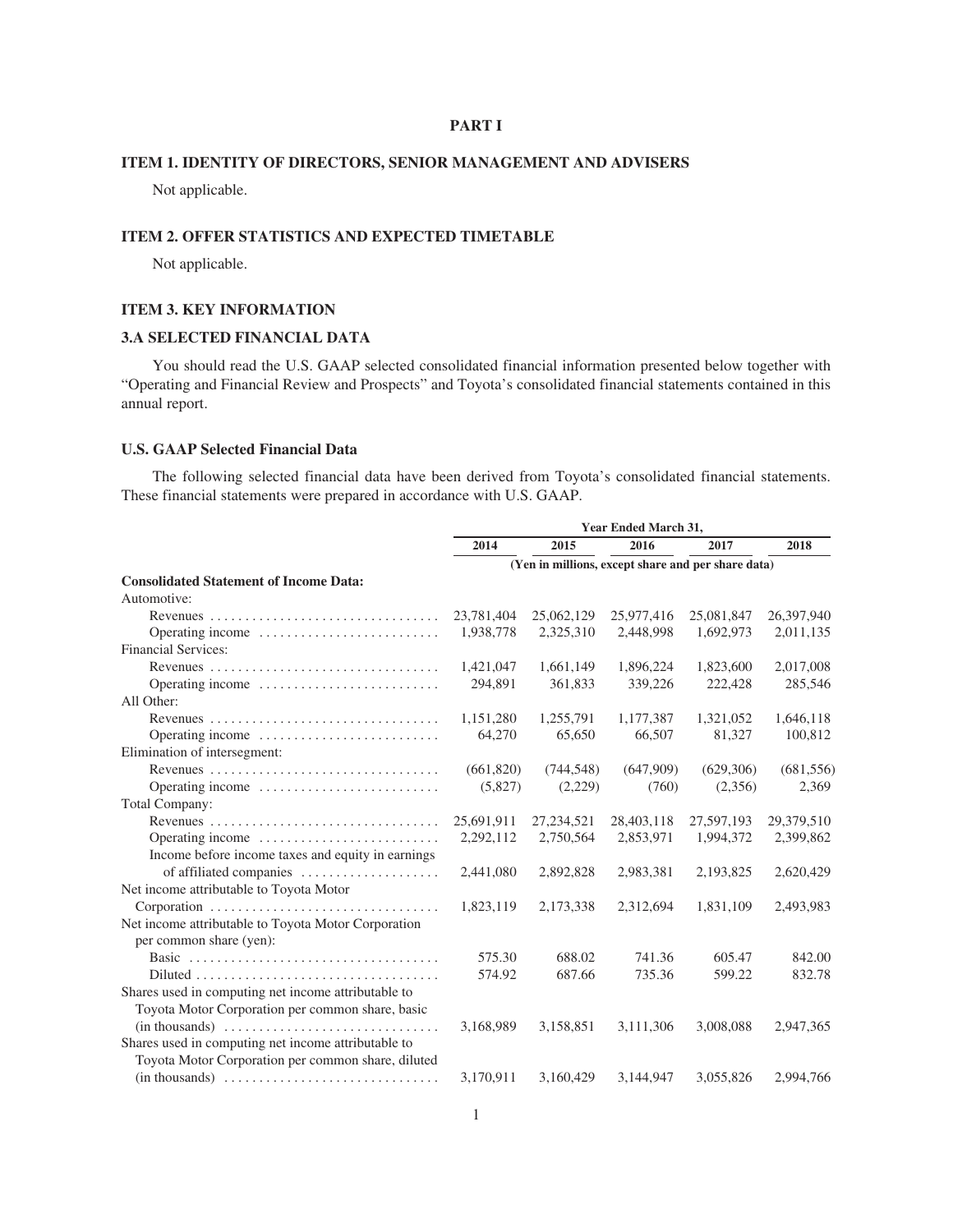## **PART I**

## **ITEM 1. IDENTITY OF DIRECTORS, SENIOR MANAGEMENT AND ADVISERS**

Not applicable.

## **ITEM 2. OFFER STATISTICS AND EXPECTED TIMETABLE**

Not applicable.

## **ITEM 3. KEY INFORMATION**

## **3.A SELECTED FINANCIAL DATA**

You should read the U.S. GAAP selected consolidated financial information presented below together with "Operating and Financial Review and Prospects" and Toyota's consolidated financial statements contained in this annual report.

#### **U.S. GAAP Selected Financial Data**

The following selected financial data have been derived from Toyota's consolidated financial statements. These financial statements were prepared in accordance with U.S. GAAP.

|                                                     | Year Ended March 31,                               |              |            |            |            |  |  |
|-----------------------------------------------------|----------------------------------------------------|--------------|------------|------------|------------|--|--|
|                                                     | 2014                                               | 2015         | 2016       | 2017       | 2018       |  |  |
|                                                     | (Yen in millions, except share and per share data) |              |            |            |            |  |  |
| <b>Consolidated Statement of Income Data:</b>       |                                                    |              |            |            |            |  |  |
| Automotive:                                         |                                                    |              |            |            |            |  |  |
|                                                     | 23,781,404                                         | 25,062,129   | 25,977,416 | 25,081,847 | 26,397,940 |  |  |
| Operating income                                    | 1,938,778                                          | 2,325,310    | 2,448,998  | 1,692,973  | 2,011,135  |  |  |
| <b>Financial Services:</b>                          |                                                    |              |            |            |            |  |  |
|                                                     | 1,421,047                                          | 1,661,149    | 1,896,224  | 1,823,600  | 2,017,008  |  |  |
| Operating income                                    | 294,891                                            | 361,833      | 339,226    | 222,428    | 285,546    |  |  |
| All Other:                                          |                                                    |              |            |            |            |  |  |
| Revenues                                            | 1,151,280                                          | 1,255,791    | 1,177,387  | 1,321,052  | 1,646,118  |  |  |
| Operating income                                    | 64,270                                             | 65,650       | 66,507     | 81,327     | 100,812    |  |  |
| Elimination of intersegment:                        |                                                    |              |            |            |            |  |  |
|                                                     | (661,820)                                          | (744, 548)   | (647,909)  | (629, 306) | (681, 556) |  |  |
| Operating income                                    | (5,827)                                            | (2,229)      | (760)      | (2,356)    | 2,369      |  |  |
| Total Company:                                      |                                                    |              |            |            |            |  |  |
| Revenues                                            | 25,691,911                                         | 27, 234, 521 | 28,403,118 | 27,597,193 | 29,379,510 |  |  |
| Operating income                                    | 2,292,112                                          | 2,750,564    | 2,853,971  | 1,994,372  | 2,399,862  |  |  |
| Income before income taxes and equity in earnings   |                                                    |              |            |            |            |  |  |
| of affiliated companies                             | 2,441,080                                          | 2,892,828    | 2,983,381  | 2,193,825  | 2,620,429  |  |  |
| Net income attributable to Toyota Motor             |                                                    |              |            |            |            |  |  |
|                                                     | 1,823,119                                          | 2,173,338    | 2,312,694  | 1,831,109  | 2,493,983  |  |  |
| Net income attributable to Toyota Motor Corporation |                                                    |              |            |            |            |  |  |
| per common share (yen):                             |                                                    |              |            |            |            |  |  |
|                                                     | 575.30                                             | 688.02       | 741.36     | 605.47     | 842.00     |  |  |
|                                                     | 574.92                                             | 687.66       | 735.36     | 599.22     | 832.78     |  |  |
| Shares used in computing net income attributable to |                                                    |              |            |            |            |  |  |
| Toyota Motor Corporation per common share, basic    |                                                    |              |            |            |            |  |  |
|                                                     | 3,168,989                                          | 3,158,851    | 3,111,306  | 3,008,088  | 2,947,365  |  |  |
| Shares used in computing net income attributable to |                                                    |              |            |            |            |  |  |
| Toyota Motor Corporation per common share, diluted  |                                                    |              |            |            |            |  |  |
|                                                     | 3,170,911                                          | 3,160,429    | 3,144,947  | 3,055,826  | 2,994,766  |  |  |
|                                                     |                                                    |              |            |            |            |  |  |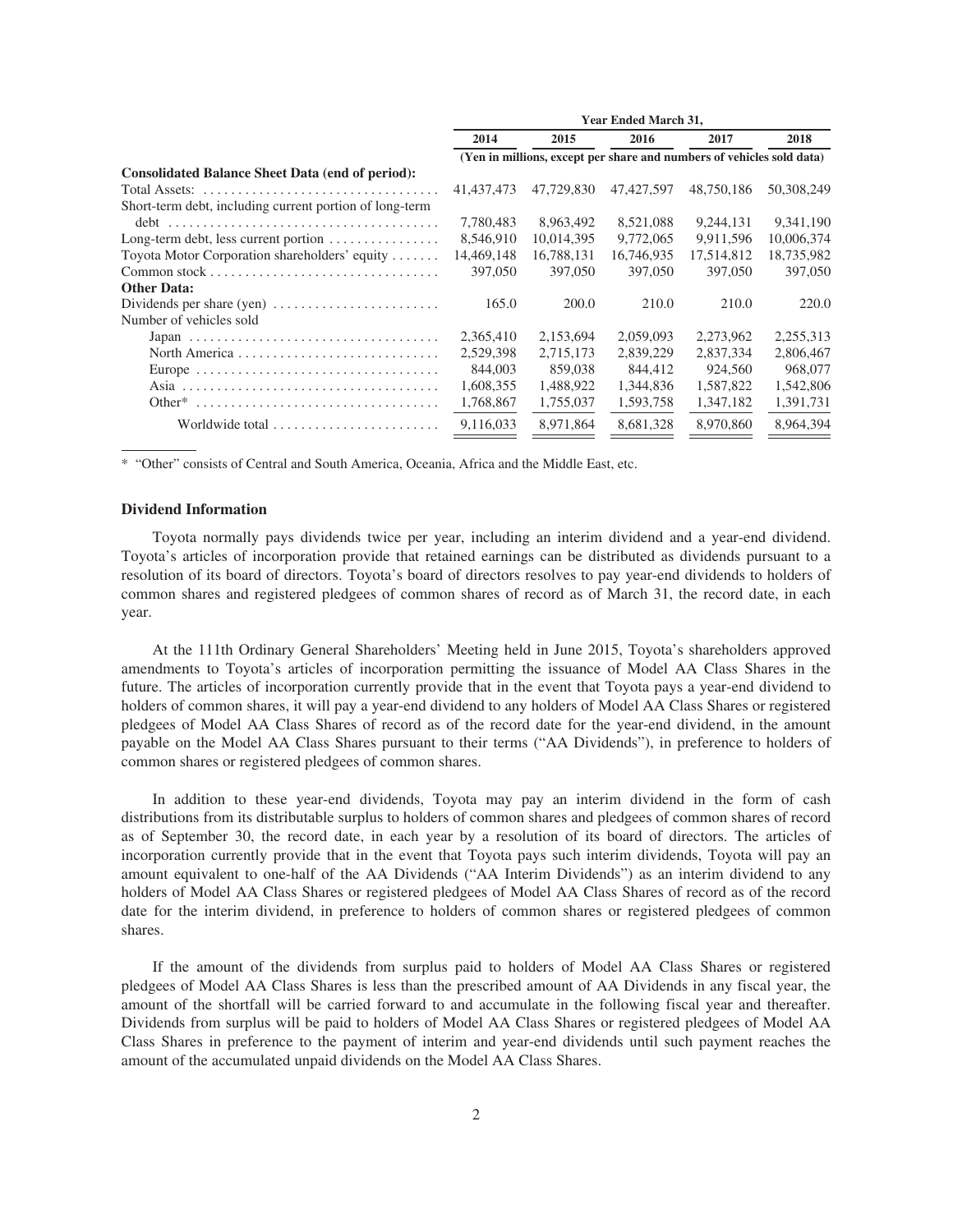|                                                                       | Year Ended March 31, |                                                                       |              |            |            |  |
|-----------------------------------------------------------------------|----------------------|-----------------------------------------------------------------------|--------------|------------|------------|--|
|                                                                       | 2014                 | 2015                                                                  | 2016         | 2017       | 2018       |  |
|                                                                       |                      | (Yen in millions, except per share and numbers of vehicles sold data) |              |            |            |  |
| <b>Consolidated Balance Sheet Data (end of period):</b>               |                      |                                                                       |              |            |            |  |
| Total Assets:                                                         | 41, 437, 473         | 47,729,830                                                            | 47, 427, 597 | 48.750.186 | 50,308,249 |  |
| Short-term debt, including current portion of long-term               |                      |                                                                       |              |            |            |  |
|                                                                       | 7,780,483            | 8.963.492                                                             | 8,521,088    | 9.244.131  | 9,341,190  |  |
| Long-term debt, less current portion                                  | 8,546,910            | 10,014,395                                                            | 9,772,065    | 9,911,596  | 10,006,374 |  |
| Toyota Motor Corporation shareholders' equity                         | 14,469,148           | 16.788.131                                                            | 16,746,935   | 17,514,812 | 18,735,982 |  |
|                                                                       | 397,050              | 397,050                                                               | 397,050      | 397,050    | 397,050    |  |
| <b>Other Data:</b>                                                    |                      |                                                                       |              |            |            |  |
| Dividends per share (yen) $\dots \dots \dots \dots \dots \dots \dots$ | 165.0                | 200.0                                                                 | 210.0        | 210.0      | 220.0      |  |
| Number of vehicles sold                                               |                      |                                                                       |              |            |            |  |
|                                                                       | 2,365,410            | 2,153,694                                                             | 2,059,093    | 2,273,962  | 2,255,313  |  |
|                                                                       | 2,529,398            | 2,715,173                                                             | 2,839,229    | 2,837,334  | 2,806,467  |  |
|                                                                       | 844,003              | 859,038                                                               | 844,412      | 924,560    | 968,077    |  |
|                                                                       | 1,608,355            | 1,488,922                                                             | 1,344,836    | 1,587,822  | 1,542,806  |  |
|                                                                       | 1,768,867            | 1,755,037                                                             | 1,593,758    | 1,347,182  | 1,391,731  |  |
| Worldwide total                                                       | 9,116,033            | 8.971.864                                                             | 8,681,328    | 8.970.860  | 8.964.394  |  |
|                                                                       |                      |                                                                       |              |            |            |  |

\* "Other" consists of Central and South America, Oceania, Africa and the Middle East, etc.

#### **Dividend Information**

Toyota normally pays dividends twice per year, including an interim dividend and a year-end dividend. Toyota's articles of incorporation provide that retained earnings can be distributed as dividends pursuant to a resolution of its board of directors. Toyota's board of directors resolves to pay year-end dividends to holders of common shares and registered pledgees of common shares of record as of March 31, the record date, in each year.

At the 111th Ordinary General Shareholders' Meeting held in June 2015, Toyota's shareholders approved amendments to Toyota's articles of incorporation permitting the issuance of Model AA Class Shares in the future. The articles of incorporation currently provide that in the event that Toyota pays a year-end dividend to holders of common shares, it will pay a year-end dividend to any holders of Model AA Class Shares or registered pledgees of Model AA Class Shares of record as of the record date for the year-end dividend, in the amount payable on the Model AA Class Shares pursuant to their terms ("AA Dividends"), in preference to holders of common shares or registered pledgees of common shares.

In addition to these year-end dividends, Toyota may pay an interim dividend in the form of cash distributions from its distributable surplus to holders of common shares and pledgees of common shares of record as of September 30, the record date, in each year by a resolution of its board of directors. The articles of incorporation currently provide that in the event that Toyota pays such interim dividends, Toyota will pay an amount equivalent to one-half of the AA Dividends ("AA Interim Dividends") as an interim dividend to any holders of Model AA Class Shares or registered pledgees of Model AA Class Shares of record as of the record date for the interim dividend, in preference to holders of common shares or registered pledgees of common shares.

If the amount of the dividends from surplus paid to holders of Model AA Class Shares or registered pledgees of Model AA Class Shares is less than the prescribed amount of AA Dividends in any fiscal year, the amount of the shortfall will be carried forward to and accumulate in the following fiscal year and thereafter. Dividends from surplus will be paid to holders of Model AA Class Shares or registered pledgees of Model AA Class Shares in preference to the payment of interim and year-end dividends until such payment reaches the amount of the accumulated unpaid dividends on the Model AA Class Shares.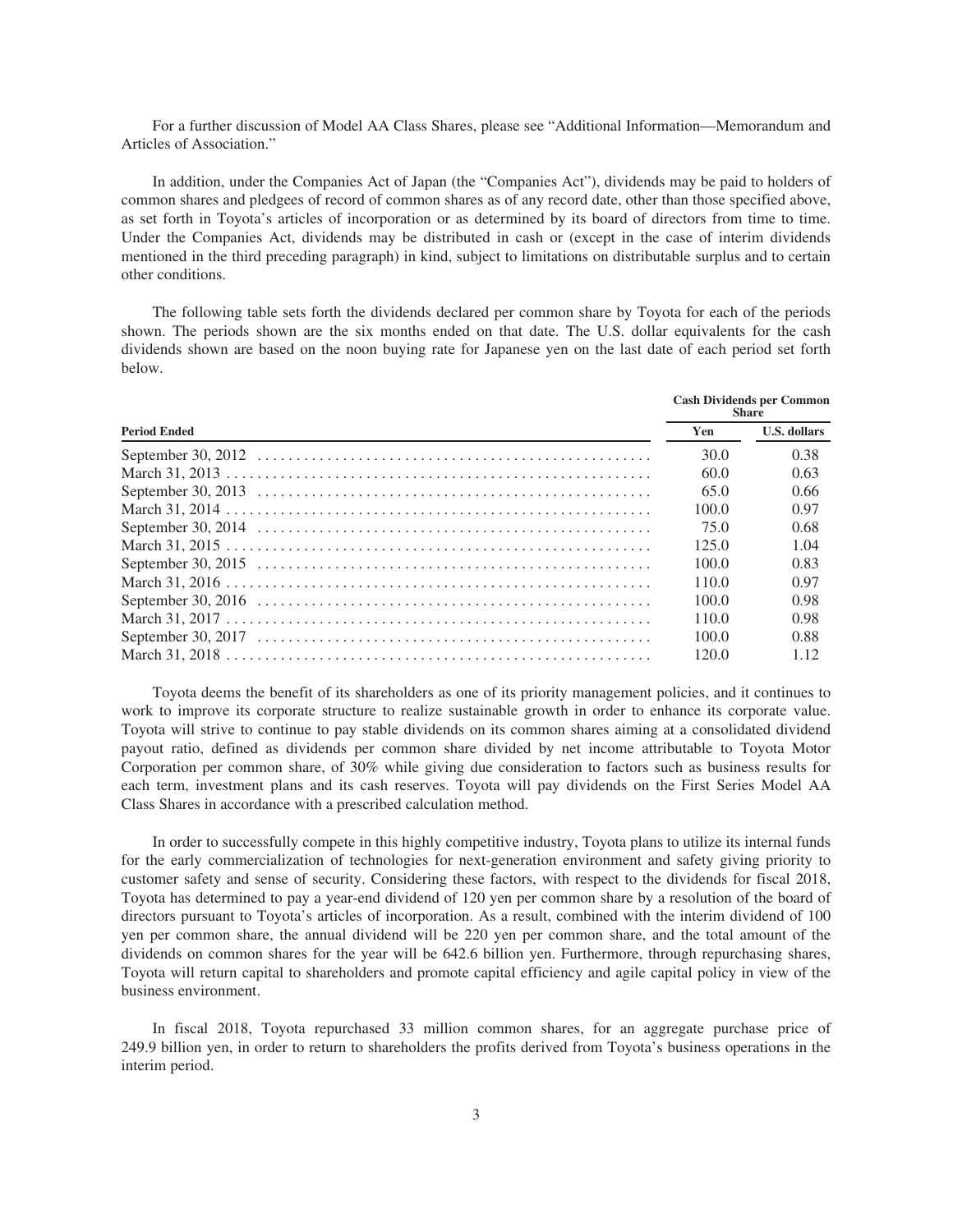For a further discussion of Model AA Class Shares, please see "Additional Information—Memorandum and Articles of Association."

In addition, under the Companies Act of Japan (the "Companies Act"), dividends may be paid to holders of common shares and pledgees of record of common shares as of any record date, other than those specified above, as set forth in Toyota's articles of incorporation or as determined by its board of directors from time to time. Under the Companies Act, dividends may be distributed in cash or (except in the case of interim dividends mentioned in the third preceding paragraph) in kind, subject to limitations on distributable surplus and to certain other conditions.

The following table sets forth the dividends declared per common share by Toyota for each of the periods shown. The periods shown are the six months ended on that date. The U.S. dollar equivalents for the cash dividends shown are based on the noon buying rate for Japanese yen on the last date of each period set forth below.

|                     | <b>Cash Dividends per Common</b><br><b>Share</b> |                     |  |
|---------------------|--------------------------------------------------|---------------------|--|
| <b>Period Ended</b> | Yen                                              | <b>U.S. dollars</b> |  |
|                     | 30.0                                             | 0.38                |  |
|                     | 60.0                                             | 0.63                |  |
|                     | 65.0                                             | 0.66                |  |
|                     | 100.0                                            | 0.97                |  |
|                     | 75.0                                             | 0.68                |  |
|                     | 125.0                                            | 1.04                |  |
|                     | 100.0                                            | 0.83                |  |
|                     | 110.0                                            | 0.97                |  |
|                     | 100.0                                            | 0.98                |  |
|                     | 110.0                                            | 0.98                |  |
|                     | 100.0                                            | 0.88                |  |
|                     | 120.0                                            | 1.12                |  |

Toyota deems the benefit of its shareholders as one of its priority management policies, and it continues to work to improve its corporate structure to realize sustainable growth in order to enhance its corporate value. Toyota will strive to continue to pay stable dividends on its common shares aiming at a consolidated dividend payout ratio, defined as dividends per common share divided by net income attributable to Toyota Motor Corporation per common share, of 30% while giving due consideration to factors such as business results for each term, investment plans and its cash reserves. Toyota will pay dividends on the First Series Model AA Class Shares in accordance with a prescribed calculation method.

In order to successfully compete in this highly competitive industry, Toyota plans to utilize its internal funds for the early commercialization of technologies for next-generation environment and safety giving priority to customer safety and sense of security. Considering these factors, with respect to the dividends for fiscal 2018, Toyota has determined to pay a year-end dividend of 120 yen per common share by a resolution of the board of directors pursuant to Toyota's articles of incorporation. As a result, combined with the interim dividend of 100 yen per common share, the annual dividend will be 220 yen per common share, and the total amount of the dividends on common shares for the year will be 642.6 billion yen. Furthermore, through repurchasing shares, Toyota will return capital to shareholders and promote capital efficiency and agile capital policy in view of the business environment.

In fiscal 2018, Toyota repurchased 33 million common shares, for an aggregate purchase price of 249.9 billion yen, in order to return to shareholders the profits derived from Toyota's business operations in the interim period.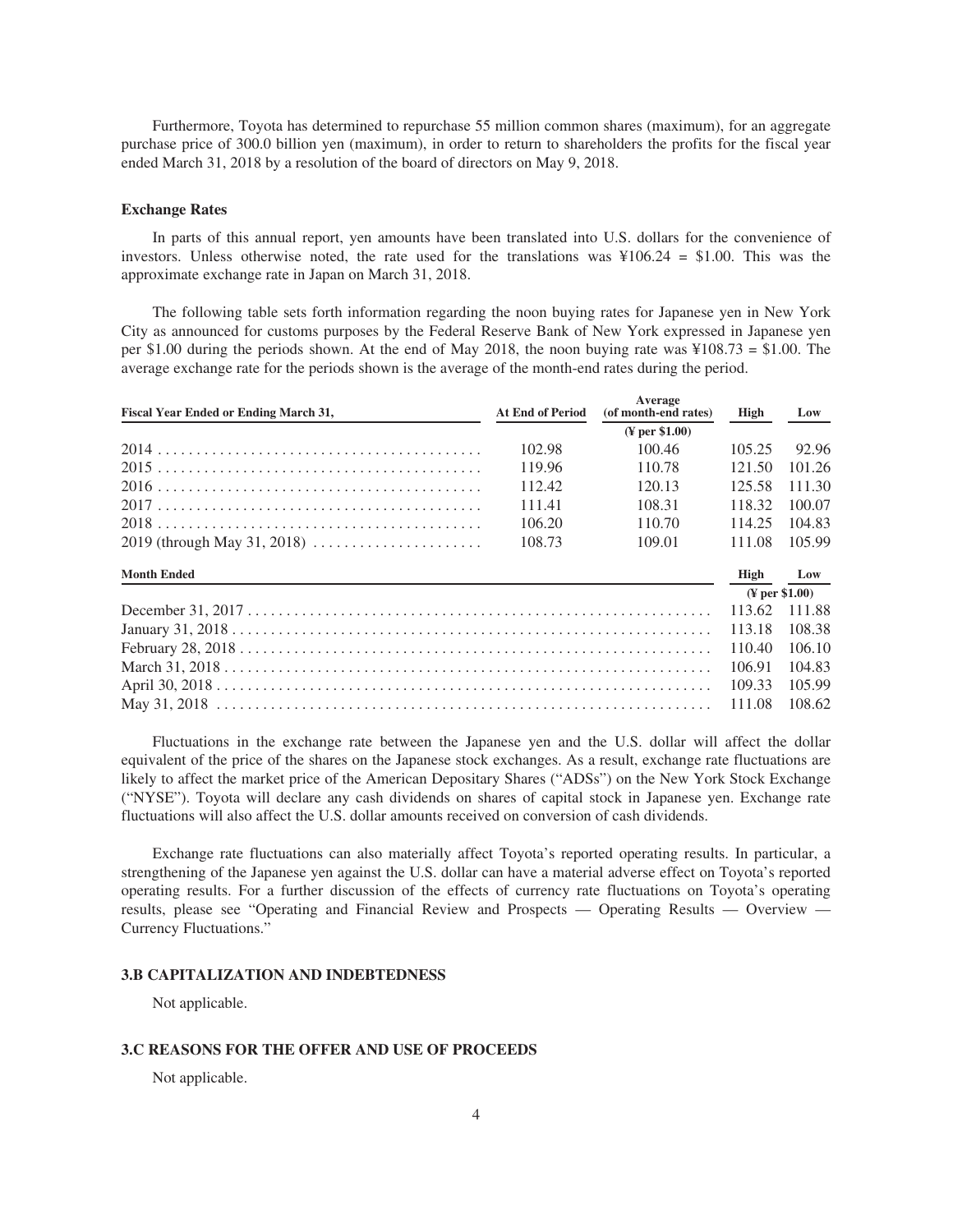Furthermore, Toyota has determined to repurchase 55 million common shares (maximum), for an aggregate purchase price of 300.0 billion yen (maximum), in order to return to shareholders the profits for the fiscal year ended March 31, 2018 by a resolution of the board of directors on May 9, 2018.

#### **Exchange Rates**

In parts of this annual report, yen amounts have been translated into U.S. dollars for the convenience of investors. Unless otherwise noted, the rate used for the translations was  $\frac{106.24}{ }$  = \$1.00. This was the approximate exchange rate in Japan on March 31, 2018.

The following table sets forth information regarding the noon buying rates for Japanese yen in New York City as announced for customs purposes by the Federal Reserve Bank of New York expressed in Japanese yen per \$1.00 during the periods shown. At the end of May 2018, the noon buying rate was ¥108.73 = \$1.00. The average exchange rate for the periods shown is the average of the month-end rates during the period.

| <b>Fiscal Year Ended or Ending March 31,</b> | <b>At End of Period</b> | Average<br>(of month-end rates) | High   | Low                         |
|----------------------------------------------|-------------------------|---------------------------------|--------|-----------------------------|
|                                              |                         | $(\frac{1}{2}$ per \$1.00)      |        |                             |
|                                              | 102.98                  | 100.46                          | 105.25 | 92.96                       |
|                                              | 119.96                  | 110.78                          | 121.50 | 101.26                      |
|                                              | 112.42                  | 120.13                          | 125.58 | 111.30                      |
|                                              | 111.41                  | 108.31                          | 118.32 | 100.07                      |
|                                              | 106.20                  | 110.70                          | 114.25 | 104.83                      |
|                                              | 108.73                  | 109.01                          | 111.08 | 105.99                      |
| <b>Month Ended</b>                           |                         |                                 | High   | Low                         |
|                                              |                         |                                 |        | $(\frac{1}{2})$ per \$1.00) |
|                                              |                         |                                 | 113.62 | 111.88                      |
|                                              |                         |                                 | 113.18 | 108.38                      |
|                                              |                         |                                 | 110.40 | 106.10                      |
|                                              |                         |                                 | 106.91 | 104.83                      |
|                                              |                         |                                 | 109.33 | 105.99                      |
|                                              |                         |                                 | 111.08 | 108.62                      |

Fluctuations in the exchange rate between the Japanese yen and the U.S. dollar will affect the dollar equivalent of the price of the shares on the Japanese stock exchanges. As a result, exchange rate fluctuations are likely to affect the market price of the American Depositary Shares ("ADSs") on the New York Stock Exchange ("NYSE"). Toyota will declare any cash dividends on shares of capital stock in Japanese yen. Exchange rate fluctuations will also affect the U.S. dollar amounts received on conversion of cash dividends.

Exchange rate fluctuations can also materially affect Toyota's reported operating results. In particular, a strengthening of the Japanese yen against the U.S. dollar can have a material adverse effect on Toyota's reported operating results. For a further discussion of the effects of currency rate fluctuations on Toyota's operating results, please see "Operating and Financial Review and Prospects — Operating Results — Overview — Currency Fluctuations."

## **3.B CAPITALIZATION AND INDEBTEDNESS**

Not applicable.

#### **3.C REASONS FOR THE OFFER AND USE OF PROCEEDS**

Not applicable.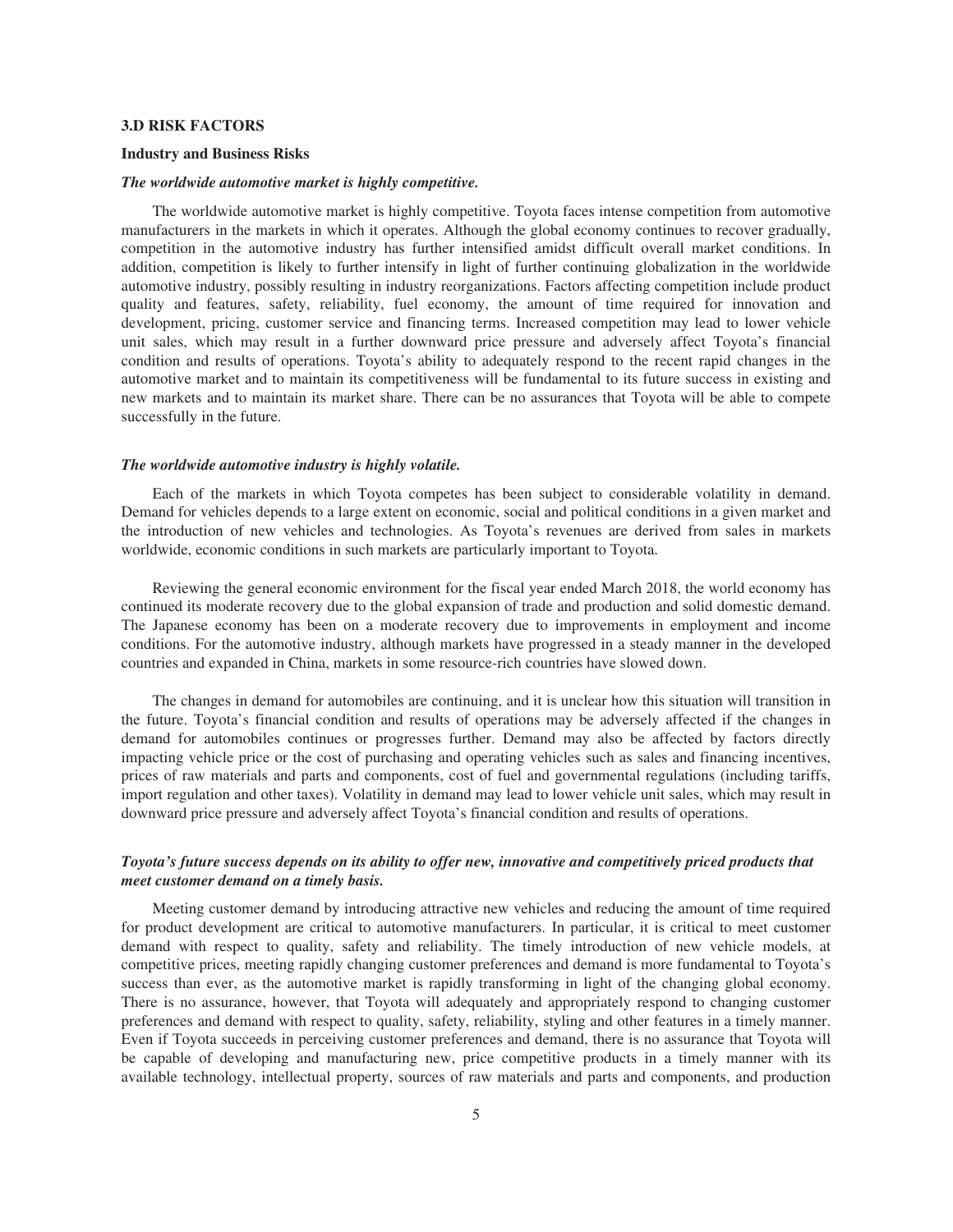#### **3.D RISK FACTORS**

#### **Industry and Business Risks**

#### *The worldwide automotive market is highly competitive.*

The worldwide automotive market is highly competitive. Toyota faces intense competition from automotive manufacturers in the markets in which it operates. Although the global economy continues to recover gradually, competition in the automotive industry has further intensified amidst difficult overall market conditions. In addition, competition is likely to further intensify in light of further continuing globalization in the worldwide automotive industry, possibly resulting in industry reorganizations. Factors affecting competition include product quality and features, safety, reliability, fuel economy, the amount of time required for innovation and development, pricing, customer service and financing terms. Increased competition may lead to lower vehicle unit sales, which may result in a further downward price pressure and adversely affect Toyota's financial condition and results of operations. Toyota's ability to adequately respond to the recent rapid changes in the automotive market and to maintain its competitiveness will be fundamental to its future success in existing and new markets and to maintain its market share. There can be no assurances that Toyota will be able to compete successfully in the future.

#### *The worldwide automotive industry is highly volatile.*

Each of the markets in which Toyota competes has been subject to considerable volatility in demand. Demand for vehicles depends to a large extent on economic, social and political conditions in a given market and the introduction of new vehicles and technologies. As Toyota's revenues are derived from sales in markets worldwide, economic conditions in such markets are particularly important to Toyota.

Reviewing the general economic environment for the fiscal year ended March 2018, the world economy has continued its moderate recovery due to the global expansion of trade and production and solid domestic demand. The Japanese economy has been on a moderate recovery due to improvements in employment and income conditions. For the automotive industry, although markets have progressed in a steady manner in the developed countries and expanded in China, markets in some resource-rich countries have slowed down.

The changes in demand for automobiles are continuing, and it is unclear how this situation will transition in the future. Toyota's financial condition and results of operations may be adversely affected if the changes in demand for automobiles continues or progresses further. Demand may also be affected by factors directly impacting vehicle price or the cost of purchasing and operating vehicles such as sales and financing incentives, prices of raw materials and parts and components, cost of fuel and governmental regulations (including tariffs, import regulation and other taxes). Volatility in demand may lead to lower vehicle unit sales, which may result in downward price pressure and adversely affect Toyota's financial condition and results of operations.

## *Toyota's future success depends on its ability to offer new, innovative and competitively priced products that meet customer demand on a timely basis.*

Meeting customer demand by introducing attractive new vehicles and reducing the amount of time required for product development are critical to automotive manufacturers. In particular, it is critical to meet customer demand with respect to quality, safety and reliability. The timely introduction of new vehicle models, at competitive prices, meeting rapidly changing customer preferences and demand is more fundamental to Toyota's success than ever, as the automotive market is rapidly transforming in light of the changing global economy. There is no assurance, however, that Toyota will adequately and appropriately respond to changing customer preferences and demand with respect to quality, safety, reliability, styling and other features in a timely manner. Even if Toyota succeeds in perceiving customer preferences and demand, there is no assurance that Toyota will be capable of developing and manufacturing new, price competitive products in a timely manner with its available technology, intellectual property, sources of raw materials and parts and components, and production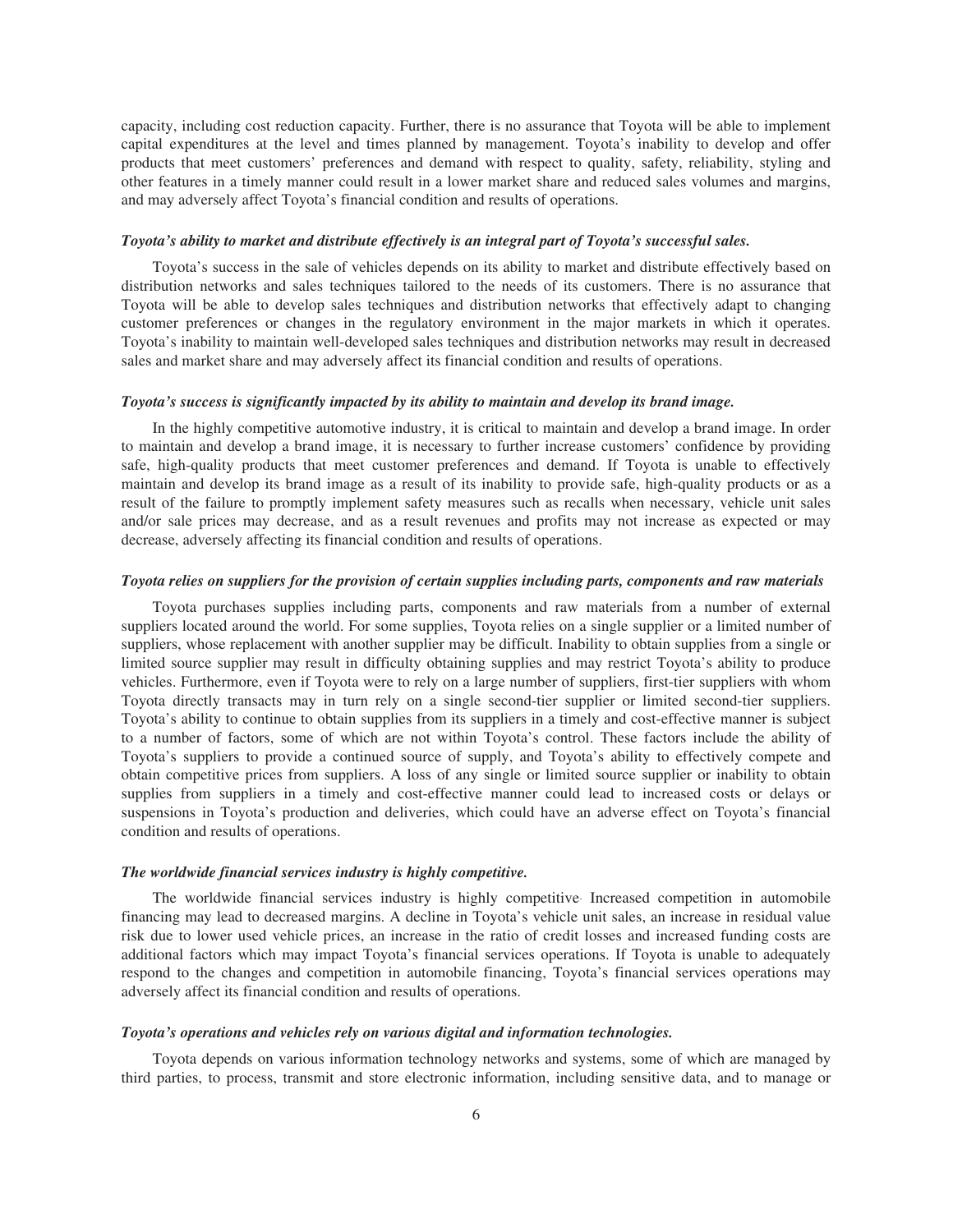capacity, including cost reduction capacity. Further, there is no assurance that Toyota will be able to implement capital expenditures at the level and times planned by management. Toyota's inability to develop and offer products that meet customers' preferences and demand with respect to quality, safety, reliability, styling and other features in a timely manner could result in a lower market share and reduced sales volumes and margins, and may adversely affect Toyota's financial condition and results of operations.

#### *Toyota's ability to market and distribute effectively is an integral part of Toyota's successful sales.*

Toyota's success in the sale of vehicles depends on its ability to market and distribute effectively based on distribution networks and sales techniques tailored to the needs of its customers. There is no assurance that Toyota will be able to develop sales techniques and distribution networks that effectively adapt to changing customer preferences or changes in the regulatory environment in the major markets in which it operates. Toyota's inability to maintain well-developed sales techniques and distribution networks may result in decreased sales and market share and may adversely affect its financial condition and results of operations.

#### *Toyota's success is significantly impacted by its ability to maintain and develop its brand image.*

In the highly competitive automotive industry, it is critical to maintain and develop a brand image. In order to maintain and develop a brand image, it is necessary to further increase customers' confidence by providing safe, high-quality products that meet customer preferences and demand. If Toyota is unable to effectively maintain and develop its brand image as a result of its inability to provide safe, high-quality products or as a result of the failure to promptly implement safety measures such as recalls when necessary, vehicle unit sales and/or sale prices may decrease, and as a result revenues and profits may not increase as expected or may decrease, adversely affecting its financial condition and results of operations.

## *Toyota relies on suppliers for the provision of certain supplies including parts, components and raw materials*

Toyota purchases supplies including parts, components and raw materials from a number of external suppliers located around the world. For some supplies, Toyota relies on a single supplier or a limited number of suppliers, whose replacement with another supplier may be difficult. Inability to obtain supplies from a single or limited source supplier may result in difficulty obtaining supplies and may restrict Toyota's ability to produce vehicles. Furthermore, even if Toyota were to rely on a large number of suppliers, first-tier suppliers with whom Toyota directly transacts may in turn rely on a single second-tier supplier or limited second-tier suppliers. Toyota's ability to continue to obtain supplies from its suppliers in a timely and cost-effective manner is subject to a number of factors, some of which are not within Toyota's control. These factors include the ability of Toyota's suppliers to provide a continued source of supply, and Toyota's ability to effectively compete and obtain competitive prices from suppliers. A loss of any single or limited source supplier or inability to obtain supplies from suppliers in a timely and cost-effective manner could lead to increased costs or delays or suspensions in Toyota's production and deliveries, which could have an adverse effect on Toyota's financial condition and results of operations.

#### *The worldwide financial services industry is highly competitive.*

The worldwide financial services industry is highly competitive. Increased competition in automobile financing may lead to decreased margins. A decline in Toyota's vehicle unit sales, an increase in residual value risk due to lower used vehicle prices, an increase in the ratio of credit losses and increased funding costs are additional factors which may impact Toyota's financial services operations. If Toyota is unable to adequately respond to the changes and competition in automobile financing, Toyota's financial services operations may adversely affect its financial condition and results of operations.

#### *Toyota's operations and vehicles rely on various digital and information technologies.*

Toyota depends on various information technology networks and systems, some of which are managed by third parties, to process, transmit and store electronic information, including sensitive data, and to manage or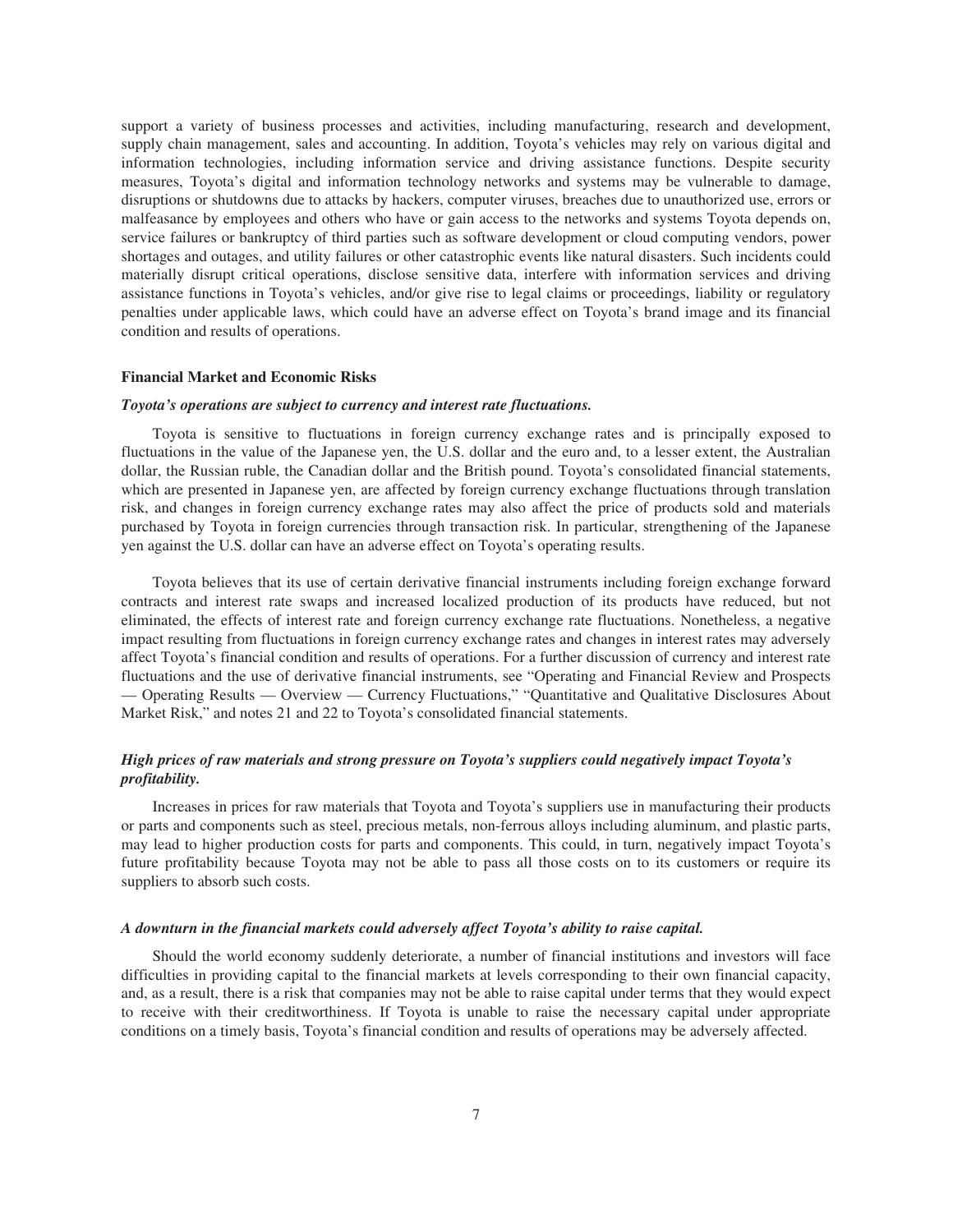support a variety of business processes and activities, including manufacturing, research and development, supply chain management, sales and accounting. In addition, Toyota's vehicles may rely on various digital and information technologies, including information service and driving assistance functions. Despite security measures, Toyota's digital and information technology networks and systems may be vulnerable to damage, disruptions or shutdowns due to attacks by hackers, computer viruses, breaches due to unauthorized use, errors or malfeasance by employees and others who have or gain access to the networks and systems Toyota depends on, service failures or bankruptcy of third parties such as software development or cloud computing vendors, power shortages and outages, and utility failures or other catastrophic events like natural disasters. Such incidents could materially disrupt critical operations, disclose sensitive data, interfere with information services and driving assistance functions in Toyota's vehicles, and/or give rise to legal claims or proceedings, liability or regulatory penalties under applicable laws, which could have an adverse effect on Toyota's brand image and its financial condition and results of operations.

#### **Financial Market and Economic Risks**

#### *Toyota's operations are subject to currency and interest rate fluctuations.*

Toyota is sensitive to fluctuations in foreign currency exchange rates and is principally exposed to fluctuations in the value of the Japanese yen, the U.S. dollar and the euro and, to a lesser extent, the Australian dollar, the Russian ruble, the Canadian dollar and the British pound. Toyota's consolidated financial statements, which are presented in Japanese yen, are affected by foreign currency exchange fluctuations through translation risk, and changes in foreign currency exchange rates may also affect the price of products sold and materials purchased by Toyota in foreign currencies through transaction risk. In particular, strengthening of the Japanese yen against the U.S. dollar can have an adverse effect on Toyota's operating results.

Toyota believes that its use of certain derivative financial instruments including foreign exchange forward contracts and interest rate swaps and increased localized production of its products have reduced, but not eliminated, the effects of interest rate and foreign currency exchange rate fluctuations. Nonetheless, a negative impact resulting from fluctuations in foreign currency exchange rates and changes in interest rates may adversely affect Toyota's financial condition and results of operations. For a further discussion of currency and interest rate fluctuations and the use of derivative financial instruments, see "Operating and Financial Review and Prospects — Operating Results — Overview — Currency Fluctuations," "Quantitative and Qualitative Disclosures About Market Risk," and notes 21 and 22 to Toyota's consolidated financial statements.

## *High prices of raw materials and strong pressure on Toyota's suppliers could negatively impact Toyota's profitability.*

Increases in prices for raw materials that Toyota and Toyota's suppliers use in manufacturing their products or parts and components such as steel, precious metals, non-ferrous alloys including aluminum, and plastic parts, may lead to higher production costs for parts and components. This could, in turn, negatively impact Toyota's future profitability because Toyota may not be able to pass all those costs on to its customers or require its suppliers to absorb such costs.

## *A downturn in the financial markets could adversely affect Toyota's ability to raise capital.*

Should the world economy suddenly deteriorate, a number of financial institutions and investors will face difficulties in providing capital to the financial markets at levels corresponding to their own financial capacity, and, as a result, there is a risk that companies may not be able to raise capital under terms that they would expect to receive with their creditworthiness. If Toyota is unable to raise the necessary capital under appropriate conditions on a timely basis, Toyota's financial condition and results of operations may be adversely affected.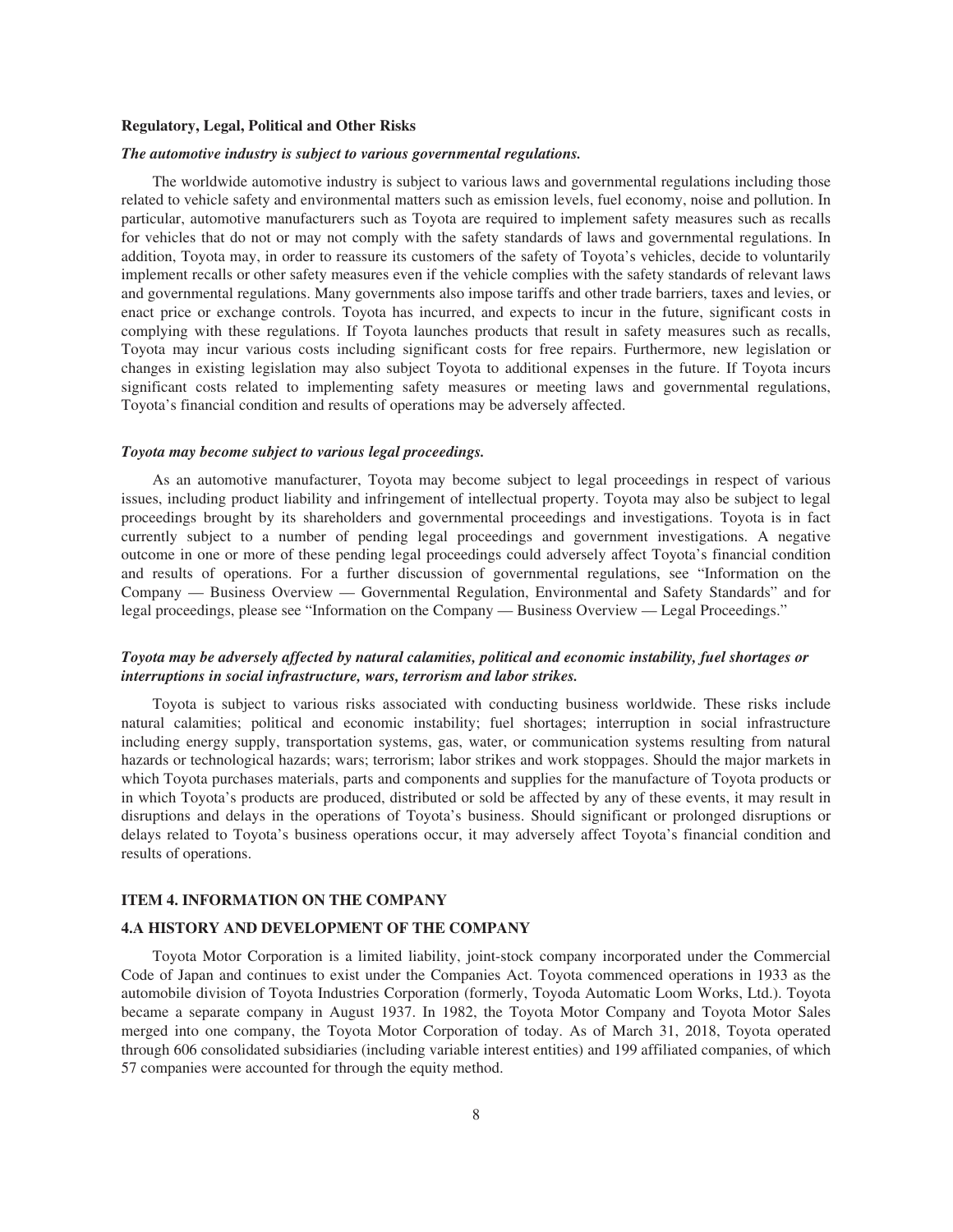#### **Regulatory, Legal, Political and Other Risks**

#### *The automotive industry is subject to various governmental regulations.*

The worldwide automotive industry is subject to various laws and governmental regulations including those related to vehicle safety and environmental matters such as emission levels, fuel economy, noise and pollution. In particular, automotive manufacturers such as Toyota are required to implement safety measures such as recalls for vehicles that do not or may not comply with the safety standards of laws and governmental regulations. In addition, Toyota may, in order to reassure its customers of the safety of Toyota's vehicles, decide to voluntarily implement recalls or other safety measures even if the vehicle complies with the safety standards of relevant laws and governmental regulations. Many governments also impose tariffs and other trade barriers, taxes and levies, or enact price or exchange controls. Toyota has incurred, and expects to incur in the future, significant costs in complying with these regulations. If Toyota launches products that result in safety measures such as recalls, Toyota may incur various costs including significant costs for free repairs. Furthermore, new legislation or changes in existing legislation may also subject Toyota to additional expenses in the future. If Toyota incurs significant costs related to implementing safety measures or meeting laws and governmental regulations, Toyota's financial condition and results of operations may be adversely affected.

#### *Toyota may become subject to various legal proceedings.*

As an automotive manufacturer, Toyota may become subject to legal proceedings in respect of various issues, including product liability and infringement of intellectual property. Toyota may also be subject to legal proceedings brought by its shareholders and governmental proceedings and investigations. Toyota is in fact currently subject to a number of pending legal proceedings and government investigations. A negative outcome in one or more of these pending legal proceedings could adversely affect Toyota's financial condition and results of operations. For a further discussion of governmental regulations, see "Information on the Company — Business Overview — Governmental Regulation, Environmental and Safety Standards" and for legal proceedings, please see "Information on the Company — Business Overview — Legal Proceedings."

## *Toyota may be adversely affected by natural calamities, political and economic instability, fuel shortages or interruptions in social infrastructure, wars, terrorism and labor strikes.*

Toyota is subject to various risks associated with conducting business worldwide. These risks include natural calamities; political and economic instability; fuel shortages; interruption in social infrastructure including energy supply, transportation systems, gas, water, or communication systems resulting from natural hazards or technological hazards; wars; terrorism; labor strikes and work stoppages. Should the major markets in which Toyota purchases materials, parts and components and supplies for the manufacture of Toyota products or in which Toyota's products are produced, distributed or sold be affected by any of these events, it may result in disruptions and delays in the operations of Toyota's business. Should significant or prolonged disruptions or delays related to Toyota's business operations occur, it may adversely affect Toyota's financial condition and results of operations.

#### **ITEM 4. INFORMATION ON THE COMPANY**

#### **4.A HISTORY AND DEVELOPMENT OF THE COMPANY**

Toyota Motor Corporation is a limited liability, joint-stock company incorporated under the Commercial Code of Japan and continues to exist under the Companies Act. Toyota commenced operations in 1933 as the automobile division of Toyota Industries Corporation (formerly, Toyoda Automatic Loom Works, Ltd.). Toyota became a separate company in August 1937. In 1982, the Toyota Motor Company and Toyota Motor Sales merged into one company, the Toyota Motor Corporation of today. As of March 31, 2018, Toyota operated through 606 consolidated subsidiaries (including variable interest entities) and 199 affiliated companies, of which 57 companies were accounted for through the equity method.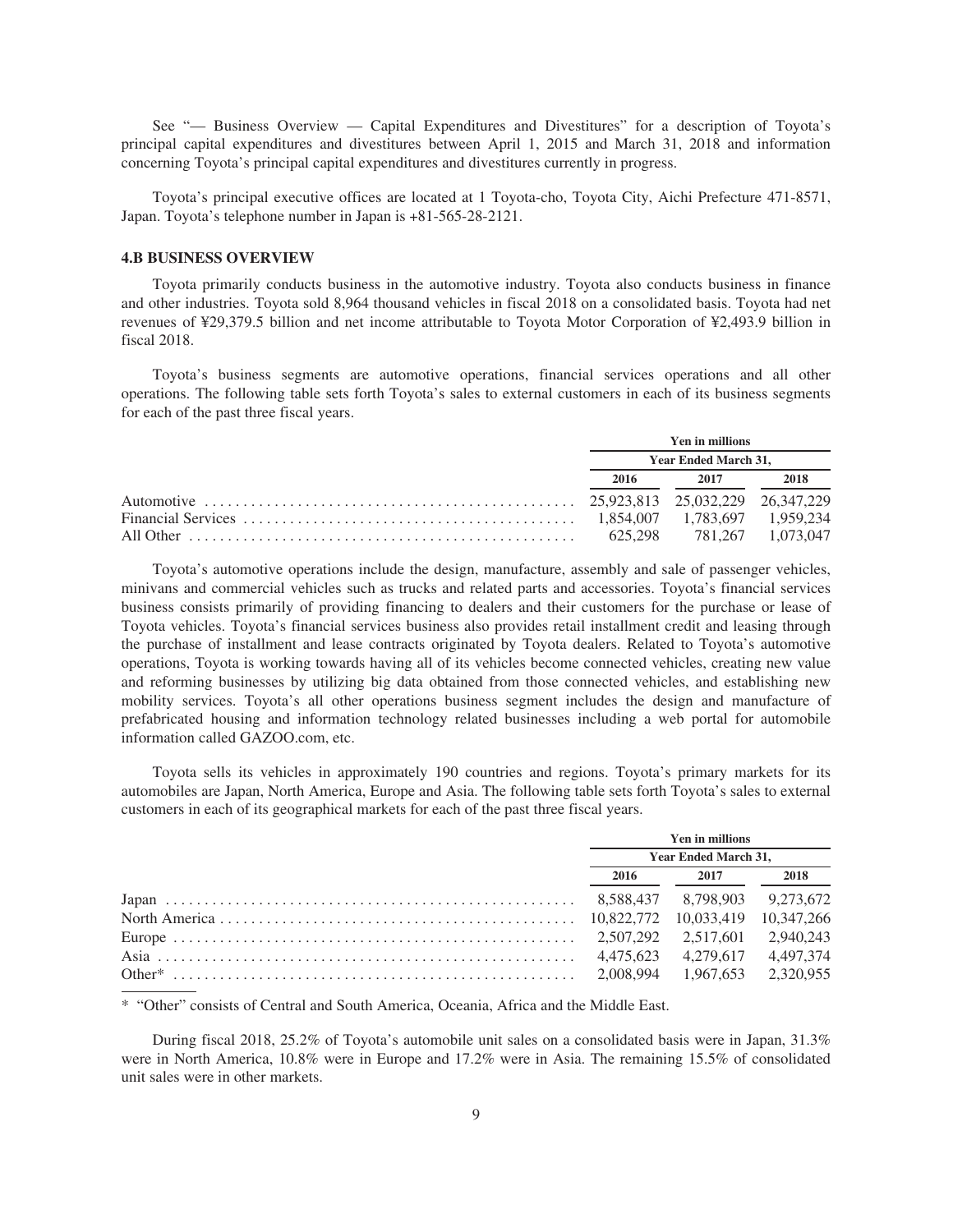See "— Business Overview — Capital Expenditures and Divestitures" for a description of Toyota's principal capital expenditures and divestitures between April 1, 2015 and March 31, 2018 and information concerning Toyota's principal capital expenditures and divestitures currently in progress.

Toyota's principal executive offices are located at 1 Toyota-cho, Toyota City, Aichi Prefecture 471-8571, Japan. Toyota's telephone number in Japan is +81-565-28-2121.

#### **4.B BUSINESS OVERVIEW**

Toyota primarily conducts business in the automotive industry. Toyota also conducts business in finance and other industries. Toyota sold 8,964 thousand vehicles in fiscal 2018 on a consolidated basis. Toyota had net revenues of ¥29,379.5 billion and net income attributable to Toyota Motor Corporation of ¥2,493.9 billion in fiscal 2018.

Toyota's business segments are automotive operations, financial services operations and all other operations. The following table sets forth Toyota's sales to external customers in each of its business segments for each of the past three fiscal years.

|                                                 | Yen in millions             |      |  |  |
|-------------------------------------------------|-----------------------------|------|--|--|
|                                                 | <b>Year Ended March 31.</b> |      |  |  |
|                                                 | 2016 2017                   | 2018 |  |  |
|                                                 |                             |      |  |  |
|                                                 |                             |      |  |  |
| All Other (1.073.047) 625.298 781.267 1.073.047 |                             |      |  |  |

Toyota's automotive operations include the design, manufacture, assembly and sale of passenger vehicles, minivans and commercial vehicles such as trucks and related parts and accessories. Toyota's financial services business consists primarily of providing financing to dealers and their customers for the purchase or lease of Toyota vehicles. Toyota's financial services business also provides retail installment credit and leasing through the purchase of installment and lease contracts originated by Toyota dealers. Related to Toyota's automotive operations, Toyota is working towards having all of its vehicles become connected vehicles, creating new value and reforming businesses by utilizing big data obtained from those connected vehicles, and establishing new mobility services. Toyota's all other operations business segment includes the design and manufacture of prefabricated housing and information technology related businesses including a web portal for automobile information called GAZOO.com, etc.

Toyota sells its vehicles in approximately 190 countries and regions. Toyota's primary markets for its automobiles are Japan, North America, Europe and Asia. The following table sets forth Toyota's sales to external customers in each of its geographical markets for each of the past three fiscal years.

| Yen in millions |                             |      |  |
|-----------------|-----------------------------|------|--|
|                 | <b>Year Ended March 31.</b> |      |  |
| 2016            | 2017                        | 2018 |  |
|                 |                             |      |  |
|                 |                             |      |  |
|                 |                             |      |  |
|                 |                             |      |  |
|                 |                             |      |  |

\* "Other" consists of Central and South America, Oceania, Africa and the Middle East.

During fiscal 2018, 25.2% of Toyota's automobile unit sales on a consolidated basis were in Japan, 31.3% were in North America, 10.8% were in Europe and 17.2% were in Asia. The remaining 15.5% of consolidated unit sales were in other markets.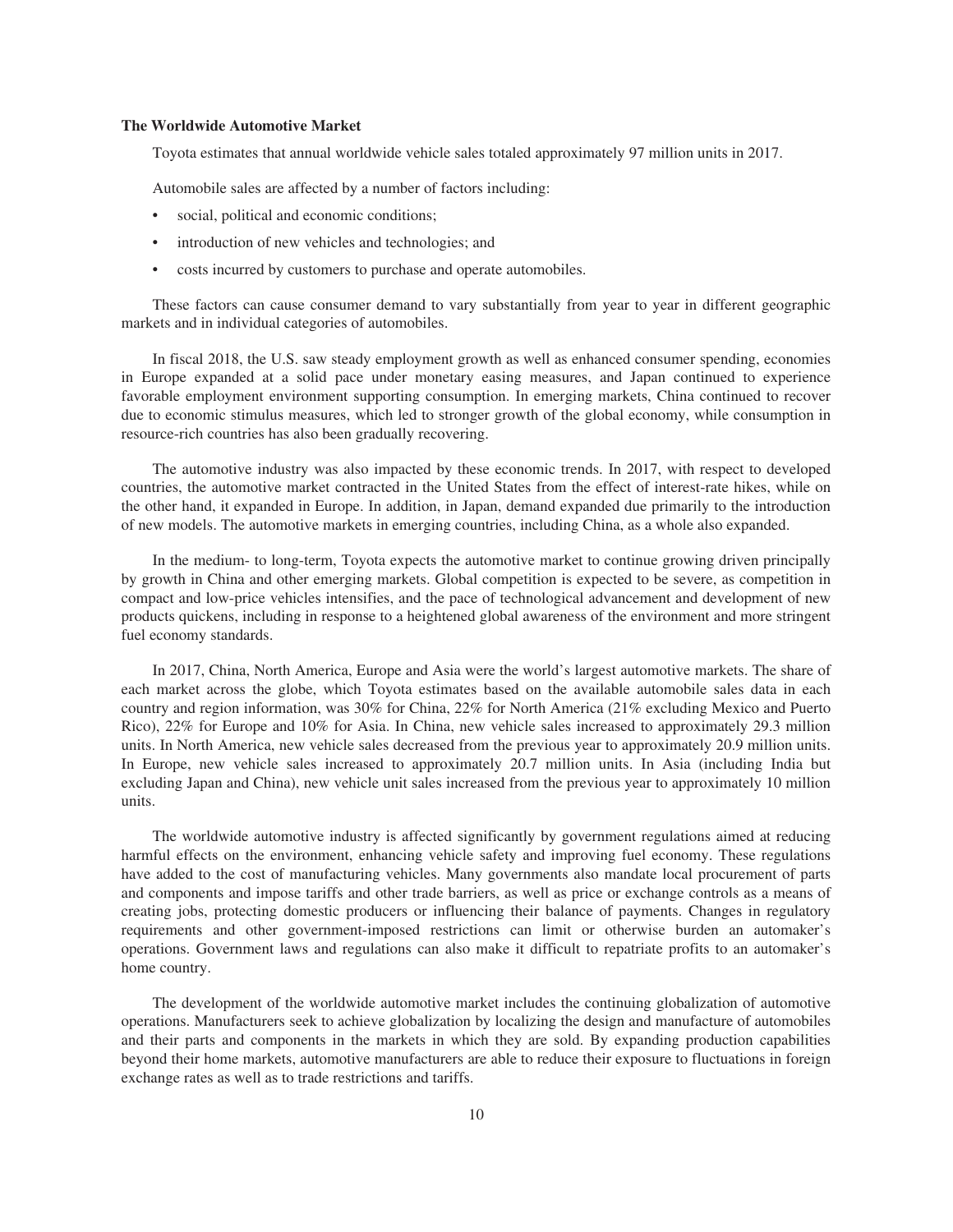#### **The Worldwide Automotive Market**

Toyota estimates that annual worldwide vehicle sales totaled approximately 97 million units in 2017.

Automobile sales are affected by a number of factors including:

- social, political and economic conditions;
- introduction of new vehicles and technologies; and
- costs incurred by customers to purchase and operate automobiles.

These factors can cause consumer demand to vary substantially from year to year in different geographic markets and in individual categories of automobiles.

In fiscal 2018, the U.S. saw steady employment growth as well as enhanced consumer spending, economies in Europe expanded at a solid pace under monetary easing measures, and Japan continued to experience favorable employment environment supporting consumption. In emerging markets, China continued to recover due to economic stimulus measures, which led to stronger growth of the global economy, while consumption in resource-rich countries has also been gradually recovering.

The automotive industry was also impacted by these economic trends. In 2017, with respect to developed countries, the automotive market contracted in the United States from the effect of interest-rate hikes, while on the other hand, it expanded in Europe. In addition, in Japan, demand expanded due primarily to the introduction of new models. The automotive markets in emerging countries, including China, as a whole also expanded.

In the medium- to long-term, Toyota expects the automotive market to continue growing driven principally by growth in China and other emerging markets. Global competition is expected to be severe, as competition in compact and low-price vehicles intensifies, and the pace of technological advancement and development of new products quickens, including in response to a heightened global awareness of the environment and more stringent fuel economy standards.

In 2017, China, North America, Europe and Asia were the world's largest automotive markets. The share of each market across the globe, which Toyota estimates based on the available automobile sales data in each country and region information, was 30% for China, 22% for North America (21% excluding Mexico and Puerto Rico), 22% for Europe and 10% for Asia. In China, new vehicle sales increased to approximately 29.3 million units. In North America, new vehicle sales decreased from the previous year to approximately 20.9 million units. In Europe, new vehicle sales increased to approximately 20.7 million units. In Asia (including India but excluding Japan and China), new vehicle unit sales increased from the previous year to approximately 10 million units.

The worldwide automotive industry is affected significantly by government regulations aimed at reducing harmful effects on the environment, enhancing vehicle safety and improving fuel economy. These regulations have added to the cost of manufacturing vehicles. Many governments also mandate local procurement of parts and components and impose tariffs and other trade barriers, as well as price or exchange controls as a means of creating jobs, protecting domestic producers or influencing their balance of payments. Changes in regulatory requirements and other government-imposed restrictions can limit or otherwise burden an automaker's operations. Government laws and regulations can also make it difficult to repatriate profits to an automaker's home country.

The development of the worldwide automotive market includes the continuing globalization of automotive operations. Manufacturers seek to achieve globalization by localizing the design and manufacture of automobiles and their parts and components in the markets in which they are sold. By expanding production capabilities beyond their home markets, automotive manufacturers are able to reduce their exposure to fluctuations in foreign exchange rates as well as to trade restrictions and tariffs.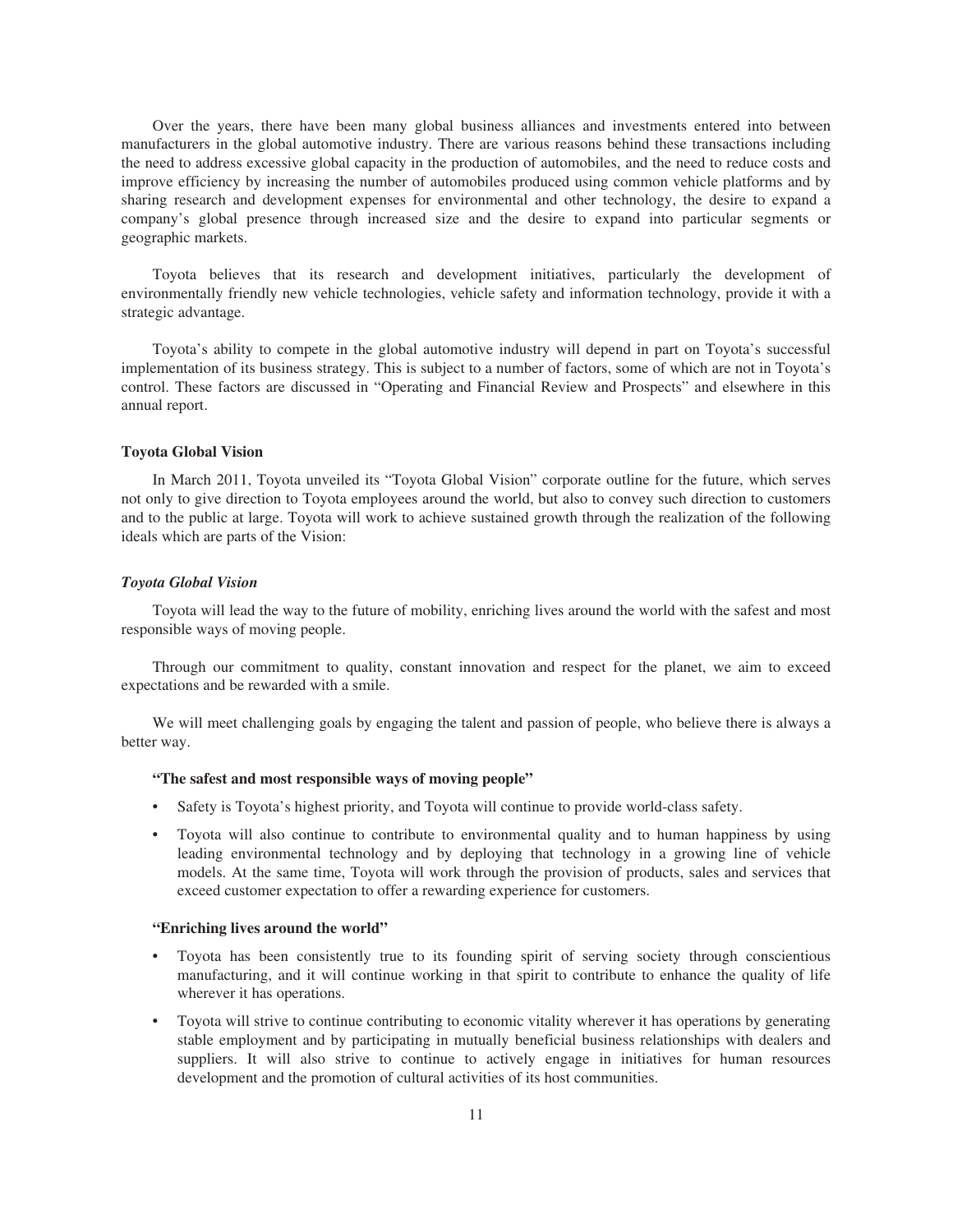Over the years, there have been many global business alliances and investments entered into between manufacturers in the global automotive industry. There are various reasons behind these transactions including the need to address excessive global capacity in the production of automobiles, and the need to reduce costs and improve efficiency by increasing the number of automobiles produced using common vehicle platforms and by sharing research and development expenses for environmental and other technology, the desire to expand a company's global presence through increased size and the desire to expand into particular segments or geographic markets.

Toyota believes that its research and development initiatives, particularly the development of environmentally friendly new vehicle technologies, vehicle safety and information technology, provide it with a strategic advantage.

Toyota's ability to compete in the global automotive industry will depend in part on Toyota's successful implementation of its business strategy. This is subject to a number of factors, some of which are not in Toyota's control. These factors are discussed in "Operating and Financial Review and Prospects" and elsewhere in this annual report.

#### **Toyota Global Vision**

In March 2011, Toyota unveiled its "Toyota Global Vision" corporate outline for the future, which serves not only to give direction to Toyota employees around the world, but also to convey such direction to customers and to the public at large. Toyota will work to achieve sustained growth through the realization of the following ideals which are parts of the Vision:

#### *Toyota Global Vision*

Toyota will lead the way to the future of mobility, enriching lives around the world with the safest and most responsible ways of moving people.

Through our commitment to quality, constant innovation and respect for the planet, we aim to exceed expectations and be rewarded with a smile.

We will meet challenging goals by engaging the talent and passion of people, who believe there is always a better way.

#### **"The safest and most responsible ways of moving people"**

- Safety is Toyota's highest priority, and Toyota will continue to provide world-class safety.
- Toyota will also continue to contribute to environmental quality and to human happiness by using leading environmental technology and by deploying that technology in a growing line of vehicle models. At the same time, Toyota will work through the provision of products, sales and services that exceed customer expectation to offer a rewarding experience for customers.

#### **"Enriching lives around the world"**

- Toyota has been consistently true to its founding spirit of serving society through conscientious manufacturing, and it will continue working in that spirit to contribute to enhance the quality of life wherever it has operations.
- Toyota will strive to continue contributing to economic vitality wherever it has operations by generating stable employment and by participating in mutually beneficial business relationships with dealers and suppliers. It will also strive to continue to actively engage in initiatives for human resources development and the promotion of cultural activities of its host communities.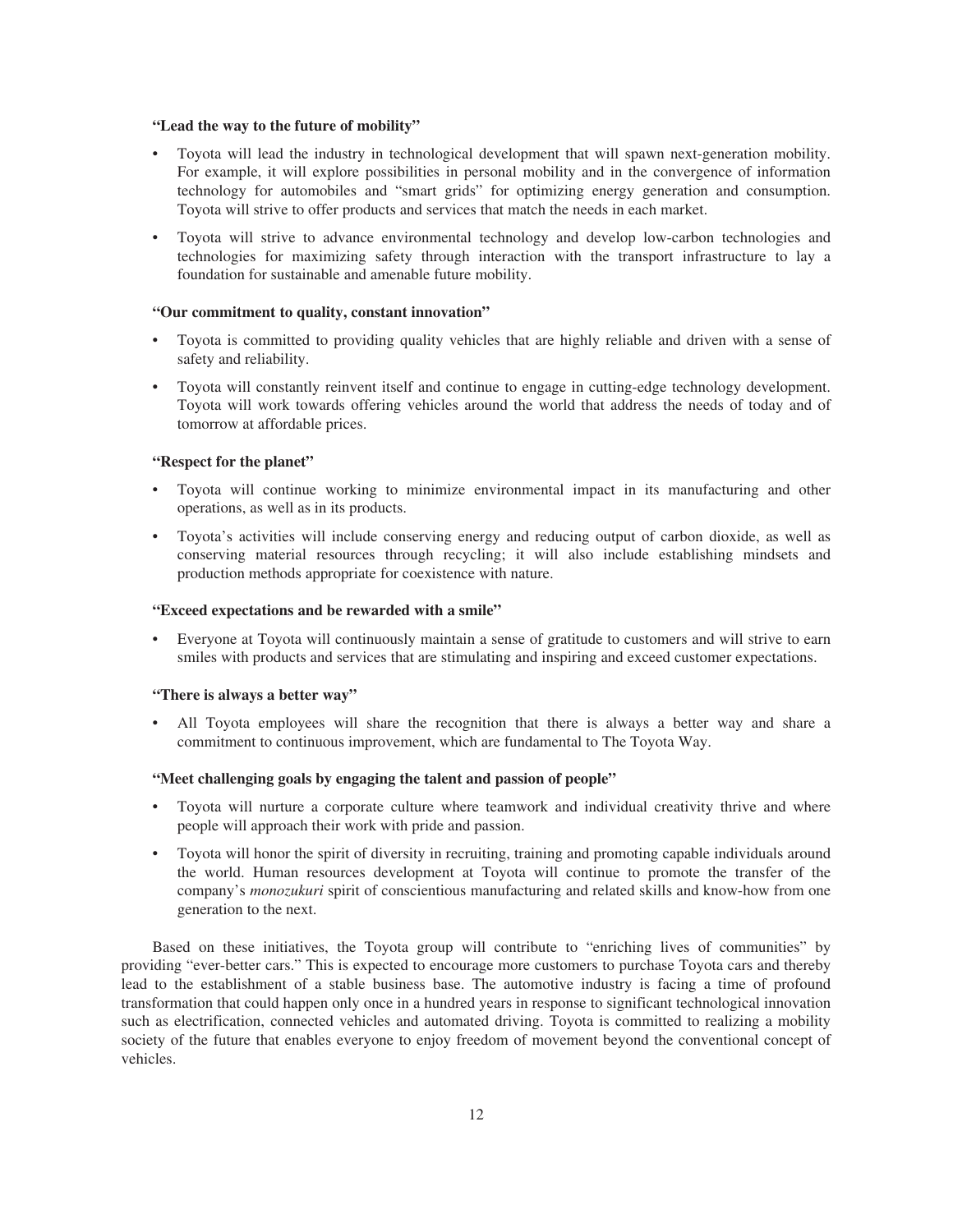#### **"Lead the way to the future of mobility"**

- Toyota will lead the industry in technological development that will spawn next-generation mobility. For example, it will explore possibilities in personal mobility and in the convergence of information technology for automobiles and "smart grids" for optimizing energy generation and consumption. Toyota will strive to offer products and services that match the needs in each market.
- Toyota will strive to advance environmental technology and develop low-carbon technologies and technologies for maximizing safety through interaction with the transport infrastructure to lay a foundation for sustainable and amenable future mobility.

#### **"Our commitment to quality, constant innovation"**

- Toyota is committed to providing quality vehicles that are highly reliable and driven with a sense of safety and reliability.
- Toyota will constantly reinvent itself and continue to engage in cutting-edge technology development. Toyota will work towards offering vehicles around the world that address the needs of today and of tomorrow at affordable prices.

#### **"Respect for the planet"**

- Toyota will continue working to minimize environmental impact in its manufacturing and other operations, as well as in its products.
- Toyota's activities will include conserving energy and reducing output of carbon dioxide, as well as conserving material resources through recycling; it will also include establishing mindsets and production methods appropriate for coexistence with nature.

#### **"Exceed expectations and be rewarded with a smile"**

• Everyone at Toyota will continuously maintain a sense of gratitude to customers and will strive to earn smiles with products and services that are stimulating and inspiring and exceed customer expectations.

#### **"There is always a better way"**

• All Toyota employees will share the recognition that there is always a better way and share a commitment to continuous improvement, which are fundamental to The Toyota Way.

## **"Meet challenging goals by engaging the talent and passion of people"**

- Toyota will nurture a corporate culture where teamwork and individual creativity thrive and where people will approach their work with pride and passion.
- Toyota will honor the spirit of diversity in recruiting, training and promoting capable individuals around the world. Human resources development at Toyota will continue to promote the transfer of the company's *monozukuri* spirit of conscientious manufacturing and related skills and know-how from one generation to the next.

Based on these initiatives, the Toyota group will contribute to "enriching lives of communities" by providing "ever-better cars." This is expected to encourage more customers to purchase Toyota cars and thereby lead to the establishment of a stable business base. The automotive industry is facing a time of profound transformation that could happen only once in a hundred years in response to significant technological innovation such as electrification, connected vehicles and automated driving. Toyota is committed to realizing a mobility society of the future that enables everyone to enjoy freedom of movement beyond the conventional concept of vehicles.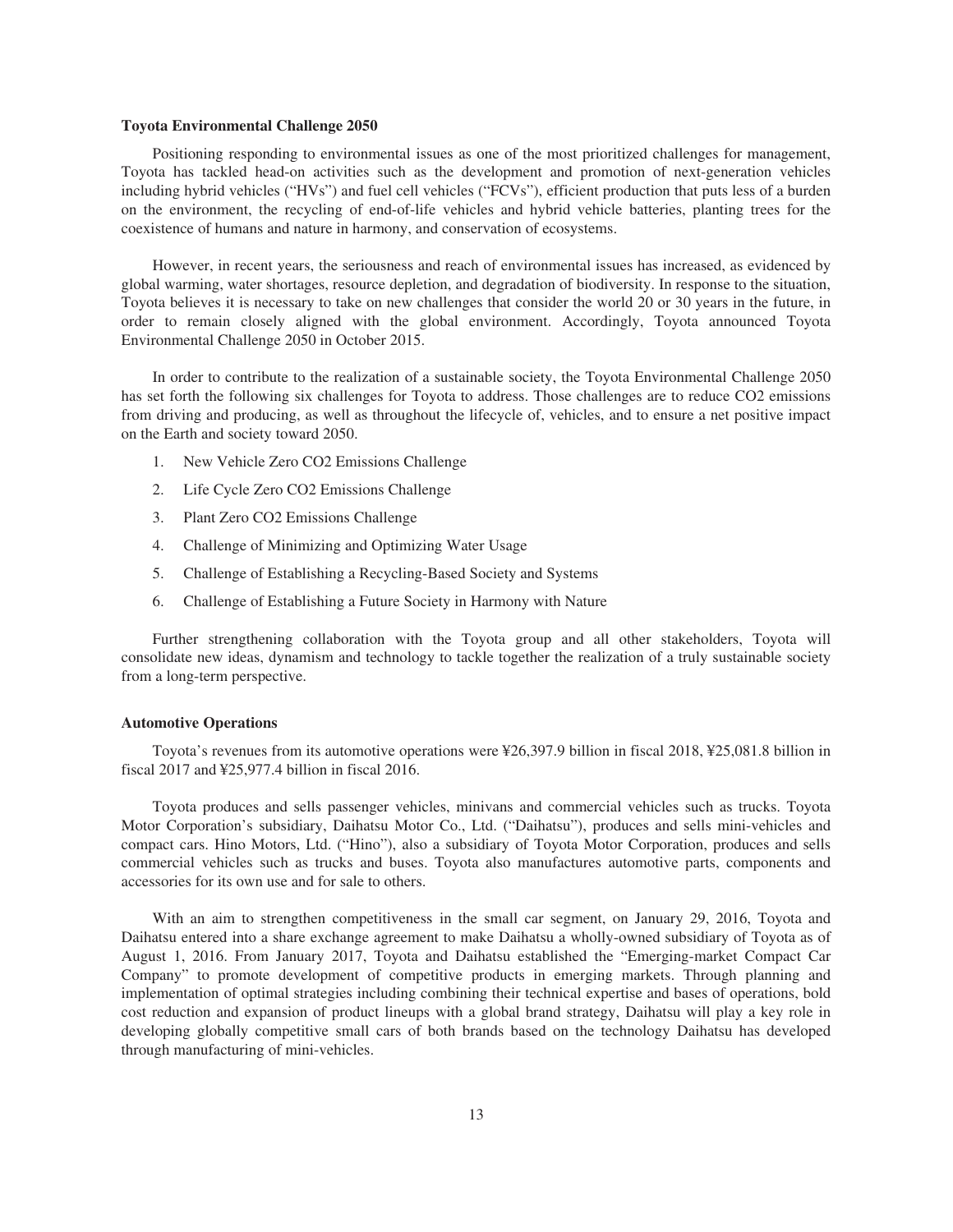#### **Toyota Environmental Challenge 2050**

Positioning responding to environmental issues as one of the most prioritized challenges for management, Toyota has tackled head-on activities such as the development and promotion of next-generation vehicles including hybrid vehicles ("HVs") and fuel cell vehicles ("FCVs"), efficient production that puts less of a burden on the environment, the recycling of end-of-life vehicles and hybrid vehicle batteries, planting trees for the coexistence of humans and nature in harmony, and conservation of ecosystems.

However, in recent years, the seriousness and reach of environmental issues has increased, as evidenced by global warming, water shortages, resource depletion, and degradation of biodiversity. In response to the situation, Toyota believes it is necessary to take on new challenges that consider the world 20 or 30 years in the future, in order to remain closely aligned with the global environment. Accordingly, Toyota announced Toyota Environmental Challenge 2050 in October 2015.

In order to contribute to the realization of a sustainable society, the Toyota Environmental Challenge 2050 has set forth the following six challenges for Toyota to address. Those challenges are to reduce CO2 emissions from driving and producing, as well as throughout the lifecycle of, vehicles, and to ensure a net positive impact on the Earth and society toward 2050.

- 1. New Vehicle Zero CO2 Emissions Challenge
- 2. Life Cycle Zero CO2 Emissions Challenge
- 3. Plant Zero CO2 Emissions Challenge
- 4. Challenge of Minimizing and Optimizing Water Usage
- 5. Challenge of Establishing a Recycling-Based Society and Systems
- 6. Challenge of Establishing a Future Society in Harmony with Nature

Further strengthening collaboration with the Toyota group and all other stakeholders, Toyota will consolidate new ideas, dynamism and technology to tackle together the realization of a truly sustainable society from a long-term perspective.

#### **Automotive Operations**

Toyota's revenues from its automotive operations were ¥26,397.9 billion in fiscal 2018, ¥25,081.8 billion in fiscal 2017 and ¥25,977.4 billion in fiscal 2016.

Toyota produces and sells passenger vehicles, minivans and commercial vehicles such as trucks. Toyota Motor Corporation's subsidiary, Daihatsu Motor Co., Ltd. ("Daihatsu"), produces and sells mini-vehicles and compact cars. Hino Motors, Ltd. ("Hino"), also a subsidiary of Toyota Motor Corporation, produces and sells commercial vehicles such as trucks and buses. Toyota also manufactures automotive parts, components and accessories for its own use and for sale to others.

With an aim to strengthen competitiveness in the small car segment, on January 29, 2016, Toyota and Daihatsu entered into a share exchange agreement to make Daihatsu a wholly-owned subsidiary of Toyota as of August 1, 2016. From January 2017, Toyota and Daihatsu established the "Emerging-market Compact Car Company" to promote development of competitive products in emerging markets. Through planning and implementation of optimal strategies including combining their technical expertise and bases of operations, bold cost reduction and expansion of product lineups with a global brand strategy, Daihatsu will play a key role in developing globally competitive small cars of both brands based on the technology Daihatsu has developed through manufacturing of mini-vehicles.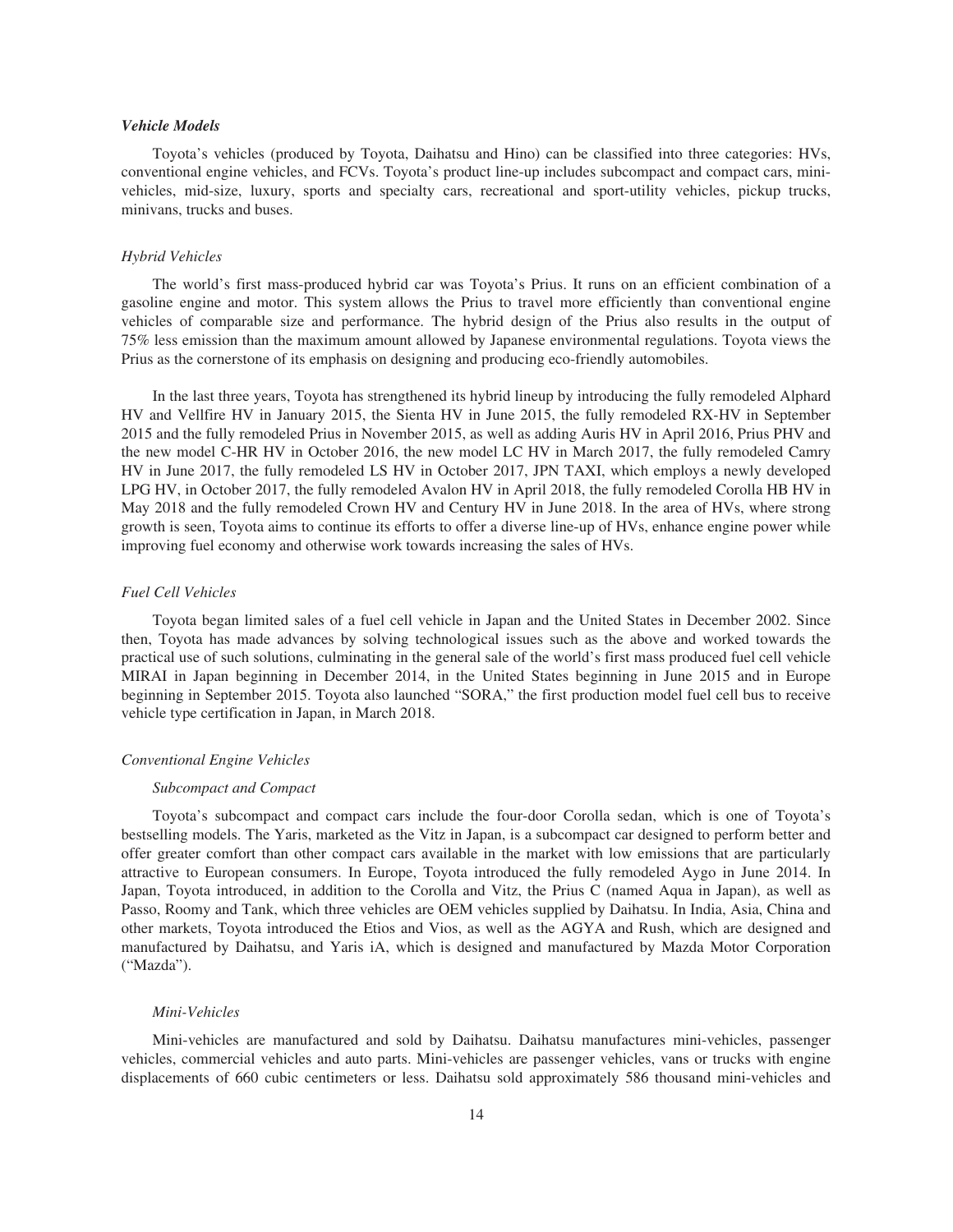#### *Vehicle Models*

Toyota's vehicles (produced by Toyota, Daihatsu and Hino) can be classified into three categories: HVs, conventional engine vehicles, and FCVs. Toyota's product line-up includes subcompact and compact cars, minivehicles, mid-size, luxury, sports and specialty cars, recreational and sport-utility vehicles, pickup trucks, minivans, trucks and buses.

## *Hybrid Vehicles*

The world's first mass-produced hybrid car was Toyota's Prius. It runs on an efficient combination of a gasoline engine and motor. This system allows the Prius to travel more efficiently than conventional engine vehicles of comparable size and performance. The hybrid design of the Prius also results in the output of 75% less emission than the maximum amount allowed by Japanese environmental regulations. Toyota views the Prius as the cornerstone of its emphasis on designing and producing eco-friendly automobiles.

In the last three years, Toyota has strengthened its hybrid lineup by introducing the fully remodeled Alphard HV and Vellfire HV in January 2015, the Sienta HV in June 2015, the fully remodeled RX-HV in September 2015 and the fully remodeled Prius in November 2015, as well as adding Auris HV in April 2016, Prius PHV and the new model C-HR HV in October 2016, the new model LC HV in March 2017, the fully remodeled Camry HV in June 2017, the fully remodeled LS HV in October 2017, JPN TAXI, which employs a newly developed LPG HV, in October 2017, the fully remodeled Avalon HV in April 2018, the fully remodeled Corolla HB HV in May 2018 and the fully remodeled Crown HV and Century HV in June 2018. In the area of HVs, where strong growth is seen, Toyota aims to continue its efforts to offer a diverse line-up of HVs, enhance engine power while improving fuel economy and otherwise work towards increasing the sales of HVs.

#### *Fuel Cell Vehicles*

Toyota began limited sales of a fuel cell vehicle in Japan and the United States in December 2002. Since then, Toyota has made advances by solving technological issues such as the above and worked towards the practical use of such solutions, culminating in the general sale of the world's first mass produced fuel cell vehicle MIRAI in Japan beginning in December 2014, in the United States beginning in June 2015 and in Europe beginning in September 2015. Toyota also launched "SORA," the first production model fuel cell bus to receive vehicle type certification in Japan, in March 2018.

#### *Conventional Engine Vehicles*

#### *Subcompact and Compact*

Toyota's subcompact and compact cars include the four-door Corolla sedan, which is one of Toyota's bestselling models. The Yaris, marketed as the Vitz in Japan, is a subcompact car designed to perform better and offer greater comfort than other compact cars available in the market with low emissions that are particularly attractive to European consumers. In Europe, Toyota introduced the fully remodeled Aygo in June 2014. In Japan, Toyota introduced, in addition to the Corolla and Vitz, the Prius C (named Aqua in Japan), as well as Passo, Roomy and Tank, which three vehicles are OEM vehicles supplied by Daihatsu. In India, Asia, China and other markets, Toyota introduced the Etios and Vios, as well as the AGYA and Rush, which are designed and manufactured by Daihatsu, and Yaris iA, which is designed and manufactured by Mazda Motor Corporation ("Mazda").

#### *Mini-Vehicles*

Mini-vehicles are manufactured and sold by Daihatsu. Daihatsu manufactures mini-vehicles, passenger vehicles, commercial vehicles and auto parts. Mini-vehicles are passenger vehicles, vans or trucks with engine displacements of 660 cubic centimeters or less. Daihatsu sold approximately 586 thousand mini-vehicles and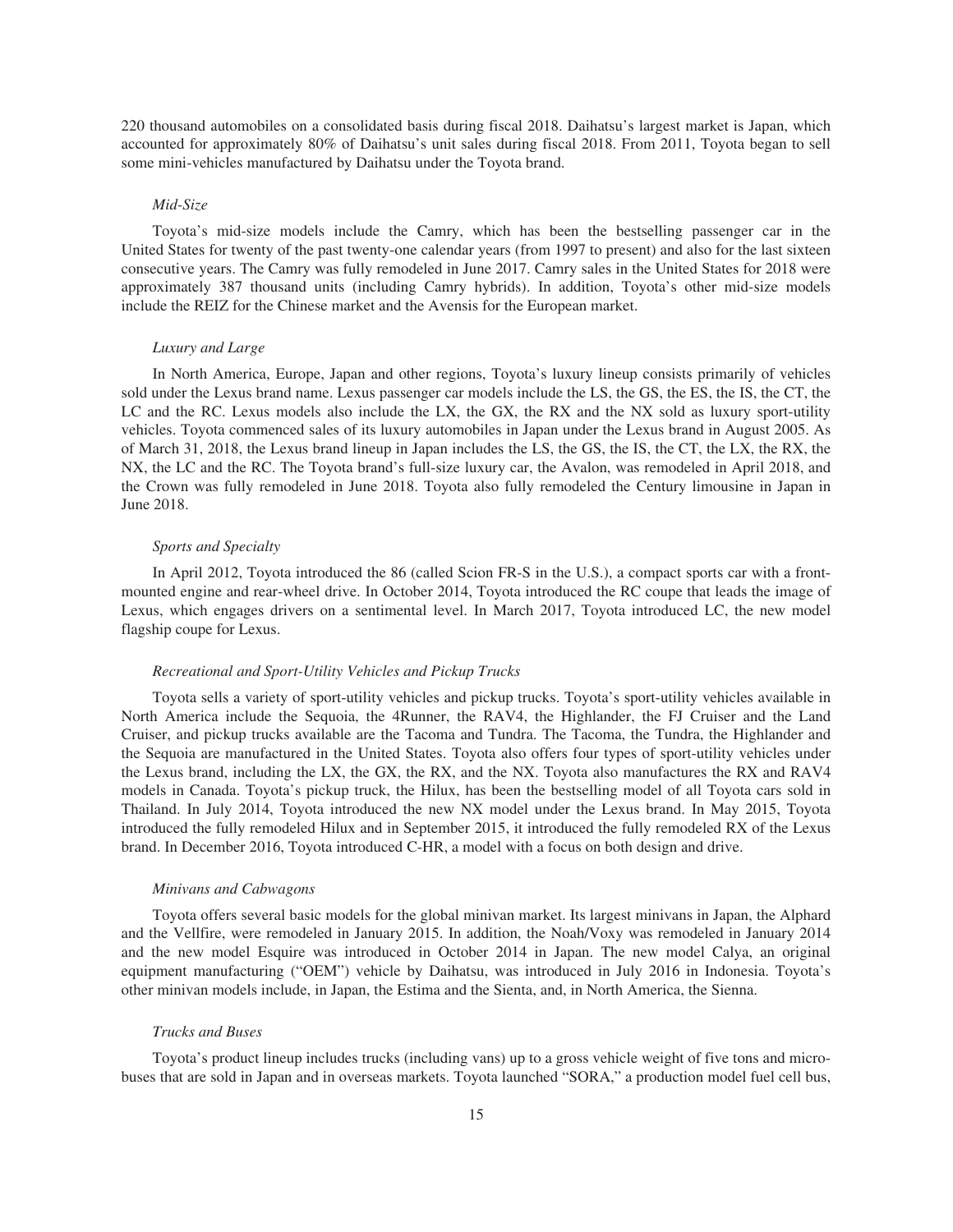220 thousand automobiles on a consolidated basis during fiscal 2018. Daihatsu's largest market is Japan, which accounted for approximately 80% of Daihatsu's unit sales during fiscal 2018. From 2011, Toyota began to sell some mini-vehicles manufactured by Daihatsu under the Toyota brand.

#### *Mid-Size*

Toyota's mid-size models include the Camry, which has been the bestselling passenger car in the United States for twenty of the past twenty-one calendar years (from 1997 to present) and also for the last sixteen consecutive years. The Camry was fully remodeled in June 2017. Camry sales in the United States for 2018 were approximately 387 thousand units (including Camry hybrids). In addition, Toyota's other mid-size models include the REIZ for the Chinese market and the Avensis for the European market.

#### *Luxury and Large*

In North America, Europe, Japan and other regions, Toyota's luxury lineup consists primarily of vehicles sold under the Lexus brand name. Lexus passenger car models include the LS, the GS, the ES, the IS, the CT, the LC and the RC. Lexus models also include the LX, the GX, the RX and the NX sold as luxury sport-utility vehicles. Toyota commenced sales of its luxury automobiles in Japan under the Lexus brand in August 2005. As of March 31, 2018, the Lexus brand lineup in Japan includes the LS, the GS, the IS, the CT, the LX, the RX, the NX, the LC and the RC. The Toyota brand's full-size luxury car, the Avalon, was remodeled in April 2018, and the Crown was fully remodeled in June 2018. Toyota also fully remodeled the Century limousine in Japan in June 2018.

## *Sports and Specialty*

In April 2012, Toyota introduced the 86 (called Scion FR-S in the U.S.), a compact sports car with a frontmounted engine and rear-wheel drive. In October 2014, Toyota introduced the RC coupe that leads the image of Lexus, which engages drivers on a sentimental level. In March 2017, Toyota introduced LC, the new model flagship coupe for Lexus.

#### *Recreational and Sport-Utility Vehicles and Pickup Trucks*

Toyota sells a variety of sport-utility vehicles and pickup trucks. Toyota's sport-utility vehicles available in North America include the Sequoia, the 4Runner, the RAV4, the Highlander, the FJ Cruiser and the Land Cruiser, and pickup trucks available are the Tacoma and Tundra. The Tacoma, the Tundra, the Highlander and the Sequoia are manufactured in the United States. Toyota also offers four types of sport-utility vehicles under the Lexus brand, including the LX, the GX, the RX, and the NX. Toyota also manufactures the RX and RAV4 models in Canada. Toyota's pickup truck, the Hilux, has been the bestselling model of all Toyota cars sold in Thailand. In July 2014, Toyota introduced the new NX model under the Lexus brand. In May 2015, Toyota introduced the fully remodeled Hilux and in September 2015, it introduced the fully remodeled RX of the Lexus brand. In December 2016, Toyota introduced C-HR, a model with a focus on both design and drive.

#### *Minivans and Cabwagons*

Toyota offers several basic models for the global minivan market. Its largest minivans in Japan, the Alphard and the Vellfire, were remodeled in January 2015. In addition, the Noah/Voxy was remodeled in January 2014 and the new model Esquire was introduced in October 2014 in Japan. The new model Calya, an original equipment manufacturing ("OEM") vehicle by Daihatsu, was introduced in July 2016 in Indonesia. Toyota's other minivan models include, in Japan, the Estima and the Sienta, and, in North America, the Sienna.

#### *Trucks and Buses*

Toyota's product lineup includes trucks (including vans) up to a gross vehicle weight of five tons and microbuses that are sold in Japan and in overseas markets. Toyota launched "SORA," a production model fuel cell bus,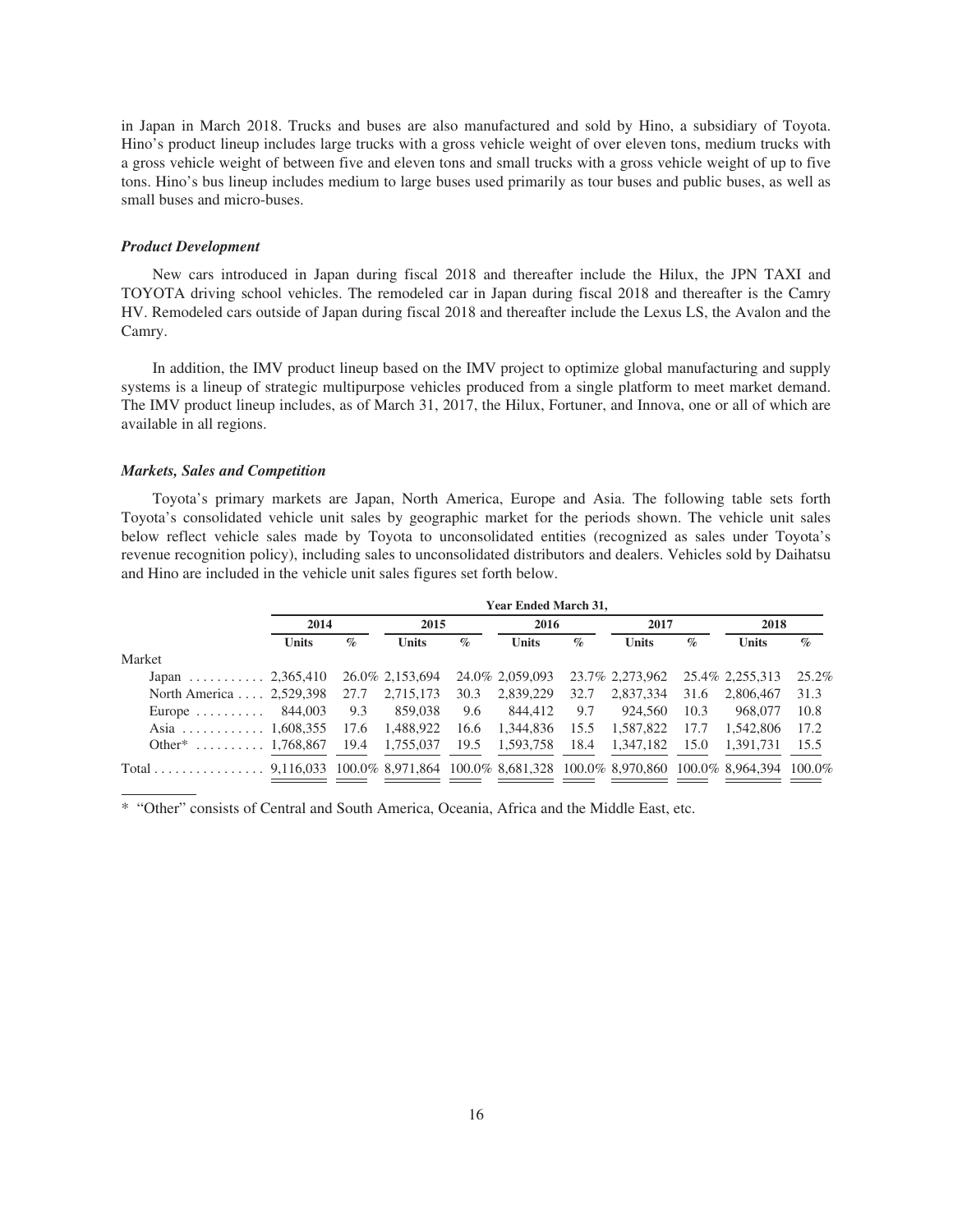in Japan in March 2018. Trucks and buses are also manufactured and sold by Hino, a subsidiary of Toyota. Hino's product lineup includes large trucks with a gross vehicle weight of over eleven tons, medium trucks with a gross vehicle weight of between five and eleven tons and small trucks with a gross vehicle weight of up to five tons. Hino's bus lineup includes medium to large buses used primarily as tour buses and public buses, as well as small buses and micro-buses.

#### *Product Development*

New cars introduced in Japan during fiscal 2018 and thereafter include the Hilux, the JPN TAXI and TOYOTA driving school vehicles. The remodeled car in Japan during fiscal 2018 and thereafter is the Camry HV. Remodeled cars outside of Japan during fiscal 2018 and thereafter include the Lexus LS, the Avalon and the Camry.

In addition, the IMV product lineup based on the IMV project to optimize global manufacturing and supply systems is a lineup of strategic multipurpose vehicles produced from a single platform to meet market demand. The IMV product lineup includes, as of March 31, 2017, the Hilux, Fortuner, and Innova, one or all of which are available in all regions.

#### *Markets, Sales and Competition*

Toyota's primary markets are Japan, North America, Europe and Asia. The following table sets forth Toyota's consolidated vehicle unit sales by geographic market for the periods shown. The vehicle unit sales below reflect vehicle sales made by Toyota to unconsolidated entities (recognized as sales under Toyota's revenue recognition policy), including sales to unconsolidated distributors and dealers. Vehicles sold by Daihatsu and Hino are included in the vehicle unit sales figures set forth below.

|                                                                     | Year Ended March 31, |      |                |      |                |      |                |      |                                   |       |
|---------------------------------------------------------------------|----------------------|------|----------------|------|----------------|------|----------------|------|-----------------------------------|-------|
|                                                                     | 2014                 |      | 2015           |      | 2016           |      | 2017           |      | 2018                              |       |
|                                                                     | <b>Units</b>         | $\%$ | <b>Units</b>   | $\%$ | <b>Units</b>   | $\%$ | <b>Units</b>   | $\%$ | <b>Units</b>                      | $\%$  |
| Market                                                              |                      |      |                |      |                |      |                |      |                                   |       |
| Japan  2,365,410 26.0% 2,153,694 24.0% 2,059,093                    |                      |      |                |      |                |      |                |      | 23.7\% 2.273.962 25.4\% 2.255.313 | 25.2% |
| North America  2,529,398 27.7 2,715,173                             |                      |      |                |      | 30.3 2,839,229 |      | 32.7 2,837,334 |      | 31.6 2.806.467                    | 31.3  |
| Europe $844,003$ 9.3                                                |                      |      | 859,038        | 9.6  | 844.412        | 9.7  | 924.560        | 10.3 | 968,077                           | 10.8  |
| Asia  1,608,355                                                     |                      |      | 17.6 1,488,922 |      | 16.6 1,344,836 |      | 15.5 1,587,822 | 17.7 | 1.542.806                         | 17.2  |
| Other*  1,768,867 19.4 1,755,037 19.5 1,593,758 18.4 1,347,182 15.0 |                      |      |                |      |                |      |                |      | 1.391.731                         | 15.5  |
|                                                                     |                      |      |                |      |                |      |                |      |                                   |       |

\* "Other" consists of Central and South America, Oceania, Africa and the Middle East, etc.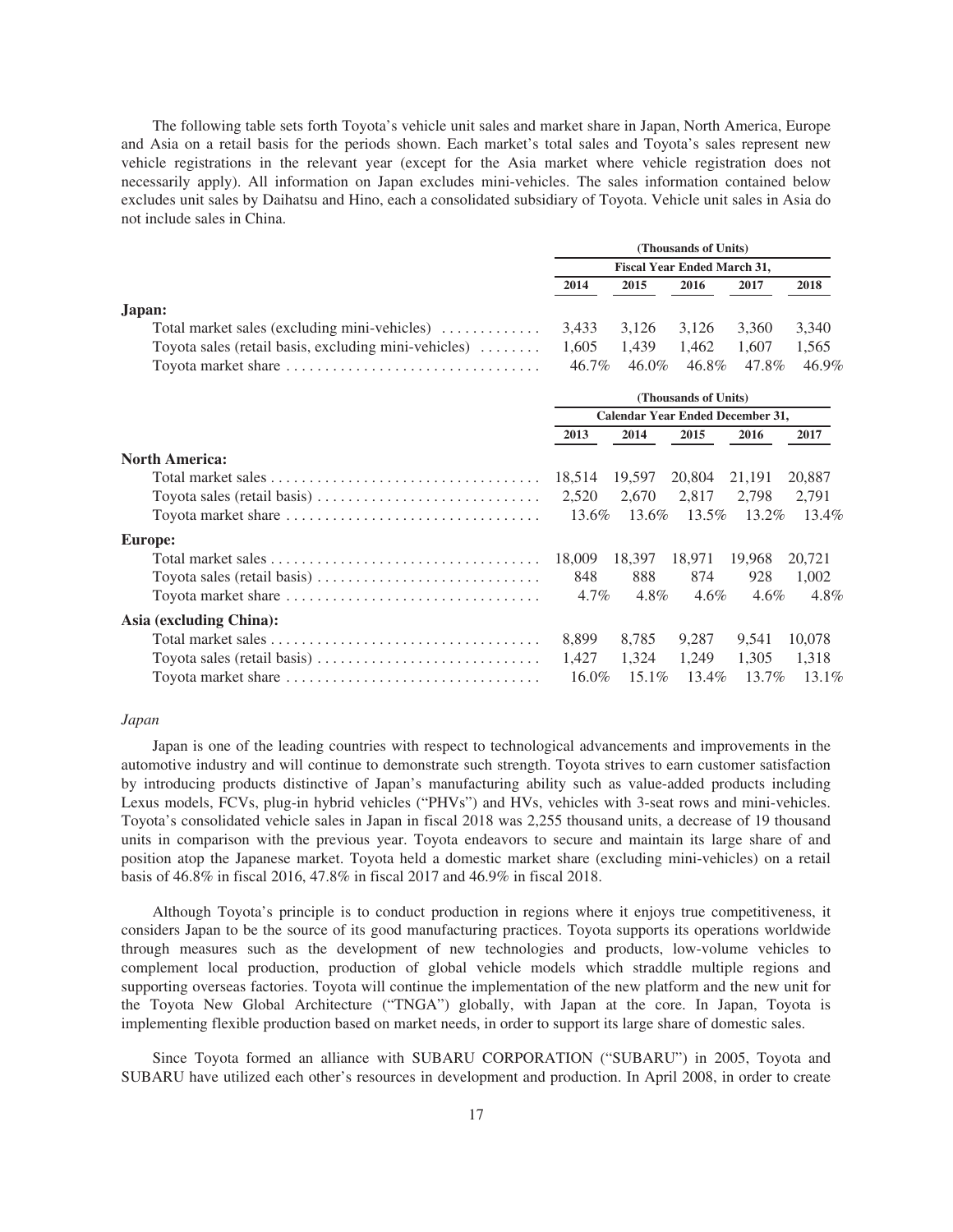The following table sets forth Toyota's vehicle unit sales and market share in Japan, North America, Europe and Asia on a retail basis for the periods shown. Each market's total sales and Toyota's sales represent new vehicle registrations in the relevant year (except for the Asia market where vehicle registration does not necessarily apply). All information on Japan excludes mini-vehicles. The sales information contained below excludes unit sales by Daihatsu and Hino, each a consolidated subsidiary of Toyota. Vehicle unit sales in Asia do not include sales in China.

**(Thousands of Units)**

|                                                                                     | (1110u3anu3 01 U11113 <i>)</i> |                                    |                      |         |        |  |
|-------------------------------------------------------------------------------------|--------------------------------|------------------------------------|----------------------|---------|--------|--|
|                                                                                     |                                | <b>Fiscal Year Ended March 31,</b> |                      |         |        |  |
|                                                                                     | 2014                           | 2015                               | 2016                 | 2017    | 2018   |  |
| Japan:                                                                              |                                |                                    |                      |         |        |  |
| Total market sales (excluding mini-vehicles) $\dots\dots\dots\dots$                 | 3,433                          | 3,126                              | 3,126                | 3,360   | 3,340  |  |
| Toyota sales (retail basis, excluding mini-vehicles)                                | 1,605                          | 1,439                              | 1,462                | 1,607   | 1,565  |  |
|                                                                                     | 46.7%                          | 46.0%                              | 46.8%                | 47.8%   | 46.9%  |  |
|                                                                                     |                                |                                    | (Thousands of Units) |         |        |  |
|                                                                                     |                                | Calendar Year Ended December 31,   |                      |         |        |  |
|                                                                                     | 2013                           | 2014                               | 2015                 | 2016    | 2017   |  |
| <b>North America:</b>                                                               |                                |                                    |                      |         |        |  |
|                                                                                     | 18,514                         | 19,597                             | 20,804               | 21,191  | 20,887 |  |
| Toyota sales (retail basis) $\dots \dots \dots \dots \dots \dots \dots \dots \dots$ | 2,520                          | 2,670                              | 2,817                | 2,798   | 2,791  |  |
|                                                                                     | 13.6%                          | 13.6%                              | 13.5%                | 13.2%   | 13.4%  |  |
| <b>Europe:</b>                                                                      |                                |                                    |                      |         |        |  |
|                                                                                     | 18,009                         | 18,397                             | 18,971               | 19,968  | 20,721 |  |
|                                                                                     | 848                            | 888                                | 874                  | 928     | 1,002  |  |
|                                                                                     | $4.7\%$                        | 4.8%                               | $4.6\%$              | $4.6\%$ | 4.8%   |  |
| Asia (excluding China):                                                             |                                |                                    |                      |         |        |  |
|                                                                                     | 8,899                          | 8,785                              | 9,287                | 9,541   | 10,078 |  |
| Toyota sales (retail basis) $\dots \dots \dots \dots \dots \dots \dots \dots \dots$ | 1,427                          | 1,324                              | 1,249                | 1,305   | 1,318  |  |
|                                                                                     | 16.0%                          | $15.1\%$                           | 13.4%                | 13.7%   | 13.1%  |  |

#### *Japan*

Japan is one of the leading countries with respect to technological advancements and improvements in the automotive industry and will continue to demonstrate such strength. Toyota strives to earn customer satisfaction by introducing products distinctive of Japan's manufacturing ability such as value-added products including Lexus models, FCVs, plug-in hybrid vehicles ("PHVs") and HVs, vehicles with 3-seat rows and mini-vehicles. Toyota's consolidated vehicle sales in Japan in fiscal 2018 was 2,255 thousand units, a decrease of 19 thousand units in comparison with the previous year. Toyota endeavors to secure and maintain its large share of and position atop the Japanese market. Toyota held a domestic market share (excluding mini-vehicles) on a retail basis of 46.8% in fiscal 2016, 47.8% in fiscal 2017 and 46.9% in fiscal 2018.

Although Toyota's principle is to conduct production in regions where it enjoys true competitiveness, it considers Japan to be the source of its good manufacturing practices. Toyota supports its operations worldwide through measures such as the development of new technologies and products, low-volume vehicles to complement local production, production of global vehicle models which straddle multiple regions and supporting overseas factories. Toyota will continue the implementation of the new platform and the new unit for the Toyota New Global Architecture ("TNGA") globally, with Japan at the core. In Japan, Toyota is implementing flexible production based on market needs, in order to support its large share of domestic sales.

Since Toyota formed an alliance with SUBARU CORPORATION ("SUBARU") in 2005, Toyota and SUBARU have utilized each other's resources in development and production. In April 2008, in order to create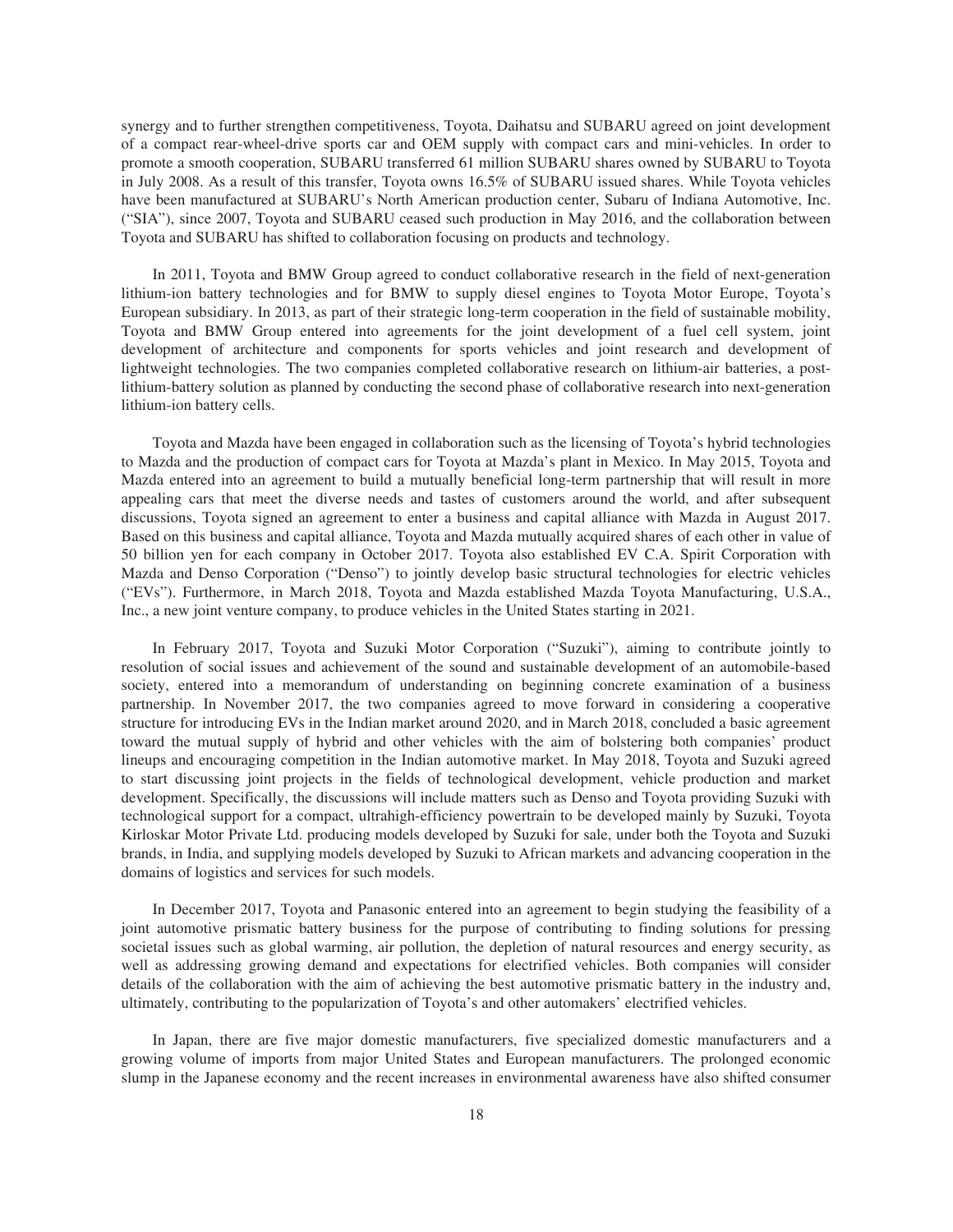synergy and to further strengthen competitiveness, Toyota, Daihatsu and SUBARU agreed on joint development of a compact rear-wheel-drive sports car and OEM supply with compact cars and mini-vehicles. In order to promote a smooth cooperation, SUBARU transferred 61 million SUBARU shares owned by SUBARU to Toyota in July 2008. As a result of this transfer, Toyota owns 16.5% of SUBARU issued shares. While Toyota vehicles have been manufactured at SUBARU's North American production center, Subaru of Indiana Automotive, Inc. ("SIA"), since 2007, Toyota and SUBARU ceased such production in May 2016, and the collaboration between Toyota and SUBARU has shifted to collaboration focusing on products and technology.

In 2011, Toyota and BMW Group agreed to conduct collaborative research in the field of next-generation lithium-ion battery technologies and for BMW to supply diesel engines to Toyota Motor Europe, Toyota's European subsidiary. In 2013, as part of their strategic long-term cooperation in the field of sustainable mobility, Toyota and BMW Group entered into agreements for the joint development of a fuel cell system, joint development of architecture and components for sports vehicles and joint research and development of lightweight technologies. The two companies completed collaborative research on lithium-air batteries, a postlithium-battery solution as planned by conducting the second phase of collaborative research into next-generation lithium-ion battery cells.

Toyota and Mazda have been engaged in collaboration such as the licensing of Toyota's hybrid technologies to Mazda and the production of compact cars for Toyota at Mazda's plant in Mexico. In May 2015, Toyota and Mazda entered into an agreement to build a mutually beneficial long-term partnership that will result in more appealing cars that meet the diverse needs and tastes of customers around the world, and after subsequent discussions, Toyota signed an agreement to enter a business and capital alliance with Mazda in August 2017. Based on this business and capital alliance, Toyota and Mazda mutually acquired shares of each other in value of 50 billion yen for each company in October 2017. Toyota also established EV C.A. Spirit Corporation with Mazda and Denso Corporation ("Denso") to jointly develop basic structural technologies for electric vehicles ("EVs"). Furthermore, in March 2018, Toyota and Mazda established Mazda Toyota Manufacturing, U.S.A., Inc., a new joint venture company, to produce vehicles in the United States starting in 2021.

In February 2017, Toyota and Suzuki Motor Corporation ("Suzuki"), aiming to contribute jointly to resolution of social issues and achievement of the sound and sustainable development of an automobile-based society, entered into a memorandum of understanding on beginning concrete examination of a business partnership. In November 2017, the two companies agreed to move forward in considering a cooperative structure for introducing EVs in the Indian market around 2020, and in March 2018, concluded a basic agreement toward the mutual supply of hybrid and other vehicles with the aim of bolstering both companies' product lineups and encouraging competition in the Indian automotive market. In May 2018, Toyota and Suzuki agreed to start discussing joint projects in the fields of technological development, vehicle production and market development. Specifically, the discussions will include matters such as Denso and Toyota providing Suzuki with technological support for a compact, ultrahigh-efficiency powertrain to be developed mainly by Suzuki, Toyota Kirloskar Motor Private Ltd. producing models developed by Suzuki for sale, under both the Toyota and Suzuki brands, in India, and supplying models developed by Suzuki to African markets and advancing cooperation in the domains of logistics and services for such models.

In December 2017, Toyota and Panasonic entered into an agreement to begin studying the feasibility of a joint automotive prismatic battery business for the purpose of contributing to finding solutions for pressing societal issues such as global warming, air pollution, the depletion of natural resources and energy security, as well as addressing growing demand and expectations for electrified vehicles. Both companies will consider details of the collaboration with the aim of achieving the best automotive prismatic battery in the industry and, ultimately, contributing to the popularization of Toyota's and other automakers' electrified vehicles.

In Japan, there are five major domestic manufacturers, five specialized domestic manufacturers and a growing volume of imports from major United States and European manufacturers. The prolonged economic slump in the Japanese economy and the recent increases in environmental awareness have also shifted consumer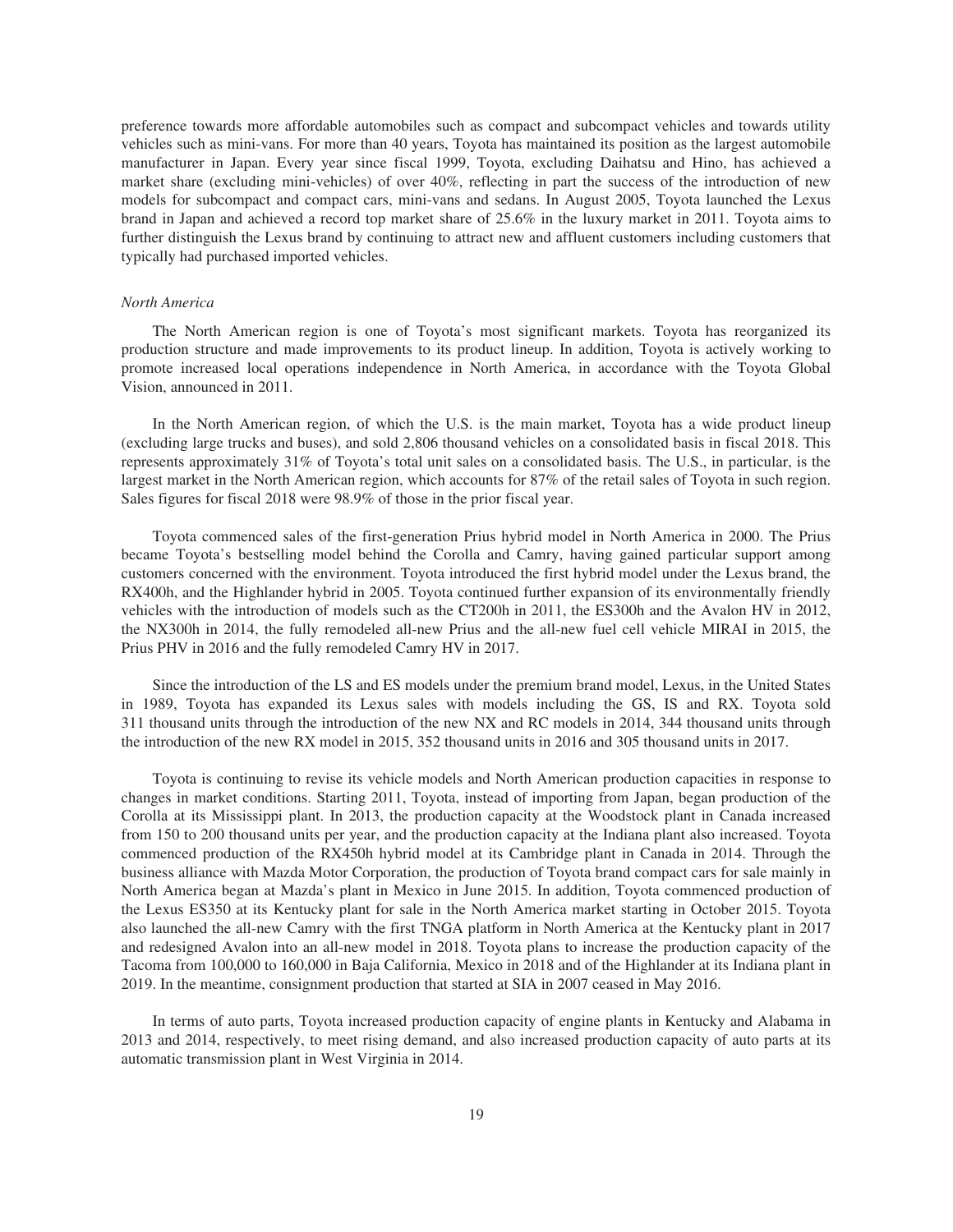preference towards more affordable automobiles such as compact and subcompact vehicles and towards utility vehicles such as mini-vans. For more than 40 years, Toyota has maintained its position as the largest automobile manufacturer in Japan. Every year since fiscal 1999, Toyota, excluding Daihatsu and Hino, has achieved a market share (excluding mini-vehicles) of over 40%, reflecting in part the success of the introduction of new models for subcompact and compact cars, mini-vans and sedans. In August 2005, Toyota launched the Lexus brand in Japan and achieved a record top market share of 25.6% in the luxury market in 2011. Toyota aims to further distinguish the Lexus brand by continuing to attract new and affluent customers including customers that typically had purchased imported vehicles.

#### *North America*

The North American region is one of Toyota's most significant markets. Toyota has reorganized its production structure and made improvements to its product lineup. In addition, Toyota is actively working to promote increased local operations independence in North America, in accordance with the Toyota Global Vision, announced in 2011.

In the North American region, of which the U.S. is the main market, Toyota has a wide product lineup (excluding large trucks and buses), and sold 2,806 thousand vehicles on a consolidated basis in fiscal 2018. This represents approximately 31% of Toyota's total unit sales on a consolidated basis. The U.S., in particular, is the largest market in the North American region, which accounts for 87% of the retail sales of Toyota in such region. Sales figures for fiscal 2018 were 98.9% of those in the prior fiscal year.

Toyota commenced sales of the first-generation Prius hybrid model in North America in 2000. The Prius became Toyota's bestselling model behind the Corolla and Camry, having gained particular support among customers concerned with the environment. Toyota introduced the first hybrid model under the Lexus brand, the RX400h, and the Highlander hybrid in 2005. Toyota continued further expansion of its environmentally friendly vehicles with the introduction of models such as the CT200h in 2011, the ES300h and the Avalon HV in 2012, the NX300h in 2014, the fully remodeled all-new Prius and the all-new fuel cell vehicle MIRAI in 2015, the Prius PHV in 2016 and the fully remodeled Camry HV in 2017.

Since the introduction of the LS and ES models under the premium brand model, Lexus, in the United States in 1989, Toyota has expanded its Lexus sales with models including the GS, IS and RX. Toyota sold 311 thousand units through the introduction of the new NX and RC models in 2014, 344 thousand units through the introduction of the new RX model in 2015, 352 thousand units in 2016 and 305 thousand units in 2017.

Toyota is continuing to revise its vehicle models and North American production capacities in response to changes in market conditions. Starting 2011, Toyota, instead of importing from Japan, began production of the Corolla at its Mississippi plant. In 2013, the production capacity at the Woodstock plant in Canada increased from 150 to 200 thousand units per year, and the production capacity at the Indiana plant also increased. Toyota commenced production of the RX450h hybrid model at its Cambridge plant in Canada in 2014. Through the business alliance with Mazda Motor Corporation, the production of Toyota brand compact cars for sale mainly in North America began at Mazda's plant in Mexico in June 2015. In addition, Toyota commenced production of the Lexus ES350 at its Kentucky plant for sale in the North America market starting in October 2015. Toyota also launched the all-new Camry with the first TNGA platform in North America at the Kentucky plant in 2017 and redesigned Avalon into an all-new model in 2018. Toyota plans to increase the production capacity of the Tacoma from 100,000 to 160,000 in Baja California, Mexico in 2018 and of the Highlander at its Indiana plant in 2019. In the meantime, consignment production that started at SIA in 2007 ceased in May 2016.

In terms of auto parts, Toyota increased production capacity of engine plants in Kentucky and Alabama in 2013 and 2014, respectively, to meet rising demand, and also increased production capacity of auto parts at its automatic transmission plant in West Virginia in 2014.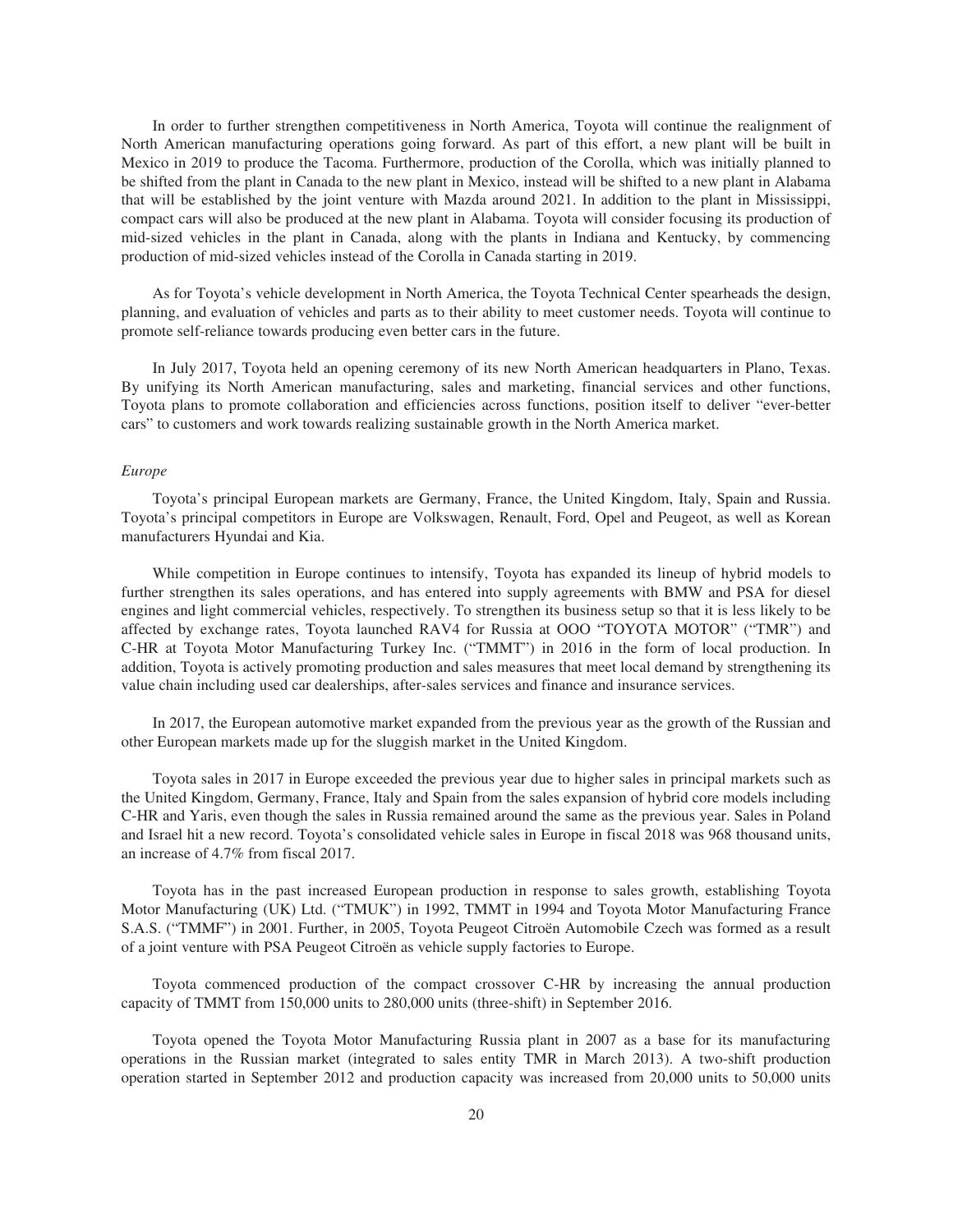In order to further strengthen competitiveness in North America, Toyota will continue the realignment of North American manufacturing operations going forward. As part of this effort, a new plant will be built in Mexico in 2019 to produce the Tacoma. Furthermore, production of the Corolla, which was initially planned to be shifted from the plant in Canada to the new plant in Mexico, instead will be shifted to a new plant in Alabama that will be established by the joint venture with Mazda around 2021. In addition to the plant in Mississippi, compact cars will also be produced at the new plant in Alabama. Toyota will consider focusing its production of mid-sized vehicles in the plant in Canada, along with the plants in Indiana and Kentucky, by commencing production of mid-sized vehicles instead of the Corolla in Canada starting in 2019.

As for Toyota's vehicle development in North America, the Toyota Technical Center spearheads the design, planning, and evaluation of vehicles and parts as to their ability to meet customer needs. Toyota will continue to promote self-reliance towards producing even better cars in the future.

In July 2017, Toyota held an opening ceremony of its new North American headquarters in Plano, Texas. By unifying its North American manufacturing, sales and marketing, financial services and other functions, Toyota plans to promote collaboration and efficiencies across functions, position itself to deliver "ever-better cars" to customers and work towards realizing sustainable growth in the North America market.

#### *Europe*

Toyota's principal European markets are Germany, France, the United Kingdom, Italy, Spain and Russia. Toyota's principal competitors in Europe are Volkswagen, Renault, Ford, Opel and Peugeot, as well as Korean manufacturers Hyundai and Kia.

While competition in Europe continues to intensify, Toyota has expanded its lineup of hybrid models to further strengthen its sales operations, and has entered into supply agreements with BMW and PSA for diesel engines and light commercial vehicles, respectively. To strengthen its business setup so that it is less likely to be affected by exchange rates, Toyota launched RAV4 for Russia at OOO "TOYOTA MOTOR" ("TMR") and C-HR at Toyota Motor Manufacturing Turkey Inc. ("TMMT") in 2016 in the form of local production. In addition, Toyota is actively promoting production and sales measures that meet local demand by strengthening its value chain including used car dealerships, after-sales services and finance and insurance services.

In 2017, the European automotive market expanded from the previous year as the growth of the Russian and other European markets made up for the sluggish market in the United Kingdom.

Toyota sales in 2017 in Europe exceeded the previous year due to higher sales in principal markets such as the United Kingdom, Germany, France, Italy and Spain from the sales expansion of hybrid core models including C-HR and Yaris, even though the sales in Russia remained around the same as the previous year. Sales in Poland and Israel hit a new record. Toyota's consolidated vehicle sales in Europe in fiscal 2018 was 968 thousand units, an increase of 4.7% from fiscal 2017.

Toyota has in the past increased European production in response to sales growth, establishing Toyota Motor Manufacturing (UK) Ltd. ("TMUK") in 1992, TMMT in 1994 and Toyota Motor Manufacturing France S.A.S. ("TMMF") in 2001. Further, in 2005, Toyota Peugeot Citroën Automobile Czech was formed as a result of a joint venture with PSA Peugeot Citroën as vehicle supply factories to Europe.

Toyota commenced production of the compact crossover C-HR by increasing the annual production capacity of TMMT from 150,000 units to 280,000 units (three-shift) in September 2016.

Toyota opened the Toyota Motor Manufacturing Russia plant in 2007 as a base for its manufacturing operations in the Russian market (integrated to sales entity TMR in March 2013). A two-shift production operation started in September 2012 and production capacity was increased from 20,000 units to 50,000 units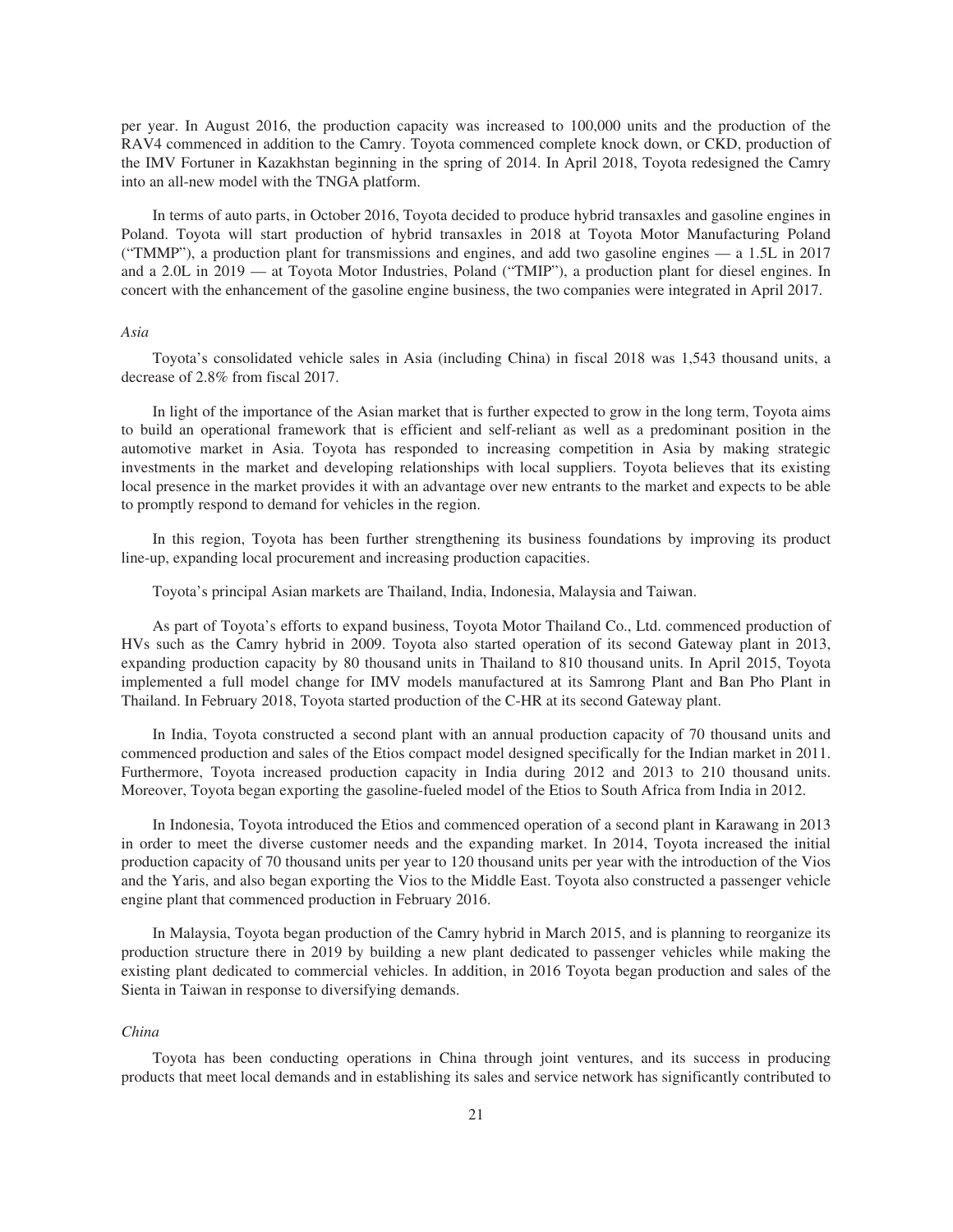per year. In August 2016, the production capacity was increased to 100,000 units and the production of the RAV4 commenced in addition to the Camry. Toyota commenced complete knock down, or CKD, production of the IMV Fortuner in Kazakhstan beginning in the spring of 2014. In April 2018, Toyota redesigned the Camry into an all-new model with the TNGA platform.

In terms of auto parts, in October 2016, Toyota decided to produce hybrid transaxles and gasoline engines in Poland. Toyota will start production of hybrid transaxles in 2018 at Toyota Motor Manufacturing Poland ("TMMP"), a production plant for transmissions and engines, and add two gasoline engines — a 1.5L in 2017 and a 2.0L in 2019 — at Toyota Motor Industries, Poland ("TMIP"), a production plant for diesel engines. In concert with the enhancement of the gasoline engine business, the two companies were integrated in April 2017.

#### *Asia*

Toyota's consolidated vehicle sales in Asia (including China) in fiscal 2018 was 1,543 thousand units, a decrease of 2.8% from fiscal 2017.

In light of the importance of the Asian market that is further expected to grow in the long term, Toyota aims to build an operational framework that is efficient and self-reliant as well as a predominant position in the automotive market in Asia. Toyota has responded to increasing competition in Asia by making strategic investments in the market and developing relationships with local suppliers. Toyota believes that its existing local presence in the market provides it with an advantage over new entrants to the market and expects to be able to promptly respond to demand for vehicles in the region.

In this region, Toyota has been further strengthening its business foundations by improving its product line-up, expanding local procurement and increasing production capacities.

Toyota's principal Asian markets are Thailand, India, Indonesia, Malaysia and Taiwan.

As part of Toyota's efforts to expand business, Toyota Motor Thailand Co., Ltd. commenced production of HVs such as the Camry hybrid in 2009. Toyota also started operation of its second Gateway plant in 2013, expanding production capacity by 80 thousand units in Thailand to 810 thousand units. In April 2015, Toyota implemented a full model change for IMV models manufactured at its Samrong Plant and Ban Pho Plant in Thailand. In February 2018, Toyota started production of the C-HR at its second Gateway plant.

In India, Toyota constructed a second plant with an annual production capacity of 70 thousand units and commenced production and sales of the Etios compact model designed specifically for the Indian market in 2011. Furthermore, Toyota increased production capacity in India during 2012 and 2013 to 210 thousand units. Moreover, Toyota began exporting the gasoline-fueled model of the Etios to South Africa from India in 2012.

In Indonesia, Toyota introduced the Etios and commenced operation of a second plant in Karawang in 2013 in order to meet the diverse customer needs and the expanding market. In 2014, Toyota increased the initial production capacity of 70 thousand units per year to 120 thousand units per year with the introduction of the Vios and the Yaris, and also began exporting the Vios to the Middle East. Toyota also constructed a passenger vehicle engine plant that commenced production in February 2016.

In Malaysia, Toyota began production of the Camry hybrid in March 2015, and is planning to reorganize its production structure there in 2019 by building a new plant dedicated to passenger vehicles while making the existing plant dedicated to commercial vehicles. In addition, in 2016 Toyota began production and sales of the Sienta in Taiwan in response to diversifying demands.

#### *China*

Toyota has been conducting operations in China through joint ventures, and its success in producing products that meet local demands and in establishing its sales and service network has significantly contributed to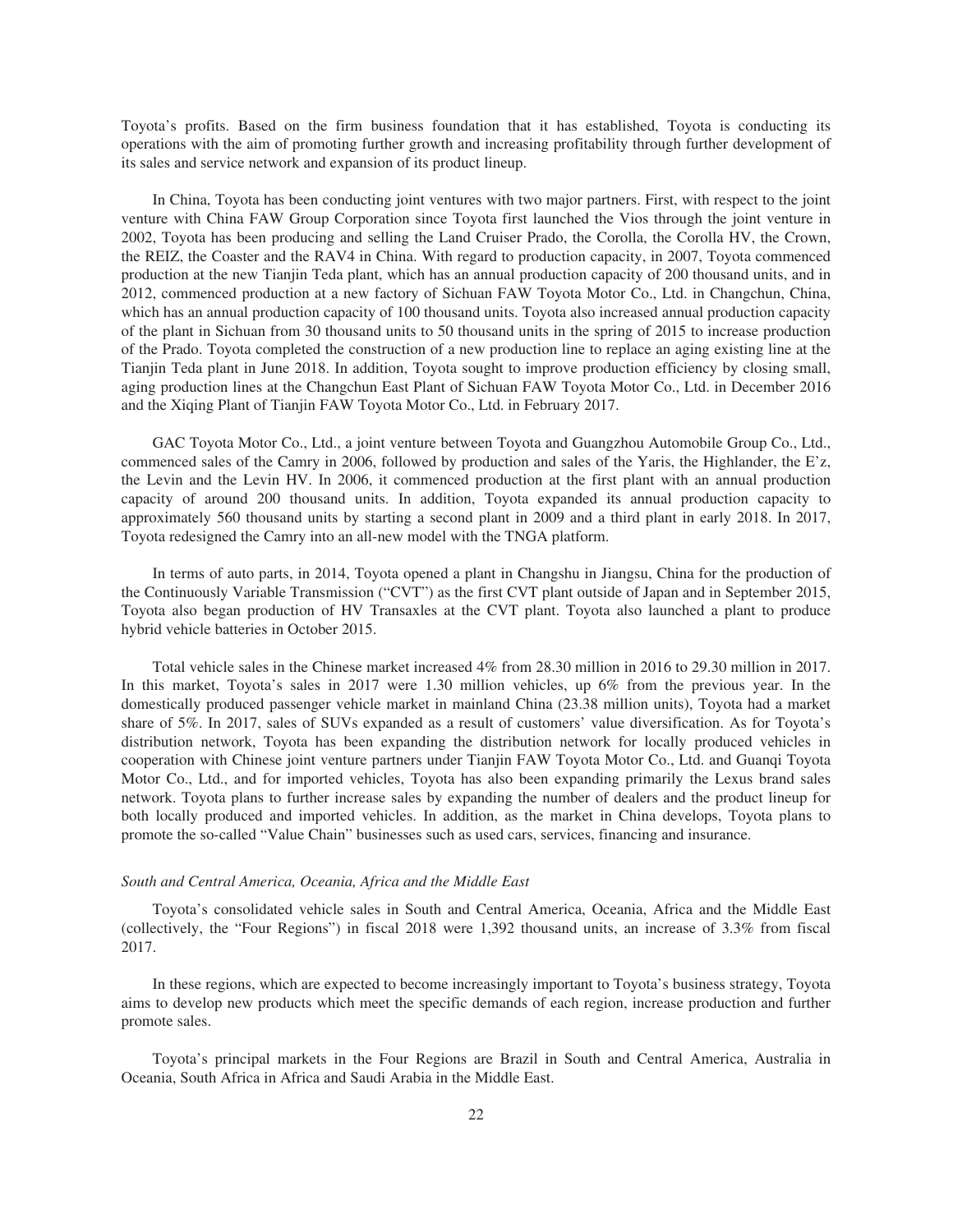Toyota's profits. Based on the firm business foundation that it has established, Toyota is conducting its operations with the aim of promoting further growth and increasing profitability through further development of its sales and service network and expansion of its product lineup.

In China, Toyota has been conducting joint ventures with two major partners. First, with respect to the joint venture with China FAW Group Corporation since Toyota first launched the Vios through the joint venture in 2002, Toyota has been producing and selling the Land Cruiser Prado, the Corolla, the Corolla HV, the Crown, the REIZ, the Coaster and the RAV4 in China. With regard to production capacity, in 2007, Toyota commenced production at the new Tianjin Teda plant, which has an annual production capacity of 200 thousand units, and in 2012, commenced production at a new factory of Sichuan FAW Toyota Motor Co., Ltd. in Changchun, China, which has an annual production capacity of 100 thousand units. Toyota also increased annual production capacity of the plant in Sichuan from 30 thousand units to 50 thousand units in the spring of 2015 to increase production of the Prado. Toyota completed the construction of a new production line to replace an aging existing line at the Tianjin Teda plant in June 2018. In addition, Toyota sought to improve production efficiency by closing small, aging production lines at the Changchun East Plant of Sichuan FAW Toyota Motor Co., Ltd. in December 2016 and the Xiqing Plant of Tianjin FAW Toyota Motor Co., Ltd. in February 2017.

GAC Toyota Motor Co., Ltd., a joint venture between Toyota and Guangzhou Automobile Group Co., Ltd., commenced sales of the Camry in 2006, followed by production and sales of the Yaris, the Highlander, the E'z, the Levin and the Levin HV. In 2006, it commenced production at the first plant with an annual production capacity of around 200 thousand units. In addition, Toyota expanded its annual production capacity to approximately 560 thousand units by starting a second plant in 2009 and a third plant in early 2018. In 2017, Toyota redesigned the Camry into an all-new model with the TNGA platform.

In terms of auto parts, in 2014, Toyota opened a plant in Changshu in Jiangsu, China for the production of the Continuously Variable Transmission ("CVT") as the first CVT plant outside of Japan and in September 2015, Toyota also began production of HV Transaxles at the CVT plant. Toyota also launched a plant to produce hybrid vehicle batteries in October 2015.

Total vehicle sales in the Chinese market increased 4% from 28.30 million in 2016 to 29.30 million in 2017. In this market, Toyota's sales in 2017 were 1.30 million vehicles, up 6% from the previous year. In the domestically produced passenger vehicle market in mainland China (23.38 million units), Toyota had a market share of 5%. In 2017, sales of SUVs expanded as a result of customers' value diversification. As for Toyota's distribution network, Toyota has been expanding the distribution network for locally produced vehicles in cooperation with Chinese joint venture partners under Tianjin FAW Toyota Motor Co., Ltd. and Guanqi Toyota Motor Co., Ltd., and for imported vehicles, Toyota has also been expanding primarily the Lexus brand sales network. Toyota plans to further increase sales by expanding the number of dealers and the product lineup for both locally produced and imported vehicles. In addition, as the market in China develops, Toyota plans to promote the so-called "Value Chain" businesses such as used cars, services, financing and insurance.

#### *South and Central America, Oceania, Africa and the Middle East*

Toyota's consolidated vehicle sales in South and Central America, Oceania, Africa and the Middle East (collectively, the "Four Regions") in fiscal 2018 were 1,392 thousand units, an increase of 3.3% from fiscal 2017.

In these regions, which are expected to become increasingly important to Toyota's business strategy, Toyota aims to develop new products which meet the specific demands of each region, increase production and further promote sales.

Toyota's principal markets in the Four Regions are Brazil in South and Central America, Australia in Oceania, South Africa in Africa and Saudi Arabia in the Middle East.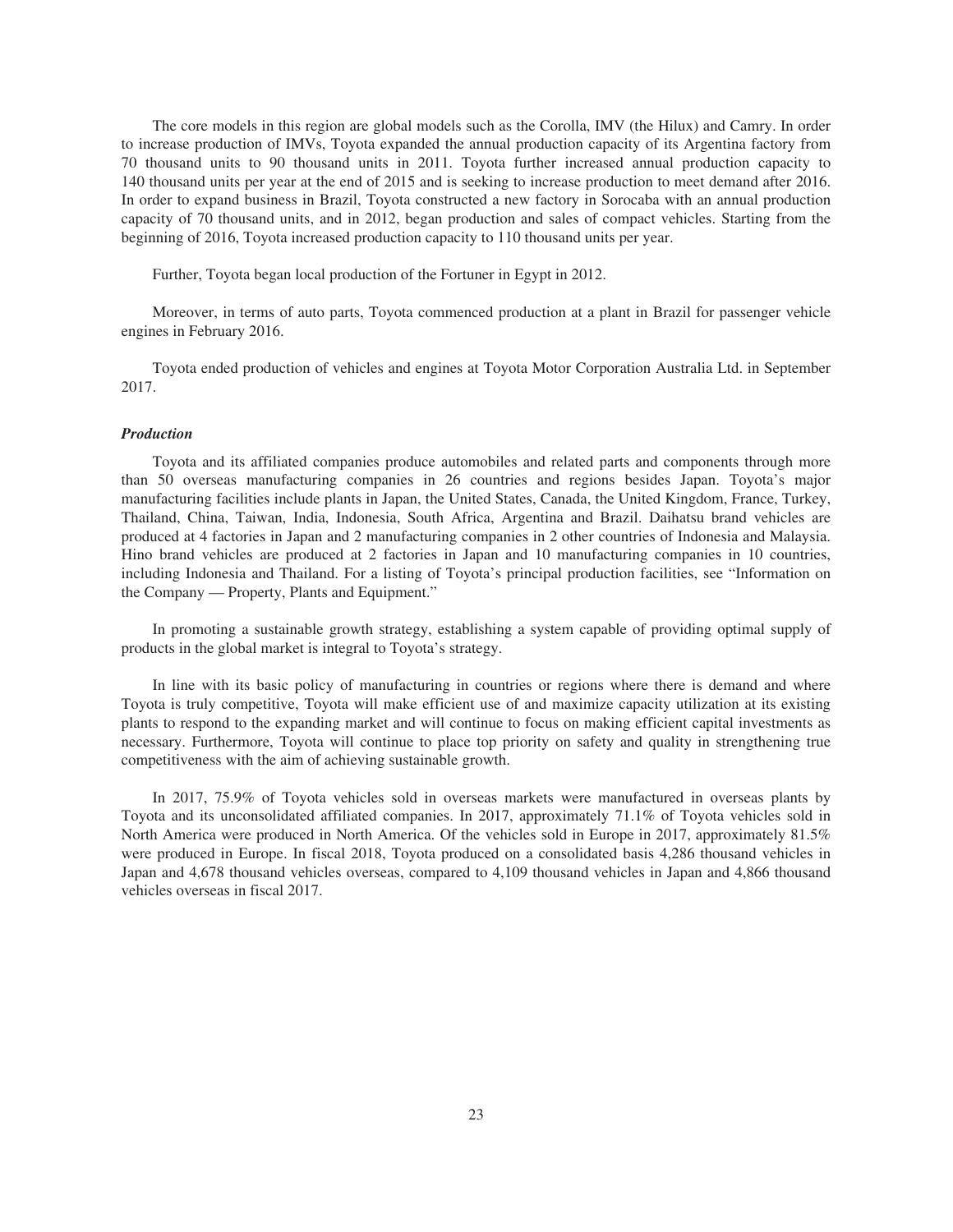The core models in this region are global models such as the Corolla, IMV (the Hilux) and Camry. In order to increase production of IMVs, Toyota expanded the annual production capacity of its Argentina factory from 70 thousand units to 90 thousand units in 2011. Toyota further increased annual production capacity to 140 thousand units per year at the end of 2015 and is seeking to increase production to meet demand after 2016. In order to expand business in Brazil, Toyota constructed a new factory in Sorocaba with an annual production capacity of 70 thousand units, and in 2012, began production and sales of compact vehicles. Starting from the beginning of 2016, Toyota increased production capacity to 110 thousand units per year.

Further, Toyota began local production of the Fortuner in Egypt in 2012.

Moreover, in terms of auto parts, Toyota commenced production at a plant in Brazil for passenger vehicle engines in February 2016.

Toyota ended production of vehicles and engines at Toyota Motor Corporation Australia Ltd. in September 2017.

#### *Production*

Toyota and its affiliated companies produce automobiles and related parts and components through more than 50 overseas manufacturing companies in 26 countries and regions besides Japan. Toyota's major manufacturing facilities include plants in Japan, the United States, Canada, the United Kingdom, France, Turkey, Thailand, China, Taiwan, India, Indonesia, South Africa, Argentina and Brazil. Daihatsu brand vehicles are produced at 4 factories in Japan and 2 manufacturing companies in 2 other countries of Indonesia and Malaysia. Hino brand vehicles are produced at 2 factories in Japan and 10 manufacturing companies in 10 countries, including Indonesia and Thailand. For a listing of Toyota's principal production facilities, see "Information on the Company — Property, Plants and Equipment."

In promoting a sustainable growth strategy, establishing a system capable of providing optimal supply of products in the global market is integral to Toyota's strategy.

In line with its basic policy of manufacturing in countries or regions where there is demand and where Toyota is truly competitive, Toyota will make efficient use of and maximize capacity utilization at its existing plants to respond to the expanding market and will continue to focus on making efficient capital investments as necessary. Furthermore, Toyota will continue to place top priority on safety and quality in strengthening true competitiveness with the aim of achieving sustainable growth.

In 2017, 75.9% of Toyota vehicles sold in overseas markets were manufactured in overseas plants by Toyota and its unconsolidated affiliated companies. In 2017, approximately 71.1% of Toyota vehicles sold in North America were produced in North America. Of the vehicles sold in Europe in 2017, approximately 81.5% were produced in Europe. In fiscal 2018, Toyota produced on a consolidated basis 4,286 thousand vehicles in Japan and 4,678 thousand vehicles overseas, compared to 4,109 thousand vehicles in Japan and 4,866 thousand vehicles overseas in fiscal 2017.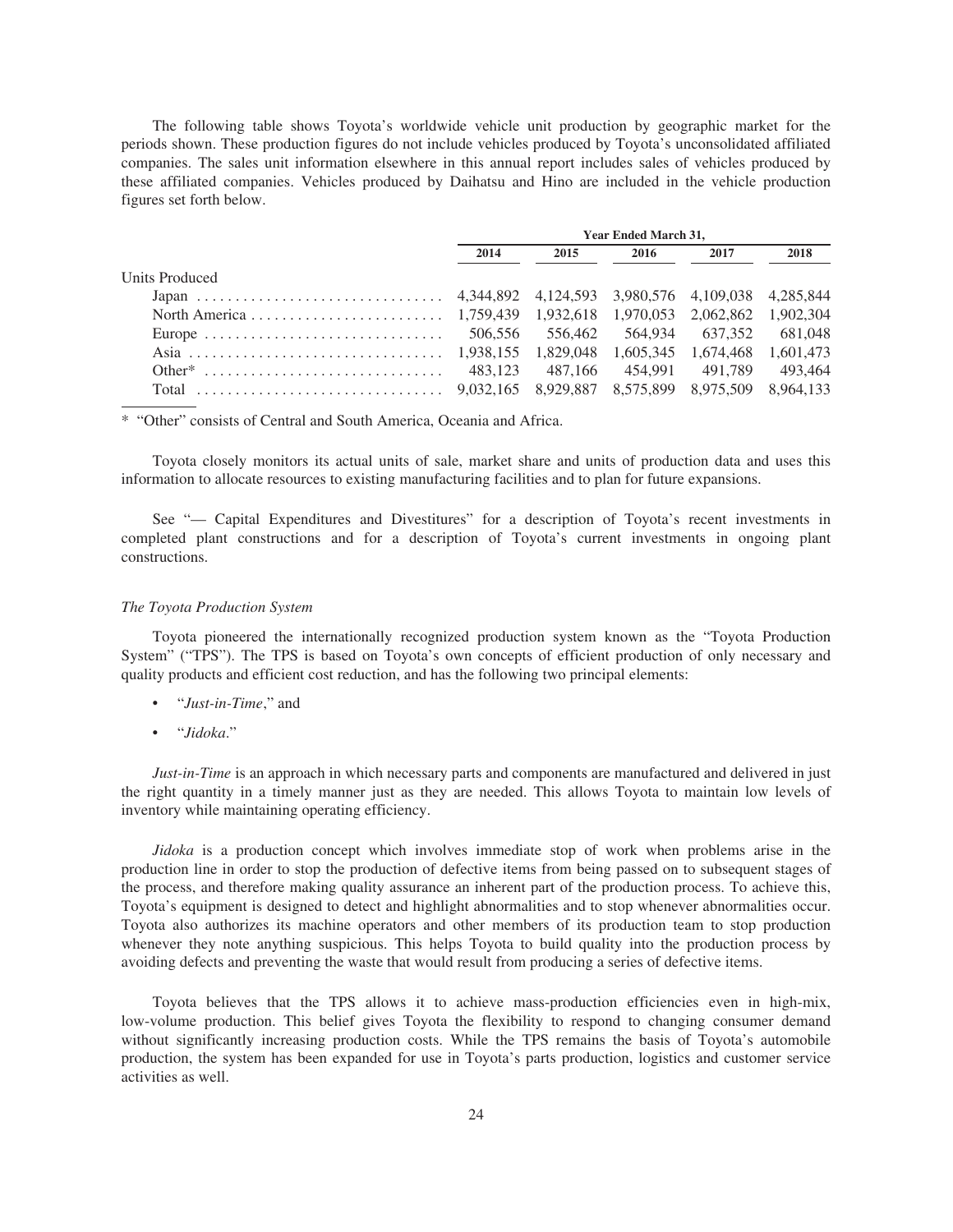The following table shows Toyota's worldwide vehicle unit production by geographic market for the periods shown. These production figures do not include vehicles produced by Toyota's unconsolidated affiliated companies. The sales unit information elsewhere in this annual report includes sales of vehicles produced by these affiliated companies. Vehicles produced by Daihatsu and Hino are included in the vehicle production figures set forth below.

|                | Year Ended March 31, |      |      |      |      |
|----------------|----------------------|------|------|------|------|
|                | 2014                 | 2015 | 2016 | 2017 | 2018 |
| Units Produced |                      |      |      |      |      |
|                |                      |      |      |      |      |
|                |                      |      |      |      |      |
|                |                      |      |      |      |      |
|                |                      |      |      |      |      |
|                |                      |      |      |      |      |
|                |                      |      |      |      |      |

\* "Other" consists of Central and South America, Oceania and Africa.

Toyota closely monitors its actual units of sale, market share and units of production data and uses this information to allocate resources to existing manufacturing facilities and to plan for future expansions.

See "— Capital Expenditures and Divestitures" for a description of Toyota's recent investments in completed plant constructions and for a description of Toyota's current investments in ongoing plant constructions.

#### *The Toyota Production System*

Toyota pioneered the internationally recognized production system known as the "Toyota Production System" ("TPS"). The TPS is based on Toyota's own concepts of efficient production of only necessary and quality products and efficient cost reduction, and has the following two principal elements:

- "*Just-in-Time*," and
- "*Jidoka*."

*Just-in-Time* is an approach in which necessary parts and components are manufactured and delivered in just the right quantity in a timely manner just as they are needed. This allows Toyota to maintain low levels of inventory while maintaining operating efficiency.

*Jidoka* is a production concept which involves immediate stop of work when problems arise in the production line in order to stop the production of defective items from being passed on to subsequent stages of the process, and therefore making quality assurance an inherent part of the production process. To achieve this, Toyota's equipment is designed to detect and highlight abnormalities and to stop whenever abnormalities occur. Toyota also authorizes its machine operators and other members of its production team to stop production whenever they note anything suspicious. This helps Toyota to build quality into the production process by avoiding defects and preventing the waste that would result from producing a series of defective items.

Toyota believes that the TPS allows it to achieve mass-production efficiencies even in high-mix, low-volume production. This belief gives Toyota the flexibility to respond to changing consumer demand without significantly increasing production costs. While the TPS remains the basis of Toyota's automobile production, the system has been expanded for use in Toyota's parts production, logistics and customer service activities as well.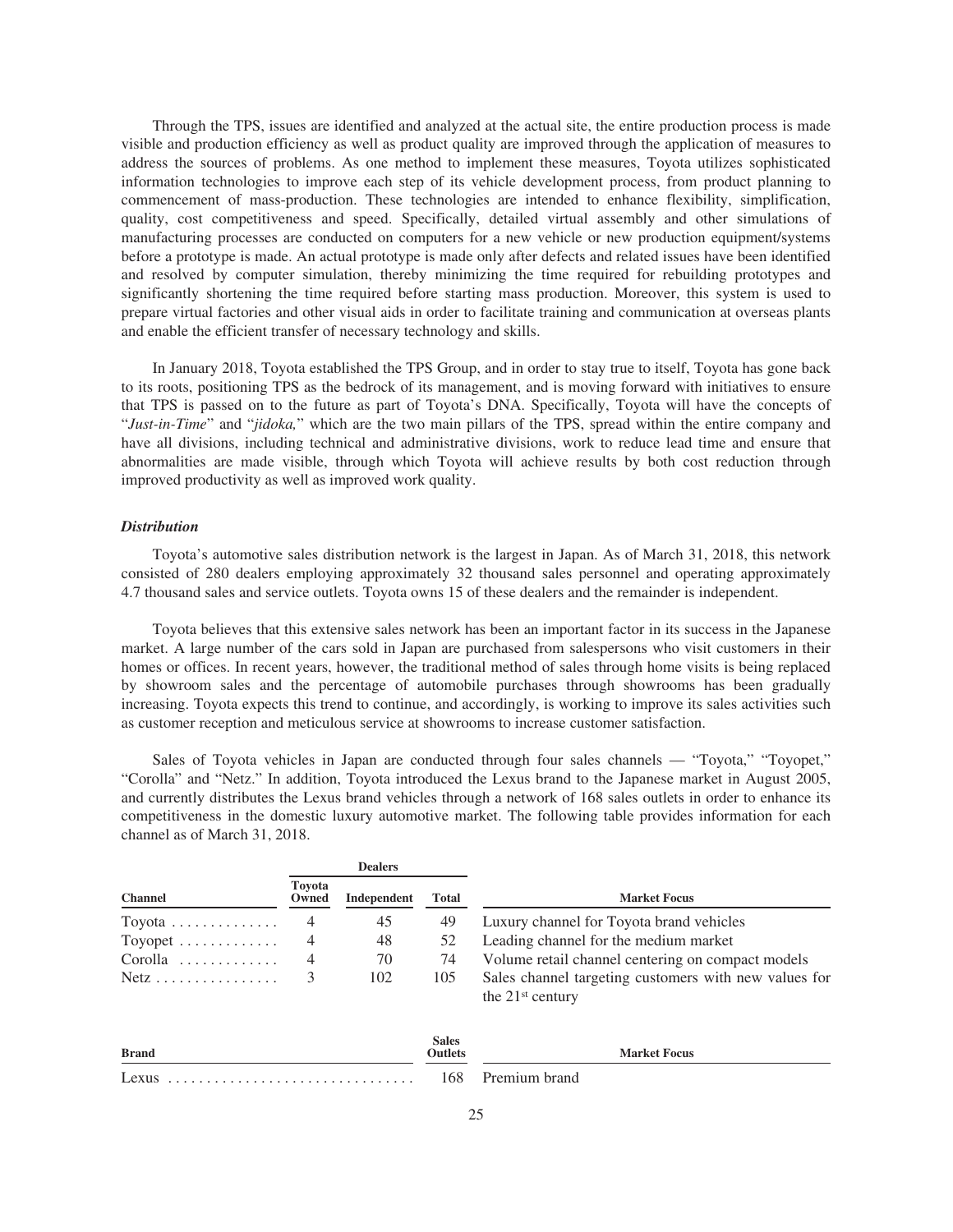Through the TPS, issues are identified and analyzed at the actual site, the entire production process is made visible and production efficiency as well as product quality are improved through the application of measures to address the sources of problems. As one method to implement these measures, Toyota utilizes sophisticated information technologies to improve each step of its vehicle development process, from product planning to commencement of mass-production. These technologies are intended to enhance flexibility, simplification, quality, cost competitiveness and speed. Specifically, detailed virtual assembly and other simulations of manufacturing processes are conducted on computers for a new vehicle or new production equipment/systems before a prototype is made. An actual prototype is made only after defects and related issues have been identified and resolved by computer simulation, thereby minimizing the time required for rebuilding prototypes and significantly shortening the time required before starting mass production. Moreover, this system is used to prepare virtual factories and other visual aids in order to facilitate training and communication at overseas plants and enable the efficient transfer of necessary technology and skills.

In January 2018, Toyota established the TPS Group, and in order to stay true to itself, Toyota has gone back to its roots, positioning TPS as the bedrock of its management, and is moving forward with initiatives to ensure that TPS is passed on to the future as part of Toyota's DNA. Specifically, Toyota will have the concepts of "*Just-in-Time*" and "*jidoka,*" which are the two main pillars of the TPS, spread within the entire company and have all divisions, including technical and administrative divisions, work to reduce lead time and ensure that abnormalities are made visible, through which Toyota will achieve results by both cost reduction through improved productivity as well as improved work quality.

#### *Distribution*

Toyota's automotive sales distribution network is the largest in Japan. As of March 31, 2018, this network consisted of 280 dealers employing approximately 32 thousand sales personnel and operating approximately 4.7 thousand sales and service outlets. Toyota owns 15 of these dealers and the remainder is independent.

Toyota believes that this extensive sales network has been an important factor in its success in the Japanese market. A large number of the cars sold in Japan are purchased from salespersons who visit customers in their homes or offices. In recent years, however, the traditional method of sales through home visits is being replaced by showroom sales and the percentage of automobile purchases through showrooms has been gradually increasing. Toyota expects this trend to continue, and accordingly, is working to improve its sales activities such as customer reception and meticulous service at showrooms to increase customer satisfaction.

Sales of Toyota vehicles in Japan are conducted through four sales channels — "Toyota," "Toyopet," "Corolla" and "Netz." In addition, Toyota introduced the Lexus brand to the Japanese market in August 2005, and currently distributes the Lexus brand vehicles through a network of 168 sales outlets in order to enhance its competitiveness in the domestic luxury automotive market. The following table provides information for each channel as of March 31, 2018.

|                                    | <b>Dealers</b>  |             |              |                                                                             |
|------------------------------------|-----------------|-------------|--------------|-----------------------------------------------------------------------------|
| <b>Channel</b>                     | Tovota<br>Owned | Independent | <b>Total</b> | <b>Market Focus</b>                                                         |
| Toyota $\dots\dots\dots\dots\dots$ |                 | 45          | 49           | Luxury channel for Toyota brand vehicles                                    |
| Toyopet $\dots\dots\dots\dots$     |                 | 48          | 52           | Leading channel for the medium market                                       |
| $Corolla$                          |                 | 70          | 74           | Volume retail channel centering on compact models                           |
|                                    |                 | 102         | 105          | Sales channel targeting customers with new values for<br>the $21st$ century |

| <b>Brand</b> | <b>Sales</b><br><b>Outlets</b> | <b>Market Focus</b> |
|--------------|--------------------------------|---------------------|
| Lexus        | 168                            | Premium brand       |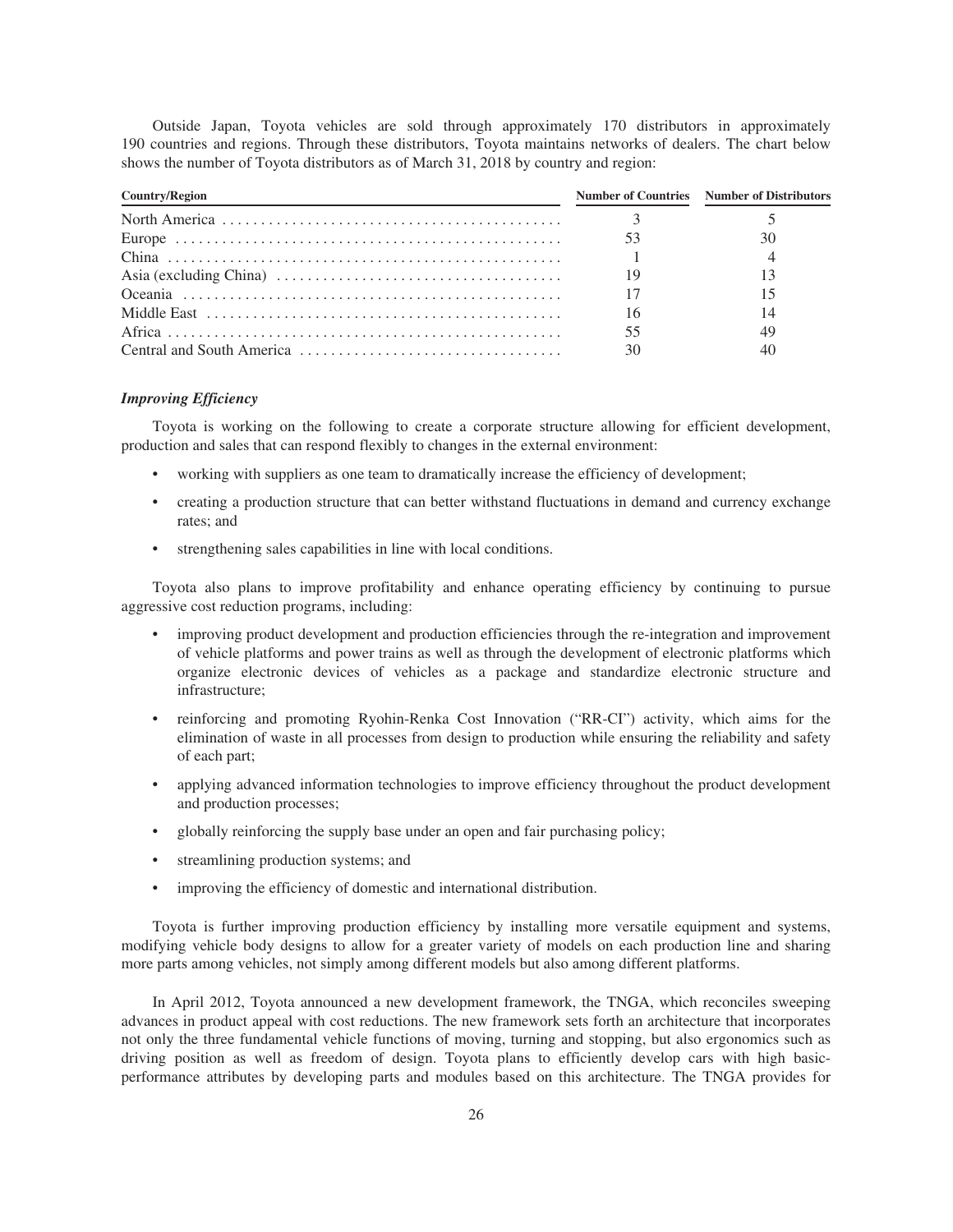Outside Japan, Toyota vehicles are sold through approximately 170 distributors in approximately 190 countries and regions. Through these distributors, Toyota maintains networks of dealers. The chart below shows the number of Toyota distributors as of March 31, 2018 by country and region:

| <b>Country/Region</b> |    | <b>Number of Countries</b> Number of Distributors |
|-----------------------|----|---------------------------------------------------|
|                       |    |                                                   |
|                       |    | 30                                                |
|                       |    |                                                   |
|                       |    |                                                   |
|                       |    |                                                   |
|                       | 16 | 14                                                |
|                       | 55 | 49                                                |
|                       | 30 | 40                                                |

#### *Improving Efficiency*

Toyota is working on the following to create a corporate structure allowing for efficient development, production and sales that can respond flexibly to changes in the external environment:

- working with suppliers as one team to dramatically increase the efficiency of development;
- creating a production structure that can better withstand fluctuations in demand and currency exchange rates; and
- strengthening sales capabilities in line with local conditions.

Toyota also plans to improve profitability and enhance operating efficiency by continuing to pursue aggressive cost reduction programs, including:

- improving product development and production efficiencies through the re-integration and improvement of vehicle platforms and power trains as well as through the development of electronic platforms which organize electronic devices of vehicles as a package and standardize electronic structure and infrastructure;
- reinforcing and promoting Ryohin-Renka Cost Innovation ("RR-CI") activity, which aims for the elimination of waste in all processes from design to production while ensuring the reliability and safety of each part;
- applying advanced information technologies to improve efficiency throughout the product development and production processes;
- globally reinforcing the supply base under an open and fair purchasing policy;
- streamlining production systems; and
- improving the efficiency of domestic and international distribution.

Toyota is further improving production efficiency by installing more versatile equipment and systems, modifying vehicle body designs to allow for a greater variety of models on each production line and sharing more parts among vehicles, not simply among different models but also among different platforms.

In April 2012, Toyota announced a new development framework, the TNGA, which reconciles sweeping advances in product appeal with cost reductions. The new framework sets forth an architecture that incorporates not only the three fundamental vehicle functions of moving, turning and stopping, but also ergonomics such as driving position as well as freedom of design. Toyota plans to efficiently develop cars with high basicperformance attributes by developing parts and modules based on this architecture. The TNGA provides for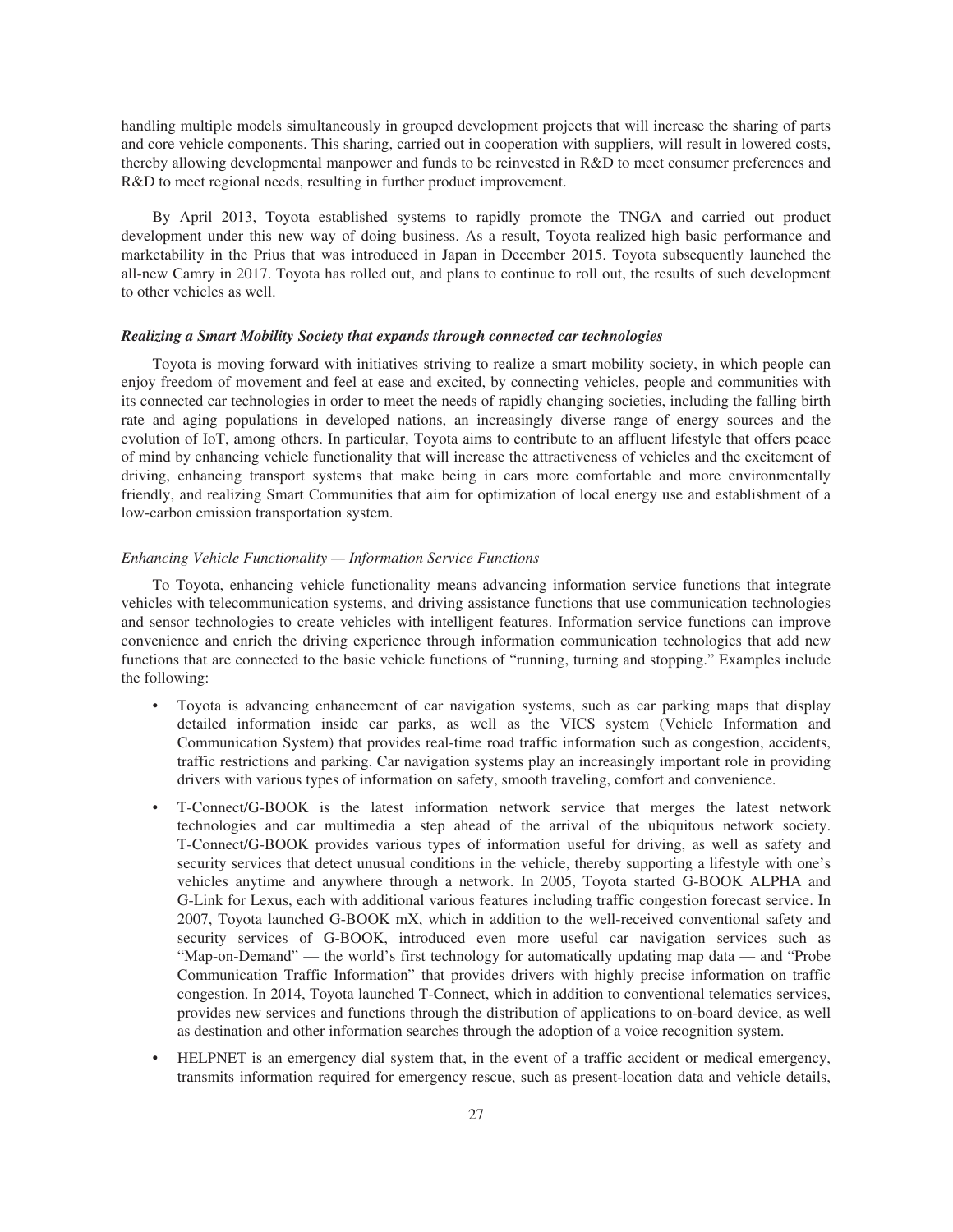handling multiple models simultaneously in grouped development projects that will increase the sharing of parts and core vehicle components. This sharing, carried out in cooperation with suppliers, will result in lowered costs, thereby allowing developmental manpower and funds to be reinvested in R&D to meet consumer preferences and R&D to meet regional needs, resulting in further product improvement.

By April 2013, Toyota established systems to rapidly promote the TNGA and carried out product development under this new way of doing business. As a result, Toyota realized high basic performance and marketability in the Prius that was introduced in Japan in December 2015. Toyota subsequently launched the all-new Camry in 2017. Toyota has rolled out, and plans to continue to roll out, the results of such development to other vehicles as well.

#### *Realizing a Smart Mobility Society that expands through connected car technologies*

Toyota is moving forward with initiatives striving to realize a smart mobility society, in which people can enjoy freedom of movement and feel at ease and excited, by connecting vehicles, people and communities with its connected car technologies in order to meet the needs of rapidly changing societies, including the falling birth rate and aging populations in developed nations, an increasingly diverse range of energy sources and the evolution of IoT, among others. In particular, Toyota aims to contribute to an affluent lifestyle that offers peace of mind by enhancing vehicle functionality that will increase the attractiveness of vehicles and the excitement of driving, enhancing transport systems that make being in cars more comfortable and more environmentally friendly, and realizing Smart Communities that aim for optimization of local energy use and establishment of a low-carbon emission transportation system.

#### *Enhancing Vehicle Functionality — Information Service Functions*

To Toyota, enhancing vehicle functionality means advancing information service functions that integrate vehicles with telecommunication systems, and driving assistance functions that use communication technologies and sensor technologies to create vehicles with intelligent features. Information service functions can improve convenience and enrich the driving experience through information communication technologies that add new functions that are connected to the basic vehicle functions of "running, turning and stopping." Examples include the following:

- Toyota is advancing enhancement of car navigation systems, such as car parking maps that display detailed information inside car parks, as well as the VICS system (Vehicle Information and Communication System) that provides real-time road traffic information such as congestion, accidents, traffic restrictions and parking. Car navigation systems play an increasingly important role in providing drivers with various types of information on safety, smooth traveling, comfort and convenience.
- T-Connect/G-BOOK is the latest information network service that merges the latest network technologies and car multimedia a step ahead of the arrival of the ubiquitous network society. T-Connect/G-BOOK provides various types of information useful for driving, as well as safety and security services that detect unusual conditions in the vehicle, thereby supporting a lifestyle with one's vehicles anytime and anywhere through a network. In 2005, Toyota started G-BOOK ALPHA and G-Link for Lexus, each with additional various features including traffic congestion forecast service. In 2007, Toyota launched G-BOOK mX, which in addition to the well-received conventional safety and security services of G-BOOK, introduced even more useful car navigation services such as "Map-on-Demand" — the world's first technology for automatically updating map data — and "Probe Communication Traffic Information" that provides drivers with highly precise information on traffic congestion. In 2014, Toyota launched T-Connect, which in addition to conventional telematics services, provides new services and functions through the distribution of applications to on-board device, as well as destination and other information searches through the adoption of a voice recognition system.
- HELPNET is an emergency dial system that, in the event of a traffic accident or medical emergency, transmits information required for emergency rescue, such as present-location data and vehicle details,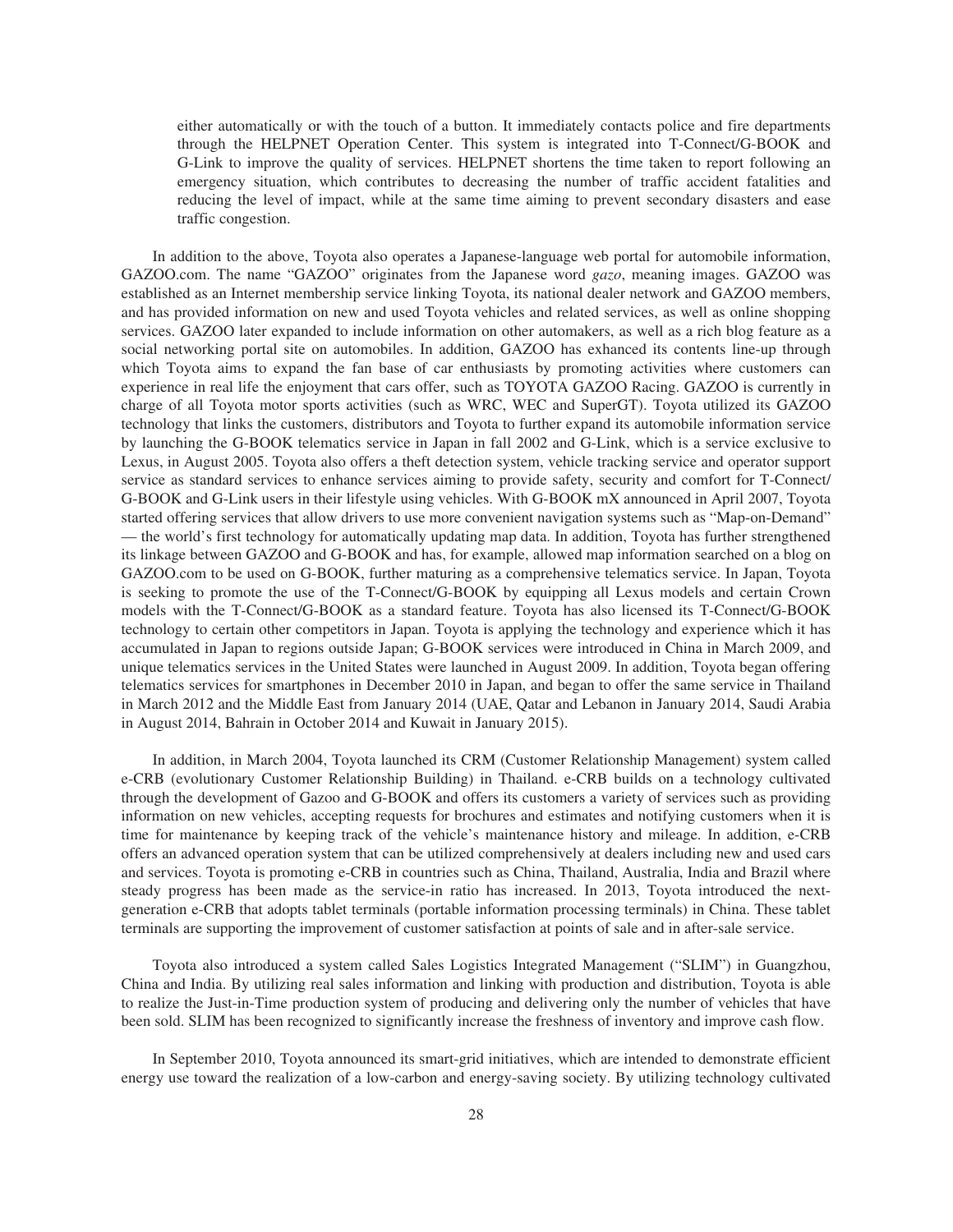either automatically or with the touch of a button. It immediately contacts police and fire departments through the HELPNET Operation Center. This system is integrated into T-Connect/G-BOOK and G-Link to improve the quality of services. HELPNET shortens the time taken to report following an emergency situation, which contributes to decreasing the number of traffic accident fatalities and reducing the level of impact, while at the same time aiming to prevent secondary disasters and ease traffic congestion.

In addition to the above, Toyota also operates a Japanese-language web portal for automobile information, GAZOO.com. The name "GAZOO" originates from the Japanese word *gazo*, meaning images. GAZOO was established as an Internet membership service linking Toyota, its national dealer network and GAZOO members, and has provided information on new and used Toyota vehicles and related services, as well as online shopping services. GAZOO later expanded to include information on other automakers, as well as a rich blog feature as a social networking portal site on automobiles. In addition, GAZOO has exhanced its contents line-up through which Toyota aims to expand the fan base of car enthusiasts by promoting activities where customers can experience in real life the enjoyment that cars offer, such as TOYOTA GAZOO Racing. GAZOO is currently in charge of all Toyota motor sports activities (such as WRC, WEC and SuperGT). Toyota utilized its GAZOO technology that links the customers, distributors and Toyota to further expand its automobile information service by launching the G-BOOK telematics service in Japan in fall 2002 and G-Link, which is a service exclusive to Lexus, in August 2005. Toyota also offers a theft detection system, vehicle tracking service and operator support service as standard services to enhance services aiming to provide safety, security and comfort for T-Connect/ G-BOOK and G-Link users in their lifestyle using vehicles. With G-BOOK mX announced in April 2007, Toyota started offering services that allow drivers to use more convenient navigation systems such as "Map-on-Demand" — the world's first technology for automatically updating map data. In addition, Toyota has further strengthened its linkage between GAZOO and G-BOOK and has, for example, allowed map information searched on a blog on GAZOO.com to be used on G-BOOK, further maturing as a comprehensive telematics service. In Japan, Toyota is seeking to promote the use of the T-Connect/G-BOOK by equipping all Lexus models and certain Crown models with the T-Connect/G-BOOK as a standard feature. Toyota has also licensed its T-Connect/G-BOOK technology to certain other competitors in Japan. Toyota is applying the technology and experience which it has accumulated in Japan to regions outside Japan; G-BOOK services were introduced in China in March 2009, and unique telematics services in the United States were launched in August 2009. In addition, Toyota began offering telematics services for smartphones in December 2010 in Japan, and began to offer the same service in Thailand in March 2012 and the Middle East from January 2014 (UAE, Qatar and Lebanon in January 2014, Saudi Arabia in August 2014, Bahrain in October 2014 and Kuwait in January 2015).

In addition, in March 2004, Toyota launched its CRM (Customer Relationship Management) system called e-CRB (evolutionary Customer Relationship Building) in Thailand. e-CRB builds on a technology cultivated through the development of Gazoo and G-BOOK and offers its customers a variety of services such as providing information on new vehicles, accepting requests for brochures and estimates and notifying customers when it is time for maintenance by keeping track of the vehicle's maintenance history and mileage. In addition, e-CRB offers an advanced operation system that can be utilized comprehensively at dealers including new and used cars and services. Toyota is promoting e-CRB in countries such as China, Thailand, Australia, India and Brazil where steady progress has been made as the service-in ratio has increased. In 2013, Toyota introduced the nextgeneration e-CRB that adopts tablet terminals (portable information processing terminals) in China. These tablet terminals are supporting the improvement of customer satisfaction at points of sale and in after-sale service.

Toyota also introduced a system called Sales Logistics Integrated Management ("SLIM") in Guangzhou, China and India. By utilizing real sales information and linking with production and distribution, Toyota is able to realize the Just-in-Time production system of producing and delivering only the number of vehicles that have been sold. SLIM has been recognized to significantly increase the freshness of inventory and improve cash flow.

In September 2010, Toyota announced its smart-grid initiatives, which are intended to demonstrate efficient energy use toward the realization of a low-carbon and energy-saving society. By utilizing technology cultivated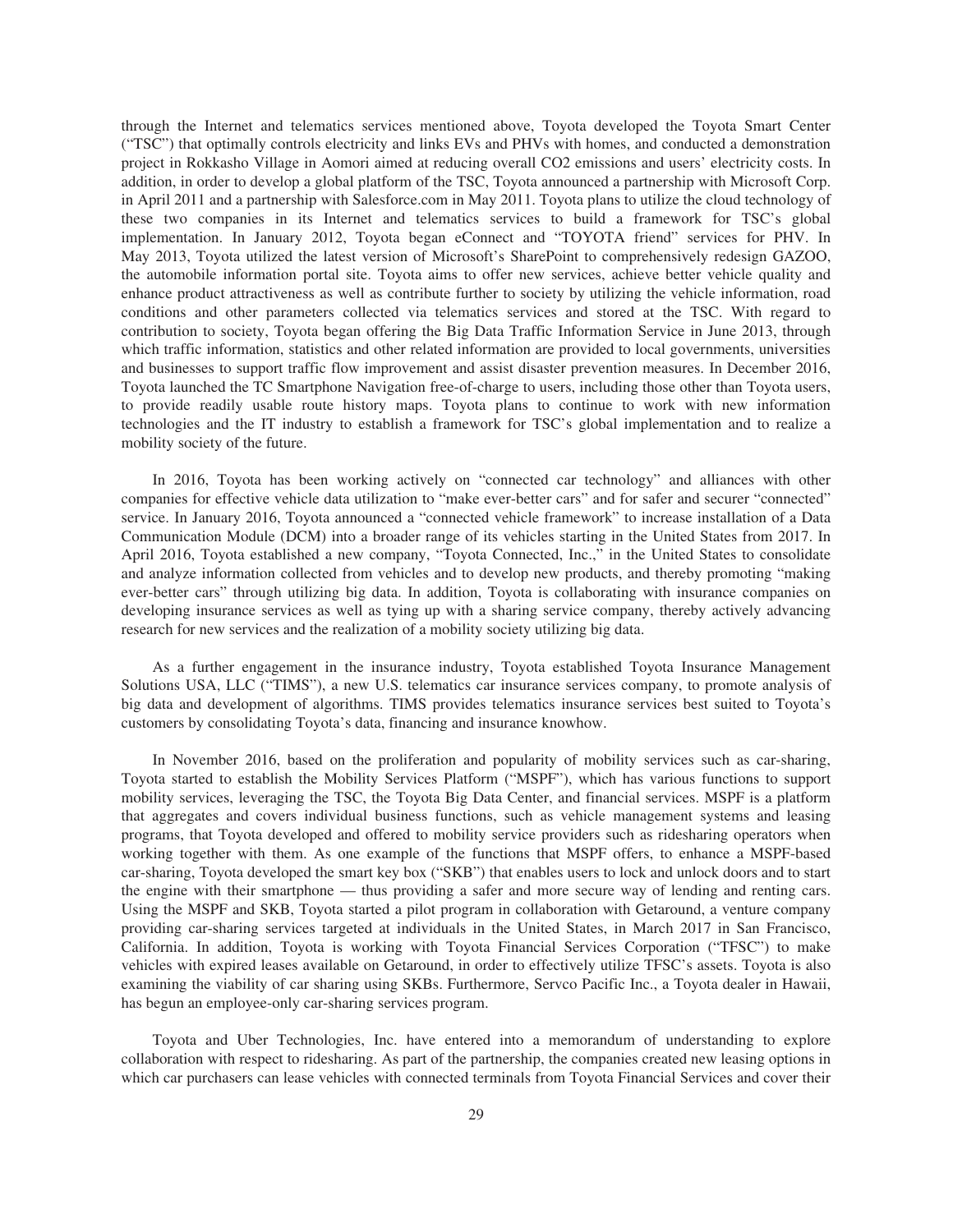through the Internet and telematics services mentioned above, Toyota developed the Toyota Smart Center ("TSC") that optimally controls electricity and links EVs and PHVs with homes, and conducted a demonstration project in Rokkasho Village in Aomori aimed at reducing overall CO2 emissions and users' electricity costs. In addition, in order to develop a global platform of the TSC, Toyota announced a partnership with Microsoft Corp. in April 2011 and a partnership with Salesforce.com in May 2011. Toyota plans to utilize the cloud technology of these two companies in its Internet and telematics services to build a framework for TSC's global implementation. In January 2012, Toyota began eConnect and "TOYOTA friend" services for PHV. In May 2013, Toyota utilized the latest version of Microsoft's SharePoint to comprehensively redesign GAZOO, the automobile information portal site. Toyota aims to offer new services, achieve better vehicle quality and enhance product attractiveness as well as contribute further to society by utilizing the vehicle information, road conditions and other parameters collected via telematics services and stored at the TSC. With regard to contribution to society, Toyota began offering the Big Data Traffic Information Service in June 2013, through which traffic information, statistics and other related information are provided to local governments, universities and businesses to support traffic flow improvement and assist disaster prevention measures. In December 2016, Toyota launched the TC Smartphone Navigation free-of-charge to users, including those other than Toyota users, to provide readily usable route history maps. Toyota plans to continue to work with new information technologies and the IT industry to establish a framework for TSC's global implementation and to realize a mobility society of the future.

In 2016, Toyota has been working actively on "connected car technology" and alliances with other companies for effective vehicle data utilization to "make ever-better cars" and for safer and securer "connected" service. In January 2016, Toyota announced a "connected vehicle framework" to increase installation of a Data Communication Module (DCM) into a broader range of its vehicles starting in the United States from 2017. In April 2016, Toyota established a new company, "Toyota Connected, Inc.," in the United States to consolidate and analyze information collected from vehicles and to develop new products, and thereby promoting "making ever-better cars" through utilizing big data. In addition, Toyota is collaborating with insurance companies on developing insurance services as well as tying up with a sharing service company, thereby actively advancing research for new services and the realization of a mobility society utilizing big data.

As a further engagement in the insurance industry, Toyota established Toyota Insurance Management Solutions USA, LLC ("TIMS"), a new U.S. telematics car insurance services company, to promote analysis of big data and development of algorithms. TIMS provides telematics insurance services best suited to Toyota's customers by consolidating Toyota's data, financing and insurance knowhow.

In November 2016, based on the proliferation and popularity of mobility services such as car-sharing, Toyota started to establish the Mobility Services Platform ("MSPF"), which has various functions to support mobility services, leveraging the TSC, the Toyota Big Data Center, and financial services. MSPF is a platform that aggregates and covers individual business functions, such as vehicle management systems and leasing programs, that Toyota developed and offered to mobility service providers such as ridesharing operators when working together with them. As one example of the functions that MSPF offers, to enhance a MSPF-based car-sharing, Toyota developed the smart key box ("SKB") that enables users to lock and unlock doors and to start the engine with their smartphone — thus providing a safer and more secure way of lending and renting cars. Using the MSPF and SKB, Toyota started a pilot program in collaboration with Getaround, a venture company providing car-sharing services targeted at individuals in the United States, in March 2017 in San Francisco, California. In addition, Toyota is working with Toyota Financial Services Corporation ("TFSC") to make vehicles with expired leases available on Getaround, in order to effectively utilize TFSC's assets. Toyota is also examining the viability of car sharing using SKBs. Furthermore, Servco Pacific Inc., a Toyota dealer in Hawaii, has begun an employee-only car-sharing services program.

Toyota and Uber Technologies, Inc. have entered into a memorandum of understanding to explore collaboration with respect to ridesharing. As part of the partnership, the companies created new leasing options in which car purchasers can lease vehicles with connected terminals from Toyota Financial Services and cover their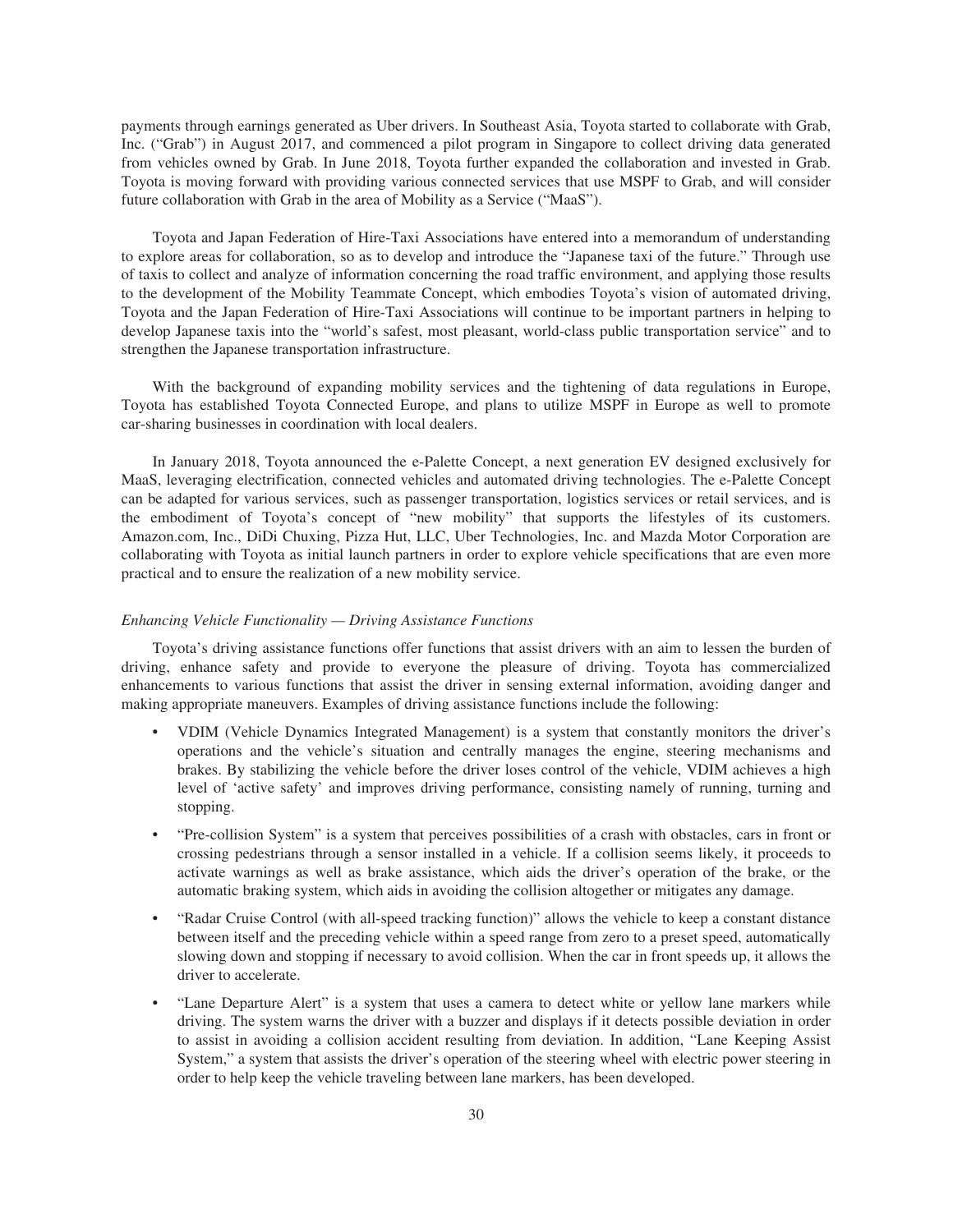payments through earnings generated as Uber drivers. In Southeast Asia, Toyota started to collaborate with Grab, Inc. ("Grab") in August 2017, and commenced a pilot program in Singapore to collect driving data generated from vehicles owned by Grab. In June 2018, Toyota further expanded the collaboration and invested in Grab. Toyota is moving forward with providing various connected services that use MSPF to Grab, and will consider future collaboration with Grab in the area of Mobility as a Service ("MaaS").

Toyota and Japan Federation of Hire-Taxi Associations have entered into a memorandum of understanding to explore areas for collaboration, so as to develop and introduce the "Japanese taxi of the future." Through use of taxis to collect and analyze of information concerning the road traffic environment, and applying those results to the development of the Mobility Teammate Concept, which embodies Toyota's vision of automated driving, Toyota and the Japan Federation of Hire-Taxi Associations will continue to be important partners in helping to develop Japanese taxis into the "world's safest, most pleasant, world-class public transportation service" and to strengthen the Japanese transportation infrastructure.

With the background of expanding mobility services and the tightening of data regulations in Europe, Toyota has established Toyota Connected Europe, and plans to utilize MSPF in Europe as well to promote car-sharing businesses in coordination with local dealers.

In January 2018, Toyota announced the e-Palette Concept, a next generation EV designed exclusively for MaaS, leveraging electrification, connected vehicles and automated driving technologies. The e-Palette Concept can be adapted for various services, such as passenger transportation, logistics services or retail services, and is the embodiment of Toyota's concept of "new mobility" that supports the lifestyles of its customers. Amazon.com, Inc., DiDi Chuxing, Pizza Hut, LLC, Uber Technologies, Inc. and Mazda Motor Corporation are collaborating with Toyota as initial launch partners in order to explore vehicle specifications that are even more practical and to ensure the realization of a new mobility service.

#### *Enhancing Vehicle Functionality — Driving Assistance Functions*

Toyota's driving assistance functions offer functions that assist drivers with an aim to lessen the burden of driving, enhance safety and provide to everyone the pleasure of driving. Toyota has commercialized enhancements to various functions that assist the driver in sensing external information, avoiding danger and making appropriate maneuvers. Examples of driving assistance functions include the following:

- VDIM (Vehicle Dynamics Integrated Management) is a system that constantly monitors the driver's operations and the vehicle's situation and centrally manages the engine, steering mechanisms and brakes. By stabilizing the vehicle before the driver loses control of the vehicle, VDIM achieves a high level of 'active safety' and improves driving performance, consisting namely of running, turning and stopping.
- "Pre-collision System" is a system that perceives possibilities of a crash with obstacles, cars in front or crossing pedestrians through a sensor installed in a vehicle. If a collision seems likely, it proceeds to activate warnings as well as brake assistance, which aids the driver's operation of the brake, or the automatic braking system, which aids in avoiding the collision altogether or mitigates any damage.
- "Radar Cruise Control (with all-speed tracking function)" allows the vehicle to keep a constant distance between itself and the preceding vehicle within a speed range from zero to a preset speed, automatically slowing down and stopping if necessary to avoid collision. When the car in front speeds up, it allows the driver to accelerate.
- "Lane Departure Alert" is a system that uses a camera to detect white or yellow lane markers while driving. The system warns the driver with a buzzer and displays if it detects possible deviation in order to assist in avoiding a collision accident resulting from deviation. In addition, "Lane Keeping Assist System," a system that assists the driver's operation of the steering wheel with electric power steering in order to help keep the vehicle traveling between lane markers, has been developed.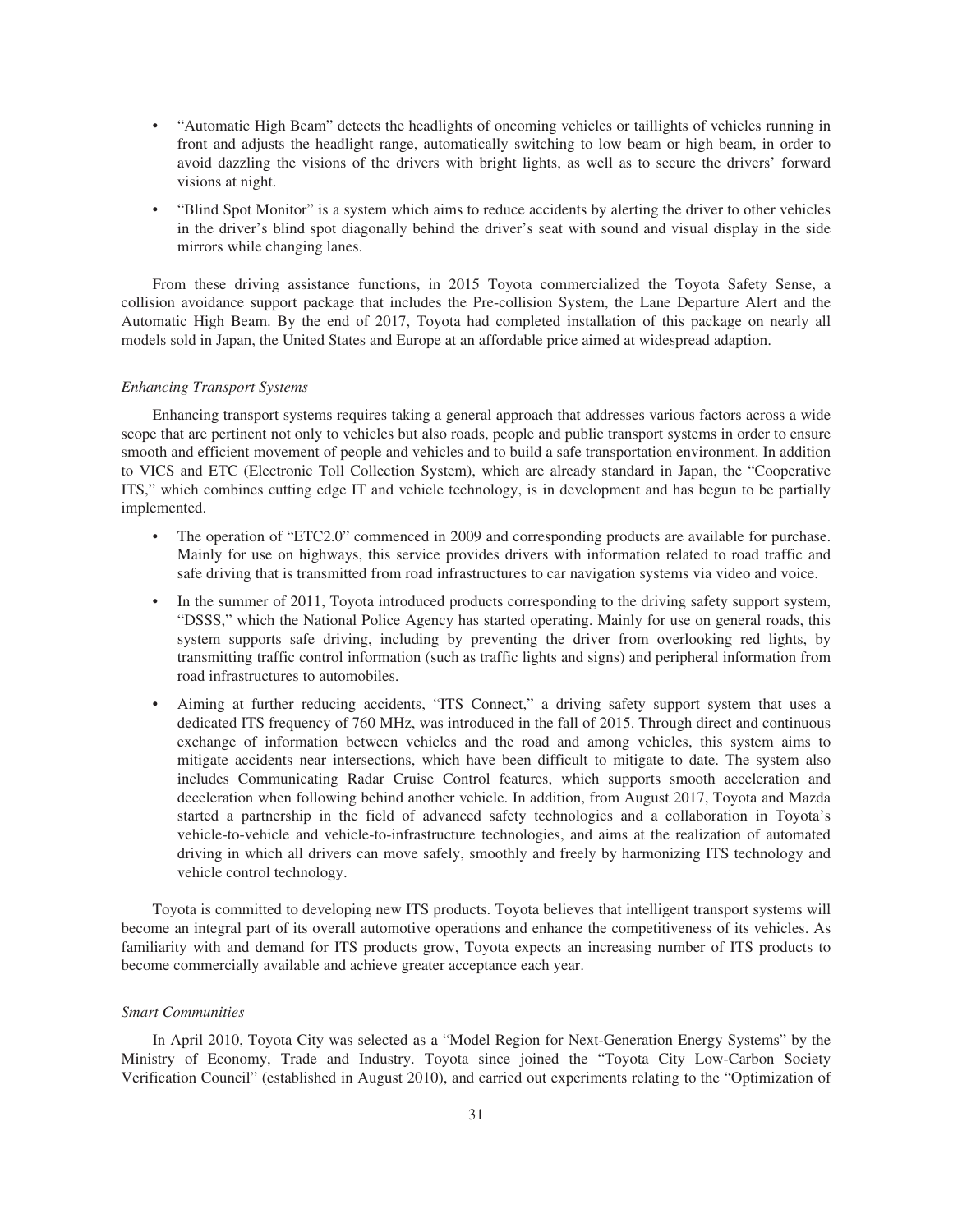- "Automatic High Beam" detects the headlights of oncoming vehicles or taillights of vehicles running in front and adjusts the headlight range, automatically switching to low beam or high beam, in order to avoid dazzling the visions of the drivers with bright lights, as well as to secure the drivers' forward visions at night.
- "Blind Spot Monitor" is a system which aims to reduce accidents by alerting the driver to other vehicles in the driver's blind spot diagonally behind the driver's seat with sound and visual display in the side mirrors while changing lanes.

From these driving assistance functions, in 2015 Toyota commercialized the Toyota Safety Sense, a collision avoidance support package that includes the Pre-collision System, the Lane Departure Alert and the Automatic High Beam. By the end of 2017, Toyota had completed installation of this package on nearly all models sold in Japan, the United States and Europe at an affordable price aimed at widespread adaption.

#### *Enhancing Transport Systems*

Enhancing transport systems requires taking a general approach that addresses various factors across a wide scope that are pertinent not only to vehicles but also roads, people and public transport systems in order to ensure smooth and efficient movement of people and vehicles and to build a safe transportation environment. In addition to VICS and ETC (Electronic Toll Collection System), which are already standard in Japan, the "Cooperative ITS," which combines cutting edge IT and vehicle technology, is in development and has begun to be partially implemented.

- The operation of "ETC2.0" commenced in 2009 and corresponding products are available for purchase. Mainly for use on highways, this service provides drivers with information related to road traffic and safe driving that is transmitted from road infrastructures to car navigation systems via video and voice.
- In the summer of 2011, Toyota introduced products corresponding to the driving safety support system, "DSSS," which the National Police Agency has started operating. Mainly for use on general roads, this system supports safe driving, including by preventing the driver from overlooking red lights, by transmitting traffic control information (such as traffic lights and signs) and peripheral information from road infrastructures to automobiles.
- Aiming at further reducing accidents, "ITS Connect," a driving safety support system that uses a dedicated ITS frequency of 760 MHz, was introduced in the fall of 2015. Through direct and continuous exchange of information between vehicles and the road and among vehicles, this system aims to mitigate accidents near intersections, which have been difficult to mitigate to date. The system also includes Communicating Radar Cruise Control features, which supports smooth acceleration and deceleration when following behind another vehicle. In addition, from August 2017, Toyota and Mazda started a partnership in the field of advanced safety technologies and a collaboration in Toyota's vehicle-to-vehicle and vehicle-to-infrastructure technologies, and aims at the realization of automated driving in which all drivers can move safely, smoothly and freely by harmonizing ITS technology and vehicle control technology.

Toyota is committed to developing new ITS products. Toyota believes that intelligent transport systems will become an integral part of its overall automotive operations and enhance the competitiveness of its vehicles. As familiarity with and demand for ITS products grow, Toyota expects an increasing number of ITS products to become commercially available and achieve greater acceptance each year.

#### *Smart Communities*

In April 2010, Toyota City was selected as a "Model Region for Next-Generation Energy Systems" by the Ministry of Economy, Trade and Industry. Toyota since joined the "Toyota City Low-Carbon Society Verification Council" (established in August 2010), and carried out experiments relating to the "Optimization of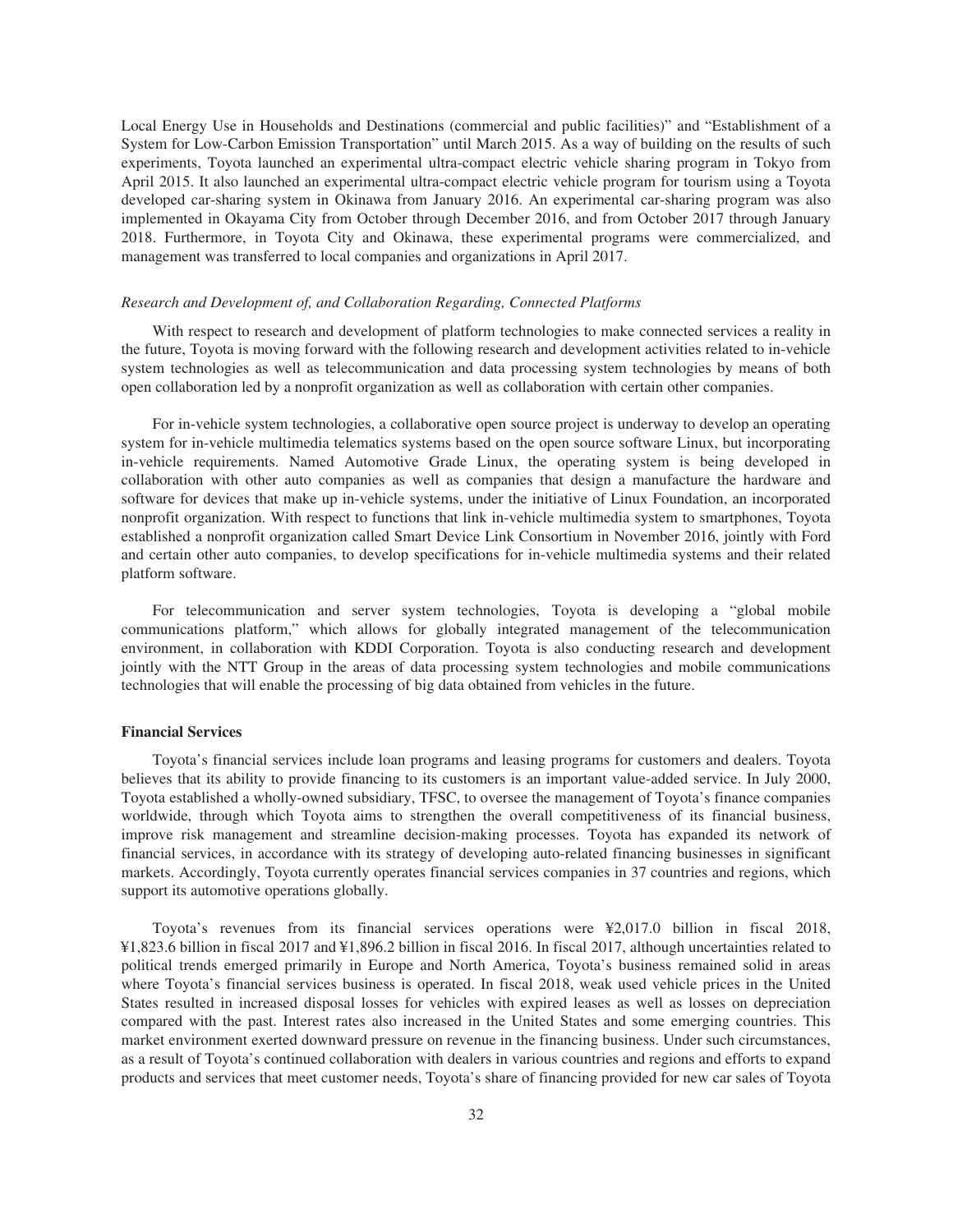Local Energy Use in Households and Destinations (commercial and public facilities)" and "Establishment of a System for Low-Carbon Emission Transportation" until March 2015. As a way of building on the results of such experiments, Toyota launched an experimental ultra-compact electric vehicle sharing program in Tokyo from April 2015. It also launched an experimental ultra-compact electric vehicle program for tourism using a Toyota developed car-sharing system in Okinawa from January 2016. An experimental car-sharing program was also implemented in Okayama City from October through December 2016, and from October 2017 through January 2018. Furthermore, in Toyota City and Okinawa, these experimental programs were commercialized, and management was transferred to local companies and organizations in April 2017.

#### *Research and Development of, and Collaboration Regarding, Connected Platforms*

With respect to research and development of platform technologies to make connected services a reality in the future, Toyota is moving forward with the following research and development activities related to in-vehicle system technologies as well as telecommunication and data processing system technologies by means of both open collaboration led by a nonprofit organization as well as collaboration with certain other companies.

For in-vehicle system technologies, a collaborative open source project is underway to develop an operating system for in-vehicle multimedia telematics systems based on the open source software Linux, but incorporating in-vehicle requirements. Named Automotive Grade Linux, the operating system is being developed in collaboration with other auto companies as well as companies that design a manufacture the hardware and software for devices that make up in-vehicle systems, under the initiative of Linux Foundation, an incorporated nonprofit organization. With respect to functions that link in-vehicle multimedia system to smartphones, Toyota established a nonprofit organization called Smart Device Link Consortium in November 2016, jointly with Ford and certain other auto companies, to develop specifications for in-vehicle multimedia systems and their related platform software.

For telecommunication and server system technologies, Toyota is developing a "global mobile communications platform," which allows for globally integrated management of the telecommunication environment, in collaboration with KDDI Corporation. Toyota is also conducting research and development jointly with the NTT Group in the areas of data processing system technologies and mobile communications technologies that will enable the processing of big data obtained from vehicles in the future.

## **Financial Services**

Toyota's financial services include loan programs and leasing programs for customers and dealers. Toyota believes that its ability to provide financing to its customers is an important value-added service. In July 2000, Toyota established a wholly-owned subsidiary, TFSC, to oversee the management of Toyota's finance companies worldwide, through which Toyota aims to strengthen the overall competitiveness of its financial business, improve risk management and streamline decision-making processes. Toyota has expanded its network of financial services, in accordance with its strategy of developing auto-related financing businesses in significant markets. Accordingly, Toyota currently operates financial services companies in 37 countries and regions, which support its automotive operations globally.

Toyota's revenues from its financial services operations were ¥2,017.0 billion in fiscal 2018, ¥1,823.6 billion in fiscal 2017 and ¥1,896.2 billion in fiscal 2016. In fiscal 2017, although uncertainties related to political trends emerged primarily in Europe and North America, Toyota's business remained solid in areas where Toyota's financial services business is operated. In fiscal 2018, weak used vehicle prices in the United States resulted in increased disposal losses for vehicles with expired leases as well as losses on depreciation compared with the past. Interest rates also increased in the United States and some emerging countries. This market environment exerted downward pressure on revenue in the financing business. Under such circumstances, as a result of Toyota's continued collaboration with dealers in various countries and regions and efforts to expand products and services that meet customer needs, Toyota's share of financing provided for new car sales of Toyota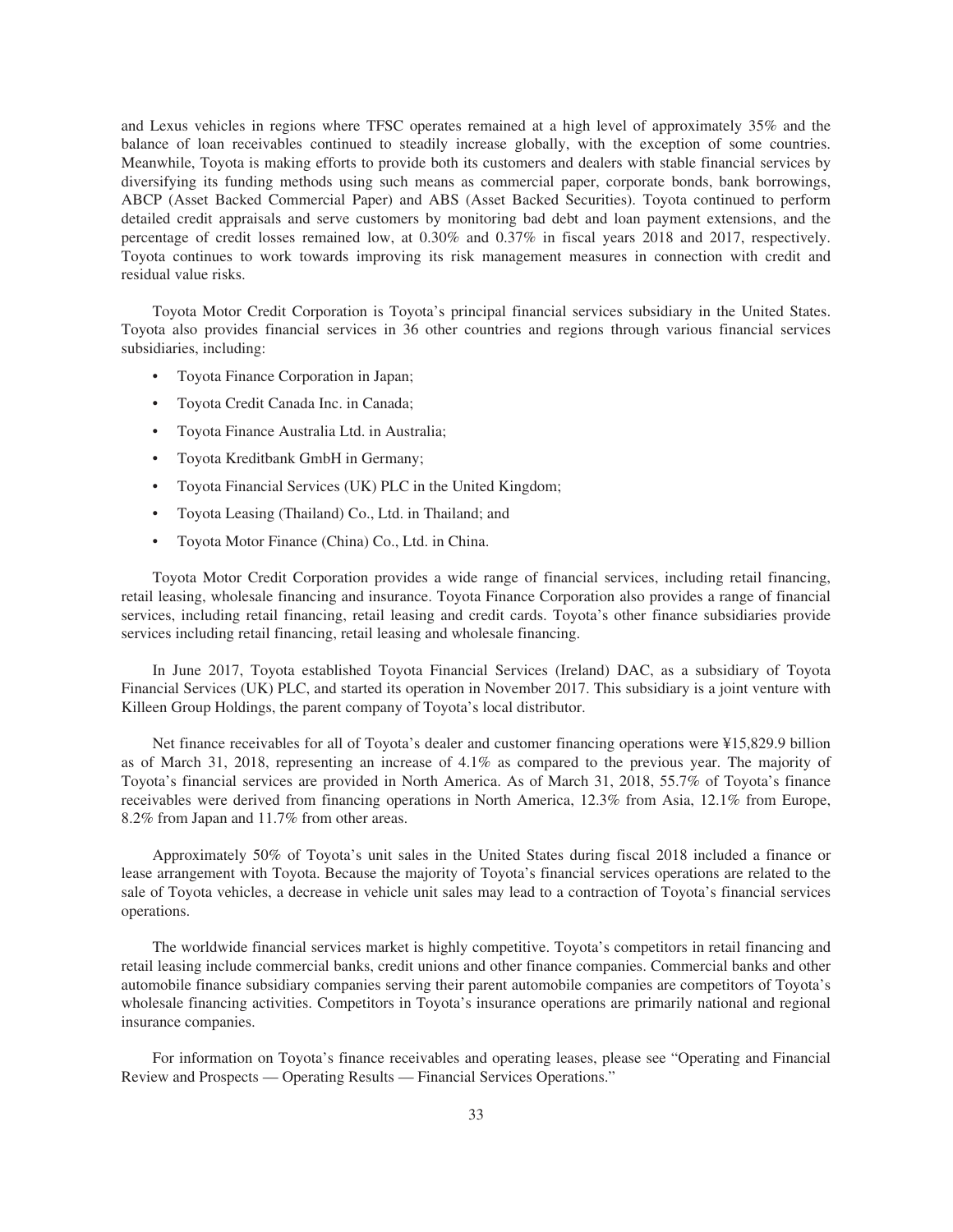and Lexus vehicles in regions where TFSC operates remained at a high level of approximately 35% and the balance of loan receivables continued to steadily increase globally, with the exception of some countries. Meanwhile, Toyota is making efforts to provide both its customers and dealers with stable financial services by diversifying its funding methods using such means as commercial paper, corporate bonds, bank borrowings, ABCP (Asset Backed Commercial Paper) and ABS (Asset Backed Securities). Toyota continued to perform detailed credit appraisals and serve customers by monitoring bad debt and loan payment extensions, and the percentage of credit losses remained low, at 0.30% and 0.37% in fiscal years 2018 and 2017, respectively. Toyota continues to work towards improving its risk management measures in connection with credit and residual value risks.

Toyota Motor Credit Corporation is Toyota's principal financial services subsidiary in the United States. Toyota also provides financial services in 36 other countries and regions through various financial services subsidiaries, including:

- Toyota Finance Corporation in Japan;
- Toyota Credit Canada Inc. in Canada;
- Toyota Finance Australia Ltd. in Australia;
- Toyota Kreditbank GmbH in Germany;
- Toyota Financial Services (UK) PLC in the United Kingdom;
- Toyota Leasing (Thailand) Co., Ltd. in Thailand; and
- Toyota Motor Finance (China) Co., Ltd. in China.

Toyota Motor Credit Corporation provides a wide range of financial services, including retail financing, retail leasing, wholesale financing and insurance. Toyota Finance Corporation also provides a range of financial services, including retail financing, retail leasing and credit cards. Toyota's other finance subsidiaries provide services including retail financing, retail leasing and wholesale financing.

In June 2017, Toyota established Toyota Financial Services (Ireland) DAC, as a subsidiary of Toyota Financial Services (UK) PLC, and started its operation in November 2017. This subsidiary is a joint venture with Killeen Group Holdings, the parent company of Toyota's local distributor.

Net finance receivables for all of Toyota's dealer and customer financing operations were ¥15,829.9 billion as of March 31, 2018, representing an increase of 4.1% as compared to the previous year. The majority of Toyota's financial services are provided in North America. As of March 31, 2018, 55.7% of Toyota's finance receivables were derived from financing operations in North America, 12.3% from Asia, 12.1% from Europe, 8.2% from Japan and 11.7% from other areas.

Approximately 50% of Toyota's unit sales in the United States during fiscal 2018 included a finance or lease arrangement with Toyota. Because the majority of Toyota's financial services operations are related to the sale of Toyota vehicles, a decrease in vehicle unit sales may lead to a contraction of Toyota's financial services operations.

The worldwide financial services market is highly competitive. Toyota's competitors in retail financing and retail leasing include commercial banks, credit unions and other finance companies. Commercial banks and other automobile finance subsidiary companies serving their parent automobile companies are competitors of Toyota's wholesale financing activities. Competitors in Toyota's insurance operations are primarily national and regional insurance companies.

For information on Toyota's finance receivables and operating leases, please see "Operating and Financial Review and Prospects — Operating Results — Financial Services Operations."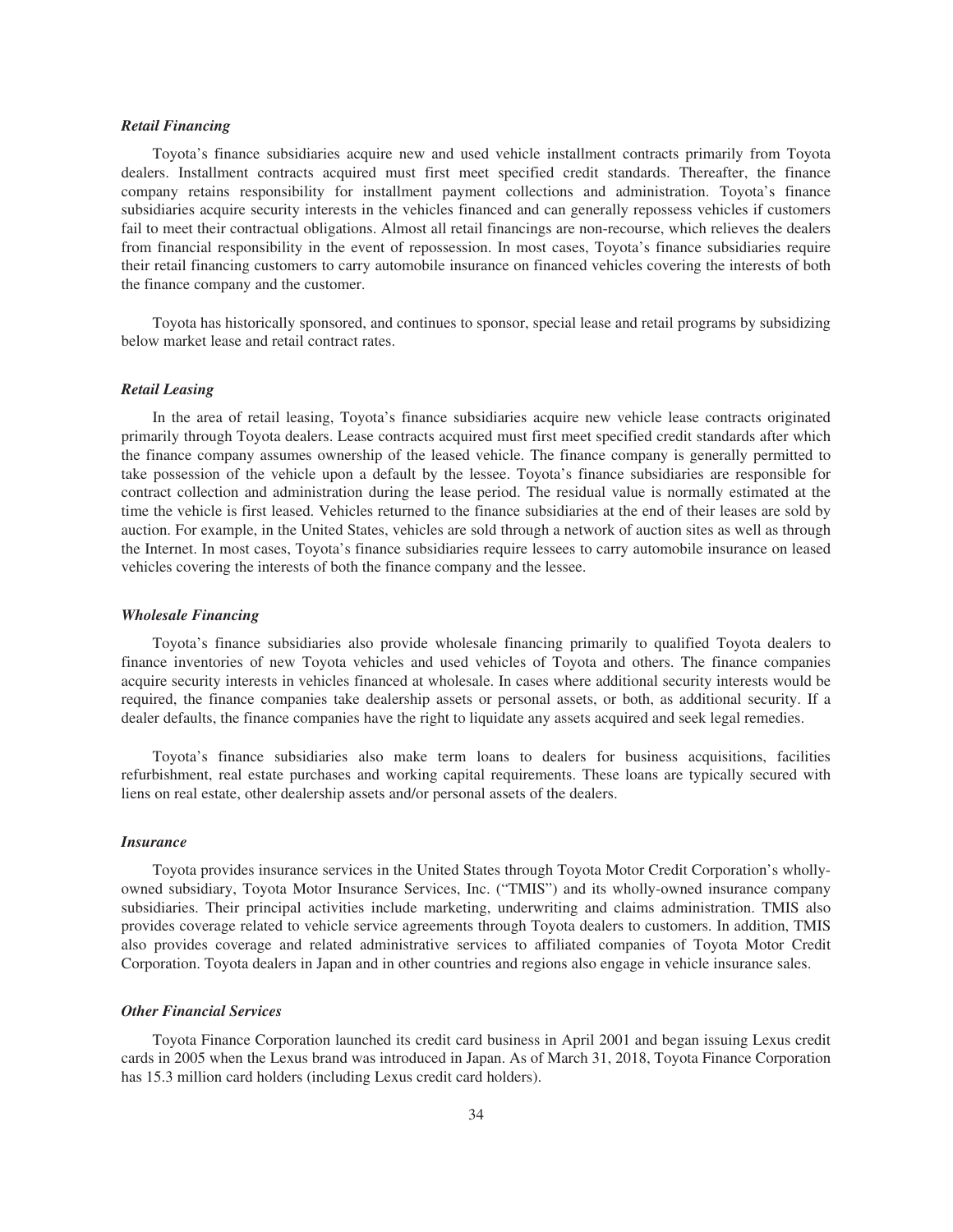# *Retail Financing*

Toyota's finance subsidiaries acquire new and used vehicle installment contracts primarily from Toyota dealers. Installment contracts acquired must first meet specified credit standards. Thereafter, the finance company retains responsibility for installment payment collections and administration. Toyota's finance subsidiaries acquire security interests in the vehicles financed and can generally repossess vehicles if customers fail to meet their contractual obligations. Almost all retail financings are non-recourse, which relieves the dealers from financial responsibility in the event of repossession. In most cases, Toyota's finance subsidiaries require their retail financing customers to carry automobile insurance on financed vehicles covering the interests of both the finance company and the customer.

Toyota has historically sponsored, and continues to sponsor, special lease and retail programs by subsidizing below market lease and retail contract rates.

#### *Retail Leasing*

In the area of retail leasing, Toyota's finance subsidiaries acquire new vehicle lease contracts originated primarily through Toyota dealers. Lease contracts acquired must first meet specified credit standards after which the finance company assumes ownership of the leased vehicle. The finance company is generally permitted to take possession of the vehicle upon a default by the lessee. Toyota's finance subsidiaries are responsible for contract collection and administration during the lease period. The residual value is normally estimated at the time the vehicle is first leased. Vehicles returned to the finance subsidiaries at the end of their leases are sold by auction. For example, in the United States, vehicles are sold through a network of auction sites as well as through the Internet. In most cases, Toyota's finance subsidiaries require lessees to carry automobile insurance on leased vehicles covering the interests of both the finance company and the lessee.

## *Wholesale Financing*

Toyota's finance subsidiaries also provide wholesale financing primarily to qualified Toyota dealers to finance inventories of new Toyota vehicles and used vehicles of Toyota and others. The finance companies acquire security interests in vehicles financed at wholesale. In cases where additional security interests would be required, the finance companies take dealership assets or personal assets, or both, as additional security. If a dealer defaults, the finance companies have the right to liquidate any assets acquired and seek legal remedies.

Toyota's finance subsidiaries also make term loans to dealers for business acquisitions, facilities refurbishment, real estate purchases and working capital requirements. These loans are typically secured with liens on real estate, other dealership assets and/or personal assets of the dealers.

#### *Insurance*

Toyota provides insurance services in the United States through Toyota Motor Credit Corporation's whollyowned subsidiary, Toyota Motor Insurance Services, Inc. ("TMIS") and its wholly-owned insurance company subsidiaries. Their principal activities include marketing, underwriting and claims administration. TMIS also provides coverage related to vehicle service agreements through Toyota dealers to customers. In addition, TMIS also provides coverage and related administrative services to affiliated companies of Toyota Motor Credit Corporation. Toyota dealers in Japan and in other countries and regions also engage in vehicle insurance sales.

### *Other Financial Services*

Toyota Finance Corporation launched its credit card business in April 2001 and began issuing Lexus credit cards in 2005 when the Lexus brand was introduced in Japan. As of March 31, 2018, Toyota Finance Corporation has 15.3 million card holders (including Lexus credit card holders).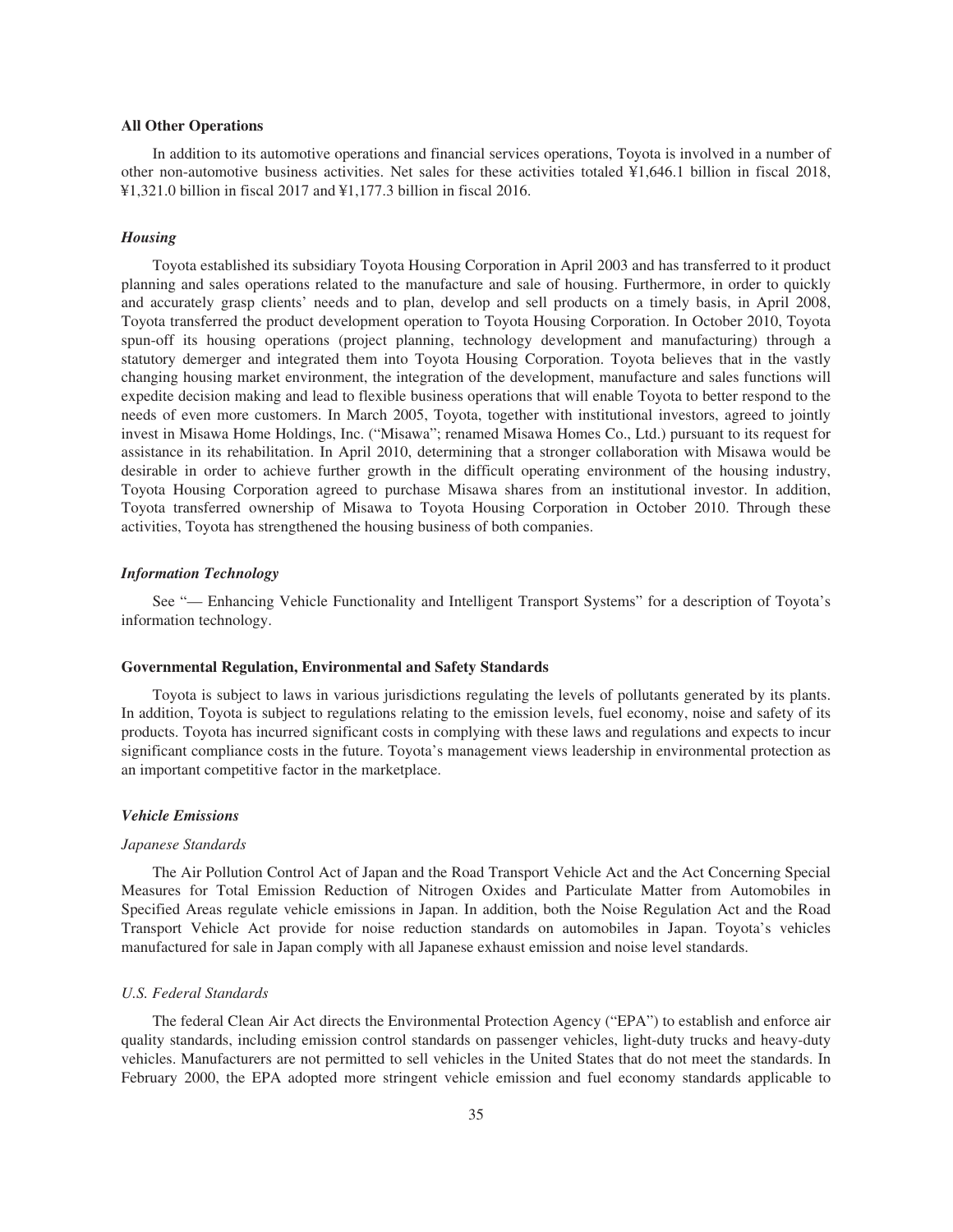# **All Other Operations**

In addition to its automotive operations and financial services operations, Toyota is involved in a number of other non-automotive business activities. Net sales for these activities totaled ¥1,646.1 billion in fiscal 2018, ¥1,321.0 billion in fiscal 2017 and ¥1,177.3 billion in fiscal 2016.

# *Housing*

Toyota established its subsidiary Toyota Housing Corporation in April 2003 and has transferred to it product planning and sales operations related to the manufacture and sale of housing. Furthermore, in order to quickly and accurately grasp clients' needs and to plan, develop and sell products on a timely basis, in April 2008, Toyota transferred the product development operation to Toyota Housing Corporation. In October 2010, Toyota spun-off its housing operations (project planning, technology development and manufacturing) through a statutory demerger and integrated them into Toyota Housing Corporation. Toyota believes that in the vastly changing housing market environment, the integration of the development, manufacture and sales functions will expedite decision making and lead to flexible business operations that will enable Toyota to better respond to the needs of even more customers. In March 2005, Toyota, together with institutional investors, agreed to jointly invest in Misawa Home Holdings, Inc. ("Misawa"; renamed Misawa Homes Co., Ltd.) pursuant to its request for assistance in its rehabilitation. In April 2010, determining that a stronger collaboration with Misawa would be desirable in order to achieve further growth in the difficult operating environment of the housing industry, Toyota Housing Corporation agreed to purchase Misawa shares from an institutional investor. In addition, Toyota transferred ownership of Misawa to Toyota Housing Corporation in October 2010. Through these activities, Toyota has strengthened the housing business of both companies.

# *Information Technology*

See "— Enhancing Vehicle Functionality and Intelligent Transport Systems" for a description of Toyota's information technology.

### **Governmental Regulation, Environmental and Safety Standards**

Toyota is subject to laws in various jurisdictions regulating the levels of pollutants generated by its plants. In addition, Toyota is subject to regulations relating to the emission levels, fuel economy, noise and safety of its products. Toyota has incurred significant costs in complying with these laws and regulations and expects to incur significant compliance costs in the future. Toyota's management views leadership in environmental protection as an important competitive factor in the marketplace.

#### *Vehicle Emissions*

#### *Japanese Standards*

The Air Pollution Control Act of Japan and the Road Transport Vehicle Act and the Act Concerning Special Measures for Total Emission Reduction of Nitrogen Oxides and Particulate Matter from Automobiles in Specified Areas regulate vehicle emissions in Japan. In addition, both the Noise Regulation Act and the Road Transport Vehicle Act provide for noise reduction standards on automobiles in Japan. Toyota's vehicles manufactured for sale in Japan comply with all Japanese exhaust emission and noise level standards.

# *U.S. Federal Standards*

The federal Clean Air Act directs the Environmental Protection Agency ("EPA") to establish and enforce air quality standards, including emission control standards on passenger vehicles, light-duty trucks and heavy-duty vehicles. Manufacturers are not permitted to sell vehicles in the United States that do not meet the standards. In February 2000, the EPA adopted more stringent vehicle emission and fuel economy standards applicable to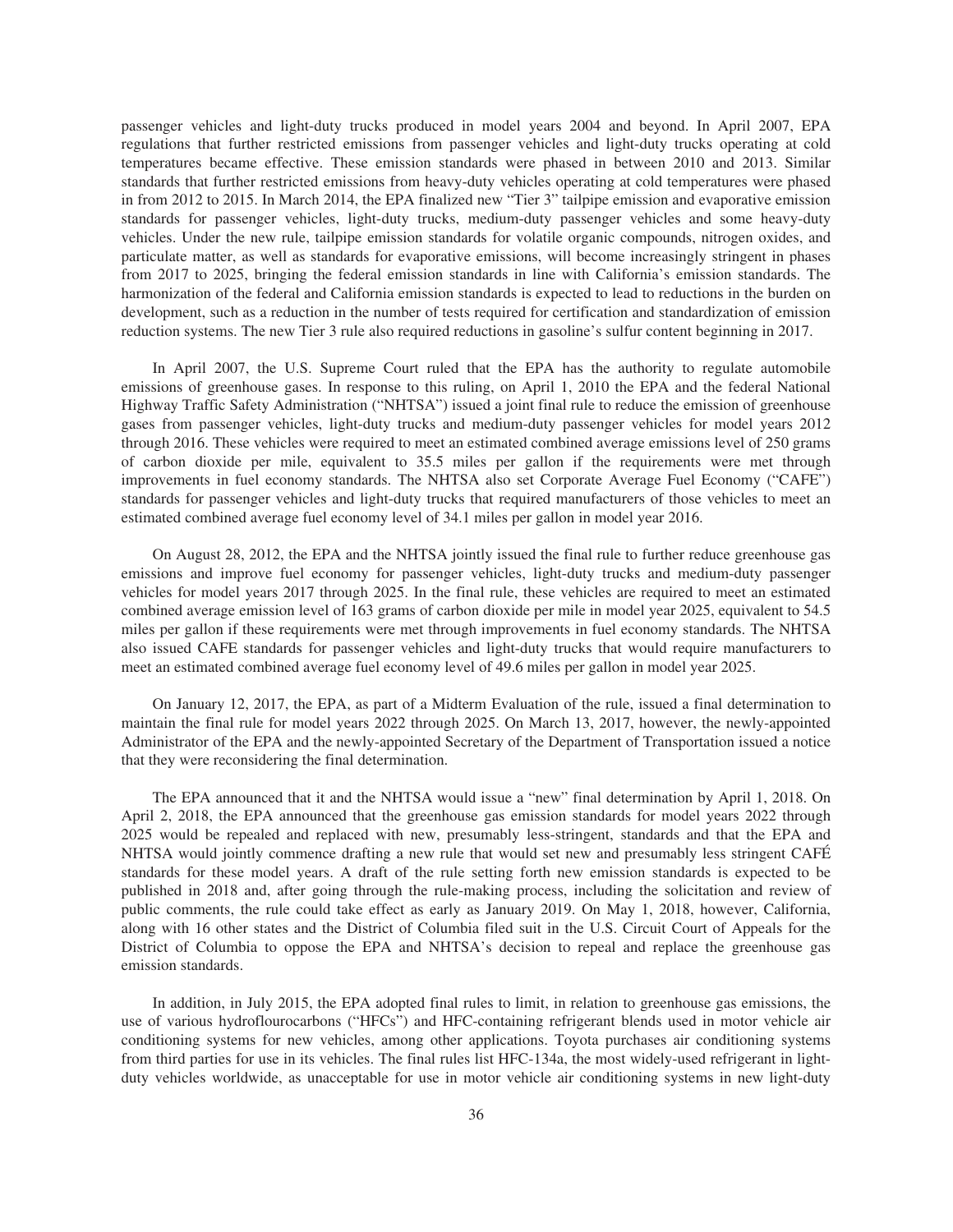passenger vehicles and light-duty trucks produced in model years 2004 and beyond. In April 2007, EPA regulations that further restricted emissions from passenger vehicles and light-duty trucks operating at cold temperatures became effective. These emission standards were phased in between 2010 and 2013. Similar standards that further restricted emissions from heavy-duty vehicles operating at cold temperatures were phased in from 2012 to 2015. In March 2014, the EPA finalized new "Tier 3" tailpipe emission and evaporative emission standards for passenger vehicles, light-duty trucks, medium-duty passenger vehicles and some heavy-duty vehicles. Under the new rule, tailpipe emission standards for volatile organic compounds, nitrogen oxides, and particulate matter, as well as standards for evaporative emissions, will become increasingly stringent in phases from 2017 to 2025, bringing the federal emission standards in line with California's emission standards. The harmonization of the federal and California emission standards is expected to lead to reductions in the burden on development, such as a reduction in the number of tests required for certification and standardization of emission reduction systems. The new Tier 3 rule also required reductions in gasoline's sulfur content beginning in 2017.

In April 2007, the U.S. Supreme Court ruled that the EPA has the authority to regulate automobile emissions of greenhouse gases. In response to this ruling, on April 1, 2010 the EPA and the federal National Highway Traffic Safety Administration ("NHTSA") issued a joint final rule to reduce the emission of greenhouse gases from passenger vehicles, light-duty trucks and medium-duty passenger vehicles for model years 2012 through 2016. These vehicles were required to meet an estimated combined average emissions level of 250 grams of carbon dioxide per mile, equivalent to 35.5 miles per gallon if the requirements were met through improvements in fuel economy standards. The NHTSA also set Corporate Average Fuel Economy ("CAFE") standards for passenger vehicles and light-duty trucks that required manufacturers of those vehicles to meet an estimated combined average fuel economy level of 34.1 miles per gallon in model year 2016.

On August 28, 2012, the EPA and the NHTSA jointly issued the final rule to further reduce greenhouse gas emissions and improve fuel economy for passenger vehicles, light-duty trucks and medium-duty passenger vehicles for model years 2017 through 2025. In the final rule, these vehicles are required to meet an estimated combined average emission level of 163 grams of carbon dioxide per mile in model year 2025, equivalent to 54.5 miles per gallon if these requirements were met through improvements in fuel economy standards. The NHTSA also issued CAFE standards for passenger vehicles and light-duty trucks that would require manufacturers to meet an estimated combined average fuel economy level of 49.6 miles per gallon in model year 2025.

On January 12, 2017, the EPA, as part of a Midterm Evaluation of the rule, issued a final determination to maintain the final rule for model years 2022 through 2025. On March 13, 2017, however, the newly-appointed Administrator of the EPA and the newly-appointed Secretary of the Department of Transportation issued a notice that they were reconsidering the final determination.

The EPA announced that it and the NHTSA would issue a "new" final determination by April 1, 2018. On April 2, 2018, the EPA announced that the greenhouse gas emission standards for model years 2022 through 2025 would be repealed and replaced with new, presumably less-stringent, standards and that the EPA and NHTSA would jointly commence drafting a new rule that would set new and presumably less stringent CAFÉ standards for these model years. A draft of the rule setting forth new emission standards is expected to be published in 2018 and, after going through the rule-making process, including the solicitation and review of public comments, the rule could take effect as early as January 2019. On May 1, 2018, however, California, along with 16 other states and the District of Columbia filed suit in the U.S. Circuit Court of Appeals for the District of Columbia to oppose the EPA and NHTSA's decision to repeal and replace the greenhouse gas emission standards.

In addition, in July 2015, the EPA adopted final rules to limit, in relation to greenhouse gas emissions, the use of various hydroflourocarbons ("HFCs") and HFC-containing refrigerant blends used in motor vehicle air conditioning systems for new vehicles, among other applications. Toyota purchases air conditioning systems from third parties for use in its vehicles. The final rules list HFC-134a, the most widely-used refrigerant in lightduty vehicles worldwide, as unacceptable for use in motor vehicle air conditioning systems in new light-duty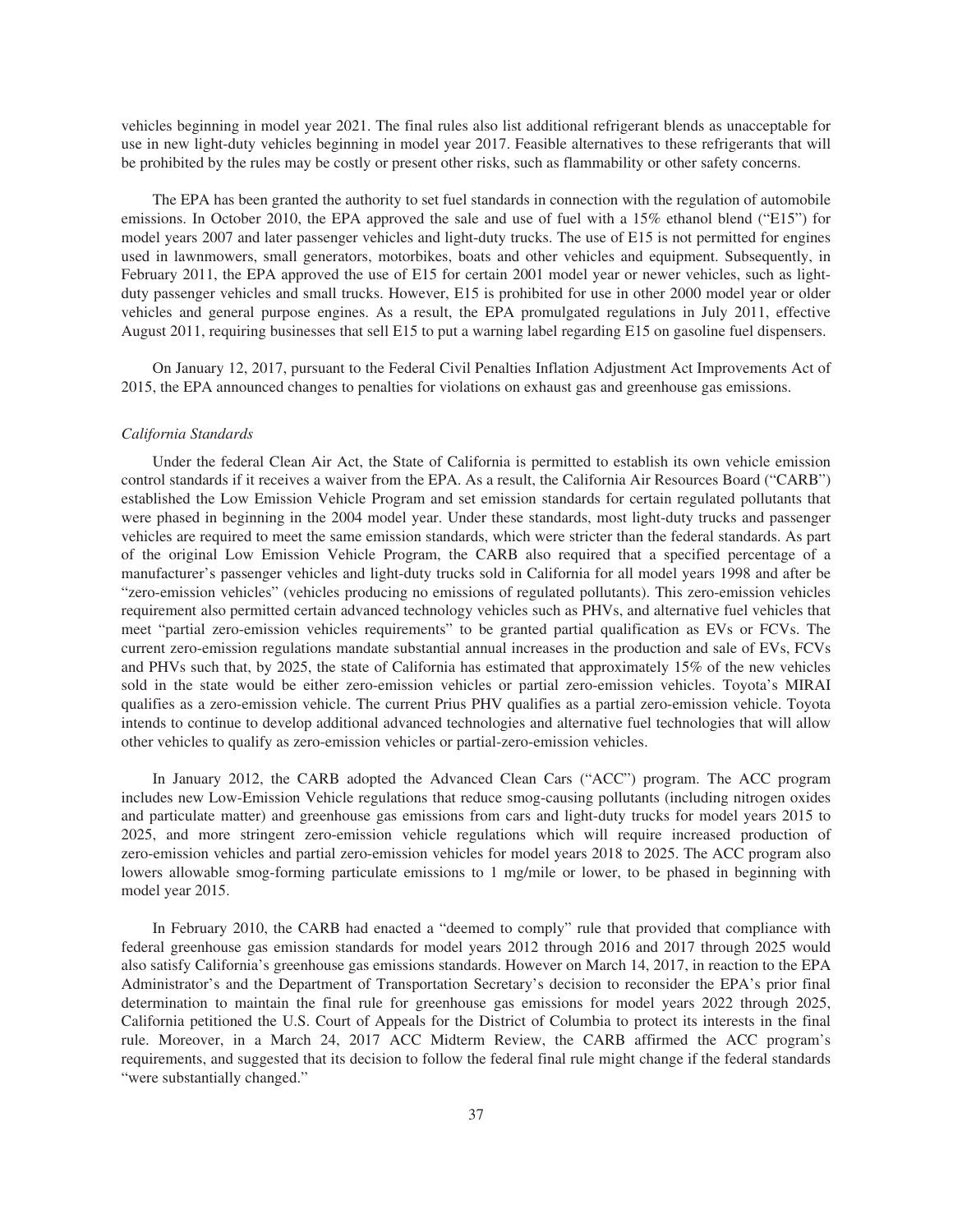vehicles beginning in model year 2021. The final rules also list additional refrigerant blends as unacceptable for use in new light-duty vehicles beginning in model year 2017. Feasible alternatives to these refrigerants that will be prohibited by the rules may be costly or present other risks, such as flammability or other safety concerns.

The EPA has been granted the authority to set fuel standards in connection with the regulation of automobile emissions. In October 2010, the EPA approved the sale and use of fuel with a 15% ethanol blend ("E15") for model years 2007 and later passenger vehicles and light-duty trucks. The use of E15 is not permitted for engines used in lawnmowers, small generators, motorbikes, boats and other vehicles and equipment. Subsequently, in February 2011, the EPA approved the use of E15 for certain 2001 model year or newer vehicles, such as lightduty passenger vehicles and small trucks. However, E15 is prohibited for use in other 2000 model year or older vehicles and general purpose engines. As a result, the EPA promulgated regulations in July 2011, effective August 2011, requiring businesses that sell E15 to put a warning label regarding E15 on gasoline fuel dispensers.

On January 12, 2017, pursuant to the Federal Civil Penalties Inflation Adjustment Act Improvements Act of 2015, the EPA announced changes to penalties for violations on exhaust gas and greenhouse gas emissions.

#### *California Standards*

Under the federal Clean Air Act, the State of California is permitted to establish its own vehicle emission control standards if it receives a waiver from the EPA. As a result, the California Air Resources Board ("CARB") established the Low Emission Vehicle Program and set emission standards for certain regulated pollutants that were phased in beginning in the 2004 model year. Under these standards, most light-duty trucks and passenger vehicles are required to meet the same emission standards, which were stricter than the federal standards. As part of the original Low Emission Vehicle Program, the CARB also required that a specified percentage of a manufacturer's passenger vehicles and light-duty trucks sold in California for all model years 1998 and after be "zero-emission vehicles" (vehicles producing no emissions of regulated pollutants). This zero-emission vehicles requirement also permitted certain advanced technology vehicles such as PHVs, and alternative fuel vehicles that meet "partial zero-emission vehicles requirements" to be granted partial qualification as EVs or FCVs. The current zero-emission regulations mandate substantial annual increases in the production and sale of EVs, FCVs and PHVs such that, by 2025, the state of California has estimated that approximately 15% of the new vehicles sold in the state would be either zero-emission vehicles or partial zero-emission vehicles. Toyota's MIRAI qualifies as a zero-emission vehicle. The current Prius PHV qualifies as a partial zero-emission vehicle. Toyota intends to continue to develop additional advanced technologies and alternative fuel technologies that will allow other vehicles to qualify as zero-emission vehicles or partial-zero-emission vehicles.

In January 2012, the CARB adopted the Advanced Clean Cars ("ACC") program. The ACC program includes new Low-Emission Vehicle regulations that reduce smog-causing pollutants (including nitrogen oxides and particulate matter) and greenhouse gas emissions from cars and light-duty trucks for model years 2015 to 2025, and more stringent zero-emission vehicle regulations which will require increased production of zero-emission vehicles and partial zero-emission vehicles for model years 2018 to 2025. The ACC program also lowers allowable smog-forming particulate emissions to 1 mg/mile or lower, to be phased in beginning with model year 2015.

In February 2010, the CARB had enacted a "deemed to comply" rule that provided that compliance with federal greenhouse gas emission standards for model years 2012 through 2016 and 2017 through 2025 would also satisfy California's greenhouse gas emissions standards. However on March 14, 2017, in reaction to the EPA Administrator's and the Department of Transportation Secretary's decision to reconsider the EPA's prior final determination to maintain the final rule for greenhouse gas emissions for model years 2022 through 2025, California petitioned the U.S. Court of Appeals for the District of Columbia to protect its interests in the final rule. Moreover, in a March 24, 2017 ACC Midterm Review, the CARB affirmed the ACC program's requirements, and suggested that its decision to follow the federal final rule might change if the federal standards "were substantially changed."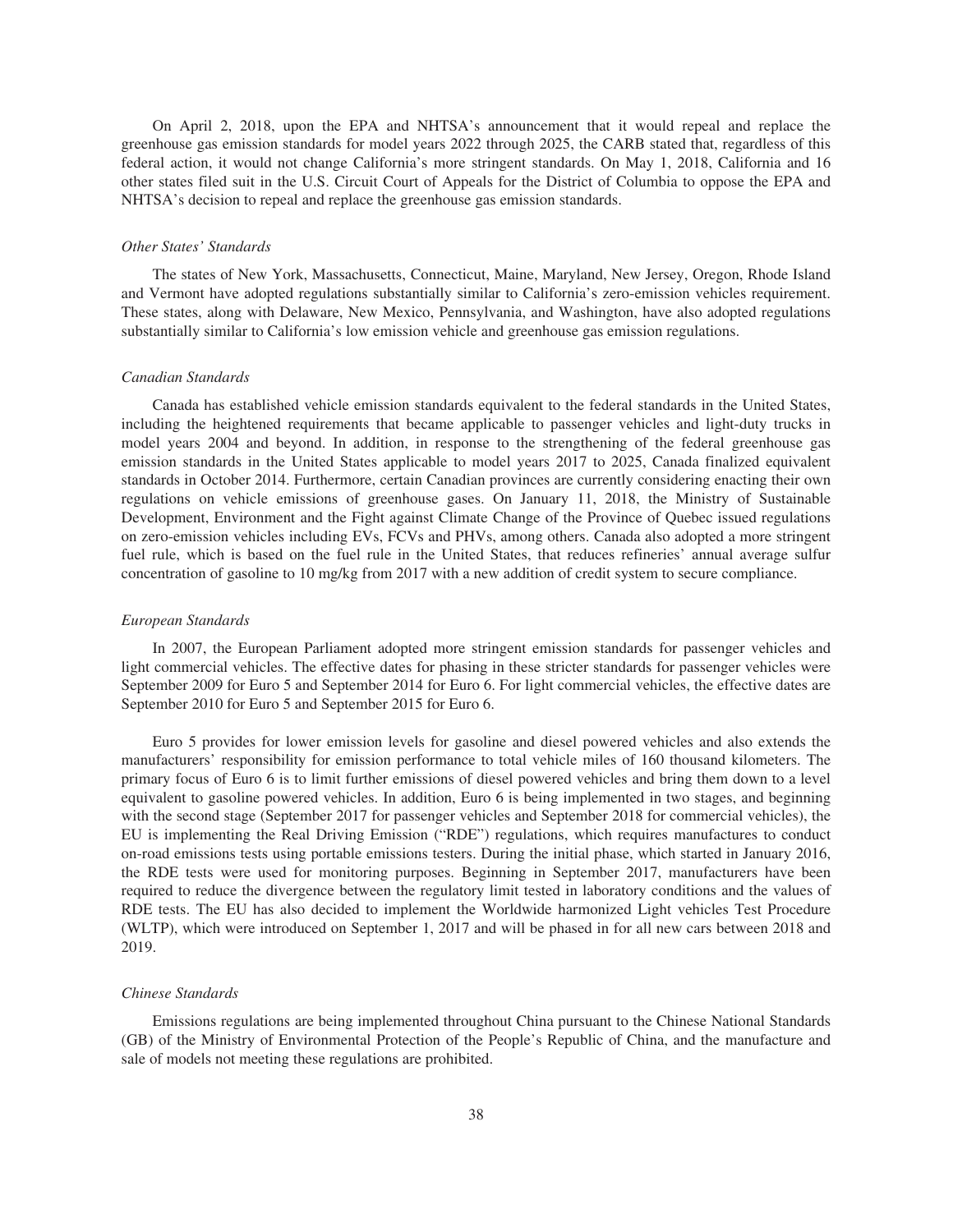On April 2, 2018, upon the EPA and NHTSA's announcement that it would repeal and replace the greenhouse gas emission standards for model years 2022 through 2025, the CARB stated that, regardless of this federal action, it would not change California's more stringent standards. On May 1, 2018, California and 16 other states filed suit in the U.S. Circuit Court of Appeals for the District of Columbia to oppose the EPA and NHTSA's decision to repeal and replace the greenhouse gas emission standards.

## *Other States' Standards*

The states of New York, Massachusetts, Connecticut, Maine, Maryland, New Jersey, Oregon, Rhode Island and Vermont have adopted regulations substantially similar to California's zero-emission vehicles requirement. These states, along with Delaware, New Mexico, Pennsylvania, and Washington, have also adopted regulations substantially similar to California's low emission vehicle and greenhouse gas emission regulations.

### *Canadian Standards*

Canada has established vehicle emission standards equivalent to the federal standards in the United States, including the heightened requirements that became applicable to passenger vehicles and light-duty trucks in model years 2004 and beyond. In addition, in response to the strengthening of the federal greenhouse gas emission standards in the United States applicable to model years 2017 to 2025, Canada finalized equivalent standards in October 2014. Furthermore, certain Canadian provinces are currently considering enacting their own regulations on vehicle emissions of greenhouse gases. On January 11, 2018, the Ministry of Sustainable Development, Environment and the Fight against Climate Change of the Province of Quebec issued regulations on zero-emission vehicles including EVs, FCVs and PHVs, among others. Canada also adopted a more stringent fuel rule, which is based on the fuel rule in the United States, that reduces refineries' annual average sulfur concentration of gasoline to 10 mg/kg from 2017 with a new addition of credit system to secure compliance.

#### *European Standards*

In 2007, the European Parliament adopted more stringent emission standards for passenger vehicles and light commercial vehicles. The effective dates for phasing in these stricter standards for passenger vehicles were September 2009 for Euro 5 and September 2014 for Euro 6. For light commercial vehicles, the effective dates are September 2010 for Euro 5 and September 2015 for Euro 6.

Euro 5 provides for lower emission levels for gasoline and diesel powered vehicles and also extends the manufacturers' responsibility for emission performance to total vehicle miles of 160 thousand kilometers. The primary focus of Euro 6 is to limit further emissions of diesel powered vehicles and bring them down to a level equivalent to gasoline powered vehicles. In addition, Euro 6 is being implemented in two stages, and beginning with the second stage (September 2017 for passenger vehicles and September 2018 for commercial vehicles), the EU is implementing the Real Driving Emission ("RDE") regulations, which requires manufactures to conduct on-road emissions tests using portable emissions testers. During the initial phase, which started in January 2016, the RDE tests were used for monitoring purposes. Beginning in September 2017, manufacturers have been required to reduce the divergence between the regulatory limit tested in laboratory conditions and the values of RDE tests. The EU has also decided to implement the Worldwide harmonized Light vehicles Test Procedure (WLTP), which were introduced on September 1, 2017 and will be phased in for all new cars between 2018 and 2019.

# *Chinese Standards*

Emissions regulations are being implemented throughout China pursuant to the Chinese National Standards (GB) of the Ministry of Environmental Protection of the People's Republic of China, and the manufacture and sale of models not meeting these regulations are prohibited.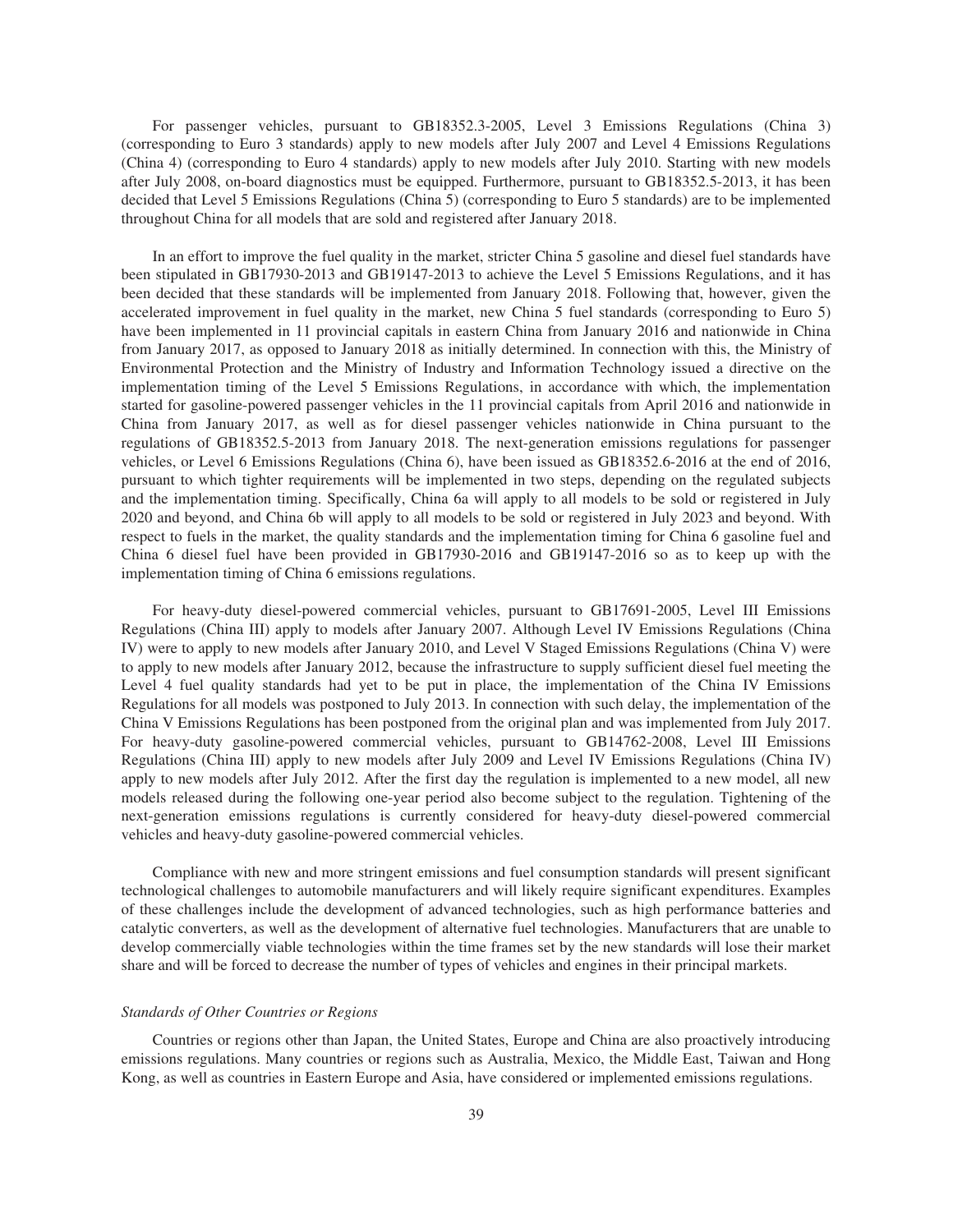For passenger vehicles, pursuant to GB18352.3-2005, Level 3 Emissions Regulations (China 3) (corresponding to Euro 3 standards) apply to new models after July 2007 and Level 4 Emissions Regulations (China 4) (corresponding to Euro 4 standards) apply to new models after July 2010. Starting with new models after July 2008, on-board diagnostics must be equipped. Furthermore, pursuant to GB18352.5-2013, it has been decided that Level 5 Emissions Regulations (China 5) (corresponding to Euro 5 standards) are to be implemented throughout China for all models that are sold and registered after January 2018.

In an effort to improve the fuel quality in the market, stricter China 5 gasoline and diesel fuel standards have been stipulated in GB17930-2013 and GB19147-2013 to achieve the Level 5 Emissions Regulations, and it has been decided that these standards will be implemented from January 2018. Following that, however, given the accelerated improvement in fuel quality in the market, new China 5 fuel standards (corresponding to Euro 5) have been implemented in 11 provincial capitals in eastern China from January 2016 and nationwide in China from January 2017, as opposed to January 2018 as initially determined. In connection with this, the Ministry of Environmental Protection and the Ministry of Industry and Information Technology issued a directive on the implementation timing of the Level 5 Emissions Regulations, in accordance with which, the implementation started for gasoline-powered passenger vehicles in the 11 provincial capitals from April 2016 and nationwide in China from January 2017, as well as for diesel passenger vehicles nationwide in China pursuant to the regulations of GB18352.5-2013 from January 2018. The next-generation emissions regulations for passenger vehicles, or Level 6 Emissions Regulations (China 6), have been issued as GB18352.6-2016 at the end of 2016, pursuant to which tighter requirements will be implemented in two steps, depending on the regulated subjects and the implementation timing. Specifically, China 6a will apply to all models to be sold or registered in July 2020 and beyond, and China 6b will apply to all models to be sold or registered in July 2023 and beyond. With respect to fuels in the market, the quality standards and the implementation timing for China 6 gasoline fuel and China 6 diesel fuel have been provided in GB17930-2016 and GB19147-2016 so as to keep up with the implementation timing of China 6 emissions regulations.

For heavy-duty diesel-powered commercial vehicles, pursuant to GB17691-2005, Level III Emissions Regulations (China III) apply to models after January 2007. Although Level IV Emissions Regulations (China IV) were to apply to new models after January 2010, and Level V Staged Emissions Regulations (China V) were to apply to new models after January 2012, because the infrastructure to supply sufficient diesel fuel meeting the Level 4 fuel quality standards had yet to be put in place, the implementation of the China IV Emissions Regulations for all models was postponed to July 2013. In connection with such delay, the implementation of the China V Emissions Regulations has been postponed from the original plan and was implemented from July 2017. For heavy-duty gasoline-powered commercial vehicles, pursuant to GB14762-2008, Level III Emissions Regulations (China III) apply to new models after July 2009 and Level IV Emissions Regulations (China IV) apply to new models after July 2012. After the first day the regulation is implemented to a new model, all new models released during the following one-year period also become subject to the regulation. Tightening of the next-generation emissions regulations is currently considered for heavy-duty diesel-powered commercial vehicles and heavy-duty gasoline-powered commercial vehicles.

Compliance with new and more stringent emissions and fuel consumption standards will present significant technological challenges to automobile manufacturers and will likely require significant expenditures. Examples of these challenges include the development of advanced technologies, such as high performance batteries and catalytic converters, as well as the development of alternative fuel technologies. Manufacturers that are unable to develop commercially viable technologies within the time frames set by the new standards will lose their market share and will be forced to decrease the number of types of vehicles and engines in their principal markets.

#### *Standards of Other Countries or Regions*

Countries or regions other than Japan, the United States, Europe and China are also proactively introducing emissions regulations. Many countries or regions such as Australia, Mexico, the Middle East, Taiwan and Hong Kong, as well as countries in Eastern Europe and Asia, have considered or implemented emissions regulations.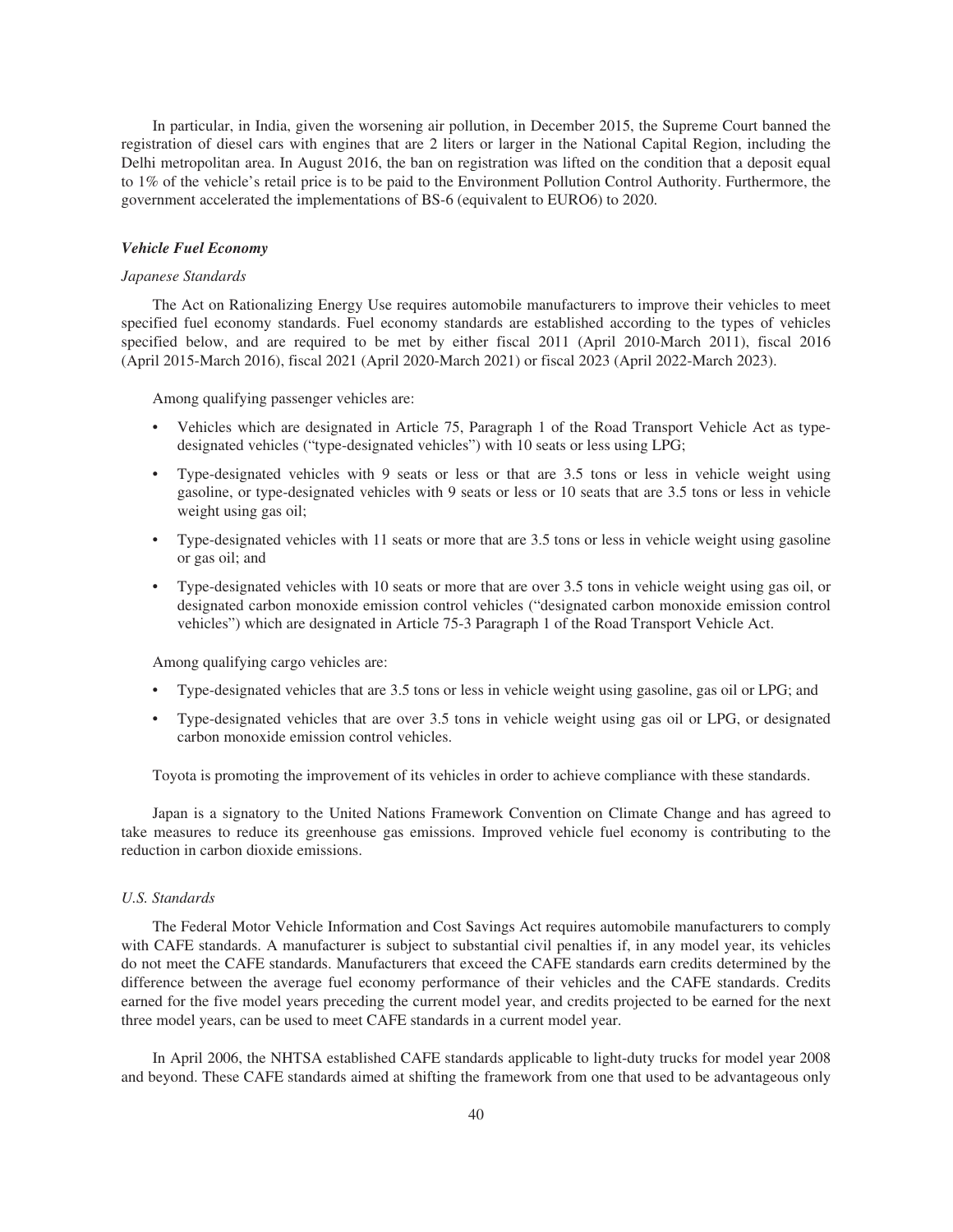In particular, in India, given the worsening air pollution, in December 2015, the Supreme Court banned the registration of diesel cars with engines that are 2 liters or larger in the National Capital Region, including the Delhi metropolitan area. In August 2016, the ban on registration was lifted on the condition that a deposit equal to 1% of the vehicle's retail price is to be paid to the Environment Pollution Control Authority. Furthermore, the government accelerated the implementations of BS-6 (equivalent to EURO6) to 2020.

# *Vehicle Fuel Economy*

## *Japanese Standards*

The Act on Rationalizing Energy Use requires automobile manufacturers to improve their vehicles to meet specified fuel economy standards. Fuel economy standards are established according to the types of vehicles specified below, and are required to be met by either fiscal 2011 (April 2010-March 2011), fiscal 2016 (April 2015-March 2016), fiscal 2021 (April 2020-March 2021) or fiscal 2023 (April 2022-March 2023).

Among qualifying passenger vehicles are:

- Vehicles which are designated in Article 75, Paragraph 1 of the Road Transport Vehicle Act as typedesignated vehicles ("type-designated vehicles") with 10 seats or less using LPG;
- Type-designated vehicles with 9 seats or less or that are 3.5 tons or less in vehicle weight using gasoline, or type-designated vehicles with 9 seats or less or 10 seats that are 3.5 tons or less in vehicle weight using gas oil;
- Type-designated vehicles with 11 seats or more that are 3.5 tons or less in vehicle weight using gasoline or gas oil; and
- Type-designated vehicles with 10 seats or more that are over 3.5 tons in vehicle weight using gas oil, or designated carbon monoxide emission control vehicles ("designated carbon monoxide emission control vehicles") which are designated in Article 75-3 Paragraph 1 of the Road Transport Vehicle Act.

Among qualifying cargo vehicles are:

- Type-designated vehicles that are 3.5 tons or less in vehicle weight using gasoline, gas oil or LPG; and
- Type-designated vehicles that are over 3.5 tons in vehicle weight using gas oil or LPG, or designated carbon monoxide emission control vehicles.

Toyota is promoting the improvement of its vehicles in order to achieve compliance with these standards.

Japan is a signatory to the United Nations Framework Convention on Climate Change and has agreed to take measures to reduce its greenhouse gas emissions. Improved vehicle fuel economy is contributing to the reduction in carbon dioxide emissions.

# *U.S. Standards*

The Federal Motor Vehicle Information and Cost Savings Act requires automobile manufacturers to comply with CAFE standards. A manufacturer is subject to substantial civil penalties if, in any model year, its vehicles do not meet the CAFE standards. Manufacturers that exceed the CAFE standards earn credits determined by the difference between the average fuel economy performance of their vehicles and the CAFE standards. Credits earned for the five model years preceding the current model year, and credits projected to be earned for the next three model years, can be used to meet CAFE standards in a current model year.

In April 2006, the NHTSA established CAFE standards applicable to light-duty trucks for model year 2008 and beyond. These CAFE standards aimed at shifting the framework from one that used to be advantageous only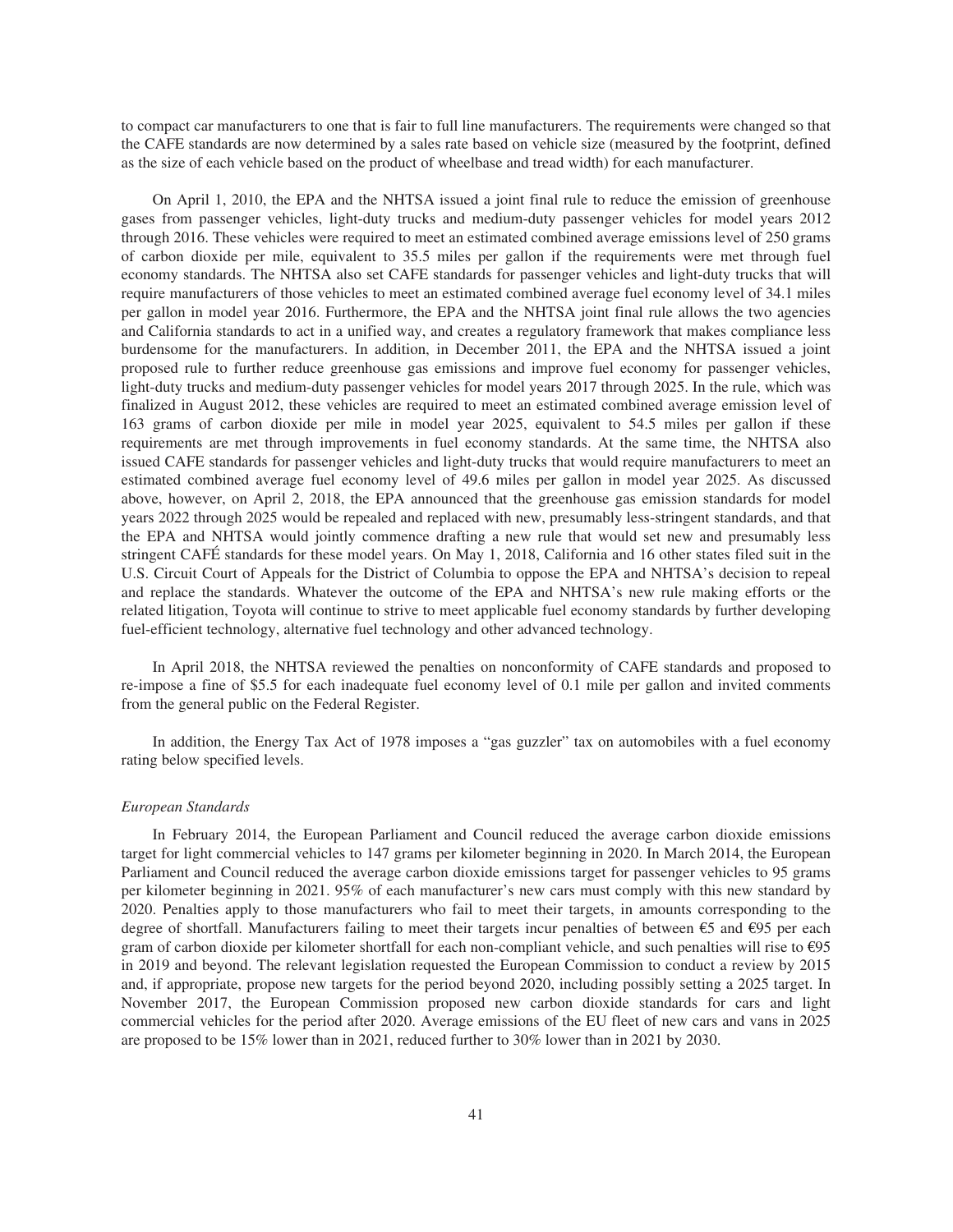to compact car manufacturers to one that is fair to full line manufacturers. The requirements were changed so that the CAFE standards are now determined by a sales rate based on vehicle size (measured by the footprint, defined as the size of each vehicle based on the product of wheelbase and tread width) for each manufacturer.

On April 1, 2010, the EPA and the NHTSA issued a joint final rule to reduce the emission of greenhouse gases from passenger vehicles, light-duty trucks and medium-duty passenger vehicles for model years 2012 through 2016. These vehicles were required to meet an estimated combined average emissions level of 250 grams of carbon dioxide per mile, equivalent to 35.5 miles per gallon if the requirements were met through fuel economy standards. The NHTSA also set CAFE standards for passenger vehicles and light-duty trucks that will require manufacturers of those vehicles to meet an estimated combined average fuel economy level of 34.1 miles per gallon in model year 2016. Furthermore, the EPA and the NHTSA joint final rule allows the two agencies and California standards to act in a unified way, and creates a regulatory framework that makes compliance less burdensome for the manufacturers. In addition, in December 2011, the EPA and the NHTSA issued a joint proposed rule to further reduce greenhouse gas emissions and improve fuel economy for passenger vehicles, light-duty trucks and medium-duty passenger vehicles for model years 2017 through 2025. In the rule, which was finalized in August 2012, these vehicles are required to meet an estimated combined average emission level of 163 grams of carbon dioxide per mile in model year 2025, equivalent to 54.5 miles per gallon if these requirements are met through improvements in fuel economy standards. At the same time, the NHTSA also issued CAFE standards for passenger vehicles and light-duty trucks that would require manufacturers to meet an estimated combined average fuel economy level of 49.6 miles per gallon in model year 2025. As discussed above, however, on April 2, 2018, the EPA announced that the greenhouse gas emission standards for model years 2022 through 2025 would be repealed and replaced with new, presumably less-stringent standards, and that the EPA and NHTSA would jointly commence drafting a new rule that would set new and presumably less stringent CAFÉ standards for these model years. On May 1, 2018, California and 16 other states filed suit in the U.S. Circuit Court of Appeals for the District of Columbia to oppose the EPA and NHTSA's decision to repeal and replace the standards. Whatever the outcome of the EPA and NHTSA's new rule making efforts or the related litigation, Toyota will continue to strive to meet applicable fuel economy standards by further developing fuel-efficient technology, alternative fuel technology and other advanced technology.

In April 2018, the NHTSA reviewed the penalties on nonconformity of CAFE standards and proposed to re-impose a fine of \$5.5 for each inadequate fuel economy level of 0.1 mile per gallon and invited comments from the general public on the Federal Register.

In addition, the Energy Tax Act of 1978 imposes a "gas guzzler" tax on automobiles with a fuel economy rating below specified levels.

#### *European Standards*

In February 2014, the European Parliament and Council reduced the average carbon dioxide emissions target for light commercial vehicles to 147 grams per kilometer beginning in 2020. In March 2014, the European Parliament and Council reduced the average carbon dioxide emissions target for passenger vehicles to 95 grams per kilometer beginning in 2021. 95% of each manufacturer's new cars must comply with this new standard by 2020. Penalties apply to those manufacturers who fail to meet their targets, in amounts corresponding to the degree of shortfall. Manufacturers failing to meet their targets incur penalties of between €5 and €95 per each gram of carbon dioxide per kilometer shortfall for each non-compliant vehicle, and such penalties will rise to €95 in 2019 and beyond. The relevant legislation requested the European Commission to conduct a review by 2015 and, if appropriate, propose new targets for the period beyond 2020, including possibly setting a 2025 target. In November 2017, the European Commission proposed new carbon dioxide standards for cars and light commercial vehicles for the period after 2020. Average emissions of the EU fleet of new cars and vans in 2025 are proposed to be 15% lower than in 2021, reduced further to 30% lower than in 2021 by 2030.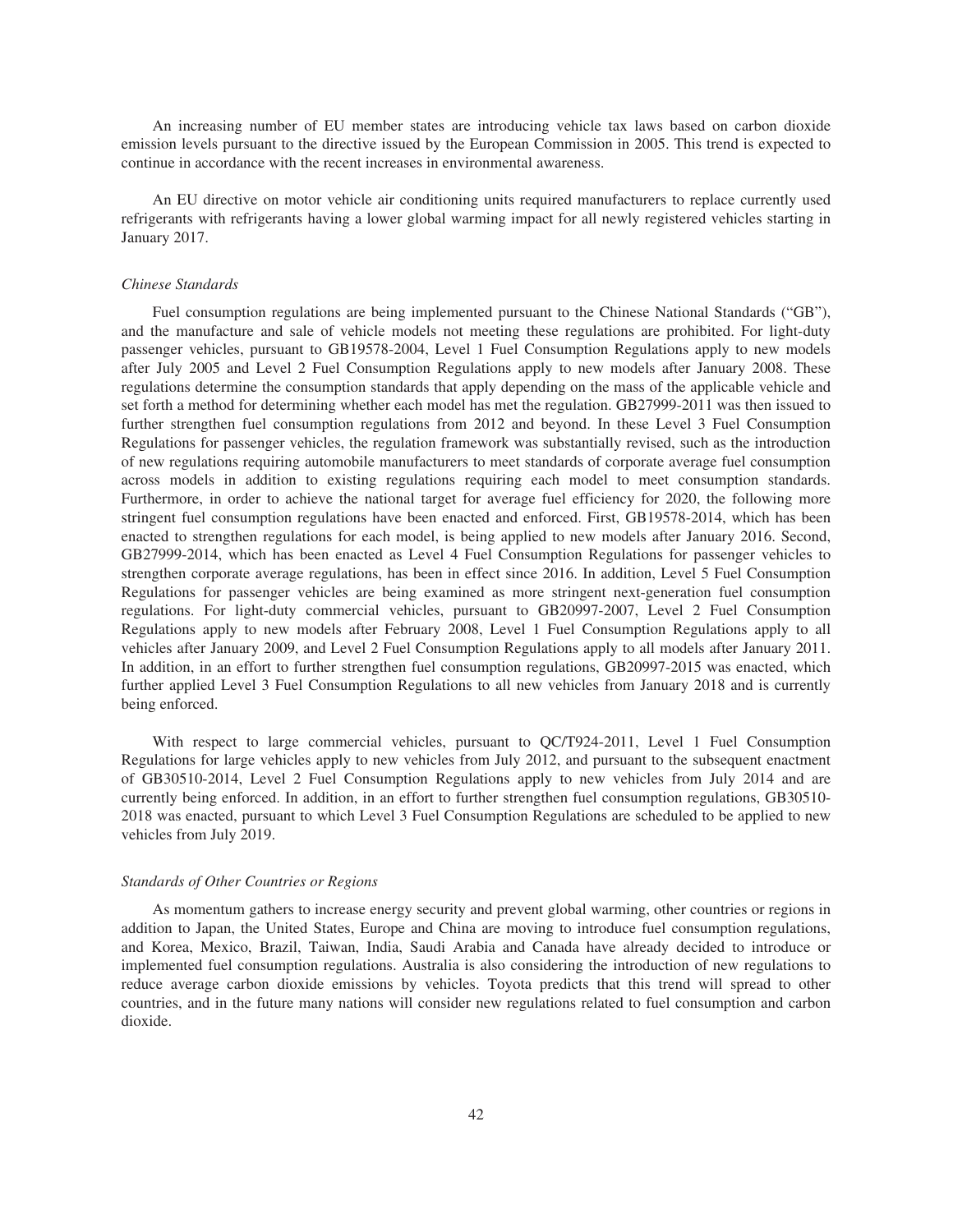An increasing number of EU member states are introducing vehicle tax laws based on carbon dioxide emission levels pursuant to the directive issued by the European Commission in 2005. This trend is expected to continue in accordance with the recent increases in environmental awareness.

An EU directive on motor vehicle air conditioning units required manufacturers to replace currently used refrigerants with refrigerants having a lower global warming impact for all newly registered vehicles starting in January 2017.

## *Chinese Standards*

Fuel consumption regulations are being implemented pursuant to the Chinese National Standards ("GB"), and the manufacture and sale of vehicle models not meeting these regulations are prohibited. For light-duty passenger vehicles, pursuant to GB19578-2004, Level 1 Fuel Consumption Regulations apply to new models after July 2005 and Level 2 Fuel Consumption Regulations apply to new models after January 2008. These regulations determine the consumption standards that apply depending on the mass of the applicable vehicle and set forth a method for determining whether each model has met the regulation. GB27999-2011 was then issued to further strengthen fuel consumption regulations from 2012 and beyond. In these Level 3 Fuel Consumption Regulations for passenger vehicles, the regulation framework was substantially revised, such as the introduction of new regulations requiring automobile manufacturers to meet standards of corporate average fuel consumption across models in addition to existing regulations requiring each model to meet consumption standards. Furthermore, in order to achieve the national target for average fuel efficiency for 2020, the following more stringent fuel consumption regulations have been enacted and enforced. First, GB19578-2014, which has been enacted to strengthen regulations for each model, is being applied to new models after January 2016. Second, GB27999-2014, which has been enacted as Level 4 Fuel Consumption Regulations for passenger vehicles to strengthen corporate average regulations, has been in effect since 2016. In addition, Level 5 Fuel Consumption Regulations for passenger vehicles are being examined as more stringent next-generation fuel consumption regulations. For light-duty commercial vehicles, pursuant to GB20997-2007, Level 2 Fuel Consumption Regulations apply to new models after February 2008, Level 1 Fuel Consumption Regulations apply to all vehicles after January 2009, and Level 2 Fuel Consumption Regulations apply to all models after January 2011. In addition, in an effort to further strengthen fuel consumption regulations, GB20997-2015 was enacted, which further applied Level 3 Fuel Consumption Regulations to all new vehicles from January 2018 and is currently being enforced.

With respect to large commercial vehicles, pursuant to QC/T924-2011, Level 1 Fuel Consumption Regulations for large vehicles apply to new vehicles from July 2012, and pursuant to the subsequent enactment of GB30510-2014, Level 2 Fuel Consumption Regulations apply to new vehicles from July 2014 and are currently being enforced. In addition, in an effort to further strengthen fuel consumption regulations, GB30510- 2018 was enacted, pursuant to which Level 3 Fuel Consumption Regulations are scheduled to be applied to new vehicles from July 2019.

#### *Standards of Other Countries or Regions*

As momentum gathers to increase energy security and prevent global warming, other countries or regions in addition to Japan, the United States, Europe and China are moving to introduce fuel consumption regulations, and Korea, Mexico, Brazil, Taiwan, India, Saudi Arabia and Canada have already decided to introduce or implemented fuel consumption regulations. Australia is also considering the introduction of new regulations to reduce average carbon dioxide emissions by vehicles. Toyota predicts that this trend will spread to other countries, and in the future many nations will consider new regulations related to fuel consumption and carbon dioxide.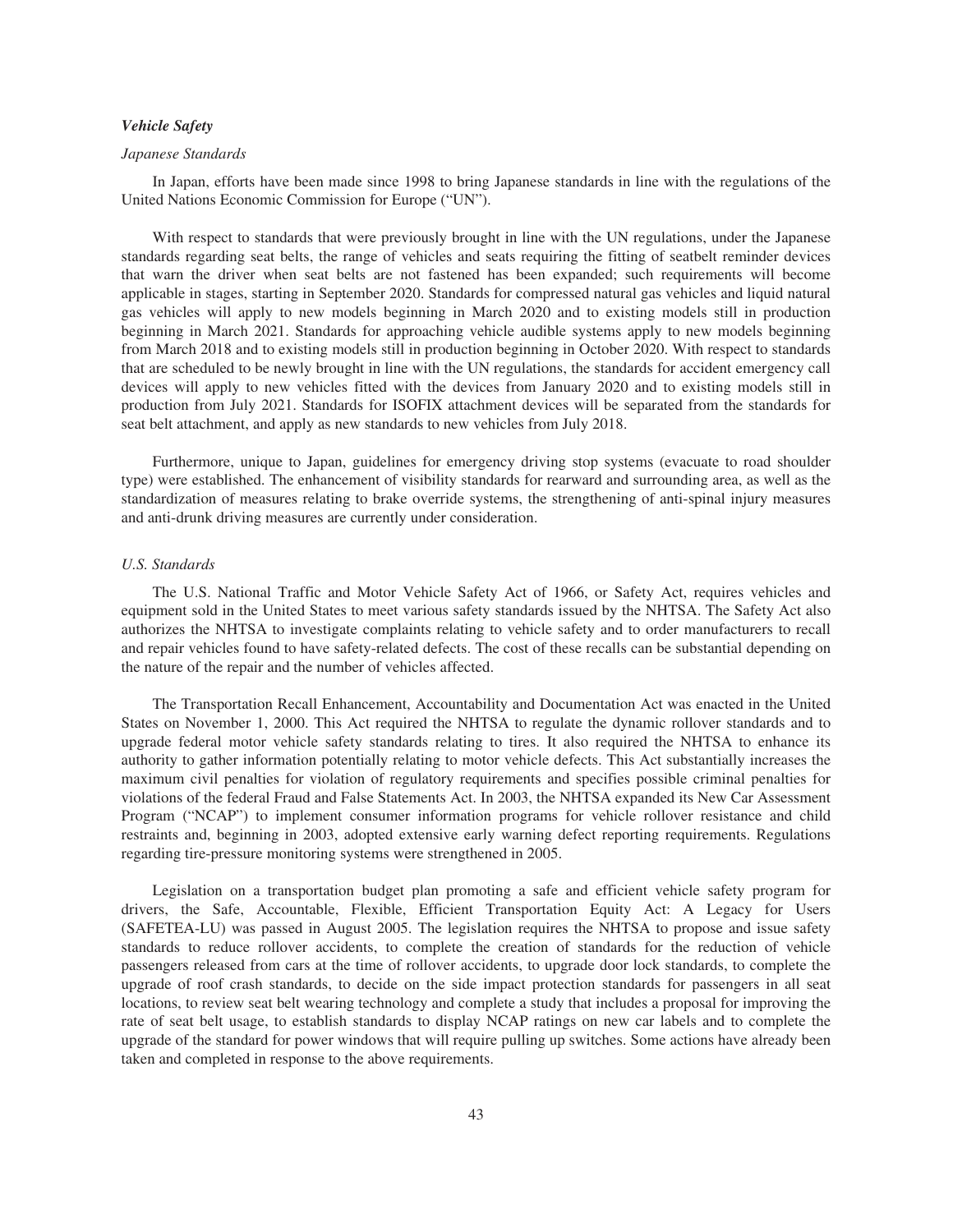# *Vehicle Safety*

# *Japanese Standards*

In Japan, efforts have been made since 1998 to bring Japanese standards in line with the regulations of the United Nations Economic Commission for Europe ("UN").

With respect to standards that were previously brought in line with the UN regulations, under the Japanese standards regarding seat belts, the range of vehicles and seats requiring the fitting of seatbelt reminder devices that warn the driver when seat belts are not fastened has been expanded; such requirements will become applicable in stages, starting in September 2020. Standards for compressed natural gas vehicles and liquid natural gas vehicles will apply to new models beginning in March 2020 and to existing models still in production beginning in March 2021. Standards for approaching vehicle audible systems apply to new models beginning from March 2018 and to existing models still in production beginning in October 2020. With respect to standards that are scheduled to be newly brought in line with the UN regulations, the standards for accident emergency call devices will apply to new vehicles fitted with the devices from January 2020 and to existing models still in production from July 2021. Standards for ISOFIX attachment devices will be separated from the standards for seat belt attachment, and apply as new standards to new vehicles from July 2018.

Furthermore, unique to Japan, guidelines for emergency driving stop systems (evacuate to road shoulder type) were established. The enhancement of visibility standards for rearward and surrounding area, as well as the standardization of measures relating to brake override systems, the strengthening of anti-spinal injury measures and anti-drunk driving measures are currently under consideration.

## *U.S. Standards*

The U.S. National Traffic and Motor Vehicle Safety Act of 1966, or Safety Act, requires vehicles and equipment sold in the United States to meet various safety standards issued by the NHTSA. The Safety Act also authorizes the NHTSA to investigate complaints relating to vehicle safety and to order manufacturers to recall and repair vehicles found to have safety-related defects. The cost of these recalls can be substantial depending on the nature of the repair and the number of vehicles affected.

The Transportation Recall Enhancement, Accountability and Documentation Act was enacted in the United States on November 1, 2000. This Act required the NHTSA to regulate the dynamic rollover standards and to upgrade federal motor vehicle safety standards relating to tires. It also required the NHTSA to enhance its authority to gather information potentially relating to motor vehicle defects. This Act substantially increases the maximum civil penalties for violation of regulatory requirements and specifies possible criminal penalties for violations of the federal Fraud and False Statements Act. In 2003, the NHTSA expanded its New Car Assessment Program ("NCAP") to implement consumer information programs for vehicle rollover resistance and child restraints and, beginning in 2003, adopted extensive early warning defect reporting requirements. Regulations regarding tire-pressure monitoring systems were strengthened in 2005.

Legislation on a transportation budget plan promoting a safe and efficient vehicle safety program for drivers, the Safe, Accountable, Flexible, Efficient Transportation Equity Act: A Legacy for Users (SAFETEA-LU) was passed in August 2005. The legislation requires the NHTSA to propose and issue safety standards to reduce rollover accidents, to complete the creation of standards for the reduction of vehicle passengers released from cars at the time of rollover accidents, to upgrade door lock standards, to complete the upgrade of roof crash standards, to decide on the side impact protection standards for passengers in all seat locations, to review seat belt wearing technology and complete a study that includes a proposal for improving the rate of seat belt usage, to establish standards to display NCAP ratings on new car labels and to complete the upgrade of the standard for power windows that will require pulling up switches. Some actions have already been taken and completed in response to the above requirements.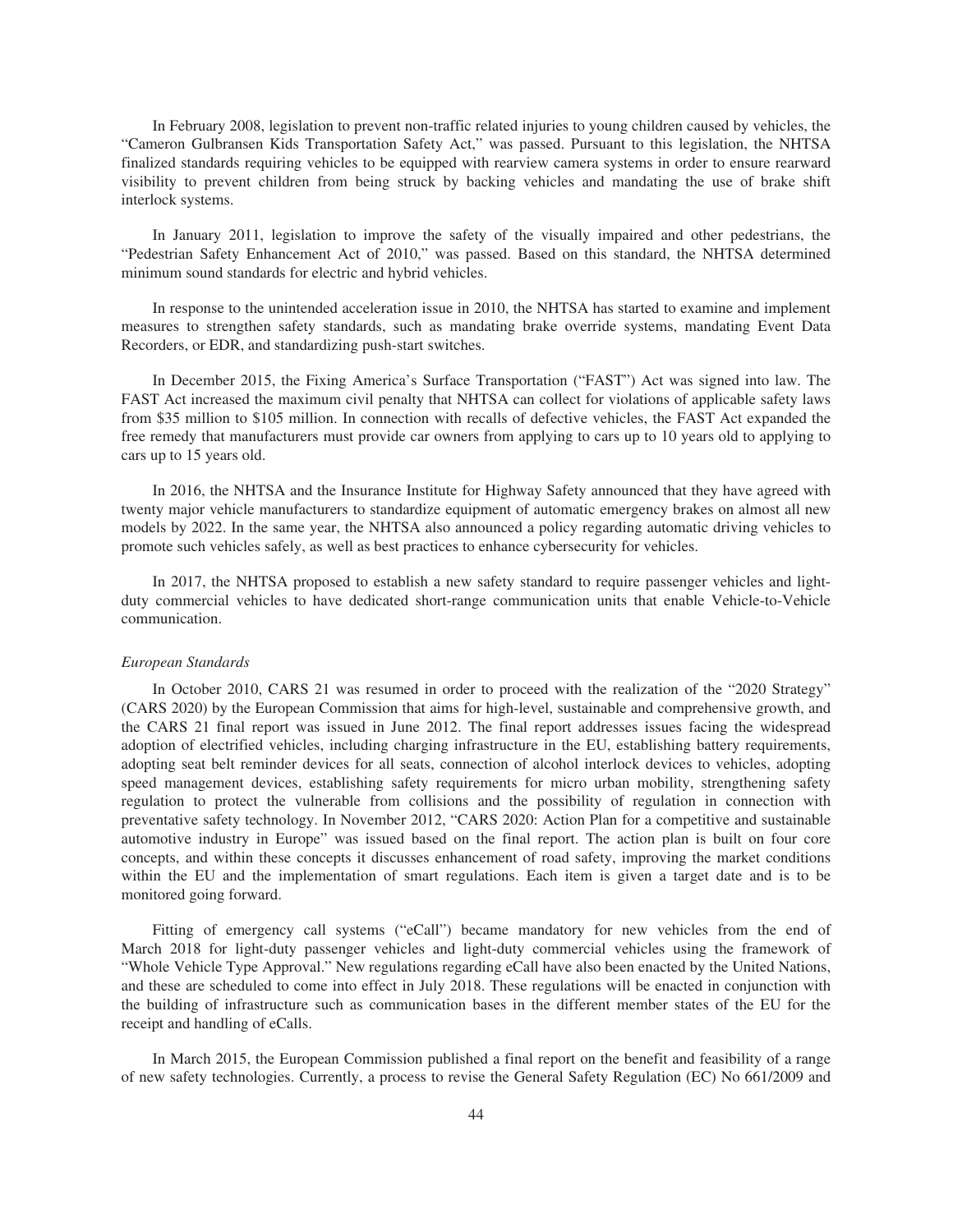In February 2008, legislation to prevent non-traffic related injuries to young children caused by vehicles, the "Cameron Gulbransen Kids Transportation Safety Act," was passed. Pursuant to this legislation, the NHTSA finalized standards requiring vehicles to be equipped with rearview camera systems in order to ensure rearward visibility to prevent children from being struck by backing vehicles and mandating the use of brake shift interlock systems.

In January 2011, legislation to improve the safety of the visually impaired and other pedestrians, the "Pedestrian Safety Enhancement Act of 2010," was passed. Based on this standard, the NHTSA determined minimum sound standards for electric and hybrid vehicles.

In response to the unintended acceleration issue in 2010, the NHTSA has started to examine and implement measures to strengthen safety standards, such as mandating brake override systems, mandating Event Data Recorders, or EDR, and standardizing push-start switches.

In December 2015, the Fixing America's Surface Transportation ("FAST") Act was signed into law. The FAST Act increased the maximum civil penalty that NHTSA can collect for violations of applicable safety laws from \$35 million to \$105 million. In connection with recalls of defective vehicles, the FAST Act expanded the free remedy that manufacturers must provide car owners from applying to cars up to 10 years old to applying to cars up to 15 years old.

In 2016, the NHTSA and the Insurance Institute for Highway Safety announced that they have agreed with twenty major vehicle manufacturers to standardize equipment of automatic emergency brakes on almost all new models by 2022. In the same year, the NHTSA also announced a policy regarding automatic driving vehicles to promote such vehicles safely, as well as best practices to enhance cybersecurity for vehicles.

In 2017, the NHTSA proposed to establish a new safety standard to require passenger vehicles and lightduty commercial vehicles to have dedicated short-range communication units that enable Vehicle-to-Vehicle communication.

#### *European Standards*

In October 2010, CARS 21 was resumed in order to proceed with the realization of the "2020 Strategy" (CARS 2020) by the European Commission that aims for high-level, sustainable and comprehensive growth, and the CARS 21 final report was issued in June 2012. The final report addresses issues facing the widespread adoption of electrified vehicles, including charging infrastructure in the EU, establishing battery requirements, adopting seat belt reminder devices for all seats, connection of alcohol interlock devices to vehicles, adopting speed management devices, establishing safety requirements for micro urban mobility, strengthening safety regulation to protect the vulnerable from collisions and the possibility of regulation in connection with preventative safety technology. In November 2012, "CARS 2020: Action Plan for a competitive and sustainable automotive industry in Europe" was issued based on the final report. The action plan is built on four core concepts, and within these concepts it discusses enhancement of road safety, improving the market conditions within the EU and the implementation of smart regulations. Each item is given a target date and is to be monitored going forward.

Fitting of emergency call systems ("eCall") became mandatory for new vehicles from the end of March 2018 for light-duty passenger vehicles and light-duty commercial vehicles using the framework of "Whole Vehicle Type Approval." New regulations regarding eCall have also been enacted by the United Nations, and these are scheduled to come into effect in July 2018. These regulations will be enacted in conjunction with the building of infrastructure such as communication bases in the different member states of the EU for the receipt and handling of eCalls.

In March 2015, the European Commission published a final report on the benefit and feasibility of a range of new safety technologies. Currently, a process to revise the General Safety Regulation (EC) No 661/2009 and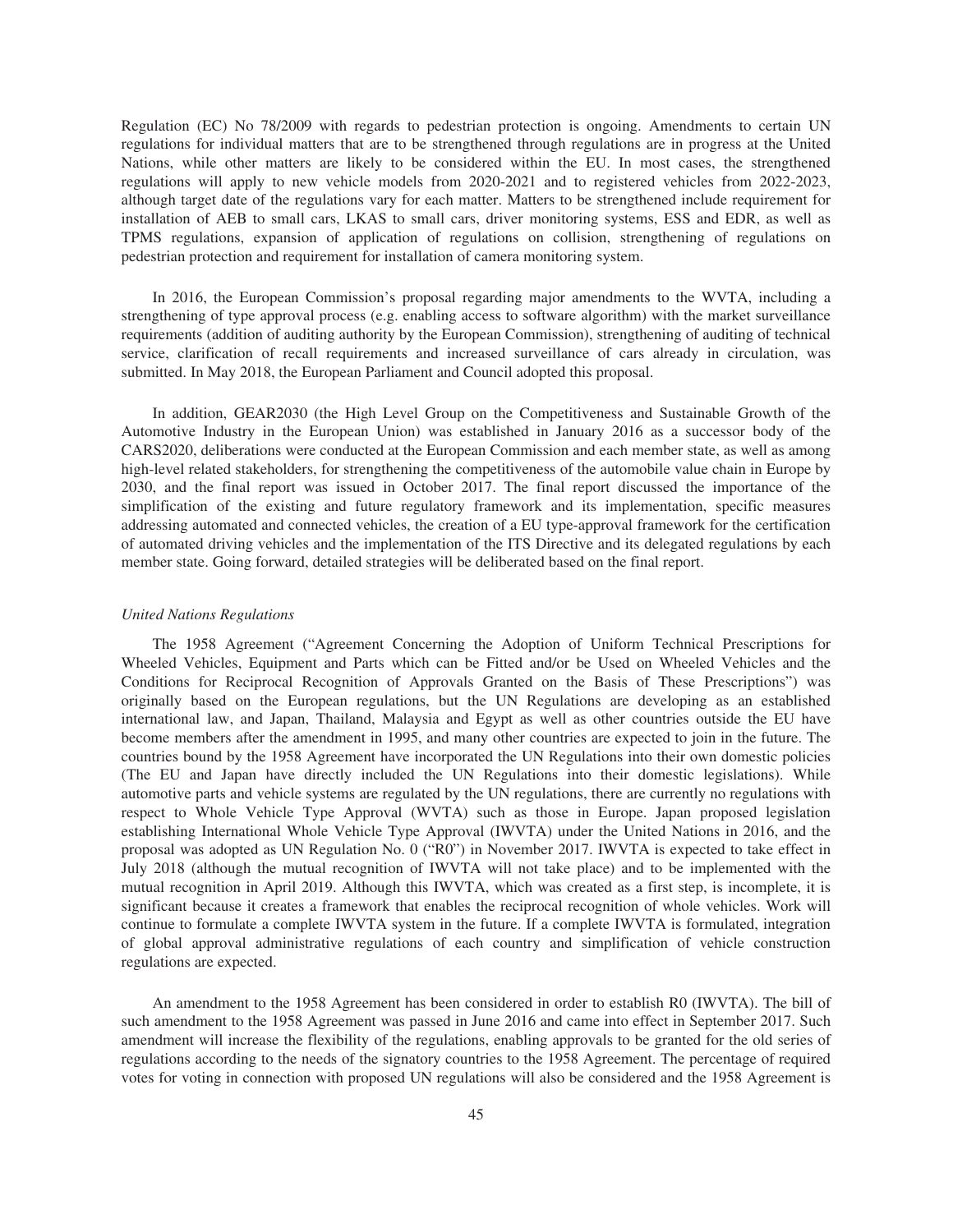Regulation (EC) No 78/2009 with regards to pedestrian protection is ongoing. Amendments to certain UN regulations for individual matters that are to be strengthened through regulations are in progress at the United Nations, while other matters are likely to be considered within the EU. In most cases, the strengthened regulations will apply to new vehicle models from 2020-2021 and to registered vehicles from 2022-2023, although target date of the regulations vary for each matter. Matters to be strengthened include requirement for installation of AEB to small cars, LKAS to small cars, driver monitoring systems, ESS and EDR, as well as TPMS regulations, expansion of application of regulations on collision, strengthening of regulations on pedestrian protection and requirement for installation of camera monitoring system.

In 2016, the European Commission's proposal regarding major amendments to the WVTA, including a strengthening of type approval process (e.g. enabling access to software algorithm) with the market surveillance requirements (addition of auditing authority by the European Commission), strengthening of auditing of technical service, clarification of recall requirements and increased surveillance of cars already in circulation, was submitted. In May 2018, the European Parliament and Council adopted this proposal.

In addition, GEAR2030 (the High Level Group on the Competitiveness and Sustainable Growth of the Automotive Industry in the European Union) was established in January 2016 as a successor body of the CARS2020, deliberations were conducted at the European Commission and each member state, as well as among high-level related stakeholders, for strengthening the competitiveness of the automobile value chain in Europe by 2030, and the final report was issued in October 2017. The final report discussed the importance of the simplification of the existing and future regulatory framework and its implementation, specific measures addressing automated and connected vehicles, the creation of a EU type-approval framework for the certification of automated driving vehicles and the implementation of the ITS Directive and its delegated regulations by each member state. Going forward, detailed strategies will be deliberated based on the final report.

## *United Nations Regulations*

The 1958 Agreement ("Agreement Concerning the Adoption of Uniform Technical Prescriptions for Wheeled Vehicles, Equipment and Parts which can be Fitted and/or be Used on Wheeled Vehicles and the Conditions for Reciprocal Recognition of Approvals Granted on the Basis of These Prescriptions") was originally based on the European regulations, but the UN Regulations are developing as an established international law, and Japan, Thailand, Malaysia and Egypt as well as other countries outside the EU have become members after the amendment in 1995, and many other countries are expected to join in the future. The countries bound by the 1958 Agreement have incorporated the UN Regulations into their own domestic policies (The EU and Japan have directly included the UN Regulations into their domestic legislations). While automotive parts and vehicle systems are regulated by the UN regulations, there are currently no regulations with respect to Whole Vehicle Type Approval (WVTA) such as those in Europe. Japan proposed legislation establishing International Whole Vehicle Type Approval (IWVTA) under the United Nations in 2016, and the proposal was adopted as UN Regulation No. 0 ("R0") in November 2017. IWVTA is expected to take effect in July 2018 (although the mutual recognition of IWVTA will not take place) and to be implemented with the mutual recognition in April 2019. Although this IWVTA, which was created as a first step, is incomplete, it is significant because it creates a framework that enables the reciprocal recognition of whole vehicles. Work will continue to formulate a complete IWVTA system in the future. If a complete IWVTA is formulated, integration of global approval administrative regulations of each country and simplification of vehicle construction regulations are expected.

An amendment to the 1958 Agreement has been considered in order to establish R0 (IWVTA). The bill of such amendment to the 1958 Agreement was passed in June 2016 and came into effect in September 2017. Such amendment will increase the flexibility of the regulations, enabling approvals to be granted for the old series of regulations according to the needs of the signatory countries to the 1958 Agreement. The percentage of required votes for voting in connection with proposed UN regulations will also be considered and the 1958 Agreement is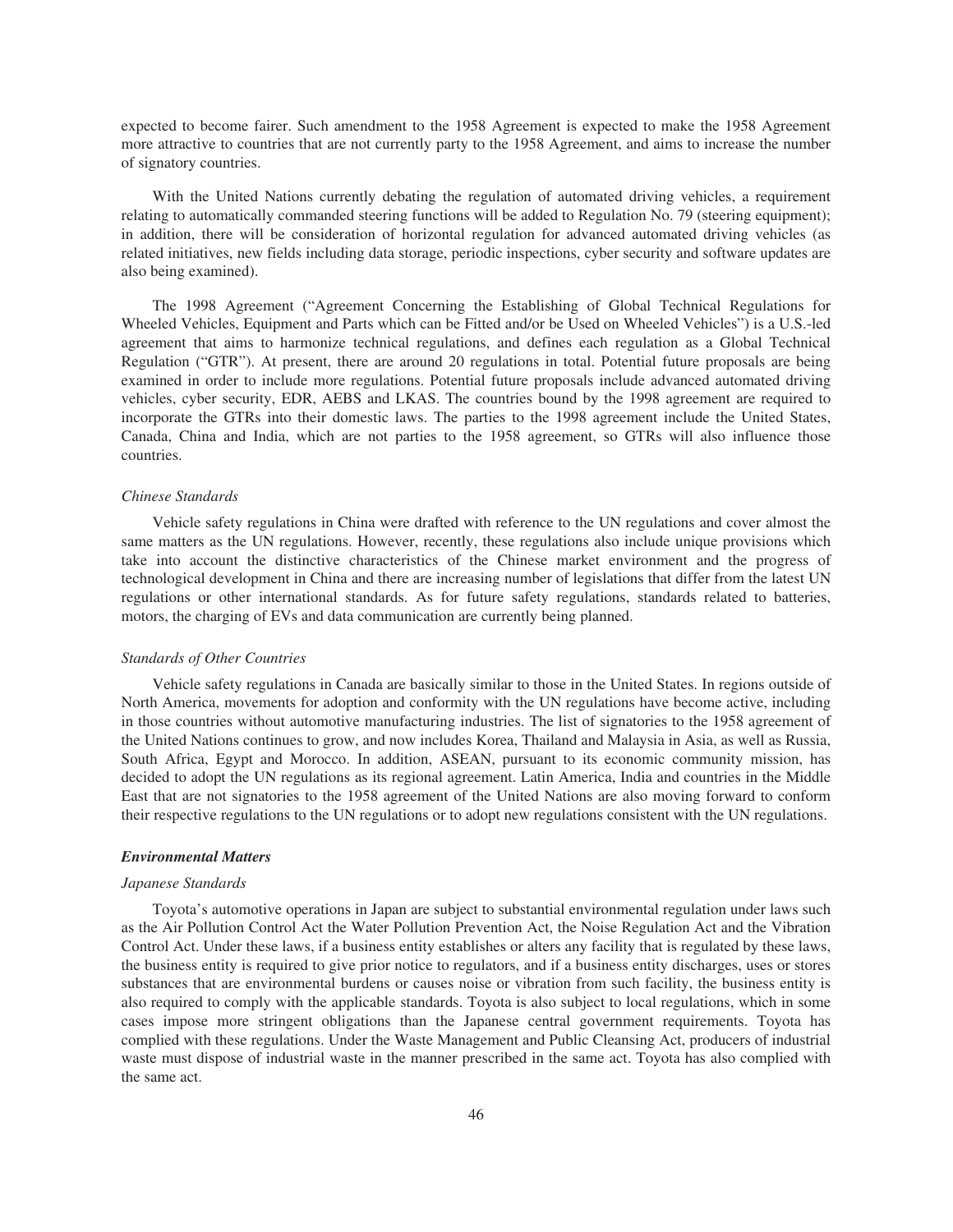expected to become fairer. Such amendment to the 1958 Agreement is expected to make the 1958 Agreement more attractive to countries that are not currently party to the 1958 Agreement, and aims to increase the number of signatory countries.

With the United Nations currently debating the regulation of automated driving vehicles, a requirement relating to automatically commanded steering functions will be added to Regulation No. 79 (steering equipment); in addition, there will be consideration of horizontal regulation for advanced automated driving vehicles (as related initiatives, new fields including data storage, periodic inspections, cyber security and software updates are also being examined).

The 1998 Agreement ("Agreement Concerning the Establishing of Global Technical Regulations for Wheeled Vehicles, Equipment and Parts which can be Fitted and/or be Used on Wheeled Vehicles") is a U.S.-led agreement that aims to harmonize technical regulations, and defines each regulation as a Global Technical Regulation ("GTR"). At present, there are around 20 regulations in total. Potential future proposals are being examined in order to include more regulations. Potential future proposals include advanced automated driving vehicles, cyber security, EDR, AEBS and LKAS. The countries bound by the 1998 agreement are required to incorporate the GTRs into their domestic laws. The parties to the 1998 agreement include the United States, Canada, China and India, which are not parties to the 1958 agreement, so GTRs will also influence those countries.

## *Chinese Standards*

Vehicle safety regulations in China were drafted with reference to the UN regulations and cover almost the same matters as the UN regulations. However, recently, these regulations also include unique provisions which take into account the distinctive characteristics of the Chinese market environment and the progress of technological development in China and there are increasing number of legislations that differ from the latest UN regulations or other international standards. As for future safety regulations, standards related to batteries, motors, the charging of EVs and data communication are currently being planned.

## *Standards of Other Countries*

Vehicle safety regulations in Canada are basically similar to those in the United States. In regions outside of North America, movements for adoption and conformity with the UN regulations have become active, including in those countries without automotive manufacturing industries. The list of signatories to the 1958 agreement of the United Nations continues to grow, and now includes Korea, Thailand and Malaysia in Asia, as well as Russia, South Africa, Egypt and Morocco. In addition, ASEAN, pursuant to its economic community mission, has decided to adopt the UN regulations as its regional agreement. Latin America, India and countries in the Middle East that are not signatories to the 1958 agreement of the United Nations are also moving forward to conform their respective regulations to the UN regulations or to adopt new regulations consistent with the UN regulations.

### *Environmental Matters*

#### *Japanese Standards*

Toyota's automotive operations in Japan are subject to substantial environmental regulation under laws such as the Air Pollution Control Act the Water Pollution Prevention Act, the Noise Regulation Act and the Vibration Control Act. Under these laws, if a business entity establishes or alters any facility that is regulated by these laws, the business entity is required to give prior notice to regulators, and if a business entity discharges, uses or stores substances that are environmental burdens or causes noise or vibration from such facility, the business entity is also required to comply with the applicable standards. Toyota is also subject to local regulations, which in some cases impose more stringent obligations than the Japanese central government requirements. Toyota has complied with these regulations. Under the Waste Management and Public Cleansing Act, producers of industrial waste must dispose of industrial waste in the manner prescribed in the same act. Toyota has also complied with the same act.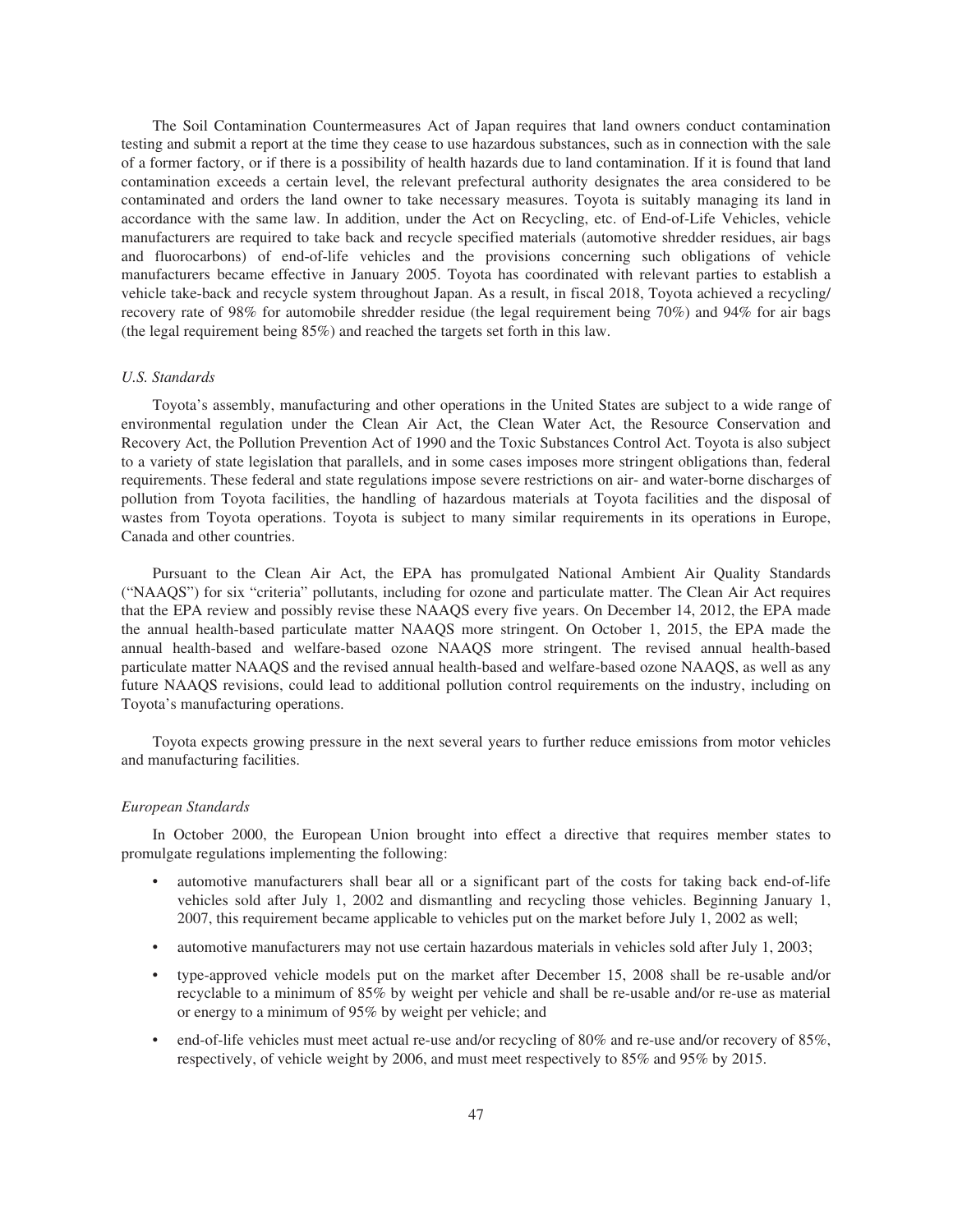The Soil Contamination Countermeasures Act of Japan requires that land owners conduct contamination testing and submit a report at the time they cease to use hazardous substances, such as in connection with the sale of a former factory, or if there is a possibility of health hazards due to land contamination. If it is found that land contamination exceeds a certain level, the relevant prefectural authority designates the area considered to be contaminated and orders the land owner to take necessary measures. Toyota is suitably managing its land in accordance with the same law. In addition, under the Act on Recycling, etc. of End-of-Life Vehicles, vehicle manufacturers are required to take back and recycle specified materials (automotive shredder residues, air bags and fluorocarbons) of end-of-life vehicles and the provisions concerning such obligations of vehicle manufacturers became effective in January 2005. Toyota has coordinated with relevant parties to establish a vehicle take-back and recycle system throughout Japan. As a result, in fiscal 2018, Toyota achieved a recycling/ recovery rate of 98% for automobile shredder residue (the legal requirement being 70%) and 94% for air bags (the legal requirement being 85%) and reached the targets set forth in this law.

### *U.S. Standards*

Toyota's assembly, manufacturing and other operations in the United States are subject to a wide range of environmental regulation under the Clean Air Act, the Clean Water Act, the Resource Conservation and Recovery Act, the Pollution Prevention Act of 1990 and the Toxic Substances Control Act. Toyota is also subject to a variety of state legislation that parallels, and in some cases imposes more stringent obligations than, federal requirements. These federal and state regulations impose severe restrictions on air- and water-borne discharges of pollution from Toyota facilities, the handling of hazardous materials at Toyota facilities and the disposal of wastes from Toyota operations. Toyota is subject to many similar requirements in its operations in Europe, Canada and other countries.

Pursuant to the Clean Air Act, the EPA has promulgated National Ambient Air Quality Standards ("NAAQS") for six "criteria" pollutants, including for ozone and particulate matter. The Clean Air Act requires that the EPA review and possibly revise these NAAQS every five years. On December 14, 2012, the EPA made the annual health-based particulate matter NAAQS more stringent. On October 1, 2015, the EPA made the annual health-based and welfare-based ozone NAAQS more stringent. The revised annual health-based particulate matter NAAQS and the revised annual health-based and welfare-based ozone NAAQS, as well as any future NAAQS revisions, could lead to additional pollution control requirements on the industry, including on Toyota's manufacturing operations.

Toyota expects growing pressure in the next several years to further reduce emissions from motor vehicles and manufacturing facilities.

### *European Standards*

In October 2000, the European Union brought into effect a directive that requires member states to promulgate regulations implementing the following:

- automotive manufacturers shall bear all or a significant part of the costs for taking back end-of-life vehicles sold after July 1, 2002 and dismantling and recycling those vehicles. Beginning January 1, 2007, this requirement became applicable to vehicles put on the market before July 1, 2002 as well;
- automotive manufacturers may not use certain hazardous materials in vehicles sold after July 1, 2003;
- type-approved vehicle models put on the market after December 15, 2008 shall be re-usable and/or recyclable to a minimum of 85% by weight per vehicle and shall be re-usable and/or re-use as material or energy to a minimum of 95% by weight per vehicle; and
- end-of-life vehicles must meet actual re-use and/or recycling of 80% and re-use and/or recovery of 85%, respectively, of vehicle weight by 2006, and must meet respectively to 85% and 95% by 2015.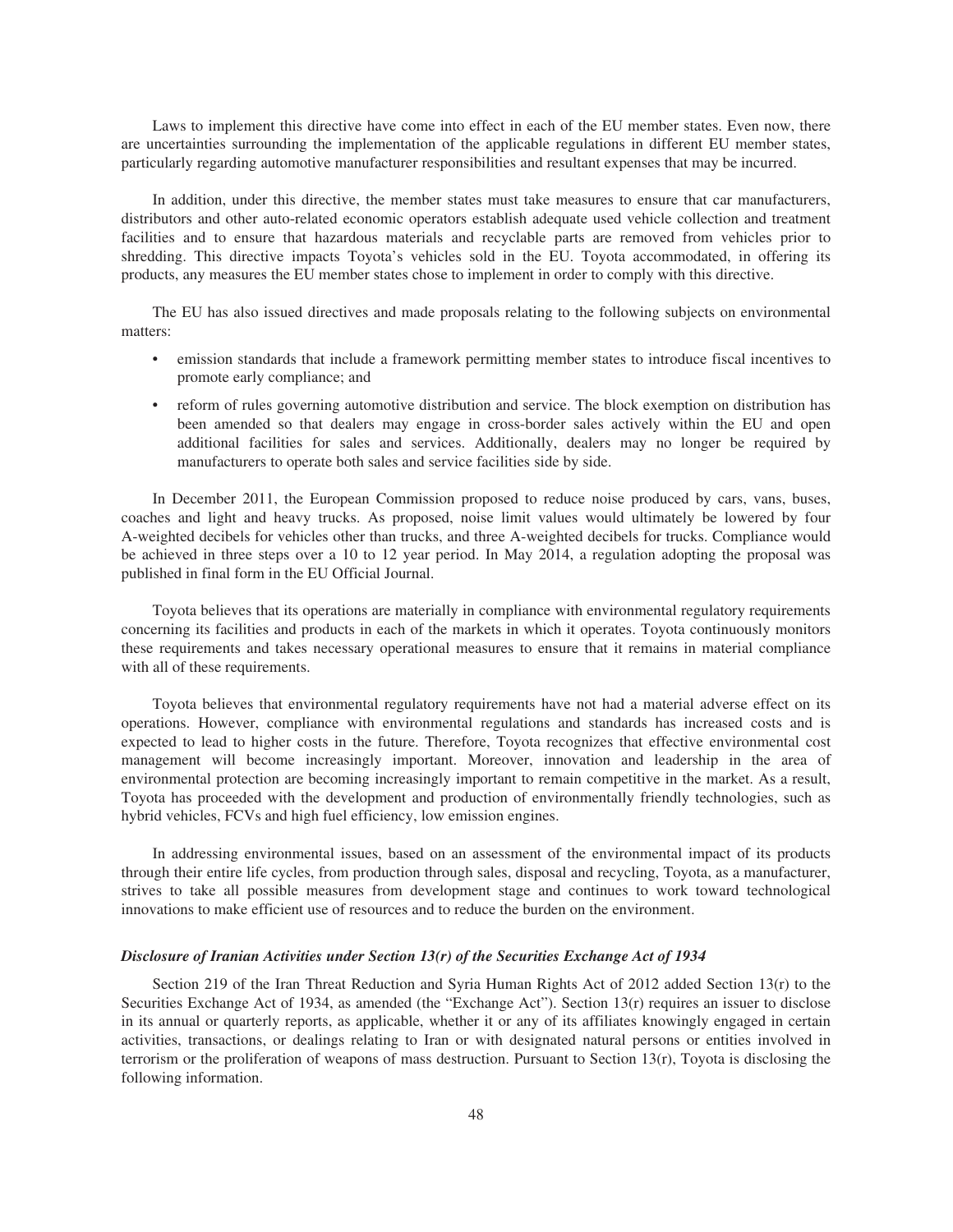Laws to implement this directive have come into effect in each of the EU member states. Even now, there are uncertainties surrounding the implementation of the applicable regulations in different EU member states, particularly regarding automotive manufacturer responsibilities and resultant expenses that may be incurred.

In addition, under this directive, the member states must take measures to ensure that car manufacturers, distributors and other auto-related economic operators establish adequate used vehicle collection and treatment facilities and to ensure that hazardous materials and recyclable parts are removed from vehicles prior to shredding. This directive impacts Toyota's vehicles sold in the EU. Toyota accommodated, in offering its products, any measures the EU member states chose to implement in order to comply with this directive.

The EU has also issued directives and made proposals relating to the following subjects on environmental matters:

- emission standards that include a framework permitting member states to introduce fiscal incentives to promote early compliance; and
- reform of rules governing automotive distribution and service. The block exemption on distribution has been amended so that dealers may engage in cross-border sales actively within the EU and open additional facilities for sales and services. Additionally, dealers may no longer be required by manufacturers to operate both sales and service facilities side by side.

In December 2011, the European Commission proposed to reduce noise produced by cars, vans, buses, coaches and light and heavy trucks. As proposed, noise limit values would ultimately be lowered by four A-weighted decibels for vehicles other than trucks, and three A-weighted decibels for trucks. Compliance would be achieved in three steps over a 10 to 12 year period. In May 2014, a regulation adopting the proposal was published in final form in the EU Official Journal.

Toyota believes that its operations are materially in compliance with environmental regulatory requirements concerning its facilities and products in each of the markets in which it operates. Toyota continuously monitors these requirements and takes necessary operational measures to ensure that it remains in material compliance with all of these requirements.

Toyota believes that environmental regulatory requirements have not had a material adverse effect on its operations. However, compliance with environmental regulations and standards has increased costs and is expected to lead to higher costs in the future. Therefore, Toyota recognizes that effective environmental cost management will become increasingly important. Moreover, innovation and leadership in the area of environmental protection are becoming increasingly important to remain competitive in the market. As a result, Toyota has proceeded with the development and production of environmentally friendly technologies, such as hybrid vehicles, FCVs and high fuel efficiency, low emission engines.

In addressing environmental issues, based on an assessment of the environmental impact of its products through their entire life cycles, from production through sales, disposal and recycling, Toyota, as a manufacturer, strives to take all possible measures from development stage and continues to work toward technological innovations to make efficient use of resources and to reduce the burden on the environment.

### *Disclosure of Iranian Activities under Section 13(r) of the Securities Exchange Act of 1934*

Section 219 of the Iran Threat Reduction and Syria Human Rights Act of 2012 added Section 13(r) to the Securities Exchange Act of 1934, as amended (the "Exchange Act"). Section 13(r) requires an issuer to disclose in its annual or quarterly reports, as applicable, whether it or any of its affiliates knowingly engaged in certain activities, transactions, or dealings relating to Iran or with designated natural persons or entities involved in terrorism or the proliferation of weapons of mass destruction. Pursuant to Section 13(r), Toyota is disclosing the following information.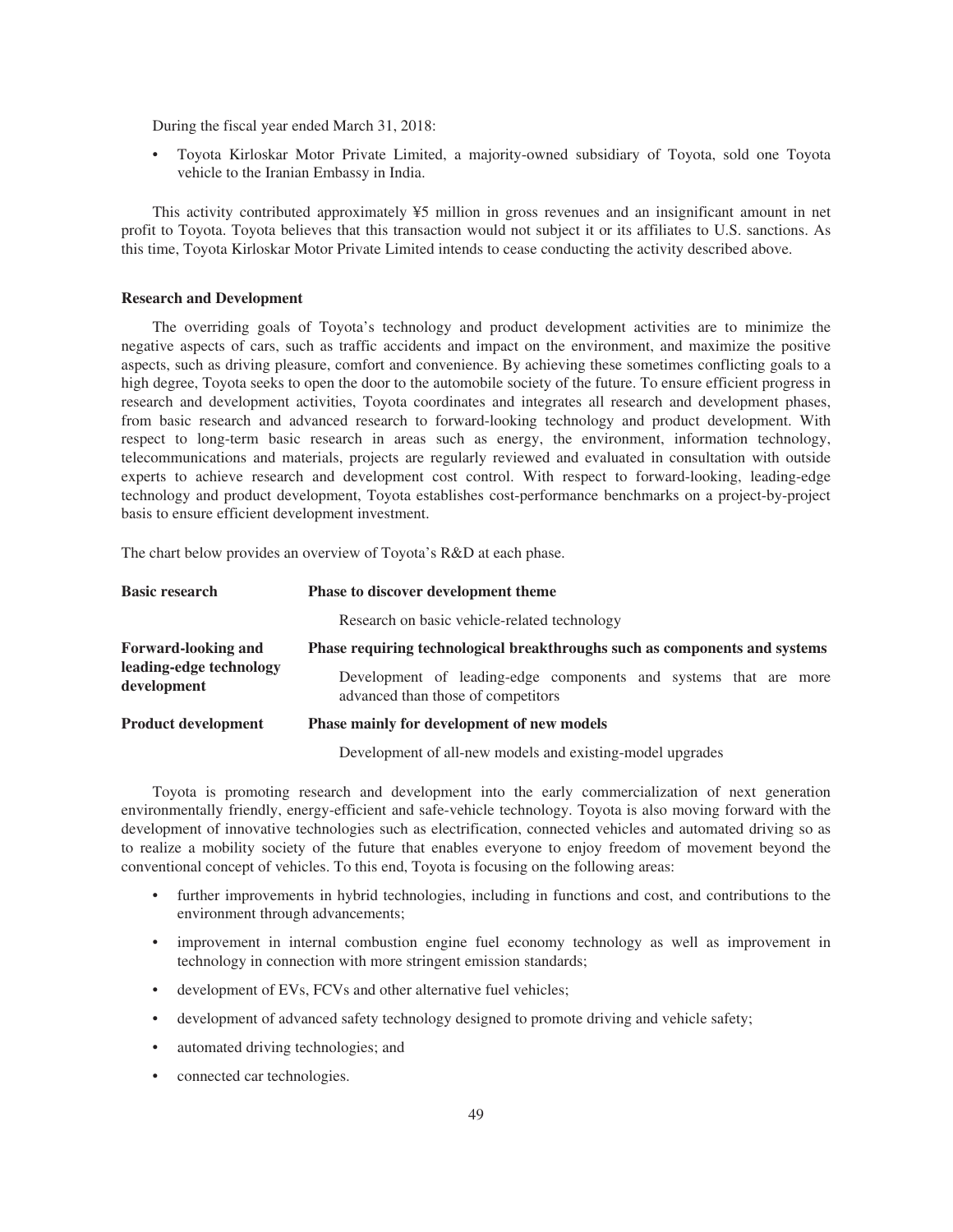During the fiscal year ended March 31, 2018:

• Toyota Kirloskar Motor Private Limited, a majority-owned subsidiary of Toyota, sold one Toyota vehicle to the Iranian Embassy in India.

This activity contributed approximately ¥5 million in gross revenues and an insignificant amount in net profit to Toyota. Toyota believes that this transaction would not subject it or its affiliates to U.S. sanctions. As this time, Toyota Kirloskar Motor Private Limited intends to cease conducting the activity described above.

## **Research and Development**

The overriding goals of Toyota's technology and product development activities are to minimize the negative aspects of cars, such as traffic accidents and impact on the environment, and maximize the positive aspects, such as driving pleasure, comfort and convenience. By achieving these sometimes conflicting goals to a high degree, Toyota seeks to open the door to the automobile society of the future. To ensure efficient progress in research and development activities, Toyota coordinates and integrates all research and development phases, from basic research and advanced research to forward-looking technology and product development. With respect to long-term basic research in areas such as energy, the environment, information technology, telecommunications and materials, projects are regularly reviewed and evaluated in consultation with outside experts to achieve research and development cost control. With respect to forward-looking, leading-edge technology and product development, Toyota establishes cost-performance benchmarks on a project-by-project basis to ensure efficient development investment.

The chart below provides an overview of Toyota's R&D at each phase.

| <b>Basic research</b>                                                | <b>Phase to discover development theme</b>                                                                                                                                           |  |  |  |  |
|----------------------------------------------------------------------|--------------------------------------------------------------------------------------------------------------------------------------------------------------------------------------|--|--|--|--|
|                                                                      | Research on basic vehicle-related technology                                                                                                                                         |  |  |  |  |
| <b>Forward-looking and</b><br>leading-edge technology<br>development | Phase requiring technological breakthroughs such as components and systems<br>Development of leading-edge components and systems that are more<br>advanced than those of competitors |  |  |  |  |
| <b>Product development</b>                                           | <b>Phase mainly for development of new models</b>                                                                                                                                    |  |  |  |  |

Development of all-new models and existing-model upgrades

Toyota is promoting research and development into the early commercialization of next generation environmentally friendly, energy-efficient and safe-vehicle technology. Toyota is also moving forward with the development of innovative technologies such as electrification, connected vehicles and automated driving so as to realize a mobility society of the future that enables everyone to enjoy freedom of movement beyond the conventional concept of vehicles. To this end, Toyota is focusing on the following areas:

- further improvements in hybrid technologies, including in functions and cost, and contributions to the environment through advancements;
- improvement in internal combustion engine fuel economy technology as well as improvement in technology in connection with more stringent emission standards;
- development of EVs, FCVs and other alternative fuel vehicles;
- development of advanced safety technology designed to promote driving and vehicle safety;
- automated driving technologies; and
- connected car technologies.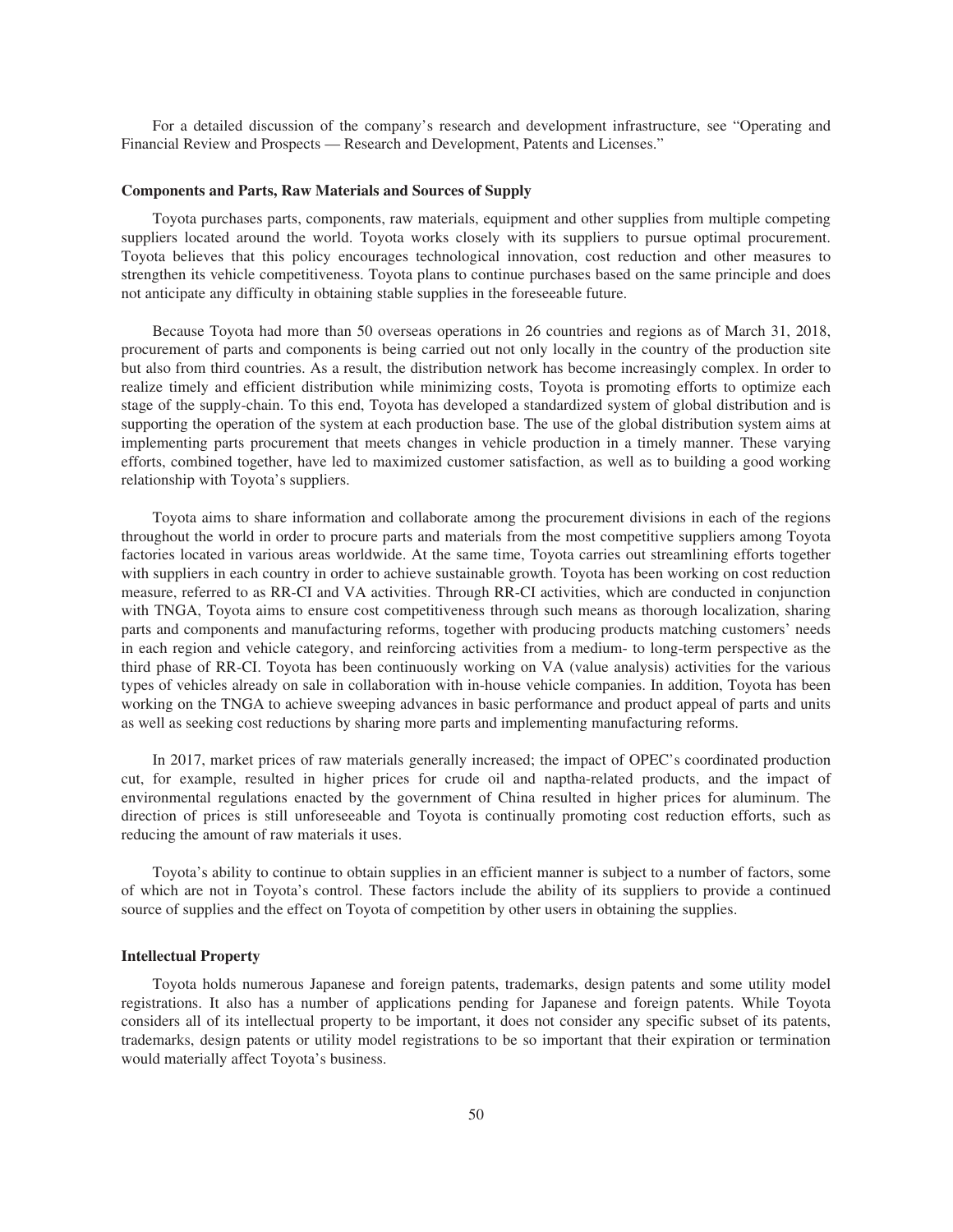For a detailed discussion of the company's research and development infrastructure, see "Operating and Financial Review and Prospects — Research and Development, Patents and Licenses."

#### **Components and Parts, Raw Materials and Sources of Supply**

Toyota purchases parts, components, raw materials, equipment and other supplies from multiple competing suppliers located around the world. Toyota works closely with its suppliers to pursue optimal procurement. Toyota believes that this policy encourages technological innovation, cost reduction and other measures to strengthen its vehicle competitiveness. Toyota plans to continue purchases based on the same principle and does not anticipate any difficulty in obtaining stable supplies in the foreseeable future.

Because Toyota had more than 50 overseas operations in 26 countries and regions as of March 31, 2018, procurement of parts and components is being carried out not only locally in the country of the production site but also from third countries. As a result, the distribution network has become increasingly complex. In order to realize timely and efficient distribution while minimizing costs, Toyota is promoting efforts to optimize each stage of the supply-chain. To this end, Toyota has developed a standardized system of global distribution and is supporting the operation of the system at each production base. The use of the global distribution system aims at implementing parts procurement that meets changes in vehicle production in a timely manner. These varying efforts, combined together, have led to maximized customer satisfaction, as well as to building a good working relationship with Toyota's suppliers.

Toyota aims to share information and collaborate among the procurement divisions in each of the regions throughout the world in order to procure parts and materials from the most competitive suppliers among Toyota factories located in various areas worldwide. At the same time, Toyota carries out streamlining efforts together with suppliers in each country in order to achieve sustainable growth. Toyota has been working on cost reduction measure, referred to as RR-CI and VA activities. Through RR-CI activities, which are conducted in conjunction with TNGA, Toyota aims to ensure cost competitiveness through such means as thorough localization, sharing parts and components and manufacturing reforms, together with producing products matching customers' needs in each region and vehicle category, and reinforcing activities from a medium- to long-term perspective as the third phase of RR-CI. Toyota has been continuously working on VA (value analysis) activities for the various types of vehicles already on sale in collaboration with in-house vehicle companies. In addition, Toyota has been working on the TNGA to achieve sweeping advances in basic performance and product appeal of parts and units as well as seeking cost reductions by sharing more parts and implementing manufacturing reforms.

In 2017, market prices of raw materials generally increased; the impact of OPEC's coordinated production cut, for example, resulted in higher prices for crude oil and naptha-related products, and the impact of environmental regulations enacted by the government of China resulted in higher prices for aluminum. The direction of prices is still unforeseeable and Toyota is continually promoting cost reduction efforts, such as reducing the amount of raw materials it uses.

Toyota's ability to continue to obtain supplies in an efficient manner is subject to a number of factors, some of which are not in Toyota's control. These factors include the ability of its suppliers to provide a continued source of supplies and the effect on Toyota of competition by other users in obtaining the supplies.

# **Intellectual Property**

Toyota holds numerous Japanese and foreign patents, trademarks, design patents and some utility model registrations. It also has a number of applications pending for Japanese and foreign patents. While Toyota considers all of its intellectual property to be important, it does not consider any specific subset of its patents, trademarks, design patents or utility model registrations to be so important that their expiration or termination would materially affect Toyota's business.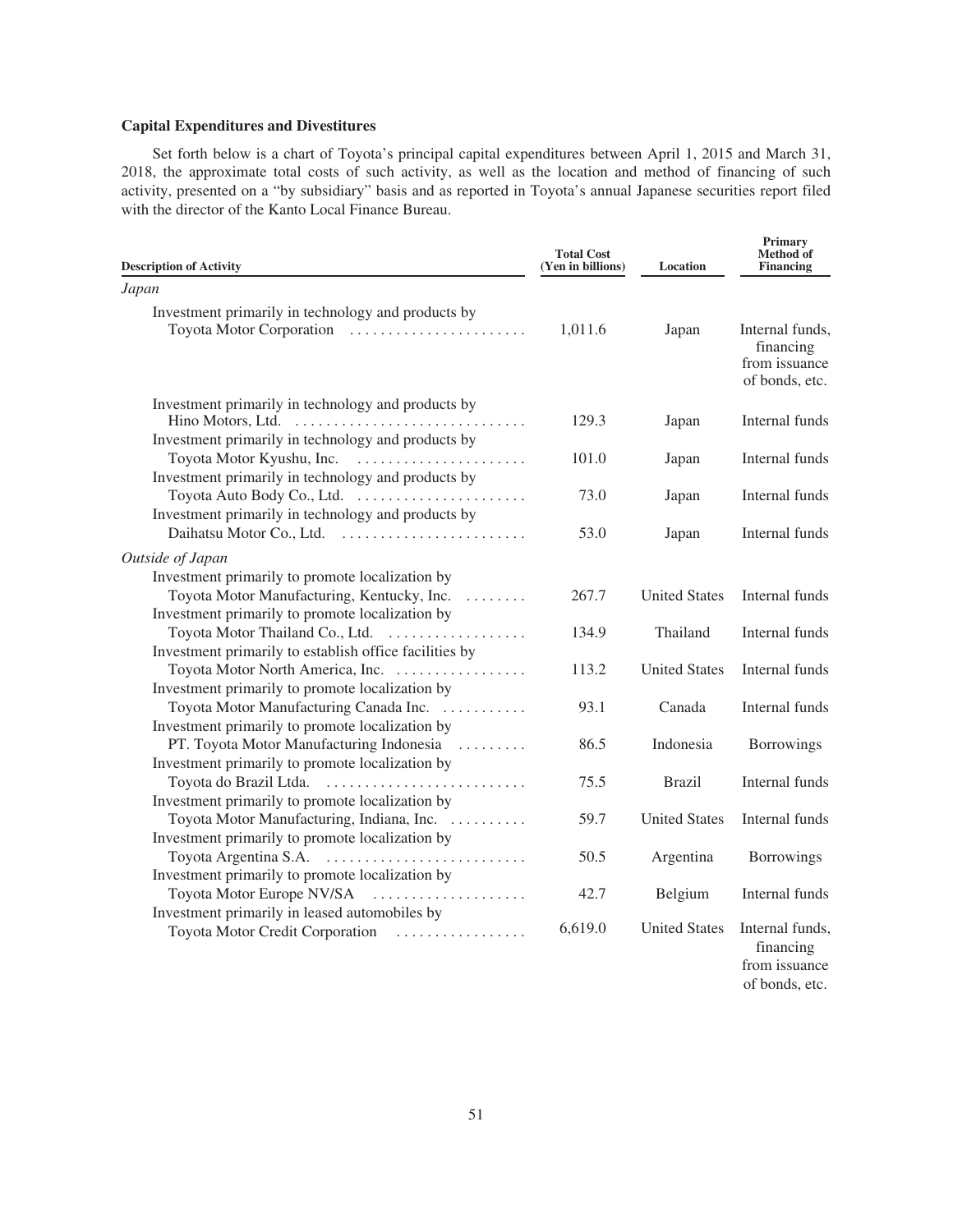# **Capital Expenditures and Divestitures**

Set forth below is a chart of Toyota's principal capital expenditures between April 1, 2015 and March 31, 2018, the approximate total costs of such activity, as well as the location and method of financing of such activity, presented on a "by subsidiary" basis and as reported in Toyota's annual Japanese securities report filed with the director of the Kanto Local Finance Bureau.

| <b>Description of Activity</b>                                                                                                                        | <b>Total Cost</b><br>(Yen in billions) | Location             | <b>Primary</b><br><b>Method</b> of<br><b>Financing</b>          |
|-------------------------------------------------------------------------------------------------------------------------------------------------------|----------------------------------------|----------------------|-----------------------------------------------------------------|
| Japan                                                                                                                                                 |                                        |                      |                                                                 |
| Investment primarily in technology and products by<br>Toyota Motor Corporation                                                                        | 1,011.6                                | Japan                | Internal funds,<br>financing<br>from issuance<br>of bonds, etc. |
| Investment primarily in technology and products by                                                                                                    | 129.3                                  | Japan                | Internal funds                                                  |
| Investment primarily in technology and products by<br>Toyota Motor Kyushu, Inc.                                                                       | 101.0                                  | Japan                | Internal funds                                                  |
| Investment primarily in technology and products by<br>Investment primarily in technology and products by                                              | 73.0                                   | Japan                | Internal funds                                                  |
|                                                                                                                                                       | 53.0                                   | Japan                | Internal funds                                                  |
| Outside of Japan                                                                                                                                      |                                        |                      |                                                                 |
| Investment primarily to promote localization by<br>Toyota Motor Manufacturing, Kentucky, Inc.<br>.<br>Investment primarily to promote localization by | 267.7                                  | <b>United States</b> | Internal funds                                                  |
| Toyota Motor Thailand Co., Ltd.<br>Investment primarily to establish office facilities by                                                             | 134.9                                  | Thailand             | Internal funds                                                  |
| Toyota Motor North America, Inc.<br>Investment primarily to promote localization by                                                                   | 113.2                                  | <b>United States</b> | Internal funds                                                  |
| Toyota Motor Manufacturing Canada Inc.<br>.<br>Investment primarily to promote localization by                                                        | 93.1                                   | Canada               | Internal funds                                                  |
| PT. Toyota Motor Manufacturing Indonesia<br>Investment primarily to promote localization by                                                           | 86.5                                   | Indonesia            | <b>Borrowings</b>                                               |
| Investment primarily to promote localization by                                                                                                       | 75.5                                   | <b>Brazil</b>        | Internal funds                                                  |
| Toyota Motor Manufacturing, Indiana, Inc.<br>Investment primarily to promote localization by                                                          | 59.7                                   | <b>United States</b> | Internal funds                                                  |
| Investment primarily to promote localization by                                                                                                       | 50.5                                   | Argentina            | <b>Borrowings</b>                                               |
| Toyota Motor Europe NV/SA                                                                                                                             | 42.7                                   | Belgium              | Internal funds                                                  |
| Investment primarily in leased automobiles by<br>Toyota Motor Credit Corporation<br>.                                                                 | 6,619.0                                | <b>United States</b> | Internal funds,<br>financing<br>from issuance<br>of bonds, etc. |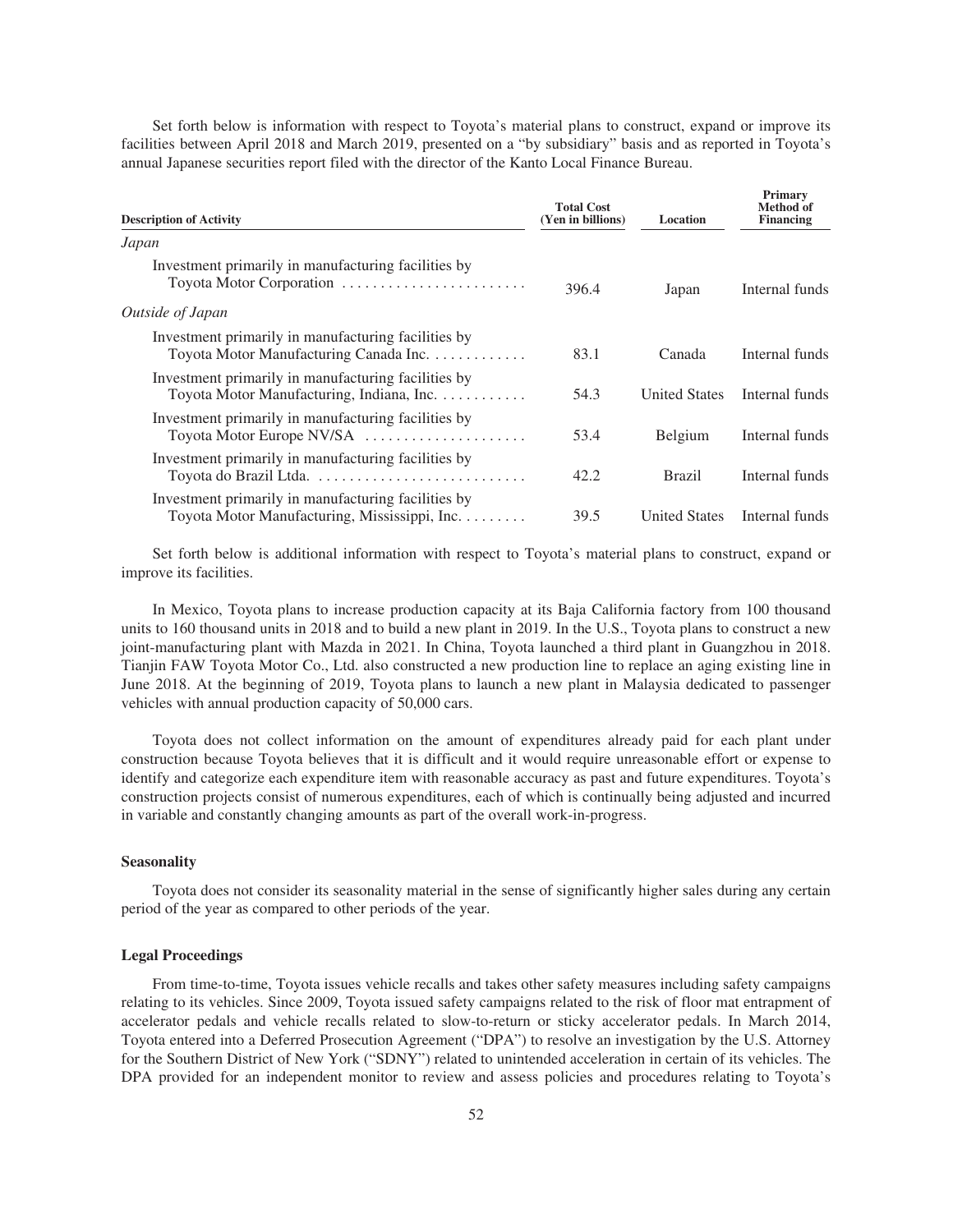Set forth below is information with respect to Toyota's material plans to construct, expand or improve its facilities between April 2018 and March 2019, presented on a "by subsidiary" basis and as reported in Toyota's annual Japanese securities report filed with the director of the Kanto Local Finance Bureau.

| <b>Description of Activity</b>                                                                       | <b>Total Cost</b><br>(Yen in billions) | Location             | Primary<br>Method of<br><b>Financing</b> |
|------------------------------------------------------------------------------------------------------|----------------------------------------|----------------------|------------------------------------------|
| Japan                                                                                                |                                        |                      |                                          |
| Investment primarily in manufacturing facilities by<br>Toyota Motor Corporation                      | 396.4                                  | Japan                | Internal funds                           |
| Outside of Japan                                                                                     |                                        |                      |                                          |
| Investment primarily in manufacturing facilities by<br>Toyota Motor Manufacturing Canada Inc.        | 83.1                                   | Canada               | Internal funds                           |
| Investment primarily in manufacturing facilities by<br>Toyota Motor Manufacturing, Indiana, Inc.     | 54.3                                   | <b>United States</b> | Internal funds                           |
| Investment primarily in manufacturing facilities by<br>Toyota Motor Europe NV/SA                     | 53.4                                   | Belgium              | Internal funds                           |
| Investment primarily in manufacturing facilities by                                                  | 42.2                                   | Brazil               | Internal funds                           |
| Investment primarily in manufacturing facilities by<br>Toyota Motor Manufacturing, Mississippi, Inc. | 39.5                                   | <b>United States</b> | Internal funds                           |

Set forth below is additional information with respect to Toyota's material plans to construct, expand or improve its facilities.

In Mexico, Toyota plans to increase production capacity at its Baja California factory from 100 thousand units to 160 thousand units in 2018 and to build a new plant in 2019. In the U.S., Toyota plans to construct a new joint-manufacturing plant with Mazda in 2021. In China, Toyota launched a third plant in Guangzhou in 2018. Tianjin FAW Toyota Motor Co., Ltd. also constructed a new production line to replace an aging existing line in June 2018. At the beginning of 2019, Toyota plans to launch a new plant in Malaysia dedicated to passenger vehicles with annual production capacity of 50,000 cars.

Toyota does not collect information on the amount of expenditures already paid for each plant under construction because Toyota believes that it is difficult and it would require unreasonable effort or expense to identify and categorize each expenditure item with reasonable accuracy as past and future expenditures. Toyota's construction projects consist of numerous expenditures, each of which is continually being adjusted and incurred in variable and constantly changing amounts as part of the overall work-in-progress.

# **Seasonality**

Toyota does not consider its seasonality material in the sense of significantly higher sales during any certain period of the year as compared to other periods of the year.

# **Legal Proceedings**

From time-to-time, Toyota issues vehicle recalls and takes other safety measures including safety campaigns relating to its vehicles. Since 2009, Toyota issued safety campaigns related to the risk of floor mat entrapment of accelerator pedals and vehicle recalls related to slow-to-return or sticky accelerator pedals. In March 2014, Toyota entered into a Deferred Prosecution Agreement ("DPA") to resolve an investigation by the U.S. Attorney for the Southern District of New York ("SDNY") related to unintended acceleration in certain of its vehicles. The DPA provided for an independent monitor to review and assess policies and procedures relating to Toyota's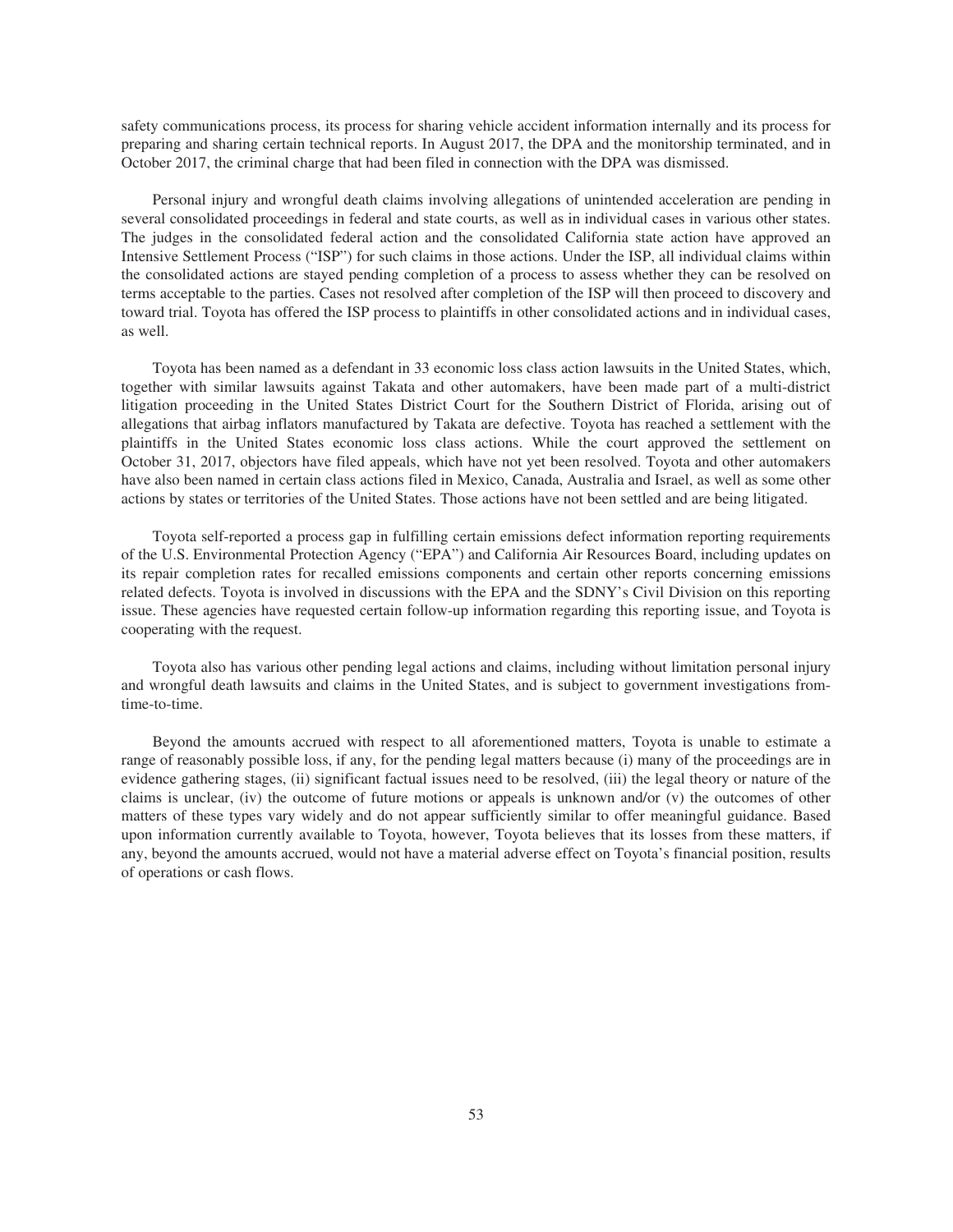safety communications process, its process for sharing vehicle accident information internally and its process for preparing and sharing certain technical reports. In August 2017, the DPA and the monitorship terminated, and in October 2017, the criminal charge that had been filed in connection with the DPA was dismissed.

Personal injury and wrongful death claims involving allegations of unintended acceleration are pending in several consolidated proceedings in federal and state courts, as well as in individual cases in various other states. The judges in the consolidated federal action and the consolidated California state action have approved an Intensive Settlement Process ("ISP") for such claims in those actions. Under the ISP, all individual claims within the consolidated actions are stayed pending completion of a process to assess whether they can be resolved on terms acceptable to the parties. Cases not resolved after completion of the ISP will then proceed to discovery and toward trial. Toyota has offered the ISP process to plaintiffs in other consolidated actions and in individual cases, as well.

Toyota has been named as a defendant in 33 economic loss class action lawsuits in the United States, which, together with similar lawsuits against Takata and other automakers, have been made part of a multi-district litigation proceeding in the United States District Court for the Southern District of Florida, arising out of allegations that airbag inflators manufactured by Takata are defective. Toyota has reached a settlement with the plaintiffs in the United States economic loss class actions. While the court approved the settlement on October 31, 2017, objectors have filed appeals, which have not yet been resolved. Toyota and other automakers have also been named in certain class actions filed in Mexico, Canada, Australia and Israel, as well as some other actions by states or territories of the United States. Those actions have not been settled and are being litigated.

Toyota self-reported a process gap in fulfilling certain emissions defect information reporting requirements of the U.S. Environmental Protection Agency ("EPA") and California Air Resources Board, including updates on its repair completion rates for recalled emissions components and certain other reports concerning emissions related defects. Toyota is involved in discussions with the EPA and the SDNY's Civil Division on this reporting issue. These agencies have requested certain follow-up information regarding this reporting issue, and Toyota is cooperating with the request.

Toyota also has various other pending legal actions and claims, including without limitation personal injury and wrongful death lawsuits and claims in the United States, and is subject to government investigations fromtime-to-time.

Beyond the amounts accrued with respect to all aforementioned matters, Toyota is unable to estimate a range of reasonably possible loss, if any, for the pending legal matters because (i) many of the proceedings are in evidence gathering stages, (ii) significant factual issues need to be resolved, (iii) the legal theory or nature of the claims is unclear, (iv) the outcome of future motions or appeals is unknown and/or (v) the outcomes of other matters of these types vary widely and do not appear sufficiently similar to offer meaningful guidance. Based upon information currently available to Toyota, however, Toyota believes that its losses from these matters, if any, beyond the amounts accrued, would not have a material adverse effect on Toyota's financial position, results of operations or cash flows.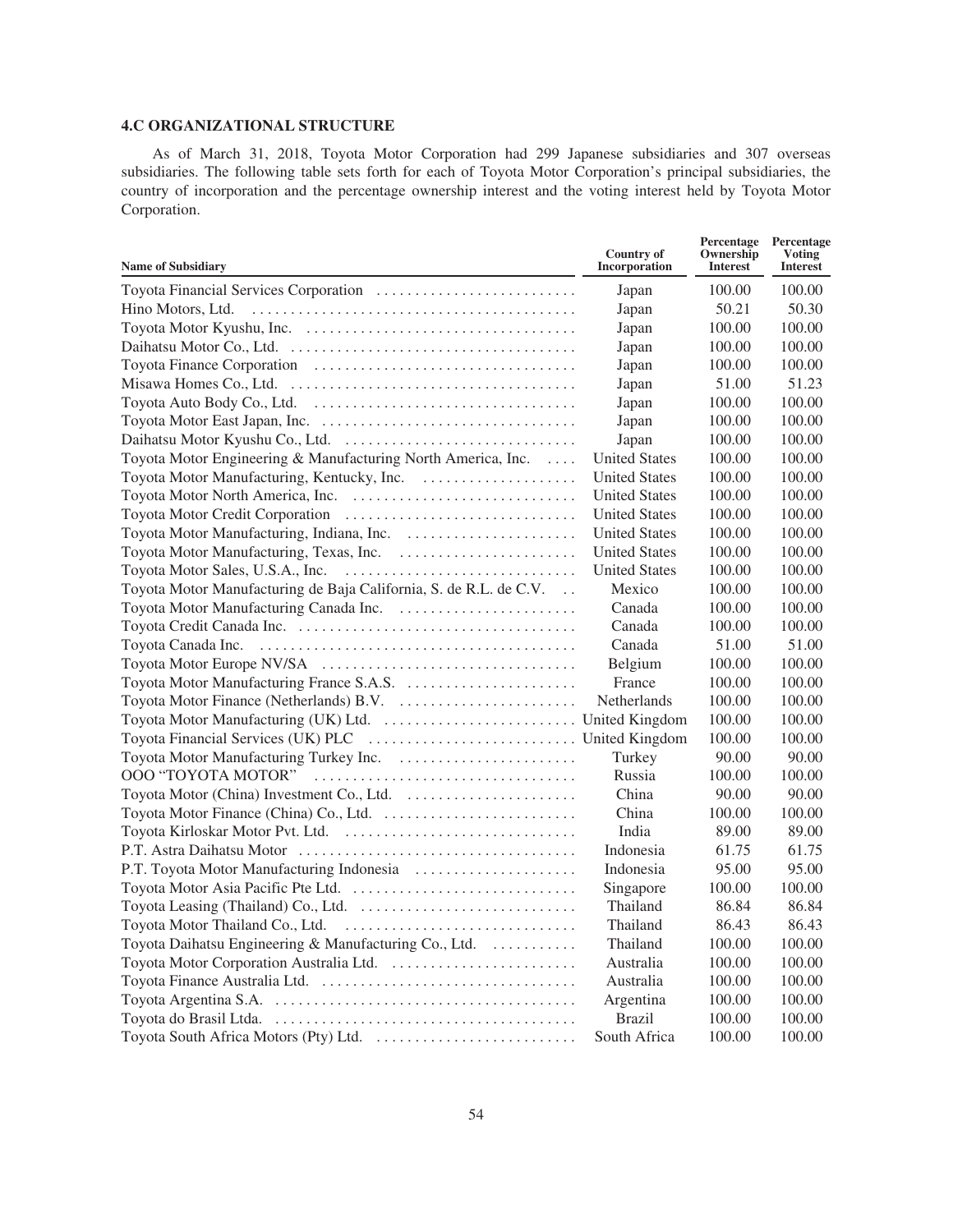# **4.C ORGANIZATIONAL STRUCTURE**

As of March 31, 2018, Toyota Motor Corporation had 299 Japanese subsidiaries and 307 overseas subsidiaries. The following table sets forth for each of Toyota Motor Corporation's principal subsidiaries, the country of incorporation and the percentage ownership interest and the voting interest held by Toyota Motor Corporation.

| <b>Name of Subsidiary</b>                                                                   | <b>Country of</b><br>Incorporation | Percentage<br>Ownership<br><b>Interest</b> | Percentage<br><b>Voting</b><br>Interest |
|---------------------------------------------------------------------------------------------|------------------------------------|--------------------------------------------|-----------------------------------------|
| Toyota Financial Services Corporation                                                       | Japan                              | 100.00                                     | 100.00                                  |
| Hino Motors, Ltd.                                                                           | Japan                              | 50.21                                      | 50.30                                   |
|                                                                                             | Japan                              | 100.00                                     | 100.00                                  |
|                                                                                             | Japan                              | 100.00                                     | 100.00                                  |
|                                                                                             | Japan                              | 100.00                                     | 100.00                                  |
|                                                                                             | Japan                              | 51.00                                      | 51.23                                   |
|                                                                                             | Japan                              | 100.00                                     | 100.00                                  |
|                                                                                             | Japan                              | 100.00                                     | 100.00                                  |
|                                                                                             | Japan                              | 100.00                                     | 100.00                                  |
| Toyota Motor Engineering & Manufacturing North America, Inc.<br>$\mathbf{1}$ . $\mathbf{1}$ | <b>United States</b>               | 100.00                                     | 100.00                                  |
|                                                                                             | <b>United States</b>               | 100.00                                     | 100.00                                  |
|                                                                                             | <b>United States</b>               | 100.00                                     | 100.00                                  |
|                                                                                             | <b>United States</b>               | 100.00                                     | 100.00                                  |
|                                                                                             | <b>United States</b>               | 100.00                                     | 100.00                                  |
|                                                                                             | <b>United States</b>               | 100.00                                     | 100.00                                  |
|                                                                                             | <b>United States</b>               | 100.00                                     | 100.00                                  |
| Toyota Motor Manufacturing de Baja California, S. de R.L. de C.V.                           | Mexico                             | 100.00                                     | 100.00                                  |
|                                                                                             | Canada                             | 100.00                                     | 100.00                                  |
|                                                                                             | Canada                             | 100.00                                     | 100.00                                  |
| Toyota Canada Inc.                                                                          | Canada                             | 51.00                                      | 51.00                                   |
|                                                                                             | Belgium                            | 100.00                                     | 100.00                                  |
| Toyota Motor Manufacturing France S.A.S.                                                    | France                             | 100.00                                     | 100.00                                  |
|                                                                                             | Netherlands                        | 100.00                                     | 100.00                                  |
|                                                                                             |                                    | 100.00                                     | 100.00                                  |
|                                                                                             |                                    | 100.00                                     | 100.00                                  |
|                                                                                             | Turkey                             | 90.00                                      | 90.00                                   |
| <b>OOO "TOYOTA MOTOR"</b>                                                                   | Russia                             | 100.00                                     | 100.00                                  |
|                                                                                             | China                              | 90.00                                      | 90.00                                   |
|                                                                                             | China                              | 100.00                                     | 100.00                                  |
|                                                                                             | India                              | 89.00                                      | 89.00                                   |
|                                                                                             | Indonesia                          | 61.75                                      | 61.75                                   |
| P.T. Toyota Motor Manufacturing Indonesia                                                   | Indonesia                          | 95.00                                      | 95.00                                   |
|                                                                                             | Singapore                          | 100.00                                     | 100.00                                  |
|                                                                                             | Thailand                           | 86.84                                      | 86.84                                   |
| Toyota Motor Thailand Co., Ltd.                                                             | Thailand                           | 86.43                                      | 86.43                                   |
| Toyota Daihatsu Engineering & Manufacturing Co., Ltd.                                       | Thailand                           | 100.00                                     | 100.00                                  |
| Toyota Motor Corporation Australia Ltd.                                                     | Australia                          | 100.00                                     | 100.00                                  |
|                                                                                             | Australia                          | 100.00                                     | 100.00                                  |
|                                                                                             | Argentina                          | 100.00                                     | 100.00                                  |
|                                                                                             | <b>Brazil</b>                      | 100.00                                     | 100.00                                  |
|                                                                                             | South Africa                       | 100.00                                     | 100.00                                  |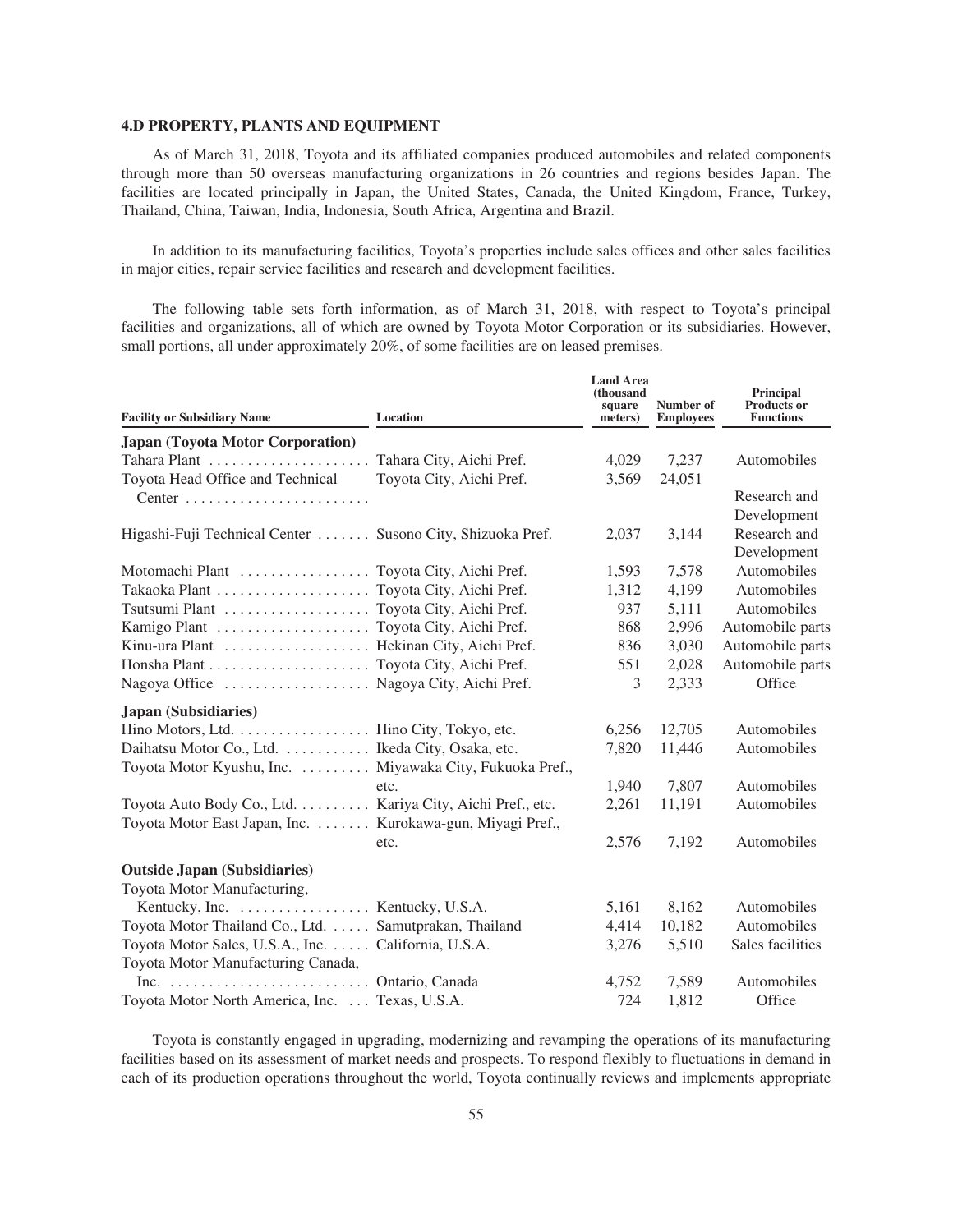## **4.D PROPERTY, PLANTS AND EQUIPMENT**

As of March 31, 2018, Toyota and its affiliated companies produced automobiles and related components through more than 50 overseas manufacturing organizations in 26 countries and regions besides Japan. The facilities are located principally in Japan, the United States, Canada, the United Kingdom, France, Turkey, Thailand, China, Taiwan, India, Indonesia, South Africa, Argentina and Brazil.

In addition to its manufacturing facilities, Toyota's properties include sales offices and other sales facilities in major cities, repair service facilities and research and development facilities.

The following table sets forth information, as of March 31, 2018, with respect to Toyota's principal facilities and organizations, all of which are owned by Toyota Motor Corporation or its subsidiaries. However, small portions, all under approximately 20%, of some facilities are on leased premises.

**Land Area**

| <b>Facility or Subsidiary Name</b>                         | Location                 | еана Агеа<br>(thousand<br>square<br>meters) | Number of<br><b>Employees</b> | Principal<br>Products or<br><b>Functions</b> |
|------------------------------------------------------------|--------------------------|---------------------------------------------|-------------------------------|----------------------------------------------|
| <b>Japan (Toyota Motor Corporation)</b>                    |                          |                                             |                               |                                              |
| Tahara Plant                                               | Tahara City, Aichi Pref. | 4,029                                       | 7,237                         | Automobiles                                  |
| Toyota Head Office and Technical                           | Toyota City, Aichi Pref. | 3,569                                       | 24,051                        |                                              |
| Center                                                     |                          |                                             |                               | Research and                                 |
|                                                            |                          |                                             |                               | Development                                  |
| Higashi-Fuji Technical Center  Susono City, Shizuoka Pref. |                          | 2,037                                       | 3,144                         | Research and                                 |
|                                                            |                          |                                             |                               | Development                                  |
| Motomachi Plant  Toyota City, Aichi Pref.                  |                          | 1,593                                       | 7,578                         | Automobiles                                  |
|                                                            |                          | 1,312                                       | 4,199                         | Automobiles                                  |
| Tsutsumi Plant Toyota City, Aichi Pref.                    |                          | 937                                         | 5,111                         | Automobiles                                  |
| Kamigo Plant  Toyota City, Aichi Pref.                     |                          | 868                                         | 2,996                         | Automobile parts                             |
| Kinu-ura Plant  Hekinan City, Aichi Pref.                  |                          | 836                                         | 3,030                         | Automobile parts                             |
|                                                            |                          | 551                                         | 2,028                         | Automobile parts                             |
| Nagoya Office  Nagoya City, Aichi Pref.                    |                          | 3                                           | 2,333                         | Office                                       |
| <b>Japan (Subsidiaries)</b>                                |                          |                                             |                               |                                              |
| Hino Motors, Ltd. Hino City, Tokyo, etc.                   |                          | 6,256                                       | 12,705                        | Automobiles                                  |
| Daihatsu Motor Co., Ltd. Ikeda City, Osaka, etc.           |                          | 7,820                                       | 11,446                        | Automobiles                                  |
| Toyota Motor Kyushu, Inc. Miyawaka City, Fukuoka Pref.,    |                          |                                             |                               |                                              |
|                                                            | etc.                     | 1,940                                       | 7,807                         | Automobiles                                  |
| Toyota Auto Body Co., Ltd. Kariya City, Aichi Pref., etc.  |                          | 2,261                                       | 11,191                        | Automobiles                                  |
| Toyota Motor East Japan, Inc. Kurokawa-gun, Miyagi Pref.,  |                          |                                             |                               |                                              |
|                                                            | etc.                     | 2,576                                       | 7,192                         | Automobiles                                  |
| <b>Outside Japan (Subsidiaries)</b>                        |                          |                                             |                               |                                              |
| Toyota Motor Manufacturing,                                |                          |                                             |                               |                                              |
|                                                            |                          | 5,161                                       | 8,162                         | Automobiles                                  |
| Toyota Motor Thailand Co., Ltd. Samutprakan, Thailand      |                          | 4,414                                       | 10,182                        | Automobiles                                  |
| Toyota Motor Sales, U.S.A., Inc. California, U.S.A.        |                          | 3,276                                       | 5,510                         | Sales facilities                             |
| Toyota Motor Manufacturing Canada,                         |                          |                                             |                               |                                              |
|                                                            |                          | 4,752                                       | 7,589                         | Automobiles                                  |
| Toyota Motor North America, Inc.  Texas, U.S.A.            |                          | 724                                         | 1,812                         | Office                                       |

Toyota is constantly engaged in upgrading, modernizing and revamping the operations of its manufacturing facilities based on its assessment of market needs and prospects. To respond flexibly to fluctuations in demand in each of its production operations throughout the world, Toyota continually reviews and implements appropriate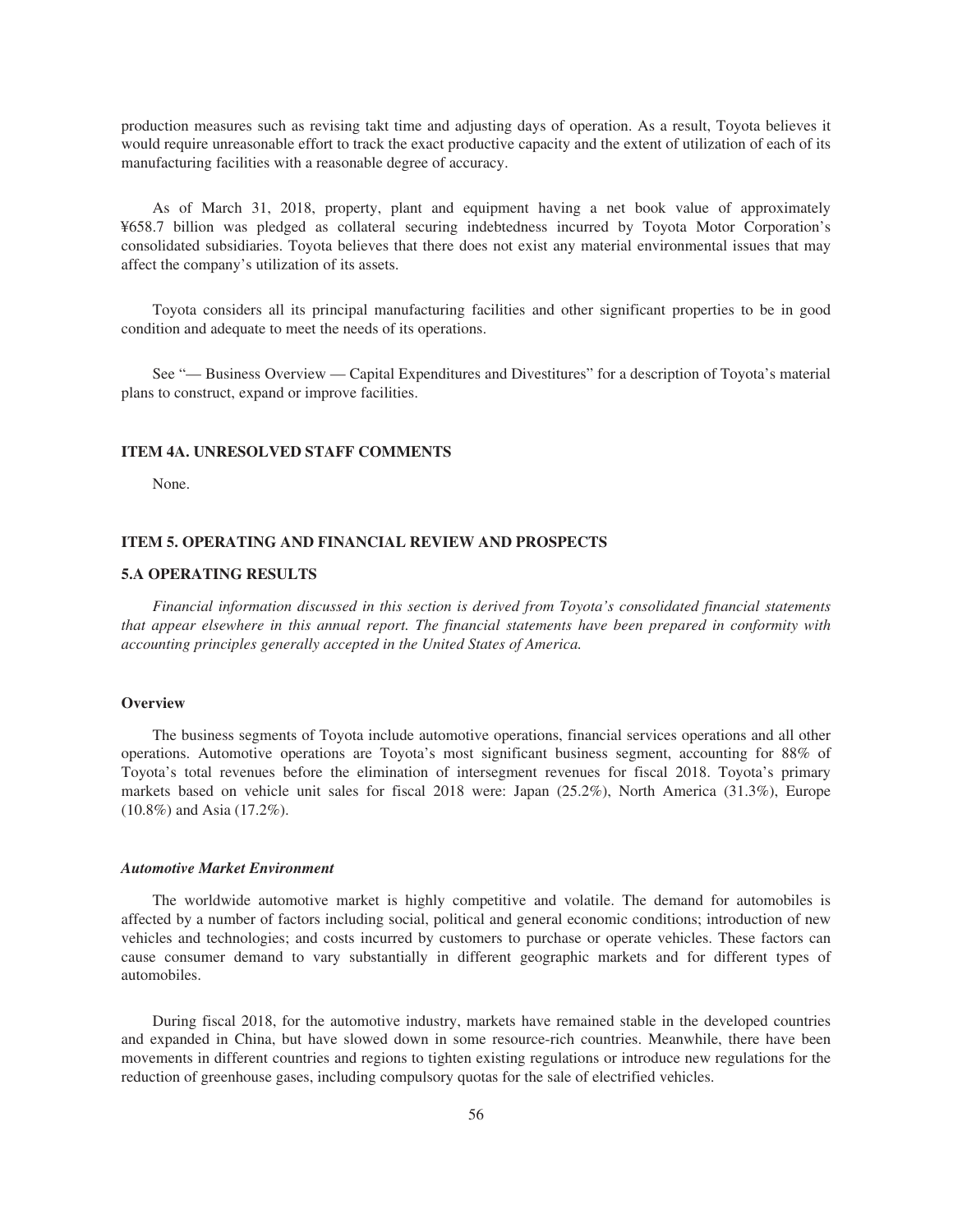production measures such as revising takt time and adjusting days of operation. As a result, Toyota believes it would require unreasonable effort to track the exact productive capacity and the extent of utilization of each of its manufacturing facilities with a reasonable degree of accuracy.

As of March 31, 2018, property, plant and equipment having a net book value of approximately ¥658.7 billion was pledged as collateral securing indebtedness incurred by Toyota Motor Corporation's consolidated subsidiaries. Toyota believes that there does not exist any material environmental issues that may affect the company's utilization of its assets.

Toyota considers all its principal manufacturing facilities and other significant properties to be in good condition and adequate to meet the needs of its operations.

See "— Business Overview — Capital Expenditures and Divestitures" for a description of Toyota's material plans to construct, expand or improve facilities.

# **ITEM 4A. UNRESOLVED STAFF COMMENTS**

None.

# **ITEM 5. OPERATING AND FINANCIAL REVIEW AND PROSPECTS**

# **5.A OPERATING RESULTS**

*Financial information discussed in this section is derived from Toyota's consolidated financial statements that appear elsewhere in this annual report. The financial statements have been prepared in conformity with accounting principles generally accepted in the United States of America.*

# **Overview**

The business segments of Toyota include automotive operations, financial services operations and all other operations. Automotive operations are Toyota's most significant business segment, accounting for 88% of Toyota's total revenues before the elimination of intersegment revenues for fiscal 2018. Toyota's primary markets based on vehicle unit sales for fiscal 2018 were: Japan (25.2%), North America (31.3%), Europe (10.8%) and Asia (17.2%).

## *Automotive Market Environment*

The worldwide automotive market is highly competitive and volatile. The demand for automobiles is affected by a number of factors including social, political and general economic conditions; introduction of new vehicles and technologies; and costs incurred by customers to purchase or operate vehicles. These factors can cause consumer demand to vary substantially in different geographic markets and for different types of automobiles.

During fiscal 2018, for the automotive industry, markets have remained stable in the developed countries and expanded in China, but have slowed down in some resource-rich countries. Meanwhile, there have been movements in different countries and regions to tighten existing regulations or introduce new regulations for the reduction of greenhouse gases, including compulsory quotas for the sale of electrified vehicles.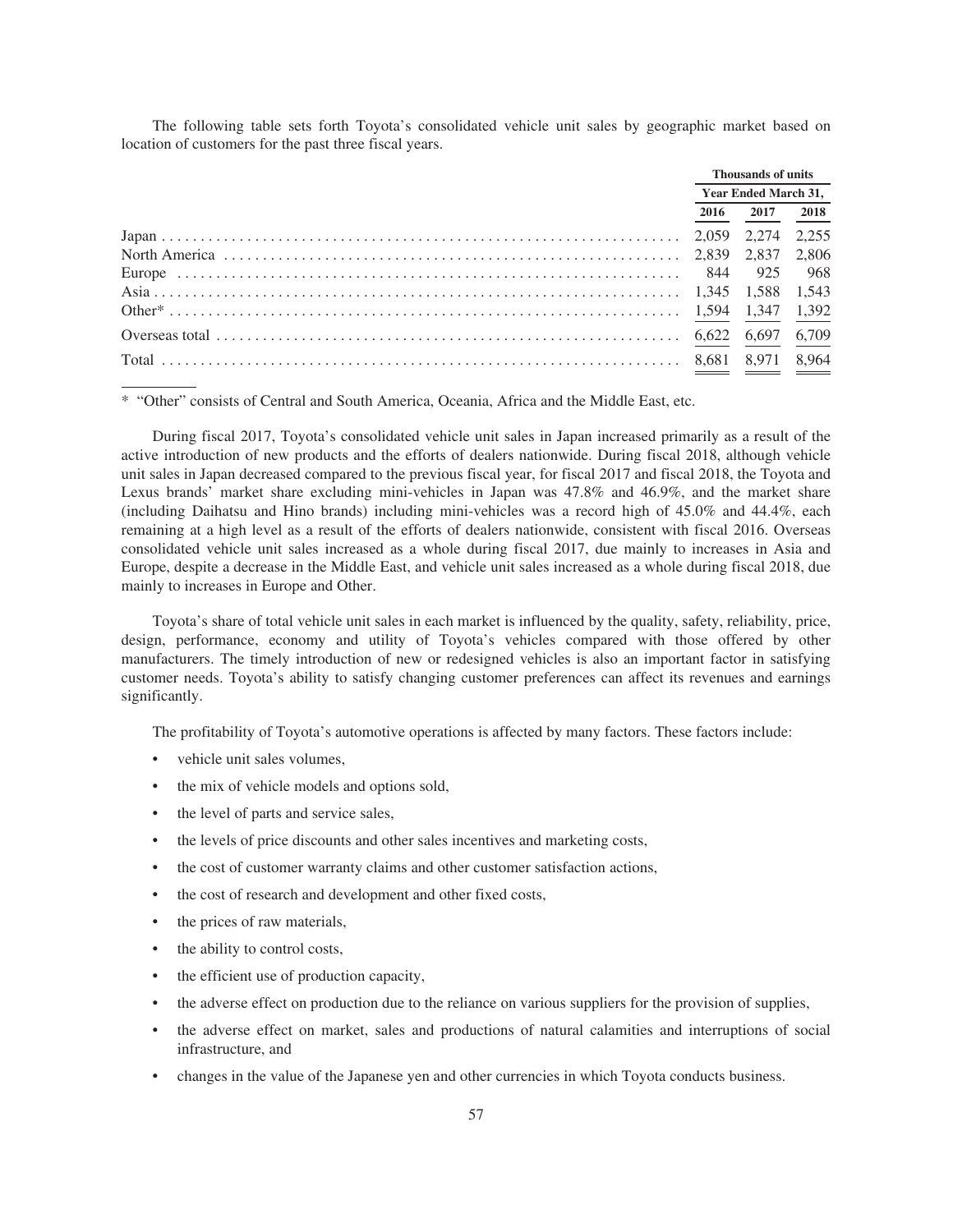The following table sets forth Toyota's consolidated vehicle unit sales by geographic market based on location of customers for the past three fiscal years.

| <b>Thousands of units</b>   |                |  |
|-----------------------------|----------------|--|
| <b>Year Ended March 31,</b> |                |  |
|                             | 2016 2017 2018 |  |
|                             |                |  |
|                             |                |  |
|                             |                |  |
|                             |                |  |
|                             |                |  |
|                             |                |  |
|                             |                |  |

\* "Other" consists of Central and South America, Oceania, Africa and the Middle East, etc.

During fiscal 2017, Toyota's consolidated vehicle unit sales in Japan increased primarily as a result of the active introduction of new products and the efforts of dealers nationwide. During fiscal 2018, although vehicle unit sales in Japan decreased compared to the previous fiscal year, for fiscal 2017 and fiscal 2018, the Toyota and Lexus brands' market share excluding mini-vehicles in Japan was 47.8% and 46.9%, and the market share (including Daihatsu and Hino brands) including mini-vehicles was a record high of 45.0% and 44.4%, each remaining at a high level as a result of the efforts of dealers nationwide, consistent with fiscal 2016. Overseas consolidated vehicle unit sales increased as a whole during fiscal 2017, due mainly to increases in Asia and Europe, despite a decrease in the Middle East, and vehicle unit sales increased as a whole during fiscal 2018, due mainly to increases in Europe and Other.

Toyota's share of total vehicle unit sales in each market is influenced by the quality, safety, reliability, price, design, performance, economy and utility of Toyota's vehicles compared with those offered by other manufacturers. The timely introduction of new or redesigned vehicles is also an important factor in satisfying customer needs. Toyota's ability to satisfy changing customer preferences can affect its revenues and earnings significantly.

The profitability of Toyota's automotive operations is affected by many factors. These factors include:

- vehicle unit sales volumes,
- the mix of vehicle models and options sold,
- the level of parts and service sales,
- the levels of price discounts and other sales incentives and marketing costs,
- the cost of customer warranty claims and other customer satisfaction actions,
- the cost of research and development and other fixed costs,
- the prices of raw materials,
- the ability to control costs,
- the efficient use of production capacity,
- the adverse effect on production due to the reliance on various suppliers for the provision of supplies,
- the adverse effect on market, sales and productions of natural calamities and interruptions of social infrastructure, and
- changes in the value of the Japanese yen and other currencies in which Toyota conducts business.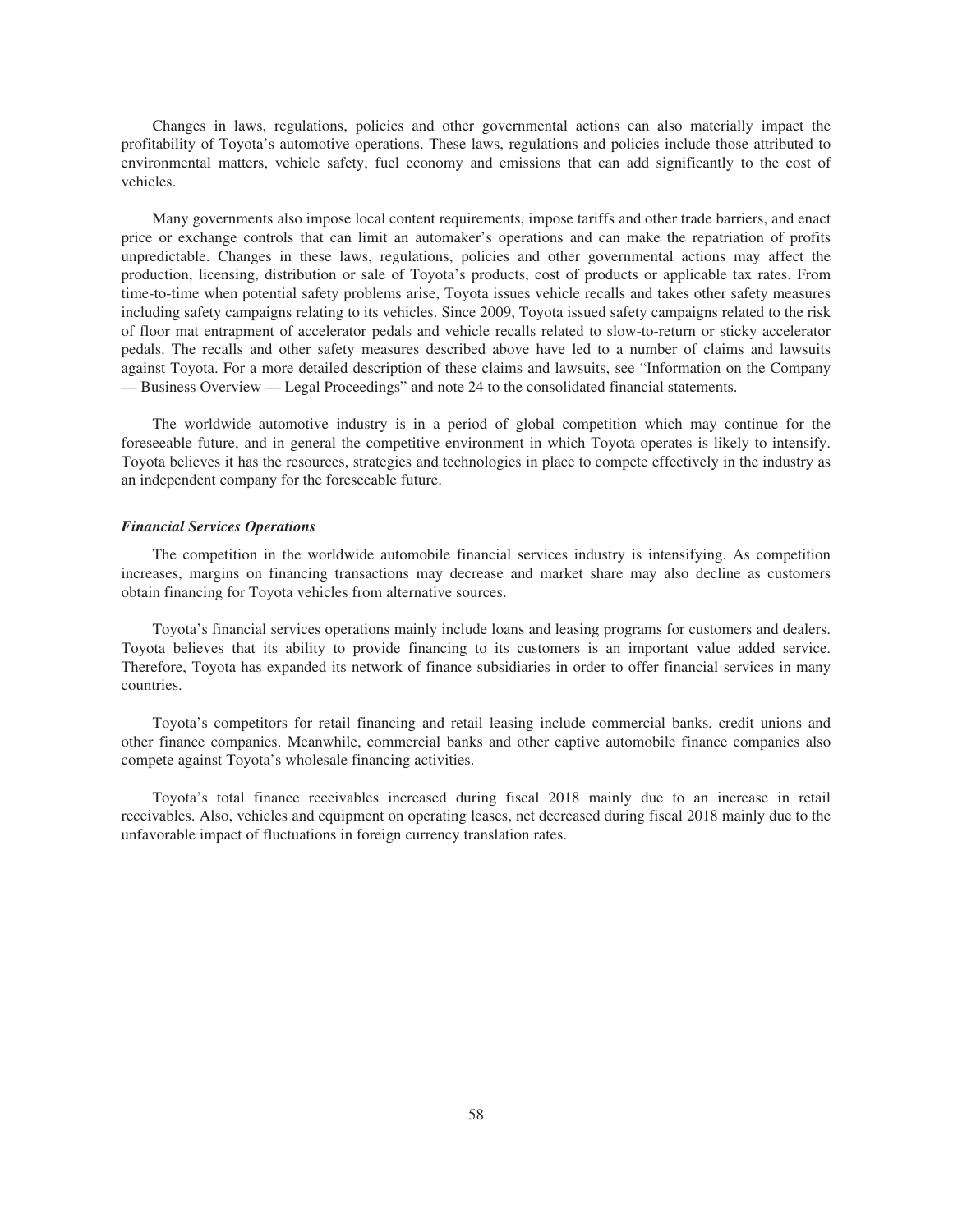Changes in laws, regulations, policies and other governmental actions can also materially impact the profitability of Toyota's automotive operations. These laws, regulations and policies include those attributed to environmental matters, vehicle safety, fuel economy and emissions that can add significantly to the cost of vehicles.

Many governments also impose local content requirements, impose tariffs and other trade barriers, and enact price or exchange controls that can limit an automaker's operations and can make the repatriation of profits unpredictable. Changes in these laws, regulations, policies and other governmental actions may affect the production, licensing, distribution or sale of Toyota's products, cost of products or applicable tax rates. From time-to-time when potential safety problems arise, Toyota issues vehicle recalls and takes other safety measures including safety campaigns relating to its vehicles. Since 2009, Toyota issued safety campaigns related to the risk of floor mat entrapment of accelerator pedals and vehicle recalls related to slow-to-return or sticky accelerator pedals. The recalls and other safety measures described above have led to a number of claims and lawsuits against Toyota. For a more detailed description of these claims and lawsuits, see "Information on the Company — Business Overview — Legal Proceedings" and note 24 to the consolidated financial statements.

The worldwide automotive industry is in a period of global competition which may continue for the foreseeable future, and in general the competitive environment in which Toyota operates is likely to intensify. Toyota believes it has the resources, strategies and technologies in place to compete effectively in the industry as an independent company for the foreseeable future.

#### *Financial Services Operations*

The competition in the worldwide automobile financial services industry is intensifying. As competition increases, margins on financing transactions may decrease and market share may also decline as customers obtain financing for Toyota vehicles from alternative sources.

Toyota's financial services operations mainly include loans and leasing programs for customers and dealers. Toyota believes that its ability to provide financing to its customers is an important value added service. Therefore, Toyota has expanded its network of finance subsidiaries in order to offer financial services in many countries.

Toyota's competitors for retail financing and retail leasing include commercial banks, credit unions and other finance companies. Meanwhile, commercial banks and other captive automobile finance companies also compete against Toyota's wholesale financing activities.

Toyota's total finance receivables increased during fiscal 2018 mainly due to an increase in retail receivables. Also, vehicles and equipment on operating leases, net decreased during fiscal 2018 mainly due to the unfavorable impact of fluctuations in foreign currency translation rates.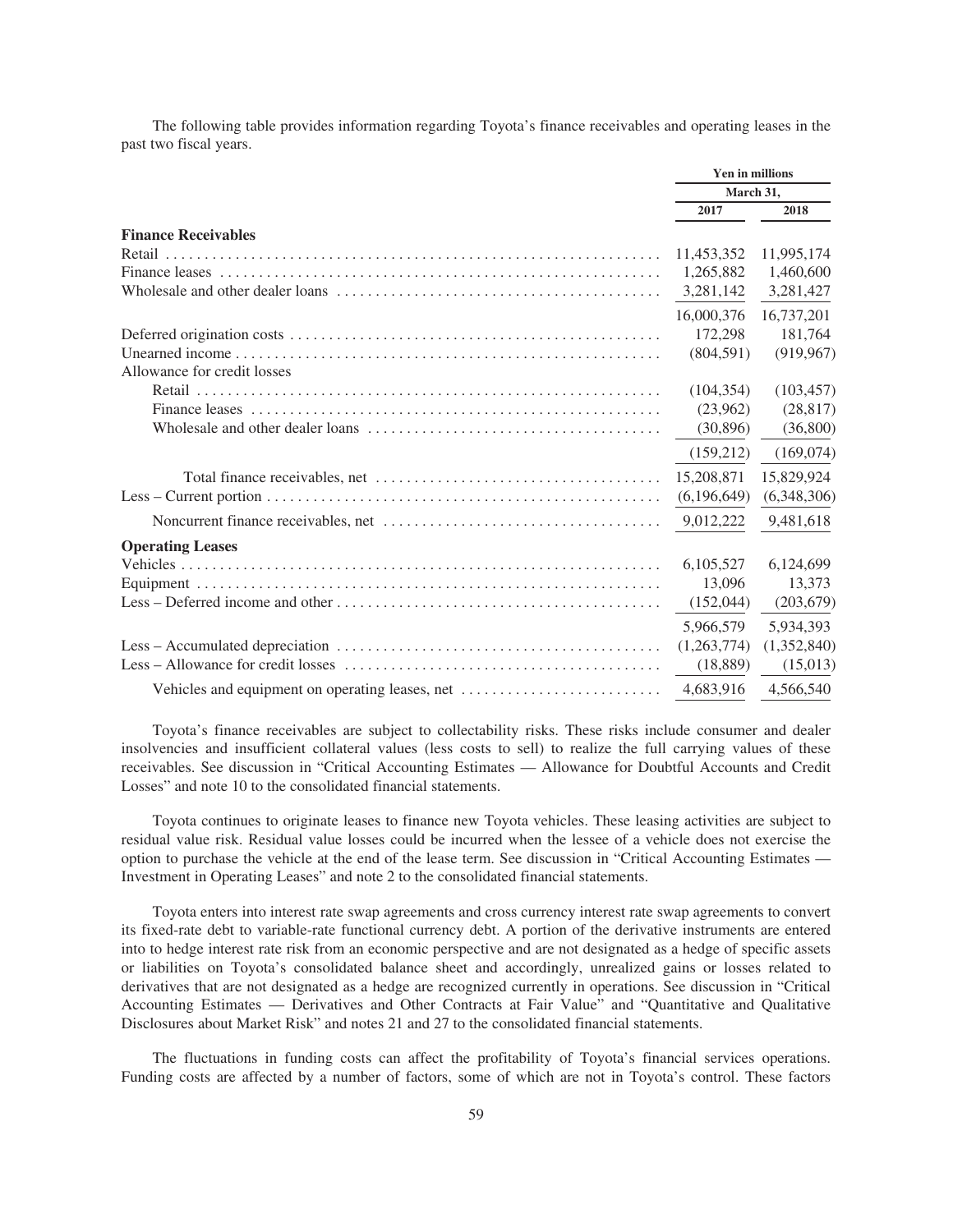The following table provides information regarding Toyota's finance receivables and operating leases in the past two fiscal years.

|                                                 | <b>Yen in millions</b> |             |  |
|-------------------------------------------------|------------------------|-------------|--|
|                                                 | March 31,              |             |  |
|                                                 | 2017                   | 2018        |  |
| <b>Finance Receivables</b>                      |                        |             |  |
| Retail                                          | 11,453,352             | 11,995,174  |  |
|                                                 | 1,265,882              | 1,460,600   |  |
|                                                 | 3,281,142              | 3,281,427   |  |
|                                                 | 16,000,376             | 16,737,201  |  |
|                                                 | 172,298                | 181,764     |  |
|                                                 | (804, 591)             | (919, 967)  |  |
| Allowance for credit losses                     |                        |             |  |
|                                                 | (104, 354)             | (103, 457)  |  |
|                                                 | (23,962)               | (28, 817)   |  |
|                                                 | (30, 896)              | (36,800)    |  |
|                                                 | (159,212)              | (169,074)   |  |
|                                                 | 15,208,871             | 15,829,924  |  |
|                                                 | (6,196,649)            | (6,348,306) |  |
|                                                 | 9,012,222              | 9,481,618   |  |
| <b>Operating Leases</b>                         |                        |             |  |
|                                                 | 6,105,527              | 6,124,699   |  |
|                                                 | 13,096                 | 13,373      |  |
|                                                 | (152,044)              | (203, 679)  |  |
|                                                 | 5.966.579              | 5,934,393   |  |
|                                                 | (1,263,774)            | (1,352,840) |  |
|                                                 | (18, 889)              | (15,013)    |  |
| Vehicles and equipment on operating leases, net | 4,683,916              | 4,566,540   |  |

Toyota's finance receivables are subject to collectability risks. These risks include consumer and dealer insolvencies and insufficient collateral values (less costs to sell) to realize the full carrying values of these receivables. See discussion in "Critical Accounting Estimates — Allowance for Doubtful Accounts and Credit Losses" and note 10 to the consolidated financial statements.

Toyota continues to originate leases to finance new Toyota vehicles. These leasing activities are subject to residual value risk. Residual value losses could be incurred when the lessee of a vehicle does not exercise the option to purchase the vehicle at the end of the lease term. See discussion in "Critical Accounting Estimates — Investment in Operating Leases" and note 2 to the consolidated financial statements.

Toyota enters into interest rate swap agreements and cross currency interest rate swap agreements to convert its fixed-rate debt to variable-rate functional currency debt. A portion of the derivative instruments are entered into to hedge interest rate risk from an economic perspective and are not designated as a hedge of specific assets or liabilities on Toyota's consolidated balance sheet and accordingly, unrealized gains or losses related to derivatives that are not designated as a hedge are recognized currently in operations. See discussion in "Critical Accounting Estimates — Derivatives and Other Contracts at Fair Value" and "Quantitative and Qualitative Disclosures about Market Risk" and notes 21 and 27 to the consolidated financial statements.

The fluctuations in funding costs can affect the profitability of Toyota's financial services operations. Funding costs are affected by a number of factors, some of which are not in Toyota's control. These factors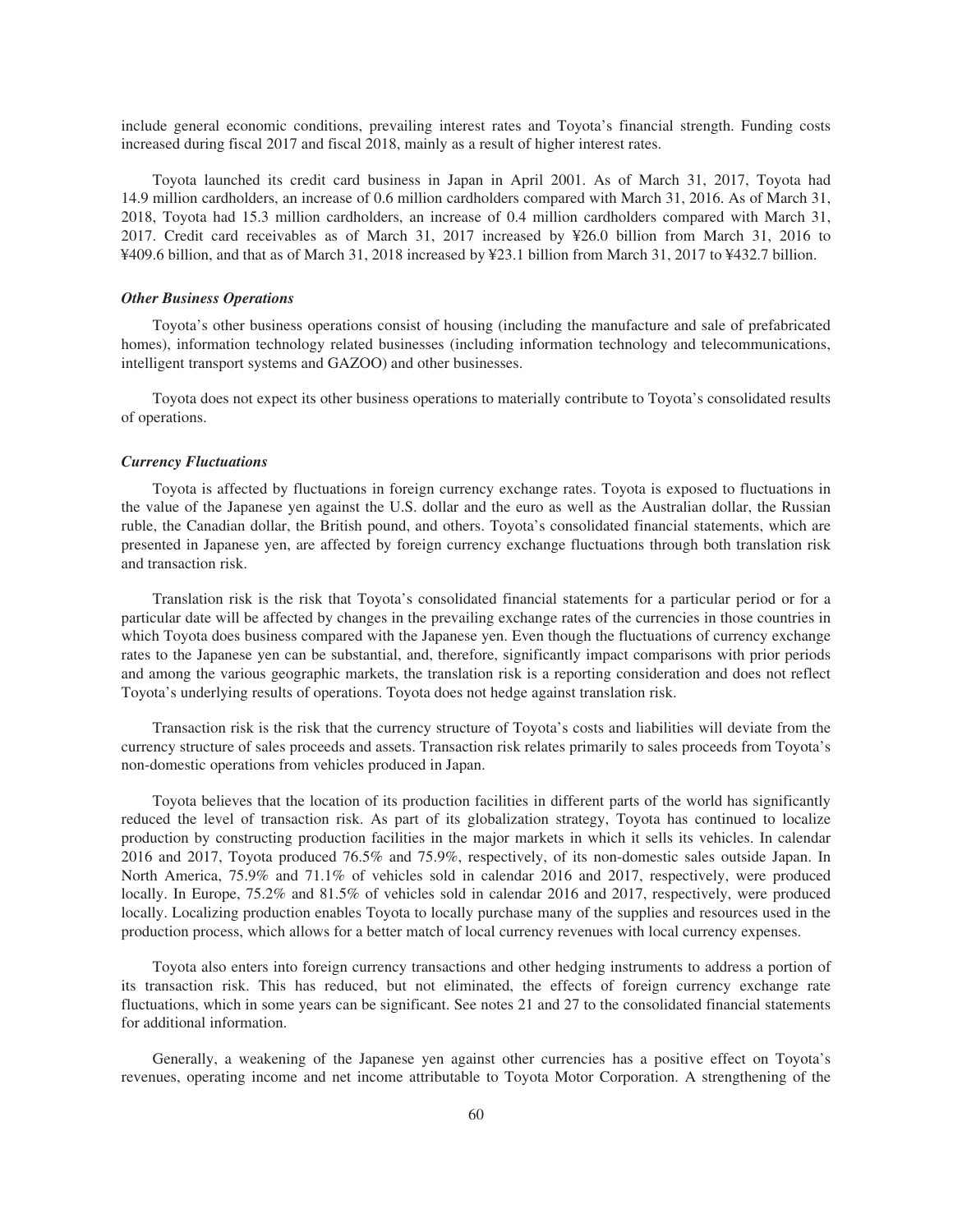include general economic conditions, prevailing interest rates and Toyota's financial strength. Funding costs increased during fiscal 2017 and fiscal 2018, mainly as a result of higher interest rates.

Toyota launched its credit card business in Japan in April 2001. As of March 31, 2017, Toyota had 14.9 million cardholders, an increase of 0.6 million cardholders compared with March 31, 2016. As of March 31, 2018, Toyota had 15.3 million cardholders, an increase of 0.4 million cardholders compared with March 31, 2017. Credit card receivables as of March 31, 2017 increased by ¥26.0 billion from March 31, 2016 to ¥409.6 billion, and that as of March 31, 2018 increased by ¥23.1 billion from March 31, 2017 to ¥432.7 billion.

## *Other Business Operations*

Toyota's other business operations consist of housing (including the manufacture and sale of prefabricated homes), information technology related businesses (including information technology and telecommunications, intelligent transport systems and GAZOO) and other businesses.

Toyota does not expect its other business operations to materially contribute to Toyota's consolidated results of operations.

## *Currency Fluctuations*

Toyota is affected by fluctuations in foreign currency exchange rates. Toyota is exposed to fluctuations in the value of the Japanese yen against the U.S. dollar and the euro as well as the Australian dollar, the Russian ruble, the Canadian dollar, the British pound, and others. Toyota's consolidated financial statements, which are presented in Japanese yen, are affected by foreign currency exchange fluctuations through both translation risk and transaction risk.

Translation risk is the risk that Toyota's consolidated financial statements for a particular period or for a particular date will be affected by changes in the prevailing exchange rates of the currencies in those countries in which Toyota does business compared with the Japanese yen. Even though the fluctuations of currency exchange rates to the Japanese yen can be substantial, and, therefore, significantly impact comparisons with prior periods and among the various geographic markets, the translation risk is a reporting consideration and does not reflect Toyota's underlying results of operations. Toyota does not hedge against translation risk.

Transaction risk is the risk that the currency structure of Toyota's costs and liabilities will deviate from the currency structure of sales proceeds and assets. Transaction risk relates primarily to sales proceeds from Toyota's non-domestic operations from vehicles produced in Japan.

Toyota believes that the location of its production facilities in different parts of the world has significantly reduced the level of transaction risk. As part of its globalization strategy, Toyota has continued to localize production by constructing production facilities in the major markets in which it sells its vehicles. In calendar 2016 and 2017, Toyota produced 76.5% and 75.9%, respectively, of its non-domestic sales outside Japan. In North America, 75.9% and 71.1% of vehicles sold in calendar 2016 and 2017, respectively, were produced locally. In Europe, 75.2% and 81.5% of vehicles sold in calendar 2016 and 2017, respectively, were produced locally. Localizing production enables Toyota to locally purchase many of the supplies and resources used in the production process, which allows for a better match of local currency revenues with local currency expenses.

Toyota also enters into foreign currency transactions and other hedging instruments to address a portion of its transaction risk. This has reduced, but not eliminated, the effects of foreign currency exchange rate fluctuations, which in some years can be significant. See notes 21 and 27 to the consolidated financial statements for additional information.

Generally, a weakening of the Japanese yen against other currencies has a positive effect on Toyota's revenues, operating income and net income attributable to Toyota Motor Corporation. A strengthening of the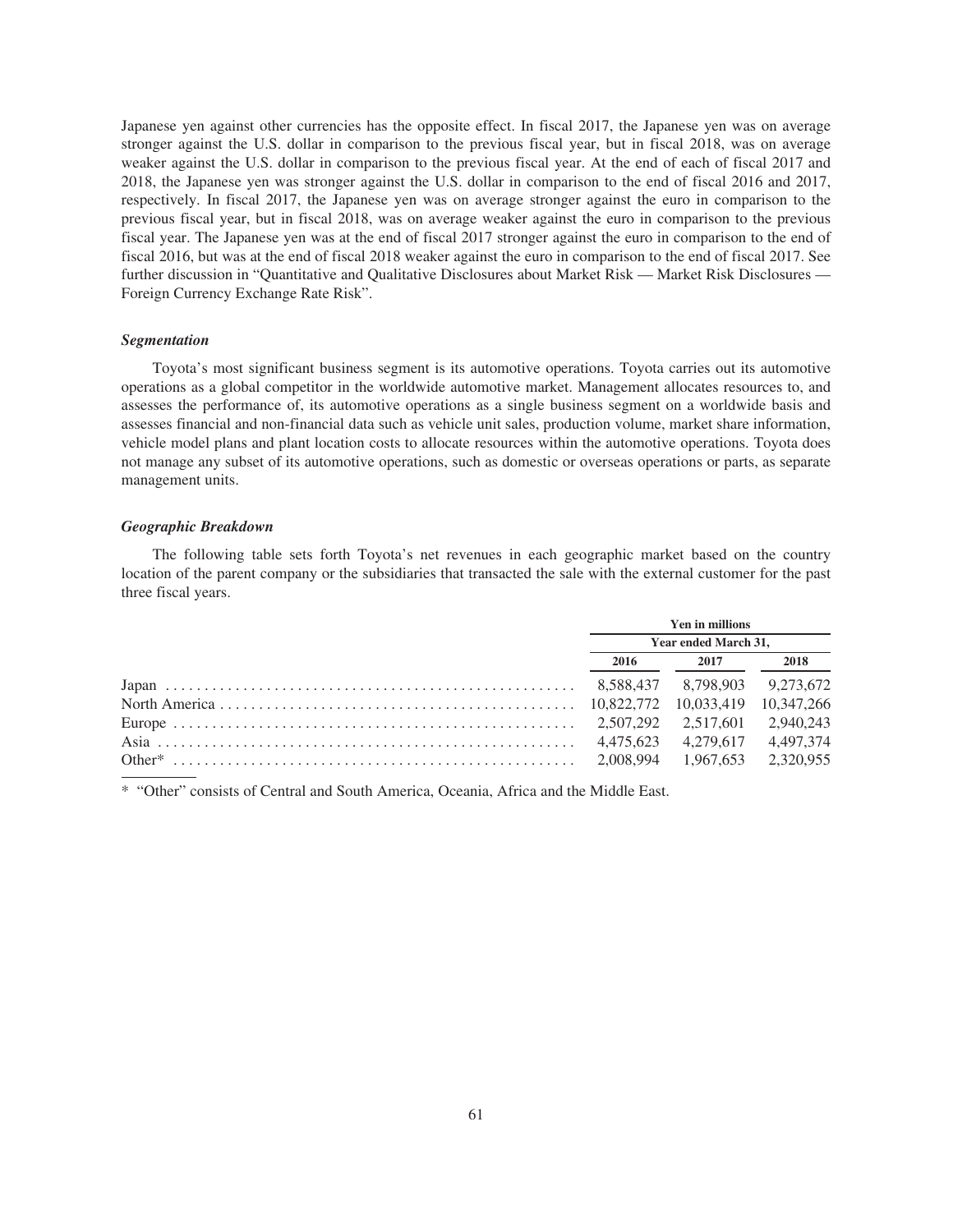Japanese yen against other currencies has the opposite effect. In fiscal 2017, the Japanese yen was on average stronger against the U.S. dollar in comparison to the previous fiscal year, but in fiscal 2018, was on average weaker against the U.S. dollar in comparison to the previous fiscal year. At the end of each of fiscal 2017 and 2018, the Japanese yen was stronger against the U.S. dollar in comparison to the end of fiscal 2016 and 2017, respectively. In fiscal 2017, the Japanese yen was on average stronger against the euro in comparison to the previous fiscal year, but in fiscal 2018, was on average weaker against the euro in comparison to the previous fiscal year. The Japanese yen was at the end of fiscal 2017 stronger against the euro in comparison to the end of fiscal 2016, but was at the end of fiscal 2018 weaker against the euro in comparison to the end of fiscal 2017. See further discussion in "Quantitative and Qualitative Disclosures about Market Risk — Market Risk Disclosures — Foreign Currency Exchange Rate Risk".

## *Segmentation*

Toyota's most significant business segment is its automotive operations. Toyota carries out its automotive operations as a global competitor in the worldwide automotive market. Management allocates resources to, and assesses the performance of, its automotive operations as a single business segment on a worldwide basis and assesses financial and non-financial data such as vehicle unit sales, production volume, market share information, vehicle model plans and plant location costs to allocate resources within the automotive operations. Toyota does not manage any subset of its automotive operations, such as domestic or overseas operations or parts, as separate management units.

#### *Geographic Breakdown*

The following table sets forth Toyota's net revenues in each geographic market based on the country location of the parent company or the subsidiaries that transacted the sale with the external customer for the past three fiscal years.

|  | Yen in millions<br>Year ended March 31. |      |      |  |
|--|-----------------------------------------|------|------|--|
|  |                                         |      |      |  |
|  | 2016                                    | 2017 | 2018 |  |
|  |                                         |      |      |  |
|  |                                         |      |      |  |
|  |                                         |      |      |  |
|  |                                         |      |      |  |
|  |                                         |      |      |  |

\* "Other" consists of Central and South America, Oceania, Africa and the Middle East.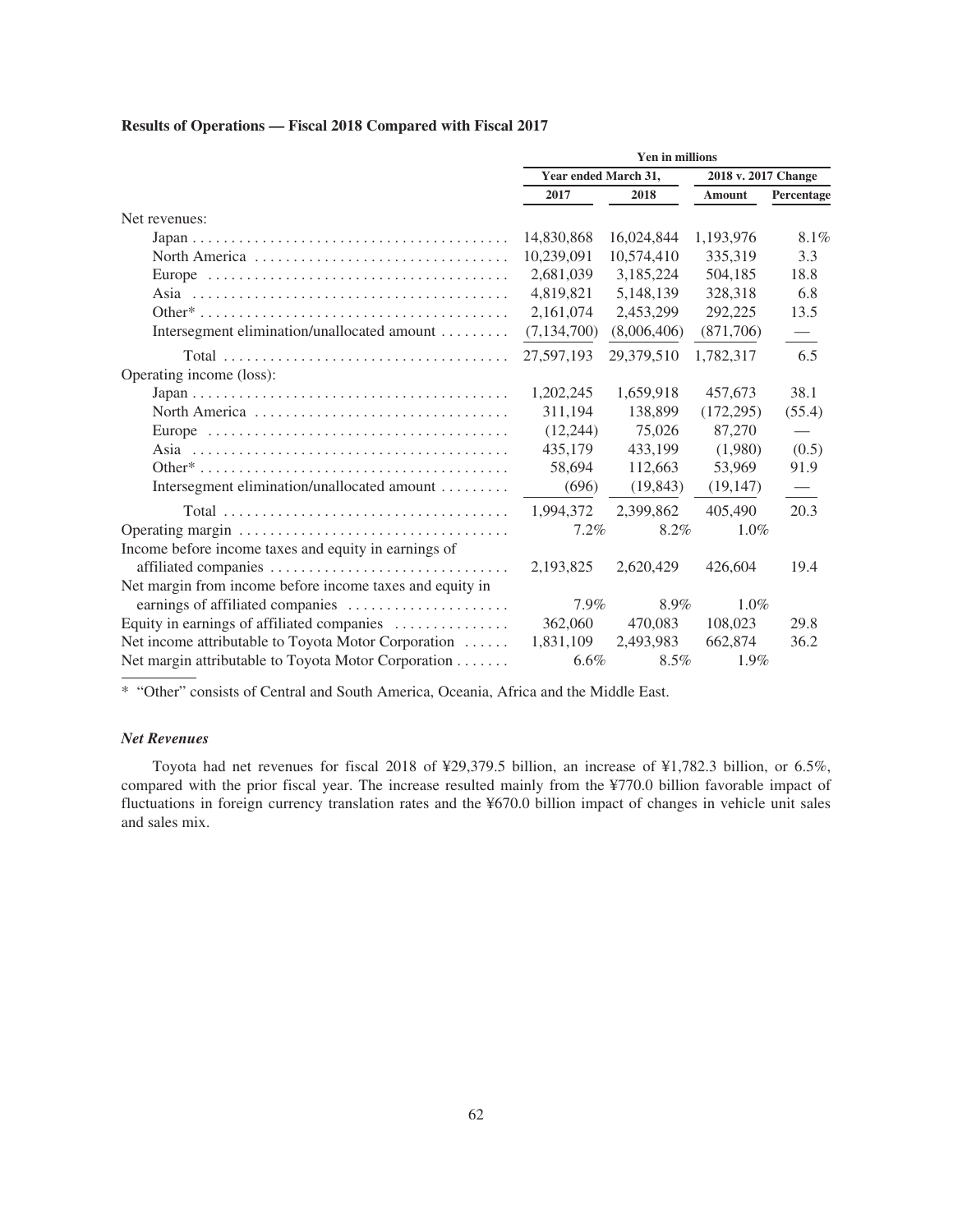|                                                                                | <b>Yen in millions</b> |             |                     |                          |
|--------------------------------------------------------------------------------|------------------------|-------------|---------------------|--------------------------|
|                                                                                | Year ended March 31,   |             | 2018 v. 2017 Change |                          |
|                                                                                | 2017                   | 2018        | <b>Amount</b>       | Percentage               |
| Net revenues:                                                                  |                        |             |                     |                          |
|                                                                                | 14,830,868             | 16,024,844  | 1,193,976           | 8.1%                     |
| North America                                                                  | 10,239,091             | 10,574,410  | 335,319             | 3.3                      |
|                                                                                | 2,681,039              | 3,185,224   | 504,185             | 18.8                     |
|                                                                                | 4,819,821              | 5,148,139   | 328,318             | 6.8                      |
|                                                                                | 2,161,074              | 2,453,299   | 292,225             | 13.5                     |
| Intersegment elimination/unallocated amount                                    | (7, 134, 700)          | (8,006,406) | (871,706)           | $\overline{\phantom{0}}$ |
|                                                                                | 27,597,193             | 29,379,510  | 1,782,317           | 6.5                      |
| Operating income (loss):                                                       |                        |             |                     |                          |
|                                                                                | 1,202,245              | 1,659,918   | 457,673             | 38.1                     |
| North America $\ldots, \ldots, \ldots, \ldots, \ldots, \ldots, \ldots, \ldots$ | 311,194                | 138,899     | (172, 295)          | (55.4)                   |
|                                                                                | (12,244)               | 75,026      | 87,270              |                          |
|                                                                                | 435,179                | 433,199     | (1,980)             | (0.5)                    |
|                                                                                | 58,694                 | 112,663     | 53,969              | 91.9                     |
| Intersegment elimination/unallocated amount                                    | (696)                  | (19, 843)   | (19, 147)           | $\overline{\phantom{m}}$ |
|                                                                                | 1,994,372              | 2,399,862   | 405,490             | 20.3                     |
|                                                                                | 7.2%                   | 8.2%        | $1.0\%$             |                          |
| Income before income taxes and equity in earnings of                           |                        |             |                     |                          |
|                                                                                | 2, 193, 825            | 2,620,429   | 426,604             | 19.4                     |
| Net margin from income before income taxes and equity in                       |                        |             |                     |                          |
| earnings of affiliated companies                                               | $7.9\%$                | 8.9%        | $1.0\%$             |                          |
| Equity in earnings of affiliated companies                                     | 362,060                | 470,083     | 108,023             | 29.8                     |
| Net income attributable to Toyota Motor Corporation                            | 1,831,109              | 2,493,983   | 662,874             | 36.2                     |
| Net margin attributable to Toyota Motor Corporation                            | $6.6\%$                | $8.5\%$     | $1.9\%$             |                          |

# **Results of Operations — Fiscal 2018 Compared with Fiscal 2017**

\* "Other" consists of Central and South America, Oceania, Africa and the Middle East.

# *Net Revenues*

Toyota had net revenues for fiscal 2018 of ¥29,379.5 billion, an increase of ¥1,782.3 billion, or 6.5%, compared with the prior fiscal year. The increase resulted mainly from the ¥770.0 billion favorable impact of fluctuations in foreign currency translation rates and the ¥670.0 billion impact of changes in vehicle unit sales and sales mix.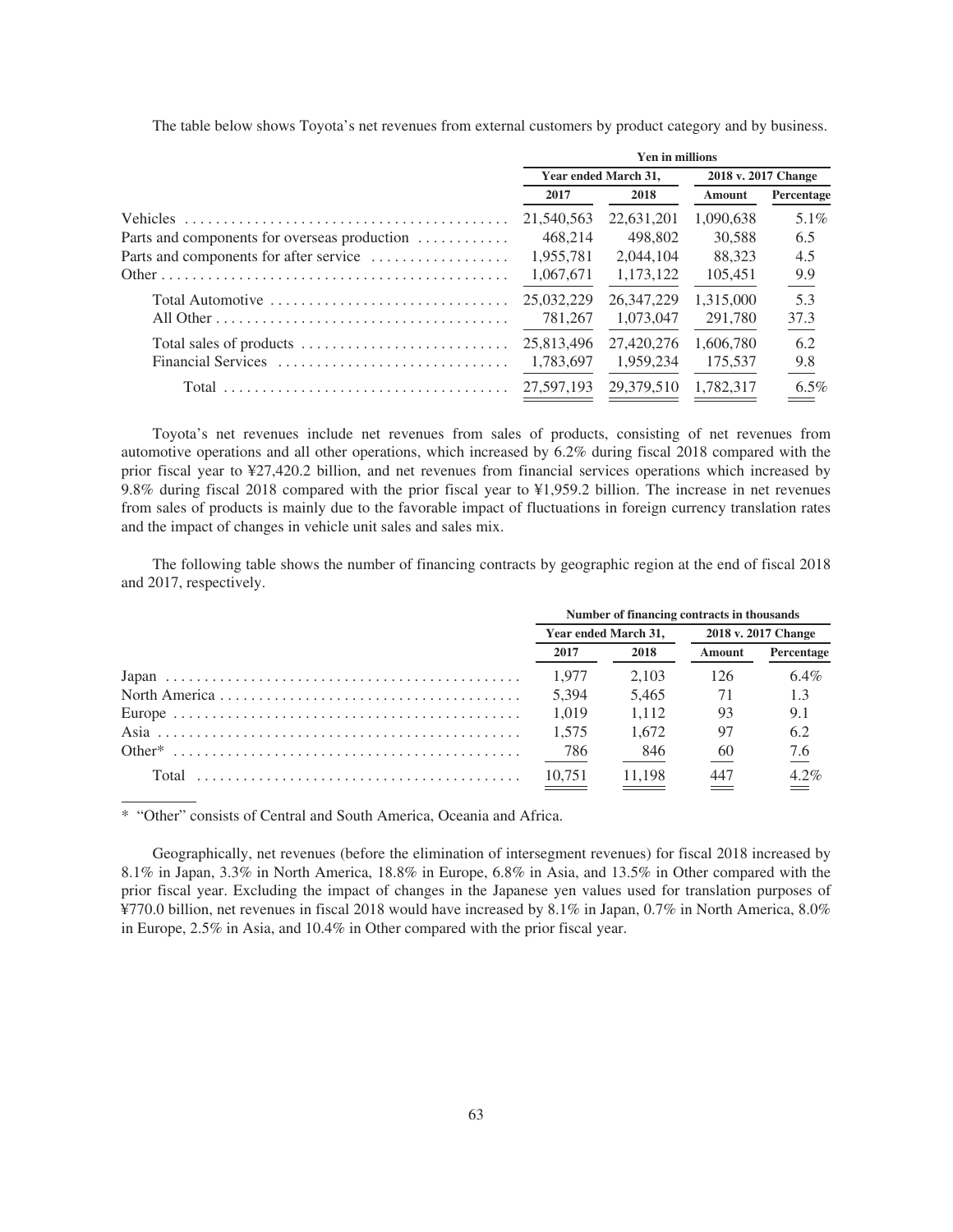|                                              | Yen in millions      |              |                     |            |
|----------------------------------------------|----------------------|--------------|---------------------|------------|
|                                              | Year ended March 31, |              | 2018 v. 2017 Change |            |
|                                              | 2017                 | 2018         | Amount              | Percentage |
|                                              | 21,540,563           | 22,631,201   | 1,090,638           | $5.1\%$    |
| Parts and components for overseas production | 468,214              | 498.802      | 30.588              | 6.5        |
| Parts and components for after service       | 1,955,781            | 2.044.104    | 88.323              | 4.5        |
|                                              | 1,067,671            | 1,173,122    | 105,451             | 9.9        |
| Total Automotive                             | 25,032,229           | 26, 347, 229 | 1.315,000           | 5.3        |
|                                              | 781,267              | 1.073.047    | 291,780             | 37.3       |
| Total sales of products                      | 25,813,496           | 27,420,276   | 1,606,780           | 6.2        |
| Financial Services                           | 1.783.697            | 1.959.234    | 175.537             | 9.8        |
|                                              | 27,597,193           | 29.379.510   | 1.782.317           | $6.5\%$    |

The table below shows Toyota's net revenues from external customers by product category and by business.

Toyota's net revenues include net revenues from sales of products, consisting of net revenues from automotive operations and all other operations, which increased by 6.2% during fiscal 2018 compared with the prior fiscal year to ¥27,420.2 billion, and net revenues from financial services operations which increased by 9.8% during fiscal 2018 compared with the prior fiscal year to ¥1,959.2 billion. The increase in net revenues from sales of products is mainly due to the favorable impact of fluctuations in foreign currency translation rates and the impact of changes in vehicle unit sales and sales mix.

The following table shows the number of financing contracts by geographic region at the end of fiscal 2018 and 2017, respectively.

| Number of financing contracts in thousands |        |                     |            |
|--------------------------------------------|--------|---------------------|------------|
| Year ended March 31,                       |        | 2018 v. 2017 Change |            |
| 2017                                       | 2018   | Amount              | Percentage |
| 1.977                                      | 2.103  | -126                | $6.4\%$    |
| 5.394                                      | 5.465  | 71                  | 1.3        |
| 1.019                                      | 1.112  | 93                  | 9.1        |
| 1.575                                      | 1.672  | 97                  | 6.2        |
| - 786                                      | -846   | 60                  | 7.6        |
| 10.751                                     | 11.198 | 447                 | $4.2\%$    |

\* "Other" consists of Central and South America, Oceania and Africa.

Geographically, net revenues (before the elimination of intersegment revenues) for fiscal 2018 increased by 8.1% in Japan, 3.3% in North America, 18.8% in Europe, 6.8% in Asia, and 13.5% in Other compared with the prior fiscal year. Excluding the impact of changes in the Japanese yen values used for translation purposes of ¥770.0 billion, net revenues in fiscal 2018 would have increased by 8.1% in Japan, 0.7% in North America, 8.0% in Europe, 2.5% in Asia, and 10.4% in Other compared with the prior fiscal year.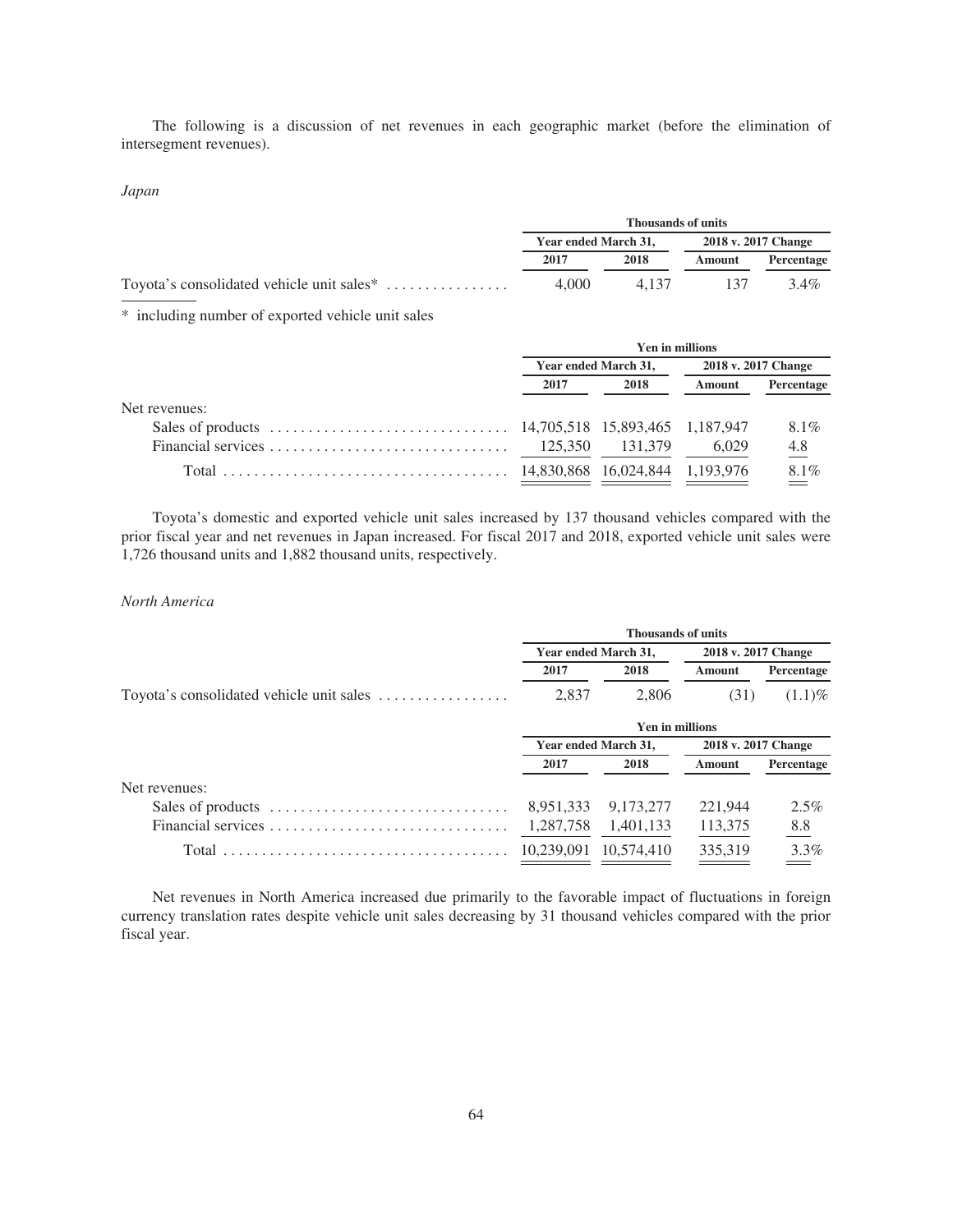The following is a discussion of net revenues in each geographic market (before the elimination of intersegment revenues).

# *Japan*

|                                              | <b>Thousands of units</b> |       |                     |            |
|----------------------------------------------|---------------------------|-------|---------------------|------------|
|                                              | Year ended March 31,      |       | 2018 v. 2017 Change |            |
|                                              | 2017                      | 2018  | Amount              | Percentage |
| Toyota's consolidated vehicle unit sales $*$ | 4.000                     | 4.137 | 137                 | 3.4%       |

\* including number of exported vehicle unit sales

|               | Yen in millions      |      |                     |            |
|---------------|----------------------|------|---------------------|------------|
|               | Year ended March 31, |      | 2018 v. 2017 Change |            |
|               | 2017                 | 2018 | <b>Amount</b>       | Percentage |
| Net revenues: |                      |      |                     |            |
|               |                      |      |                     | 8.1%       |
|               |                      |      | 6.029               | 4.8        |
|               |                      |      |                     | 8.1%       |

Toyota's domestic and exported vehicle unit sales increased by 137 thousand vehicles compared with the prior fiscal year and net revenues in Japan increased. For fiscal 2017 and 2018, exported vehicle unit sales were 1,726 thousand units and 1,882 thousand units, respectively.

# *North America*

|                                          |                      | <b>Thousands of units</b> |                     |            |
|------------------------------------------|----------------------|---------------------------|---------------------|------------|
|                                          | Year ended March 31, |                           | 2018 v. 2017 Change |            |
|                                          | 2017                 | 2018                      | Amount              | Percentage |
| Toyota's consolidated vehicle unit sales | 2,837                | 2,806                     | (31)                | $(1.1)\%$  |
|                                          |                      | Yen in millions           |                     |            |
|                                          |                      | Year ended March 31,      | 2018 v. 2017 Change |            |
|                                          | 2017                 | 2018                      | Amount              | Percentage |
| Net revenues:                            |                      |                           |                     |            |
|                                          | 8,951,333            | 9,173,277                 | 221,944             | 2.5%       |
| Financial services                       | 1,287,758            | 1,401,133                 | 113,375             | 8.8        |
|                                          | 10.239,091           | 10.574.410                | 335,319             | $3.3\%$    |

Net revenues in North America increased due primarily to the favorable impact of fluctuations in foreign currency translation rates despite vehicle unit sales decreasing by 31 thousand vehicles compared with the prior fiscal year.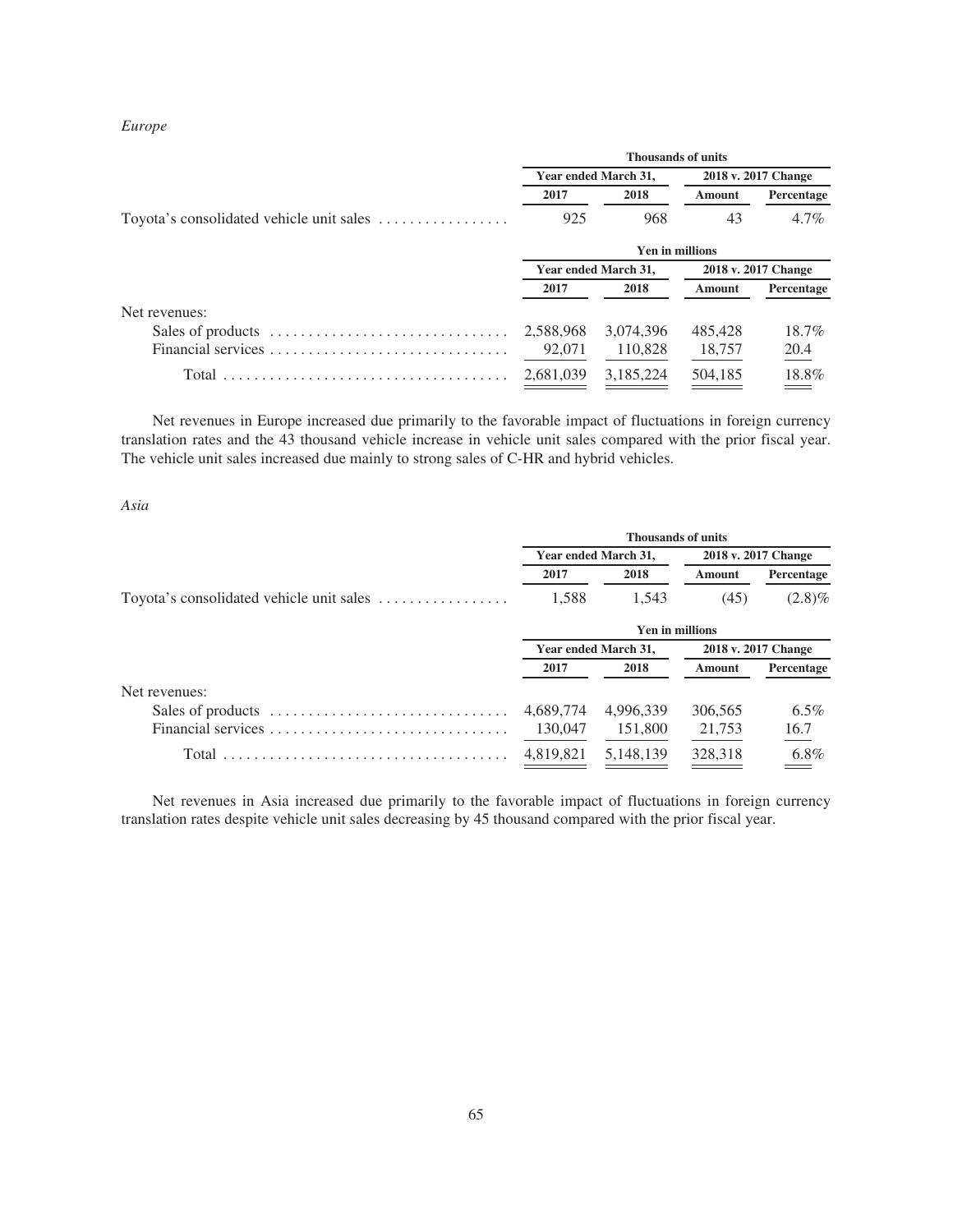# *Europe*

|                                          | <b>Thousands of units</b> |                      |         |                     |
|------------------------------------------|---------------------------|----------------------|---------|---------------------|
|                                          |                           | Year ended March 31, |         | 2018 v. 2017 Change |
|                                          | 2017                      | 2018                 | Amount  | Percentage          |
| Toyota's consolidated vehicle unit sales | 925                       | 968                  | 43      | $4.7\%$             |
|                                          |                           | Yen in millions      |         |                     |
|                                          |                           | Year ended March 31, |         | 2018 v. 2017 Change |
|                                          | 2017                      | 2018                 | Amount  | Percentage          |
| Net revenues:                            |                           |                      |         |                     |
|                                          | 2,588,968                 | 3,074,396            | 485,428 | 18.7%               |
| Financial services                       | 92,071                    | 110,828              | 18,757  | 20.4                |
|                                          | 2,681,039                 | 3,185,224            | 504,185 | 18.8%               |

Net revenues in Europe increased due primarily to the favorable impact of fluctuations in foreign currency translation rates and the 43 thousand vehicle increase in vehicle unit sales compared with the prior fiscal year. The vehicle unit sales increased due mainly to strong sales of C-HR and hybrid vehicles.

# *Asia*

|                                          | <b>Thousands of units</b> |                        |                     |                     |
|------------------------------------------|---------------------------|------------------------|---------------------|---------------------|
|                                          | Year ended March 31,      |                        | 2018 v. 2017 Change |                     |
|                                          | 2017                      | 2018                   | Amount              | Percentage          |
| Toyota's consolidated vehicle unit sales | 1,588                     | 1.543                  | (45)                | $(2.8)\%$           |
|                                          |                           | <b>Yen in millions</b> |                     |                     |
|                                          |                           | Year ended March 31,   |                     | 2018 v. 2017 Change |
|                                          | 2017                      | 2018                   | Amount              | Percentage          |
| Net revenues:                            |                           |                        |                     |                     |
|                                          | 4,689,774                 | 4.996.339              | 306,565             | $6.5\%$             |
| Financial services                       | 130,047                   | 151,800                | 21,753              | 16.7                |
| Total                                    | 4,819,821                 | 5,148,139              | 328,318             | 6.8%                |

Net revenues in Asia increased due primarily to the favorable impact of fluctuations in foreign currency translation rates despite vehicle unit sales decreasing by 45 thousand compared with the prior fiscal year.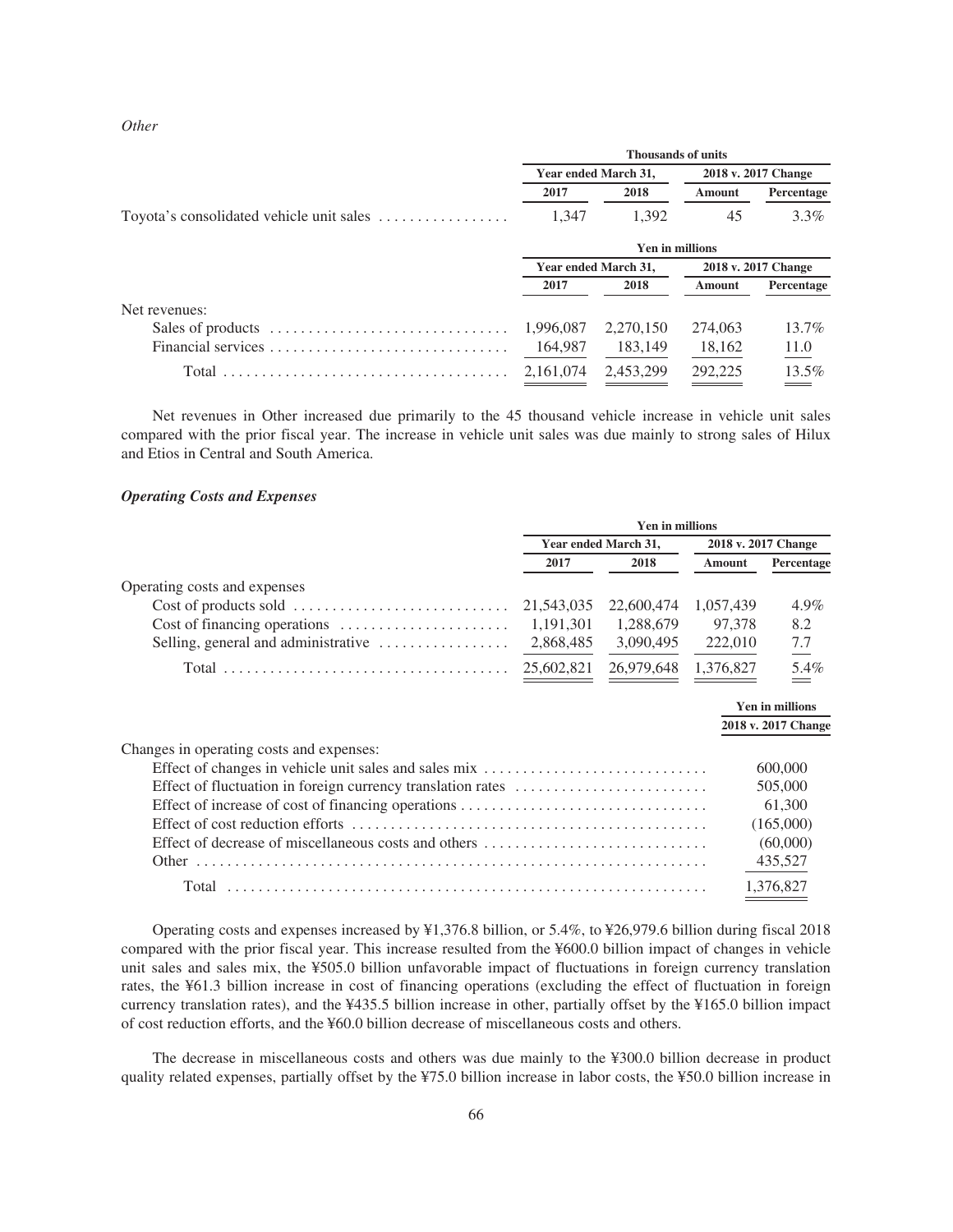*Other*

|                                                                      |             | <b>Thousands of units</b> |         |                     |
|----------------------------------------------------------------------|-------------|---------------------------|---------|---------------------|
|                                                                      |             | Year ended March 31,      |         | 2018 v. 2017 Change |
|                                                                      | 2017        | 2018                      | Amount  | Percentage          |
| Toyota's consolidated vehicle unit sales $\dots\dots\dots\dots\dots$ | 1.347       | 1,392                     | 45      | $3.3\%$             |
|                                                                      |             | <b>Yen in millions</b>    |         |                     |
|                                                                      |             | Year ended March 31.      |         | 2018 v. 2017 Change |
|                                                                      | 2017        | 2018                      | Amount  | Percentage          |
| Net revenues:                                                        |             |                           |         |                     |
|                                                                      | 1,996,087   | 2,270,150                 | 274,063 | 13.7%               |
| Financial services                                                   | 164,987     | 183,149                   | 18,162  | 11.0                |
| Total                                                                | 2, 161, 074 | 2,453,299                 | 292,225 | 13.5%               |

Net revenues in Other increased due primarily to the 45 thousand vehicle increase in vehicle unit sales compared with the prior fiscal year. The increase in vehicle unit sales was due mainly to strong sales of Hilux and Etios in Central and South America.

# *Operating Costs and Expenses*

|                                                       | Yen in millions      |            |                     |                     |
|-------------------------------------------------------|----------------------|------------|---------------------|---------------------|
|                                                       | Year ended March 31, |            | 2018 v. 2017 Change |                     |
|                                                       | 2017                 | 2018       | Amount              | Percentage          |
| Operating costs and expenses                          |                      |            |                     |                     |
|                                                       | 21,543,035           | 22,600,474 | 1,057,439           | 4.9%                |
|                                                       | 1,191,301            | 1,288,679  | 97,378              | 8.2                 |
| Selling, general and administrative                   | 2,868,485            | 3,090,495  | 222,010             | 7.7                 |
|                                                       | 25,602,821           | 26,979,648 | 1,376,827           | 5.4%                |
|                                                       |                      |            |                     | Yen in millions     |
|                                                       |                      |            |                     | 2018 v. 2017 Change |
| Changes in operating costs and expenses:              |                      |            |                     |                     |
| Effect of changes in vehicle unit sales and sales mix |                      |            |                     | 600,000             |
|                                                       |                      |            |                     | 505,000             |
|                                                       |                      |            |                     | 61,300              |
|                                                       |                      |            |                     | (165,000)           |
| Effect of decrease of miscellaneous costs and others  |                      |            |                     | (60,000)            |
|                                                       |                      |            |                     | 435,527             |
| Total                                                 |                      |            |                     | 1,376,827           |

Operating costs and expenses increased by ¥1,376.8 billion, or 5.4%, to ¥26,979.6 billion during fiscal 2018 compared with the prior fiscal year. This increase resulted from the ¥600.0 billion impact of changes in vehicle unit sales and sales mix, the ¥505.0 billion unfavorable impact of fluctuations in foreign currency translation rates, the ¥61.3 billion increase in cost of financing operations (excluding the effect of fluctuation in foreign currency translation rates), and the ¥435.5 billion increase in other, partially offset by the ¥165.0 billion impact of cost reduction efforts, and the ¥60.0 billion decrease of miscellaneous costs and others.

The decrease in miscellaneous costs and others was due mainly to the ¥300.0 billion decrease in product quality related expenses, partially offset by the ¥75.0 billion increase in labor costs, the ¥50.0 billion increase in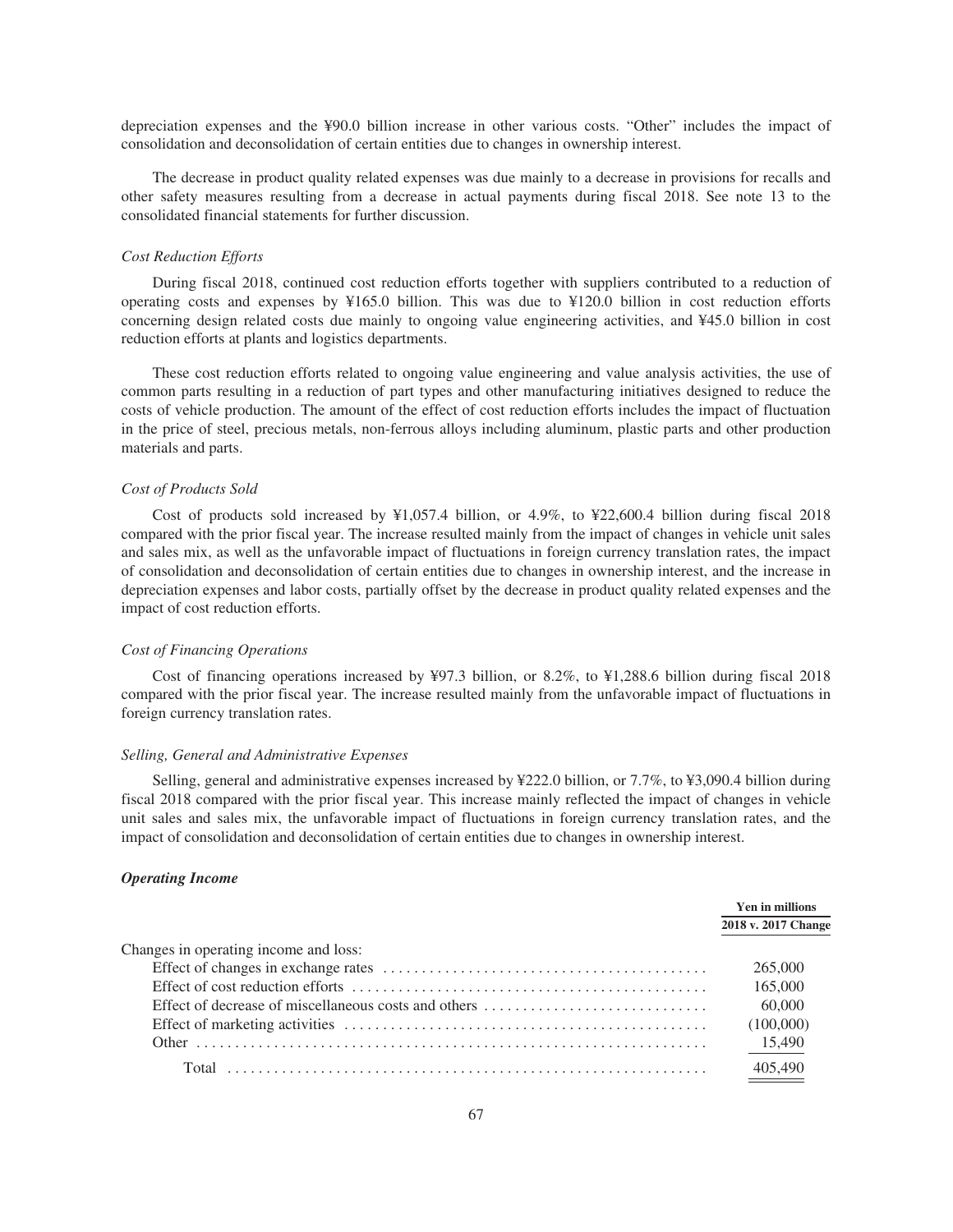depreciation expenses and the ¥90.0 billion increase in other various costs. "Other" includes the impact of consolidation and deconsolidation of certain entities due to changes in ownership interest.

The decrease in product quality related expenses was due mainly to a decrease in provisions for recalls and other safety measures resulting from a decrease in actual payments during fiscal 2018. See note 13 to the consolidated financial statements for further discussion.

# *Cost Reduction Efforts*

During fiscal 2018, continued cost reduction efforts together with suppliers contributed to a reduction of operating costs and expenses by ¥165.0 billion. This was due to ¥120.0 billion in cost reduction efforts concerning design related costs due mainly to ongoing value engineering activities, and ¥45.0 billion in cost reduction efforts at plants and logistics departments.

These cost reduction efforts related to ongoing value engineering and value analysis activities, the use of common parts resulting in a reduction of part types and other manufacturing initiatives designed to reduce the costs of vehicle production. The amount of the effect of cost reduction efforts includes the impact of fluctuation in the price of steel, precious metals, non-ferrous alloys including aluminum, plastic parts and other production materials and parts.

# *Cost of Products Sold*

Cost of products sold increased by  $\frac{1}{2}$ ,057.4 billion, or 4.9%, to  $\frac{1}{2}$ 2,600.4 billion during fiscal 2018 compared with the prior fiscal year. The increase resulted mainly from the impact of changes in vehicle unit sales and sales mix, as well as the unfavorable impact of fluctuations in foreign currency translation rates, the impact of consolidation and deconsolidation of certain entities due to changes in ownership interest, and the increase in depreciation expenses and labor costs, partially offset by the decrease in product quality related expenses and the impact of cost reduction efforts.

# *Cost of Financing Operations*

Cost of financing operations increased by ¥97.3 billion, or 8.2%, to ¥1,288.6 billion during fiscal 2018 compared with the prior fiscal year. The increase resulted mainly from the unfavorable impact of fluctuations in foreign currency translation rates.

#### *Selling, General and Administrative Expenses*

Selling, general and administrative expenses increased by ¥222.0 billion, or 7.7%, to ¥3,090.4 billion during fiscal 2018 compared with the prior fiscal year. This increase mainly reflected the impact of changes in vehicle unit sales and sales mix, the unfavorable impact of fluctuations in foreign currency translation rates, and the impact of consolidation and deconsolidation of certain entities due to changes in ownership interest.

#### *Operating Income*

|                                       | <b>Yen in millions</b> |
|---------------------------------------|------------------------|
|                                       | 2018 v. 2017 Change    |
| Changes in operating income and loss: |                        |
|                                       | 265,000                |
|                                       | 165,000                |
|                                       | 60,000                 |
|                                       | (100,000)              |
|                                       | 15,490                 |
|                                       | 405,490                |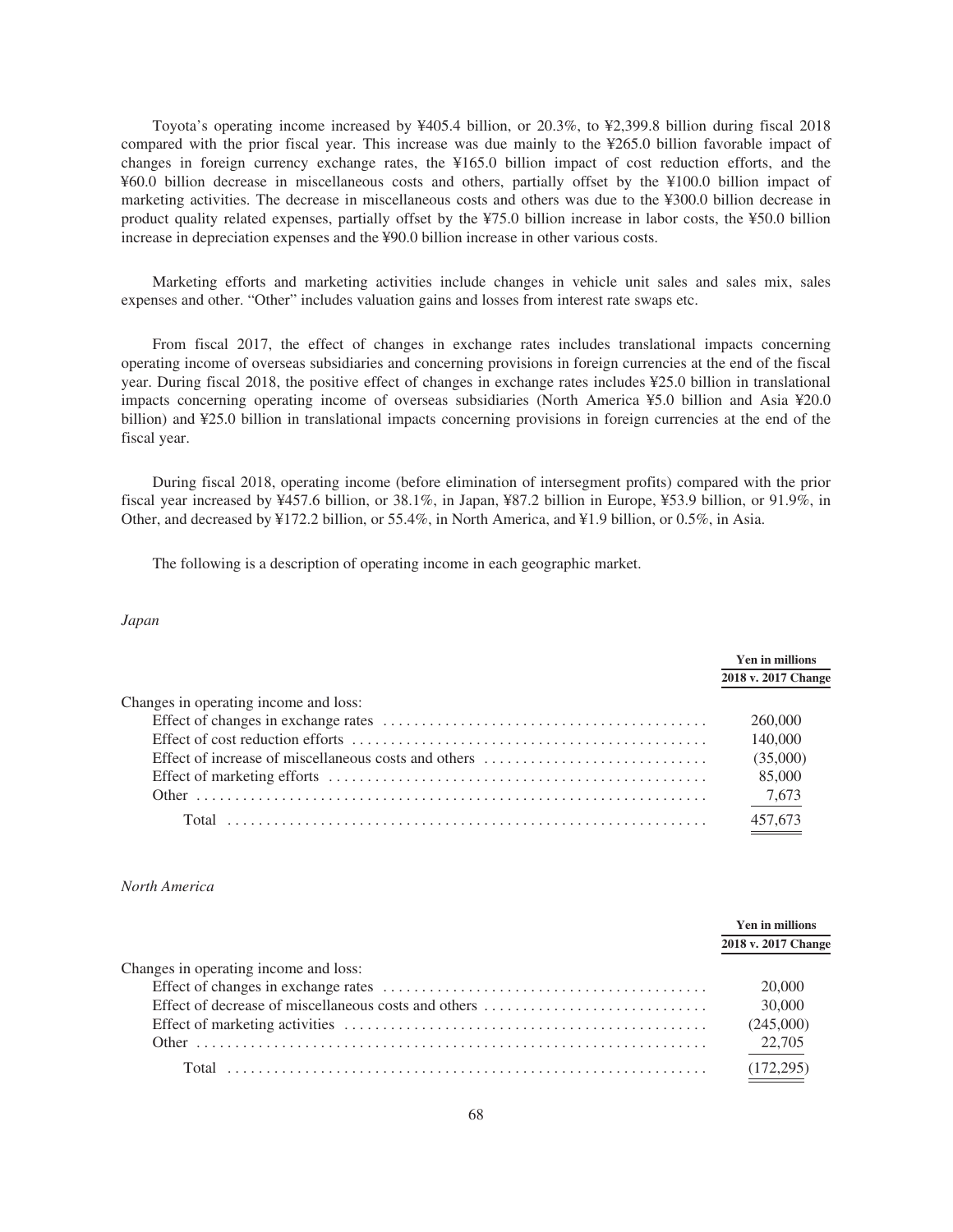Toyota's operating income increased by ¥405.4 billion, or 20.3%, to ¥2,399.8 billion during fiscal 2018 compared with the prior fiscal year. This increase was due mainly to the ¥265.0 billion favorable impact of changes in foreign currency exchange rates, the ¥165.0 billion impact of cost reduction efforts, and the ¥60.0 billion decrease in miscellaneous costs and others, partially offset by the ¥100.0 billion impact of marketing activities. The decrease in miscellaneous costs and others was due to the ¥300.0 billion decrease in product quality related expenses, partially offset by the ¥75.0 billion increase in labor costs, the ¥50.0 billion increase in depreciation expenses and the ¥90.0 billion increase in other various costs.

Marketing efforts and marketing activities include changes in vehicle unit sales and sales mix, sales expenses and other. "Other" includes valuation gains and losses from interest rate swaps etc.

From fiscal 2017, the effect of changes in exchange rates includes translational impacts concerning operating income of overseas subsidiaries and concerning provisions in foreign currencies at the end of the fiscal year. During fiscal 2018, the positive effect of changes in exchange rates includes ¥25.0 billion in translational impacts concerning operating income of overseas subsidiaries (North America ¥5.0 billion and Asia ¥20.0 billion) and ¥25.0 billion in translational impacts concerning provisions in foreign currencies at the end of the fiscal year.

During fiscal 2018, operating income (before elimination of intersegment profits) compared with the prior fiscal year increased by ¥457.6 billion, or 38.1%, in Japan, ¥87.2 billion in Europe, ¥53.9 billion, or 91.9%, in Other, and decreased by ¥172.2 billion, or 55.4%, in North America, and ¥1.9 billion, or 0.5%, in Asia.

The following is a description of operating income in each geographic market.

#### *Japan*

|                                       | Yen in millions     |
|---------------------------------------|---------------------|
|                                       | 2018 v. 2017 Change |
| Changes in operating income and loss: |                     |
|                                       | 260,000             |
|                                       | 140,000             |
|                                       | (35,000)            |
|                                       | 85,000              |
|                                       | 7,673               |
|                                       | 457,673             |

#### *North America*

|                                       | <b>Yen in millions</b> |
|---------------------------------------|------------------------|
|                                       | 2018 v. 2017 Change    |
| Changes in operating income and loss: |                        |
|                                       | 20,000                 |
|                                       | 30,000                 |
|                                       | (245,000)              |
|                                       | 22,705                 |
|                                       | (172, 295)             |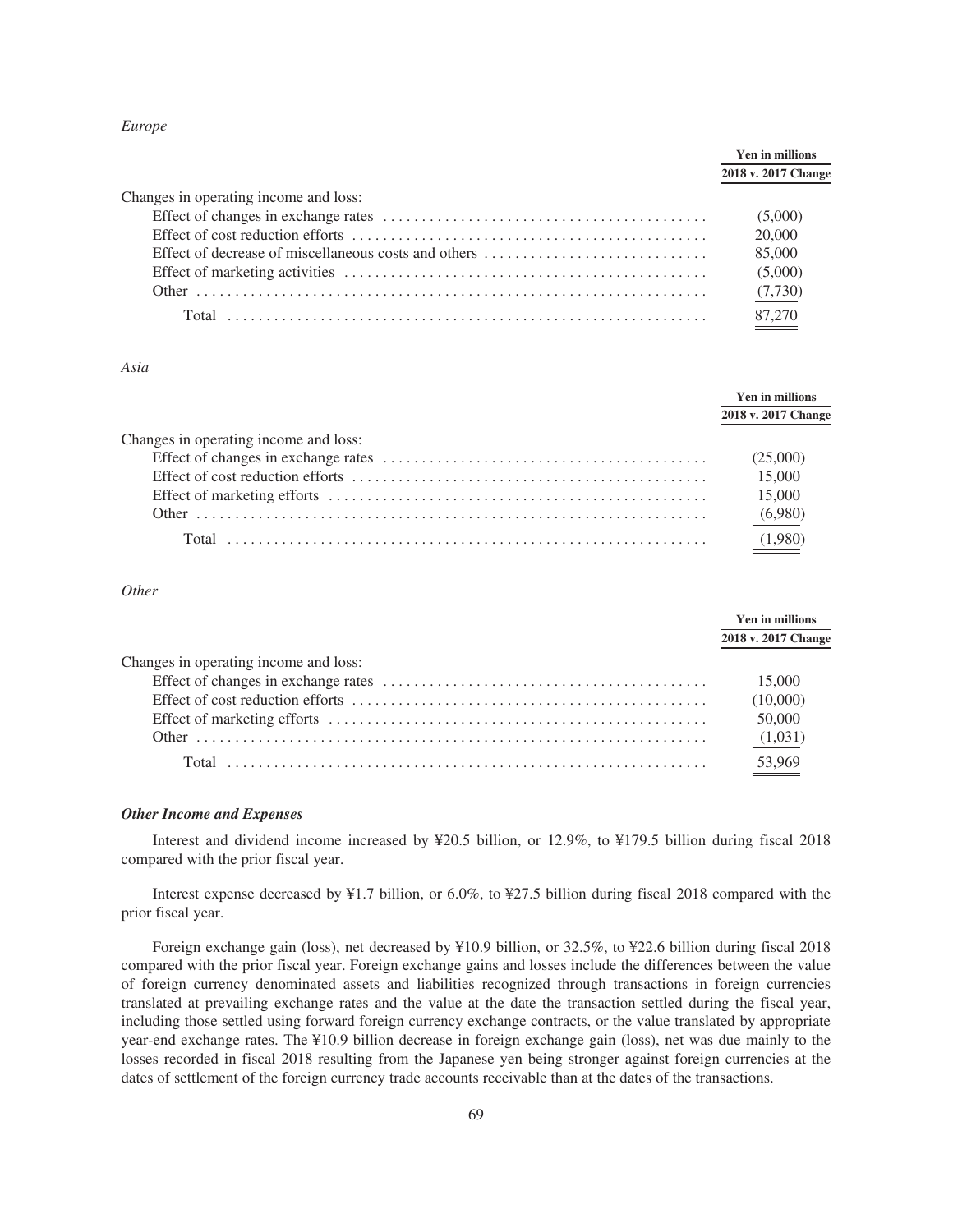#### *Europe*

|                                                                                                | Yen in millions     |
|------------------------------------------------------------------------------------------------|---------------------|
|                                                                                                | 2018 v. 2017 Change |
| Changes in operating income and loss:                                                          |                     |
|                                                                                                | (5,000)             |
|                                                                                                | 20,000              |
| Effect of decrease of miscellaneous costs and others $\ldots$ , $\ldots$ , $\ldots$ , $\ldots$ | 85,000              |
|                                                                                                | (5,000)             |
|                                                                                                | (7,730)             |
|                                                                                                | 87.270              |

# *Asia*

|                                       | Yen in millions     |
|---------------------------------------|---------------------|
|                                       | 2018 v. 2017 Change |
| Changes in operating income and loss: |                     |
|                                       | (25,000)            |
|                                       | 15,000              |
|                                       | 15,000              |
|                                       | (6,980)             |
|                                       | (1,980)             |

# *Other*

|                                       | Yen in millions     |
|---------------------------------------|---------------------|
|                                       | 2018 v. 2017 Change |
| Changes in operating income and loss: |                     |
|                                       | 15,000              |
|                                       | (10,000)            |
|                                       | 50,000              |
|                                       | (1,031)             |
|                                       | 53.969              |

## *Other Income and Expenses*

Interest and dividend income increased by ¥20.5 billion, or 12.9%, to ¥179.5 billion during fiscal 2018 compared with the prior fiscal year.

Interest expense decreased by ¥1.7 billion, or 6.0%, to ¥27.5 billion during fiscal 2018 compared with the prior fiscal year.

Foreign exchange gain (loss), net decreased by ¥10.9 billion, or 32.5%, to ¥22.6 billion during fiscal 2018 compared with the prior fiscal year. Foreign exchange gains and losses include the differences between the value of foreign currency denominated assets and liabilities recognized through transactions in foreign currencies translated at prevailing exchange rates and the value at the date the transaction settled during the fiscal year, including those settled using forward foreign currency exchange contracts, or the value translated by appropriate year-end exchange rates. The ¥10.9 billion decrease in foreign exchange gain (loss), net was due mainly to the losses recorded in fiscal 2018 resulting from the Japanese yen being stronger against foreign currencies at the dates of settlement of the foreign currency trade accounts receivable than at the dates of the transactions.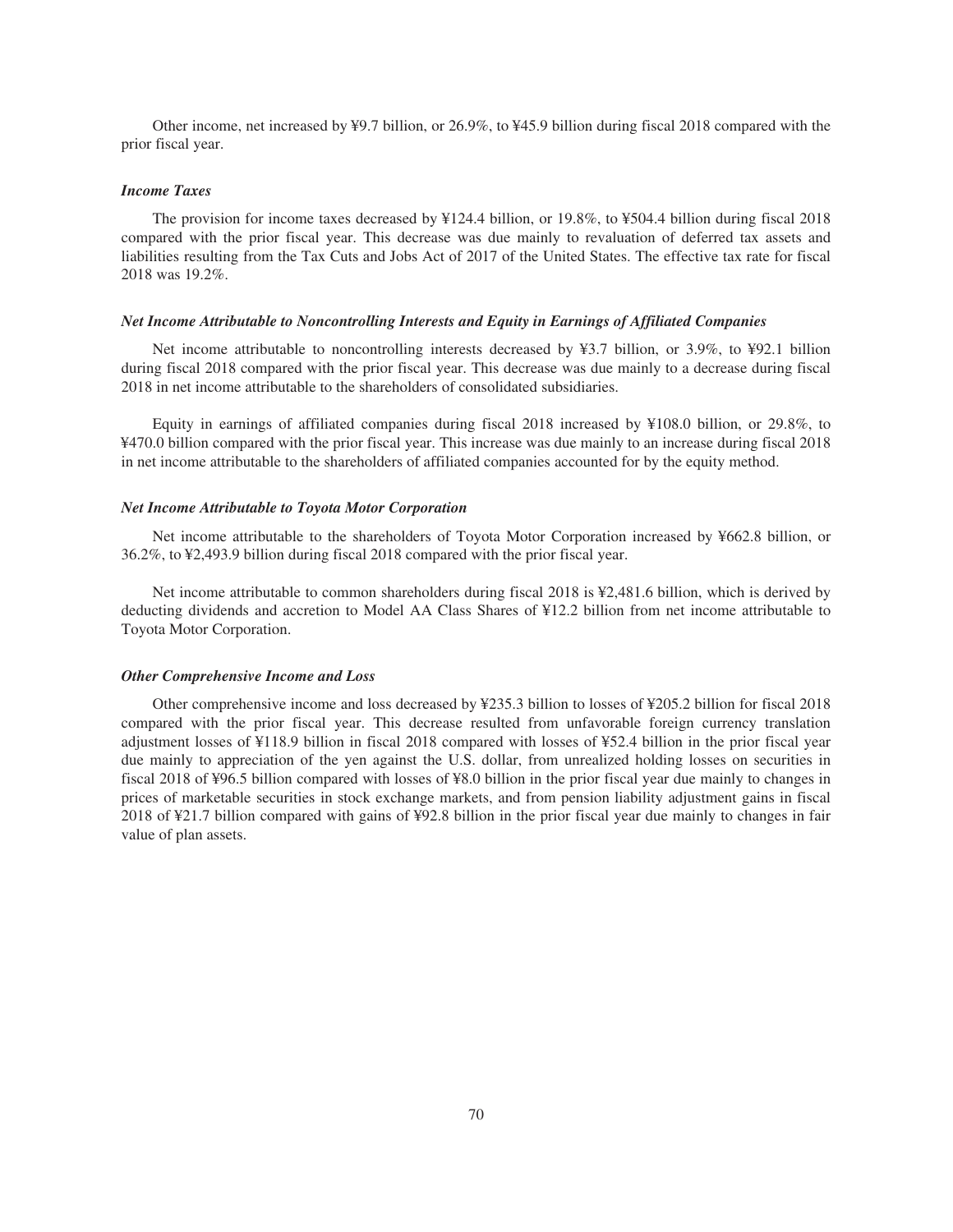Other income, net increased by ¥9.7 billion, or 26.9%, to ¥45.9 billion during fiscal 2018 compared with the prior fiscal year.

## *Income Taxes*

The provision for income taxes decreased by ¥124.4 billion, or 19.8%, to ¥504.4 billion during fiscal 2018 compared with the prior fiscal year. This decrease was due mainly to revaluation of deferred tax assets and liabilities resulting from the Tax Cuts and Jobs Act of 2017 of the United States. The effective tax rate for fiscal 2018 was 19.2%.

#### *Net Income Attributable to Noncontrolling Interests and Equity in Earnings of Affiliated Companies*

Net income attributable to noncontrolling interests decreased by ¥3.7 billion, or 3.9%, to ¥92.1 billion during fiscal 2018 compared with the prior fiscal year. This decrease was due mainly to a decrease during fiscal 2018 in net income attributable to the shareholders of consolidated subsidiaries.

Equity in earnings of affiliated companies during fiscal 2018 increased by ¥108.0 billion, or 29.8%, to ¥470.0 billion compared with the prior fiscal year. This increase was due mainly to an increase during fiscal 2018 in net income attributable to the shareholders of affiliated companies accounted for by the equity method.

#### *Net Income Attributable to Toyota Motor Corporation*

Net income attributable to the shareholders of Toyota Motor Corporation increased by ¥662.8 billion, or 36.2%, to ¥2,493.9 billion during fiscal 2018 compared with the prior fiscal year.

Net income attributable to common shareholders during fiscal 2018 is ¥2,481.6 billion, which is derived by deducting dividends and accretion to Model AA Class Shares of ¥12.2 billion from net income attributable to Toyota Motor Corporation.

#### *Other Comprehensive Income and Loss*

Other comprehensive income and loss decreased by ¥235.3 billion to losses of ¥205.2 billion for fiscal 2018 compared with the prior fiscal year. This decrease resulted from unfavorable foreign currency translation adjustment losses of ¥118.9 billion in fiscal 2018 compared with losses of ¥52.4 billion in the prior fiscal year due mainly to appreciation of the yen against the U.S. dollar, from unrealized holding losses on securities in fiscal 2018 of ¥96.5 billion compared with losses of ¥8.0 billion in the prior fiscal year due mainly to changes in prices of marketable securities in stock exchange markets, and from pension liability adjustment gains in fiscal 2018 of ¥21.7 billion compared with gains of ¥92.8 billion in the prior fiscal year due mainly to changes in fair value of plan assets.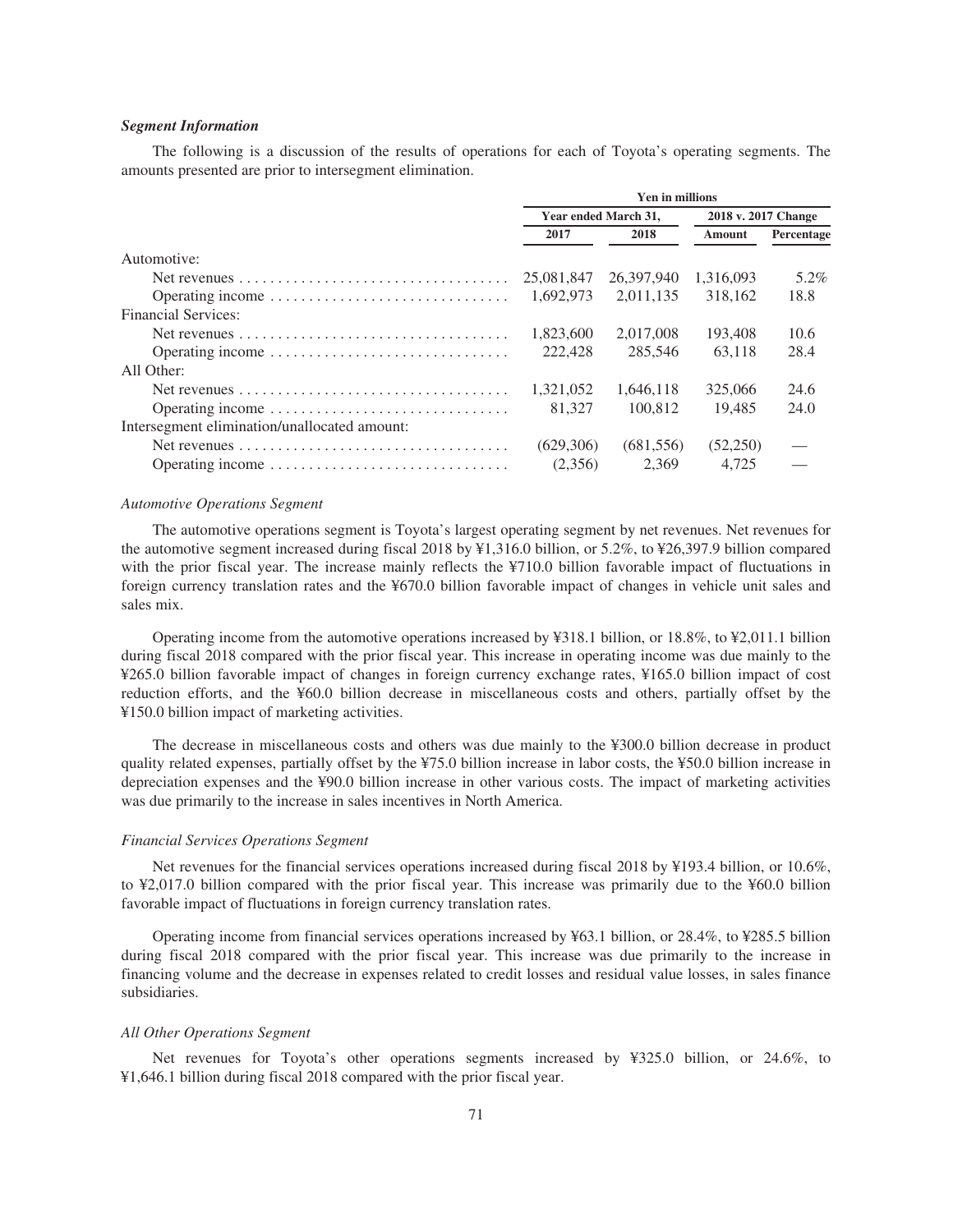## *Segment Information*

The following is a discussion of the results of operations for each of Toyota's operating segments. The amounts presented are prior to intersegment elimination.

|                                                                                        | <b>Yen in millions</b> |                      |                     |            |
|----------------------------------------------------------------------------------------|------------------------|----------------------|---------------------|------------|
|                                                                                        |                        | Year ended March 31, | 2018 v. 2017 Change |            |
|                                                                                        | 2017                   | 2018                 | Amount              | Percentage |
| Automotive:                                                                            |                        |                      |                     |            |
|                                                                                        | 25,081,847             | 26,397,940           | 1,316,093           | $5.2\%$    |
|                                                                                        | 1,692,973              | 2,011,135            | 318.162             | 18.8       |
| <b>Financial Services:</b>                                                             |                        |                      |                     |            |
| Net revenues $\dots \dots \dots \dots \dots \dots \dots \dots \dots \dots \dots \dots$ | 1,823,600              | 2,017,008            | 193,408             | 10.6       |
|                                                                                        | 222,428                | 285,546              | 63.118              | 28.4       |
| All Other:                                                                             |                        |                      |                     |            |
| Net revenues $\dots\dots\dots\dots\dots\dots\dots\dots\dots\dots\dots\dots\dots$       | 1,321,052              | 1.646.118            | 325,066             | 24.6       |
| Operating income                                                                       | 81.327                 | 100.812              | 19.485              | 24.0       |
| Intersegment elimination/unallocated amount:                                           |                        |                      |                     |            |
| Net revenues $\dots\dots\dots\dots\dots\dots\dots\dots\dots\dots\dots\dots\dots\dots$  | (629,306)              | (681, 556)           | (52,250)            |            |
| Operating income                                                                       | (2.356)                | 2.369                | 4.725               |            |
|                                                                                        |                        |                      |                     |            |

#### *Automotive Operations Segment*

The automotive operations segment is Toyota's largest operating segment by net revenues. Net revenues for the automotive segment increased during fiscal 2018 by ¥1,316.0 billion, or 5.2%, to ¥26,397.9 billion compared with the prior fiscal year. The increase mainly reflects the ¥710.0 billion favorable impact of fluctuations in foreign currency translation rates and the ¥670.0 billion favorable impact of changes in vehicle unit sales and sales mix.

Operating income from the automotive operations increased by ¥318.1 billion, or 18.8%, to ¥2,011.1 billion during fiscal 2018 compared with the prior fiscal year. This increase in operating income was due mainly to the ¥265.0 billion favorable impact of changes in foreign currency exchange rates, ¥165.0 billion impact of cost reduction efforts, and the ¥60.0 billion decrease in miscellaneous costs and others, partially offset by the ¥150.0 billion impact of marketing activities.

The decrease in miscellaneous costs and others was due mainly to the ¥300.0 billion decrease in product quality related expenses, partially offset by the ¥75.0 billion increase in labor costs, the ¥50.0 billion increase in depreciation expenses and the ¥90.0 billion increase in other various costs. The impact of marketing activities was due primarily to the increase in sales incentives in North America.

#### *Financial Services Operations Segment*

Net revenues for the financial services operations increased during fiscal 2018 by ¥193.4 billion, or 10.6%, to ¥2,017.0 billion compared with the prior fiscal year. This increase was primarily due to the ¥60.0 billion favorable impact of fluctuations in foreign currency translation rates.

Operating income from financial services operations increased by ¥63.1 billion, or 28.4%, to ¥285.5 billion during fiscal 2018 compared with the prior fiscal year. This increase was due primarily to the increase in financing volume and the decrease in expenses related to credit losses and residual value losses, in sales finance subsidiaries.

#### *All Other Operations Segment*

Net revenues for Toyota's other operations segments increased by ¥325.0 billion, or 24.6%, to ¥1,646.1 billion during fiscal 2018 compared with the prior fiscal year.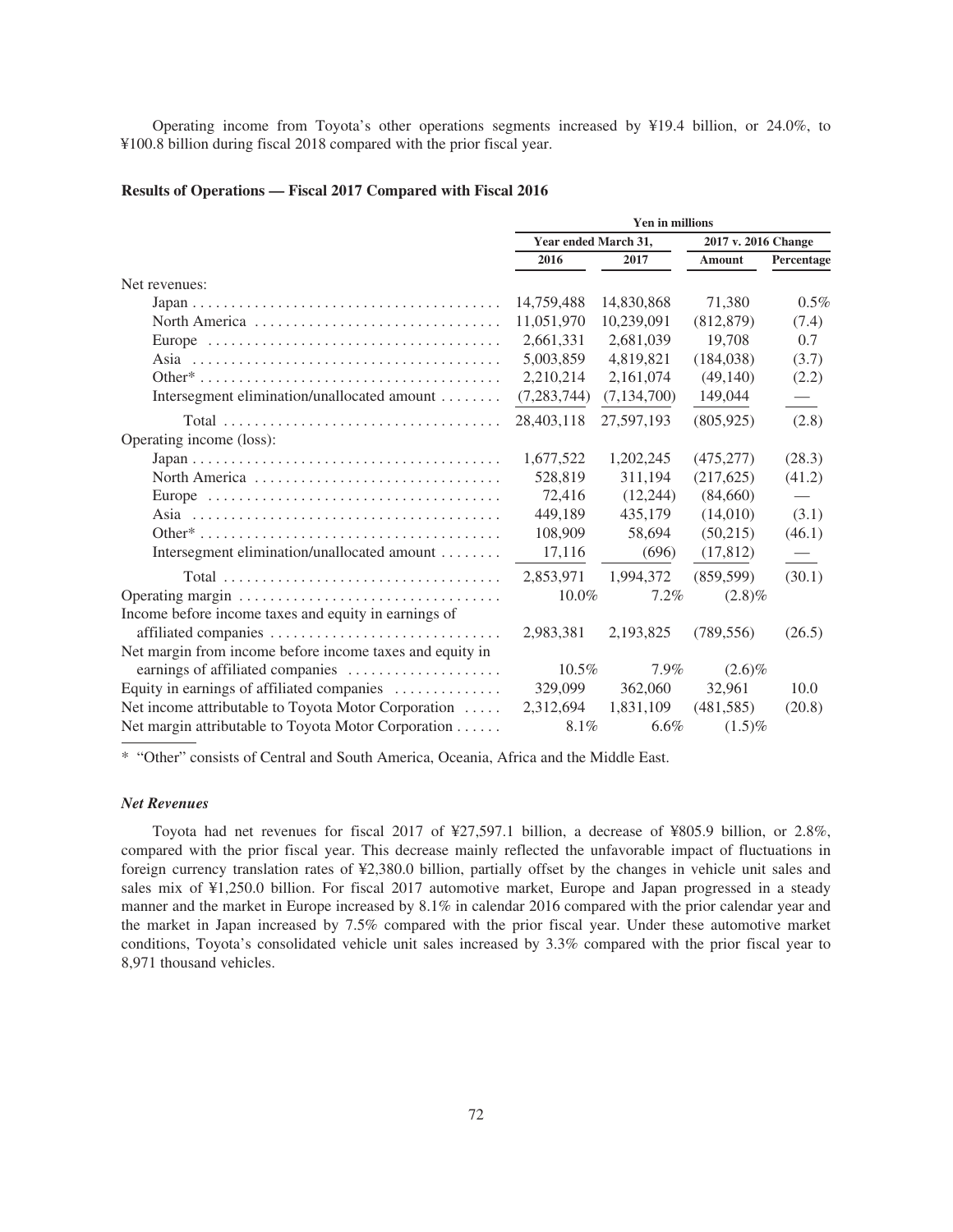Operating income from Toyota's other operations segments increased by ¥19.4 billion, or 24.0%, to ¥100.8 billion during fiscal 2018 compared with the prior fiscal year.

# **Results of Operations — Fiscal 2017 Compared with Fiscal 2016**

|                                                                                | <b>Yen in millions</b> |               |                     |                          |  |
|--------------------------------------------------------------------------------|------------------------|---------------|---------------------|--------------------------|--|
|                                                                                | Year ended March 31,   |               | 2017 v. 2016 Change |                          |  |
|                                                                                | 2016                   | 2017          | <b>Amount</b>       | Percentage               |  |
| Net revenues:                                                                  |                        |               |                     |                          |  |
|                                                                                | 14,759,488             | 14,830,868    | 71.380              | 0.5%                     |  |
| North America                                                                  | 11,051,970             | 10,239,091    | (812, 879)          | (7.4)                    |  |
|                                                                                | 2,661,331              | 2,681,039     | 19,708              | 0.7                      |  |
|                                                                                | 5,003,859              | 4,819,821     | (184, 038)          | (3.7)                    |  |
|                                                                                | 2,210,214              | 2,161,074     | (49, 140)           | (2.2)                    |  |
| Intersegment elimination/unallocated amount                                    | (7, 283, 744)          | (7, 134, 700) | 149,044             | $\equiv$                 |  |
|                                                                                | 28,403,118             | 27,597,193    | (805, 925)          | (2.8)                    |  |
| Operating income (loss):                                                       |                        |               |                     |                          |  |
|                                                                                | 1,677,522              | 1,202,245     | (475, 277)          | (28.3)                   |  |
| North America $\ldots, \ldots, \ldots, \ldots, \ldots, \ldots, \ldots, \ldots$ | 528,819                | 311,194       | (217, 625)          | (41.2)                   |  |
|                                                                                | 72,416                 | (12,244)      | (84,660)            |                          |  |
|                                                                                | 449.189                | 435,179       | (14,010)            | (3.1)                    |  |
|                                                                                | 108,909                | 58,694        | (50,215)            | (46.1)                   |  |
| Intersegment elimination/unallocated amount                                    | 17,116                 | (696)         | (17, 812)           | $\overline{\phantom{m}}$ |  |
|                                                                                | 2,853,971              | 1,994,372     | (859, 599)          | (30.1)                   |  |
|                                                                                | 10.0%                  | 7.2%          | $(2.8)\%$           |                          |  |
| Income before income taxes and equity in earnings of                           |                        |               |                     |                          |  |
| affiliated companies                                                           | 2,983,381              | 2,193,825     | (789, 556)          | (26.5)                   |  |
| Net margin from income before income taxes and equity in                       |                        |               |                     |                          |  |
| earnings of affiliated companies                                               | $10.5\%$               | 7.9%          | $(2.6)\%$           |                          |  |
| Equity in earnings of affiliated companies                                     | 329,099                | 362,060       | 32,961              | 10.0                     |  |
| Net income attributable to Toyota Motor Corporation                            | 2,312,694              | 1,831,109     | (481, 585)          | (20.8)                   |  |
| Net margin attributable to Toyota Motor Corporation                            | $8.1\%$                | $6.6\%$       | $(1.5)\%$           |                          |  |

\* "Other" consists of Central and South America, Oceania, Africa and the Middle East.

## *Net Revenues*

Toyota had net revenues for fiscal 2017 of ¥27,597.1 billion, a decrease of ¥805.9 billion, or 2.8%, compared with the prior fiscal year. This decrease mainly reflected the unfavorable impact of fluctuations in foreign currency translation rates of ¥2,380.0 billion, partially offset by the changes in vehicle unit sales and sales mix of ¥1,250.0 billion. For fiscal 2017 automotive market, Europe and Japan progressed in a steady manner and the market in Europe increased by 8.1% in calendar 2016 compared with the prior calendar year and the market in Japan increased by 7.5% compared with the prior fiscal year. Under these automotive market conditions, Toyota's consolidated vehicle unit sales increased by 3.3% compared with the prior fiscal year to 8,971 thousand vehicles.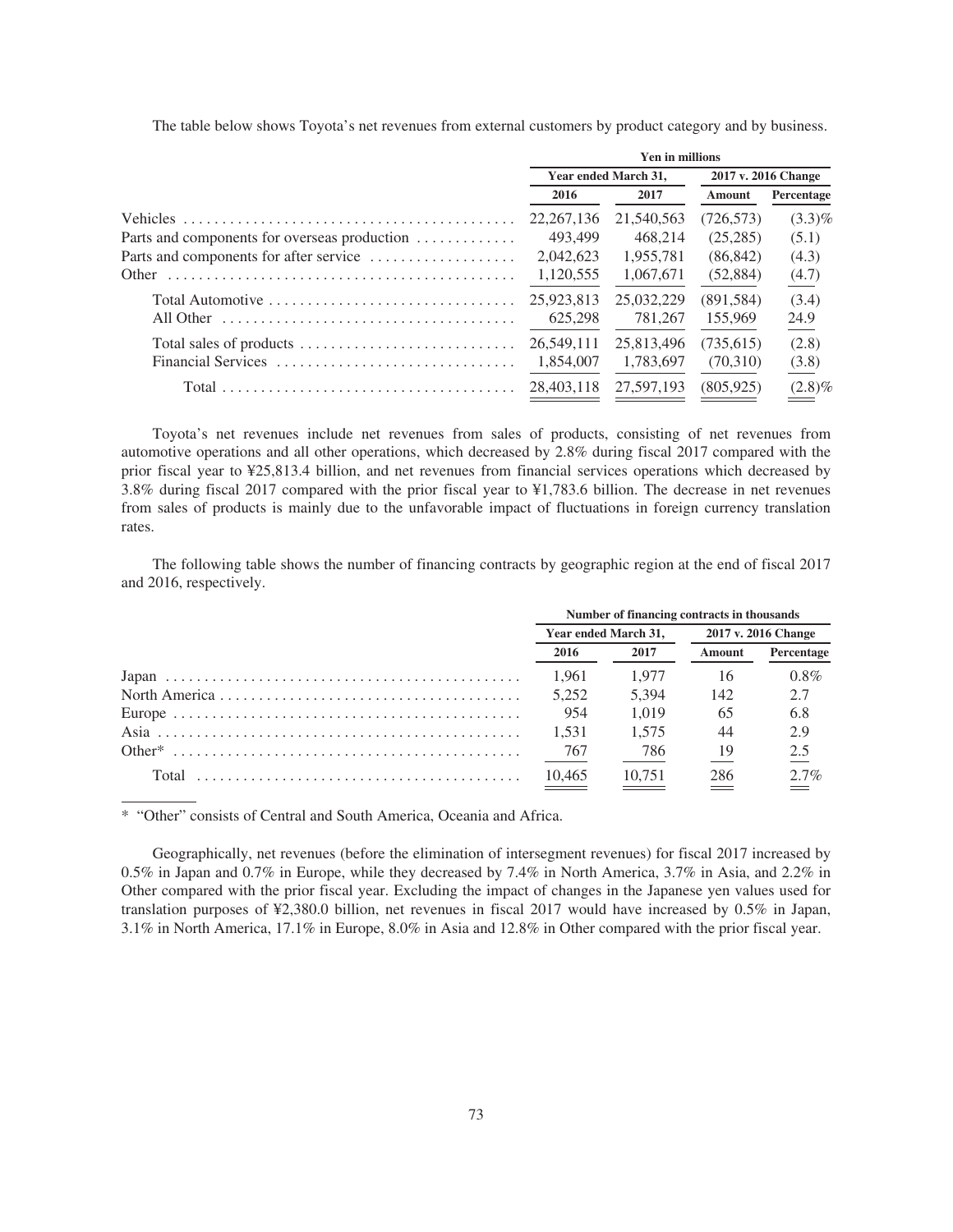|                                              | <b>Yen in millions</b> |            |                     |            |
|----------------------------------------------|------------------------|------------|---------------------|------------|
|                                              | Year ended March 31,   |            | 2017 v. 2016 Change |            |
|                                              | 2016                   | 2017       | Amount              | Percentage |
|                                              | 22, 267, 136           | 21,540,563 | (726, 573)          | $(3.3)\%$  |
| Parts and components for overseas production | 493,499                | 468.214    | (25, 285)           | (5.1)      |
| Parts and components for after service       | 2.042.623              | 1.955.781  | (86, 842)           | (4.3)      |
| Other                                        | 1,120,555              | 1,067,671  | (52, 884)           | (4.7)      |
|                                              | 25,923,813             | 25,032,229 | (891.584)           | (3.4)      |
|                                              | 625,298                | 781.267    | 155,969             | 24.9       |
|                                              | 26,549,111             | 25,813,496 | (735.615)           | (2.8)      |
| Financial Services                           | 1,854,007              | 1.783.697  | (70,310)            | (3.8)      |
|                                              | 28,403,118             | 27,597,193 | (805.925)           | $(2.8)\%$  |

The table below shows Toyota's net revenues from external customers by product category and by business.

Toyota's net revenues include net revenues from sales of products, consisting of net revenues from automotive operations and all other operations, which decreased by 2.8% during fiscal 2017 compared with the prior fiscal year to ¥25,813.4 billion, and net revenues from financial services operations which decreased by 3.8% during fiscal 2017 compared with the prior fiscal year to ¥1,783.6 billion. The decrease in net revenues from sales of products is mainly due to the unfavorable impact of fluctuations in foreign currency translation rates.

The following table shows the number of financing contracts by geographic region at the end of fiscal 2017 and 2016, respectively.

| Number of financing contracts in thousands |        |        |            |
|--------------------------------------------|--------|--------|------------|
| Year ended March 31, 2017 v. 2016 Change   |        |        |            |
| 2016                                       | 2017   | Amount | Percentage |
| 1.961                                      | 1.977  | -16    | $0.8\%$    |
| 5.252                                      | 5.394  | 142    | 2.7        |
| 954                                        | 1.019  | 65     | 6.8        |
| 1.531                                      | 1.575  | 44     | 2.9        |
| 767                                        | 786    | -19    | 2.5        |
| 10.465                                     | 10.751 | 286    | $2.7\%$    |

\* "Other" consists of Central and South America, Oceania and Africa.

Geographically, net revenues (before the elimination of intersegment revenues) for fiscal 2017 increased by 0.5% in Japan and 0.7% in Europe, while they decreased by 7.4% in North America, 3.7% in Asia, and 2.2% in Other compared with the prior fiscal year. Excluding the impact of changes in the Japanese yen values used for translation purposes of ¥2,380.0 billion, net revenues in fiscal 2017 would have increased by 0.5% in Japan, 3.1% in North America, 17.1% in Europe, 8.0% in Asia and 12.8% in Other compared with the prior fiscal year.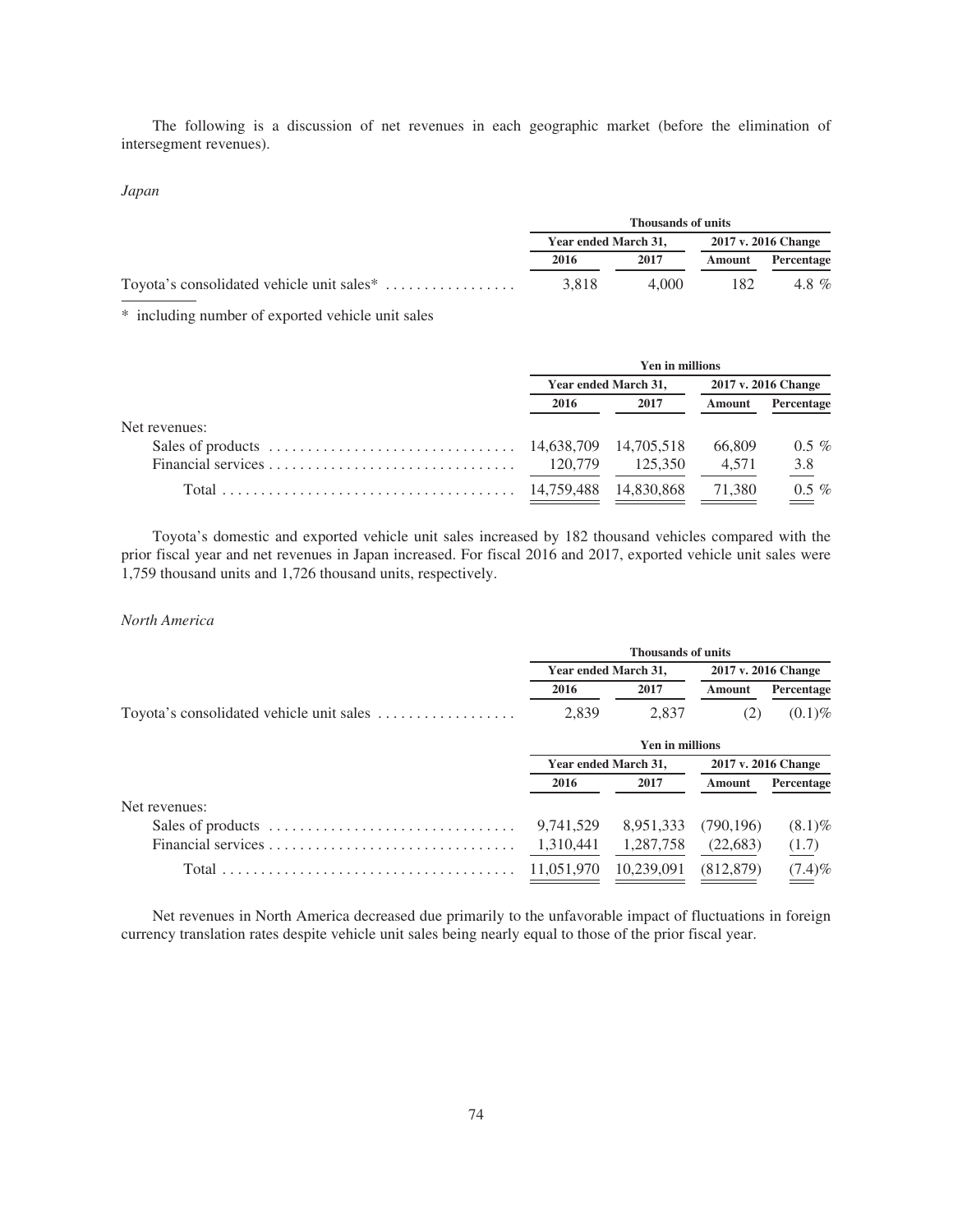The following is a discussion of net revenues in each geographic market (before the elimination of intersegment revenues).

# *Japan*

| <b>Thousands of units</b> |       |                     |            |
|---------------------------|-------|---------------------|------------|
| Year ended March 31,      |       | 2017 v. 2016 Change |            |
| 2016                      | 2017  | Amount              | Percentage |
| 3.818                     | 4.000 | 182                 | 4.8 %      |

\* including number of exported vehicle unit sales

|               | Yen in millions      |         |                     |            |
|---------------|----------------------|---------|---------------------|------------|
|               | Year ended March 31, |         | 2017 v. 2016 Change |            |
|               | 2016                 | 2017    | Amount              | Percentage |
| Net revenues: |                      |         |                     |            |
|               |                      |         | 66,809              | $0.5\%$    |
|               |                      | 125.350 | 4.571               | 3.8        |
|               |                      |         | 71.380              | $0.5\%$    |

Toyota's domestic and exported vehicle unit sales increased by 182 thousand vehicles compared with the prior fiscal year and net revenues in Japan increased. For fiscal 2016 and 2017, exported vehicle unit sales were 1,759 thousand units and 1,726 thousand units, respectively.

## *North America*

|                                                                           | <b>Thousands of units</b> |                        |            |                     |  |
|---------------------------------------------------------------------------|---------------------------|------------------------|------------|---------------------|--|
|                                                                           | Year ended March 31,      |                        |            | 2017 v. 2016 Change |  |
|                                                                           | 2016                      | 2017                   | Amount     | Percentage          |  |
| Toyota's consolidated vehicle unit sales $\dots\dots\dots\dots\dots\dots$ | 2,839                     | 2,837                  | (2)        | $(0.1)\%$           |  |
|                                                                           |                           | <b>Yen in millions</b> |            |                     |  |
|                                                                           |                           | Year ended March 31,   |            | 2017 v. 2016 Change |  |
|                                                                           | 2016                      | 2017                   | Amount     | Percentage          |  |
| Net revenues:                                                             |                           |                        |            |                     |  |
|                                                                           | 9,741,529                 | 8,951,333              | (790.196)  | $(8.1)\%$           |  |
|                                                                           | 1,310,441                 | 1,287,758              | (22, 683)  | (1.7)               |  |
| Total                                                                     | 11,051,970                | 10.239.091             | (812, 879) | (7.4)%              |  |

Net revenues in North America decreased due primarily to the unfavorable impact of fluctuations in foreign currency translation rates despite vehicle unit sales being nearly equal to those of the prior fiscal year.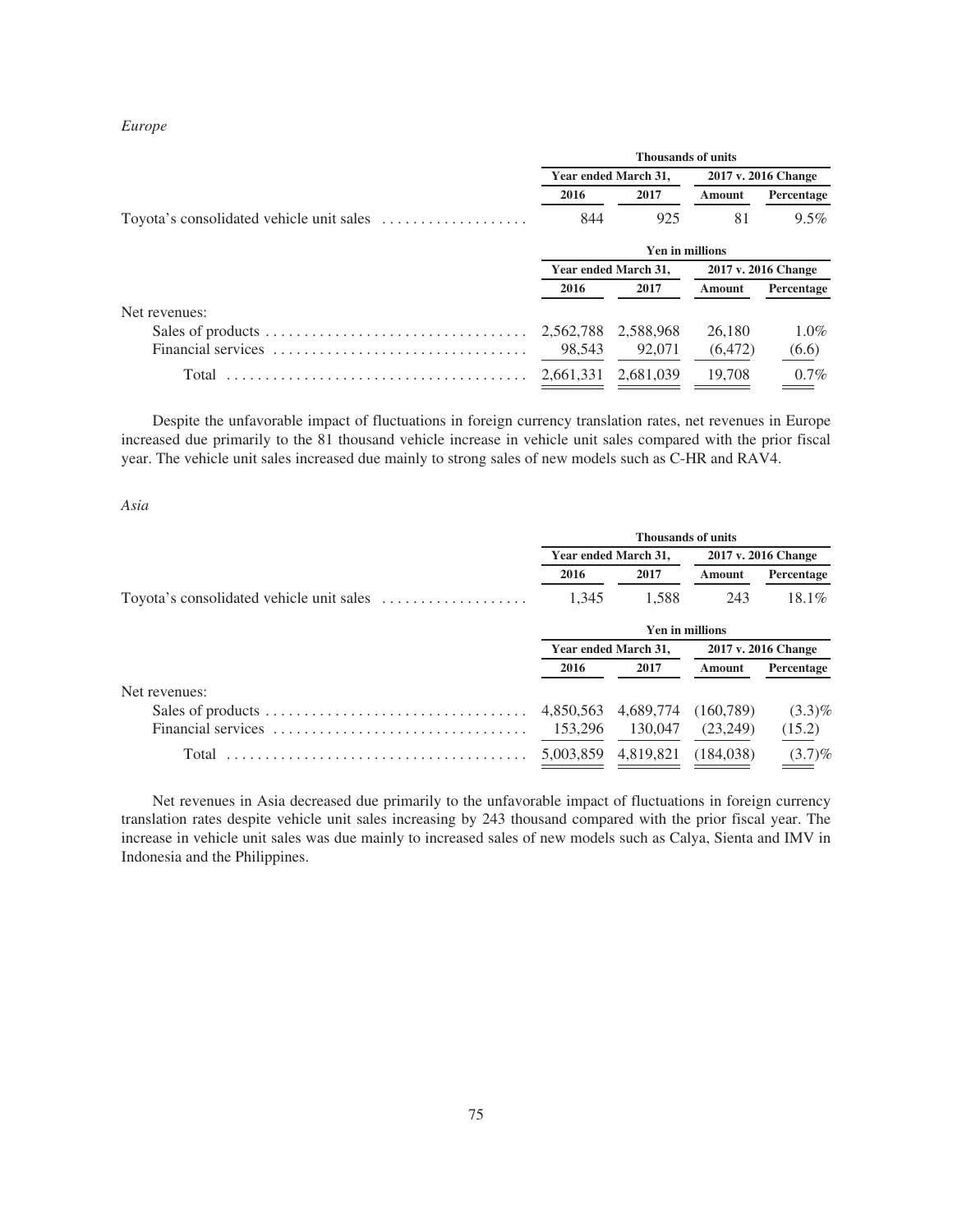## *Europe*

|                                                                           | <b>Thousands of units</b>                   |                        |          |            |
|---------------------------------------------------------------------------|---------------------------------------------|------------------------|----------|------------|
|                                                                           | Year ended March 31,<br>2017 v. 2016 Change |                        |          |            |
|                                                                           | 2016                                        | 2017                   | Amount   | Percentage |
| Toyota's consolidated vehicle unit sales $\dots\dots\dots\dots\dots\dots$ | 844                                         | 925                    | 81       | $9.5\%$    |
|                                                                           |                                             | <b>Yen in millions</b> |          |            |
|                                                                           | Year ended March 31,<br>2017 v. 2016 Change |                        |          |            |
|                                                                           | 2016                                        | 2017                   | Amount   | Percentage |
| Net revenues:                                                             |                                             |                        |          |            |
|                                                                           | 2,562,788                                   | 2,588,968              | 26,180   | $1.0\%$    |
|                                                                           | 98,543                                      | 92,071                 | (6, 472) | (6.6)      |
| Total                                                                     | 2,661,331                                   | 2.681.039              | 19,708   | $0.7\%$    |

Despite the unfavorable impact of fluctuations in foreign currency translation rates, net revenues in Europe increased due primarily to the 81 thousand vehicle increase in vehicle unit sales compared with the prior fiscal year. The vehicle unit sales increased due mainly to strong sales of new models such as C-HR and RAV4.

# *Asia*

|               | <b>Thousands of units</b>                   |           |            |            |
|---------------|---------------------------------------------|-----------|------------|------------|
|               | 2017 v. 2016 Change<br>Year ended March 31, |           |            |            |
|               | 2016                                        | 2017      | Amount     | Percentage |
|               | 1.345                                       | 1,588     | 243        | $18.1\%$   |
|               | Yen in millions                             |           |            |            |
|               | 2017 v. 2016 Change<br>Year ended March 31, |           |            |            |
|               | 2016                                        | 2017      | Amount     | Percentage |
| Net revenues: |                                             |           |            |            |
|               | 4,850,563                                   | 4,689,774 | (160.789)  | $(3.3)\%$  |
|               | 153,296                                     | 130,047   | (23,249)   | (15.2)     |
| Total         | 5,003,859                                   | 4.819.821 | (184, 038) | $(3.7)\%$  |

Net revenues in Asia decreased due primarily to the unfavorable impact of fluctuations in foreign currency translation rates despite vehicle unit sales increasing by 243 thousand compared with the prior fiscal year. The increase in vehicle unit sales was due mainly to increased sales of new models such as Calya, Sienta and IMV in Indonesia and the Philippines.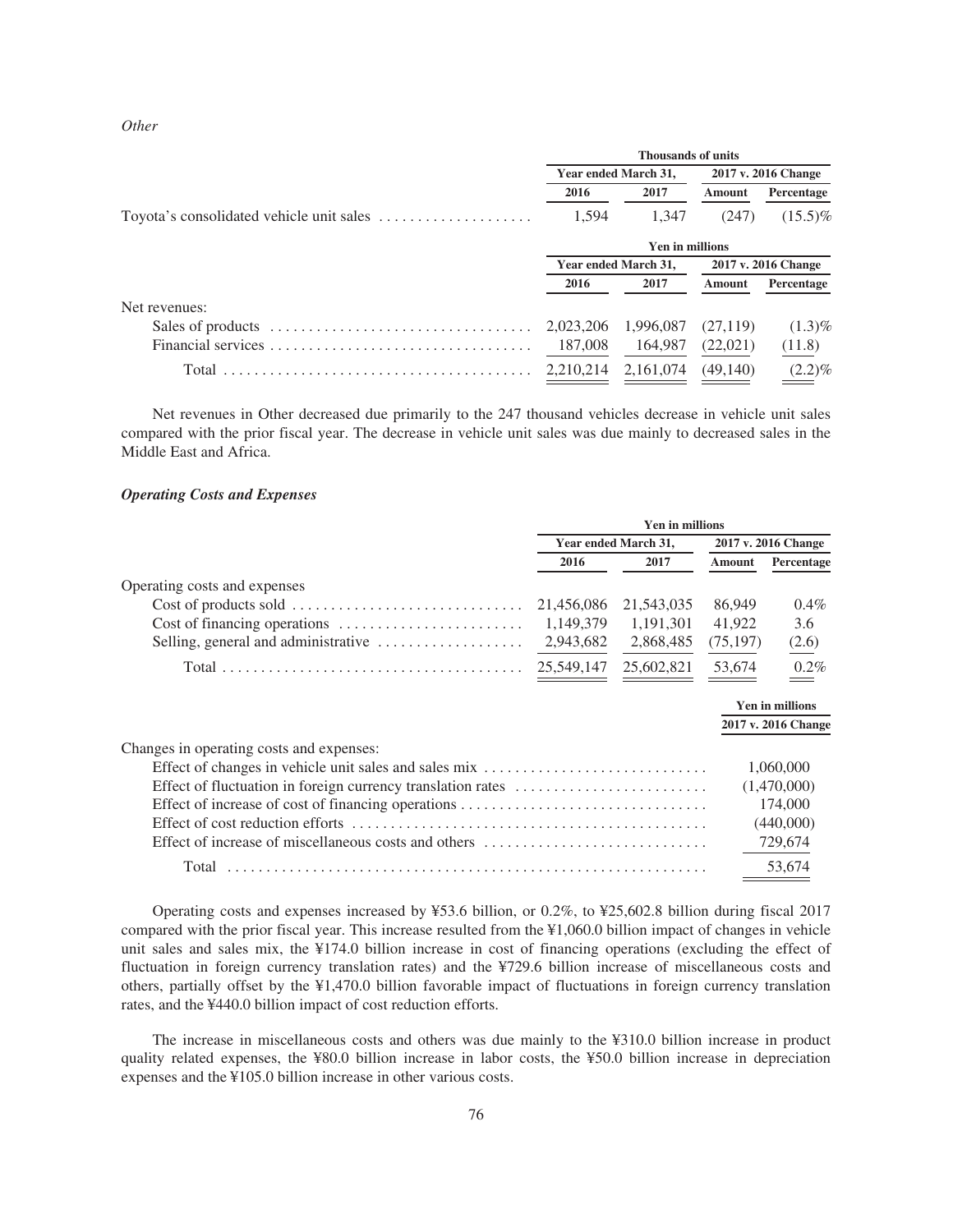*Other*

|                                                                           | <b>Thousands of units</b>                   |                 |                     |            |
|---------------------------------------------------------------------------|---------------------------------------------|-----------------|---------------------|------------|
|                                                                           | Year ended March 31.                        |                 | 2017 v. 2016 Change |            |
|                                                                           | 2016                                        | 2017            | Amount              | Percentage |
| Toyota's consolidated vehicle unit sales $\dots\dots\dots\dots\dots\dots$ | 1.594                                       | 1.347           | (247)               | $(15.5)\%$ |
|                                                                           |                                             | Yen in millions |                     |            |
|                                                                           | Year ended March 31,<br>2017 v. 2016 Change |                 |                     |            |
|                                                                           | 2016                                        | 2017            | Amount              | Percentage |
| Net revenues:                                                             |                                             |                 |                     |            |
|                                                                           | 2,023,206                                   | 1,996,087       | (27.119)            | $(1.3)\%$  |
|                                                                           | 187,008                                     | 164,987         | (22,021)            | (11.8)     |
|                                                                           | 2.210.214                                   | 2,161,074       | (49,140)            | $(2.2)\%$  |

Net revenues in Other decreased due primarily to the 247 thousand vehicles decrease in vehicle unit sales compared with the prior fiscal year. The decrease in vehicle unit sales was due mainly to decreased sales in the Middle East and Africa.

## *Operating Costs and Expenses*

|                                                                                                | Yen in millions      |            |                     |                     |
|------------------------------------------------------------------------------------------------|----------------------|------------|---------------------|---------------------|
|                                                                                                | Year ended March 31, |            | 2017 v. 2016 Change |                     |
|                                                                                                | 2016                 | 2017       | Amount              | Percentage          |
| Operating costs and expenses                                                                   |                      |            |                     |                     |
|                                                                                                | 21,456,086           | 21,543,035 | 86,949              | $0.4\%$             |
|                                                                                                | 1,149,379            | 1,191,301  | 41,922              | 3.6                 |
| Selling, general and administrative                                                            | 2,943,682            | 2,868,485  | (75, 197)           | (2.6)               |
|                                                                                                | 25,549,147           | 25,602,821 | 53,674              | 0.2%                |
|                                                                                                |                      |            |                     | Yen in millions     |
|                                                                                                |                      |            |                     | 2017 v. 2016 Change |
| Changes in operating costs and expenses:                                                       |                      |            |                     |                     |
|                                                                                                |                      |            |                     | 1,060,000           |
|                                                                                                |                      |            |                     | (1,470,000)         |
|                                                                                                |                      |            |                     | 174,000             |
|                                                                                                |                      |            |                     | (440,000)           |
| Effect of increase of miscellaneous costs and others $\ldots$ , $\ldots$ , $\ldots$ , $\ldots$ |                      |            |                     | 729,674             |
| Total                                                                                          |                      |            |                     | 53,674              |

Operating costs and expenses increased by ¥53.6 billion, or 0.2%, to ¥25,602.8 billion during fiscal 2017 compared with the prior fiscal year. This increase resulted from the ¥1,060.0 billion impact of changes in vehicle unit sales and sales mix, the ¥174.0 billion increase in cost of financing operations (excluding the effect of fluctuation in foreign currency translation rates) and the ¥729.6 billion increase of miscellaneous costs and others, partially offset by the ¥1,470.0 billion favorable impact of fluctuations in foreign currency translation rates, and the ¥440.0 billion impact of cost reduction efforts.

The increase in miscellaneous costs and others was due mainly to the ¥310.0 billion increase in product quality related expenses, the ¥80.0 billion increase in labor costs, the ¥50.0 billion increase in depreciation expenses and the ¥105.0 billion increase in other various costs.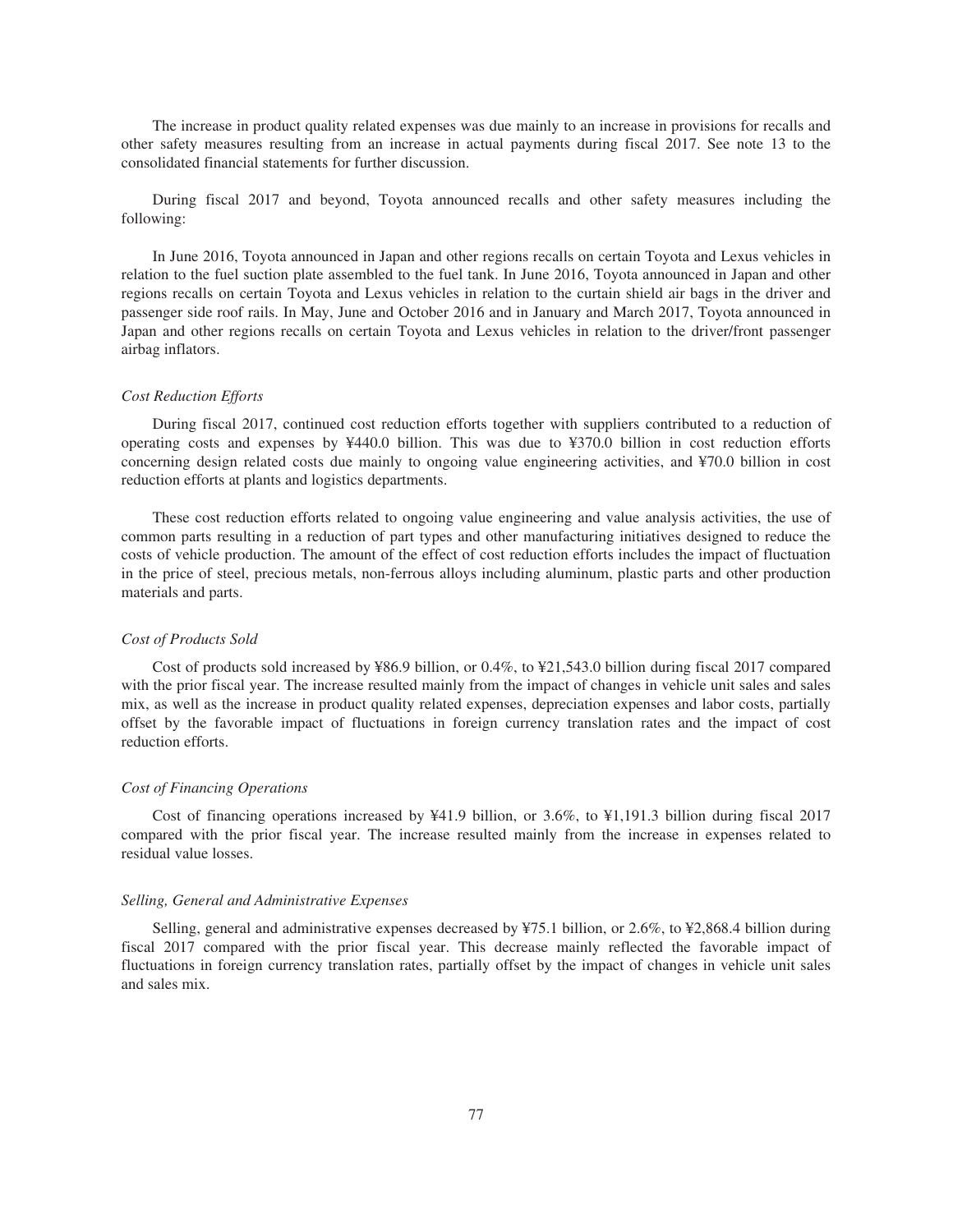The increase in product quality related expenses was due mainly to an increase in provisions for recalls and other safety measures resulting from an increase in actual payments during fiscal 2017. See note 13 to the consolidated financial statements for further discussion.

During fiscal 2017 and beyond, Toyota announced recalls and other safety measures including the following:

In June 2016, Toyota announced in Japan and other regions recalls on certain Toyota and Lexus vehicles in relation to the fuel suction plate assembled to the fuel tank. In June 2016, Toyota announced in Japan and other regions recalls on certain Toyota and Lexus vehicles in relation to the curtain shield air bags in the driver and passenger side roof rails. In May, June and October 2016 and in January and March 2017, Toyota announced in Japan and other regions recalls on certain Toyota and Lexus vehicles in relation to the driver/front passenger airbag inflators.

#### *Cost Reduction Efforts*

During fiscal 2017, continued cost reduction efforts together with suppliers contributed to a reduction of operating costs and expenses by ¥440.0 billion. This was due to ¥370.0 billion in cost reduction efforts concerning design related costs due mainly to ongoing value engineering activities, and ¥70.0 billion in cost reduction efforts at plants and logistics departments.

These cost reduction efforts related to ongoing value engineering and value analysis activities, the use of common parts resulting in a reduction of part types and other manufacturing initiatives designed to reduce the costs of vehicle production. The amount of the effect of cost reduction efforts includes the impact of fluctuation in the price of steel, precious metals, non-ferrous alloys including aluminum, plastic parts and other production materials and parts.

## *Cost of Products Sold*

Cost of products sold increased by ¥86.9 billion, or 0.4%, to ¥21,543.0 billion during fiscal 2017 compared with the prior fiscal year. The increase resulted mainly from the impact of changes in vehicle unit sales and sales mix, as well as the increase in product quality related expenses, depreciation expenses and labor costs, partially offset by the favorable impact of fluctuations in foreign currency translation rates and the impact of cost reduction efforts.

## *Cost of Financing Operations*

Cost of financing operations increased by ¥41.9 billion, or 3.6%, to ¥1,191.3 billion during fiscal 2017 compared with the prior fiscal year. The increase resulted mainly from the increase in expenses related to residual value losses.

## *Selling, General and Administrative Expenses*

Selling, general and administrative expenses decreased by ¥75.1 billion, or 2.6%, to ¥2,868.4 billion during fiscal 2017 compared with the prior fiscal year. This decrease mainly reflected the favorable impact of fluctuations in foreign currency translation rates, partially offset by the impact of changes in vehicle unit sales and sales mix.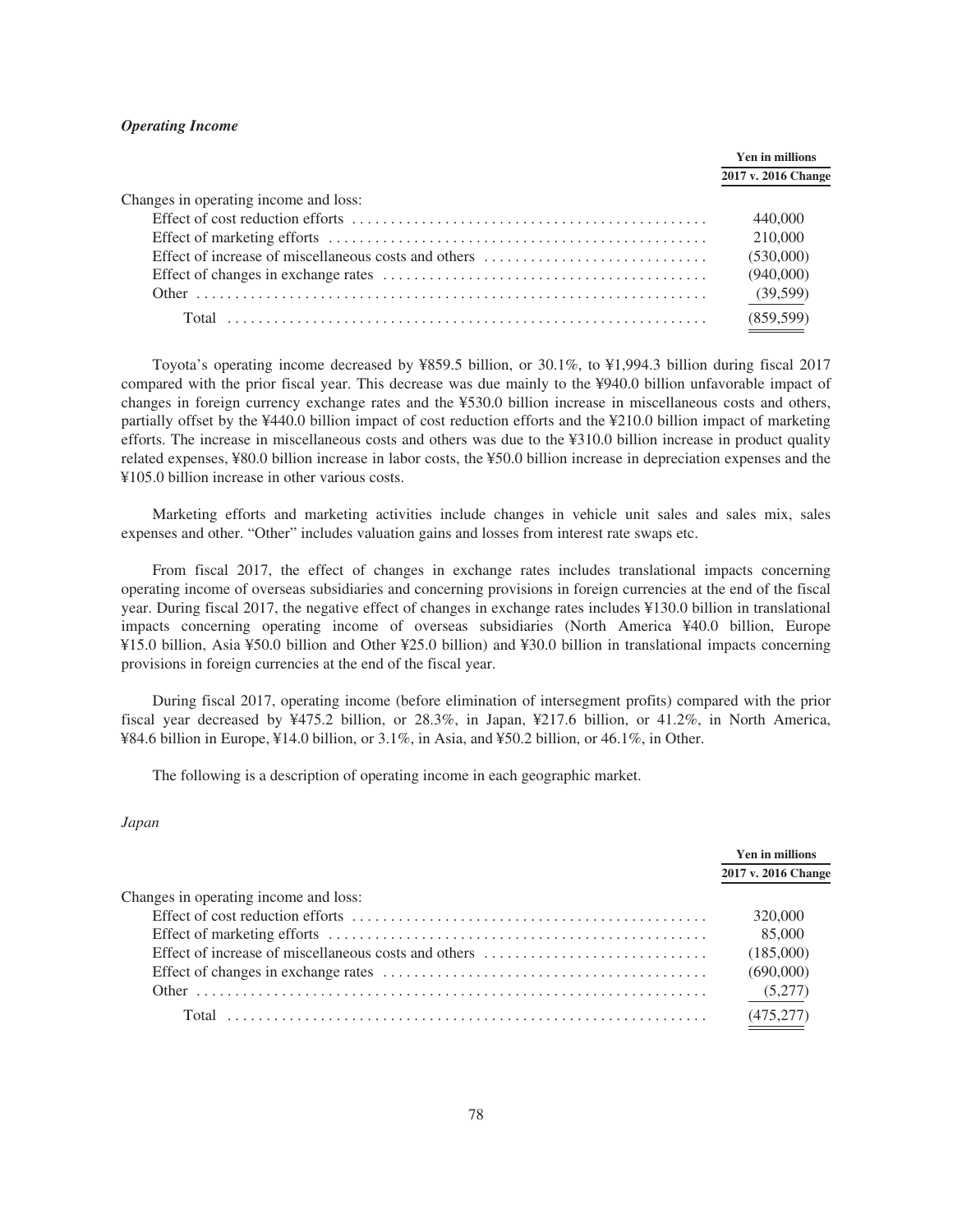## *Operating Income*

|                                       | Yen in millions     |
|---------------------------------------|---------------------|
|                                       | 2017 v. 2016 Change |
| Changes in operating income and loss: |                     |
|                                       | 440,000             |
|                                       | 210,000             |
|                                       | (530,000)           |
|                                       | (940,000)           |
|                                       | (39, 599)           |
|                                       | (859.599)           |

Toyota's operating income decreased by ¥859.5 billion, or 30.1%, to ¥1,994.3 billion during fiscal 2017 compared with the prior fiscal year. This decrease was due mainly to the ¥940.0 billion unfavorable impact of changes in foreign currency exchange rates and the ¥530.0 billion increase in miscellaneous costs and others, partially offset by the ¥440.0 billion impact of cost reduction efforts and the ¥210.0 billion impact of marketing efforts. The increase in miscellaneous costs and others was due to the ¥310.0 billion increase in product quality related expenses, ¥80.0 billion increase in labor costs, the ¥50.0 billion increase in depreciation expenses and the ¥105.0 billion increase in other various costs.

Marketing efforts and marketing activities include changes in vehicle unit sales and sales mix, sales expenses and other. "Other" includes valuation gains and losses from interest rate swaps etc.

From fiscal 2017, the effect of changes in exchange rates includes translational impacts concerning operating income of overseas subsidiaries and concerning provisions in foreign currencies at the end of the fiscal year. During fiscal 2017, the negative effect of changes in exchange rates includes ¥130.0 billion in translational impacts concerning operating income of overseas subsidiaries (North America ¥40.0 billion, Europe ¥15.0 billion, Asia ¥50.0 billion and Other ¥25.0 billion) and ¥30.0 billion in translational impacts concerning provisions in foreign currencies at the end of the fiscal year.

During fiscal 2017, operating income (before elimination of intersegment profits) compared with the prior fiscal year decreased by ¥475.2 billion, or 28.3%, in Japan, ¥217.6 billion, or 41.2%, in North America, ¥84.6 billion in Europe, ¥14.0 billion, or 3.1%, in Asia, and ¥50.2 billion, or 46.1%, in Other.

The following is a description of operating income in each geographic market.

# *Japan*

|                                       | <b>Yen in millions</b> |
|---------------------------------------|------------------------|
|                                       | 2017 v. 2016 Change    |
| Changes in operating income and loss: |                        |
|                                       | 320,000                |
|                                       | 85,000                 |
|                                       | (185,000)              |
|                                       | (690,000)              |
|                                       | (5,277)                |
|                                       | (475, 277)             |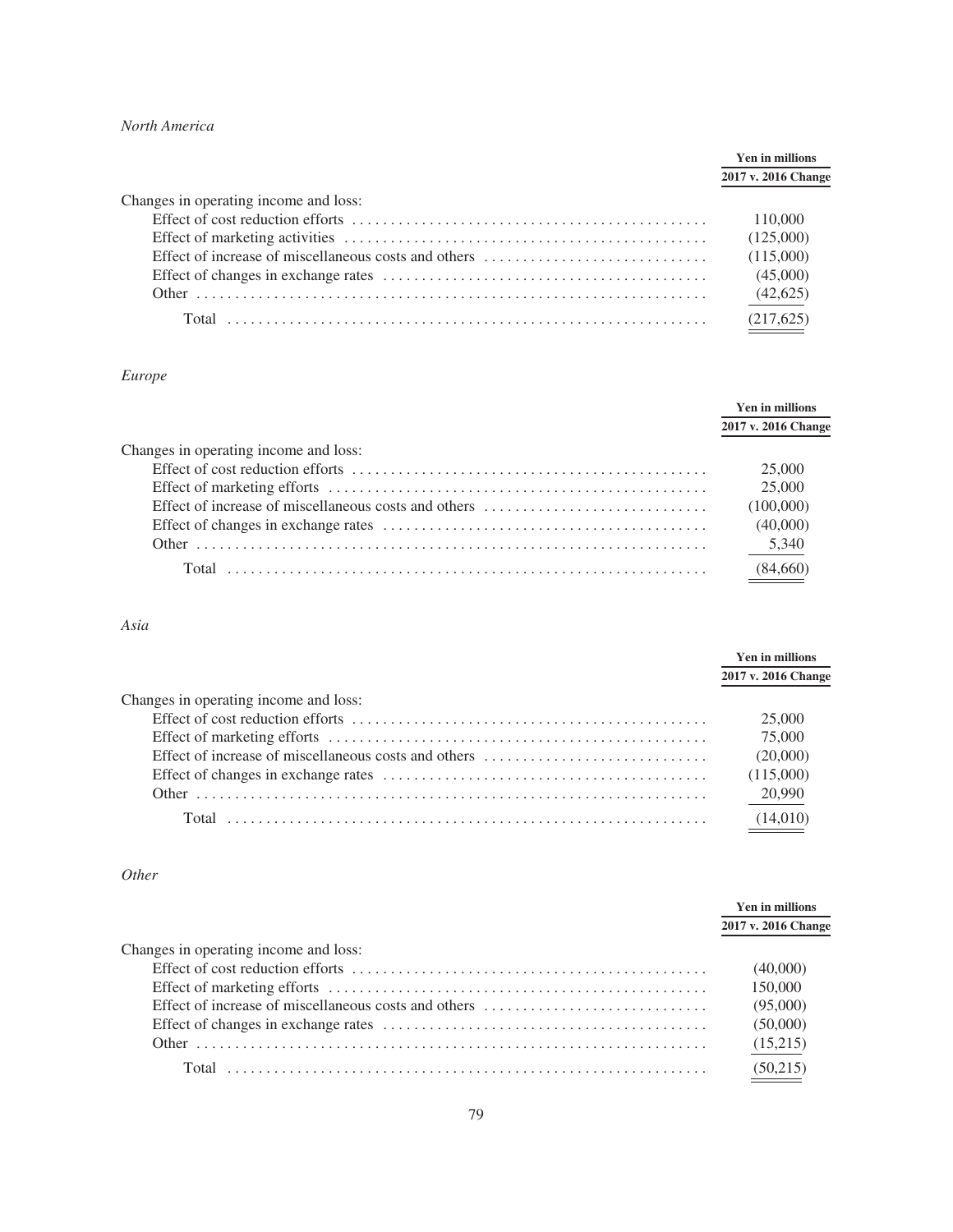# *North America*

|                                                                                     | Yen in millions     |
|-------------------------------------------------------------------------------------|---------------------|
|                                                                                     | 2017 v. 2016 Change |
| Changes in operating income and loss:                                               |                     |
|                                                                                     | 110,000             |
|                                                                                     | (125,000)           |
| Effect of increase of miscellaneous costs and others $\ldots$ , $\ldots$ , $\ldots$ | (115,000)           |
|                                                                                     | (45,000)            |
|                                                                                     | (42, 625)           |
|                                                                                     | (217,625)           |

# *Europe*

|                                       | <b>Yen in millions</b> |
|---------------------------------------|------------------------|
|                                       | 2017 v. 2016 Change    |
| Changes in operating income and loss: |                        |
|                                       | 25,000                 |
|                                       | 25,000                 |
|                                       | (100,000)              |
|                                       | (40,000)               |
|                                       | 5,340                  |
| Total                                 | (84,660)               |

# *Asia*

|                                       | Yen in millions     |
|---------------------------------------|---------------------|
|                                       | 2017 v. 2016 Change |
| Changes in operating income and loss: |                     |
|                                       | 25,000              |
|                                       | 75,000              |
|                                       | (20,000)            |
|                                       | (115,000)           |
|                                       | 20,990              |
|                                       | (14,010)            |

# *Other*

|                                       | Yen in millions     |
|---------------------------------------|---------------------|
|                                       | 2017 v. 2016 Change |
| Changes in operating income and loss: |                     |
|                                       | (40,000)            |
|                                       | 150,000             |
|                                       | (95,000)            |
|                                       | (50,000)            |
|                                       | (15,215)            |
| Total                                 | (50,215)            |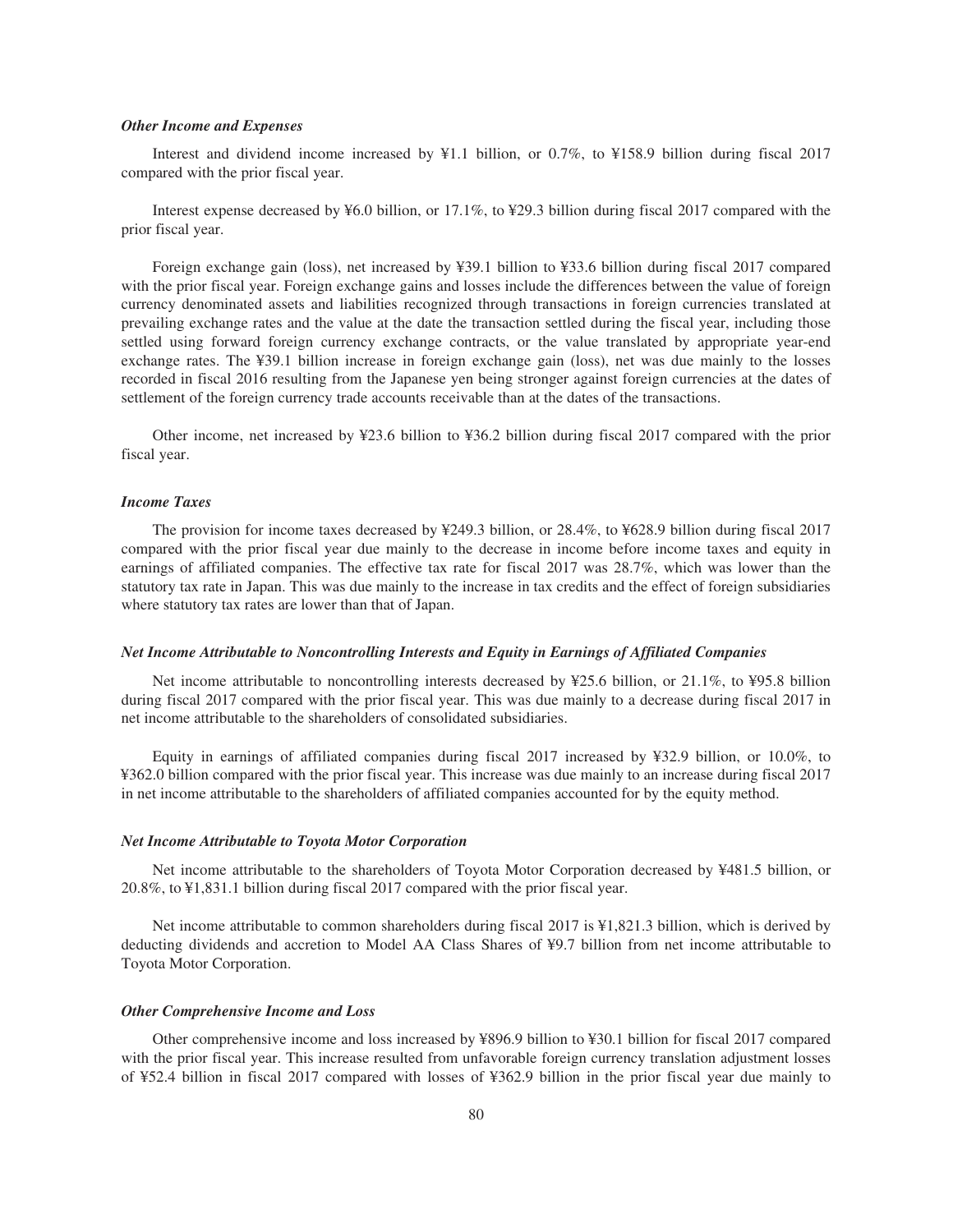#### *Other Income and Expenses*

Interest and dividend income increased by ¥1.1 billion, or 0.7%, to ¥158.9 billion during fiscal 2017 compared with the prior fiscal year.

Interest expense decreased by ¥6.0 billion, or 17.1%, to ¥29.3 billion during fiscal 2017 compared with the prior fiscal year.

Foreign exchange gain (loss), net increased by ¥39.1 billion to ¥33.6 billion during fiscal 2017 compared with the prior fiscal year. Foreign exchange gains and losses include the differences between the value of foreign currency denominated assets and liabilities recognized through transactions in foreign currencies translated at prevailing exchange rates and the value at the date the transaction settled during the fiscal year, including those settled using forward foreign currency exchange contracts, or the value translated by appropriate year-end exchange rates. The ¥39.1 billion increase in foreign exchange gain (loss), net was due mainly to the losses recorded in fiscal 2016 resulting from the Japanese yen being stronger against foreign currencies at the dates of settlement of the foreign currency trade accounts receivable than at the dates of the transactions.

Other income, net increased by ¥23.6 billion to ¥36.2 billion during fiscal 2017 compared with the prior fiscal year.

## *Income Taxes*

The provision for income taxes decreased by ¥249.3 billion, or 28.4%, to ¥628.9 billion during fiscal 2017 compared with the prior fiscal year due mainly to the decrease in income before income taxes and equity in earnings of affiliated companies. The effective tax rate for fiscal 2017 was 28.7%, which was lower than the statutory tax rate in Japan. This was due mainly to the increase in tax credits and the effect of foreign subsidiaries where statutory tax rates are lower than that of Japan.

### *Net Income Attributable to Noncontrolling Interests and Equity in Earnings of Affiliated Companies*

Net income attributable to noncontrolling interests decreased by ¥25.6 billion, or 21.1%, to ¥95.8 billion during fiscal 2017 compared with the prior fiscal year. This was due mainly to a decrease during fiscal 2017 in net income attributable to the shareholders of consolidated subsidiaries.

Equity in earnings of affiliated companies during fiscal 2017 increased by ¥32.9 billion, or 10.0%, to ¥362.0 billion compared with the prior fiscal year. This increase was due mainly to an increase during fiscal 2017 in net income attributable to the shareholders of affiliated companies accounted for by the equity method.

#### *Net Income Attributable to Toyota Motor Corporation*

Net income attributable to the shareholders of Toyota Motor Corporation decreased by ¥481.5 billion, or 20.8%, to ¥1,831.1 billion during fiscal 2017 compared with the prior fiscal year.

Net income attributable to common shareholders during fiscal 2017 is ¥1,821.3 billion, which is derived by deducting dividends and accretion to Model AA Class Shares of ¥9.7 billion from net income attributable to Toyota Motor Corporation.

#### *Other Comprehensive Income and Loss*

Other comprehensive income and loss increased by ¥896.9 billion to ¥30.1 billion for fiscal 2017 compared with the prior fiscal year. This increase resulted from unfavorable foreign currency translation adjustment losses of ¥52.4 billion in fiscal 2017 compared with losses of ¥362.9 billion in the prior fiscal year due mainly to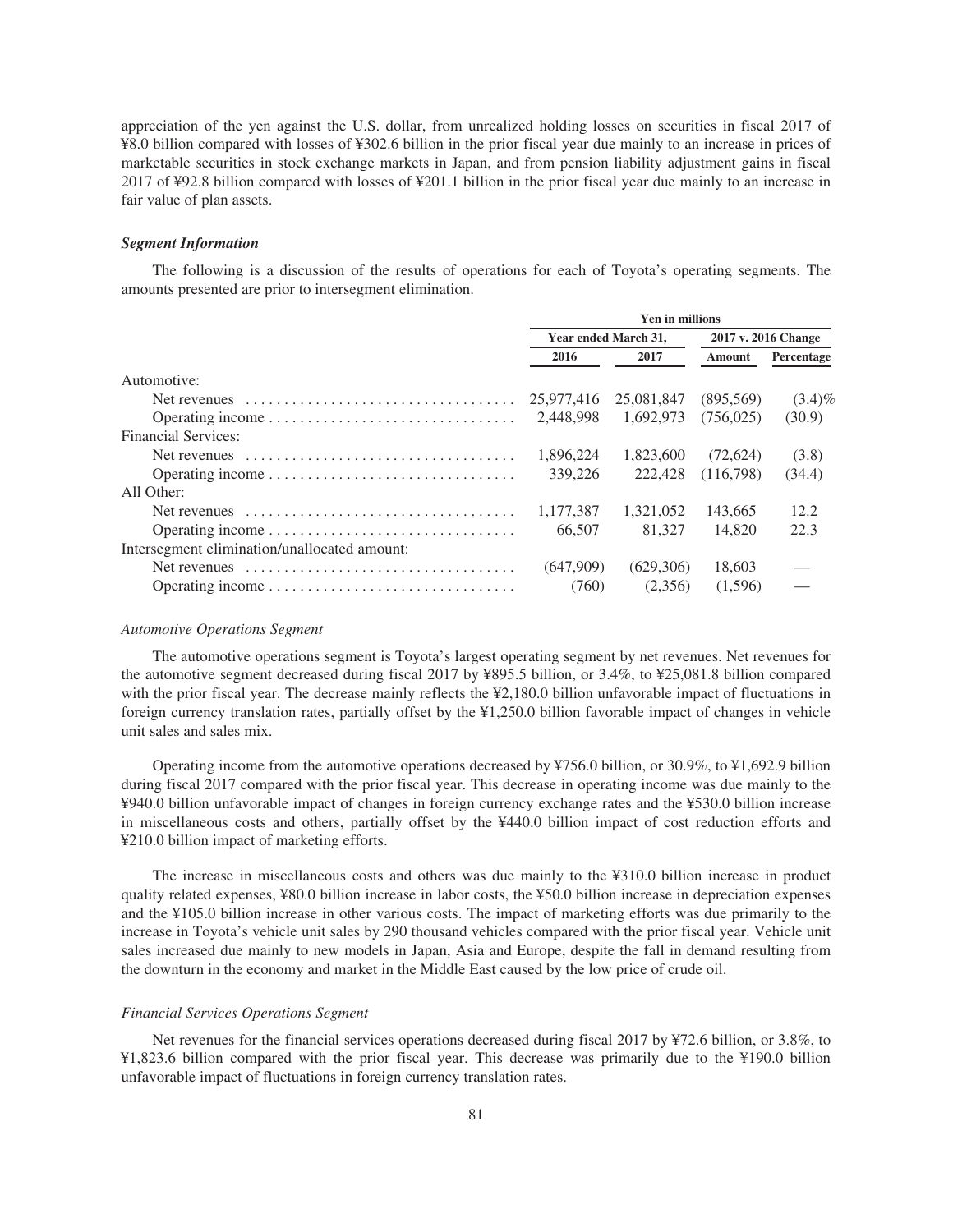appreciation of the yen against the U.S. dollar, from unrealized holding losses on securities in fiscal 2017 of ¥8.0 billion compared with losses of ¥302.6 billion in the prior fiscal year due mainly to an increase in prices of marketable securities in stock exchange markets in Japan, and from pension liability adjustment gains in fiscal 2017 of ¥92.8 billion compared with losses of ¥201.1 billion in the prior fiscal year due mainly to an increase in fair value of plan assets.

#### *Segment Information*

The following is a discussion of the results of operations for each of Toyota's operating segments. The amounts presented are prior to intersegment elimination.

|                                                                                      | <b>Yen in millions</b> |            |                     |            |
|--------------------------------------------------------------------------------------|------------------------|------------|---------------------|------------|
|                                                                                      | Year ended March 31,   |            | 2017 v. 2016 Change |            |
|                                                                                      | 2016                   | 2017       | Amount              | Percentage |
| Automotive:                                                                          |                        |            |                     |            |
| Net revenues $\ldots \ldots \ldots \ldots \ldots \ldots \ldots \ldots \ldots \ldots$ | 25,977,416             | 25,081,847 | (895, 569)          | $(3.4)\%$  |
|                                                                                      | 2.448.998              | 1,692,973  | (756.025)           | (30.9)     |
| <b>Financial Services:</b>                                                           |                        |            |                     |            |
|                                                                                      | 1,896,224              | 1.823.600  | (72,624)            | (3.8)      |
|                                                                                      | 339,226                | 222,428    | (116,798)           | (34.4)     |
| All Other:                                                                           |                        |            |                     |            |
|                                                                                      | 1,177,387              | 1.321.052  | 143,665             | 12.2       |
| Operating income                                                                     | 66.507                 | 81.327     | 14.820              | 22.3       |
| Intersegment elimination/unallocated amount:                                         |                        |            |                     |            |
|                                                                                      | (647.909)              | (629,306)  | 18,603              |            |
| Operating income                                                                     | (760)                  | (2.356)    | (1,596)             |            |

#### *Automotive Operations Segment*

The automotive operations segment is Toyota's largest operating segment by net revenues. Net revenues for the automotive segment decreased during fiscal 2017 by ¥895.5 billion, or 3.4%, to ¥25,081.8 billion compared with the prior fiscal year. The decrease mainly reflects the ¥2,180.0 billion unfavorable impact of fluctuations in foreign currency translation rates, partially offset by the ¥1,250.0 billion favorable impact of changes in vehicle unit sales and sales mix.

Operating income from the automotive operations decreased by ¥756.0 billion, or 30.9%, to ¥1,692.9 billion during fiscal 2017 compared with the prior fiscal year. This decrease in operating income was due mainly to the ¥940.0 billion unfavorable impact of changes in foreign currency exchange rates and the ¥530.0 billion increase in miscellaneous costs and others, partially offset by the ¥440.0 billion impact of cost reduction efforts and ¥210.0 billion impact of marketing efforts.

The increase in miscellaneous costs and others was due mainly to the ¥310.0 billion increase in product quality related expenses, ¥80.0 billion increase in labor costs, the ¥50.0 billion increase in depreciation expenses and the ¥105.0 billion increase in other various costs. The impact of marketing efforts was due primarily to the increase in Toyota's vehicle unit sales by 290 thousand vehicles compared with the prior fiscal year. Vehicle unit sales increased due mainly to new models in Japan, Asia and Europe, despite the fall in demand resulting from the downturn in the economy and market in the Middle East caused by the low price of crude oil.

#### *Financial Services Operations Segment*

Net revenues for the financial services operations decreased during fiscal 2017 by ¥72.6 billion, or 3.8%, to ¥1,823.6 billion compared with the prior fiscal year. This decrease was primarily due to the ¥190.0 billion unfavorable impact of fluctuations in foreign currency translation rates.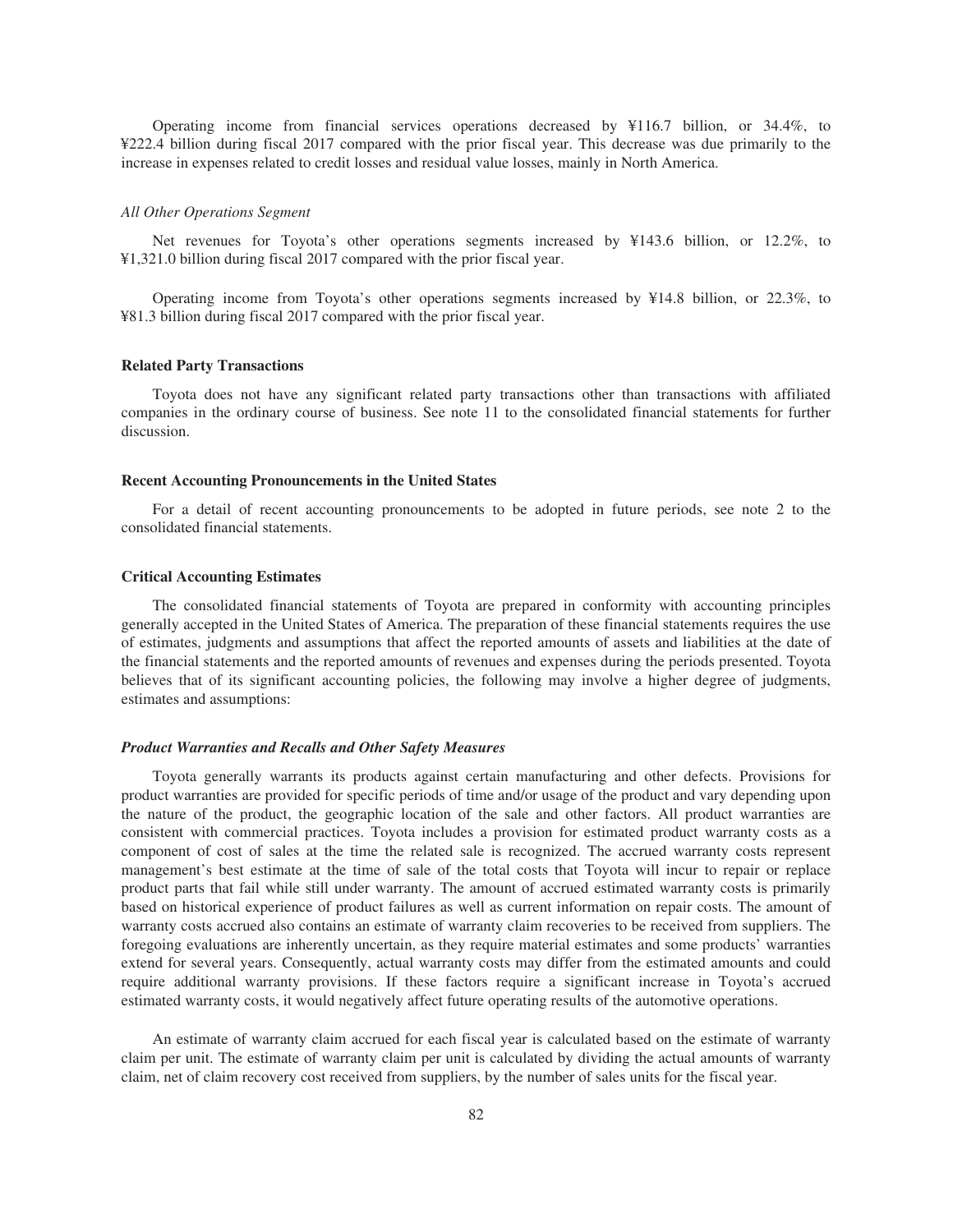Operating income from financial services operations decreased by ¥116.7 billion, or 34.4%, to ¥222.4 billion during fiscal 2017 compared with the prior fiscal year. This decrease was due primarily to the increase in expenses related to credit losses and residual value losses, mainly in North America.

#### *All Other Operations Segment*

Net revenues for Toyota's other operations segments increased by ¥143.6 billion, or 12.2%, to ¥1,321.0 billion during fiscal 2017 compared with the prior fiscal year.

Operating income from Toyota's other operations segments increased by ¥14.8 billion, or 22.3%, to ¥81.3 billion during fiscal 2017 compared with the prior fiscal year.

#### **Related Party Transactions**

Toyota does not have any significant related party transactions other than transactions with affiliated companies in the ordinary course of business. See note 11 to the consolidated financial statements for further discussion.

### **Recent Accounting Pronouncements in the United States**

For a detail of recent accounting pronouncements to be adopted in future periods, see note 2 to the consolidated financial statements.

#### **Critical Accounting Estimates**

The consolidated financial statements of Toyota are prepared in conformity with accounting principles generally accepted in the United States of America. The preparation of these financial statements requires the use of estimates, judgments and assumptions that affect the reported amounts of assets and liabilities at the date of the financial statements and the reported amounts of revenues and expenses during the periods presented. Toyota believes that of its significant accounting policies, the following may involve a higher degree of judgments, estimates and assumptions:

## *Product Warranties and Recalls and Other Safety Measures*

Toyota generally warrants its products against certain manufacturing and other defects. Provisions for product warranties are provided for specific periods of time and/or usage of the product and vary depending upon the nature of the product, the geographic location of the sale and other factors. All product warranties are consistent with commercial practices. Toyota includes a provision for estimated product warranty costs as a component of cost of sales at the time the related sale is recognized. The accrued warranty costs represent management's best estimate at the time of sale of the total costs that Toyota will incur to repair or replace product parts that fail while still under warranty. The amount of accrued estimated warranty costs is primarily based on historical experience of product failures as well as current information on repair costs. The amount of warranty costs accrued also contains an estimate of warranty claim recoveries to be received from suppliers. The foregoing evaluations are inherently uncertain, as they require material estimates and some products' warranties extend for several years. Consequently, actual warranty costs may differ from the estimated amounts and could require additional warranty provisions. If these factors require a significant increase in Toyota's accrued estimated warranty costs, it would negatively affect future operating results of the automotive operations.

An estimate of warranty claim accrued for each fiscal year is calculated based on the estimate of warranty claim per unit. The estimate of warranty claim per unit is calculated by dividing the actual amounts of warranty claim, net of claim recovery cost received from suppliers, by the number of sales units for the fiscal year.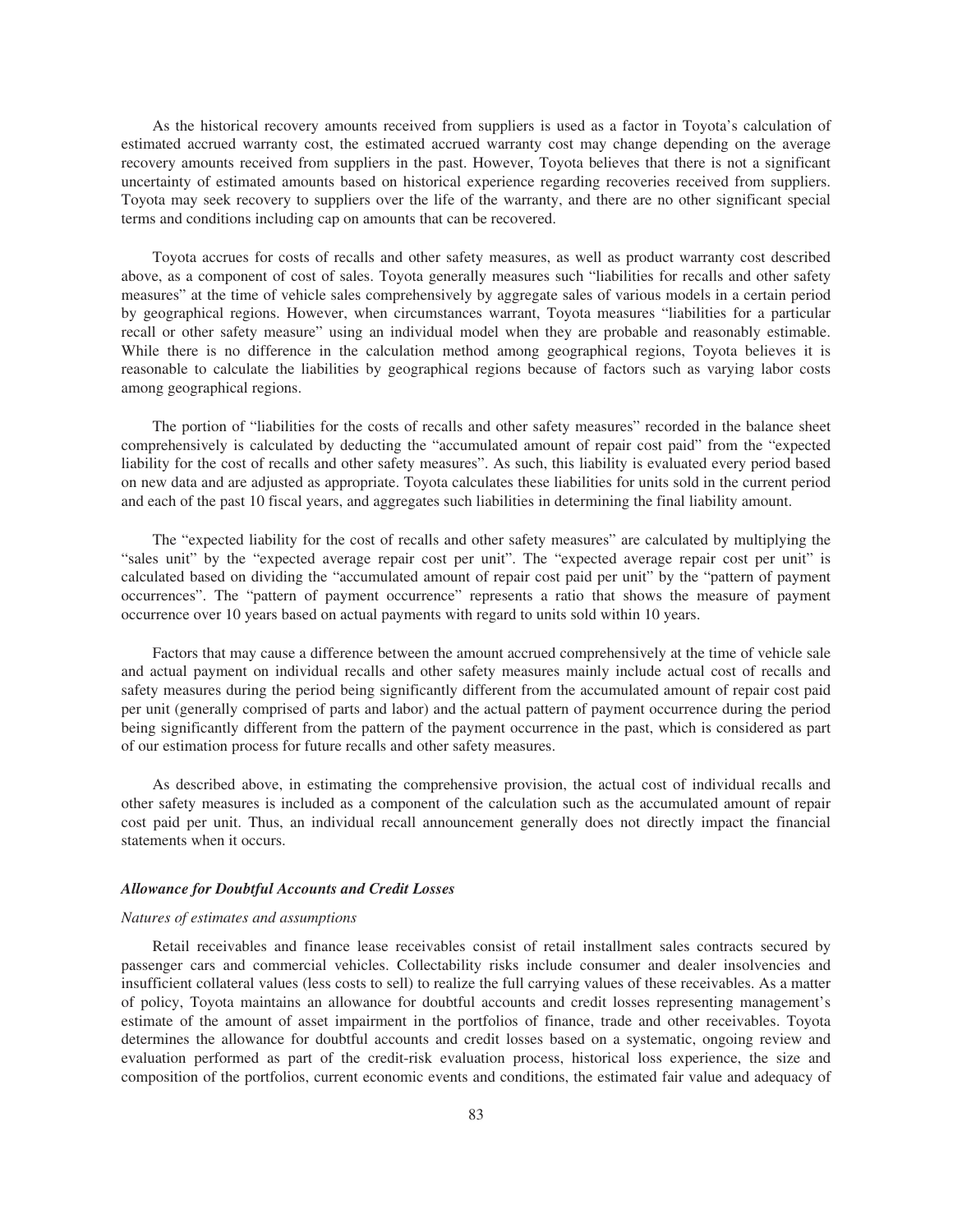As the historical recovery amounts received from suppliers is used as a factor in Toyota's calculation of estimated accrued warranty cost, the estimated accrued warranty cost may change depending on the average recovery amounts received from suppliers in the past. However, Toyota believes that there is not a significant uncertainty of estimated amounts based on historical experience regarding recoveries received from suppliers. Toyota may seek recovery to suppliers over the life of the warranty, and there are no other significant special terms and conditions including cap on amounts that can be recovered.

Toyota accrues for costs of recalls and other safety measures, as well as product warranty cost described above, as a component of cost of sales. Toyota generally measures such "liabilities for recalls and other safety measures" at the time of vehicle sales comprehensively by aggregate sales of various models in a certain period by geographical regions. However, when circumstances warrant, Toyota measures "liabilities for a particular recall or other safety measure" using an individual model when they are probable and reasonably estimable. While there is no difference in the calculation method among geographical regions, Toyota believes it is reasonable to calculate the liabilities by geographical regions because of factors such as varying labor costs among geographical regions.

The portion of "liabilities for the costs of recalls and other safety measures" recorded in the balance sheet comprehensively is calculated by deducting the "accumulated amount of repair cost paid" from the "expected liability for the cost of recalls and other safety measures". As such, this liability is evaluated every period based on new data and are adjusted as appropriate. Toyota calculates these liabilities for units sold in the current period and each of the past 10 fiscal years, and aggregates such liabilities in determining the final liability amount.

The "expected liability for the cost of recalls and other safety measures" are calculated by multiplying the "sales unit" by the "expected average repair cost per unit". The "expected average repair cost per unit" is calculated based on dividing the "accumulated amount of repair cost paid per unit" by the "pattern of payment occurrences". The "pattern of payment occurrence" represents a ratio that shows the measure of payment occurrence over 10 years based on actual payments with regard to units sold within 10 years.

Factors that may cause a difference between the amount accrued comprehensively at the time of vehicle sale and actual payment on individual recalls and other safety measures mainly include actual cost of recalls and safety measures during the period being significantly different from the accumulated amount of repair cost paid per unit (generally comprised of parts and labor) and the actual pattern of payment occurrence during the period being significantly different from the pattern of the payment occurrence in the past, which is considered as part of our estimation process for future recalls and other safety measures.

As described above, in estimating the comprehensive provision, the actual cost of individual recalls and other safety measures is included as a component of the calculation such as the accumulated amount of repair cost paid per unit. Thus, an individual recall announcement generally does not directly impact the financial statements when it occurs.

## *Allowance for Doubtful Accounts and Credit Losses*

#### *Natures of estimates and assumptions*

Retail receivables and finance lease receivables consist of retail installment sales contracts secured by passenger cars and commercial vehicles. Collectability risks include consumer and dealer insolvencies and insufficient collateral values (less costs to sell) to realize the full carrying values of these receivables. As a matter of policy, Toyota maintains an allowance for doubtful accounts and credit losses representing management's estimate of the amount of asset impairment in the portfolios of finance, trade and other receivables. Toyota determines the allowance for doubtful accounts and credit losses based on a systematic, ongoing review and evaluation performed as part of the credit-risk evaluation process, historical loss experience, the size and composition of the portfolios, current economic events and conditions, the estimated fair value and adequacy of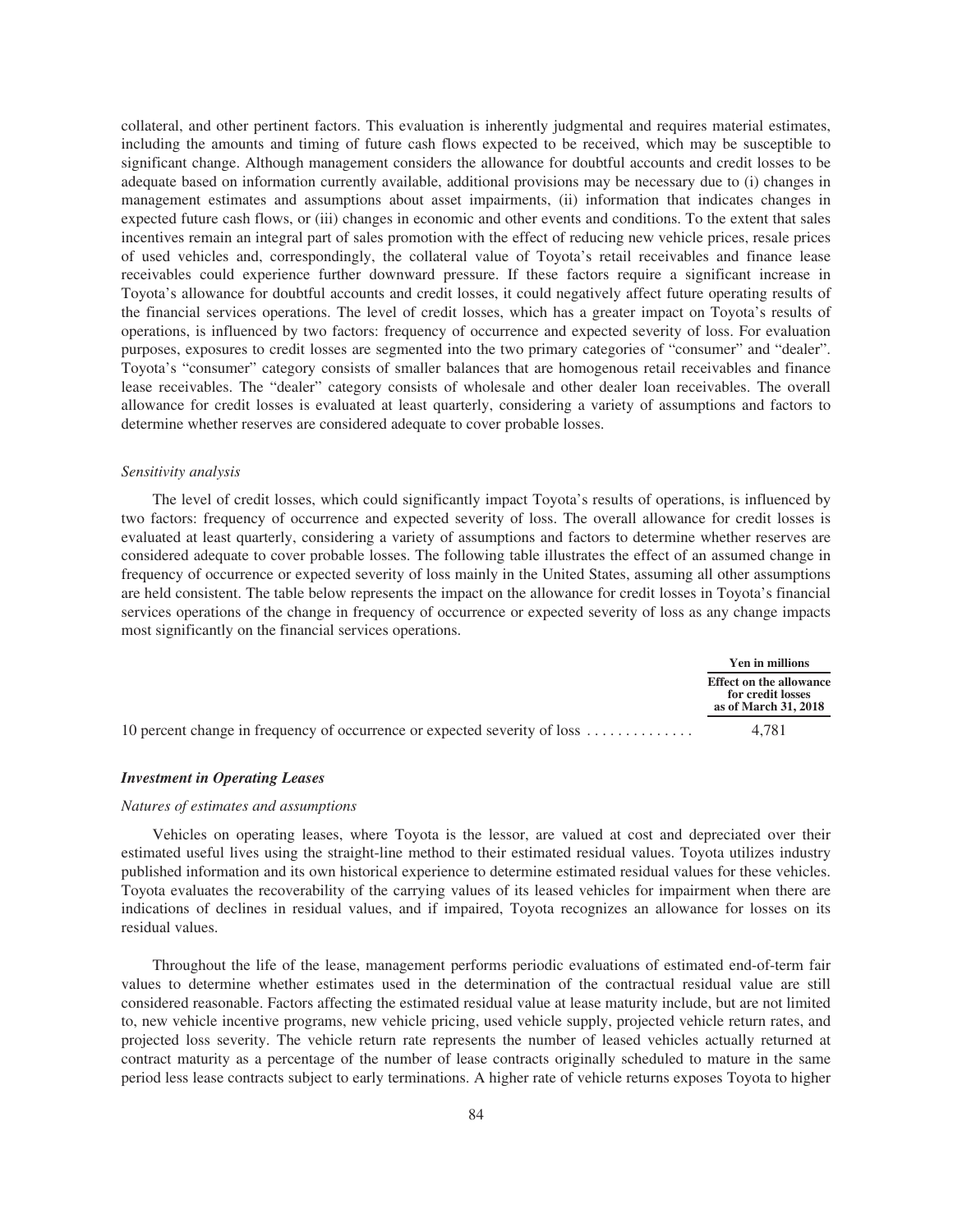collateral, and other pertinent factors. This evaluation is inherently judgmental and requires material estimates, including the amounts and timing of future cash flows expected to be received, which may be susceptible to significant change. Although management considers the allowance for doubtful accounts and credit losses to be adequate based on information currently available, additional provisions may be necessary due to (i) changes in management estimates and assumptions about asset impairments, (ii) information that indicates changes in expected future cash flows, or (iii) changes in economic and other events and conditions. To the extent that sales incentives remain an integral part of sales promotion with the effect of reducing new vehicle prices, resale prices of used vehicles and, correspondingly, the collateral value of Toyota's retail receivables and finance lease receivables could experience further downward pressure. If these factors require a significant increase in Toyota's allowance for doubtful accounts and credit losses, it could negatively affect future operating results of the financial services operations. The level of credit losses, which has a greater impact on Toyota's results of operations, is influenced by two factors: frequency of occurrence and expected severity of loss. For evaluation purposes, exposures to credit losses are segmented into the two primary categories of "consumer" and "dealer". Toyota's "consumer" category consists of smaller balances that are homogenous retail receivables and finance lease receivables. The "dealer" category consists of wholesale and other dealer loan receivables. The overall allowance for credit losses is evaluated at least quarterly, considering a variety of assumptions and factors to determine whether reserves are considered adequate to cover probable losses.

## *Sensitivity analysis*

The level of credit losses, which could significantly impact Toyota's results of operations, is influenced by two factors: frequency of occurrence and expected severity of loss. The overall allowance for credit losses is evaluated at least quarterly, considering a variety of assumptions and factors to determine whether reserves are considered adequate to cover probable losses. The following table illustrates the effect of an assumed change in frequency of occurrence or expected severity of loss mainly in the United States, assuming all other assumptions are held consistent. The table below represents the impact on the allowance for credit losses in Toyota's financial services operations of the change in frequency of occurrence or expected severity of loss as any change impacts most significantly on the financial services operations.

|                                                                           | Yen in millions                                                             |  |
|---------------------------------------------------------------------------|-----------------------------------------------------------------------------|--|
|                                                                           | <b>Effect on the allowance</b><br>for credit losses<br>as of March 31, 2018 |  |
| 10 percent change in frequency of occurrence or expected severity of loss | 4.781                                                                       |  |

## *Investment in Operating Leases*

#### *Natures of estimates and assumptions*

Vehicles on operating leases, where Toyota is the lessor, are valued at cost and depreciated over their estimated useful lives using the straight-line method to their estimated residual values. Toyota utilizes industry published information and its own historical experience to determine estimated residual values for these vehicles. Toyota evaluates the recoverability of the carrying values of its leased vehicles for impairment when there are indications of declines in residual values, and if impaired, Toyota recognizes an allowance for losses on its residual values.

Throughout the life of the lease, management performs periodic evaluations of estimated end-of-term fair values to determine whether estimates used in the determination of the contractual residual value are still considered reasonable. Factors affecting the estimated residual value at lease maturity include, but are not limited to, new vehicle incentive programs, new vehicle pricing, used vehicle supply, projected vehicle return rates, and projected loss severity. The vehicle return rate represents the number of leased vehicles actually returned at contract maturity as a percentage of the number of lease contracts originally scheduled to mature in the same period less lease contracts subject to early terminations. A higher rate of vehicle returns exposes Toyota to higher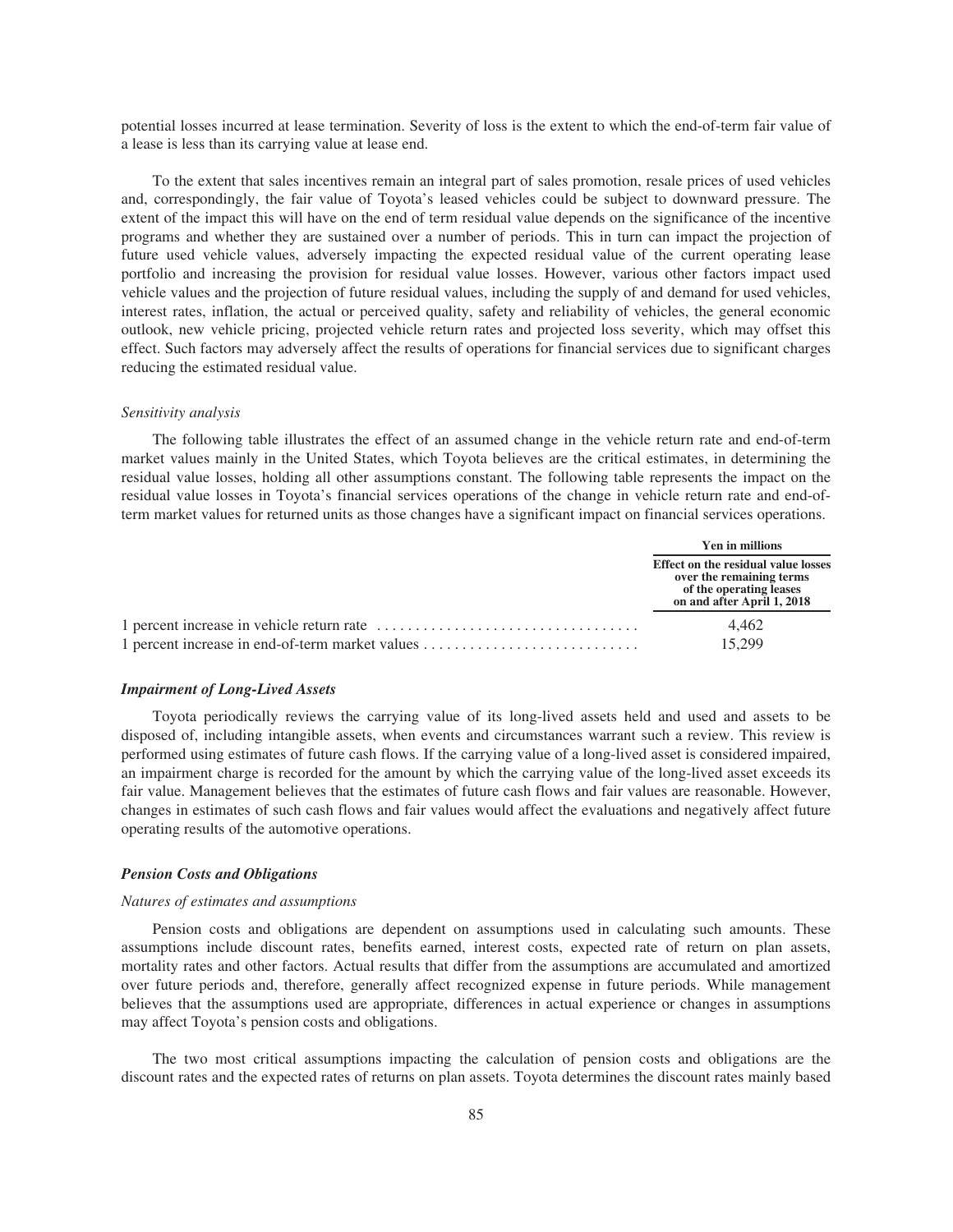potential losses incurred at lease termination. Severity of loss is the extent to which the end-of-term fair value of a lease is less than its carrying value at lease end.

To the extent that sales incentives remain an integral part of sales promotion, resale prices of used vehicles and, correspondingly, the fair value of Toyota's leased vehicles could be subject to downward pressure. The extent of the impact this will have on the end of term residual value depends on the significance of the incentive programs and whether they are sustained over a number of periods. This in turn can impact the projection of future used vehicle values, adversely impacting the expected residual value of the current operating lease portfolio and increasing the provision for residual value losses. However, various other factors impact used vehicle values and the projection of future residual values, including the supply of and demand for used vehicles, interest rates, inflation, the actual or perceived quality, safety and reliability of vehicles, the general economic outlook, new vehicle pricing, projected vehicle return rates and projected loss severity, which may offset this effect. Such factors may adversely affect the results of operations for financial services due to significant charges reducing the estimated residual value.

#### *Sensitivity analysis*

The following table illustrates the effect of an assumed change in the vehicle return rate and end-of-term market values mainly in the United States, which Toyota believes are the critical estimates, in determining the residual value losses, holding all other assumptions constant. The following table represents the impact on the residual value losses in Toyota's financial services operations of the change in vehicle return rate and end-ofterm market values for returned units as those changes have a significant impact on financial services operations.

|                                                 | Yen in millions                                                                                                          |
|-------------------------------------------------|--------------------------------------------------------------------------------------------------------------------------|
|                                                 | Effect on the residual value losses<br>over the remaining terms<br>of the operating leases<br>on and after April 1, 2018 |
| 1 percent increase in end-of-term market values | 4.462<br>15,299                                                                                                          |

#### *Impairment of Long-Lived Assets*

Toyota periodically reviews the carrying value of its long-lived assets held and used and assets to be disposed of, including intangible assets, when events and circumstances warrant such a review. This review is performed using estimates of future cash flows. If the carrying value of a long-lived asset is considered impaired, an impairment charge is recorded for the amount by which the carrying value of the long-lived asset exceeds its fair value. Management believes that the estimates of future cash flows and fair values are reasonable. However, changes in estimates of such cash flows and fair values would affect the evaluations and negatively affect future operating results of the automotive operations.

## *Pension Costs and Obligations*

#### *Natures of estimates and assumptions*

Pension costs and obligations are dependent on assumptions used in calculating such amounts. These assumptions include discount rates, benefits earned, interest costs, expected rate of return on plan assets, mortality rates and other factors. Actual results that differ from the assumptions are accumulated and amortized over future periods and, therefore, generally affect recognized expense in future periods. While management believes that the assumptions used are appropriate, differences in actual experience or changes in assumptions may affect Toyota's pension costs and obligations.

The two most critical assumptions impacting the calculation of pension costs and obligations are the discount rates and the expected rates of returns on plan assets. Toyota determines the discount rates mainly based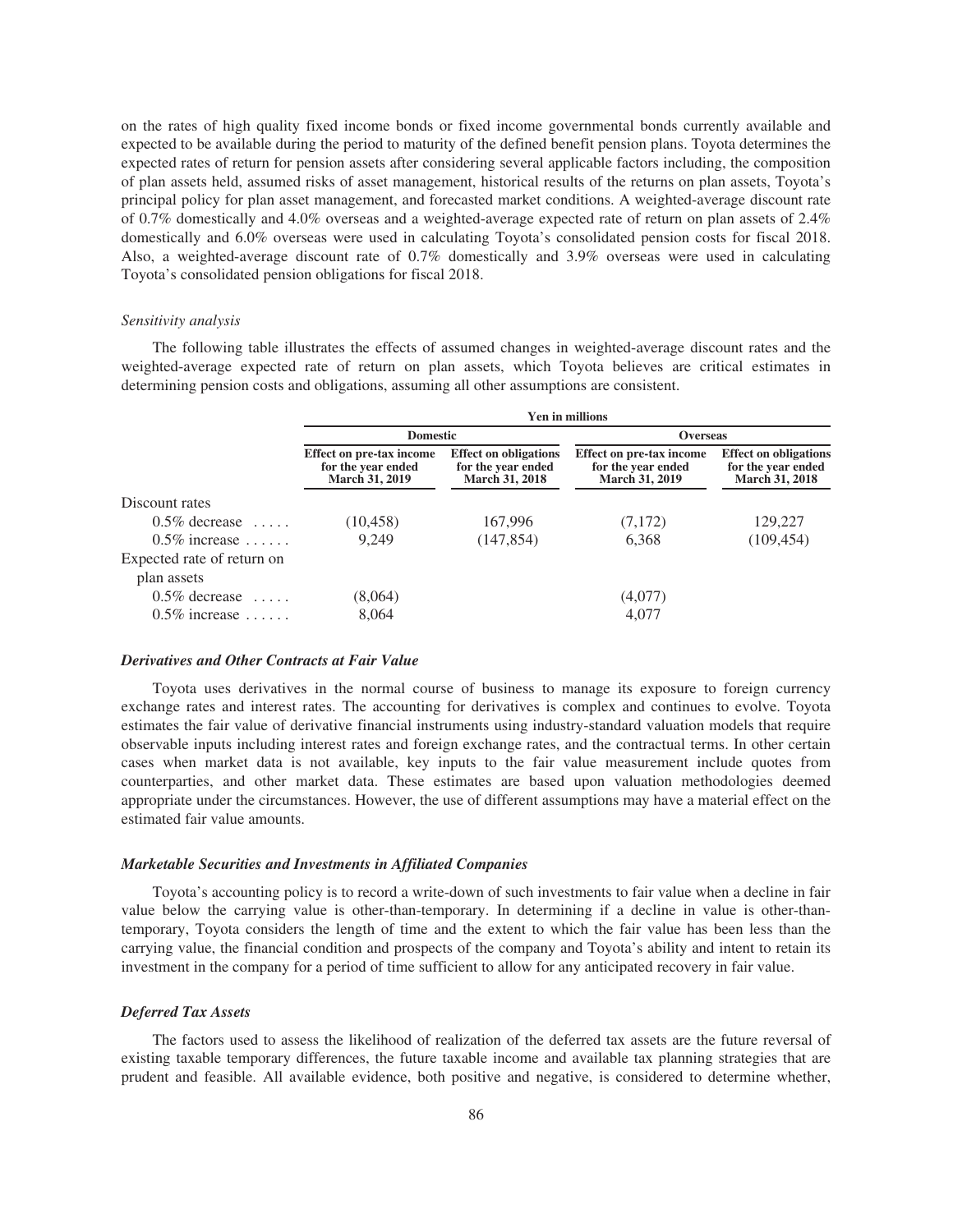on the rates of high quality fixed income bonds or fixed income governmental bonds currently available and expected to be available during the period to maturity of the defined benefit pension plans. Toyota determines the expected rates of return for pension assets after considering several applicable factors including, the composition of plan assets held, assumed risks of asset management, historical results of the returns on plan assets, Toyota's principal policy for plan asset management, and forecasted market conditions. A weighted-average discount rate of 0.7% domestically and 4.0% overseas and a weighted-average expected rate of return on plan assets of 2.4% domestically and 6.0% overseas were used in calculating Toyota's consolidated pension costs for fiscal 2018. Also, a weighted-average discount rate of 0.7% domestically and 3.9% overseas were used in calculating Toyota's consolidated pension obligations for fiscal 2018.

## *Sensitivity analysis*

The following table illustrates the effects of assumed changes in weighted-average discount rates and the weighted-average expected rate of return on plan assets, which Toyota believes are critical estimates in determining pension costs and obligations, assuming all other assumptions are consistent.

|                            |                                                                         | <b>Yen in millions</b>                                                                                  |          |                                                                             |  |
|----------------------------|-------------------------------------------------------------------------|---------------------------------------------------------------------------------------------------------|----------|-----------------------------------------------------------------------------|--|
|                            | <b>Domestic</b>                                                         |                                                                                                         | Overseas |                                                                             |  |
|                            | Effect on pre-tax income<br>for the year ended<br><b>March 31, 2019</b> | <b>Effect</b> on obligations<br>Effect on pre-tax income<br>for the year ended<br><b>March 31, 2018</b> |          | <b>Effect</b> on obligations<br>for the year ended<br><b>March 31, 2018</b> |  |
| Discount rates             |                                                                         |                                                                                                         |          |                                                                             |  |
| $0.5\%$ decrease $\dots$   | (10, 458)                                                               | 167,996                                                                                                 | (7,172)  | 129,227                                                                     |  |
| $0.5\%$ increase           | 9.249                                                                   | (147, 854)                                                                                              | 6,368    | (109, 454)                                                                  |  |
| Expected rate of return on |                                                                         |                                                                                                         |          |                                                                             |  |
| plan assets                |                                                                         |                                                                                                         |          |                                                                             |  |
| $0.5\%$ decrease $\dots$   | (8,064)                                                                 |                                                                                                         | (4,077)  |                                                                             |  |
| $0.5\%$ increase           | 8,064                                                                   |                                                                                                         | 4.077    |                                                                             |  |
|                            |                                                                         |                                                                                                         |          |                                                                             |  |

#### *Derivatives and Other Contracts at Fair Value*

Toyota uses derivatives in the normal course of business to manage its exposure to foreign currency exchange rates and interest rates. The accounting for derivatives is complex and continues to evolve. Toyota estimates the fair value of derivative financial instruments using industry-standard valuation models that require observable inputs including interest rates and foreign exchange rates, and the contractual terms. In other certain cases when market data is not available, key inputs to the fair value measurement include quotes from counterparties, and other market data. These estimates are based upon valuation methodologies deemed appropriate under the circumstances. However, the use of different assumptions may have a material effect on the estimated fair value amounts.

#### *Marketable Securities and Investments in Affiliated Companies*

Toyota's accounting policy is to record a write-down of such investments to fair value when a decline in fair value below the carrying value is other-than-temporary. In determining if a decline in value is other-thantemporary, Toyota considers the length of time and the extent to which the fair value has been less than the carrying value, the financial condition and prospects of the company and Toyota's ability and intent to retain its investment in the company for a period of time sufficient to allow for any anticipated recovery in fair value.

## *Deferred Tax Assets*

The factors used to assess the likelihood of realization of the deferred tax assets are the future reversal of existing taxable temporary differences, the future taxable income and available tax planning strategies that are prudent and feasible. All available evidence, both positive and negative, is considered to determine whether,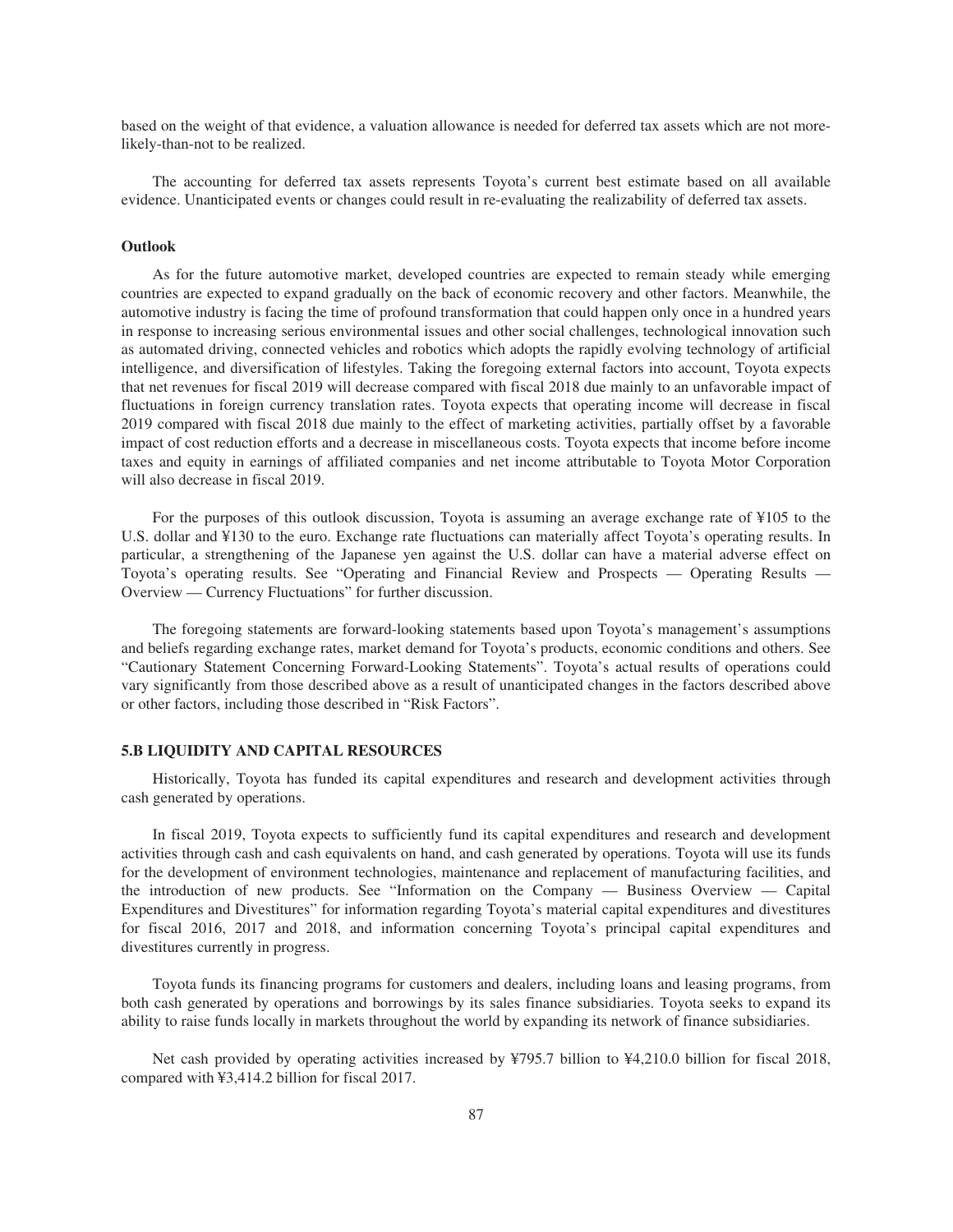based on the weight of that evidence, a valuation allowance is needed for deferred tax assets which are not morelikely-than-not to be realized.

The accounting for deferred tax assets represents Toyota's current best estimate based on all available evidence. Unanticipated events or changes could result in re-evaluating the realizability of deferred tax assets.

## **Outlook**

As for the future automotive market, developed countries are expected to remain steady while emerging countries are expected to expand gradually on the back of economic recovery and other factors. Meanwhile, the automotive industry is facing the time of profound transformation that could happen only once in a hundred years in response to increasing serious environmental issues and other social challenges, technological innovation such as automated driving, connected vehicles and robotics which adopts the rapidly evolving technology of artificial intelligence, and diversification of lifestyles. Taking the foregoing external factors into account, Toyota expects that net revenues for fiscal 2019 will decrease compared with fiscal 2018 due mainly to an unfavorable impact of fluctuations in foreign currency translation rates. Toyota expects that operating income will decrease in fiscal 2019 compared with fiscal 2018 due mainly to the effect of marketing activities, partially offset by a favorable impact of cost reduction efforts and a decrease in miscellaneous costs. Toyota expects that income before income taxes and equity in earnings of affiliated companies and net income attributable to Toyota Motor Corporation will also decrease in fiscal 2019.

For the purposes of this outlook discussion, Toyota is assuming an average exchange rate of ¥105 to the U.S. dollar and ¥130 to the euro. Exchange rate fluctuations can materially affect Toyota's operating results. In particular, a strengthening of the Japanese yen against the U.S. dollar can have a material adverse effect on Toyota's operating results. See "Operating and Financial Review and Prospects — Operating Results — Overview — Currency Fluctuations" for further discussion.

The foregoing statements are forward-looking statements based upon Toyota's management's assumptions and beliefs regarding exchange rates, market demand for Toyota's products, economic conditions and others. See "Cautionary Statement Concerning Forward-Looking Statements". Toyota's actual results of operations could vary significantly from those described above as a result of unanticipated changes in the factors described above or other factors, including those described in "Risk Factors".

#### **5.B LIQUIDITY AND CAPITAL RESOURCES**

Historically, Toyota has funded its capital expenditures and research and development activities through cash generated by operations.

In fiscal 2019, Toyota expects to sufficiently fund its capital expenditures and research and development activities through cash and cash equivalents on hand, and cash generated by operations. Toyota will use its funds for the development of environment technologies, maintenance and replacement of manufacturing facilities, and the introduction of new products. See "Information on the Company — Business Overview — Capital Expenditures and Divestitures" for information regarding Toyota's material capital expenditures and divestitures for fiscal 2016, 2017 and 2018, and information concerning Toyota's principal capital expenditures and divestitures currently in progress.

Toyota funds its financing programs for customers and dealers, including loans and leasing programs, from both cash generated by operations and borrowings by its sales finance subsidiaries. Toyota seeks to expand its ability to raise funds locally in markets throughout the world by expanding its network of finance subsidiaries.

Net cash provided by operating activities increased by ¥795.7 billion to ¥4,210.0 billion for fiscal 2018, compared with ¥3,414.2 billion for fiscal 2017.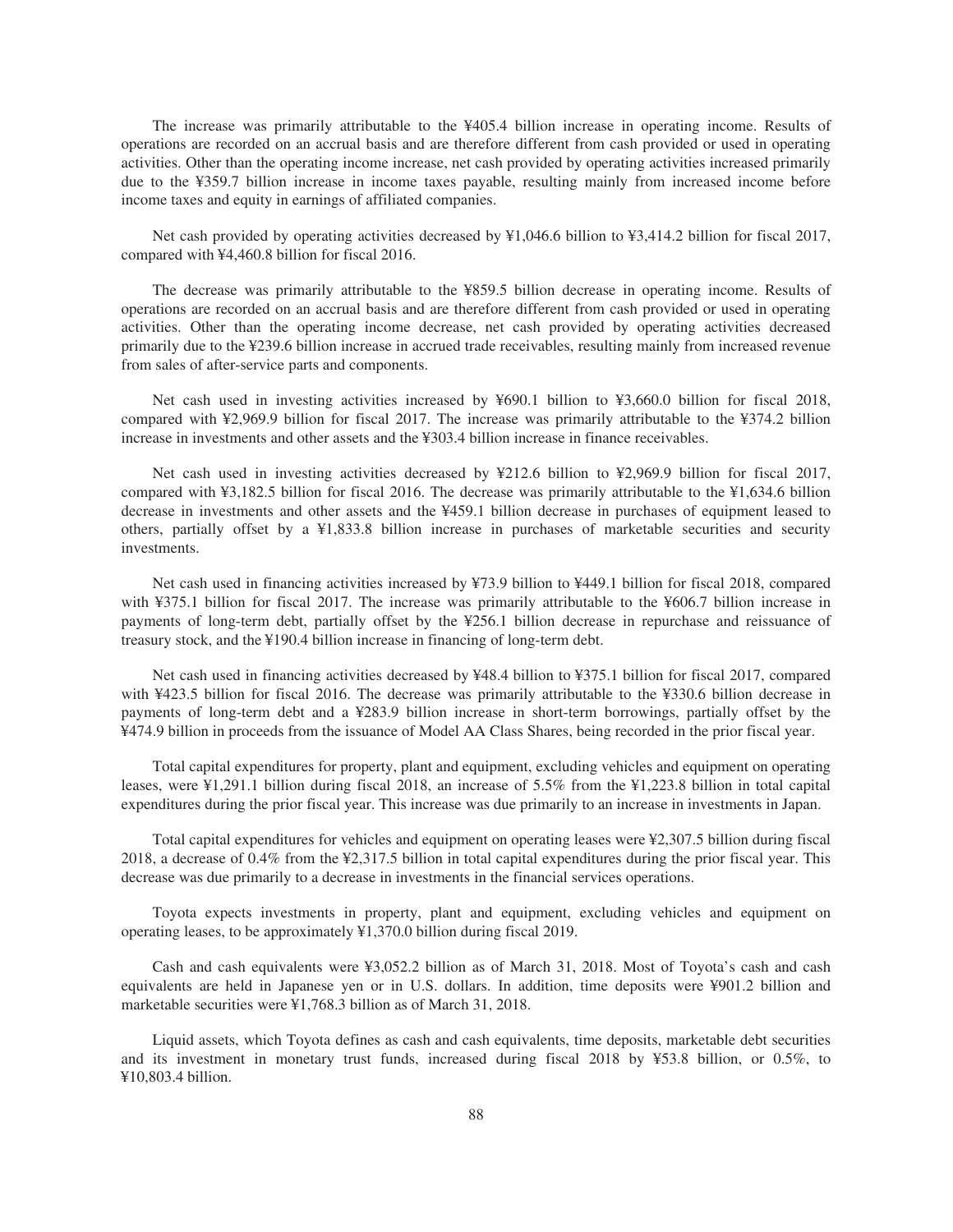The increase was primarily attributable to the ¥405.4 billion increase in operating income. Results of operations are recorded on an accrual basis and are therefore different from cash provided or used in operating activities. Other than the operating income increase, net cash provided by operating activities increased primarily due to the ¥359.7 billion increase in income taxes payable, resulting mainly from increased income before income taxes and equity in earnings of affiliated companies.

Net cash provided by operating activities decreased by ¥1,046.6 billion to ¥3,414.2 billion for fiscal 2017, compared with ¥4,460.8 billion for fiscal 2016.

The decrease was primarily attributable to the ¥859.5 billion decrease in operating income. Results of operations are recorded on an accrual basis and are therefore different from cash provided or used in operating activities. Other than the operating income decrease, net cash provided by operating activities decreased primarily due to the ¥239.6 billion increase in accrued trade receivables, resulting mainly from increased revenue from sales of after-service parts and components.

Net cash used in investing activities increased by ¥690.1 billion to ¥3,660.0 billion for fiscal 2018, compared with ¥2,969.9 billion for fiscal 2017. The increase was primarily attributable to the ¥374.2 billion increase in investments and other assets and the ¥303.4 billion increase in finance receivables.

Net cash used in investing activities decreased by ¥212.6 billion to ¥2,969.9 billion for fiscal 2017, compared with ¥3,182.5 billion for fiscal 2016. The decrease was primarily attributable to the ¥1,634.6 billion decrease in investments and other assets and the ¥459.1 billion decrease in purchases of equipment leased to others, partially offset by a ¥1,833.8 billion increase in purchases of marketable securities and security investments.

Net cash used in financing activities increased by ¥73.9 billion to ¥449.1 billion for fiscal 2018, compared with ¥375.1 billion for fiscal 2017. The increase was primarily attributable to the ¥606.7 billion increase in payments of long-term debt, partially offset by the ¥256.1 billion decrease in repurchase and reissuance of treasury stock, and the ¥190.4 billion increase in financing of long-term debt.

Net cash used in financing activities decreased by ¥48.4 billion to ¥375.1 billion for fiscal 2017, compared with ¥423.5 billion for fiscal 2016. The decrease was primarily attributable to the ¥330.6 billion decrease in payments of long-term debt and a ¥283.9 billion increase in short-term borrowings, partially offset by the ¥474.9 billion in proceeds from the issuance of Model AA Class Shares, being recorded in the prior fiscal year.

Total capital expenditures for property, plant and equipment, excluding vehicles and equipment on operating leases, were ¥1,291.1 billion during fiscal 2018, an increase of 5.5% from the ¥1,223.8 billion in total capital expenditures during the prior fiscal year. This increase was due primarily to an increase in investments in Japan.

Total capital expenditures for vehicles and equipment on operating leases were ¥2,307.5 billion during fiscal 2018, a decrease of 0.4% from the ¥2,317.5 billion in total capital expenditures during the prior fiscal year. This decrease was due primarily to a decrease in investments in the financial services operations.

Toyota expects investments in property, plant and equipment, excluding vehicles and equipment on operating leases, to be approximately ¥1,370.0 billion during fiscal 2019.

Cash and cash equivalents were ¥3,052.2 billion as of March 31, 2018. Most of Toyota's cash and cash equivalents are held in Japanese yen or in U.S. dollars. In addition, time deposits were ¥901.2 billion and marketable securities were ¥1,768.3 billion as of March 31, 2018.

Liquid assets, which Toyota defines as cash and cash equivalents, time deposits, marketable debt securities and its investment in monetary trust funds, increased during fiscal 2018 by ¥53.8 billion, or 0.5%, to ¥10,803.4 billion.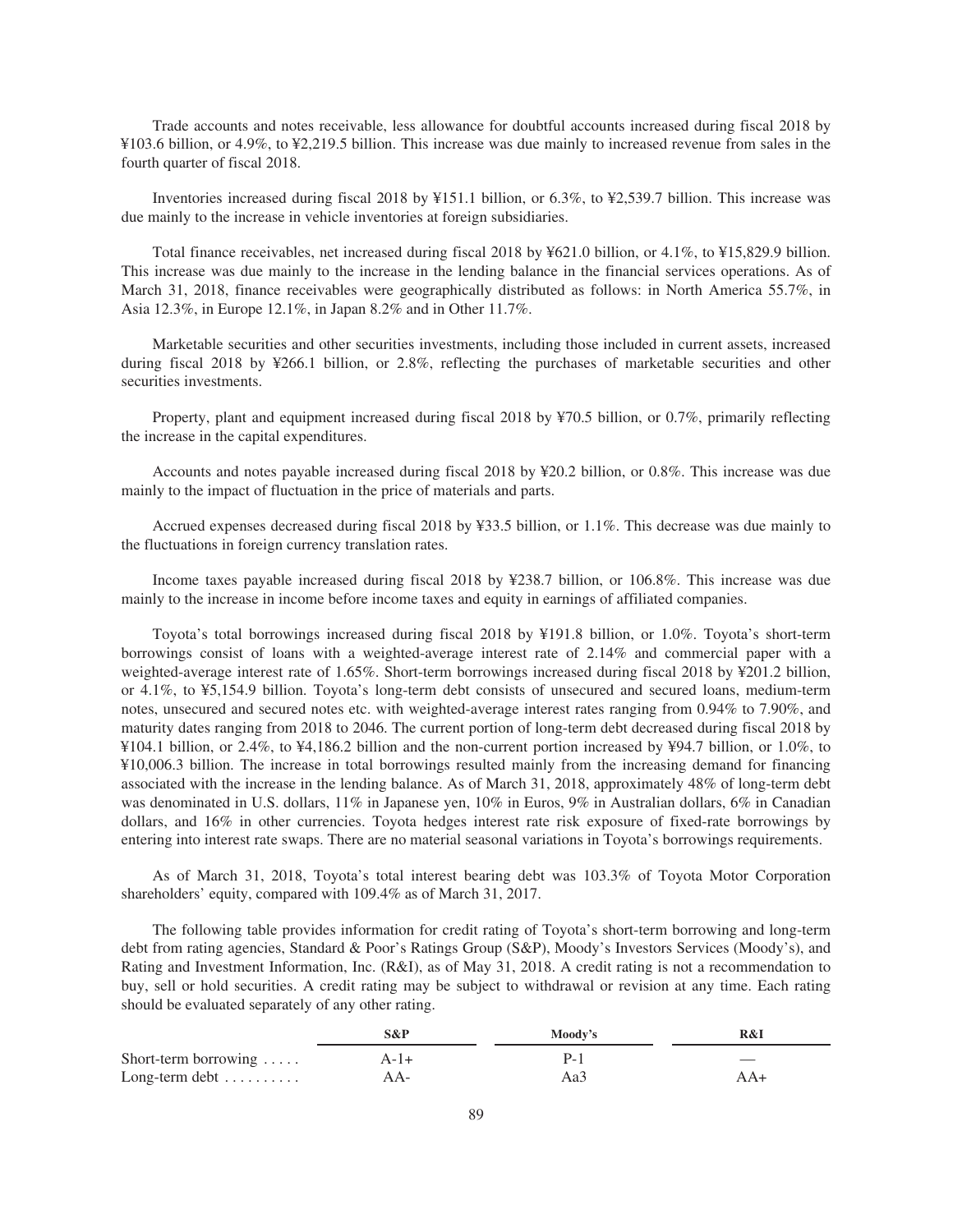Trade accounts and notes receivable, less allowance for doubtful accounts increased during fiscal 2018 by ¥103.6 billion, or 4.9%, to ¥2,219.5 billion. This increase was due mainly to increased revenue from sales in the fourth quarter of fiscal 2018.

Inventories increased during fiscal 2018 by ¥151.1 billion, or 6.3%, to ¥2,539.7 billion. This increase was due mainly to the increase in vehicle inventories at foreign subsidiaries.

Total finance receivables, net increased during fiscal 2018 by ¥621.0 billion, or 4.1%, to ¥15,829.9 billion. This increase was due mainly to the increase in the lending balance in the financial services operations. As of March 31, 2018, finance receivables were geographically distributed as follows: in North America 55.7%, in Asia 12.3%, in Europe 12.1%, in Japan 8.2% and in Other 11.7%.

Marketable securities and other securities investments, including those included in current assets, increased during fiscal 2018 by ¥266.1 billion, or 2.8%, reflecting the purchases of marketable securities and other securities investments.

Property, plant and equipment increased during fiscal 2018 by ¥70.5 billion, or 0.7%, primarily reflecting the increase in the capital expenditures.

Accounts and notes payable increased during fiscal 2018 by ¥20.2 billion, or 0.8%. This increase was due mainly to the impact of fluctuation in the price of materials and parts.

Accrued expenses decreased during fiscal 2018 by ¥33.5 billion, or 1.1%. This decrease was due mainly to the fluctuations in foreign currency translation rates.

Income taxes payable increased during fiscal 2018 by ¥238.7 billion, or 106.8%. This increase was due mainly to the increase in income before income taxes and equity in earnings of affiliated companies.

Toyota's total borrowings increased during fiscal 2018 by ¥191.8 billion, or 1.0%. Toyota's short-term borrowings consist of loans with a weighted-average interest rate of 2.14% and commercial paper with a weighted-average interest rate of 1.65%. Short-term borrowings increased during fiscal 2018 by ¥201.2 billion, or 4.1%, to ¥5,154.9 billion. Toyota's long-term debt consists of unsecured and secured loans, medium-term notes, unsecured and secured notes etc. with weighted-average interest rates ranging from 0.94% to 7.90%, and maturity dates ranging from 2018 to 2046. The current portion of long-term debt decreased during fiscal 2018 by ¥104.1 billion, or 2.4%, to ¥4,186.2 billion and the non-current portion increased by ¥94.7 billion, or 1.0%, to ¥10,006.3 billion. The increase in total borrowings resulted mainly from the increasing demand for financing associated with the increase in the lending balance. As of March 31, 2018, approximately 48% of long-term debt was denominated in U.S. dollars, 11% in Japanese yen, 10% in Euros, 9% in Australian dollars, 6% in Canadian dollars, and 16% in other currencies. Toyota hedges interest rate risk exposure of fixed-rate borrowings by entering into interest rate swaps. There are no material seasonal variations in Toyota's borrowings requirements.

As of March 31, 2018, Toyota's total interest bearing debt was 103.3% of Toyota Motor Corporation shareholders' equity, compared with 109.4% as of March 31, 2017.

The following table provides information for credit rating of Toyota's short-term borrowing and long-term debt from rating agencies, Standard & Poor's Ratings Group (S&P), Moody's Investors Services (Moody's), and Rating and Investment Information, Inc. (R&I), as of May 31, 2018. A credit rating is not a recommendation to buy, sell or hold securities. A credit rating may be subject to withdrawal or revision at any time. Each rating should be evaluated separately of any other rating.

|                                  | S&P       | Moody's | R&I   |
|----------------------------------|-----------|---------|-------|
| Short-term borrowing $\dots$     | $A - I +$ | $P_{-}$ |       |
| Long-term debt $\dots\dots\dots$ | $AA-$     | Aa3     | A A + |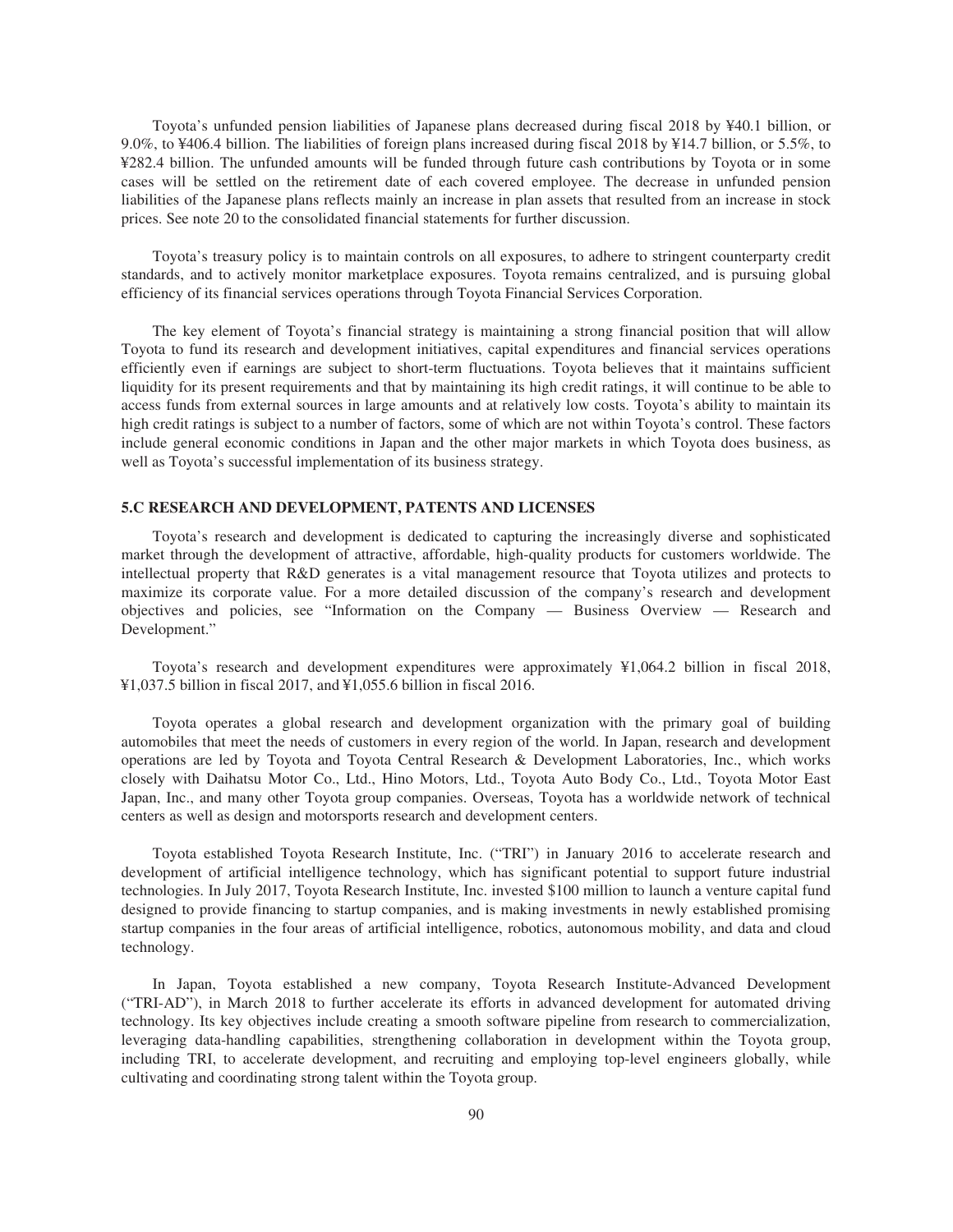Toyota's unfunded pension liabilities of Japanese plans decreased during fiscal 2018 by ¥40.1 billion, or 9.0%, to ¥406.4 billion. The liabilities of foreign plans increased during fiscal 2018 by ¥14.7 billion, or 5.5%, to ¥282.4 billion. The unfunded amounts will be funded through future cash contributions by Toyota or in some cases will be settled on the retirement date of each covered employee. The decrease in unfunded pension liabilities of the Japanese plans reflects mainly an increase in plan assets that resulted from an increase in stock prices. See note 20 to the consolidated financial statements for further discussion.

Toyota's treasury policy is to maintain controls on all exposures, to adhere to stringent counterparty credit standards, and to actively monitor marketplace exposures. Toyota remains centralized, and is pursuing global efficiency of its financial services operations through Toyota Financial Services Corporation.

The key element of Toyota's financial strategy is maintaining a strong financial position that will allow Toyota to fund its research and development initiatives, capital expenditures and financial services operations efficiently even if earnings are subject to short-term fluctuations. Toyota believes that it maintains sufficient liquidity for its present requirements and that by maintaining its high credit ratings, it will continue to be able to access funds from external sources in large amounts and at relatively low costs. Toyota's ability to maintain its high credit ratings is subject to a number of factors, some of which are not within Toyota's control. These factors include general economic conditions in Japan and the other major markets in which Toyota does business, as well as Toyota's successful implementation of its business strategy.

#### **5.C RESEARCH AND DEVELOPMENT, PATENTS AND LICENSES**

Toyota's research and development is dedicated to capturing the increasingly diverse and sophisticated market through the development of attractive, affordable, high-quality products for customers worldwide. The intellectual property that R&D generates is a vital management resource that Toyota utilizes and protects to maximize its corporate value. For a more detailed discussion of the company's research and development objectives and policies, see "Information on the Company — Business Overview — Research and Development."

Toyota's research and development expenditures were approximately ¥1,064.2 billion in fiscal 2018, ¥1,037.5 billion in fiscal 2017, and ¥1,055.6 billion in fiscal 2016.

Toyota operates a global research and development organization with the primary goal of building automobiles that meet the needs of customers in every region of the world. In Japan, research and development operations are led by Toyota and Toyota Central Research & Development Laboratories, Inc., which works closely with Daihatsu Motor Co., Ltd., Hino Motors, Ltd., Toyota Auto Body Co., Ltd., Toyota Motor East Japan, Inc., and many other Toyota group companies. Overseas, Toyota has a worldwide network of technical centers as well as design and motorsports research and development centers.

Toyota established Toyota Research Institute, Inc. ("TRI") in January 2016 to accelerate research and development of artificial intelligence technology, which has significant potential to support future industrial technologies. In July 2017, Toyota Research Institute, Inc. invested \$100 million to launch a venture capital fund designed to provide financing to startup companies, and is making investments in newly established promising startup companies in the four areas of artificial intelligence, robotics, autonomous mobility, and data and cloud technology.

In Japan, Toyota established a new company, Toyota Research Institute-Advanced Development ("TRI-AD"), in March 2018 to further accelerate its efforts in advanced development for automated driving technology. Its key objectives include creating a smooth software pipeline from research to commercialization, leveraging data-handling capabilities, strengthening collaboration in development within the Toyota group, including TRI, to accelerate development, and recruiting and employing top-level engineers globally, while cultivating and coordinating strong talent within the Toyota group.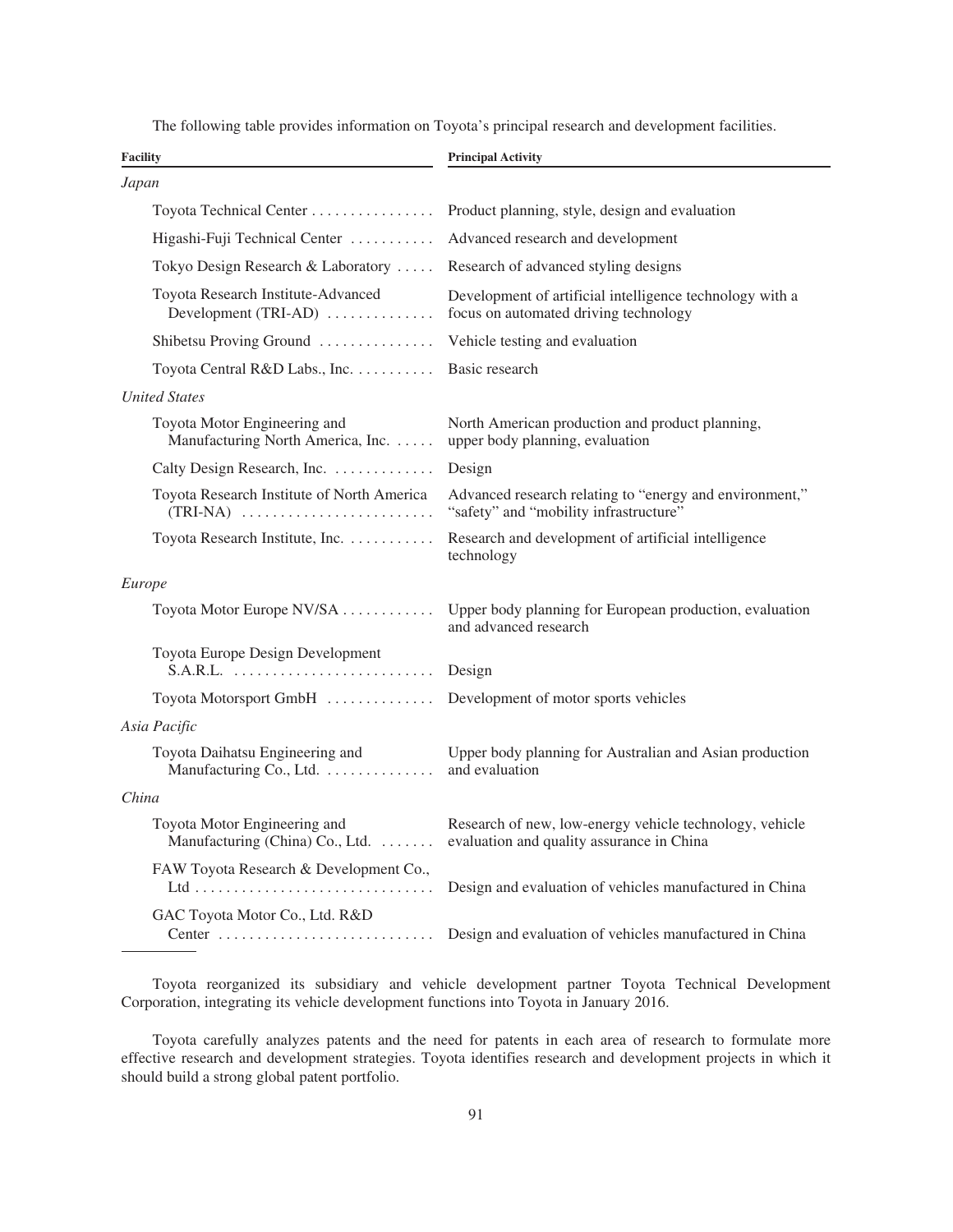*Japan* Toyota Technical Center ................ Product planning, style, design and evaluation Higashi-Fuji Technical Center ........... Advanced research and development Tokyo Design Research & Laboratory ..... Research of advanced styling designs Toyota Research Institute-Advanced Development (TRI-AD) ............. Development of artificial intelligence technology with a focus on automated driving technology Shibetsu Proving Ground ............... Vehicle testing and evaluation Toyota Central R&D Labs., Inc. .......... Basic research *United States* Toyota Motor Engineering and Manufacturing North America, Inc. ..... North American production and product planning, upper body planning, evaluation Calty Design Research, Inc. ............. Design Toyota Research Institute of North America (TRI-NA) ......................... Advanced research relating to "energy and environment," "safety" and "mobility infrastructure" Toyota Research Institute, Inc. ........... Research and development of artificial intelligence technology *Europe* Toyota Motor Europe NV/SA ............ Upper body planning for European production, evaluation and advanced research Toyota Europe Design Development S.A.R.L. .......................... Design Toyota Motorsport GmbH .............. Development of motor sports vehicles *Asia Pacific* Toyota Daihatsu Engineering and Manufacturing Co., Ltd. . . . . . . . . . . . . . Upper body planning for Australian and Asian production and evaluation *China* Toyota Motor Engineering and Manufacturing (China) Co., Ltd. . . . . . . . Research of new, low-energy vehicle technology, vehicle evaluation and quality assurance in China FAW Toyota Research & Development Co., Ltd . . . . . . . . . . . . . . . . . . . . . . . . . . . . . . . Design and evaluation of vehicles manufactured in China GAC Toyota Motor Co., Ltd. R&D Center ............................ Design and evaluation of vehicles manufactured in China

The following table provides information on Toyota's principal research and development facilities.

**Facility Principal Activity Principal Activity** 

Toyota reorganized its subsidiary and vehicle development partner Toyota Technical Development Corporation, integrating its vehicle development functions into Toyota in January 2016.

Toyota carefully analyzes patents and the need for patents in each area of research to formulate more effective research and development strategies. Toyota identifies research and development projects in which it should build a strong global patent portfolio.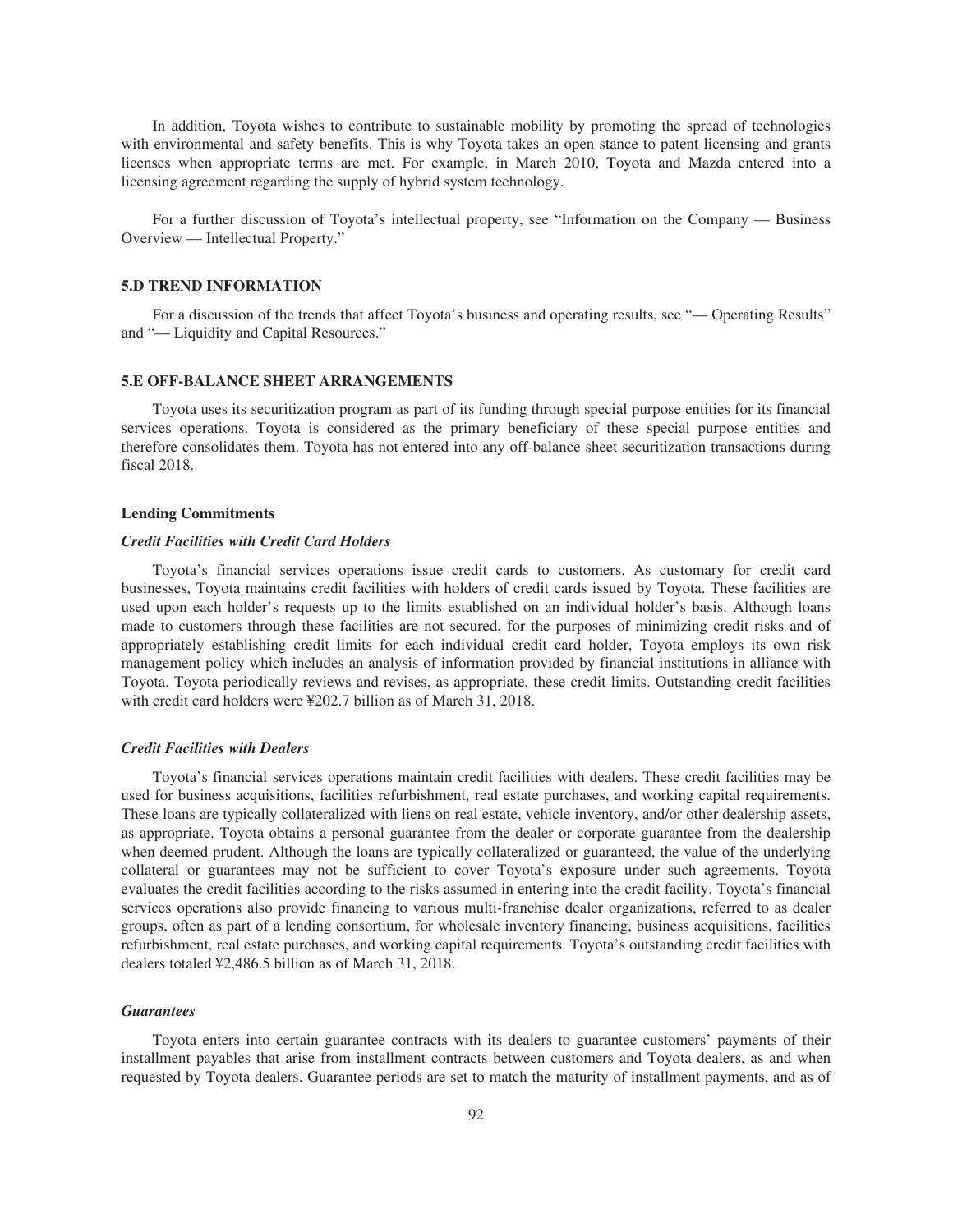In addition, Toyota wishes to contribute to sustainable mobility by promoting the spread of technologies with environmental and safety benefits. This is why Toyota takes an open stance to patent licensing and grants licenses when appropriate terms are met. For example, in March 2010, Toyota and Mazda entered into a licensing agreement regarding the supply of hybrid system technology.

For a further discussion of Toyota's intellectual property, see "Information on the Company — Business Overview — Intellectual Property."

## **5.D TREND INFORMATION**

For a discussion of the trends that affect Toyota's business and operating results, see "— Operating Results" and "— Liquidity and Capital Resources."

#### **5.E OFF-BALANCE SHEET ARRANGEMENTS**

Toyota uses its securitization program as part of its funding through special purpose entities for its financial services operations. Toyota is considered as the primary beneficiary of these special purpose entities and therefore consolidates them. Toyota has not entered into any off-balance sheet securitization transactions during fiscal 2018.

#### **Lending Commitments**

## *Credit Facilities with Credit Card Holders*

Toyota's financial services operations issue credit cards to customers. As customary for credit card businesses, Toyota maintains credit facilities with holders of credit cards issued by Toyota. These facilities are used upon each holder's requests up to the limits established on an individual holder's basis. Although loans made to customers through these facilities are not secured, for the purposes of minimizing credit risks and of appropriately establishing credit limits for each individual credit card holder, Toyota employs its own risk management policy which includes an analysis of information provided by financial institutions in alliance with Toyota. Toyota periodically reviews and revises, as appropriate, these credit limits. Outstanding credit facilities with credit card holders were ¥202.7 billion as of March 31, 2018.

#### *Credit Facilities with Dealers*

Toyota's financial services operations maintain credit facilities with dealers. These credit facilities may be used for business acquisitions, facilities refurbishment, real estate purchases, and working capital requirements. These loans are typically collateralized with liens on real estate, vehicle inventory, and/or other dealership assets, as appropriate. Toyota obtains a personal guarantee from the dealer or corporate guarantee from the dealership when deemed prudent. Although the loans are typically collateralized or guaranteed, the value of the underlying collateral or guarantees may not be sufficient to cover Toyota's exposure under such agreements. Toyota evaluates the credit facilities according to the risks assumed in entering into the credit facility. Toyota's financial services operations also provide financing to various multi-franchise dealer organizations, referred to as dealer groups, often as part of a lending consortium, for wholesale inventory financing, business acquisitions, facilities refurbishment, real estate purchases, and working capital requirements. Toyota's outstanding credit facilities with dealers totaled ¥2,486.5 billion as of March 31, 2018.

## *Guarantees*

Toyota enters into certain guarantee contracts with its dealers to guarantee customers' payments of their installment payables that arise from installment contracts between customers and Toyota dealers, as and when requested by Toyota dealers. Guarantee periods are set to match the maturity of installment payments, and as of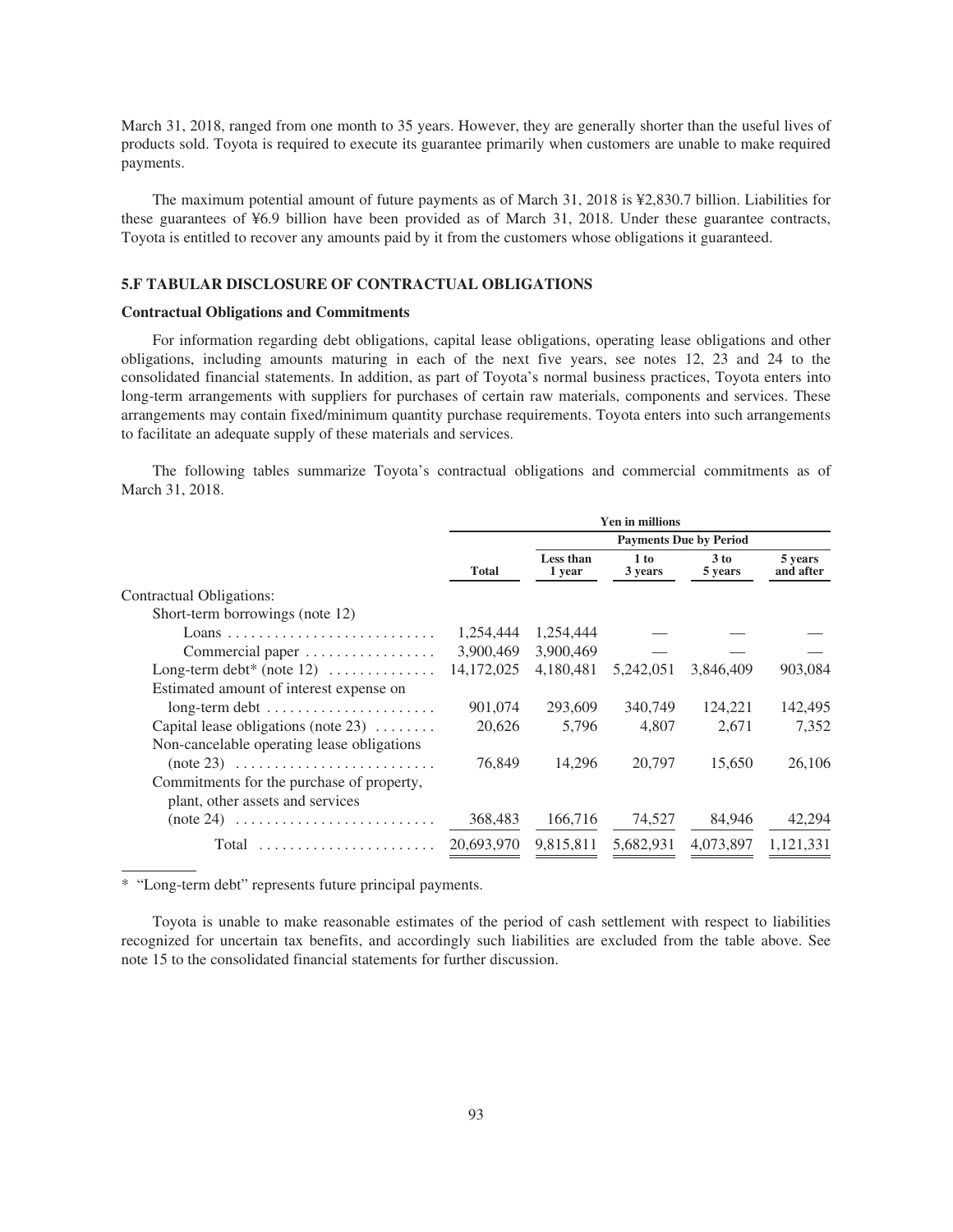March 31, 2018, ranged from one month to 35 years. However, they are generally shorter than the useful lives of products sold. Toyota is required to execute its guarantee primarily when customers are unable to make required payments.

The maximum potential amount of future payments as of March 31, 2018 is ¥2,830.7 billion. Liabilities for these guarantees of ¥6.9 billion have been provided as of March 31, 2018. Under these guarantee contracts, Toyota is entitled to recover any amounts paid by it from the customers whose obligations it guaranteed.

# **5.F TABULAR DISCLOSURE OF CONTRACTUAL OBLIGATIONS**

## **Contractual Obligations and Commitments**

For information regarding debt obligations, capital lease obligations, operating lease obligations and other obligations, including amounts maturing in each of the next five years, see notes 12, 23 and 24 to the consolidated financial statements. In addition, as part of Toyota's normal business practices, Toyota enters into long-term arrangements with suppliers for purchases of certain raw materials, components and services. These arrangements may contain fixed/minimum quantity purchase requirements. Toyota enters into such arrangements to facilitate an adequate supply of these materials and services.

The following tables summarize Toyota's contractual obligations and commercial commitments as of March 31, 2018.

|                                                                   | Yen in millions |                     |                 |                               |                      |
|-------------------------------------------------------------------|-----------------|---------------------|-----------------|-------------------------------|----------------------|
|                                                                   |                 |                     |                 | <b>Payments Due by Period</b> |                      |
|                                                                   | <b>Total</b>    | Less than<br>1 year | 1 to<br>3 years | 3 to<br>5 years               | 5 years<br>and after |
| Contractual Obligations:                                          |                 |                     |                 |                               |                      |
| Short-term borrowings (note 12)                                   |                 |                     |                 |                               |                      |
|                                                                   | 1,254,444       | 1,254,444           |                 |                               |                      |
| Commercial paper                                                  | 3,900,469       | 3,900,469           |                 |                               |                      |
| Long-term debt <sup>*</sup> (note $12$ )                          | 14,172,025      | 4,180,481           | 5,242,051       | 3,846,409                     | 903,084              |
| Estimated amount of interest expense on                           |                 |                     |                 |                               |                      |
| long-term debt                                                    | 901,074         | 293,609             | 340,749         | 124,221                       | 142,495              |
| Capital lease obligations (note 23) $\dots$                       | 20,626          | 5,796               | 4,807           | 2,671                         | 7,352                |
| Non-cancelable operating lease obligations                        |                 |                     |                 |                               |                      |
| $(note 23) \dots \dots \dots \dots \dots \dots \dots \dots \dots$ | 76,849          | 14,296              | 20,797          | 15,650                        | 26,106               |
| Commitments for the purchase of property,                         |                 |                     |                 |                               |                      |
| plant, other assets and services                                  |                 |                     |                 |                               |                      |
| $(note 24) \dots \dots \dots \dots \dots \dots \dots \dots \dots$ | 368,483         | 166,716             | 74,527          | 84,946                        | 42,294               |
| Total                                                             | 20,693,970      | 9,815,811           | 5,682,931       | 4.073.897                     | 1,121,331            |

\* "Long-term debt" represents future principal payments.

Toyota is unable to make reasonable estimates of the period of cash settlement with respect to liabilities recognized for uncertain tax benefits, and accordingly such liabilities are excluded from the table above. See note 15 to the consolidated financial statements for further discussion.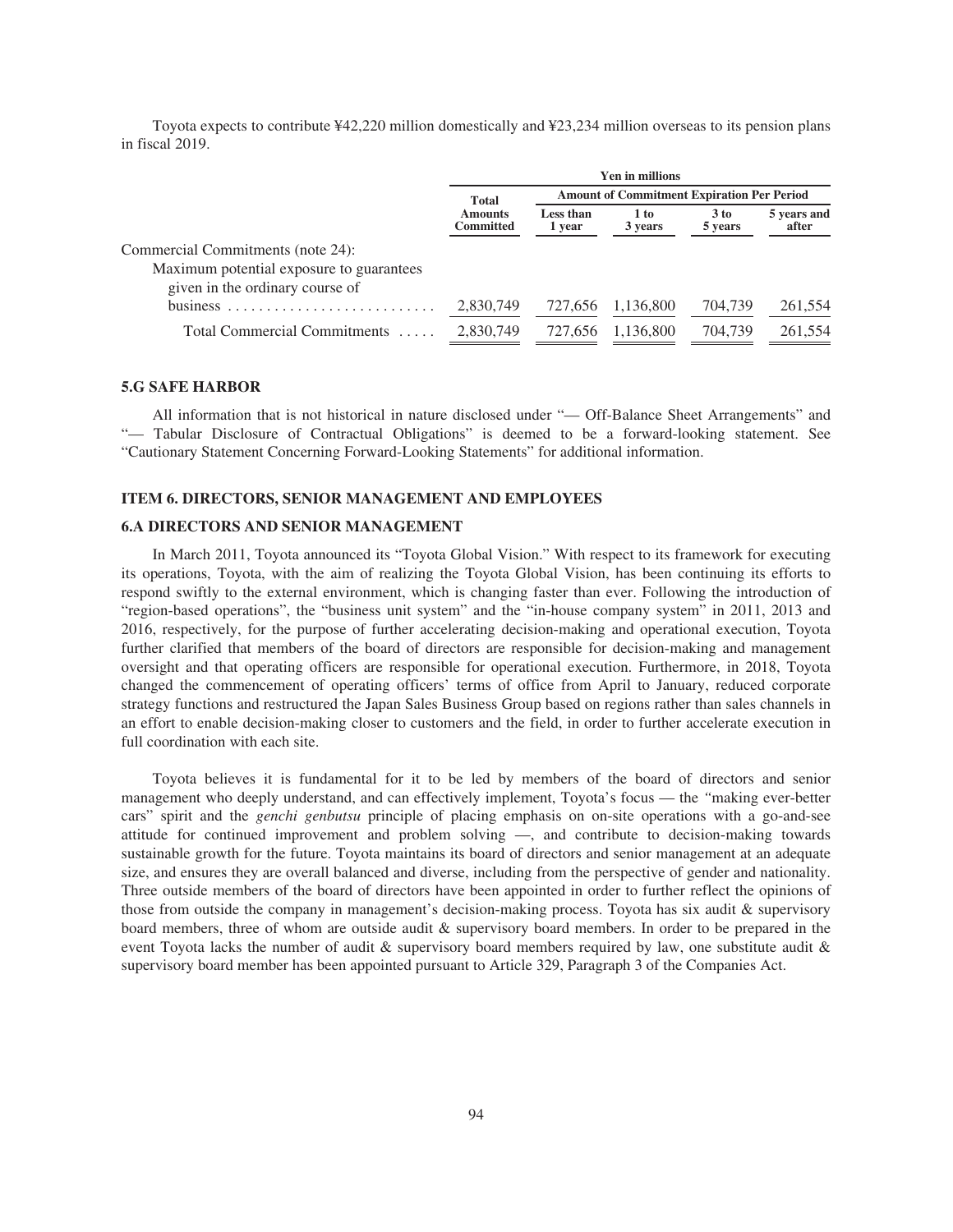Toyota expects to contribute ¥42,220 million domestically and ¥23,234 million overseas to its pension plans in fiscal 2019.

|                                          | <b>Yen in millions</b>             |                     |                                                   |                 |                      |
|------------------------------------------|------------------------------------|---------------------|---------------------------------------------------|-----------------|----------------------|
|                                          | <b>Total</b>                       |                     | <b>Amount of Commitment Expiration Per Period</b> |                 |                      |
|                                          | <b>Amounts</b><br><b>Committed</b> | Less than<br>1 year | 1 to<br>3 years                                   | 3 to<br>5 years | 5 years and<br>after |
| Commercial Commitments (note 24):        |                                    |                     |                                                   |                 |                      |
| Maximum potential exposure to guarantees |                                    |                     |                                                   |                 |                      |
| given in the ordinary course of          |                                    |                     |                                                   |                 |                      |
| business                                 | 2,830,749                          | 727,656             | 1.136.800                                         | 704,739         | 261,554              |
| Total Commercial Commitments             | 2,830,749                          | 727,656             | 1.136.800                                         | 704.739         | 261,554              |

# **5.G SAFE HARBOR**

All information that is not historical in nature disclosed under "— Off-Balance Sheet Arrangements" and "— Tabular Disclosure of Contractual Obligations" is deemed to be a forward-looking statement. See "Cautionary Statement Concerning Forward-Looking Statements" for additional information.

## **ITEM 6. DIRECTORS, SENIOR MANAGEMENT AND EMPLOYEES**

# **6.A DIRECTORS AND SENIOR MANAGEMENT**

In March 2011, Toyota announced its "Toyota Global Vision." With respect to its framework for executing its operations, Toyota, with the aim of realizing the Toyota Global Vision, has been continuing its efforts to respond swiftly to the external environment, which is changing faster than ever. Following the introduction of "region-based operations", the "business unit system" and the "in-house company system" in 2011, 2013 and 2016, respectively, for the purpose of further accelerating decision-making and operational execution, Toyota further clarified that members of the board of directors are responsible for decision-making and management oversight and that operating officers are responsible for operational execution. Furthermore, in 2018, Toyota changed the commencement of operating officers' terms of office from April to January, reduced corporate strategy functions and restructured the Japan Sales Business Group based on regions rather than sales channels in an effort to enable decision-making closer to customers and the field, in order to further accelerate execution in full coordination with each site.

Toyota believes it is fundamental for it to be led by members of the board of directors and senior management who deeply understand, and can effectively implement, Toyota's focus — the *"*making ever-better cars" spirit and the *genchi genbutsu* principle of placing emphasis on on-site operations with a go-and-see attitude for continued improvement and problem solving —, and contribute to decision-making towards sustainable growth for the future. Toyota maintains its board of directors and senior management at an adequate size, and ensures they are overall balanced and diverse, including from the perspective of gender and nationality. Three outside members of the board of directors have been appointed in order to further reflect the opinions of those from outside the company in management's decision-making process. Toyota has six audit & supervisory board members, three of whom are outside audit & supervisory board members. In order to be prepared in the event Toyota lacks the number of audit & supervisory board members required by law, one substitute audit & supervisory board member has been appointed pursuant to Article 329, Paragraph 3 of the Companies Act.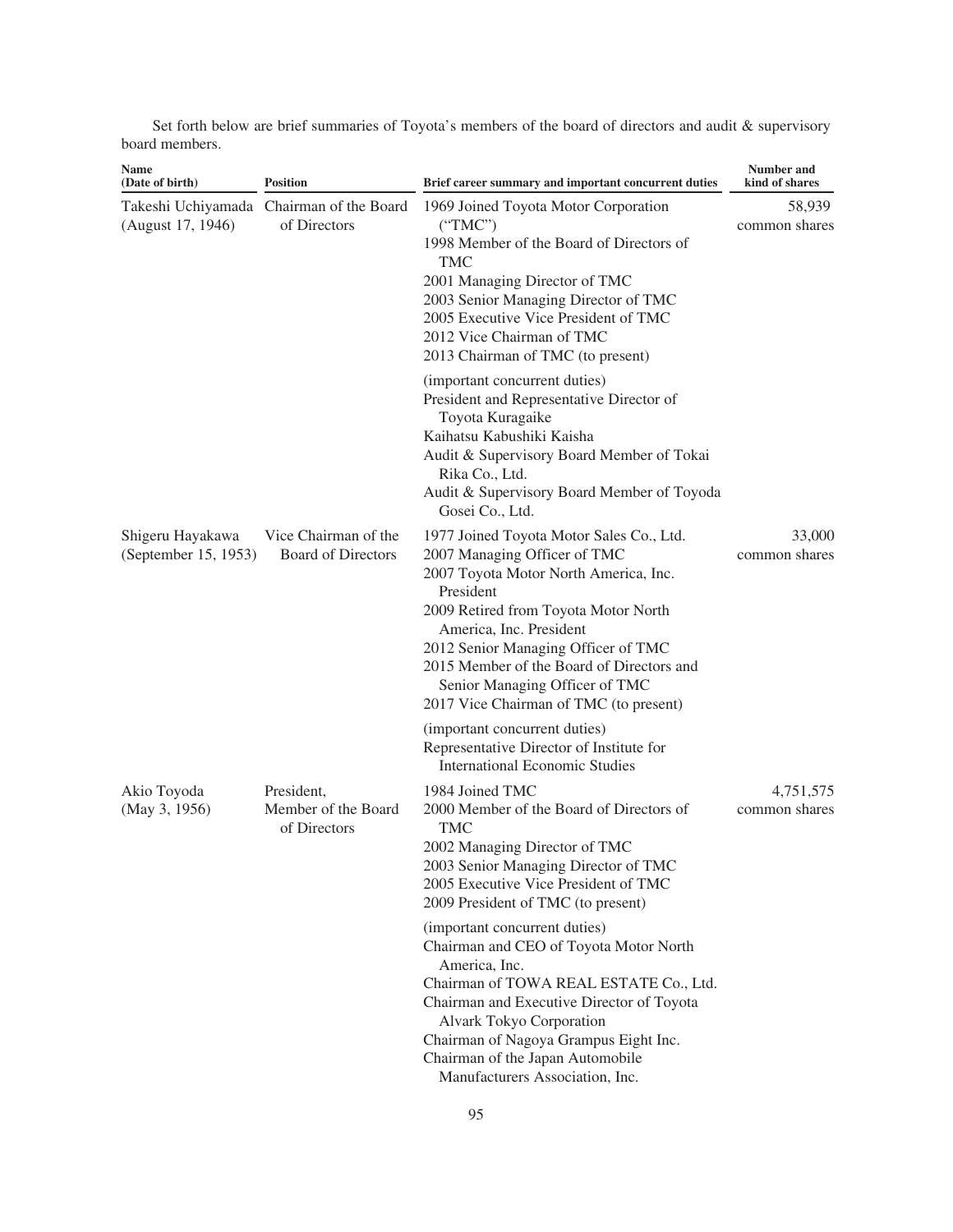| Name<br>(Date of birth)                  | <b>Position</b>                                          | Brief career summary and important concurrent duties                                                                                                                                                                                                                                                                                                              | Number and<br>kind of shares |
|------------------------------------------|----------------------------------------------------------|-------------------------------------------------------------------------------------------------------------------------------------------------------------------------------------------------------------------------------------------------------------------------------------------------------------------------------------------------------------------|------------------------------|
| (August 17, 1946)                        | Takeshi Uchiyamada Chairman of the Board<br>of Directors | 1969 Joined Toyota Motor Corporation<br>("TMC")<br>1998 Member of the Board of Directors of<br><b>TMC</b><br>2001 Managing Director of TMC<br>2003 Senior Managing Director of TMC<br>2005 Executive Vice President of TMC<br>2012 Vice Chairman of TMC<br>2013 Chairman of TMC (to present)                                                                      | 58,939<br>common shares      |
|                                          |                                                          | (important concurrent duties)<br>President and Representative Director of<br>Toyota Kuragaike<br>Kaihatsu Kabushiki Kaisha<br>Audit & Supervisory Board Member of Tokai<br>Rika Co., Ltd.<br>Audit & Supervisory Board Member of Toyoda<br>Gosei Co., Ltd.                                                                                                        |                              |
| Shigeru Hayakawa<br>(September 15, 1953) | Vice Chairman of the<br><b>Board of Directors</b>        | 1977 Joined Toyota Motor Sales Co., Ltd.<br>2007 Managing Officer of TMC<br>2007 Toyota Motor North America, Inc.<br>President<br>2009 Retired from Toyota Motor North<br>America, Inc. President<br>2012 Senior Managing Officer of TMC<br>2015 Member of the Board of Directors and<br>Senior Managing Officer of TMC<br>2017 Vice Chairman of TMC (to present) | 33,000<br>common shares      |
|                                          |                                                          | (important concurrent duties)<br>Representative Director of Institute for<br><b>International Economic Studies</b>                                                                                                                                                                                                                                                |                              |
| Akio Toyoda<br>(May 3, 1956)             | President,<br>Member of the Board<br>of Directors        | 1984 Joined TMC<br>2000 Member of the Board of Directors of<br><b>TMC</b><br>2002 Managing Director of TMC<br>2003 Senior Managing Director of TMC<br>2005 Executive Vice President of TMC<br>2009 President of TMC (to present)                                                                                                                                  | 4,751,575<br>common shares   |
|                                          |                                                          | (important concurrent duties)<br>Chairman and CEO of Toyota Motor North<br>America, Inc.<br>Chairman of TOWA REAL ESTATE Co., Ltd.<br>Chairman and Executive Director of Toyota<br>Alvark Tokyo Corporation<br>Chairman of Nagoya Grampus Eight Inc.<br>Chairman of the Japan Automobile<br>Manufacturers Association, Inc.                                       |                              |

Set forth below are brief summaries of Toyota's members of the board of directors and audit & supervisory board members.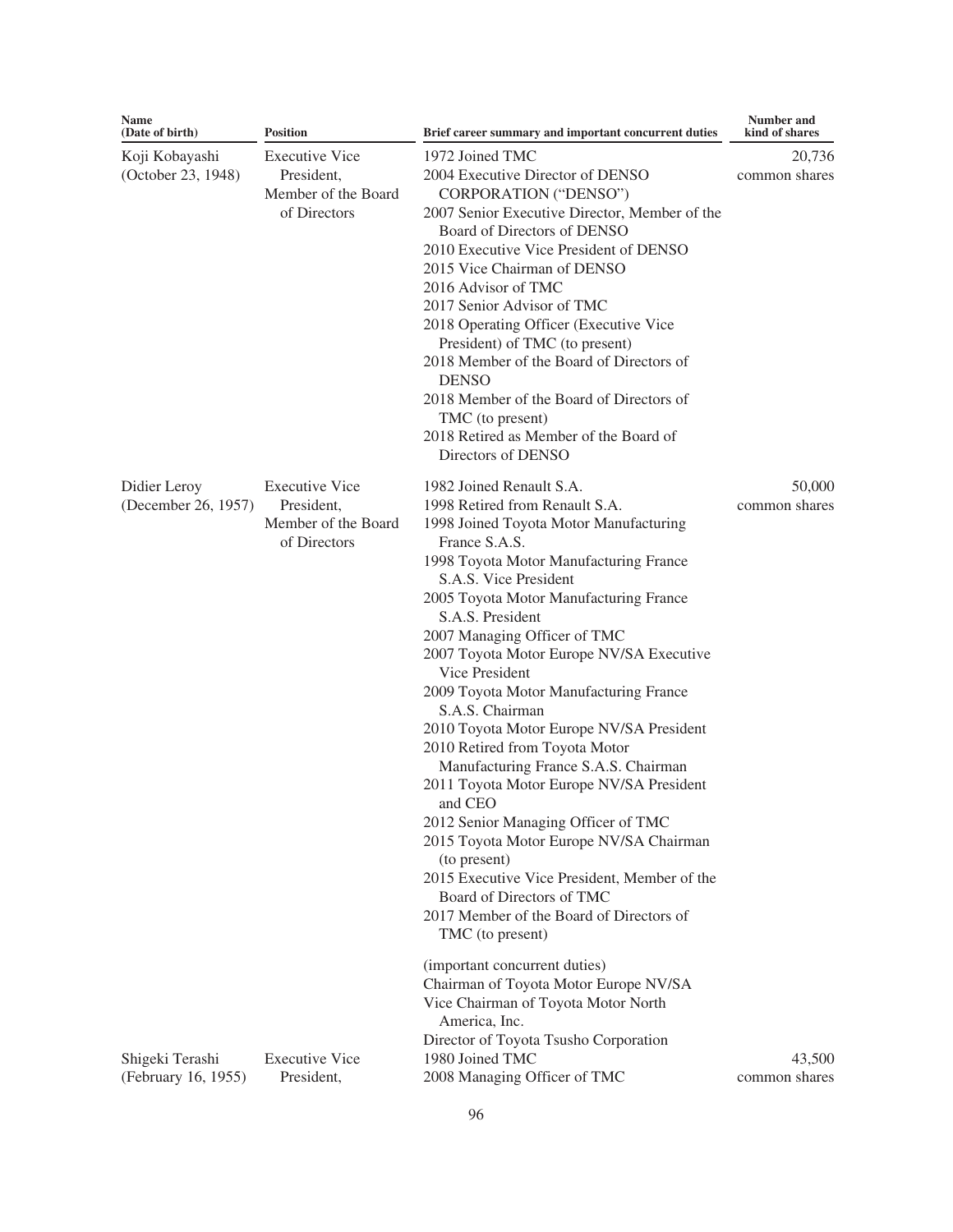| Name<br>(Date of birth)              | <b>Position</b>                     | Brief career summary and important concurrent duties                                       | <b>Number and</b><br>kind of shares |
|--------------------------------------|-------------------------------------|--------------------------------------------------------------------------------------------|-------------------------------------|
| Koji Kobayashi<br>(October 23, 1948) | <b>Executive Vice</b><br>President, | 1972 Joined TMC<br>2004 Executive Director of DENSO                                        | 20,736<br>common shares             |
|                                      | Member of the Board<br>of Directors | CORPORATION ("DENSO")<br>2007 Senior Executive Director, Member of the                     |                                     |
|                                      |                                     | Board of Directors of DENSO                                                                |                                     |
|                                      |                                     | 2010 Executive Vice President of DENSO                                                     |                                     |
|                                      |                                     | 2015 Vice Chairman of DENSO<br>2016 Advisor of TMC                                         |                                     |
|                                      |                                     | 2017 Senior Advisor of TMC                                                                 |                                     |
|                                      |                                     | 2018 Operating Officer (Executive Vice                                                     |                                     |
|                                      |                                     | President) of TMC (to present)                                                             |                                     |
|                                      |                                     | 2018 Member of the Board of Directors of                                                   |                                     |
|                                      |                                     | <b>DENSO</b>                                                                               |                                     |
|                                      |                                     | 2018 Member of the Board of Directors of                                                   |                                     |
|                                      |                                     | TMC (to present)                                                                           |                                     |
|                                      |                                     | 2018 Retired as Member of the Board of<br>Directors of DENSO                               |                                     |
| Didier Leroy                         | <b>Executive Vice</b>               | 1982 Joined Renault S.A.                                                                   | 50,000                              |
| (December 26, 1957)                  | President,                          | 1998 Retired from Renault S.A.                                                             | common shares                       |
|                                      | Member of the Board                 | 1998 Joined Toyota Motor Manufacturing                                                     |                                     |
|                                      | of Directors                        | France S.A.S.                                                                              |                                     |
|                                      |                                     | 1998 Toyota Motor Manufacturing France                                                     |                                     |
|                                      |                                     | S.A.S. Vice President                                                                      |                                     |
|                                      |                                     | 2005 Toyota Motor Manufacturing France                                                     |                                     |
|                                      |                                     | S.A.S. President                                                                           |                                     |
|                                      |                                     | 2007 Managing Officer of TMC<br>2007 Toyota Motor Europe NV/SA Executive<br>Vice President |                                     |
|                                      |                                     | 2009 Toyota Motor Manufacturing France                                                     |                                     |
|                                      |                                     | S.A.S. Chairman<br>2010 Toyota Motor Europe NV/SA President                                |                                     |
|                                      |                                     | 2010 Retired from Toyota Motor                                                             |                                     |
|                                      |                                     | Manufacturing France S.A.S. Chairman                                                       |                                     |
|                                      |                                     | 2011 Toyota Motor Europe NV/SA President                                                   |                                     |
|                                      |                                     | and CEO                                                                                    |                                     |
|                                      |                                     | 2012 Senior Managing Officer of TMC                                                        |                                     |
|                                      |                                     | 2015 Toyota Motor Europe NV/SA Chairman<br>(to present)                                    |                                     |
|                                      |                                     | 2015 Executive Vice President, Member of the                                               |                                     |
|                                      |                                     | Board of Directors of TMC                                                                  |                                     |
|                                      |                                     | 2017 Member of the Board of Directors of<br>TMC (to present)                               |                                     |
|                                      |                                     | (important concurrent duties)                                                              |                                     |
|                                      |                                     | Chairman of Toyota Motor Europe NV/SA                                                      |                                     |
|                                      |                                     | Vice Chairman of Toyota Motor North                                                        |                                     |
|                                      |                                     | America, Inc.                                                                              |                                     |
| Shigeki Terashi                      | <b>Executive Vice</b>               | Director of Toyota Tsusho Corporation<br>1980 Joined TMC                                   | 43,500                              |
| (February 16, 1955)                  | President,                          | 2008 Managing Officer of TMC                                                               | common shares                       |
|                                      |                                     |                                                                                            |                                     |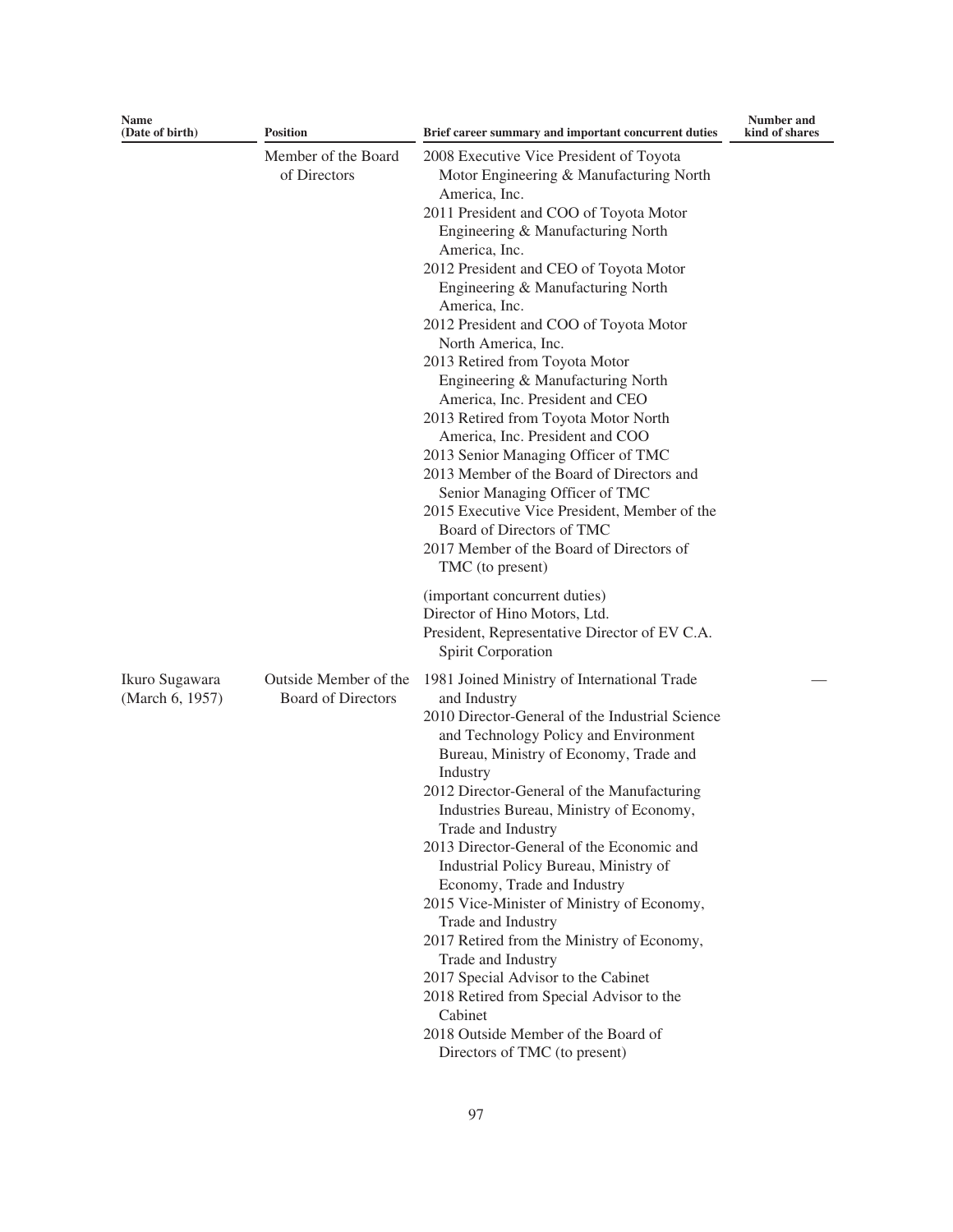| Name<br>(Date of birth)           | <b>Position</b>                                    | Brief career summary and important concurrent duties                                                                                                                                                          | Number and<br>kind of shares |
|-----------------------------------|----------------------------------------------------|---------------------------------------------------------------------------------------------------------------------------------------------------------------------------------------------------------------|------------------------------|
|                                   | Member of the Board<br>of Directors                | 2008 Executive Vice President of Toyota<br>Motor Engineering & Manufacturing North<br>America, Inc.                                                                                                           |                              |
|                                   |                                                    | 2011 President and COO of Toyota Motor<br>Engineering & Manufacturing North<br>America, Inc.                                                                                                                  |                              |
|                                   |                                                    | 2012 President and CEO of Toyota Motor<br>Engineering & Manufacturing North<br>America, Inc.                                                                                                                  |                              |
|                                   |                                                    | 2012 President and COO of Toyota Motor<br>North America, Inc.                                                                                                                                                 |                              |
|                                   |                                                    | 2013 Retired from Toyota Motor<br>Engineering & Manufacturing North<br>America, Inc. President and CEO                                                                                                        |                              |
|                                   |                                                    | 2013 Retired from Toyota Motor North<br>America, Inc. President and COO<br>2013 Senior Managing Officer of TMC<br>2013 Member of the Board of Directors and                                                   |                              |
|                                   |                                                    | Senior Managing Officer of TMC<br>2015 Executive Vice President, Member of the<br>Board of Directors of TMC<br>2017 Member of the Board of Directors of                                                       |                              |
|                                   |                                                    | TMC (to present)<br>(important concurrent duties)                                                                                                                                                             |                              |
|                                   |                                                    | Director of Hino Motors, Ltd.<br>President, Representative Director of EV C.A.<br>Spirit Corporation                                                                                                          |                              |
| Ikuro Sugawara<br>(March 6, 1957) | Outside Member of the<br><b>Board of Directors</b> | 1981 Joined Ministry of International Trade<br>and Industry<br>2010 Director-General of the Industrial Science<br>and Technology Policy and Environment<br>Bureau, Ministry of Economy, Trade and<br>Industry |                              |
|                                   |                                                    | 2012 Director-General of the Manufacturing<br>Industries Bureau, Ministry of Economy,<br>Trade and Industry                                                                                                   |                              |
|                                   |                                                    | 2013 Director-General of the Economic and<br>Industrial Policy Bureau, Ministry of<br>Economy, Trade and Industry                                                                                             |                              |
|                                   |                                                    | 2015 Vice-Minister of Ministry of Economy,<br>Trade and Industry                                                                                                                                              |                              |
|                                   |                                                    | 2017 Retired from the Ministry of Economy,<br>Trade and Industry                                                                                                                                              |                              |
|                                   |                                                    | 2017 Special Advisor to the Cabinet<br>2018 Retired from Special Advisor to the                                                                                                                               |                              |
|                                   |                                                    | Cabinet<br>2018 Outside Member of the Board of<br>Directors of TMC (to present)                                                                                                                               |                              |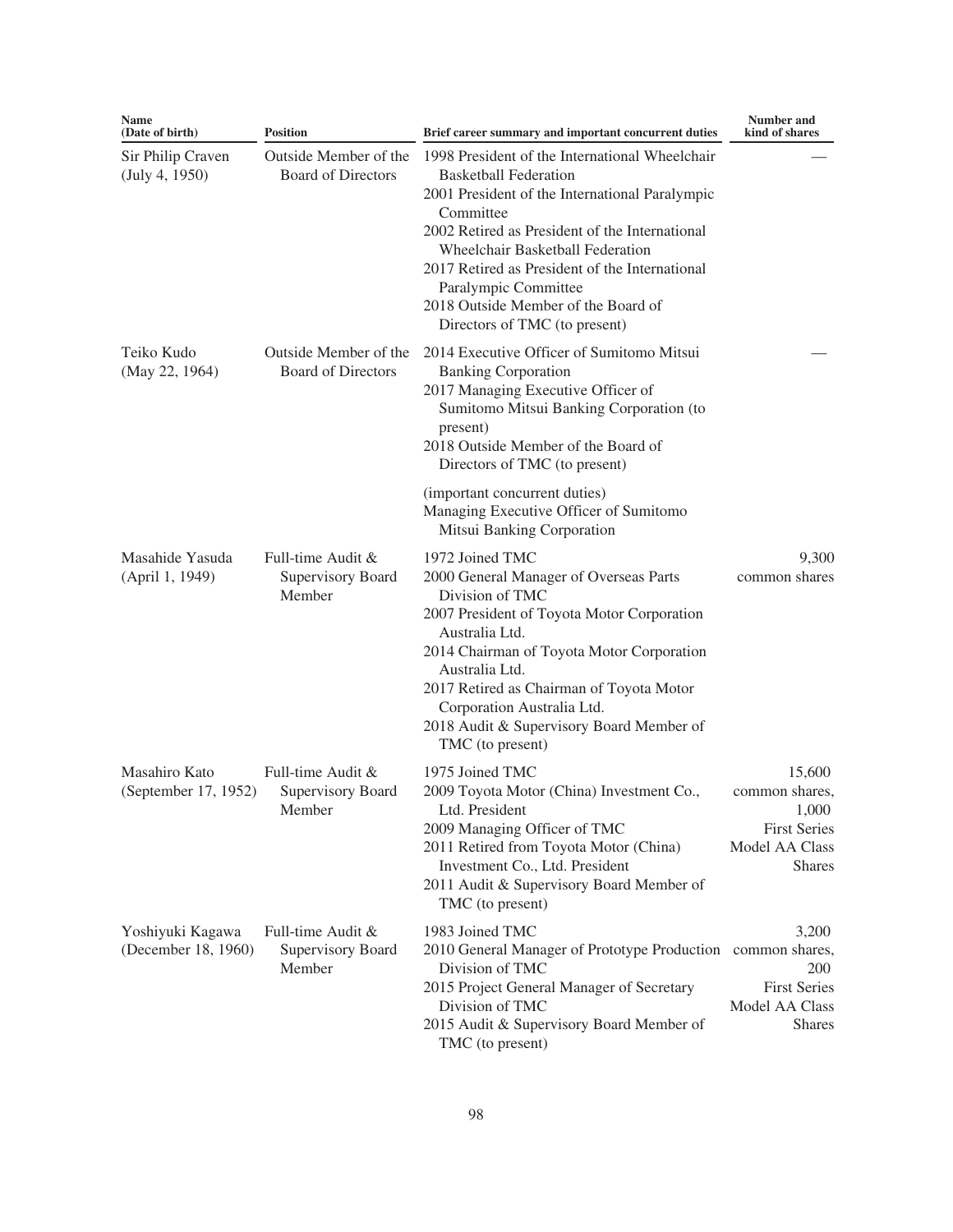| Name<br>(Date of birth)                 | <b>Position</b>                                    | Brief career summary and important concurrent duties                                                                                                                                                                                                                                                                                                                                  | Number and<br>kind of shares                                                                |
|-----------------------------------------|----------------------------------------------------|---------------------------------------------------------------------------------------------------------------------------------------------------------------------------------------------------------------------------------------------------------------------------------------------------------------------------------------------------------------------------------------|---------------------------------------------------------------------------------------------|
| Sir Philip Craven<br>(July 4, 1950)     | Outside Member of the<br><b>Board of Directors</b> | 1998 President of the International Wheelchair<br><b>Basketball Federation</b><br>2001 President of the International Paralympic<br>Committee<br>2002 Retired as President of the International<br>Wheelchair Basketball Federation<br>2017 Retired as President of the International<br>Paralympic Committee<br>2018 Outside Member of the Board of<br>Directors of TMC (to present) |                                                                                             |
| Teiko Kudo<br>(May 22, 1964)            | Outside Member of the<br><b>Board of Directors</b> | 2014 Executive Officer of Sumitomo Mitsui<br><b>Banking Corporation</b><br>2017 Managing Executive Officer of<br>Sumitomo Mitsui Banking Corporation (to<br>present)<br>2018 Outside Member of the Board of<br>Directors of TMC (to present)                                                                                                                                          |                                                                                             |
|                                         |                                                    | (important concurrent duties)<br>Managing Executive Officer of Sumitomo<br>Mitsui Banking Corporation                                                                                                                                                                                                                                                                                 |                                                                                             |
| Masahide Yasuda<br>(April 1, 1949)      | Full-time Audit &<br>Supervisory Board<br>Member   | 1972 Joined TMC<br>2000 General Manager of Overseas Parts<br>Division of TMC<br>2007 President of Toyota Motor Corporation<br>Australia Ltd.<br>2014 Chairman of Toyota Motor Corporation<br>Australia Ltd.<br>2017 Retired as Chairman of Toyota Motor<br>Corporation Australia Ltd.<br>2018 Audit & Supervisory Board Member of<br>TMC (to present)                                 | 9,300<br>common shares                                                                      |
| Masahiro Kato<br>(September 17, 1952)   | Full-time Audit &<br>Supervisory Board<br>Member   | 1975 Joined TMC<br>2009 Toyota Motor (China) Investment Co.,<br>Ltd. President<br>2009 Managing Officer of TMC<br>2011 Retired from Toyota Motor (China)<br>Investment Co., Ltd. President<br>2011 Audit & Supervisory Board Member of<br>TMC (to present)                                                                                                                            | 15,600<br>common shares,<br>1,000<br><b>First Series</b><br>Model AA Class<br><b>Shares</b> |
| Yoshiyuki Kagawa<br>(December 18, 1960) | Full-time Audit &<br>Supervisory Board<br>Member   | 1983 Joined TMC<br>2010 General Manager of Prototype Production common shares,<br>Division of TMC<br>2015 Project General Manager of Secretary<br>Division of TMC<br>2015 Audit & Supervisory Board Member of<br>TMC (to present)                                                                                                                                                     | 3,200<br>200<br><b>First Series</b><br>Model AA Class<br><b>Shares</b>                      |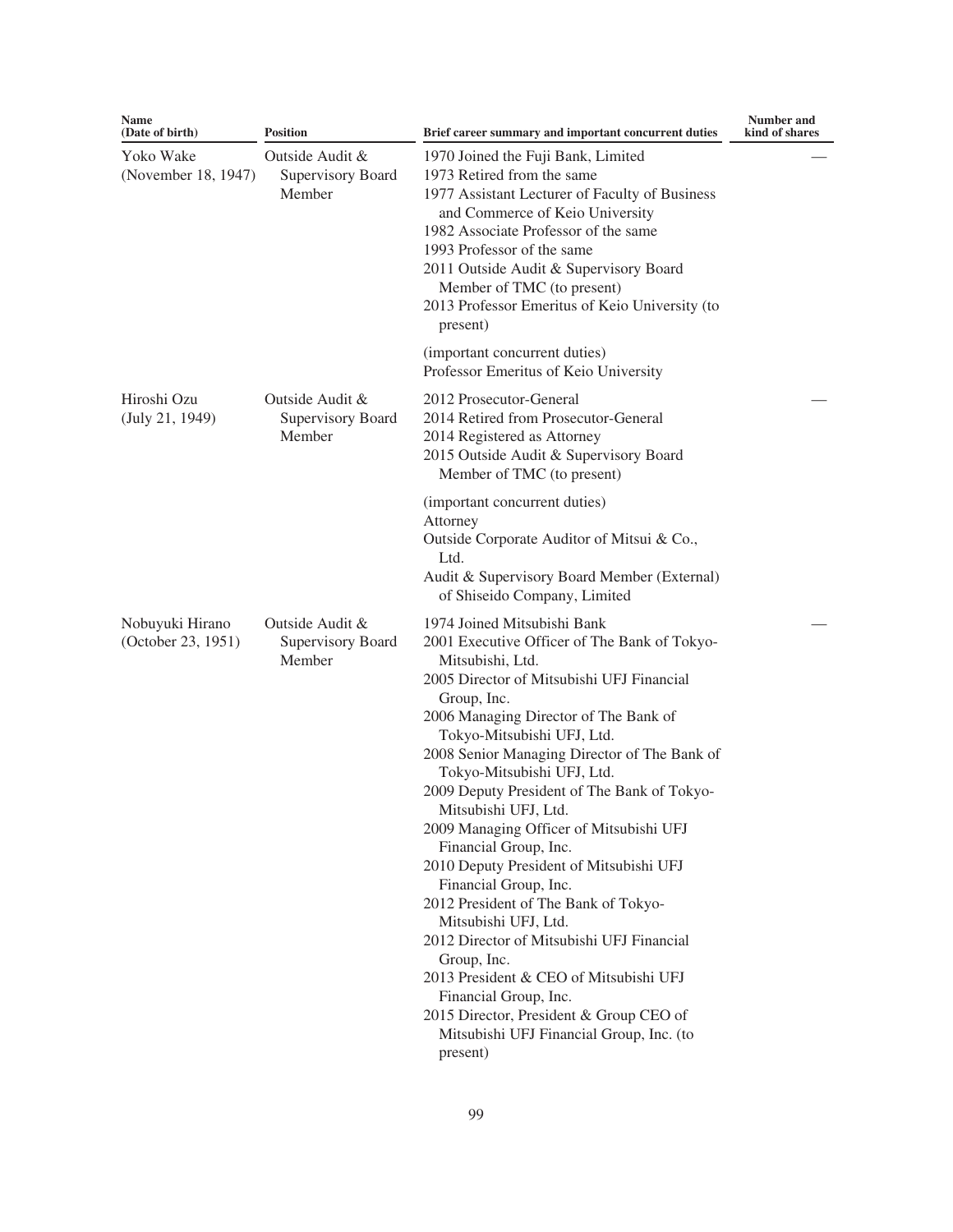| <b>Name</b><br>(Date of birth)        | <b>Position</b>                                | Brief career summary and important concurrent duties                                                                                                                                                                                                                                                                                                                                                                                                                                                                                                                                                                                                                                                                                                                                                                              | Number and<br>kind of shares |
|---------------------------------------|------------------------------------------------|-----------------------------------------------------------------------------------------------------------------------------------------------------------------------------------------------------------------------------------------------------------------------------------------------------------------------------------------------------------------------------------------------------------------------------------------------------------------------------------------------------------------------------------------------------------------------------------------------------------------------------------------------------------------------------------------------------------------------------------------------------------------------------------------------------------------------------------|------------------------------|
| Yoko Wake<br>(November 18, 1947)      | Outside Audit &<br>Supervisory Board<br>Member | 1970 Joined the Fuji Bank, Limited<br>1973 Retired from the same<br>1977 Assistant Lecturer of Faculty of Business<br>and Commerce of Keio University<br>1982 Associate Professor of the same<br>1993 Professor of the same<br>2011 Outside Audit & Supervisory Board<br>Member of TMC (to present)<br>2013 Professor Emeritus of Keio University (to<br>present)                                                                                                                                                                                                                                                                                                                                                                                                                                                                 |                              |
|                                       |                                                | (important concurrent duties)<br>Professor Emeritus of Keio University                                                                                                                                                                                                                                                                                                                                                                                                                                                                                                                                                                                                                                                                                                                                                            |                              |
| Hiroshi Ozu<br>(July 21, 1949)        | Outside Audit &<br>Supervisory Board<br>Member | 2012 Prosecutor-General<br>2014 Retired from Prosecutor-General<br>2014 Registered as Attorney<br>2015 Outside Audit & Supervisory Board<br>Member of TMC (to present)                                                                                                                                                                                                                                                                                                                                                                                                                                                                                                                                                                                                                                                            |                              |
|                                       |                                                | (important concurrent duties)<br>Attorney<br>Outside Corporate Auditor of Mitsui & Co.,<br>Ltd.<br>Audit & Supervisory Board Member (External)<br>of Shiseido Company, Limited                                                                                                                                                                                                                                                                                                                                                                                                                                                                                                                                                                                                                                                    |                              |
| Nobuyuki Hirano<br>(October 23, 1951) | Outside Audit &<br>Supervisory Board<br>Member | 1974 Joined Mitsubishi Bank<br>2001 Executive Officer of The Bank of Tokyo-<br>Mitsubishi, Ltd.<br>2005 Director of Mitsubishi UFJ Financial<br>Group, Inc.<br>2006 Managing Director of The Bank of<br>Tokyo-Mitsubishi UFJ, Ltd.<br>2008 Senior Managing Director of The Bank of<br>Tokyo-Mitsubishi UFJ, Ltd.<br>2009 Deputy President of The Bank of Tokyo-<br>Mitsubishi UFJ, Ltd.<br>2009 Managing Officer of Mitsubishi UFJ<br>Financial Group, Inc.<br>2010 Deputy President of Mitsubishi UFJ<br>Financial Group, Inc.<br>2012 President of The Bank of Tokyo-<br>Mitsubishi UFJ, Ltd.<br>2012 Director of Mitsubishi UFJ Financial<br>Group, Inc.<br>2013 President & CEO of Mitsubishi UFJ<br>Financial Group, Inc.<br>2015 Director, President & Group CEO of<br>Mitsubishi UFJ Financial Group, Inc. (to<br>present) |                              |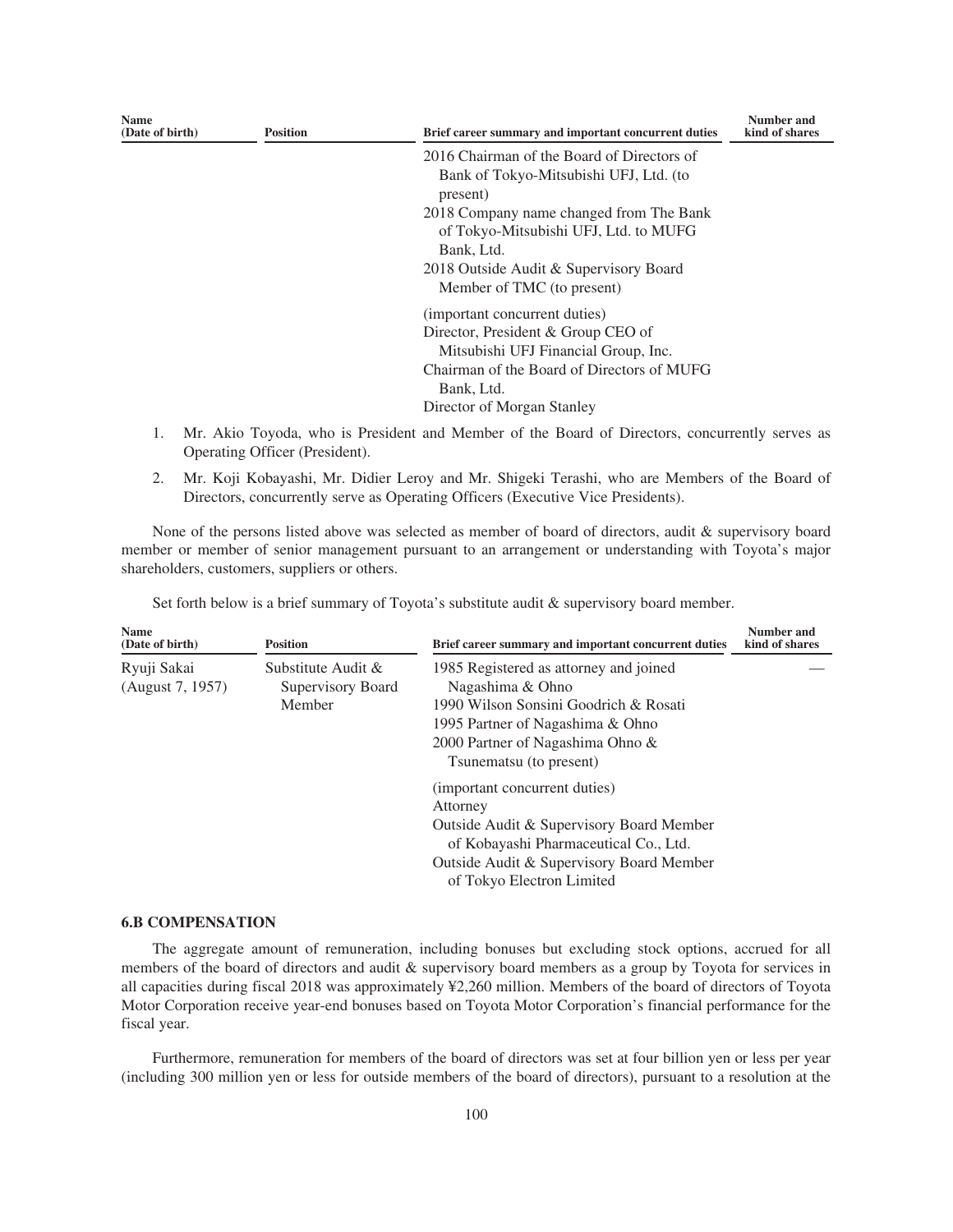| <b>Name</b><br>(Date of birth) | <b>Position</b> | Brief career summary and important concurrent duties | Number and<br>kind of shares |
|--------------------------------|-----------------|------------------------------------------------------|------------------------------|
|                                |                 | 2016 Chairman of the Board of Directors of           |                              |
|                                |                 | Bank of Tokyo-Mitsubishi UFJ, Ltd. (to<br>present)   |                              |
|                                |                 | 2018 Company name changed from The Bank              |                              |
|                                |                 | of Tokyo-Mitsubishi UFJ, Ltd. to MUFG                |                              |
|                                |                 | Bank, Ltd.                                           |                              |
|                                |                 | 2018 Outside Audit & Supervisory Board               |                              |
|                                |                 | Member of TMC (to present)                           |                              |
|                                |                 | (important concurrent duties)                        |                              |
|                                |                 | Director, President & Group CEO of                   |                              |
|                                |                 | Mitsubishi UFJ Financial Group, Inc.                 |                              |
|                                |                 | Chairman of the Board of Directors of MUFG           |                              |
|                                |                 | Bank, Ltd.                                           |                              |
|                                |                 | Director of Morgan Stanley                           |                              |

- 1. Mr. Akio Toyoda, who is President and Member of the Board of Directors, concurrently serves as Operating Officer (President).
- 2. Mr. Koji Kobayashi, Mr. Didier Leroy and Mr. Shigeki Terashi, who are Members of the Board of Directors, concurrently serve as Operating Officers (Executive Vice Presidents).

None of the persons listed above was selected as member of board of directors, audit & supervisory board member or member of senior management pursuant to an arrangement or understanding with Toyota's major shareholders, customers, suppliers or others.

Set forth below is a brief summary of Toyota's substitute audit & supervisory board member.

| <b>Name</b><br>(Date of birth)  | <b>Position</b>                                   | Brief career summary and important concurrent duties                                                                                                                                                    | Number and<br>kind of shares |
|---------------------------------|---------------------------------------------------|---------------------------------------------------------------------------------------------------------------------------------------------------------------------------------------------------------|------------------------------|
| Ryuji Sakai<br>(August 7, 1957) | Substitute Audit &<br>Supervisory Board<br>Member | 1985 Registered as attorney and joined<br>Nagashima & Ohno<br>1990 Wilson Sonsini Goodrich & Rosati<br>1995 Partner of Nagashima & Ohno<br>2000 Partner of Nagashima Ohno &<br>Tsunematsu (to present)  |                              |
|                                 |                                                   | (important concurrent duties)<br>Attorney<br>Outside Audit & Supervisory Board Member<br>of Kobayashi Pharmaceutical Co., Ltd.<br>Outside Audit & Supervisory Board Member<br>of Tokyo Electron Limited |                              |

# **6.B COMPENSATION**

The aggregate amount of remuneration, including bonuses but excluding stock options, accrued for all members of the board of directors and audit & supervisory board members as a group by Toyota for services in all capacities during fiscal 2018 was approximately ¥2,260 million. Members of the board of directors of Toyota Motor Corporation receive year-end bonuses based on Toyota Motor Corporation's financial performance for the fiscal year.

Furthermore, remuneration for members of the board of directors was set at four billion yen or less per year (including 300 million yen or less for outside members of the board of directors), pursuant to a resolution at the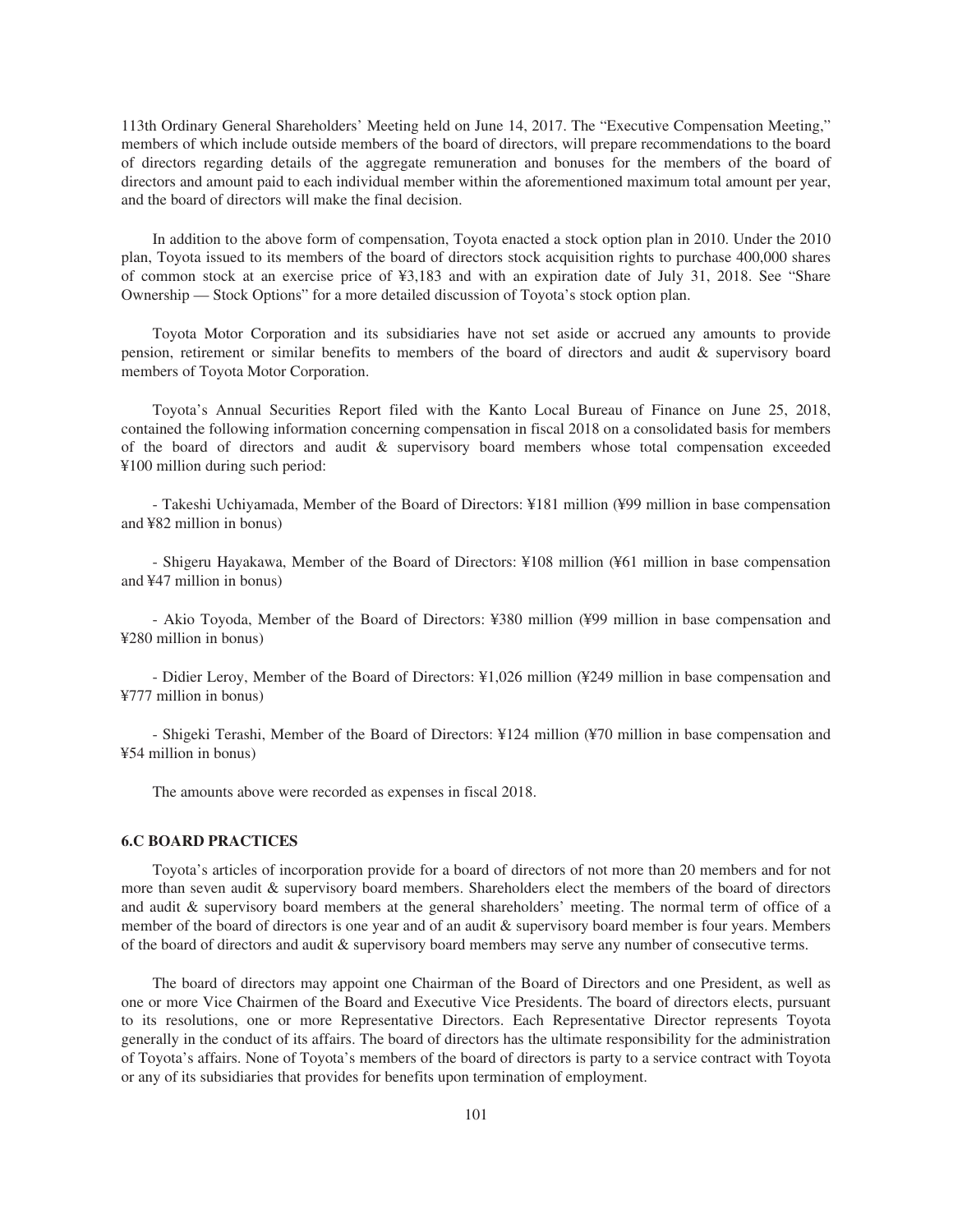113th Ordinary General Shareholders' Meeting held on June 14, 2017. The "Executive Compensation Meeting," members of which include outside members of the board of directors, will prepare recommendations to the board of directors regarding details of the aggregate remuneration and bonuses for the members of the board of directors and amount paid to each individual member within the aforementioned maximum total amount per year, and the board of directors will make the final decision.

In addition to the above form of compensation, Toyota enacted a stock option plan in 2010. Under the 2010 plan, Toyota issued to its members of the board of directors stock acquisition rights to purchase 400,000 shares of common stock at an exercise price of ¥3,183 and with an expiration date of July 31, 2018. See "Share Ownership — Stock Options" for a more detailed discussion of Toyota's stock option plan.

Toyota Motor Corporation and its subsidiaries have not set aside or accrued any amounts to provide pension, retirement or similar benefits to members of the board of directors and audit & supervisory board members of Toyota Motor Corporation.

Toyota's Annual Securities Report filed with the Kanto Local Bureau of Finance on June 25, 2018, contained the following information concerning compensation in fiscal 2018 on a consolidated basis for members of the board of directors and audit & supervisory board members whose total compensation exceeded ¥100 million during such period:

- Takeshi Uchiyamada, Member of the Board of Directors: ¥181 million (¥99 million in base compensation and ¥82 million in bonus)

- Shigeru Hayakawa, Member of the Board of Directors: ¥108 million (¥61 million in base compensation and ¥47 million in bonus)

- Akio Toyoda, Member of the Board of Directors: ¥380 million (¥99 million in base compensation and ¥280 million in bonus)

- Didier Leroy, Member of the Board of Directors: ¥1,026 million (¥249 million in base compensation and ¥777 million in bonus)

- Shigeki Terashi, Member of the Board of Directors: ¥124 million (¥70 million in base compensation and ¥54 million in bonus)

The amounts above were recorded as expenses in fiscal 2018.

# **6.C BOARD PRACTICES**

Toyota's articles of incorporation provide for a board of directors of not more than 20 members and for not more than seven audit & supervisory board members. Shareholders elect the members of the board of directors and audit & supervisory board members at the general shareholders' meeting. The normal term of office of a member of the board of directors is one year and of an audit & supervisory board member is four years. Members of the board of directors and audit & supervisory board members may serve any number of consecutive terms.

The board of directors may appoint one Chairman of the Board of Directors and one President, as well as one or more Vice Chairmen of the Board and Executive Vice Presidents. The board of directors elects, pursuant to its resolutions, one or more Representative Directors. Each Representative Director represents Toyota generally in the conduct of its affairs. The board of directors has the ultimate responsibility for the administration of Toyota's affairs. None of Toyota's members of the board of directors is party to a service contract with Toyota or any of its subsidiaries that provides for benefits upon termination of employment.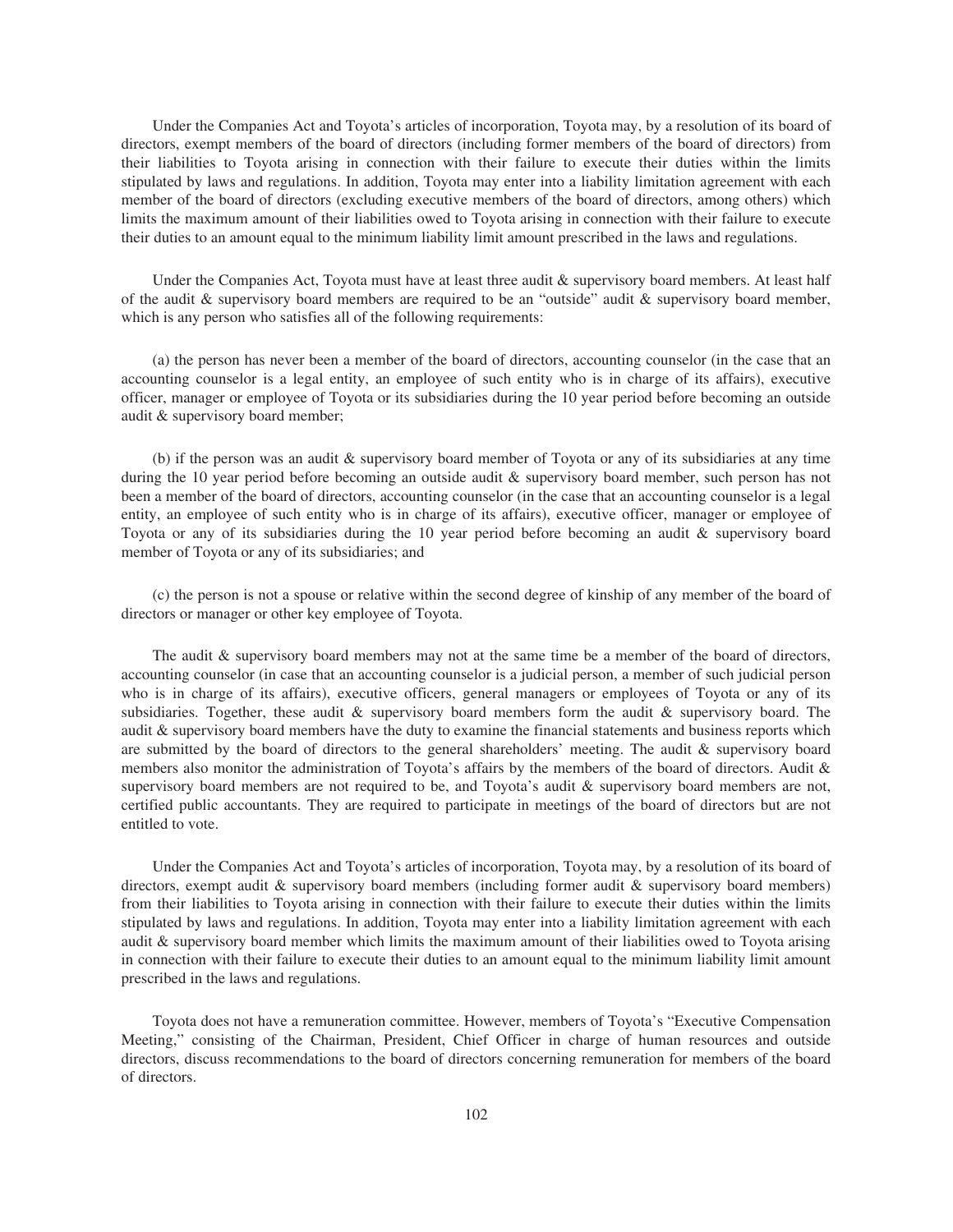Under the Companies Act and Toyota's articles of incorporation, Toyota may, by a resolution of its board of directors, exempt members of the board of directors (including former members of the board of directors) from their liabilities to Toyota arising in connection with their failure to execute their duties within the limits stipulated by laws and regulations. In addition, Toyota may enter into a liability limitation agreement with each member of the board of directors (excluding executive members of the board of directors, among others) which limits the maximum amount of their liabilities owed to Toyota arising in connection with their failure to execute their duties to an amount equal to the minimum liability limit amount prescribed in the laws and regulations.

Under the Companies Act, Toyota must have at least three audit & supervisory board members. At least half of the audit & supervisory board members are required to be an "outside" audit & supervisory board member, which is any person who satisfies all of the following requirements:

(a) the person has never been a member of the board of directors, accounting counselor (in the case that an accounting counselor is a legal entity, an employee of such entity who is in charge of its affairs), executive officer, manager or employee of Toyota or its subsidiaries during the 10 year period before becoming an outside audit & supervisory board member;

(b) if the person was an audit & supervisory board member of Toyota or any of its subsidiaries at any time during the 10 year period before becoming an outside audit & supervisory board member, such person has not been a member of the board of directors, accounting counselor (in the case that an accounting counselor is a legal entity, an employee of such entity who is in charge of its affairs), executive officer, manager or employee of Toyota or any of its subsidiaries during the 10 year period before becoming an audit & supervisory board member of Toyota or any of its subsidiaries; and

(c) the person is not a spouse or relative within the second degree of kinship of any member of the board of directors or manager or other key employee of Toyota.

The audit & supervisory board members may not at the same time be a member of the board of directors, accounting counselor (in case that an accounting counselor is a judicial person, a member of such judicial person who is in charge of its affairs), executive officers, general managers or employees of Toyota or any of its subsidiaries. Together, these audit & supervisory board members form the audit & supervisory board. The audit & supervisory board members have the duty to examine the financial statements and business reports which are submitted by the board of directors to the general shareholders' meeting. The audit & supervisory board members also monitor the administration of Toyota's affairs by the members of the board of directors. Audit & supervisory board members are not required to be, and Toyota's audit & supervisory board members are not, certified public accountants. They are required to participate in meetings of the board of directors but are not entitled to vote.

Under the Companies Act and Toyota's articles of incorporation, Toyota may, by a resolution of its board of directors, exempt audit & supervisory board members (including former audit & supervisory board members) from their liabilities to Toyota arising in connection with their failure to execute their duties within the limits stipulated by laws and regulations. In addition, Toyota may enter into a liability limitation agreement with each audit & supervisory board member which limits the maximum amount of their liabilities owed to Toyota arising in connection with their failure to execute their duties to an amount equal to the minimum liability limit amount prescribed in the laws and regulations.

Toyota does not have a remuneration committee. However, members of Toyota's "Executive Compensation Meeting," consisting of the Chairman, President, Chief Officer in charge of human resources and outside directors, discuss recommendations to the board of directors concerning remuneration for members of the board of directors.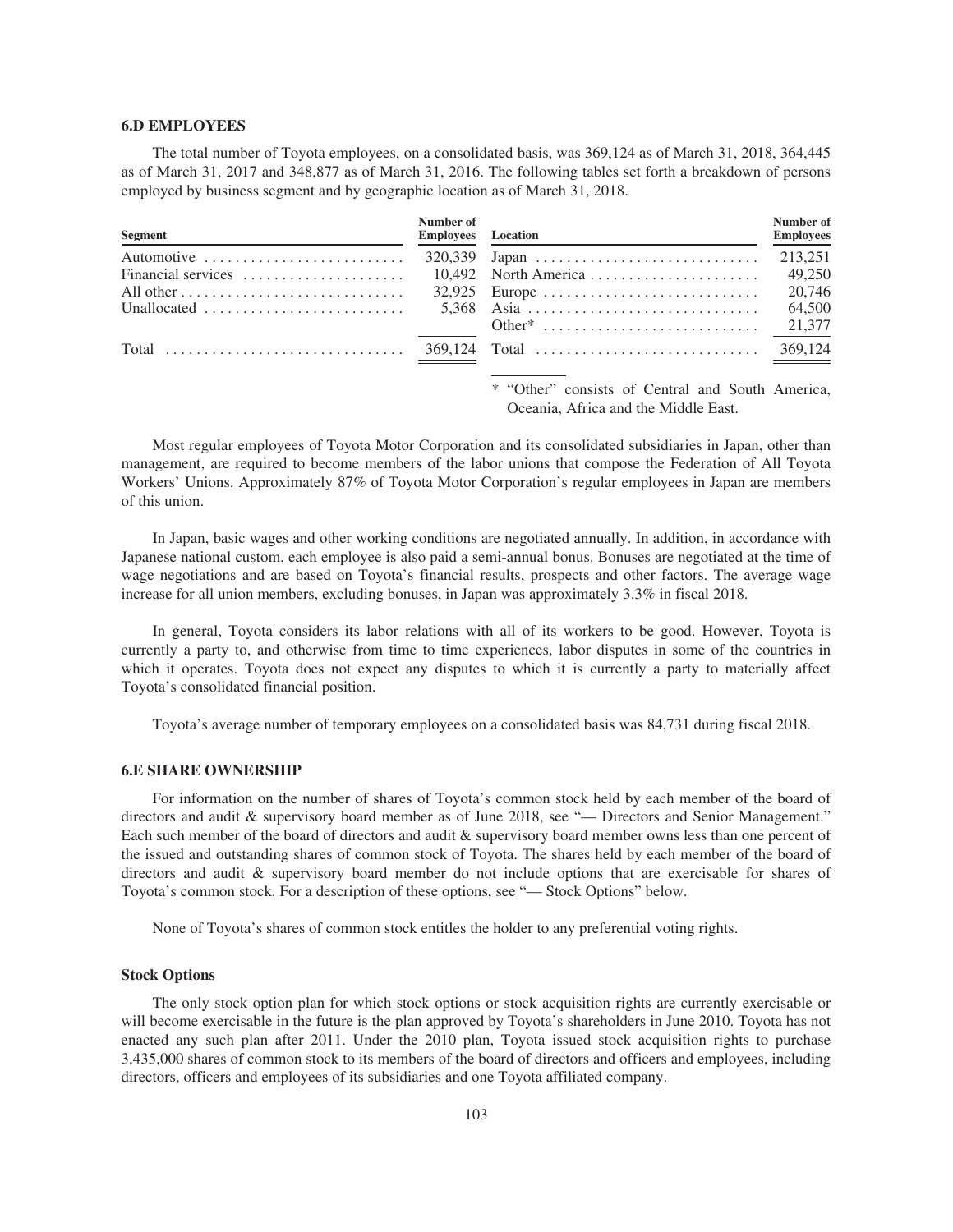## **6.D EMPLOYEES**

The total number of Toyota employees, on a consolidated basis, was 369,124 as of March 31, 2018, 364,445 as of March 31, 2017 and 348,877 as of March 31, 2016. The following tables set forth a breakdown of persons employed by business segment and by geographic location as of March 31, 2018.

| <b>Segment</b> | Number of<br><b>Employees</b> Location | Number of<br><b>Employees</b> |
|----------------|----------------------------------------|-------------------------------|
|                |                                        |                               |
|                |                                        |                               |
|                |                                        |                               |
|                |                                        | 64.500                        |
|                |                                        |                               |
|                |                                        |                               |

\* "Other" consists of Central and South America, Oceania, Africa and the Middle East.

Most regular employees of Toyota Motor Corporation and its consolidated subsidiaries in Japan, other than management, are required to become members of the labor unions that compose the Federation of All Toyota Workers' Unions. Approximately 87% of Toyota Motor Corporation's regular employees in Japan are members of this union.

In Japan, basic wages and other working conditions are negotiated annually. In addition, in accordance with Japanese national custom, each employee is also paid a semi-annual bonus. Bonuses are negotiated at the time of wage negotiations and are based on Toyota's financial results, prospects and other factors. The average wage increase for all union members, excluding bonuses, in Japan was approximately 3.3% in fiscal 2018.

In general, Toyota considers its labor relations with all of its workers to be good. However, Toyota is currently a party to, and otherwise from time to time experiences, labor disputes in some of the countries in which it operates. Toyota does not expect any disputes to which it is currently a party to materially affect Toyota's consolidated financial position.

Toyota's average number of temporary employees on a consolidated basis was 84,731 during fiscal 2018.

# **6.E SHARE OWNERSHIP**

For information on the number of shares of Toyota's common stock held by each member of the board of directors and audit & supervisory board member as of June 2018, see "— Directors and Senior Management." Each such member of the board of directors and audit & supervisory board member owns less than one percent of the issued and outstanding shares of common stock of Toyota. The shares held by each member of the board of directors and audit & supervisory board member do not include options that are exercisable for shares of Toyota's common stock. For a description of these options, see "— Stock Options" below.

None of Toyota's shares of common stock entitles the holder to any preferential voting rights.

#### **Stock Options**

The only stock option plan for which stock options or stock acquisition rights are currently exercisable or will become exercisable in the future is the plan approved by Toyota's shareholders in June 2010. Toyota has not enacted any such plan after 2011. Under the 2010 plan, Toyota issued stock acquisition rights to purchase 3,435,000 shares of common stock to its members of the board of directors and officers and employees, including directors, officers and employees of its subsidiaries and one Toyota affiliated company.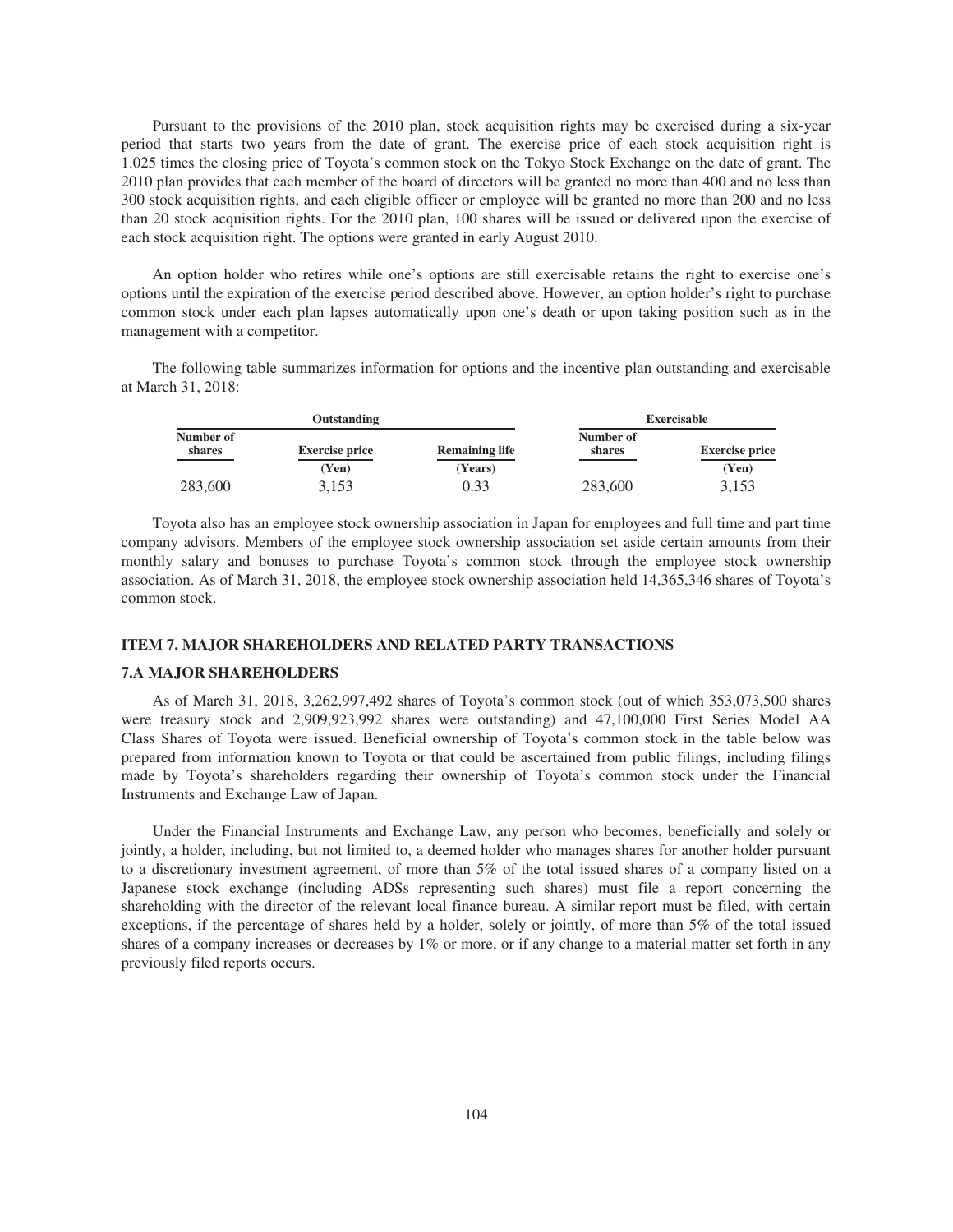Pursuant to the provisions of the 2010 plan, stock acquisition rights may be exercised during a six-year period that starts two years from the date of grant. The exercise price of each stock acquisition right is 1.025 times the closing price of Toyota's common stock on the Tokyo Stock Exchange on the date of grant. The 2010 plan provides that each member of the board of directors will be granted no more than 400 and no less than 300 stock acquisition rights, and each eligible officer or employee will be granted no more than 200 and no less than 20 stock acquisition rights. For the 2010 plan, 100 shares will be issued or delivered upon the exercise of each stock acquisition right. The options were granted in early August 2010.

An option holder who retires while one's options are still exercisable retains the right to exercise one's options until the expiration of the exercise period described above. However, an option holder's right to purchase common stock under each plan lapses automatically upon one's death or upon taking position such as in the management with a competitor.

The following table summarizes information for options and the incentive plan outstanding and exercisable at March 31, 2018:

| Outstanding         |                       |                       |                     | Exercisable           |  |
|---------------------|-----------------------|-----------------------|---------------------|-----------------------|--|
| Number of<br>shares | <b>Exercise price</b> | <b>Remaining life</b> | Number of<br>shares | <b>Exercise price</b> |  |
|                     | Yen)                  | (Years)               |                     | (Yen)                 |  |
| 283,600             | 3,153                 | 0.33                  | 283,600             | 3,153                 |  |

Toyota also has an employee stock ownership association in Japan for employees and full time and part time company advisors. Members of the employee stock ownership association set aside certain amounts from their monthly salary and bonuses to purchase Toyota's common stock through the employee stock ownership association. As of March 31, 2018, the employee stock ownership association held 14,365,346 shares of Toyota's common stock.

# **ITEM 7. MAJOR SHAREHOLDERS AND RELATED PARTY TRANSACTIONS**

### **7.A MAJOR SHAREHOLDERS**

As of March 31, 2018, 3,262,997,492 shares of Toyota's common stock (out of which 353,073,500 shares were treasury stock and 2,909,923,992 shares were outstanding) and 47,100,000 First Series Model AA Class Shares of Toyota were issued. Beneficial ownership of Toyota's common stock in the table below was prepared from information known to Toyota or that could be ascertained from public filings, including filings made by Toyota's shareholders regarding their ownership of Toyota's common stock under the Financial Instruments and Exchange Law of Japan.

Under the Financial Instruments and Exchange Law, any person who becomes, beneficially and solely or jointly, a holder, including, but not limited to, a deemed holder who manages shares for another holder pursuant to a discretionary investment agreement, of more than 5% of the total issued shares of a company listed on a Japanese stock exchange (including ADSs representing such shares) must file a report concerning the shareholding with the director of the relevant local finance bureau. A similar report must be filed, with certain exceptions, if the percentage of shares held by a holder, solely or jointly, of more than 5% of the total issued shares of a company increases or decreases by 1% or more, or if any change to a material matter set forth in any previously filed reports occurs.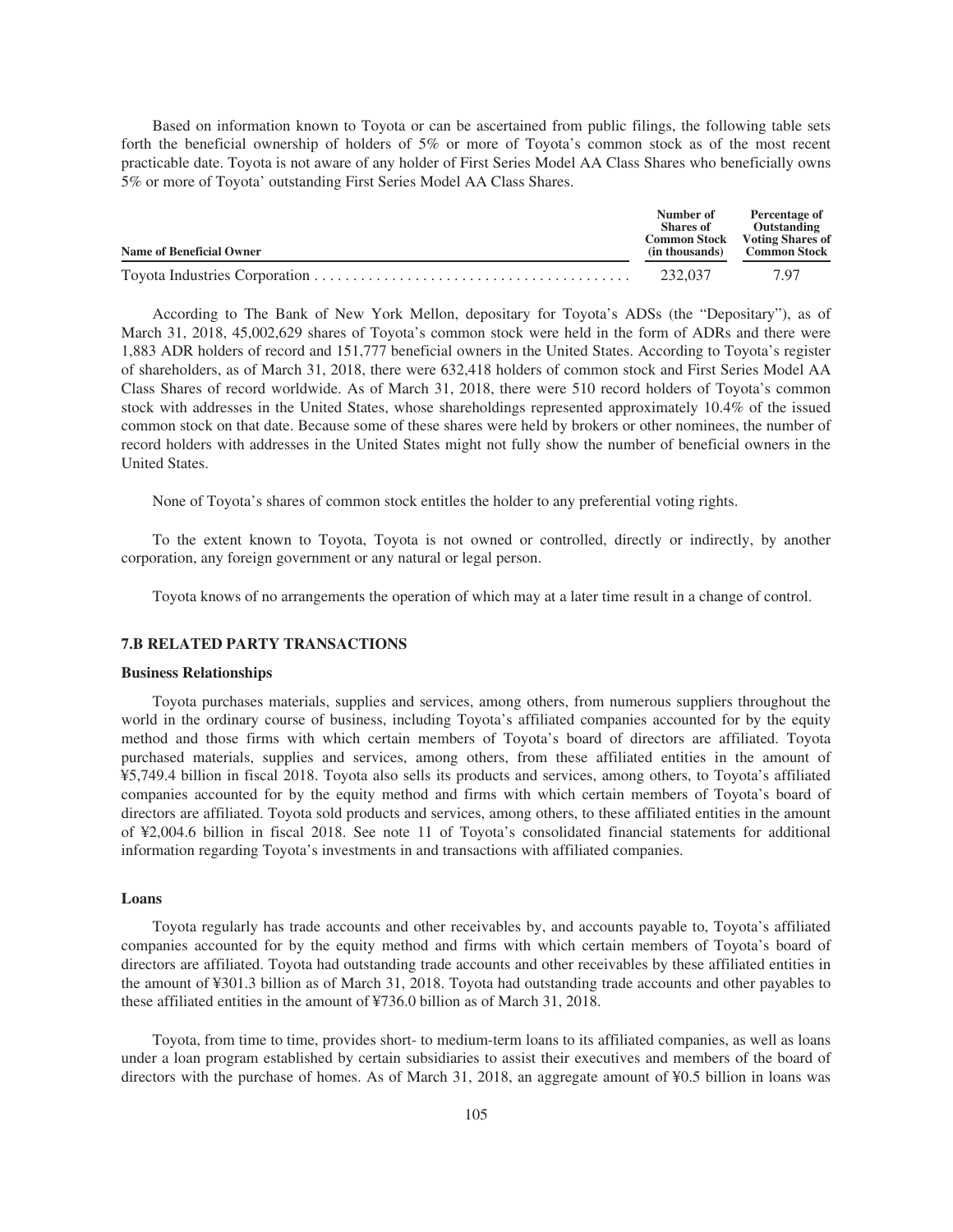Based on information known to Toyota or can be ascertained from public filings, the following table sets forth the beneficial ownership of holders of 5% or more of Toyota's common stock as of the most recent practicable date. Toyota is not aware of any holder of First Series Model AA Class Shares who beneficially owns 5% or more of Toyota' outstanding First Series Model AA Class Shares.

|                                 | Number of<br>Shares of | <b>Percentage of</b><br><b>Outstanding</b>                          |  |
|---------------------------------|------------------------|---------------------------------------------------------------------|--|
| <b>Name of Beneficial Owner</b> |                        | <b>Common Stock Voting Shares of</b><br>(in thousands) Common Stock |  |
|                                 | 232.037                | 797                                                                 |  |

According to The Bank of New York Mellon, depositary for Toyota's ADSs (the "Depositary"), as of March 31, 2018, 45,002,629 shares of Toyota's common stock were held in the form of ADRs and there were 1,883 ADR holders of record and 151,777 beneficial owners in the United States. According to Toyota's register of shareholders, as of March 31, 2018, there were 632,418 holders of common stock and First Series Model AA Class Shares of record worldwide. As of March 31, 2018, there were 510 record holders of Toyota's common stock with addresses in the United States, whose shareholdings represented approximately 10.4% of the issued common stock on that date. Because some of these shares were held by brokers or other nominees, the number of record holders with addresses in the United States might not fully show the number of beneficial owners in the United States.

None of Toyota's shares of common stock entitles the holder to any preferential voting rights.

To the extent known to Toyota, Toyota is not owned or controlled, directly or indirectly, by another corporation, any foreign government or any natural or legal person.

Toyota knows of no arrangements the operation of which may at a later time result in a change of control.

# **7.B RELATED PARTY TRANSACTIONS**

### **Business Relationships**

Toyota purchases materials, supplies and services, among others, from numerous suppliers throughout the world in the ordinary course of business, including Toyota's affiliated companies accounted for by the equity method and those firms with which certain members of Toyota's board of directors are affiliated. Toyota purchased materials, supplies and services, among others, from these affiliated entities in the amount of ¥5,749.4 billion in fiscal 2018. Toyota also sells its products and services, among others, to Toyota's affiliated companies accounted for by the equity method and firms with which certain members of Toyota's board of directors are affiliated. Toyota sold products and services, among others, to these affiliated entities in the amount of ¥2,004.6 billion in fiscal 2018. See note 11 of Toyota's consolidated financial statements for additional information regarding Toyota's investments in and transactions with affiliated companies.

#### **Loans**

Toyota regularly has trade accounts and other receivables by, and accounts payable to, Toyota's affiliated companies accounted for by the equity method and firms with which certain members of Toyota's board of directors are affiliated. Toyota had outstanding trade accounts and other receivables by these affiliated entities in the amount of ¥301.3 billion as of March 31, 2018. Toyota had outstanding trade accounts and other payables to these affiliated entities in the amount of ¥736.0 billion as of March 31, 2018.

Toyota, from time to time, provides short- to medium-term loans to its affiliated companies, as well as loans under a loan program established by certain subsidiaries to assist their executives and members of the board of directors with the purchase of homes. As of March 31, 2018, an aggregate amount of ¥0.5 billion in loans was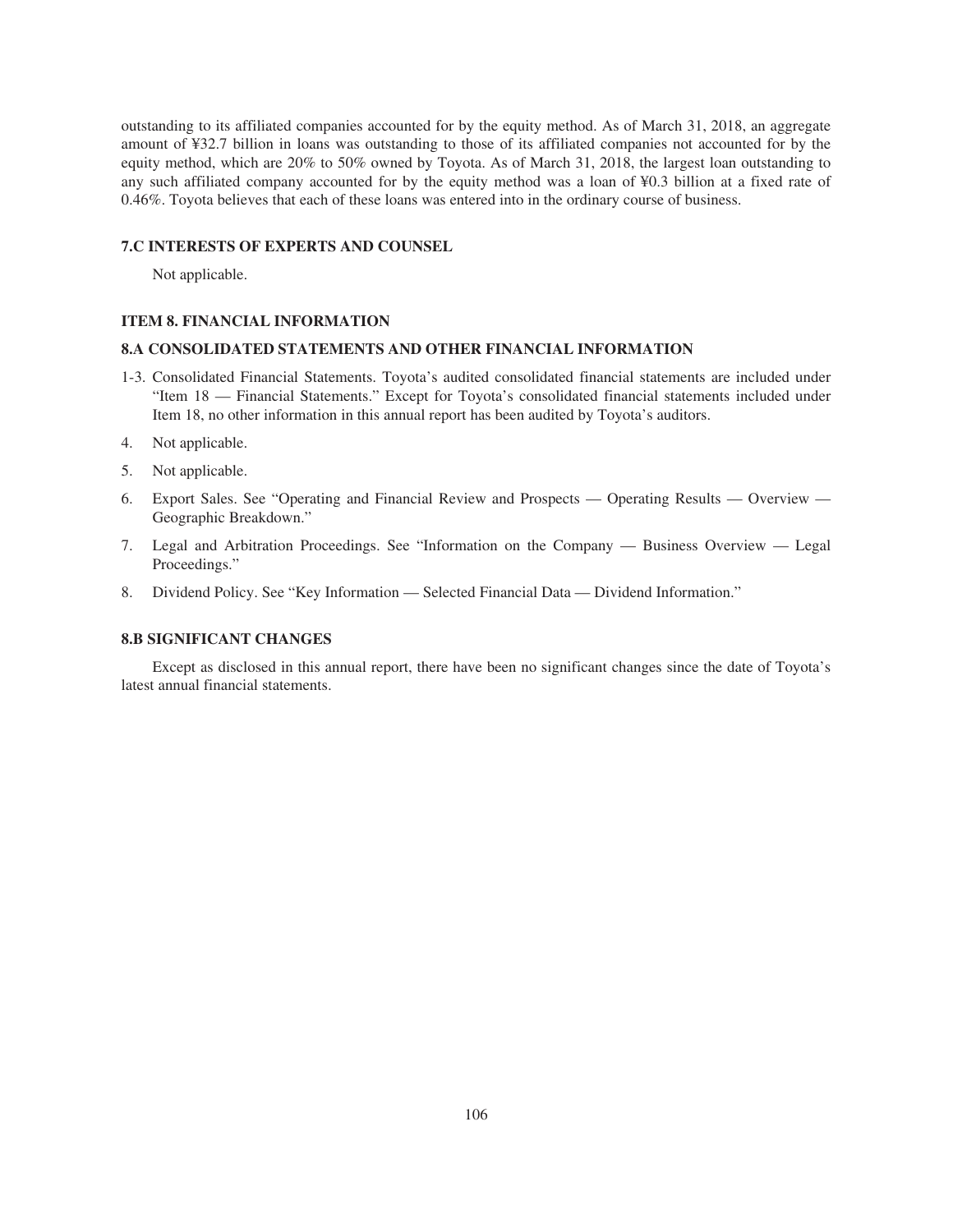outstanding to its affiliated companies accounted for by the equity method. As of March 31, 2018, an aggregate amount of ¥32.7 billion in loans was outstanding to those of its affiliated companies not accounted for by the equity method, which are 20% to 50% owned by Toyota. As of March 31, 2018, the largest loan outstanding to any such affiliated company accounted for by the equity method was a loan of ¥0.3 billion at a fixed rate of 0.46%. Toyota believes that each of these loans was entered into in the ordinary course of business.

# **7.C INTERESTS OF EXPERTS AND COUNSEL**

Not applicable.

## **ITEM 8. FINANCIAL INFORMATION**

# **8.A CONSOLIDATED STATEMENTS AND OTHER FINANCIAL INFORMATION**

- 1-3. Consolidated Financial Statements. Toyota's audited consolidated financial statements are included under "Item 18 — Financial Statements." Except for Toyota's consolidated financial statements included under Item 18, no other information in this annual report has been audited by Toyota's auditors.
- 4. Not applicable.
- 5. Not applicable.
- 6. Export Sales. See "Operating and Financial Review and Prospects Operating Results Overview Geographic Breakdown."
- 7. Legal and Arbitration Proceedings. See "Information on the Company Business Overview Legal Proceedings."
- 8. Dividend Policy. See "Key Information Selected Financial Data Dividend Information."

# **8.B SIGNIFICANT CHANGES**

Except as disclosed in this annual report, there have been no significant changes since the date of Toyota's latest annual financial statements.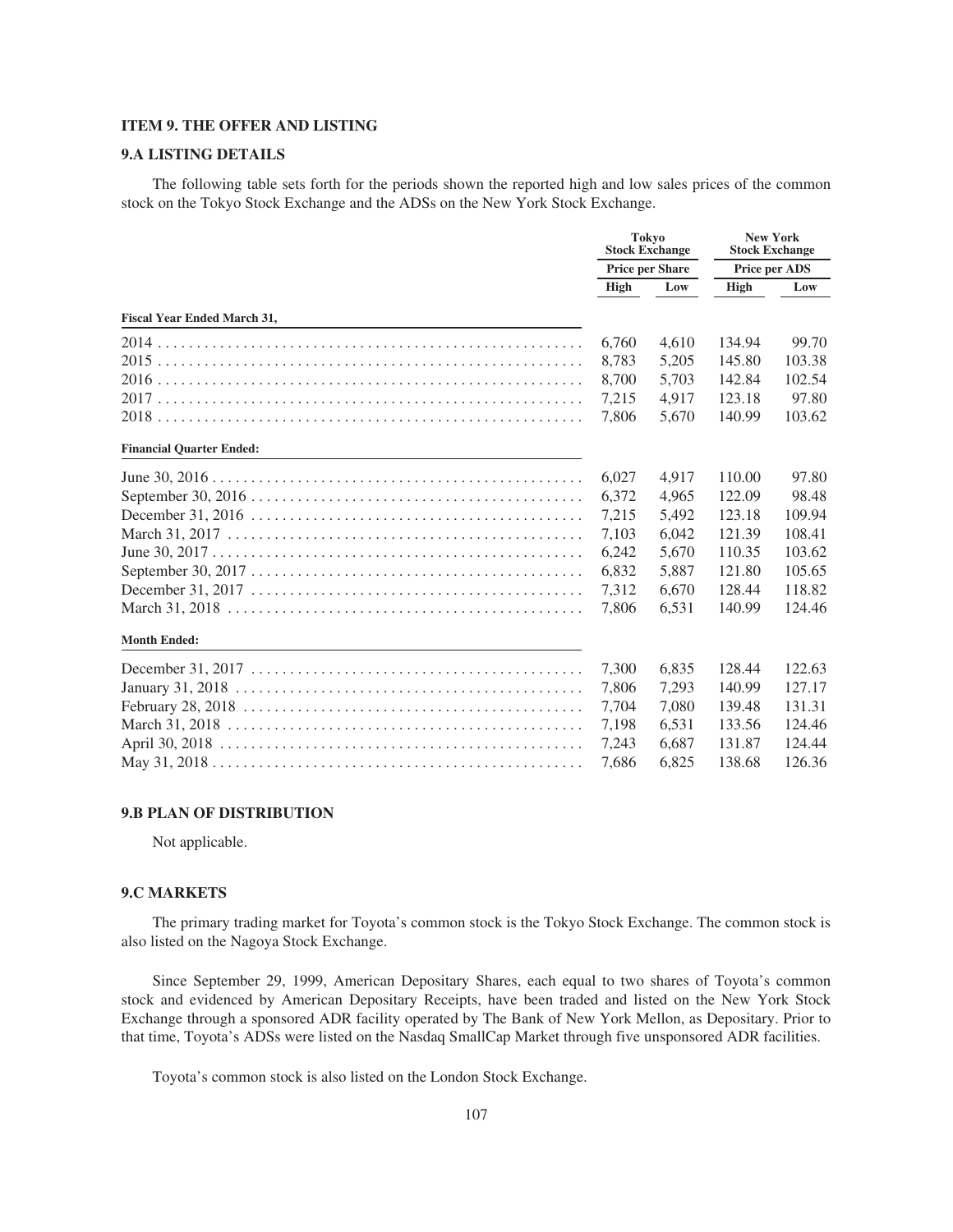# **ITEM 9. THE OFFER AND LISTING**

# **9.A LISTING DETAILS**

The following table sets forth for the periods shown the reported high and low sales prices of the common stock on the Tokyo Stock Exchange and the ADSs on the New York Stock Exchange.

|                                    | <b>Tokyo</b><br><b>Stock Exchange</b> |       | <b>New York</b><br><b>Stock Exchange</b> |        |
|------------------------------------|---------------------------------------|-------|------------------------------------------|--------|
|                                    | <b>Price per Share</b>                |       | Price per ADS                            |        |
|                                    | <b>High</b>                           | Low   | High                                     | Low    |
| <b>Fiscal Year Ended March 31,</b> |                                       |       |                                          |        |
|                                    | 6.760                                 | 4,610 | 134.94                                   | 99.70  |
|                                    | 8,783                                 | 5,205 | 145.80                                   | 103.38 |
|                                    | 8.700                                 | 5,703 | 142.84                                   | 102.54 |
|                                    | 7,215                                 | 4.917 | 123.18                                   | 97.80  |
|                                    | 7,806                                 | 5,670 | 140.99                                   | 103.62 |
| <b>Financial Quarter Ended:</b>    |                                       |       |                                          |        |
|                                    | 6,027                                 | 4,917 | 110.00                                   | 97.80  |
|                                    | 6.372                                 | 4,965 | 122.09                                   | 98.48  |
|                                    | 7,215                                 | 5,492 | 123.18                                   | 109.94 |
|                                    | 7,103                                 | 6,042 | 121.39                                   | 108.41 |
|                                    | 6,242                                 | 5,670 | 110.35                                   | 103.62 |
|                                    | 6.832                                 | 5,887 | 121.80                                   | 105.65 |
|                                    | 7.312                                 | 6,670 | 128.44                                   | 118.82 |
|                                    | 7.806                                 | 6,531 | 140.99                                   | 124.46 |
| <b>Month Ended:</b>                |                                       |       |                                          |        |
|                                    | 7,300                                 | 6,835 | 128.44                                   | 122.63 |
|                                    | 7.806                                 | 7,293 | 140.99                                   | 127.17 |
|                                    | 7,704                                 | 7,080 | 139.48                                   | 131.31 |
|                                    | 7.198                                 | 6,531 | 133.56                                   | 124.46 |
|                                    | 7,243                                 | 6,687 | 131.87                                   | 124.44 |
|                                    | 7.686                                 | 6.825 | 138.68                                   | 126.36 |

# **9.B PLAN OF DISTRIBUTION**

Not applicable.

# **9.C MARKETS**

The primary trading market for Toyota's common stock is the Tokyo Stock Exchange. The common stock is also listed on the Nagoya Stock Exchange.

Since September 29, 1999, American Depositary Shares, each equal to two shares of Toyota's common stock and evidenced by American Depositary Receipts, have been traded and listed on the New York Stock Exchange through a sponsored ADR facility operated by The Bank of New York Mellon, as Depositary. Prior to that time, Toyota's ADSs were listed on the Nasdaq SmallCap Market through five unsponsored ADR facilities.

Toyota's common stock is also listed on the London Stock Exchange.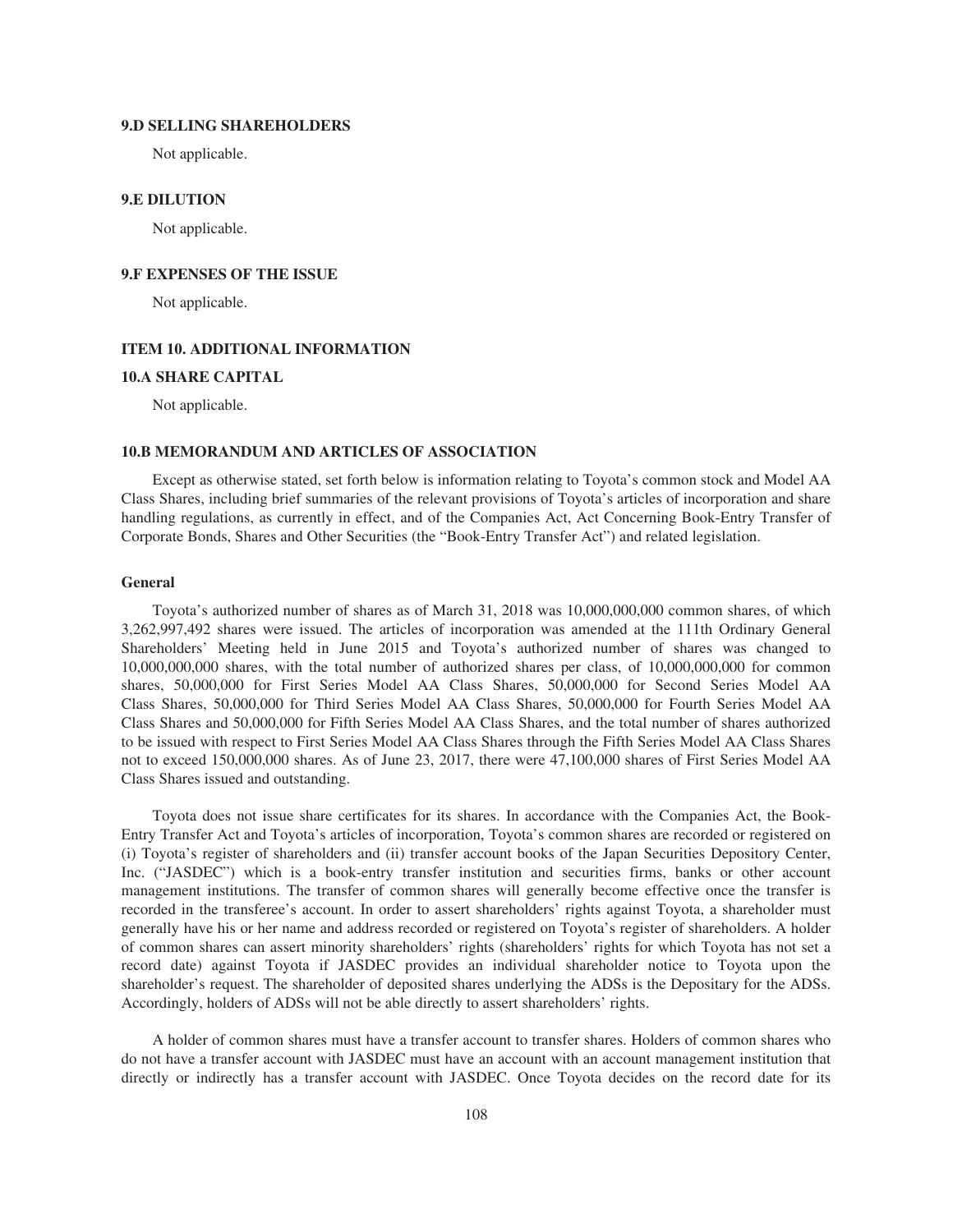### **9.D SELLING SHAREHOLDERS**

Not applicable.

# **9.E DILUTION**

Not applicable.

# **9.F EXPENSES OF THE ISSUE**

Not applicable.

# **ITEM 10. ADDITIONAL INFORMATION**

# **10.A SHARE CAPITAL**

Not applicable.

# **10.B MEMORANDUM AND ARTICLES OF ASSOCIATION**

Except as otherwise stated, set forth below is information relating to Toyota's common stock and Model AA Class Shares, including brief summaries of the relevant provisions of Toyota's articles of incorporation and share handling regulations, as currently in effect, and of the Companies Act, Act Concerning Book-Entry Transfer of Corporate Bonds, Shares and Other Securities (the "Book-Entry Transfer Act") and related legislation.

## **General**

Toyota's authorized number of shares as of March 31, 2018 was 10,000,000,000 common shares, of which 3,262,997,492 shares were issued. The articles of incorporation was amended at the 111th Ordinary General Shareholders' Meeting held in June 2015 and Toyota's authorized number of shares was changed to 10,000,000,000 shares, with the total number of authorized shares per class, of 10,000,000,000 for common shares, 50,000,000 for First Series Model AA Class Shares, 50,000,000 for Second Series Model AA Class Shares, 50,000,000 for Third Series Model AA Class Shares, 50,000,000 for Fourth Series Model AA Class Shares and 50,000,000 for Fifth Series Model AA Class Shares, and the total number of shares authorized to be issued with respect to First Series Model AA Class Shares through the Fifth Series Model AA Class Shares not to exceed 150,000,000 shares. As of June 23, 2017, there were 47,100,000 shares of First Series Model AA Class Shares issued and outstanding.

Toyota does not issue share certificates for its shares. In accordance with the Companies Act, the Book-Entry Transfer Act and Toyota's articles of incorporation, Toyota's common shares are recorded or registered on (i) Toyota's register of shareholders and (ii) transfer account books of the Japan Securities Depository Center, Inc. ("JASDEC") which is a book-entry transfer institution and securities firms, banks or other account management institutions. The transfer of common shares will generally become effective once the transfer is recorded in the transferee's account. In order to assert shareholders' rights against Toyota, a shareholder must generally have his or her name and address recorded or registered on Toyota's register of shareholders. A holder of common shares can assert minority shareholders' rights (shareholders' rights for which Toyota has not set a record date) against Toyota if JASDEC provides an individual shareholder notice to Toyota upon the shareholder's request. The shareholder of deposited shares underlying the ADSs is the Depositary for the ADSs. Accordingly, holders of ADSs will not be able directly to assert shareholders' rights.

A holder of common shares must have a transfer account to transfer shares. Holders of common shares who do not have a transfer account with JASDEC must have an account with an account management institution that directly or indirectly has a transfer account with JASDEC. Once Toyota decides on the record date for its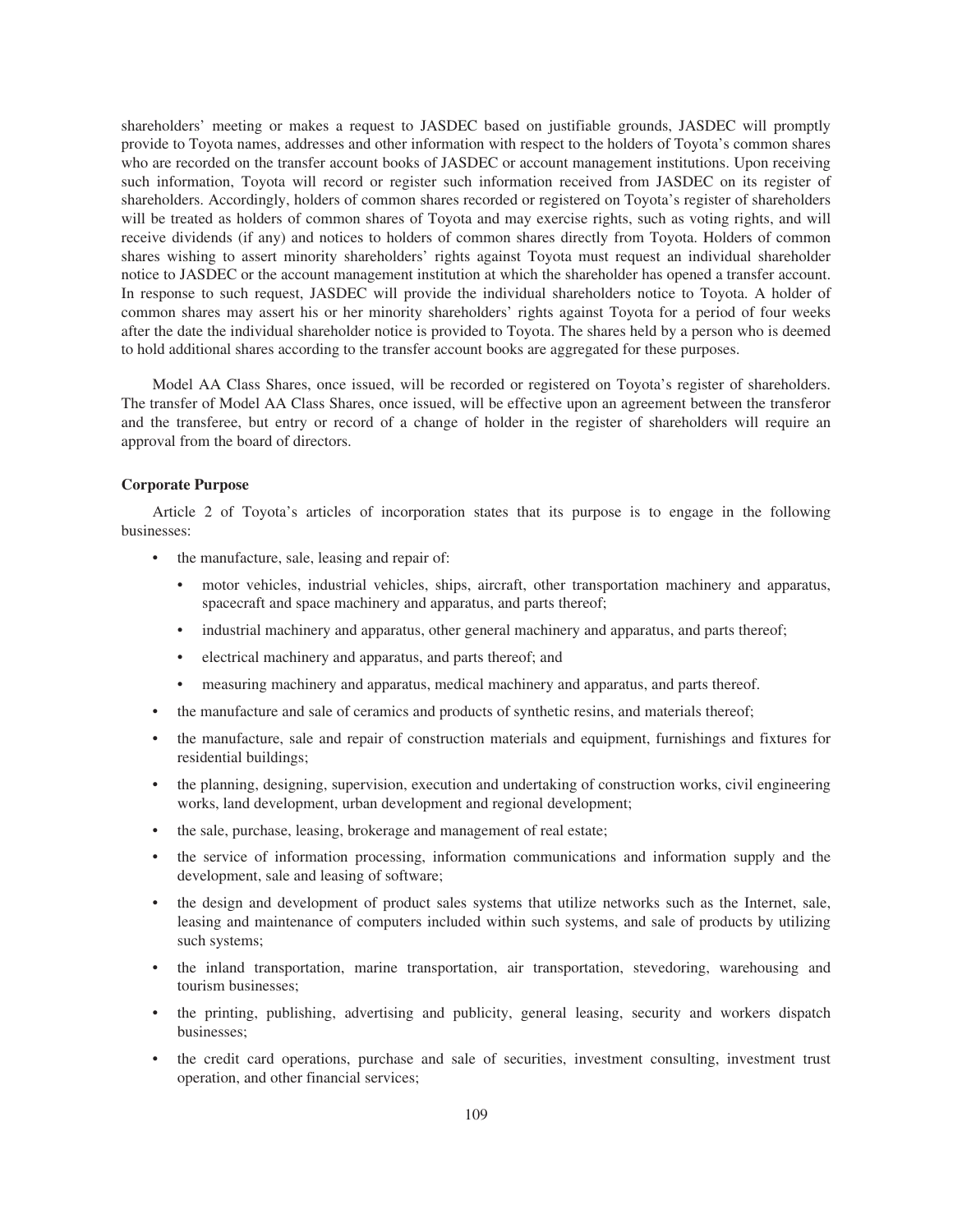shareholders' meeting or makes a request to JASDEC based on justifiable grounds, JASDEC will promptly provide to Toyota names, addresses and other information with respect to the holders of Toyota's common shares who are recorded on the transfer account books of JASDEC or account management institutions. Upon receiving such information, Toyota will record or register such information received from JASDEC on its register of shareholders. Accordingly, holders of common shares recorded or registered on Toyota's register of shareholders will be treated as holders of common shares of Toyota and may exercise rights, such as voting rights, and will receive dividends (if any) and notices to holders of common shares directly from Toyota. Holders of common shares wishing to assert minority shareholders' rights against Toyota must request an individual shareholder notice to JASDEC or the account management institution at which the shareholder has opened a transfer account. In response to such request, JASDEC will provide the individual shareholders notice to Toyota. A holder of common shares may assert his or her minority shareholders' rights against Toyota for a period of four weeks after the date the individual shareholder notice is provided to Toyota. The shares held by a person who is deemed to hold additional shares according to the transfer account books are aggregated for these purposes.

Model AA Class Shares, once issued, will be recorded or registered on Toyota's register of shareholders. The transfer of Model AA Class Shares, once issued, will be effective upon an agreement between the transferor and the transferee, but entry or record of a change of holder in the register of shareholders will require an approval from the board of directors.

# **Corporate Purpose**

Article 2 of Toyota's articles of incorporation states that its purpose is to engage in the following businesses:

- the manufacture, sale, leasing and repair of:
	- motor vehicles, industrial vehicles, ships, aircraft, other transportation machinery and apparatus, spacecraft and space machinery and apparatus, and parts thereof;
	- industrial machinery and apparatus, other general machinery and apparatus, and parts thereof;
	- electrical machinery and apparatus, and parts thereof; and
	- measuring machinery and apparatus, medical machinery and apparatus, and parts thereof.
- the manufacture and sale of ceramics and products of synthetic resins, and materials thereof;
- the manufacture, sale and repair of construction materials and equipment, furnishings and fixtures for residential buildings;
- the planning, designing, supervision, execution and undertaking of construction works, civil engineering works, land development, urban development and regional development;
- the sale, purchase, leasing, brokerage and management of real estate;
- the service of information processing, information communications and information supply and the development, sale and leasing of software;
- the design and development of product sales systems that utilize networks such as the Internet, sale, leasing and maintenance of computers included within such systems, and sale of products by utilizing such systems;
- the inland transportation, marine transportation, air transportation, stevedoring, warehousing and tourism businesses;
- the printing, publishing, advertising and publicity, general leasing, security and workers dispatch businesses;
- the credit card operations, purchase and sale of securities, investment consulting, investment trust operation, and other financial services;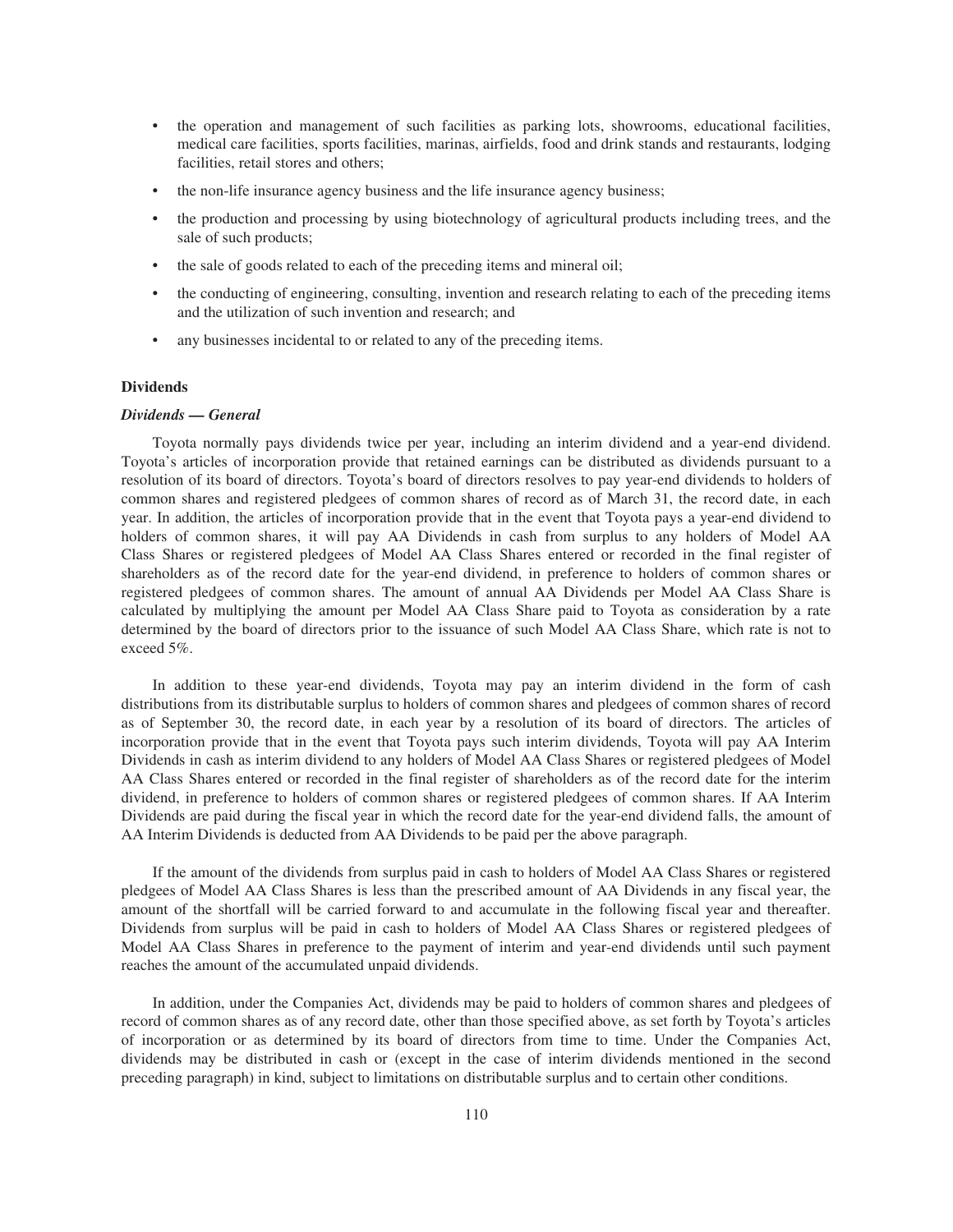- the operation and management of such facilities as parking lots, showrooms, educational facilities, medical care facilities, sports facilities, marinas, airfields, food and drink stands and restaurants, lodging facilities, retail stores and others;
- the non-life insurance agency business and the life insurance agency business;
- the production and processing by using biotechnology of agricultural products including trees, and the sale of such products;
- the sale of goods related to each of the preceding items and mineral oil;
- the conducting of engineering, consulting, invention and research relating to each of the preceding items and the utilization of such invention and research; and
- any businesses incidental to or related to any of the preceding items.

# **Dividends**

# *Dividends — General*

Toyota normally pays dividends twice per year, including an interim dividend and a year-end dividend. Toyota's articles of incorporation provide that retained earnings can be distributed as dividends pursuant to a resolution of its board of directors. Toyota's board of directors resolves to pay year-end dividends to holders of common shares and registered pledgees of common shares of record as of March 31, the record date, in each year. In addition, the articles of incorporation provide that in the event that Toyota pays a year-end dividend to holders of common shares, it will pay AA Dividends in cash from surplus to any holders of Model AA Class Shares or registered pledgees of Model AA Class Shares entered or recorded in the final register of shareholders as of the record date for the year-end dividend, in preference to holders of common shares or registered pledgees of common shares. The amount of annual AA Dividends per Model AA Class Share is calculated by multiplying the amount per Model AA Class Share paid to Toyota as consideration by a rate determined by the board of directors prior to the issuance of such Model AA Class Share, which rate is not to exceed 5%.

In addition to these year-end dividends, Toyota may pay an interim dividend in the form of cash distributions from its distributable surplus to holders of common shares and pledgees of common shares of record as of September 30, the record date, in each year by a resolution of its board of directors. The articles of incorporation provide that in the event that Toyota pays such interim dividends, Toyota will pay AA Interim Dividends in cash as interim dividend to any holders of Model AA Class Shares or registered pledgees of Model AA Class Shares entered or recorded in the final register of shareholders as of the record date for the interim dividend, in preference to holders of common shares or registered pledgees of common shares. If AA Interim Dividends are paid during the fiscal year in which the record date for the year-end dividend falls, the amount of AA Interim Dividends is deducted from AA Dividends to be paid per the above paragraph.

If the amount of the dividends from surplus paid in cash to holders of Model AA Class Shares or registered pledgees of Model AA Class Shares is less than the prescribed amount of AA Dividends in any fiscal year, the amount of the shortfall will be carried forward to and accumulate in the following fiscal year and thereafter. Dividends from surplus will be paid in cash to holders of Model AA Class Shares or registered pledgees of Model AA Class Shares in preference to the payment of interim and year-end dividends until such payment reaches the amount of the accumulated unpaid dividends.

In addition, under the Companies Act, dividends may be paid to holders of common shares and pledgees of record of common shares as of any record date, other than those specified above, as set forth by Toyota's articles of incorporation or as determined by its board of directors from time to time. Under the Companies Act, dividends may be distributed in cash or (except in the case of interim dividends mentioned in the second preceding paragraph) in kind, subject to limitations on distributable surplus and to certain other conditions.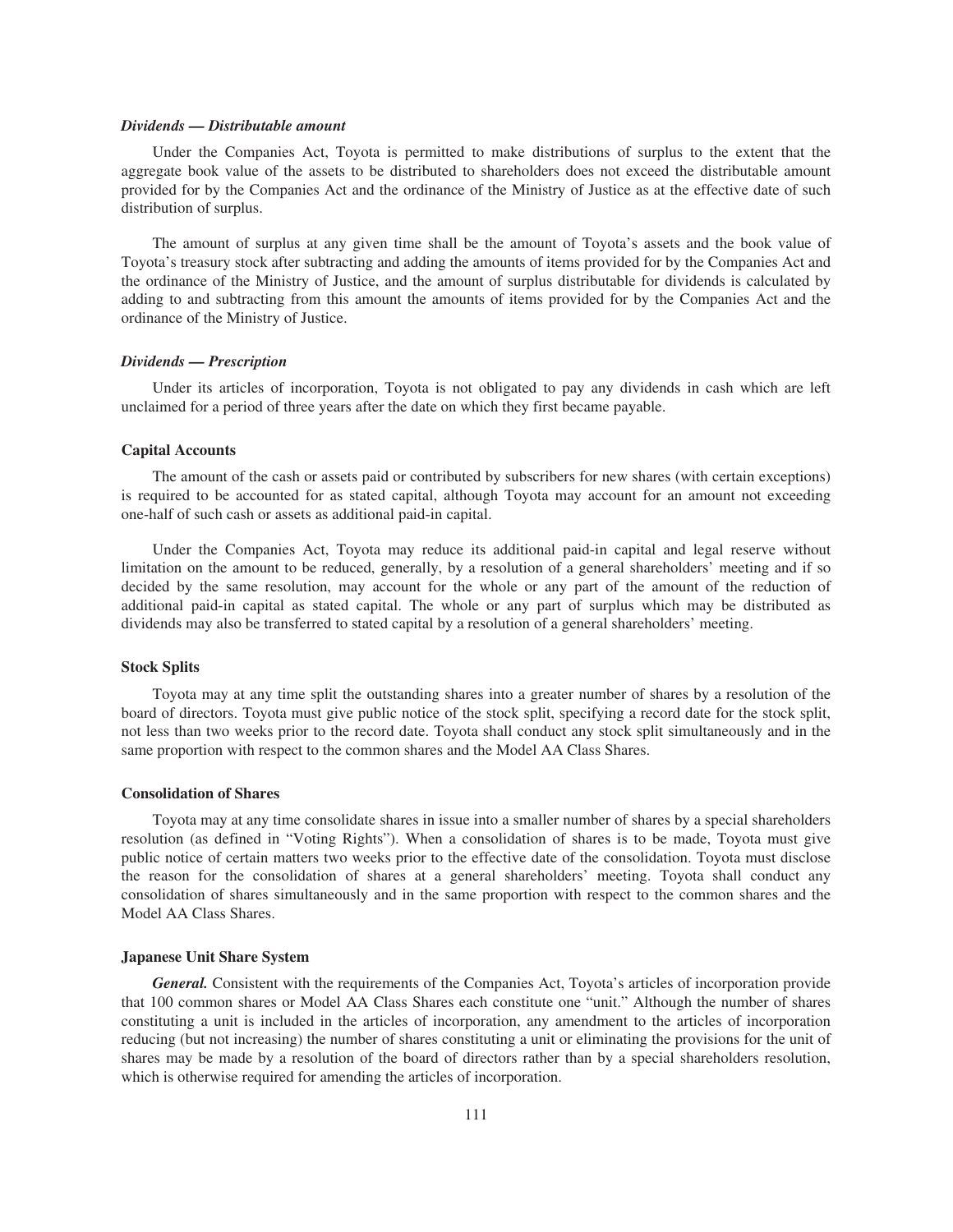## *Dividends — Distributable amount*

Under the Companies Act, Toyota is permitted to make distributions of surplus to the extent that the aggregate book value of the assets to be distributed to shareholders does not exceed the distributable amount provided for by the Companies Act and the ordinance of the Ministry of Justice as at the effective date of such distribution of surplus.

The amount of surplus at any given time shall be the amount of Toyota's assets and the book value of Toyota's treasury stock after subtracting and adding the amounts of items provided for by the Companies Act and the ordinance of the Ministry of Justice, and the amount of surplus distributable for dividends is calculated by adding to and subtracting from this amount the amounts of items provided for by the Companies Act and the ordinance of the Ministry of Justice.

#### *Dividends — Prescription*

Under its articles of incorporation, Toyota is not obligated to pay any dividends in cash which are left unclaimed for a period of three years after the date on which they first became payable.

#### **Capital Accounts**

The amount of the cash or assets paid or contributed by subscribers for new shares (with certain exceptions) is required to be accounted for as stated capital, although Toyota may account for an amount not exceeding one-half of such cash or assets as additional paid-in capital.

Under the Companies Act, Toyota may reduce its additional paid-in capital and legal reserve without limitation on the amount to be reduced, generally, by a resolution of a general shareholders' meeting and if so decided by the same resolution, may account for the whole or any part of the amount of the reduction of additional paid-in capital as stated capital. The whole or any part of surplus which may be distributed as dividends may also be transferred to stated capital by a resolution of a general shareholders' meeting.

#### **Stock Splits**

Toyota may at any time split the outstanding shares into a greater number of shares by a resolution of the board of directors. Toyota must give public notice of the stock split, specifying a record date for the stock split, not less than two weeks prior to the record date. Toyota shall conduct any stock split simultaneously and in the same proportion with respect to the common shares and the Model AA Class Shares.

#### **Consolidation of Shares**

Toyota may at any time consolidate shares in issue into a smaller number of shares by a special shareholders resolution (as defined in "Voting Rights"). When a consolidation of shares is to be made, Toyota must give public notice of certain matters two weeks prior to the effective date of the consolidation. Toyota must disclose the reason for the consolidation of shares at a general shareholders' meeting. Toyota shall conduct any consolidation of shares simultaneously and in the same proportion with respect to the common shares and the Model AA Class Shares.

# **Japanese Unit Share System**

*General.* Consistent with the requirements of the Companies Act, Toyota's articles of incorporation provide that 100 common shares or Model AA Class Shares each constitute one "unit." Although the number of shares constituting a unit is included in the articles of incorporation, any amendment to the articles of incorporation reducing (but not increasing) the number of shares constituting a unit or eliminating the provisions for the unit of shares may be made by a resolution of the board of directors rather than by a special shareholders resolution, which is otherwise required for amending the articles of incorporation.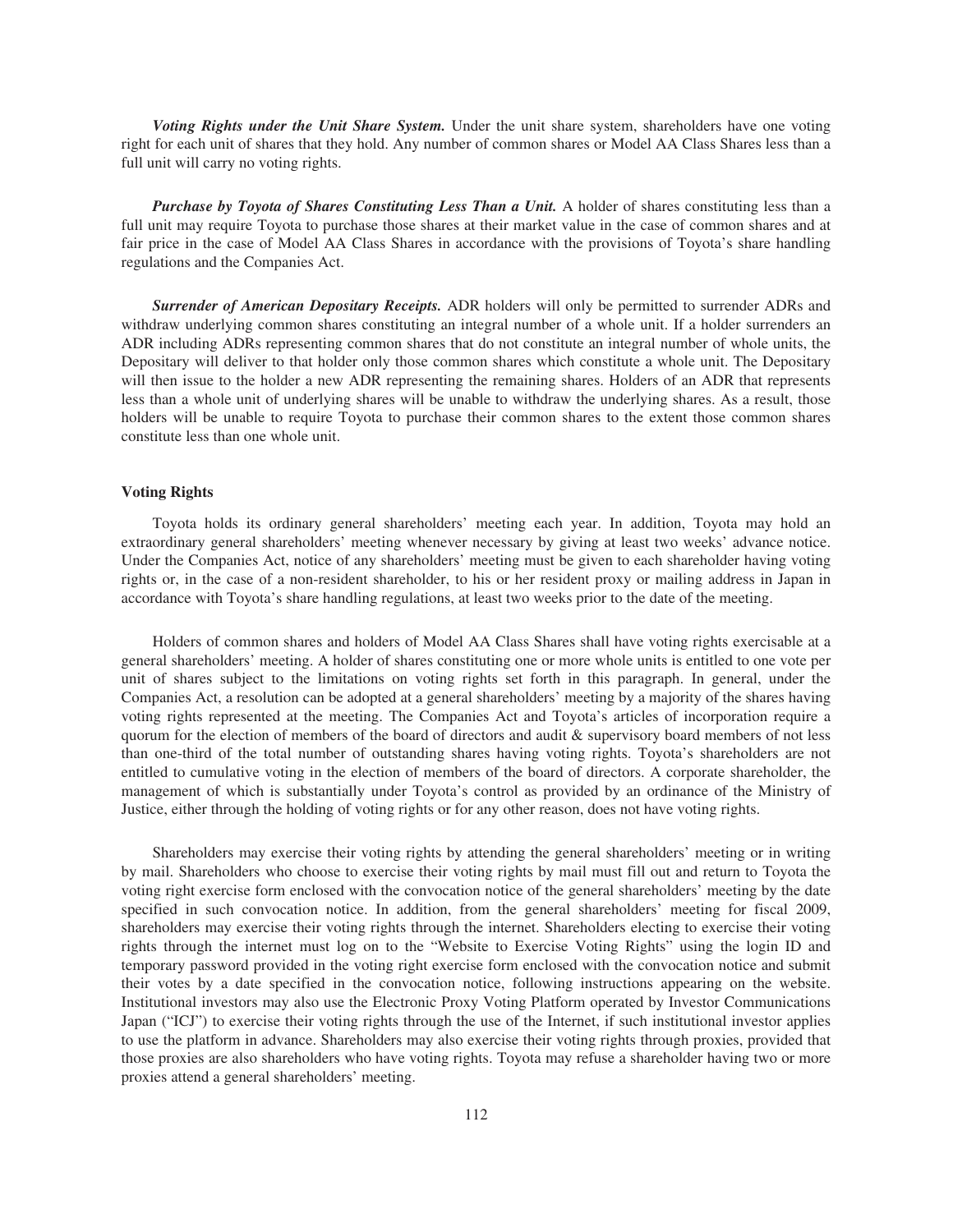*Voting Rights under the Unit Share System.* Under the unit share system, shareholders have one voting right for each unit of shares that they hold. Any number of common shares or Model AA Class Shares less than a full unit will carry no voting rights.

*Purchase by Toyota of Shares Constituting Less Than a Unit.* A holder of shares constituting less than a full unit may require Toyota to purchase those shares at their market value in the case of common shares and at fair price in the case of Model AA Class Shares in accordance with the provisions of Toyota's share handling regulations and the Companies Act.

*Surrender of American Depositary Receipts.* ADR holders will only be permitted to surrender ADRs and withdraw underlying common shares constituting an integral number of a whole unit. If a holder surrenders an ADR including ADRs representing common shares that do not constitute an integral number of whole units, the Depositary will deliver to that holder only those common shares which constitute a whole unit. The Depositary will then issue to the holder a new ADR representing the remaining shares. Holders of an ADR that represents less than a whole unit of underlying shares will be unable to withdraw the underlying shares. As a result, those holders will be unable to require Toyota to purchase their common shares to the extent those common shares constitute less than one whole unit.

#### **Voting Rights**

Toyota holds its ordinary general shareholders' meeting each year. In addition, Toyota may hold an extraordinary general shareholders' meeting whenever necessary by giving at least two weeks' advance notice. Under the Companies Act, notice of any shareholders' meeting must be given to each shareholder having voting rights or, in the case of a non-resident shareholder, to his or her resident proxy or mailing address in Japan in accordance with Toyota's share handling regulations, at least two weeks prior to the date of the meeting.

Holders of common shares and holders of Model AA Class Shares shall have voting rights exercisable at a general shareholders' meeting. A holder of shares constituting one or more whole units is entitled to one vote per unit of shares subject to the limitations on voting rights set forth in this paragraph. In general, under the Companies Act, a resolution can be adopted at a general shareholders' meeting by a majority of the shares having voting rights represented at the meeting. The Companies Act and Toyota's articles of incorporation require a quorum for the election of members of the board of directors and audit & supervisory board members of not less than one-third of the total number of outstanding shares having voting rights. Toyota's shareholders are not entitled to cumulative voting in the election of members of the board of directors. A corporate shareholder, the management of which is substantially under Toyota's control as provided by an ordinance of the Ministry of Justice, either through the holding of voting rights or for any other reason, does not have voting rights.

Shareholders may exercise their voting rights by attending the general shareholders' meeting or in writing by mail. Shareholders who choose to exercise their voting rights by mail must fill out and return to Toyota the voting right exercise form enclosed with the convocation notice of the general shareholders' meeting by the date specified in such convocation notice. In addition, from the general shareholders' meeting for fiscal 2009, shareholders may exercise their voting rights through the internet. Shareholders electing to exercise their voting rights through the internet must log on to the "Website to Exercise Voting Rights" using the login ID and temporary password provided in the voting right exercise form enclosed with the convocation notice and submit their votes by a date specified in the convocation notice, following instructions appearing on the website. Institutional investors may also use the Electronic Proxy Voting Platform operated by Investor Communications Japan ("ICJ") to exercise their voting rights through the use of the Internet, if such institutional investor applies to use the platform in advance. Shareholders may also exercise their voting rights through proxies, provided that those proxies are also shareholders who have voting rights. Toyota may refuse a shareholder having two or more proxies attend a general shareholders' meeting.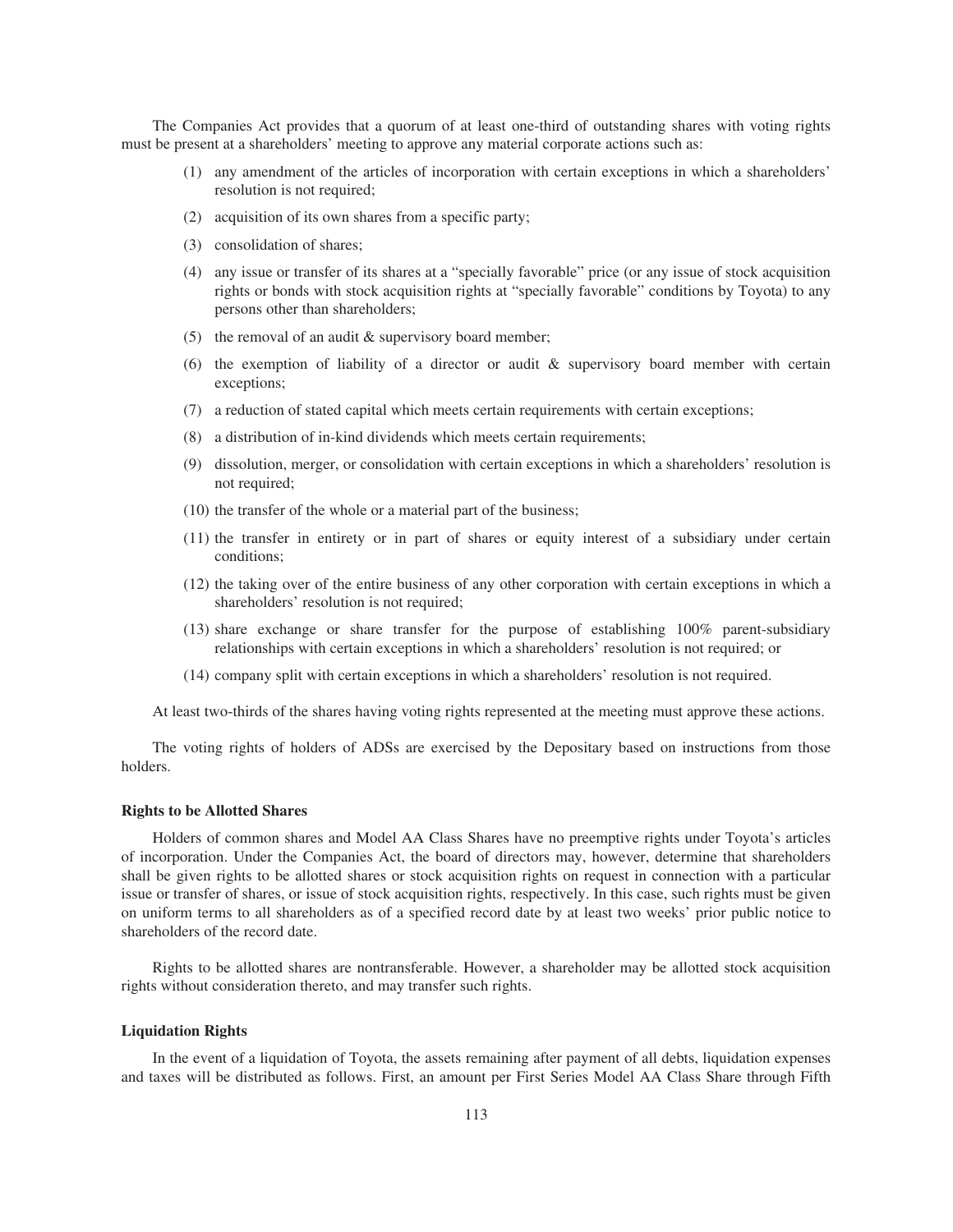The Companies Act provides that a quorum of at least one-third of outstanding shares with voting rights must be present at a shareholders' meeting to approve any material corporate actions such as:

- (1) any amendment of the articles of incorporation with certain exceptions in which a shareholders' resolution is not required;
- (2) acquisition of its own shares from a specific party;
- (3) consolidation of shares;
- (4) any issue or transfer of its shares at a "specially favorable" price (or any issue of stock acquisition rights or bonds with stock acquisition rights at "specially favorable" conditions by Toyota) to any persons other than shareholders;
- (5) the removal of an audit & supervisory board member;
- (6) the exemption of liability of a director or audit & supervisory board member with certain exceptions;
- (7) a reduction of stated capital which meets certain requirements with certain exceptions;
- (8) a distribution of in-kind dividends which meets certain requirements;
- (9) dissolution, merger, or consolidation with certain exceptions in which a shareholders' resolution is not required;
- (10) the transfer of the whole or a material part of the business;
- (11) the transfer in entirety or in part of shares or equity interest of a subsidiary under certain conditions;
- (12) the taking over of the entire business of any other corporation with certain exceptions in which a shareholders' resolution is not required;
- (13) share exchange or share transfer for the purpose of establishing 100% parent-subsidiary relationships with certain exceptions in which a shareholders' resolution is not required; or
- (14) company split with certain exceptions in which a shareholders' resolution is not required.

At least two-thirds of the shares having voting rights represented at the meeting must approve these actions.

The voting rights of holders of ADSs are exercised by the Depositary based on instructions from those holders.

## **Rights to be Allotted Shares**

Holders of common shares and Model AA Class Shares have no preemptive rights under Toyota's articles of incorporation. Under the Companies Act, the board of directors may, however, determine that shareholders shall be given rights to be allotted shares or stock acquisition rights on request in connection with a particular issue or transfer of shares, or issue of stock acquisition rights, respectively. In this case, such rights must be given on uniform terms to all shareholders as of a specified record date by at least two weeks' prior public notice to shareholders of the record date.

Rights to be allotted shares are nontransferable. However, a shareholder may be allotted stock acquisition rights without consideration thereto, and may transfer such rights.

#### **Liquidation Rights**

In the event of a liquidation of Toyota, the assets remaining after payment of all debts, liquidation expenses and taxes will be distributed as follows. First, an amount per First Series Model AA Class Share through Fifth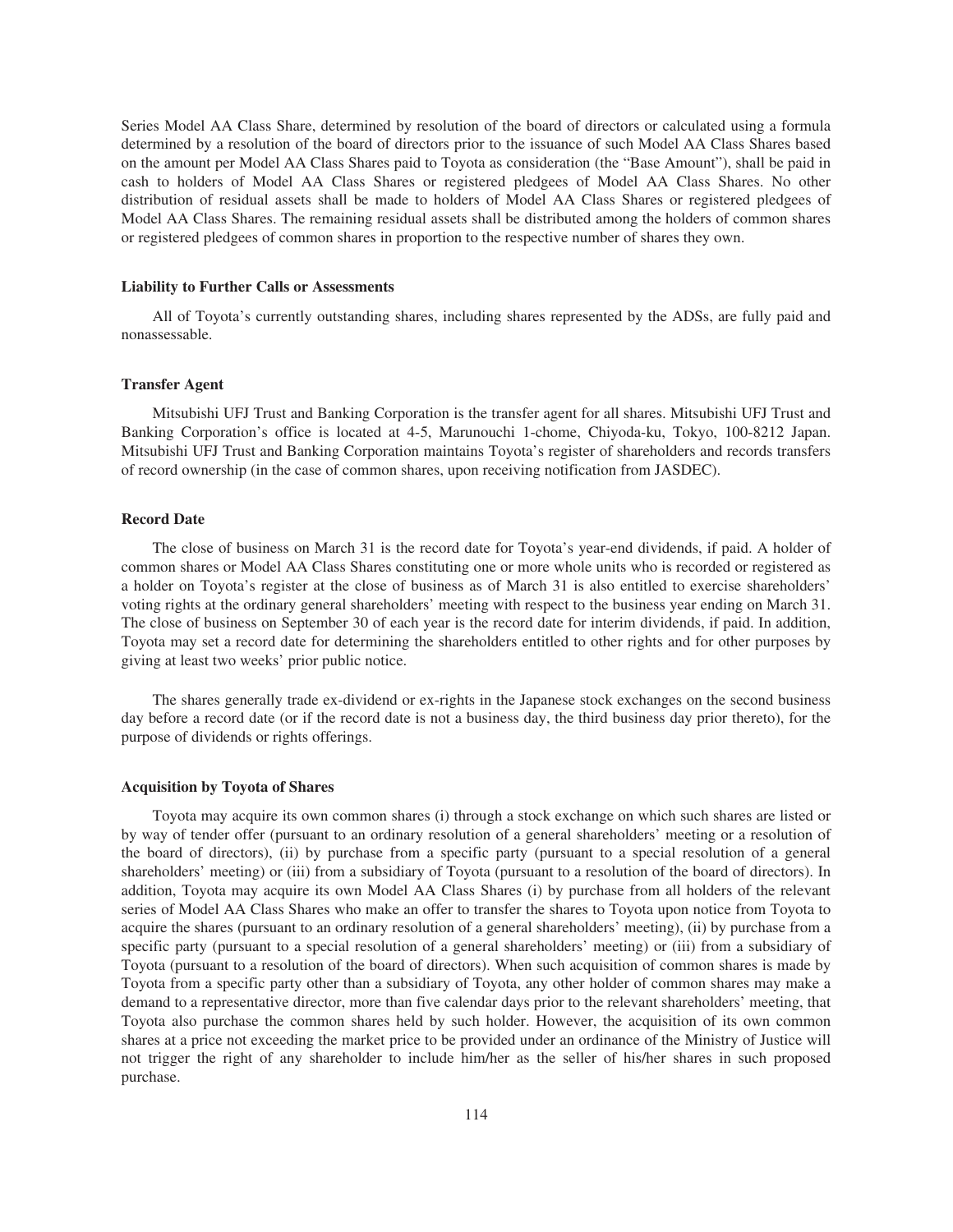Series Model AA Class Share, determined by resolution of the board of directors or calculated using a formula determined by a resolution of the board of directors prior to the issuance of such Model AA Class Shares based on the amount per Model AA Class Shares paid to Toyota as consideration (the "Base Amount"), shall be paid in cash to holders of Model AA Class Shares or registered pledgees of Model AA Class Shares. No other distribution of residual assets shall be made to holders of Model AA Class Shares or registered pledgees of Model AA Class Shares. The remaining residual assets shall be distributed among the holders of common shares or registered pledgees of common shares in proportion to the respective number of shares they own.

#### **Liability to Further Calls or Assessments**

All of Toyota's currently outstanding shares, including shares represented by the ADSs, are fully paid and nonassessable.

#### **Transfer Agent**

Mitsubishi UFJ Trust and Banking Corporation is the transfer agent for all shares. Mitsubishi UFJ Trust and Banking Corporation's office is located at 4-5, Marunouchi 1-chome, Chiyoda-ku, Tokyo, 100-8212 Japan. Mitsubishi UFJ Trust and Banking Corporation maintains Toyota's register of shareholders and records transfers of record ownership (in the case of common shares, upon receiving notification from JASDEC).

# **Record Date**

The close of business on March 31 is the record date for Toyota's year-end dividends, if paid. A holder of common shares or Model AA Class Shares constituting one or more whole units who is recorded or registered as a holder on Toyota's register at the close of business as of March 31 is also entitled to exercise shareholders' voting rights at the ordinary general shareholders' meeting with respect to the business year ending on March 31. The close of business on September 30 of each year is the record date for interim dividends, if paid. In addition, Toyota may set a record date for determining the shareholders entitled to other rights and for other purposes by giving at least two weeks' prior public notice.

The shares generally trade ex-dividend or ex-rights in the Japanese stock exchanges on the second business day before a record date (or if the record date is not a business day, the third business day prior thereto), for the purpose of dividends or rights offerings.

#### **Acquisition by Toyota of Shares**

Toyota may acquire its own common shares (i) through a stock exchange on which such shares are listed or by way of tender offer (pursuant to an ordinary resolution of a general shareholders' meeting or a resolution of the board of directors), (ii) by purchase from a specific party (pursuant to a special resolution of a general shareholders' meeting) or (iii) from a subsidiary of Toyota (pursuant to a resolution of the board of directors). In addition, Toyota may acquire its own Model AA Class Shares (i) by purchase from all holders of the relevant series of Model AA Class Shares who make an offer to transfer the shares to Toyota upon notice from Toyota to acquire the shares (pursuant to an ordinary resolution of a general shareholders' meeting), (ii) by purchase from a specific party (pursuant to a special resolution of a general shareholders' meeting) or (iii) from a subsidiary of Toyota (pursuant to a resolution of the board of directors). When such acquisition of common shares is made by Toyota from a specific party other than a subsidiary of Toyota, any other holder of common shares may make a demand to a representative director, more than five calendar days prior to the relevant shareholders' meeting, that Toyota also purchase the common shares held by such holder. However, the acquisition of its own common shares at a price not exceeding the market price to be provided under an ordinance of the Ministry of Justice will not trigger the right of any shareholder to include him/her as the seller of his/her shares in such proposed purchase.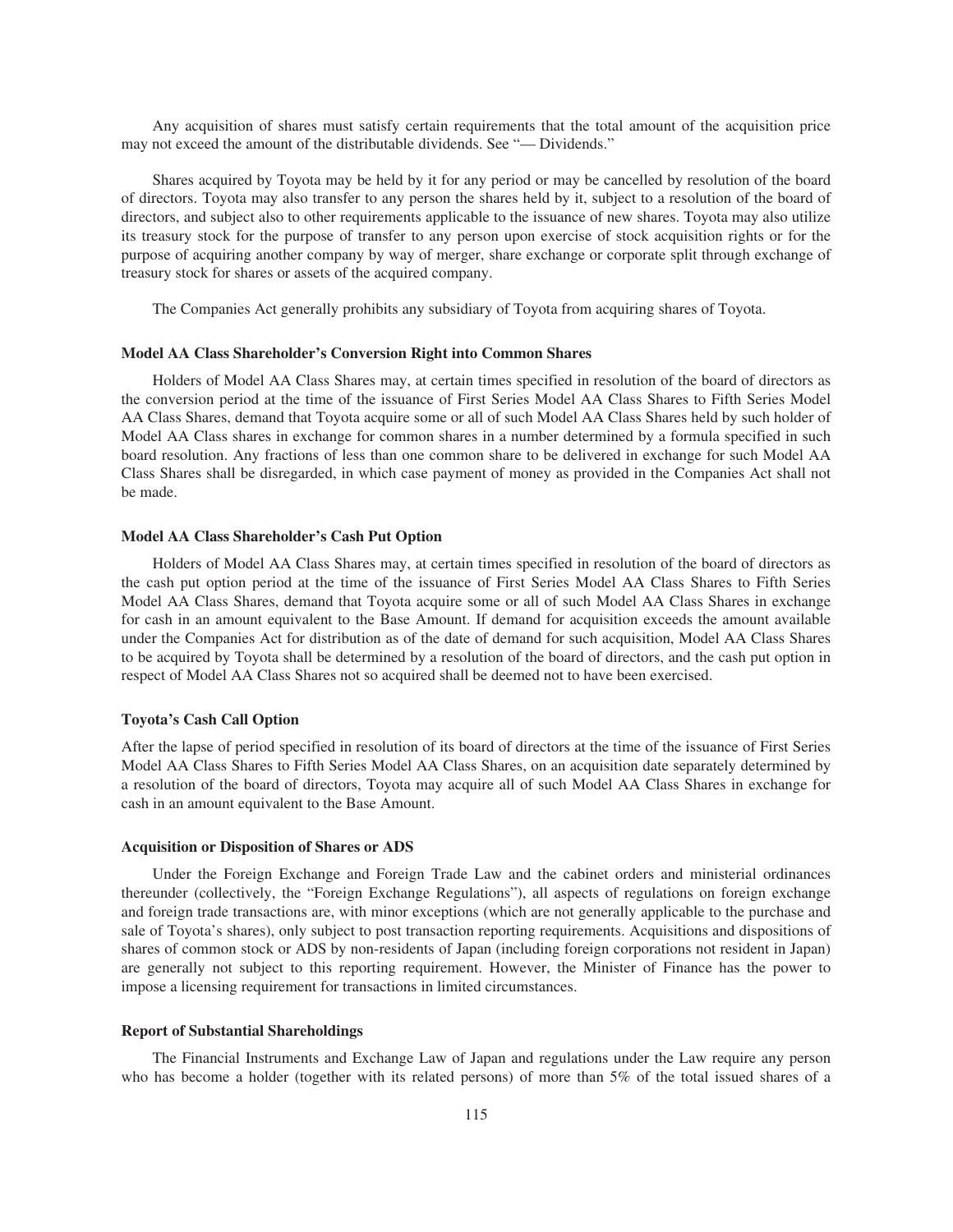Any acquisition of shares must satisfy certain requirements that the total amount of the acquisition price may not exceed the amount of the distributable dividends. See "— Dividends."

Shares acquired by Toyota may be held by it for any period or may be cancelled by resolution of the board of directors. Toyota may also transfer to any person the shares held by it, subject to a resolution of the board of directors, and subject also to other requirements applicable to the issuance of new shares. Toyota may also utilize its treasury stock for the purpose of transfer to any person upon exercise of stock acquisition rights or for the purpose of acquiring another company by way of merger, share exchange or corporate split through exchange of treasury stock for shares or assets of the acquired company.

The Companies Act generally prohibits any subsidiary of Toyota from acquiring shares of Toyota.

#### **Model AA Class Shareholder's Conversion Right into Common Shares**

Holders of Model AA Class Shares may, at certain times specified in resolution of the board of directors as the conversion period at the time of the issuance of First Series Model AA Class Shares to Fifth Series Model AA Class Shares, demand that Toyota acquire some or all of such Model AA Class Shares held by such holder of Model AA Class shares in exchange for common shares in a number determined by a formula specified in such board resolution. Any fractions of less than one common share to be delivered in exchange for such Model AA Class Shares shall be disregarded, in which case payment of money as provided in the Companies Act shall not be made.

# **Model AA Class Shareholder's Cash Put Option**

Holders of Model AA Class Shares may, at certain times specified in resolution of the board of directors as the cash put option period at the time of the issuance of First Series Model AA Class Shares to Fifth Series Model AA Class Shares, demand that Toyota acquire some or all of such Model AA Class Shares in exchange for cash in an amount equivalent to the Base Amount. If demand for acquisition exceeds the amount available under the Companies Act for distribution as of the date of demand for such acquisition, Model AA Class Shares to be acquired by Toyota shall be determined by a resolution of the board of directors, and the cash put option in respect of Model AA Class Shares not so acquired shall be deemed not to have been exercised.

#### **Toyota's Cash Call Option**

After the lapse of period specified in resolution of its board of directors at the time of the issuance of First Series Model AA Class Shares to Fifth Series Model AA Class Shares, on an acquisition date separately determined by a resolution of the board of directors, Toyota may acquire all of such Model AA Class Shares in exchange for cash in an amount equivalent to the Base Amount.

## **Acquisition or Disposition of Shares or ADS**

Under the Foreign Exchange and Foreign Trade Law and the cabinet orders and ministerial ordinances thereunder (collectively, the "Foreign Exchange Regulations"), all aspects of regulations on foreign exchange and foreign trade transactions are, with minor exceptions (which are not generally applicable to the purchase and sale of Toyota's shares), only subject to post transaction reporting requirements. Acquisitions and dispositions of shares of common stock or ADS by non-residents of Japan (including foreign corporations not resident in Japan) are generally not subject to this reporting requirement. However, the Minister of Finance has the power to impose a licensing requirement for transactions in limited circumstances.

# **Report of Substantial Shareholdings**

The Financial Instruments and Exchange Law of Japan and regulations under the Law require any person who has become a holder (together with its related persons) of more than 5% of the total issued shares of a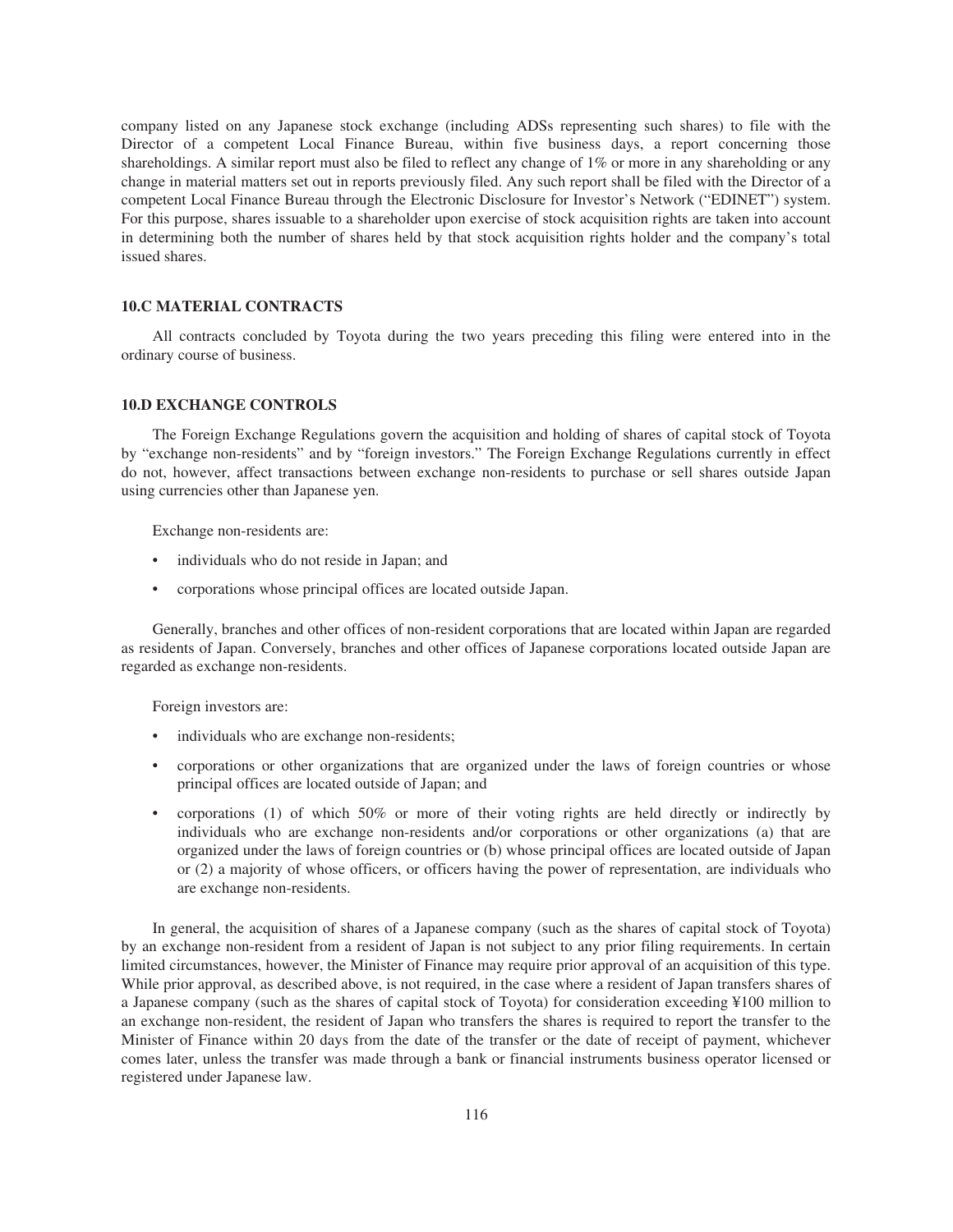company listed on any Japanese stock exchange (including ADSs representing such shares) to file with the Director of a competent Local Finance Bureau, within five business days, a report concerning those shareholdings. A similar report must also be filed to reflect any change of 1% or more in any shareholding or any change in material matters set out in reports previously filed. Any such report shall be filed with the Director of a competent Local Finance Bureau through the Electronic Disclosure for Investor's Network ("EDINET") system. For this purpose, shares issuable to a shareholder upon exercise of stock acquisition rights are taken into account in determining both the number of shares held by that stock acquisition rights holder and the company's total issued shares.

# **10.C MATERIAL CONTRACTS**

All contracts concluded by Toyota during the two years preceding this filing were entered into in the ordinary course of business.

# **10.D EXCHANGE CONTROLS**

The Foreign Exchange Regulations govern the acquisition and holding of shares of capital stock of Toyota by "exchange non-residents" and by "foreign investors." The Foreign Exchange Regulations currently in effect do not, however, affect transactions between exchange non-residents to purchase or sell shares outside Japan using currencies other than Japanese yen.

Exchange non-residents are:

- individuals who do not reside in Japan; and
- corporations whose principal offices are located outside Japan.

Generally, branches and other offices of non-resident corporations that are located within Japan are regarded as residents of Japan. Conversely, branches and other offices of Japanese corporations located outside Japan are regarded as exchange non-residents.

Foreign investors are:

- individuals who are exchange non-residents;
- corporations or other organizations that are organized under the laws of foreign countries or whose principal offices are located outside of Japan; and
- corporations (1) of which 50% or more of their voting rights are held directly or indirectly by individuals who are exchange non-residents and/or corporations or other organizations (a) that are organized under the laws of foreign countries or (b) whose principal offices are located outside of Japan or (2) a majority of whose officers, or officers having the power of representation, are individuals who are exchange non-residents.

In general, the acquisition of shares of a Japanese company (such as the shares of capital stock of Toyota) by an exchange non-resident from a resident of Japan is not subject to any prior filing requirements. In certain limited circumstances, however, the Minister of Finance may require prior approval of an acquisition of this type. While prior approval, as described above, is not required, in the case where a resident of Japan transfers shares of a Japanese company (such as the shares of capital stock of Toyota) for consideration exceeding ¥100 million to an exchange non-resident, the resident of Japan who transfers the shares is required to report the transfer to the Minister of Finance within 20 days from the date of the transfer or the date of receipt of payment, whichever comes later, unless the transfer was made through a bank or financial instruments business operator licensed or registered under Japanese law.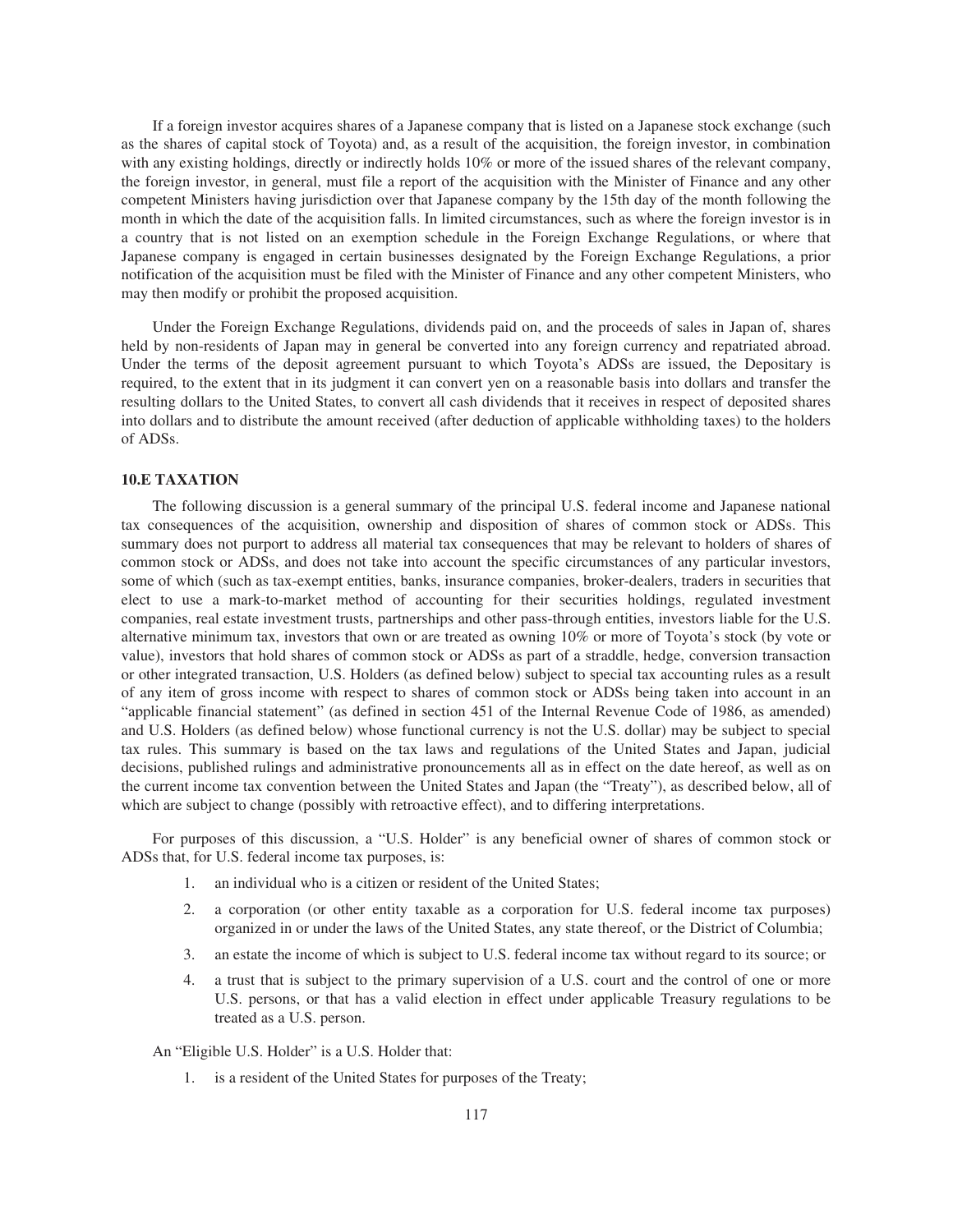If a foreign investor acquires shares of a Japanese company that is listed on a Japanese stock exchange (such as the shares of capital stock of Toyota) and, as a result of the acquisition, the foreign investor, in combination with any existing holdings, directly or indirectly holds 10% or more of the issued shares of the relevant company, the foreign investor, in general, must file a report of the acquisition with the Minister of Finance and any other competent Ministers having jurisdiction over that Japanese company by the 15th day of the month following the month in which the date of the acquisition falls. In limited circumstances, such as where the foreign investor is in a country that is not listed on an exemption schedule in the Foreign Exchange Regulations, or where that Japanese company is engaged in certain businesses designated by the Foreign Exchange Regulations, a prior notification of the acquisition must be filed with the Minister of Finance and any other competent Ministers, who may then modify or prohibit the proposed acquisition.

Under the Foreign Exchange Regulations, dividends paid on, and the proceeds of sales in Japan of, shares held by non-residents of Japan may in general be converted into any foreign currency and repatriated abroad. Under the terms of the deposit agreement pursuant to which Toyota's ADSs are issued, the Depositary is required, to the extent that in its judgment it can convert yen on a reasonable basis into dollars and transfer the resulting dollars to the United States, to convert all cash dividends that it receives in respect of deposited shares into dollars and to distribute the amount received (after deduction of applicable withholding taxes) to the holders of ADSs.

# **10.E TAXATION**

The following discussion is a general summary of the principal U.S. federal income and Japanese national tax consequences of the acquisition, ownership and disposition of shares of common stock or ADSs. This summary does not purport to address all material tax consequences that may be relevant to holders of shares of common stock or ADSs, and does not take into account the specific circumstances of any particular investors, some of which (such as tax-exempt entities, banks, insurance companies, broker-dealers, traders in securities that elect to use a mark-to-market method of accounting for their securities holdings, regulated investment companies, real estate investment trusts, partnerships and other pass-through entities, investors liable for the U.S. alternative minimum tax, investors that own or are treated as owning 10% or more of Toyota's stock (by vote or value), investors that hold shares of common stock or ADSs as part of a straddle, hedge, conversion transaction or other integrated transaction, U.S. Holders (as defined below) subject to special tax accounting rules as a result of any item of gross income with respect to shares of common stock or ADSs being taken into account in an "applicable financial statement" (as defined in section 451 of the Internal Revenue Code of 1986, as amended) and U.S. Holders (as defined below) whose functional currency is not the U.S. dollar) may be subject to special tax rules. This summary is based on the tax laws and regulations of the United States and Japan, judicial decisions, published rulings and administrative pronouncements all as in effect on the date hereof, as well as on the current income tax convention between the United States and Japan (the "Treaty"), as described below, all of which are subject to change (possibly with retroactive effect), and to differing interpretations.

For purposes of this discussion, a "U.S. Holder" is any beneficial owner of shares of common stock or ADSs that, for U.S. federal income tax purposes, is:

- 1. an individual who is a citizen or resident of the United States;
- 2. a corporation (or other entity taxable as a corporation for U.S. federal income tax purposes) organized in or under the laws of the United States, any state thereof, or the District of Columbia;
- 3. an estate the income of which is subject to U.S. federal income tax without regard to its source; or
- 4. a trust that is subject to the primary supervision of a U.S. court and the control of one or more U.S. persons, or that has a valid election in effect under applicable Treasury regulations to be treated as a U.S. person.

An "Eligible U.S. Holder" is a U.S. Holder that:

1. is a resident of the United States for purposes of the Treaty;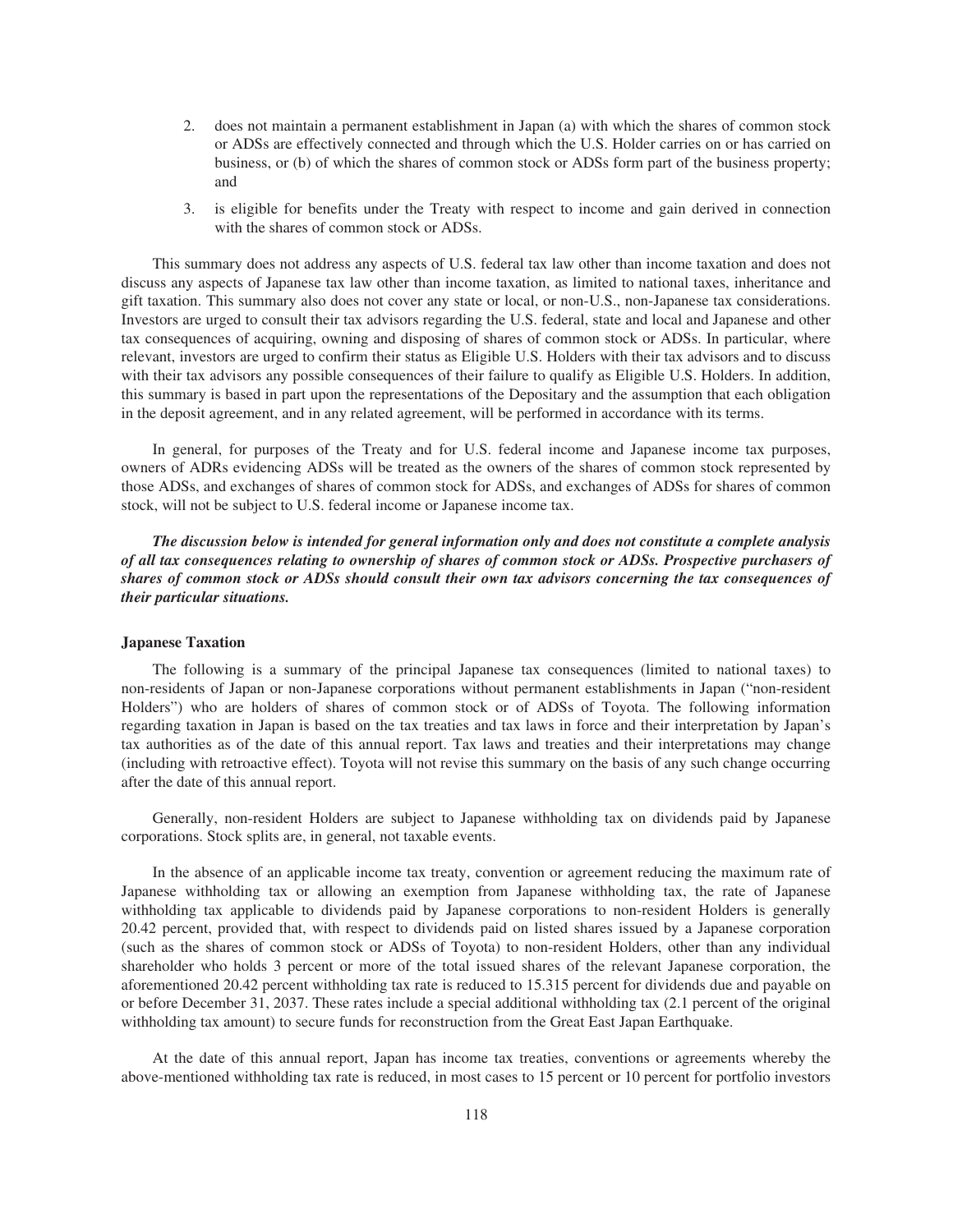- 2. does not maintain a permanent establishment in Japan (a) with which the shares of common stock or ADSs are effectively connected and through which the U.S. Holder carries on or has carried on business, or (b) of which the shares of common stock or ADSs form part of the business property; and
- 3. is eligible for benefits under the Treaty with respect to income and gain derived in connection with the shares of common stock or ADSs.

This summary does not address any aspects of U.S. federal tax law other than income taxation and does not discuss any aspects of Japanese tax law other than income taxation, as limited to national taxes, inheritance and gift taxation. This summary also does not cover any state or local, or non-U.S., non-Japanese tax considerations. Investors are urged to consult their tax advisors regarding the U.S. federal, state and local and Japanese and other tax consequences of acquiring, owning and disposing of shares of common stock or ADSs. In particular, where relevant, investors are urged to confirm their status as Eligible U.S. Holders with their tax advisors and to discuss with their tax advisors any possible consequences of their failure to qualify as Eligible U.S. Holders. In addition, this summary is based in part upon the representations of the Depositary and the assumption that each obligation in the deposit agreement, and in any related agreement, will be performed in accordance with its terms.

In general, for purposes of the Treaty and for U.S. federal income and Japanese income tax purposes, owners of ADRs evidencing ADSs will be treated as the owners of the shares of common stock represented by those ADSs, and exchanges of shares of common stock for ADSs, and exchanges of ADSs for shares of common stock, will not be subject to U.S. federal income or Japanese income tax.

*The discussion below is intended for general information only and does not constitute a complete analysis of all tax consequences relating to ownership of shares of common stock or ADSs. Prospective purchasers of shares of common stock or ADSs should consult their own tax advisors concerning the tax consequences of their particular situations.*

#### **Japanese Taxation**

The following is a summary of the principal Japanese tax consequences (limited to national taxes) to non-residents of Japan or non-Japanese corporations without permanent establishments in Japan ("non-resident Holders") who are holders of shares of common stock or of ADSs of Toyota. The following information regarding taxation in Japan is based on the tax treaties and tax laws in force and their interpretation by Japan's tax authorities as of the date of this annual report. Tax laws and treaties and their interpretations may change (including with retroactive effect). Toyota will not revise this summary on the basis of any such change occurring after the date of this annual report.

Generally, non-resident Holders are subject to Japanese withholding tax on dividends paid by Japanese corporations. Stock splits are, in general, not taxable events.

In the absence of an applicable income tax treaty, convention or agreement reducing the maximum rate of Japanese withholding tax or allowing an exemption from Japanese withholding tax, the rate of Japanese withholding tax applicable to dividends paid by Japanese corporations to non-resident Holders is generally 20.42 percent, provided that, with respect to dividends paid on listed shares issued by a Japanese corporation (such as the shares of common stock or ADSs of Toyota) to non-resident Holders, other than any individual shareholder who holds 3 percent or more of the total issued shares of the relevant Japanese corporation, the aforementioned 20.42 percent withholding tax rate is reduced to 15.315 percent for dividends due and payable on or before December 31, 2037. These rates include a special additional withholding tax (2.1 percent of the original withholding tax amount) to secure funds for reconstruction from the Great East Japan Earthquake.

At the date of this annual report, Japan has income tax treaties, conventions or agreements whereby the above-mentioned withholding tax rate is reduced, in most cases to 15 percent or 10 percent for portfolio investors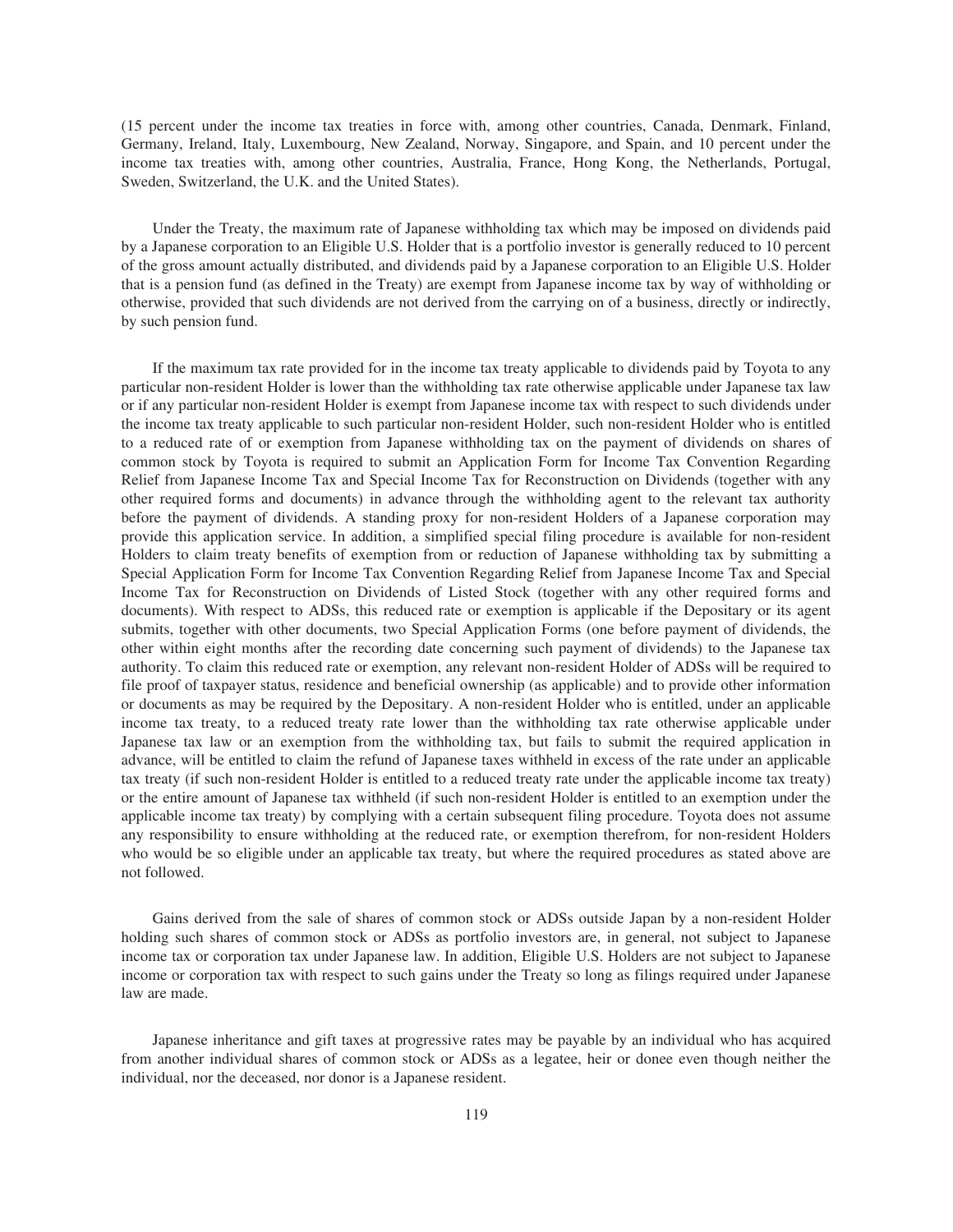(15 percent under the income tax treaties in force with, among other countries, Canada, Denmark, Finland, Germany, Ireland, Italy, Luxembourg, New Zealand, Norway, Singapore, and Spain, and 10 percent under the income tax treaties with, among other countries, Australia, France, Hong Kong, the Netherlands, Portugal, Sweden, Switzerland, the U.K. and the United States).

Under the Treaty, the maximum rate of Japanese withholding tax which may be imposed on dividends paid by a Japanese corporation to an Eligible U.S. Holder that is a portfolio investor is generally reduced to 10 percent of the gross amount actually distributed, and dividends paid by a Japanese corporation to an Eligible U.S. Holder that is a pension fund (as defined in the Treaty) are exempt from Japanese income tax by way of withholding or otherwise, provided that such dividends are not derived from the carrying on of a business, directly or indirectly, by such pension fund.

If the maximum tax rate provided for in the income tax treaty applicable to dividends paid by Toyota to any particular non-resident Holder is lower than the withholding tax rate otherwise applicable under Japanese tax law or if any particular non-resident Holder is exempt from Japanese income tax with respect to such dividends under the income tax treaty applicable to such particular non-resident Holder, such non-resident Holder who is entitled to a reduced rate of or exemption from Japanese withholding tax on the payment of dividends on shares of common stock by Toyota is required to submit an Application Form for Income Tax Convention Regarding Relief from Japanese Income Tax and Special Income Tax for Reconstruction on Dividends (together with any other required forms and documents) in advance through the withholding agent to the relevant tax authority before the payment of dividends. A standing proxy for non-resident Holders of a Japanese corporation may provide this application service. In addition, a simplified special filing procedure is available for non-resident Holders to claim treaty benefits of exemption from or reduction of Japanese withholding tax by submitting a Special Application Form for Income Tax Convention Regarding Relief from Japanese Income Tax and Special Income Tax for Reconstruction on Dividends of Listed Stock (together with any other required forms and documents). With respect to ADSs, this reduced rate or exemption is applicable if the Depositary or its agent submits, together with other documents, two Special Application Forms (one before payment of dividends, the other within eight months after the recording date concerning such payment of dividends) to the Japanese tax authority. To claim this reduced rate or exemption, any relevant non-resident Holder of ADSs will be required to file proof of taxpayer status, residence and beneficial ownership (as applicable) and to provide other information or documents as may be required by the Depositary. A non-resident Holder who is entitled, under an applicable income tax treaty, to a reduced treaty rate lower than the withholding tax rate otherwise applicable under Japanese tax law or an exemption from the withholding tax, but fails to submit the required application in advance, will be entitled to claim the refund of Japanese taxes withheld in excess of the rate under an applicable tax treaty (if such non-resident Holder is entitled to a reduced treaty rate under the applicable income tax treaty) or the entire amount of Japanese tax withheld (if such non-resident Holder is entitled to an exemption under the applicable income tax treaty) by complying with a certain subsequent filing procedure. Toyota does not assume any responsibility to ensure withholding at the reduced rate, or exemption therefrom, for non-resident Holders who would be so eligible under an applicable tax treaty, but where the required procedures as stated above are not followed.

Gains derived from the sale of shares of common stock or ADSs outside Japan by a non-resident Holder holding such shares of common stock or ADSs as portfolio investors are, in general, not subject to Japanese income tax or corporation tax under Japanese law. In addition, Eligible U.S. Holders are not subject to Japanese income or corporation tax with respect to such gains under the Treaty so long as filings required under Japanese law are made.

Japanese inheritance and gift taxes at progressive rates may be payable by an individual who has acquired from another individual shares of common stock or ADSs as a legatee, heir or donee even though neither the individual, nor the deceased, nor donor is a Japanese resident.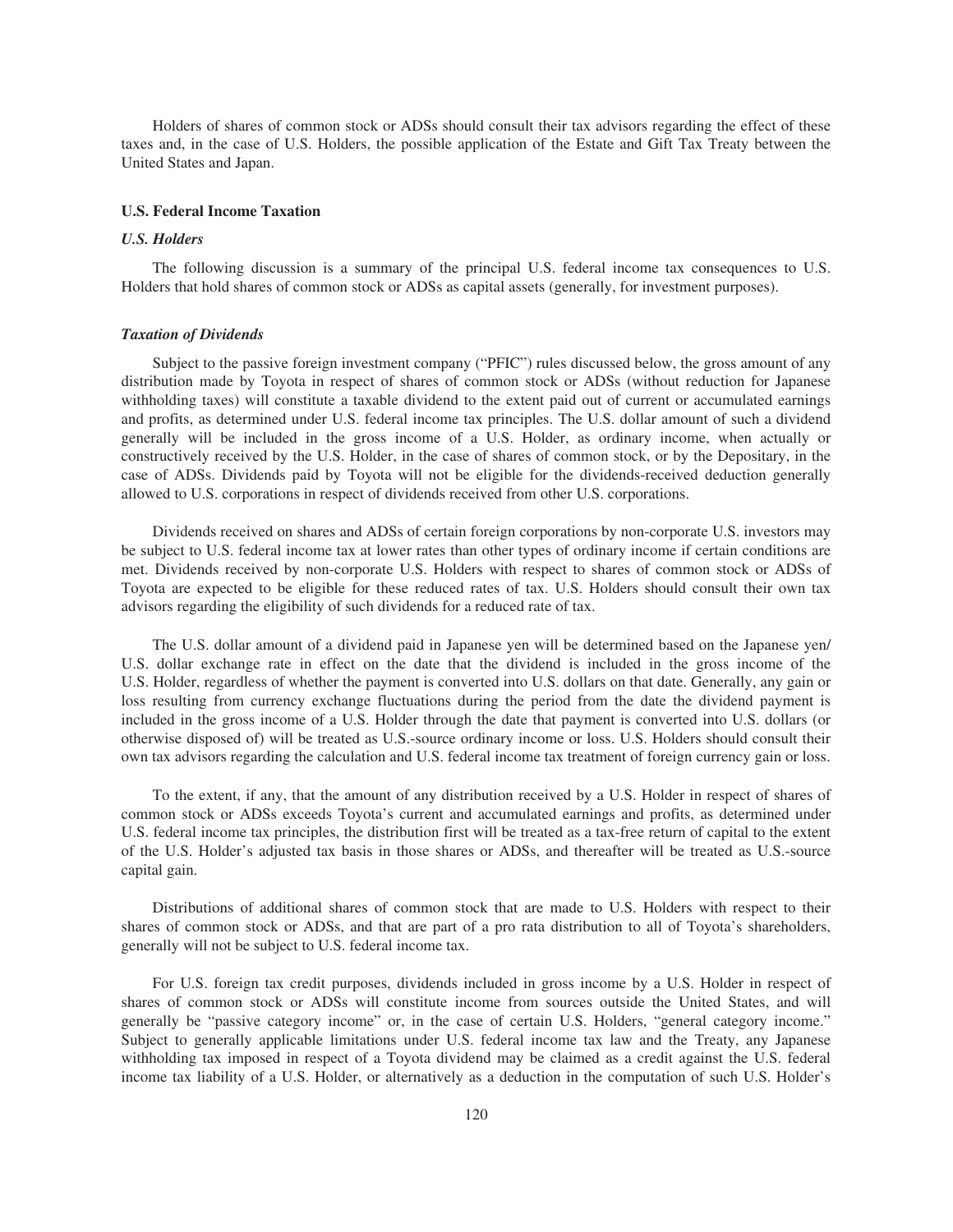Holders of shares of common stock or ADSs should consult their tax advisors regarding the effect of these taxes and, in the case of U.S. Holders, the possible application of the Estate and Gift Tax Treaty between the United States and Japan.

### **U.S. Federal Income Taxation**

# *U.S. Holders*

The following discussion is a summary of the principal U.S. federal income tax consequences to U.S. Holders that hold shares of common stock or ADSs as capital assets (generally, for investment purposes).

#### *Taxation of Dividends*

Subject to the passive foreign investment company ("PFIC") rules discussed below, the gross amount of any distribution made by Toyota in respect of shares of common stock or ADSs (without reduction for Japanese withholding taxes) will constitute a taxable dividend to the extent paid out of current or accumulated earnings and profits, as determined under U.S. federal income tax principles. The U.S. dollar amount of such a dividend generally will be included in the gross income of a U.S. Holder, as ordinary income, when actually or constructively received by the U.S. Holder, in the case of shares of common stock, or by the Depositary, in the case of ADSs. Dividends paid by Toyota will not be eligible for the dividends-received deduction generally allowed to U.S. corporations in respect of dividends received from other U.S. corporations.

Dividends received on shares and ADSs of certain foreign corporations by non-corporate U.S. investors may be subject to U.S. federal income tax at lower rates than other types of ordinary income if certain conditions are met. Dividends received by non-corporate U.S. Holders with respect to shares of common stock or ADSs of Toyota are expected to be eligible for these reduced rates of tax. U.S. Holders should consult their own tax advisors regarding the eligibility of such dividends for a reduced rate of tax.

The U.S. dollar amount of a dividend paid in Japanese yen will be determined based on the Japanese yen/ U.S. dollar exchange rate in effect on the date that the dividend is included in the gross income of the U.S. Holder, regardless of whether the payment is converted into U.S. dollars on that date. Generally, any gain or loss resulting from currency exchange fluctuations during the period from the date the dividend payment is included in the gross income of a U.S. Holder through the date that payment is converted into U.S. dollars (or otherwise disposed of) will be treated as U.S.-source ordinary income or loss. U.S. Holders should consult their own tax advisors regarding the calculation and U.S. federal income tax treatment of foreign currency gain or loss.

To the extent, if any, that the amount of any distribution received by a U.S. Holder in respect of shares of common stock or ADSs exceeds Toyota's current and accumulated earnings and profits, as determined under U.S. federal income tax principles, the distribution first will be treated as a tax-free return of capital to the extent of the U.S. Holder's adjusted tax basis in those shares or ADSs, and thereafter will be treated as U.S.-source capital gain.

Distributions of additional shares of common stock that are made to U.S. Holders with respect to their shares of common stock or ADSs, and that are part of a pro rata distribution to all of Toyota's shareholders, generally will not be subject to U.S. federal income tax.

For U.S. foreign tax credit purposes, dividends included in gross income by a U.S. Holder in respect of shares of common stock or ADSs will constitute income from sources outside the United States, and will generally be "passive category income" or, in the case of certain U.S. Holders, "general category income." Subject to generally applicable limitations under U.S. federal income tax law and the Treaty, any Japanese withholding tax imposed in respect of a Toyota dividend may be claimed as a credit against the U.S. federal income tax liability of a U.S. Holder, or alternatively as a deduction in the computation of such U.S. Holder's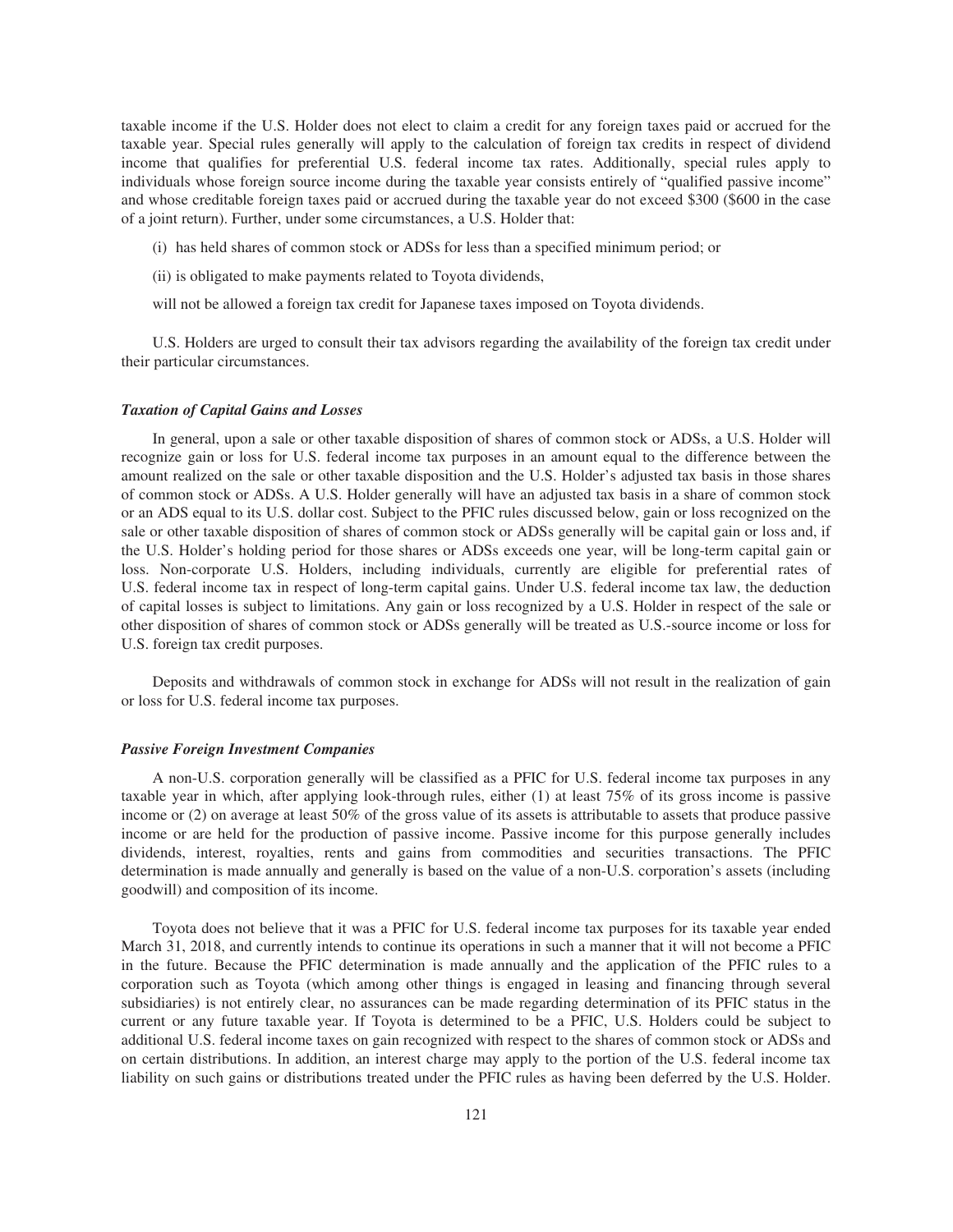taxable income if the U.S. Holder does not elect to claim a credit for any foreign taxes paid or accrued for the taxable year. Special rules generally will apply to the calculation of foreign tax credits in respect of dividend income that qualifies for preferential U.S. federal income tax rates. Additionally, special rules apply to individuals whose foreign source income during the taxable year consists entirely of "qualified passive income" and whose creditable foreign taxes paid or accrued during the taxable year do not exceed \$300 (\$600 in the case of a joint return). Further, under some circumstances, a U.S. Holder that:

- (i) has held shares of common stock or ADSs for less than a specified minimum period; or
- (ii) is obligated to make payments related to Toyota dividends,
- will not be allowed a foreign tax credit for Japanese taxes imposed on Toyota dividends.

U.S. Holders are urged to consult their tax advisors regarding the availability of the foreign tax credit under their particular circumstances.

# *Taxation of Capital Gains and Losses*

In general, upon a sale or other taxable disposition of shares of common stock or ADSs, a U.S. Holder will recognize gain or loss for U.S. federal income tax purposes in an amount equal to the difference between the amount realized on the sale or other taxable disposition and the U.S. Holder's adjusted tax basis in those shares of common stock or ADSs. A U.S. Holder generally will have an adjusted tax basis in a share of common stock or an ADS equal to its U.S. dollar cost. Subject to the PFIC rules discussed below, gain or loss recognized on the sale or other taxable disposition of shares of common stock or ADSs generally will be capital gain or loss and, if the U.S. Holder's holding period for those shares or ADSs exceeds one year, will be long-term capital gain or loss. Non-corporate U.S. Holders, including individuals, currently are eligible for preferential rates of U.S. federal income tax in respect of long-term capital gains. Under U.S. federal income tax law, the deduction of capital losses is subject to limitations. Any gain or loss recognized by a U.S. Holder in respect of the sale or other disposition of shares of common stock or ADSs generally will be treated as U.S.-source income or loss for U.S. foreign tax credit purposes.

Deposits and withdrawals of common stock in exchange for ADSs will not result in the realization of gain or loss for U.S. federal income tax purposes.

#### *Passive Foreign Investment Companies*

A non-U.S. corporation generally will be classified as a PFIC for U.S. federal income tax purposes in any taxable year in which, after applying look-through rules, either (1) at least 75% of its gross income is passive income or (2) on average at least 50% of the gross value of its assets is attributable to assets that produce passive income or are held for the production of passive income. Passive income for this purpose generally includes dividends, interest, royalties, rents and gains from commodities and securities transactions. The PFIC determination is made annually and generally is based on the value of a non-U.S. corporation's assets (including goodwill) and composition of its income.

Toyota does not believe that it was a PFIC for U.S. federal income tax purposes for its taxable year ended March 31, 2018, and currently intends to continue its operations in such a manner that it will not become a PFIC in the future. Because the PFIC determination is made annually and the application of the PFIC rules to a corporation such as Toyota (which among other things is engaged in leasing and financing through several subsidiaries) is not entirely clear, no assurances can be made regarding determination of its PFIC status in the current or any future taxable year. If Toyota is determined to be a PFIC, U.S. Holders could be subject to additional U.S. federal income taxes on gain recognized with respect to the shares of common stock or ADSs and on certain distributions. In addition, an interest charge may apply to the portion of the U.S. federal income tax liability on such gains or distributions treated under the PFIC rules as having been deferred by the U.S. Holder.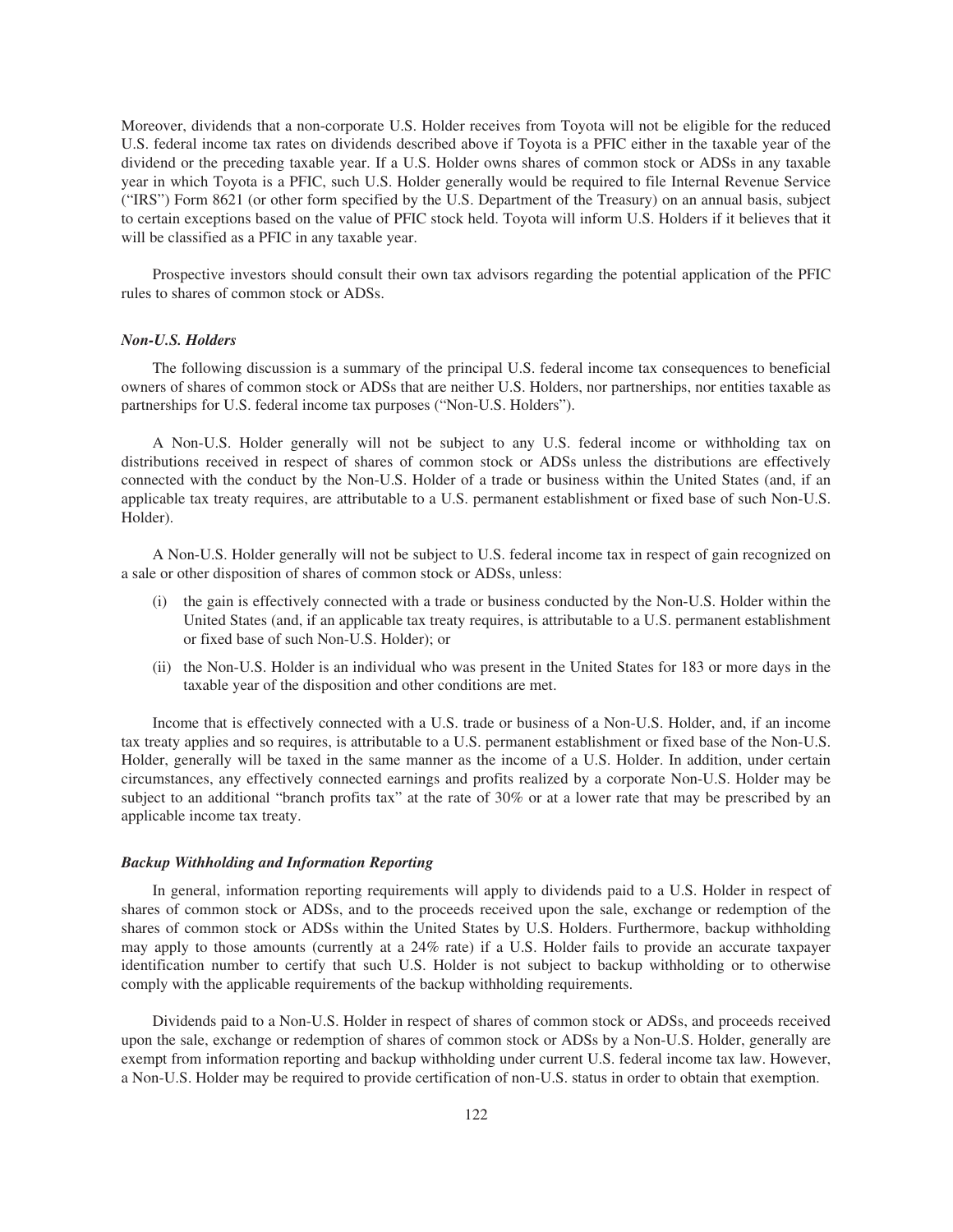Moreover, dividends that a non-corporate U.S. Holder receives from Toyota will not be eligible for the reduced U.S. federal income tax rates on dividends described above if Toyota is a PFIC either in the taxable year of the dividend or the preceding taxable year. If a U.S. Holder owns shares of common stock or ADSs in any taxable year in which Toyota is a PFIC, such U.S. Holder generally would be required to file Internal Revenue Service ("IRS") Form 8621 (or other form specified by the U.S. Department of the Treasury) on an annual basis, subject to certain exceptions based on the value of PFIC stock held. Toyota will inform U.S. Holders if it believes that it will be classified as a PFIC in any taxable year.

Prospective investors should consult their own tax advisors regarding the potential application of the PFIC rules to shares of common stock or ADSs.

# *Non-U.S. Holders*

The following discussion is a summary of the principal U.S. federal income tax consequences to beneficial owners of shares of common stock or ADSs that are neither U.S. Holders, nor partnerships, nor entities taxable as partnerships for U.S. federal income tax purposes ("Non-U.S. Holders").

A Non-U.S. Holder generally will not be subject to any U.S. federal income or withholding tax on distributions received in respect of shares of common stock or ADSs unless the distributions are effectively connected with the conduct by the Non-U.S. Holder of a trade or business within the United States (and, if an applicable tax treaty requires, are attributable to a U.S. permanent establishment or fixed base of such Non-U.S. Holder).

A Non-U.S. Holder generally will not be subject to U.S. federal income tax in respect of gain recognized on a sale or other disposition of shares of common stock or ADSs, unless:

- (i) the gain is effectively connected with a trade or business conducted by the Non-U.S. Holder within the United States (and, if an applicable tax treaty requires, is attributable to a U.S. permanent establishment or fixed base of such Non-U.S. Holder); or
- (ii) the Non-U.S. Holder is an individual who was present in the United States for 183 or more days in the taxable year of the disposition and other conditions are met.

Income that is effectively connected with a U.S. trade or business of a Non-U.S. Holder, and, if an income tax treaty applies and so requires, is attributable to a U.S. permanent establishment or fixed base of the Non-U.S. Holder, generally will be taxed in the same manner as the income of a U.S. Holder. In addition, under certain circumstances, any effectively connected earnings and profits realized by a corporate Non-U.S. Holder may be subject to an additional "branch profits tax" at the rate of 30% or at a lower rate that may be prescribed by an applicable income tax treaty.

#### *Backup Withholding and Information Reporting*

In general, information reporting requirements will apply to dividends paid to a U.S. Holder in respect of shares of common stock or ADSs, and to the proceeds received upon the sale, exchange or redemption of the shares of common stock or ADSs within the United States by U.S. Holders. Furthermore, backup withholding may apply to those amounts (currently at a 24% rate) if a U.S. Holder fails to provide an accurate taxpayer identification number to certify that such U.S. Holder is not subject to backup withholding or to otherwise comply with the applicable requirements of the backup withholding requirements.

Dividends paid to a Non-U.S. Holder in respect of shares of common stock or ADSs, and proceeds received upon the sale, exchange or redemption of shares of common stock or ADSs by a Non-U.S. Holder, generally are exempt from information reporting and backup withholding under current U.S. federal income tax law. However, a Non-U.S. Holder may be required to provide certification of non-U.S. status in order to obtain that exemption.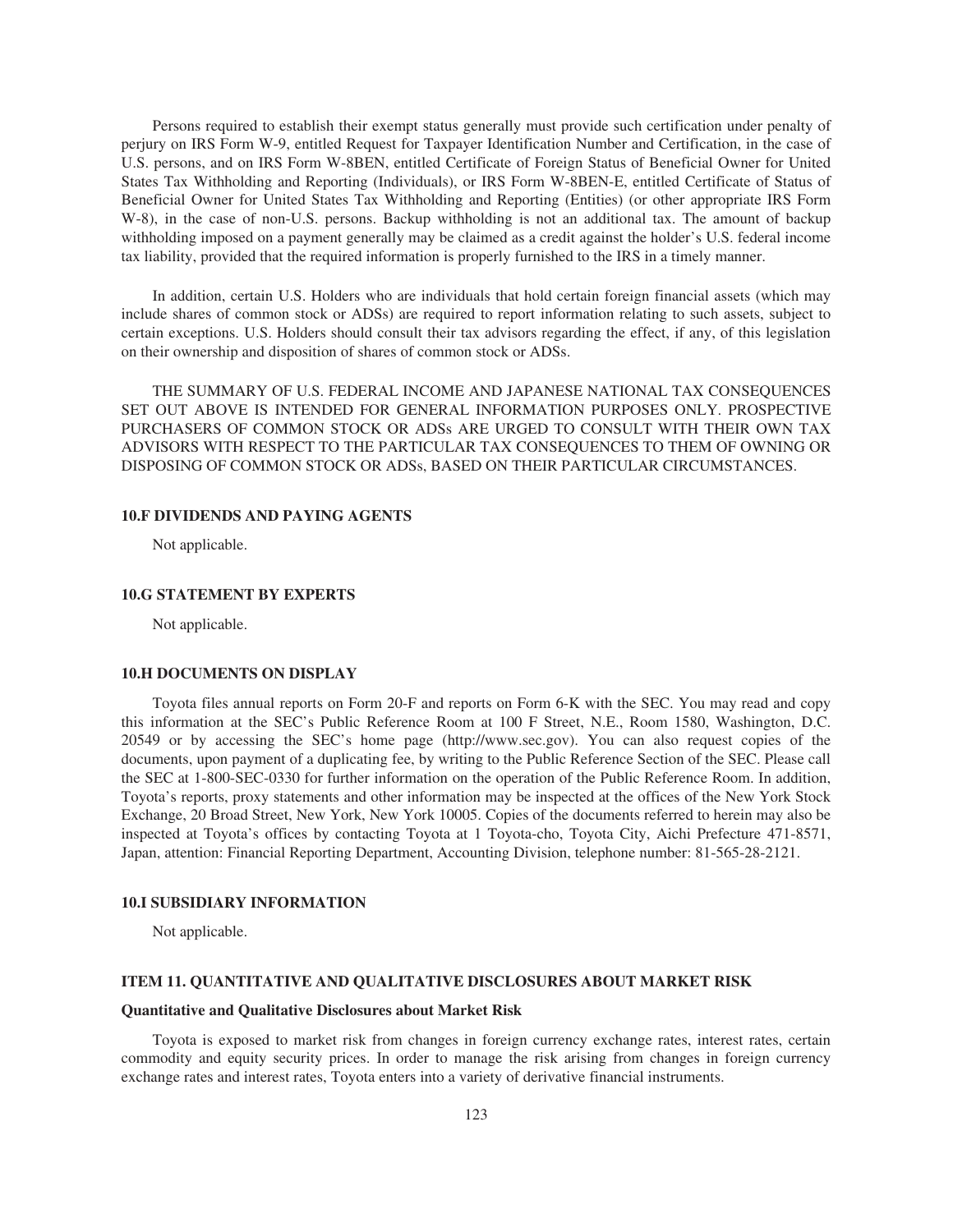Persons required to establish their exempt status generally must provide such certification under penalty of perjury on IRS Form W-9, entitled Request for Taxpayer Identification Number and Certification, in the case of U.S. persons, and on IRS Form W-8BEN, entitled Certificate of Foreign Status of Beneficial Owner for United States Tax Withholding and Reporting (Individuals), or IRS Form W-8BEN-E, entitled Certificate of Status of Beneficial Owner for United States Tax Withholding and Reporting (Entities) (or other appropriate IRS Form W-8), in the case of non-U.S. persons. Backup withholding is not an additional tax. The amount of backup withholding imposed on a payment generally may be claimed as a credit against the holder's U.S. federal income tax liability, provided that the required information is properly furnished to the IRS in a timely manner.

In addition, certain U.S. Holders who are individuals that hold certain foreign financial assets (which may include shares of common stock or ADSs) are required to report information relating to such assets, subject to certain exceptions. U.S. Holders should consult their tax advisors regarding the effect, if any, of this legislation on their ownership and disposition of shares of common stock or ADSs.

THE SUMMARY OF U.S. FEDERAL INCOME AND JAPANESE NATIONAL TAX CONSEQUENCES SET OUT ABOVE IS INTENDED FOR GENERAL INFORMATION PURPOSES ONLY. PROSPECTIVE PURCHASERS OF COMMON STOCK OR ADSs ARE URGED TO CONSULT WITH THEIR OWN TAX ADVISORS WITH RESPECT TO THE PARTICULAR TAX CONSEQUENCES TO THEM OF OWNING OR DISPOSING OF COMMON STOCK OR ADSs, BASED ON THEIR PARTICULAR CIRCUMSTANCES.

# **10.F DIVIDENDS AND PAYING AGENTS**

Not applicable.

#### **10.G STATEMENT BY EXPERTS**

Not applicable.

### **10.H DOCUMENTS ON DISPLAY**

Toyota files annual reports on Form 20-F and reports on Form 6-K with the SEC. You may read and copy this information at the SEC's Public Reference Room at 100 F Street, N.E., Room 1580, Washington, D.C. 20549 or by accessing the SEC's home page (http://www.sec.gov). You can also request copies of the documents, upon payment of a duplicating fee, by writing to the Public Reference Section of the SEC. Please call the SEC at 1-800-SEC-0330 for further information on the operation of the Public Reference Room. In addition, Toyota's reports, proxy statements and other information may be inspected at the offices of the New York Stock Exchange, 20 Broad Street, New York, New York 10005. Copies of the documents referred to herein may also be inspected at Toyota's offices by contacting Toyota at 1 Toyota-cho, Toyota City, Aichi Prefecture 471-8571, Japan, attention: Financial Reporting Department, Accounting Division, telephone number: 81-565-28-2121.

# **10.I SUBSIDIARY INFORMATION**

Not applicable.

### **ITEM 11. QUANTITATIVE AND QUALITATIVE DISCLOSURES ABOUT MARKET RISK**

#### **Quantitative and Qualitative Disclosures about Market Risk**

Toyota is exposed to market risk from changes in foreign currency exchange rates, interest rates, certain commodity and equity security prices. In order to manage the risk arising from changes in foreign currency exchange rates and interest rates, Toyota enters into a variety of derivative financial instruments.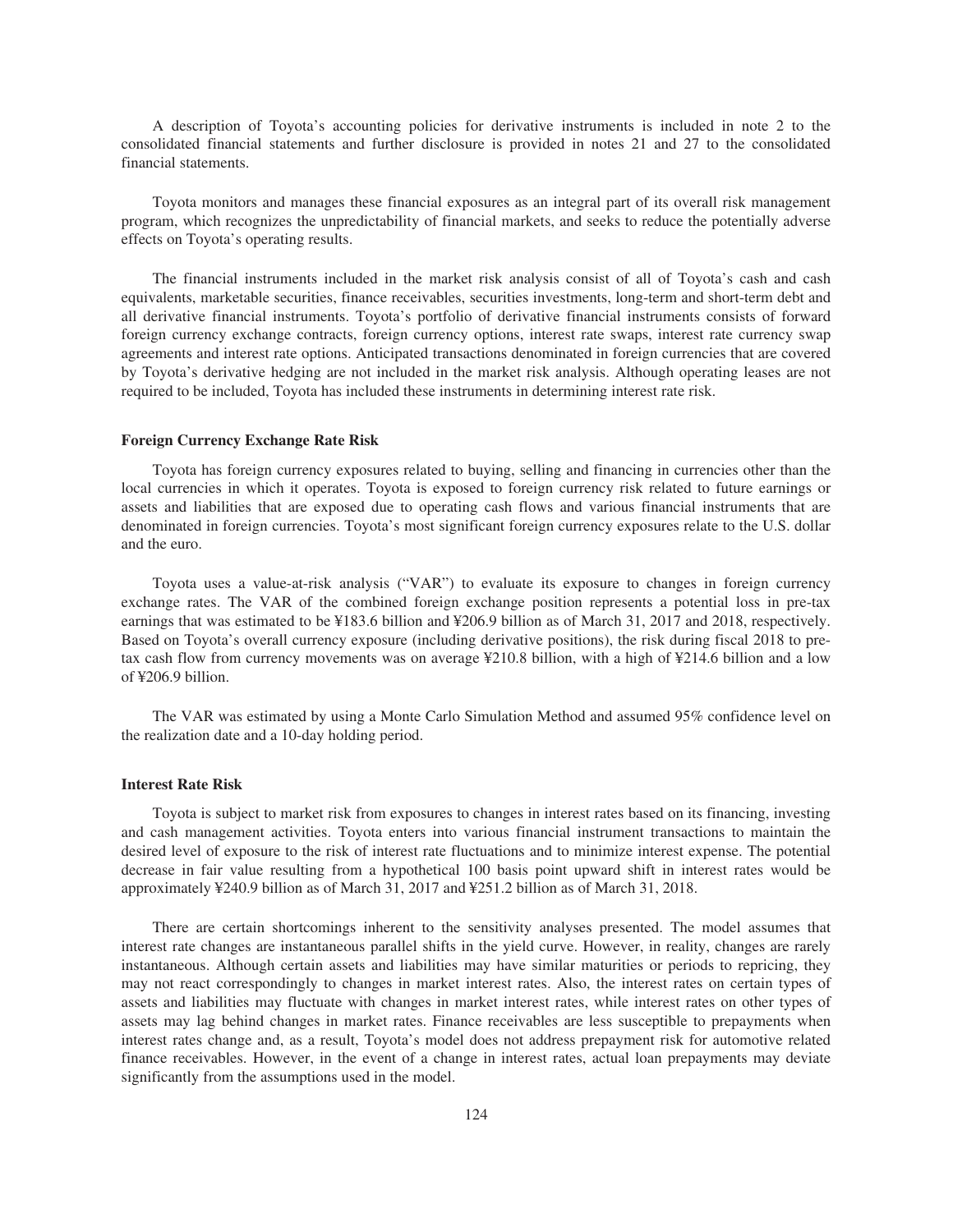A description of Toyota's accounting policies for derivative instruments is included in note 2 to the consolidated financial statements and further disclosure is provided in notes 21 and 27 to the consolidated financial statements.

Toyota monitors and manages these financial exposures as an integral part of its overall risk management program, which recognizes the unpredictability of financial markets, and seeks to reduce the potentially adverse effects on Toyota's operating results.

The financial instruments included in the market risk analysis consist of all of Toyota's cash and cash equivalents, marketable securities, finance receivables, securities investments, long-term and short-term debt and all derivative financial instruments. Toyota's portfolio of derivative financial instruments consists of forward foreign currency exchange contracts, foreign currency options, interest rate swaps, interest rate currency swap agreements and interest rate options. Anticipated transactions denominated in foreign currencies that are covered by Toyota's derivative hedging are not included in the market risk analysis. Although operating leases are not required to be included, Toyota has included these instruments in determining interest rate risk.

#### **Foreign Currency Exchange Rate Risk**

Toyota has foreign currency exposures related to buying, selling and financing in currencies other than the local currencies in which it operates. Toyota is exposed to foreign currency risk related to future earnings or assets and liabilities that are exposed due to operating cash flows and various financial instruments that are denominated in foreign currencies. Toyota's most significant foreign currency exposures relate to the U.S. dollar and the euro.

Toyota uses a value-at-risk analysis ("VAR") to evaluate its exposure to changes in foreign currency exchange rates. The VAR of the combined foreign exchange position represents a potential loss in pre-tax earnings that was estimated to be ¥183.6 billion and ¥206.9 billion as of March 31, 2017 and 2018, respectively. Based on Toyota's overall currency exposure (including derivative positions), the risk during fiscal 2018 to pretax cash flow from currency movements was on average ¥210.8 billion, with a high of ¥214.6 billion and a low of ¥206.9 billion.

The VAR was estimated by using a Monte Carlo Simulation Method and assumed 95% confidence level on the realization date and a 10-day holding period.

#### **Interest Rate Risk**

Toyota is subject to market risk from exposures to changes in interest rates based on its financing, investing and cash management activities. Toyota enters into various financial instrument transactions to maintain the desired level of exposure to the risk of interest rate fluctuations and to minimize interest expense. The potential decrease in fair value resulting from a hypothetical 100 basis point upward shift in interest rates would be approximately ¥240.9 billion as of March 31, 2017 and ¥251.2 billion as of March 31, 2018.

There are certain shortcomings inherent to the sensitivity analyses presented. The model assumes that interest rate changes are instantaneous parallel shifts in the yield curve. However, in reality, changes are rarely instantaneous. Although certain assets and liabilities may have similar maturities or periods to repricing, they may not react correspondingly to changes in market interest rates. Also, the interest rates on certain types of assets and liabilities may fluctuate with changes in market interest rates, while interest rates on other types of assets may lag behind changes in market rates. Finance receivables are less susceptible to prepayments when interest rates change and, as a result, Toyota's model does not address prepayment risk for automotive related finance receivables. However, in the event of a change in interest rates, actual loan prepayments may deviate significantly from the assumptions used in the model.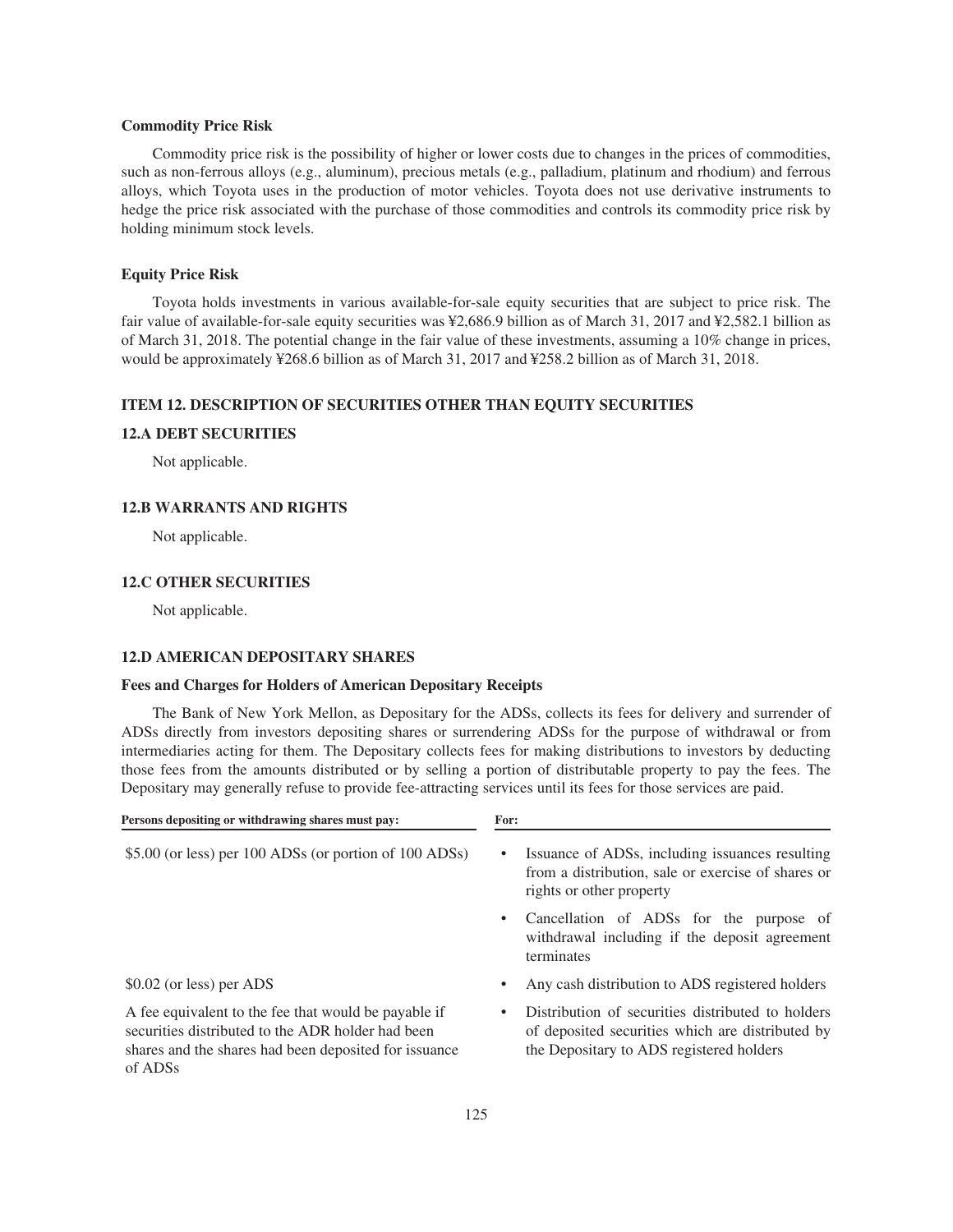# **Commodity Price Risk**

Commodity price risk is the possibility of higher or lower costs due to changes in the prices of commodities, such as non-ferrous alloys (e.g., aluminum), precious metals (e.g., palladium, platinum and rhodium) and ferrous alloys, which Toyota uses in the production of motor vehicles. Toyota does not use derivative instruments to hedge the price risk associated with the purchase of those commodities and controls its commodity price risk by holding minimum stock levels.

# **Equity Price Risk**

Toyota holds investments in various available-for-sale equity securities that are subject to price risk. The fair value of available-for-sale equity securities was ¥2,686.9 billion as of March 31, 2017 and ¥2,582.1 billion as of March 31, 2018. The potential change in the fair value of these investments, assuming a 10% change in prices, would be approximately ¥268.6 billion as of March 31, 2017 and ¥258.2 billion as of March 31, 2018.

# **ITEM 12. DESCRIPTION OF SECURITIES OTHER THAN EQUITY SECURITIES**

## **12.A DEBT SECURITIES**

Not applicable.

# **12.B WARRANTS AND RIGHTS**

Not applicable.

## **12.C OTHER SECURITIES**

Not applicable.

# **12.D AMERICAN DEPOSITARY SHARES**

#### **Fees and Charges for Holders of American Depositary Receipts**

The Bank of New York Mellon, as Depositary for the ADSs, collects its fees for delivery and surrender of ADSs directly from investors depositing shares or surrendering ADSs for the purpose of withdrawal or from intermediaries acting for them. The Depositary collects fees for making distributions to investors by deducting those fees from the amounts distributed or by selling a portion of distributable property to pay the fees. The Depositary may generally refuse to provide fee-attracting services until its fees for those services are paid.

| Persons depositing or withdrawing shares must pay:                                                                                                                            | For:                                                                                                                                                   |  |  |
|-------------------------------------------------------------------------------------------------------------------------------------------------------------------------------|--------------------------------------------------------------------------------------------------------------------------------------------------------|--|--|
| \$5.00 (or less) per 100 ADSs (or portion of 100 ADSs)                                                                                                                        | Issuance of ADSs, including issuances resulting<br>$\bullet$<br>from a distribution, sale or exercise of shares or<br>rights or other property         |  |  |
|                                                                                                                                                                               | Cancellation of ADSs for the purpose of<br>٠<br>withdrawal including if the deposit agreement<br>terminates                                            |  |  |
| \$0.02 (or less) per ADS                                                                                                                                                      | Any cash distribution to ADS registered holders<br>٠                                                                                                   |  |  |
| A fee equivalent to the fee that would be payable if<br>securities distributed to the ADR holder had been<br>shares and the shares had been deposited for issuance<br>of ADSs | Distribution of securities distributed to holders<br>٠<br>of deposited securities which are distributed by<br>the Depositary to ADS registered holders |  |  |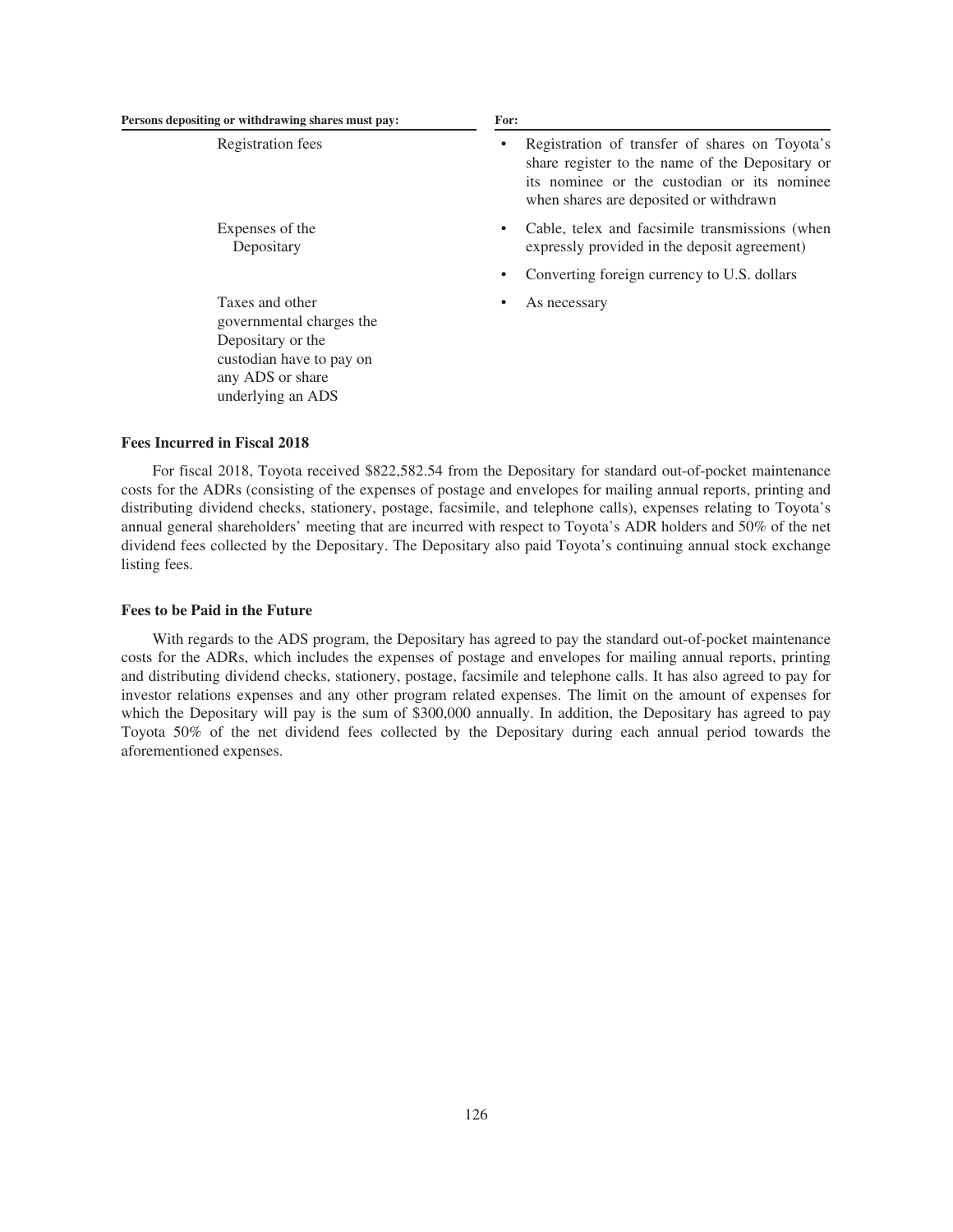| I crisolis depositing of withdrawing shares must pay.                                                                                 | ror.                                                                                                                                                                                                    |
|---------------------------------------------------------------------------------------------------------------------------------------|---------------------------------------------------------------------------------------------------------------------------------------------------------------------------------------------------------|
| Registration fees                                                                                                                     | Registration of transfer of shares on Toyota's<br>$\bullet$<br>share register to the name of the Depositary or<br>its nominee or the custodian or its nominee<br>when shares are deposited or withdrawn |
| Expenses of the<br>Depositary                                                                                                         | Cable, telex and facsimile transmissions (when<br>٠<br>expressly provided in the deposit agreement)                                                                                                     |
|                                                                                                                                       | Converting foreign currency to U.S. dollars<br>$\bullet$                                                                                                                                                |
| Taxes and other<br>governmental charges the<br>Depositary or the<br>custodian have to pay on<br>any ADS or share<br>underlying an ADS | As necessary<br>٠                                                                                                                                                                                       |
| <b>Fees Incurred in Fiscal 2018</b>                                                                                                   |                                                                                                                                                                                                         |

**Persons depositing or withdrawing shares must pay: For:**

For fiscal 2018, Toyota received \$822,582.54 from the Depositary for standard out-of-pocket maintenance costs for the ADRs (consisting of the expenses of postage and envelopes for mailing annual reports, printing and distributing dividend checks, stationery, postage, facsimile, and telephone calls), expenses relating to Toyota's annual general shareholders' meeting that are incurred with respect to Toyota's ADR holders and 50% of the net dividend fees collected by the Depositary. The Depositary also paid Toyota's continuing annual stock exchange listing fees.

#### **Fees to be Paid in the Future**

With regards to the ADS program, the Depositary has agreed to pay the standard out-of-pocket maintenance costs for the ADRs, which includes the expenses of postage and envelopes for mailing annual reports, printing and distributing dividend checks, stationery, postage, facsimile and telephone calls. It has also agreed to pay for investor relations expenses and any other program related expenses. The limit on the amount of expenses for which the Depositary will pay is the sum of \$300,000 annually. In addition, the Depositary has agreed to pay Toyota 50% of the net dividend fees collected by the Depositary during each annual period towards the aforementioned expenses.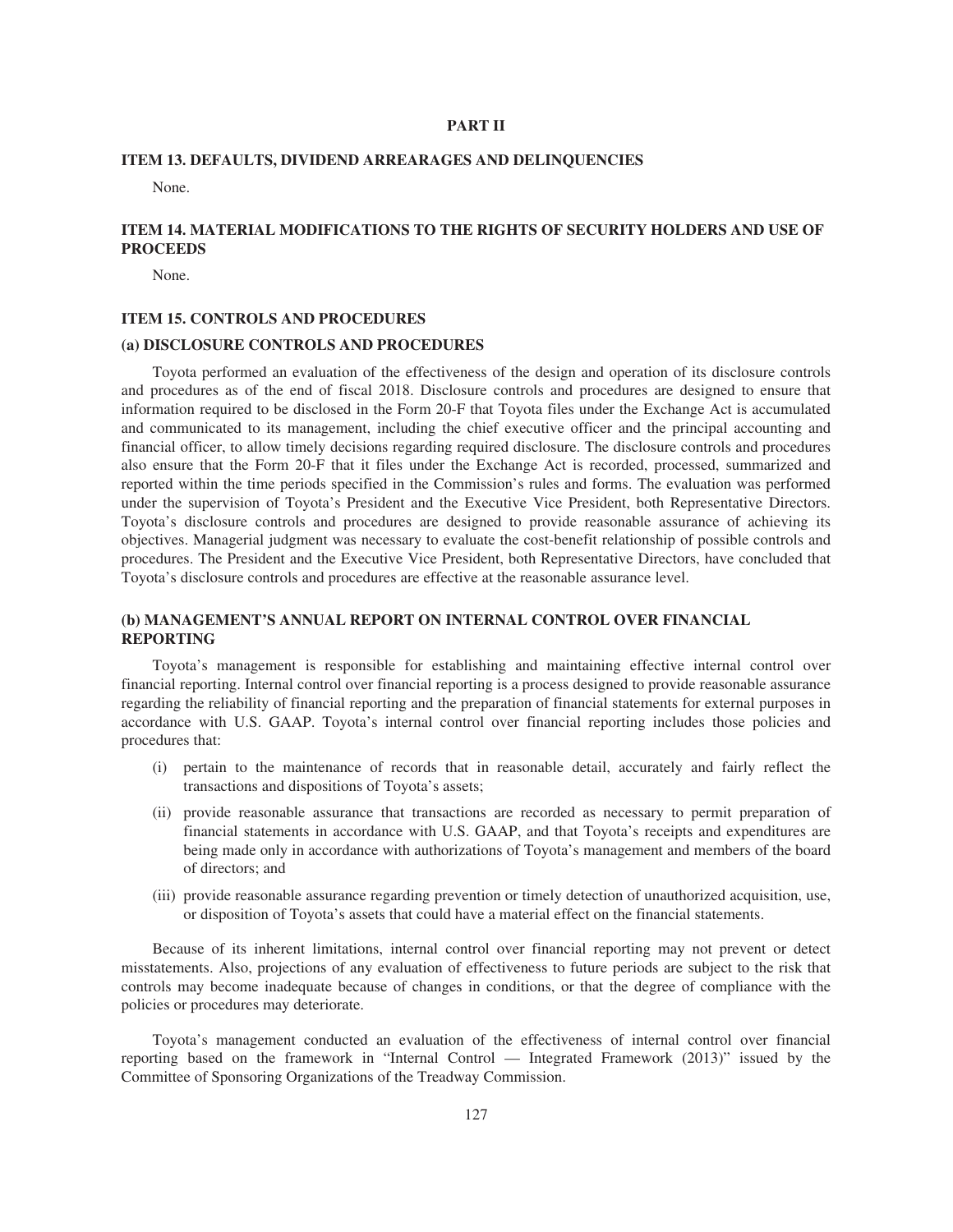#### **PART II**

# **ITEM 13. DEFAULTS, DIVIDEND ARREARAGES AND DELINQUENCIES**

None.

# **ITEM 14. MATERIAL MODIFICATIONS TO THE RIGHTS OF SECURITY HOLDERS AND USE OF PROCEEDS**

None.

# **ITEM 15. CONTROLS AND PROCEDURES**

### **(a) DISCLOSURE CONTROLS AND PROCEDURES**

Toyota performed an evaluation of the effectiveness of the design and operation of its disclosure controls and procedures as of the end of fiscal 2018. Disclosure controls and procedures are designed to ensure that information required to be disclosed in the Form 20-F that Toyota files under the Exchange Act is accumulated and communicated to its management, including the chief executive officer and the principal accounting and financial officer, to allow timely decisions regarding required disclosure. The disclosure controls and procedures also ensure that the Form 20-F that it files under the Exchange Act is recorded, processed, summarized and reported within the time periods specified in the Commission's rules and forms. The evaluation was performed under the supervision of Toyota's President and the Executive Vice President, both Representative Directors. Toyota's disclosure controls and procedures are designed to provide reasonable assurance of achieving its objectives. Managerial judgment was necessary to evaluate the cost-benefit relationship of possible controls and procedures. The President and the Executive Vice President, both Representative Directors, have concluded that Toyota's disclosure controls and procedures are effective at the reasonable assurance level.

# **(b) MANAGEMENT'S ANNUAL REPORT ON INTERNAL CONTROL OVER FINANCIAL REPORTING**

Toyota's management is responsible for establishing and maintaining effective internal control over financial reporting. Internal control over financial reporting is a process designed to provide reasonable assurance regarding the reliability of financial reporting and the preparation of financial statements for external purposes in accordance with U.S. GAAP. Toyota's internal control over financial reporting includes those policies and procedures that:

- (i) pertain to the maintenance of records that in reasonable detail, accurately and fairly reflect the transactions and dispositions of Toyota's assets;
- (ii) provide reasonable assurance that transactions are recorded as necessary to permit preparation of financial statements in accordance with U.S. GAAP, and that Toyota's receipts and expenditures are being made only in accordance with authorizations of Toyota's management and members of the board of directors; and
- (iii) provide reasonable assurance regarding prevention or timely detection of unauthorized acquisition, use, or disposition of Toyota's assets that could have a material effect on the financial statements.

Because of its inherent limitations, internal control over financial reporting may not prevent or detect misstatements. Also, projections of any evaluation of effectiveness to future periods are subject to the risk that controls may become inadequate because of changes in conditions, or that the degree of compliance with the policies or procedures may deteriorate.

Toyota's management conducted an evaluation of the effectiveness of internal control over financial reporting based on the framework in "Internal Control — Integrated Framework (2013)" issued by the Committee of Sponsoring Organizations of the Treadway Commission.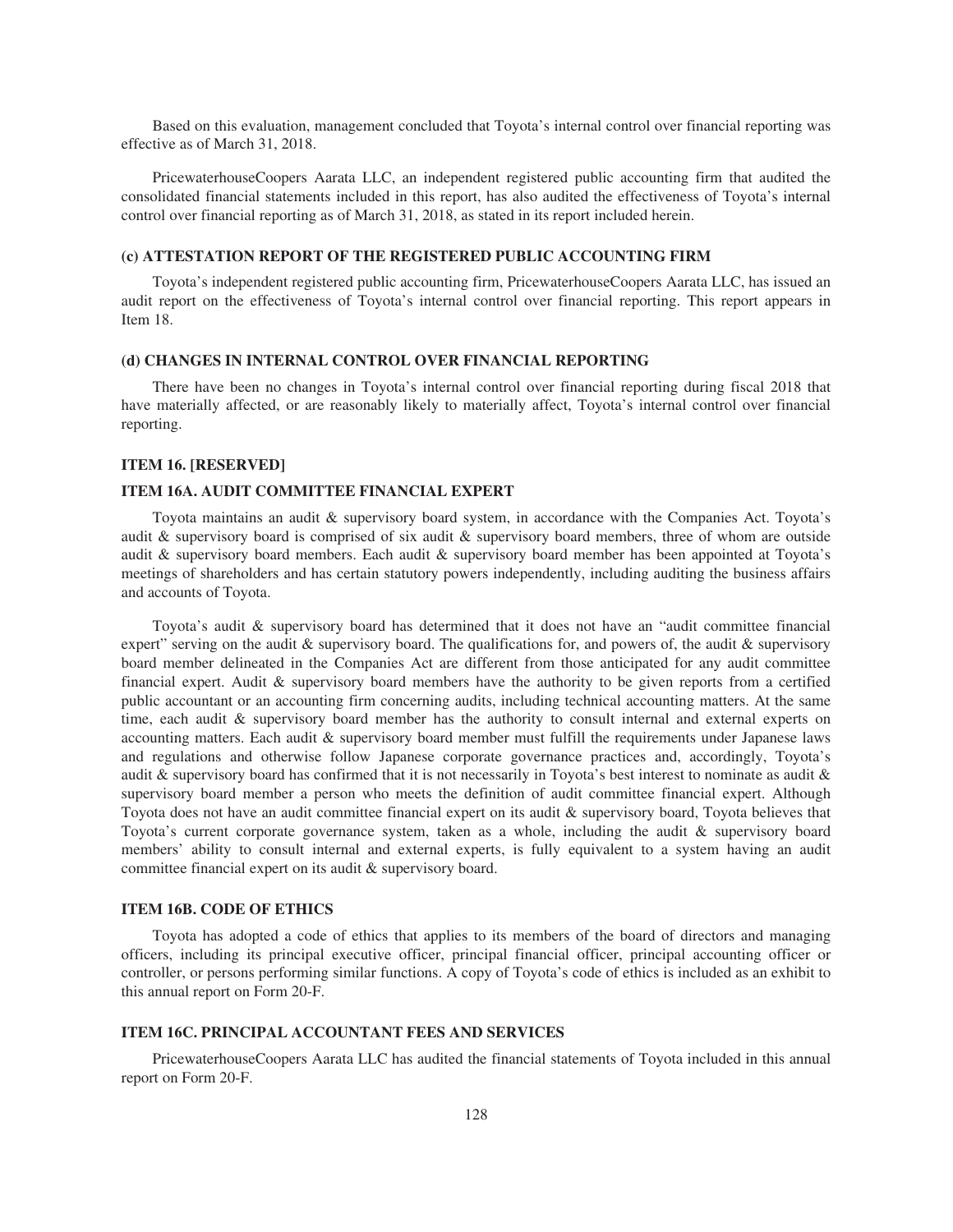Based on this evaluation, management concluded that Toyota's internal control over financial reporting was effective as of March 31, 2018.

PricewaterhouseCoopers Aarata LLC, an independent registered public accounting firm that audited the consolidated financial statements included in this report, has also audited the effectiveness of Toyota's internal control over financial reporting as of March 31, 2018, as stated in its report included herein.

# **(c) ATTESTATION REPORT OF THE REGISTERED PUBLIC ACCOUNTING FIRM**

Toyota's independent registered public accounting firm, PricewaterhouseCoopers Aarata LLC, has issued an audit report on the effectiveness of Toyota's internal control over financial reporting. This report appears in Item 18.

#### **(d) CHANGES IN INTERNAL CONTROL OVER FINANCIAL REPORTING**

There have been no changes in Toyota's internal control over financial reporting during fiscal 2018 that have materially affected, or are reasonably likely to materially affect, Toyota's internal control over financial reporting.

## **ITEM 16. [RESERVED]**

#### **ITEM 16A. AUDIT COMMITTEE FINANCIAL EXPERT**

Toyota maintains an audit & supervisory board system, in accordance with the Companies Act. Toyota's audit & supervisory board is comprised of six audit & supervisory board members, three of whom are outside audit & supervisory board members. Each audit & supervisory board member has been appointed at Toyota's meetings of shareholders and has certain statutory powers independently, including auditing the business affairs and accounts of Toyota.

Toyota's audit & supervisory board has determined that it does not have an "audit committee financial expert" serving on the audit  $\&$  supervisory board. The qualifications for, and powers of, the audit  $\&$  supervisory board member delineated in the Companies Act are different from those anticipated for any audit committee financial expert. Audit & supervisory board members have the authority to be given reports from a certified public accountant or an accounting firm concerning audits, including technical accounting matters. At the same time, each audit & supervisory board member has the authority to consult internal and external experts on accounting matters. Each audit & supervisory board member must fulfill the requirements under Japanese laws and regulations and otherwise follow Japanese corporate governance practices and, accordingly, Toyota's audit & supervisory board has confirmed that it is not necessarily in Toyota's best interest to nominate as audit  $\&$ supervisory board member a person who meets the definition of audit committee financial expert. Although Toyota does not have an audit committee financial expert on its audit & supervisory board, Toyota believes that Toyota's current corporate governance system, taken as a whole, including the audit & supervisory board members' ability to consult internal and external experts, is fully equivalent to a system having an audit committee financial expert on its audit & supervisory board.

# **ITEM 16B. CODE OF ETHICS**

Toyota has adopted a code of ethics that applies to its members of the board of directors and managing officers, including its principal executive officer, principal financial officer, principal accounting officer or controller, or persons performing similar functions. A copy of Toyota's code of ethics is included as an exhibit to this annual report on Form 20-F.

#### **ITEM 16C. PRINCIPAL ACCOUNTANT FEES AND SERVICES**

PricewaterhouseCoopers Aarata LLC has audited the financial statements of Toyota included in this annual report on Form 20-F.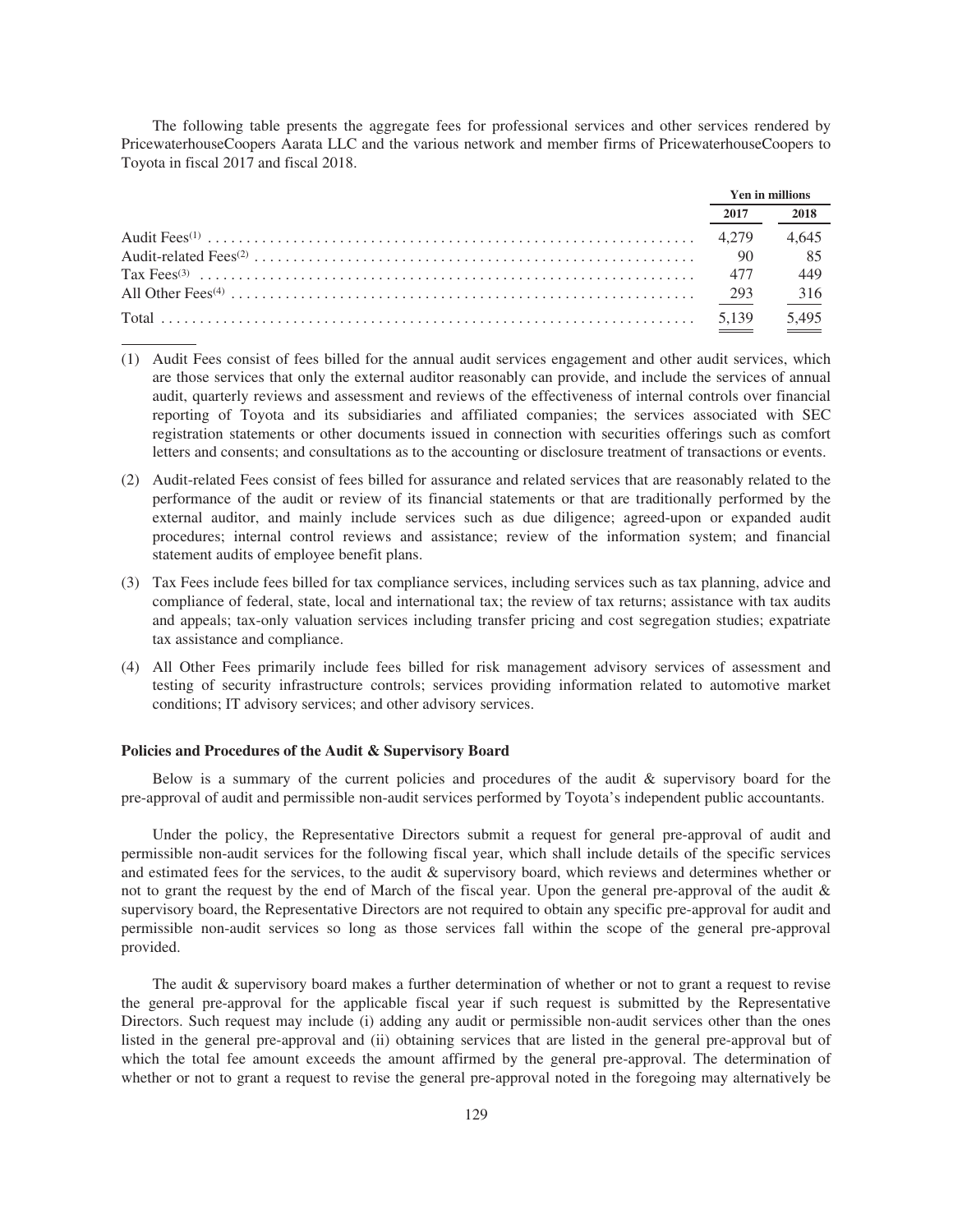The following table presents the aggregate fees for professional services and other services rendered by PricewaterhouseCoopers Aarata LLC and the various network and member firms of PricewaterhouseCoopers to Toyota in fiscal 2017 and fiscal 2018.

| <b>Yen in millions</b> |       |
|------------------------|-------|
| 2017                   | 2018  |
|                        | 4.645 |
|                        | 85    |
|                        | 449   |
|                        | 316   |
|                        | 5,495 |

- (1) Audit Fees consist of fees billed for the annual audit services engagement and other audit services, which are those services that only the external auditor reasonably can provide, and include the services of annual audit, quarterly reviews and assessment and reviews of the effectiveness of internal controls over financial reporting of Toyota and its subsidiaries and affiliated companies; the services associated with SEC registration statements or other documents issued in connection with securities offerings such as comfort letters and consents; and consultations as to the accounting or disclosure treatment of transactions or events.
- (2) Audit-related Fees consist of fees billed for assurance and related services that are reasonably related to the performance of the audit or review of its financial statements or that are traditionally performed by the external auditor, and mainly include services such as due diligence; agreed-upon or expanded audit procedures; internal control reviews and assistance; review of the information system; and financial statement audits of employee benefit plans.
- (3) Tax Fees include fees billed for tax compliance services, including services such as tax planning, advice and compliance of federal, state, local and international tax; the review of tax returns; assistance with tax audits and appeals; tax-only valuation services including transfer pricing and cost segregation studies; expatriate tax assistance and compliance.
- (4) All Other Fees primarily include fees billed for risk management advisory services of assessment and testing of security infrastructure controls; services providing information related to automotive market conditions; IT advisory services; and other advisory services.

### **Policies and Procedures of the Audit & Supervisory Board**

Below is a summary of the current policies and procedures of the audit  $\&$  supervisory board for the pre-approval of audit and permissible non-audit services performed by Toyota's independent public accountants.

Under the policy, the Representative Directors submit a request for general pre-approval of audit and permissible non-audit services for the following fiscal year, which shall include details of the specific services and estimated fees for the services, to the audit & supervisory board, which reviews and determines whether or not to grant the request by the end of March of the fiscal year. Upon the general pre-approval of the audit & supervisory board, the Representative Directors are not required to obtain any specific pre-approval for audit and permissible non-audit services so long as those services fall within the scope of the general pre-approval provided.

The audit & supervisory board makes a further determination of whether or not to grant a request to revise the general pre-approval for the applicable fiscal year if such request is submitted by the Representative Directors. Such request may include (i) adding any audit or permissible non-audit services other than the ones listed in the general pre-approval and (ii) obtaining services that are listed in the general pre-approval but of which the total fee amount exceeds the amount affirmed by the general pre-approval. The determination of whether or not to grant a request to revise the general pre-approval noted in the foregoing may alternatively be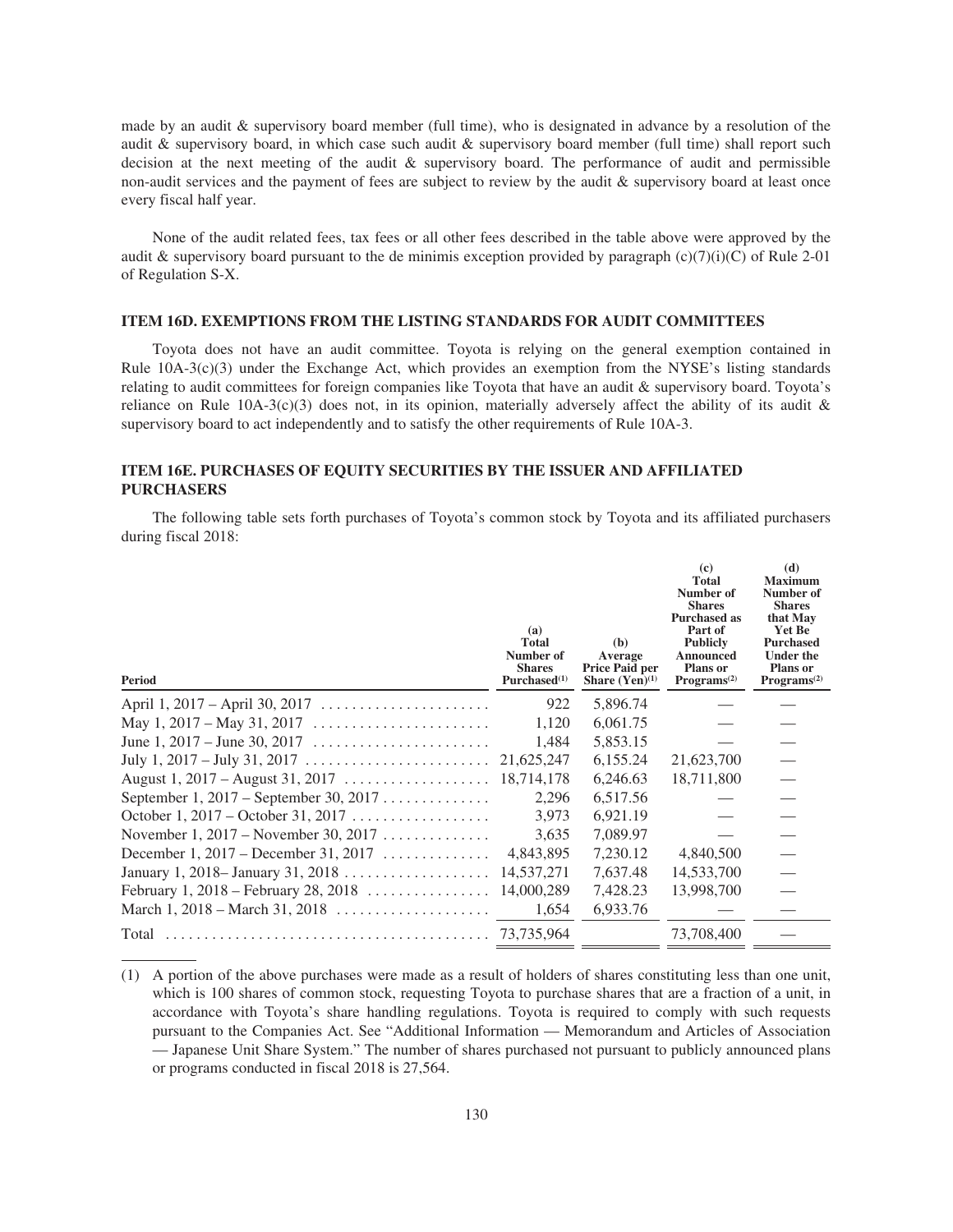made by an audit & supervisory board member (full time), who is designated in advance by a resolution of the audit & supervisory board, in which case such audit & supervisory board member (full time) shall report such decision at the next meeting of the audit & supervisory board. The performance of audit and permissible non-audit services and the payment of fees are subject to review by the audit & supervisory board at least once every fiscal half year.

None of the audit related fees, tax fees or all other fees described in the table above were approved by the audit & supervisory board pursuant to the de minimis exception provided by paragraph  $(c)(7)(i)(C)$  of Rule 2-01 of Regulation S-X.

#### **ITEM 16D. EXEMPTIONS FROM THE LISTING STANDARDS FOR AUDIT COMMITTEES**

Toyota does not have an audit committee. Toyota is relying on the general exemption contained in Rule 10A-3(c)(3) under the Exchange Act, which provides an exemption from the NYSE's listing standards relating to audit committees for foreign companies like Toyota that have an audit & supervisory board. Toyota's reliance on Rule  $10A-3(c)(3)$  does not, in its opinion, materially adversely affect the ability of its audit & supervisory board to act independently and to satisfy the other requirements of Rule 10A-3.

# **ITEM 16E. PURCHASES OF EQUITY SECURITIES BY THE ISSUER AND AFFILIATED PURCHASERS**

The following table sets forth purchases of Toyota's common stock by Toyota and its affiliated purchasers during fiscal 2018:

| <b>Period</b>                                                    | (a)<br><b>Total</b><br>Number of<br><b>Shares</b><br>Purchased <sup>(1)</sup> | (b)<br>Average<br><b>Price Paid per</b><br>Share $(Yen)^{(1)}$ | $\left( \mathbf{c} \right)$<br><b>Total</b><br>Number of<br><b>Shares</b><br><b>Purchased as</b><br>Part of<br><b>Publicly</b><br><b>Announced</b><br><b>Plans or</b><br>Programs <sup>(2)</sup> | (d)<br><b>Maximum</b><br>Number of<br><b>Shares</b><br>that May<br><b>Yet Be</b><br><b>Purchased</b><br><b>Under the</b><br><b>Plans or</b><br>Programs <sup>(2)</sup> |
|------------------------------------------------------------------|-------------------------------------------------------------------------------|----------------------------------------------------------------|--------------------------------------------------------------------------------------------------------------------------------------------------------------------------------------------------|------------------------------------------------------------------------------------------------------------------------------------------------------------------------|
|                                                                  | 922                                                                           | 5,896.74                                                       |                                                                                                                                                                                                  |                                                                                                                                                                        |
|                                                                  | 1,120                                                                         | 6,061.75                                                       |                                                                                                                                                                                                  |                                                                                                                                                                        |
|                                                                  | 1,484                                                                         | 5,853.15                                                       |                                                                                                                                                                                                  |                                                                                                                                                                        |
|                                                                  | 21,625,247                                                                    | 6,155.24                                                       | 21,623,700                                                                                                                                                                                       |                                                                                                                                                                        |
|                                                                  |                                                                               | 6,246.63                                                       | 18,711,800                                                                                                                                                                                       |                                                                                                                                                                        |
| September 1, 2017 – September 30, 2017 $\dots$                   | 2,296                                                                         | 6,517.56                                                       |                                                                                                                                                                                                  |                                                                                                                                                                        |
| October 1, 2017 – October 31, 2017                               | 3,973                                                                         | 6,921.19                                                       |                                                                                                                                                                                                  |                                                                                                                                                                        |
| November 1, 2017 – November 30, 2017 $\dots\dots\dots\dots\dots$ | 3,635                                                                         | 7,089.97                                                       |                                                                                                                                                                                                  |                                                                                                                                                                        |
| December 1, 2017 – December 31, 2017 $\dots$                     | 4,843,895                                                                     | 7,230.12                                                       | 4,840,500                                                                                                                                                                                        |                                                                                                                                                                        |
|                                                                  | 14,537,271                                                                    | 7,637.48                                                       | 14,533,700                                                                                                                                                                                       |                                                                                                                                                                        |
| February 1, 2018 – February 28, 2018 $\dots$                     | 14,000,289                                                                    | 7,428.23                                                       | 13,998,700                                                                                                                                                                                       |                                                                                                                                                                        |
| March 1, 2018 – March 31, 2018                                   | 1,654                                                                         | 6,933.76                                                       |                                                                                                                                                                                                  |                                                                                                                                                                        |
| Total                                                            | 73,735,964                                                                    |                                                                | 73,708,400                                                                                                                                                                                       |                                                                                                                                                                        |

<sup>(1)</sup> A portion of the above purchases were made as a result of holders of shares constituting less than one unit, which is 100 shares of common stock, requesting Toyota to purchase shares that are a fraction of a unit, in accordance with Toyota's share handling regulations. Toyota is required to comply with such requests pursuant to the Companies Act. See "Additional Information — Memorandum and Articles of Association — Japanese Unit Share System." The number of shares purchased not pursuant to publicly announced plans or programs conducted in fiscal 2018 is 27,564.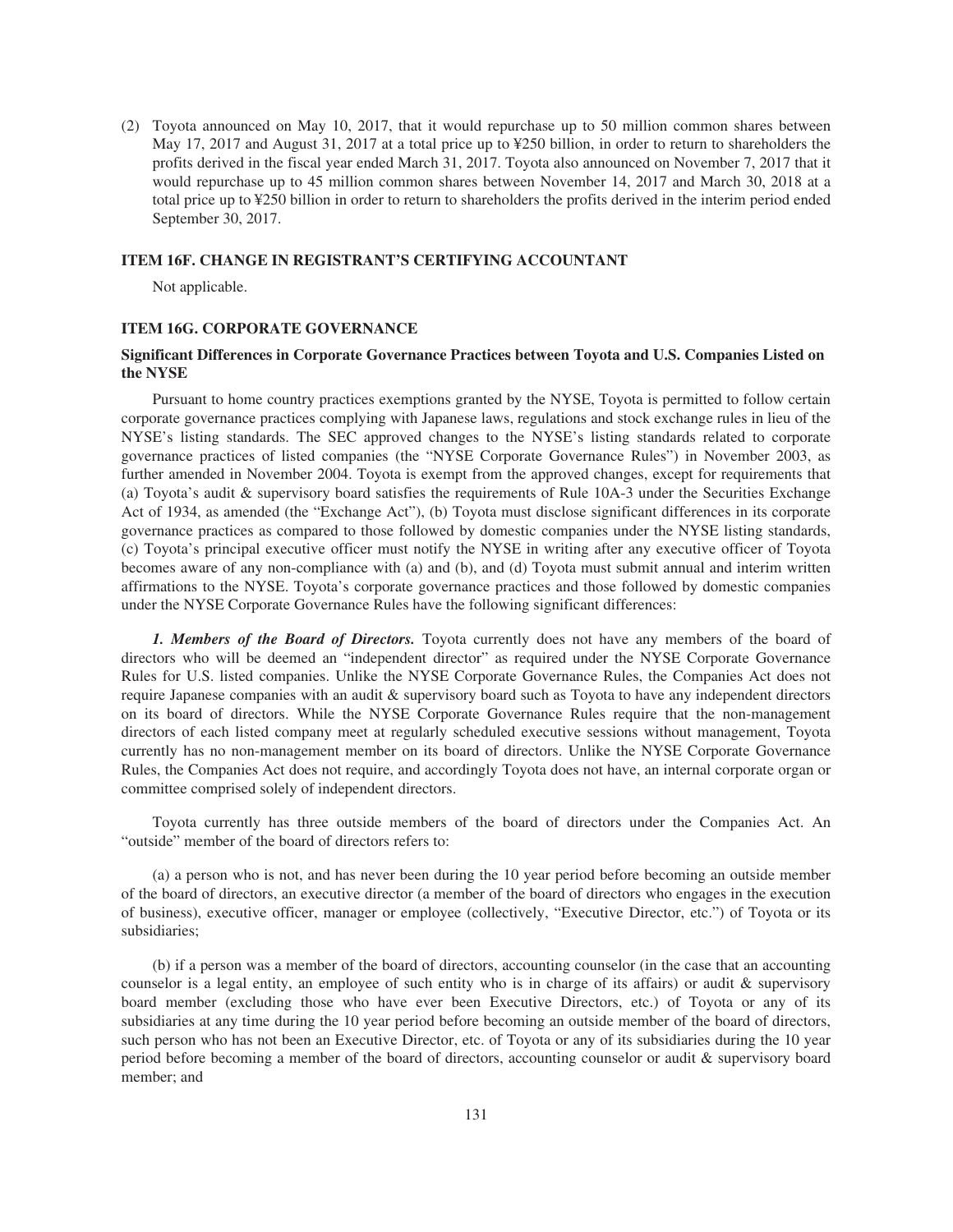(2) Toyota announced on May 10, 2017, that it would repurchase up to 50 million common shares between May 17, 2017 and August 31, 2017 at a total price up to ¥250 billion, in order to return to shareholders the profits derived in the fiscal year ended March 31, 2017. Toyota also announced on November 7, 2017 that it would repurchase up to 45 million common shares between November 14, 2017 and March 30, 2018 at a total price up to ¥250 billion in order to return to shareholders the profits derived in the interim period ended September 30, 2017.

# **ITEM 16F. CHANGE IN REGISTRANT'S CERTIFYING ACCOUNTANT**

Not applicable.

# **ITEM 16G. CORPORATE GOVERNANCE**

# **Significant Differences in Corporate Governance Practices between Toyota and U.S. Companies Listed on the NYSE**

Pursuant to home country practices exemptions granted by the NYSE, Toyota is permitted to follow certain corporate governance practices complying with Japanese laws, regulations and stock exchange rules in lieu of the NYSE's listing standards. The SEC approved changes to the NYSE's listing standards related to corporate governance practices of listed companies (the "NYSE Corporate Governance Rules") in November 2003, as further amended in November 2004. Toyota is exempt from the approved changes, except for requirements that (a) Toyota's audit & supervisory board satisfies the requirements of Rule 10A-3 under the Securities Exchange Act of 1934, as amended (the "Exchange Act"), (b) Toyota must disclose significant differences in its corporate governance practices as compared to those followed by domestic companies under the NYSE listing standards, (c) Toyota's principal executive officer must notify the NYSE in writing after any executive officer of Toyota becomes aware of any non-compliance with (a) and (b), and (d) Toyota must submit annual and interim written affirmations to the NYSE. Toyota's corporate governance practices and those followed by domestic companies under the NYSE Corporate Governance Rules have the following significant differences:

*1. Members of the Board of Directors.* Toyota currently does not have any members of the board of directors who will be deemed an "independent director" as required under the NYSE Corporate Governance Rules for U.S. listed companies. Unlike the NYSE Corporate Governance Rules, the Companies Act does not require Japanese companies with an audit & supervisory board such as Toyota to have any independent directors on its board of directors. While the NYSE Corporate Governance Rules require that the non-management directors of each listed company meet at regularly scheduled executive sessions without management, Toyota currently has no non-management member on its board of directors. Unlike the NYSE Corporate Governance Rules, the Companies Act does not require, and accordingly Toyota does not have, an internal corporate organ or committee comprised solely of independent directors.

Toyota currently has three outside members of the board of directors under the Companies Act. An "outside" member of the board of directors refers to:

(a) a person who is not, and has never been during the 10 year period before becoming an outside member of the board of directors, an executive director (a member of the board of directors who engages in the execution of business), executive officer, manager or employee (collectively, "Executive Director, etc.") of Toyota or its subsidiaries;

(b) if a person was a member of the board of directors, accounting counselor (in the case that an accounting counselor is a legal entity, an employee of such entity who is in charge of its affairs) or audit & supervisory board member (excluding those who have ever been Executive Directors, etc.) of Toyota or any of its subsidiaries at any time during the 10 year period before becoming an outside member of the board of directors, such person who has not been an Executive Director, etc. of Toyota or any of its subsidiaries during the 10 year period before becoming a member of the board of directors, accounting counselor or audit & supervisory board member; and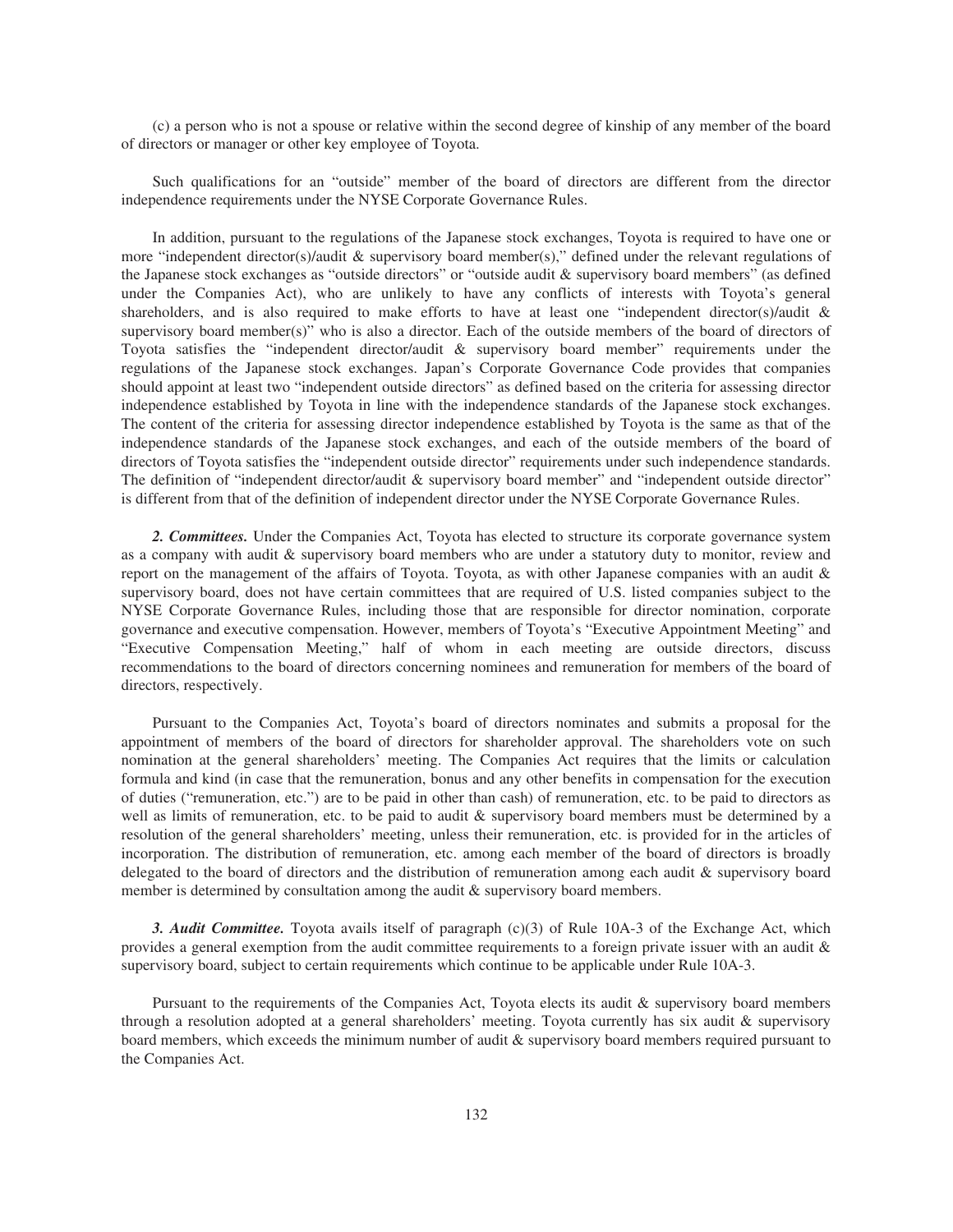(c) a person who is not a spouse or relative within the second degree of kinship of any member of the board of directors or manager or other key employee of Toyota.

Such qualifications for an "outside" member of the board of directors are different from the director independence requirements under the NYSE Corporate Governance Rules.

In addition, pursuant to the regulations of the Japanese stock exchanges, Toyota is required to have one or more "independent director(s)/audit & supervisory board member(s)," defined under the relevant regulations of the Japanese stock exchanges as "outside directors" or "outside audit & supervisory board members" (as defined under the Companies Act), who are unlikely to have any conflicts of interests with Toyota's general shareholders, and is also required to make efforts to have at least one "independent director(s)/audit  $\&$ supervisory board member(s)" who is also a director. Each of the outside members of the board of directors of Toyota satisfies the "independent director/audit & supervisory board member" requirements under the regulations of the Japanese stock exchanges. Japan's Corporate Governance Code provides that companies should appoint at least two "independent outside directors" as defined based on the criteria for assessing director independence established by Toyota in line with the independence standards of the Japanese stock exchanges. The content of the criteria for assessing director independence established by Toyota is the same as that of the independence standards of the Japanese stock exchanges, and each of the outside members of the board of directors of Toyota satisfies the "independent outside director" requirements under such independence standards. The definition of "independent director/audit & supervisory board member" and "independent outside director" is different from that of the definition of independent director under the NYSE Corporate Governance Rules.

2. Committees. Under the Companies Act, Toyota has elected to structure its corporate governance system as a company with audit & supervisory board members who are under a statutory duty to monitor, review and report on the management of the affairs of Toyota. Toyota, as with other Japanese companies with an audit & supervisory board, does not have certain committees that are required of U.S. listed companies subject to the NYSE Corporate Governance Rules, including those that are responsible for director nomination, corporate governance and executive compensation. However, members of Toyota's "Executive Appointment Meeting" and "Executive Compensation Meeting," half of whom in each meeting are outside directors, discuss recommendations to the board of directors concerning nominees and remuneration for members of the board of directors, respectively.

Pursuant to the Companies Act, Toyota's board of directors nominates and submits a proposal for the appointment of members of the board of directors for shareholder approval. The shareholders vote on such nomination at the general shareholders' meeting. The Companies Act requires that the limits or calculation formula and kind (in case that the remuneration, bonus and any other benefits in compensation for the execution of duties ("remuneration, etc.") are to be paid in other than cash) of remuneration, etc. to be paid to directors as well as limits of remuneration, etc. to be paid to audit & supervisory board members must be determined by a resolution of the general shareholders' meeting, unless their remuneration, etc. is provided for in the articles of incorporation. The distribution of remuneration, etc. among each member of the board of directors is broadly delegated to the board of directors and the distribution of remuneration among each audit & supervisory board member is determined by consultation among the audit & supervisory board members.

*3. Audit Committee.* Toyota avails itself of paragraph (c)(3) of Rule 10A-3 of the Exchange Act, which provides a general exemption from the audit committee requirements to a foreign private issuer with an audit & supervisory board, subject to certain requirements which continue to be applicable under Rule 10A-3.

Pursuant to the requirements of the Companies Act, Toyota elects its audit & supervisory board members through a resolution adopted at a general shareholders' meeting. Toyota currently has six audit & supervisory board members, which exceeds the minimum number of audit & supervisory board members required pursuant to the Companies Act.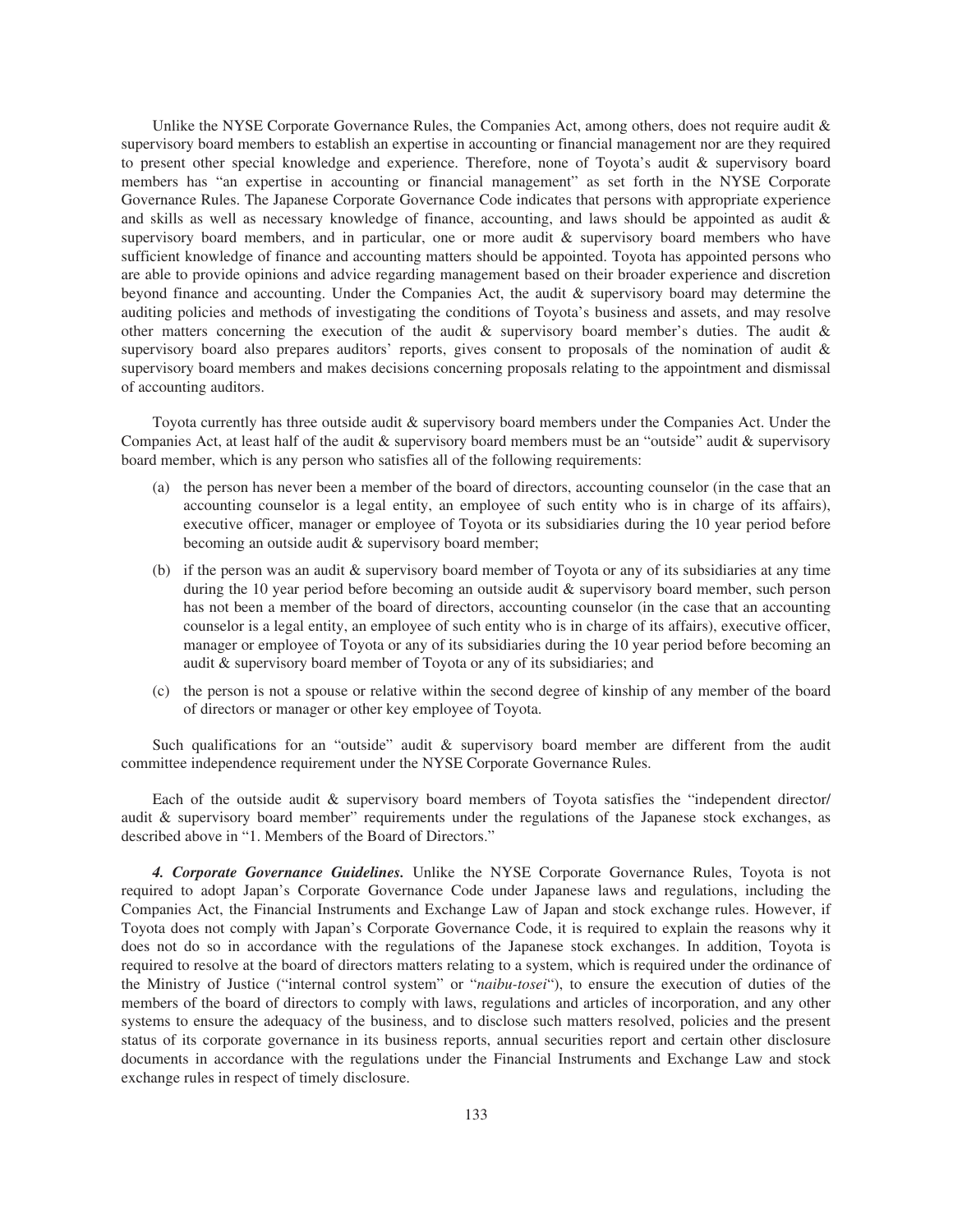Unlike the NYSE Corporate Governance Rules, the Companies Act, among others, does not require audit & supervisory board members to establish an expertise in accounting or financial management nor are they required to present other special knowledge and experience. Therefore, none of Toyota's audit & supervisory board members has "an expertise in accounting or financial management" as set forth in the NYSE Corporate Governance Rules. The Japanese Corporate Governance Code indicates that persons with appropriate experience and skills as well as necessary knowledge of finance, accounting, and laws should be appointed as audit & supervisory board members, and in particular, one or more audit & supervisory board members who have sufficient knowledge of finance and accounting matters should be appointed. Toyota has appointed persons who are able to provide opinions and advice regarding management based on their broader experience and discretion beyond finance and accounting. Under the Companies Act, the audit & supervisory board may determine the auditing policies and methods of investigating the conditions of Toyota's business and assets, and may resolve other matters concerning the execution of the audit & supervisory board member's duties. The audit & supervisory board also prepares auditors' reports, gives consent to proposals of the nomination of audit & supervisory board members and makes decisions concerning proposals relating to the appointment and dismissal of accounting auditors.

Toyota currently has three outside audit & supervisory board members under the Companies Act. Under the Companies Act, at least half of the audit & supervisory board members must be an "outside" audit & supervisory board member, which is any person who satisfies all of the following requirements:

- (a) the person has never been a member of the board of directors, accounting counselor (in the case that an accounting counselor is a legal entity, an employee of such entity who is in charge of its affairs), executive officer, manager or employee of Toyota or its subsidiaries during the 10 year period before becoming an outside audit & supervisory board member;
- (b) if the person was an audit & supervisory board member of Toyota or any of its subsidiaries at any time during the 10 year period before becoming an outside audit & supervisory board member, such person has not been a member of the board of directors, accounting counselor (in the case that an accounting counselor is a legal entity, an employee of such entity who is in charge of its affairs), executive officer, manager or employee of Toyota or any of its subsidiaries during the 10 year period before becoming an audit & supervisory board member of Toyota or any of its subsidiaries; and
- (c) the person is not a spouse or relative within the second degree of kinship of any member of the board of directors or manager or other key employee of Toyota.

Such qualifications for an "outside" audit & supervisory board member are different from the audit committee independence requirement under the NYSE Corporate Governance Rules.

Each of the outside audit & supervisory board members of Toyota satisfies the "independent director/ audit & supervisory board member" requirements under the regulations of the Japanese stock exchanges, as described above in "1. Members of the Board of Directors."

*4. Corporate Governance Guidelines.* Unlike the NYSE Corporate Governance Rules, Toyota is not required to adopt Japan's Corporate Governance Code under Japanese laws and regulations, including the Companies Act, the Financial Instruments and Exchange Law of Japan and stock exchange rules. However, if Toyota does not comply with Japan's Corporate Governance Code, it is required to explain the reasons why it does not do so in accordance with the regulations of the Japanese stock exchanges. In addition, Toyota is required to resolve at the board of directors matters relating to a system, which is required under the ordinance of the Ministry of Justice ("internal control system" or "*naibu-tosei*"), to ensure the execution of duties of the members of the board of directors to comply with laws, regulations and articles of incorporation, and any other systems to ensure the adequacy of the business, and to disclose such matters resolved, policies and the present status of its corporate governance in its business reports, annual securities report and certain other disclosure documents in accordance with the regulations under the Financial Instruments and Exchange Law and stock exchange rules in respect of timely disclosure.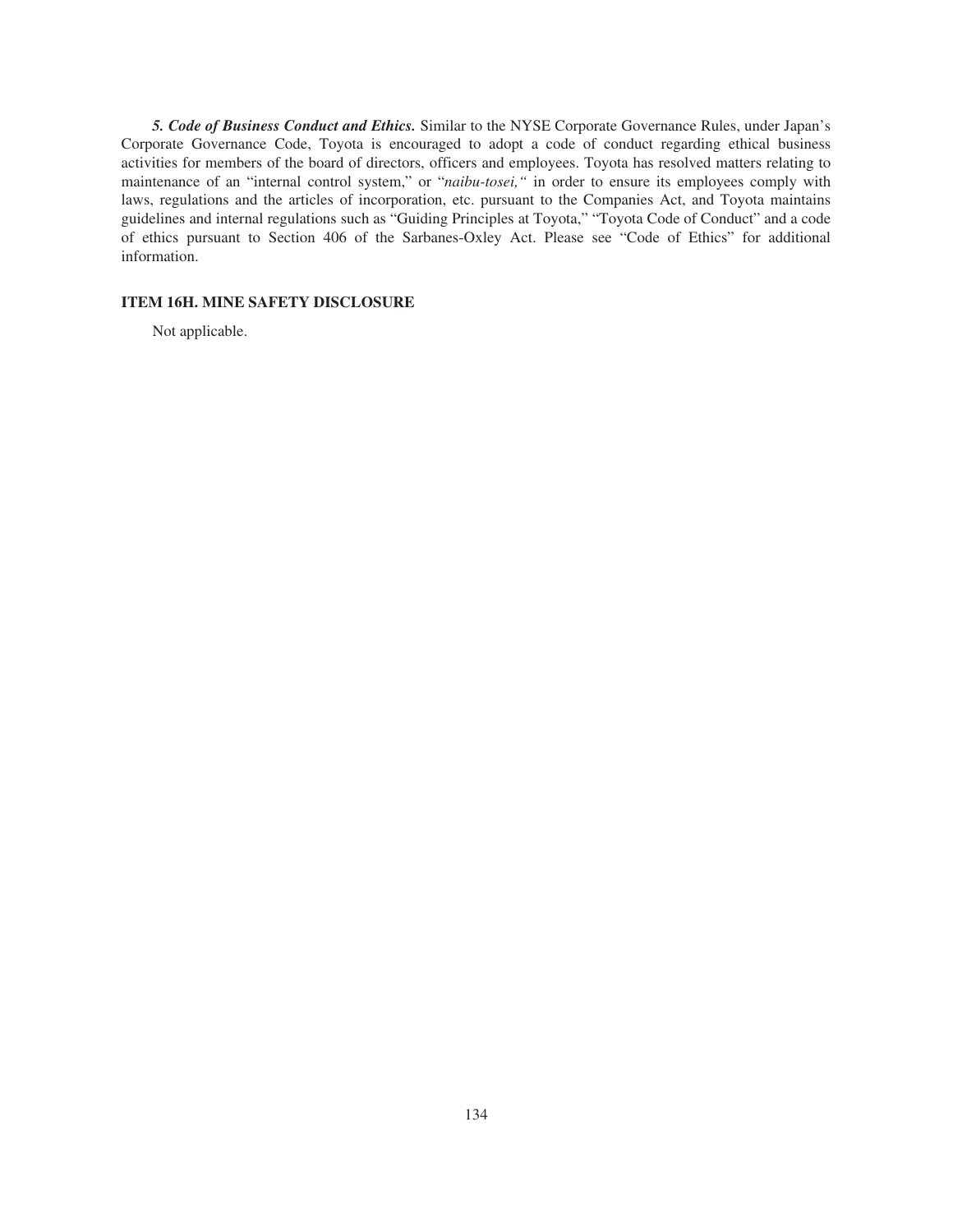*5. Code of Business Conduct and Ethics.* Similar to the NYSE Corporate Governance Rules, under Japan's Corporate Governance Code, Toyota is encouraged to adopt a code of conduct regarding ethical business activities for members of the board of directors, officers and employees. Toyota has resolved matters relating to maintenance of an "internal control system," or "*naibu-tosei,"* in order to ensure its employees comply with laws, regulations and the articles of incorporation, etc. pursuant to the Companies Act, and Toyota maintains guidelines and internal regulations such as "Guiding Principles at Toyota," "Toyota Code of Conduct" and a code of ethics pursuant to Section 406 of the Sarbanes-Oxley Act. Please see "Code of Ethics" for additional information.

# **ITEM 16H. MINE SAFETY DISCLOSURE**

Not applicable.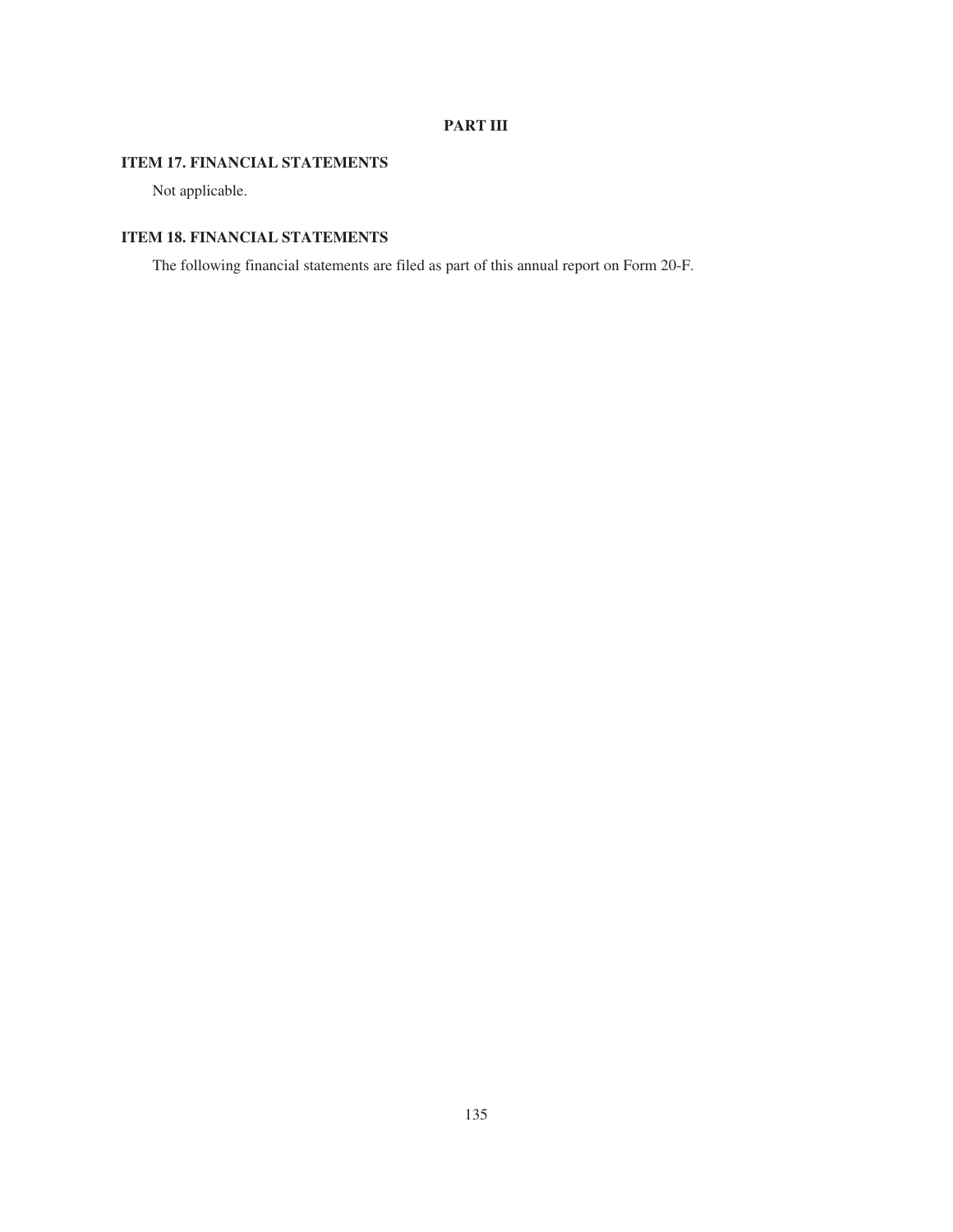# **PART III**

# **ITEM 17. FINANCIAL STATEMENTS**

Not applicable.

# **ITEM 18. FINANCIAL STATEMENTS**

The following financial statements are filed as part of this annual report on Form 20-F.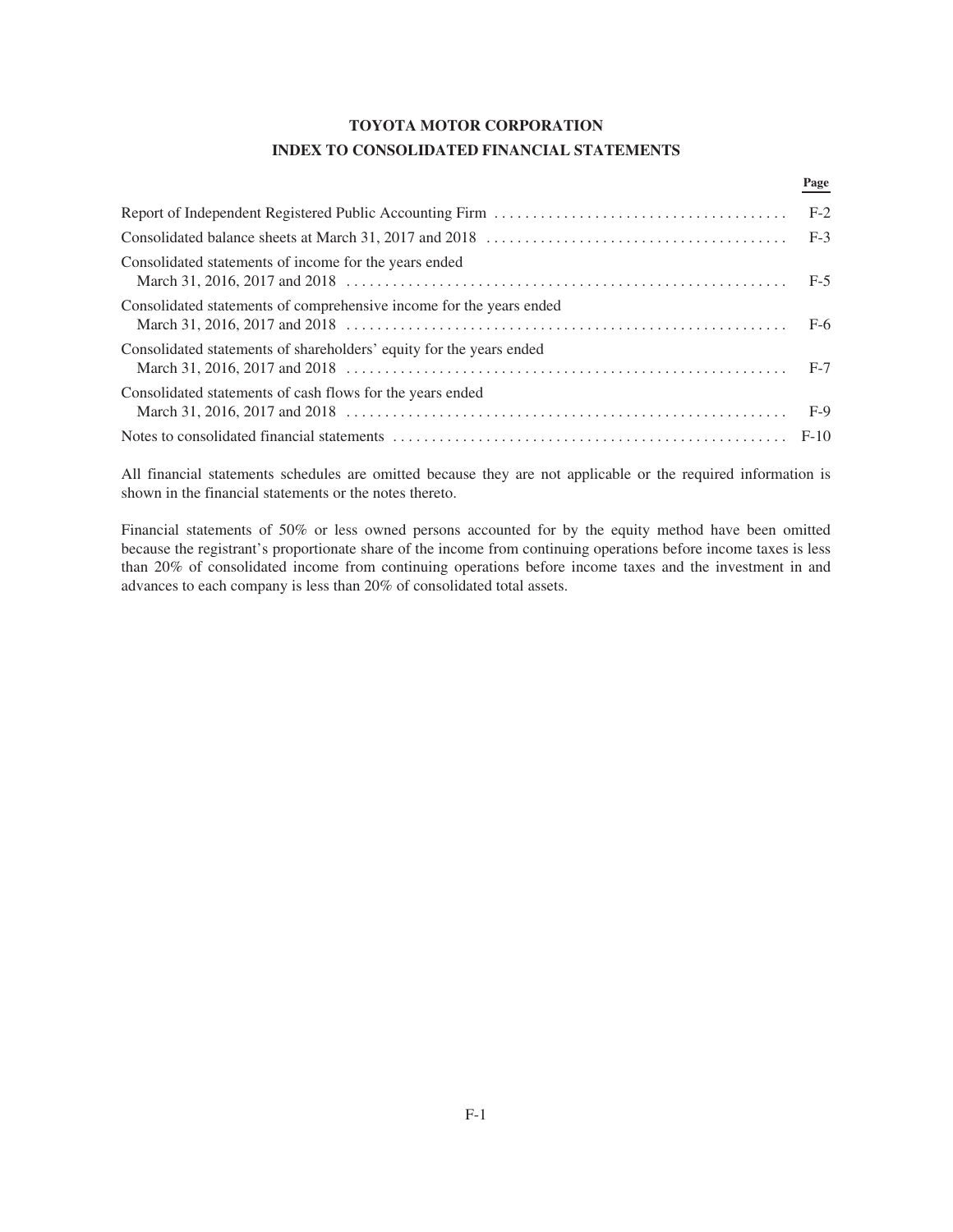# **TOYOTA MOTOR CORPORATION INDEX TO CONSOLIDATED FINANCIAL STATEMENTS**

**Page**

# Report of Independent Registered Public Accounting Firm . . . . . . . . . . . . . . . . . . . . . . . . . . . . . . . . . . . . . . F-2 Consolidated balance sheets at March 31, 2017 and 2018 . . . . . . . . . . . . . . . . . . . . . . . . . . . . . . . . . . . . . . . F-3 Consolidated statements of income for the years ended March 31, 2016, 2017 and 2018 . . . . . . . . . . . . . . . . . . . . . . . . . . . . . . . . . . . . . . . . . . . . . . . . . . . . . . . . . F-5 Consolidated statements of comprehensive income for the years ended March 31, 2016, 2017 and 2018 . . . . . . . . . . . . . . . . . . . . . . . . . . . . . . . . . . . . . . . . . . . . . . . . . . . . . . . . . F-6 Consolidated statements of shareholders' equity for the years ended March 31, 2016, 2017 and 2018 . . . . . . . . . . . . . . . . . . . . . . . . . . . . . . . . . . . . . . . . . . . . . . . . . . . . . . . . . F-7 Consolidated statements of cash flows for the years ended March 31, 2016, 2017 and 2018 . . . . . . . . . . . . . . . . . . . . . . . . . . . . . . . . . . . . . . . . . . . . . . . . . . . . . . . . . F-9 Notes to consolidated financial statements . . . . . . . . . . . . . . . . . . . . . . . . . . . . . . . . . . . . . . . . . . . . . . . . . . . F-10

All financial statements schedules are omitted because they are not applicable or the required information is shown in the financial statements or the notes thereto.

Financial statements of 50% or less owned persons accounted for by the equity method have been omitted because the registrant's proportionate share of the income from continuing operations before income taxes is less than 20% of consolidated income from continuing operations before income taxes and the investment in and advances to each company is less than 20% of consolidated total assets.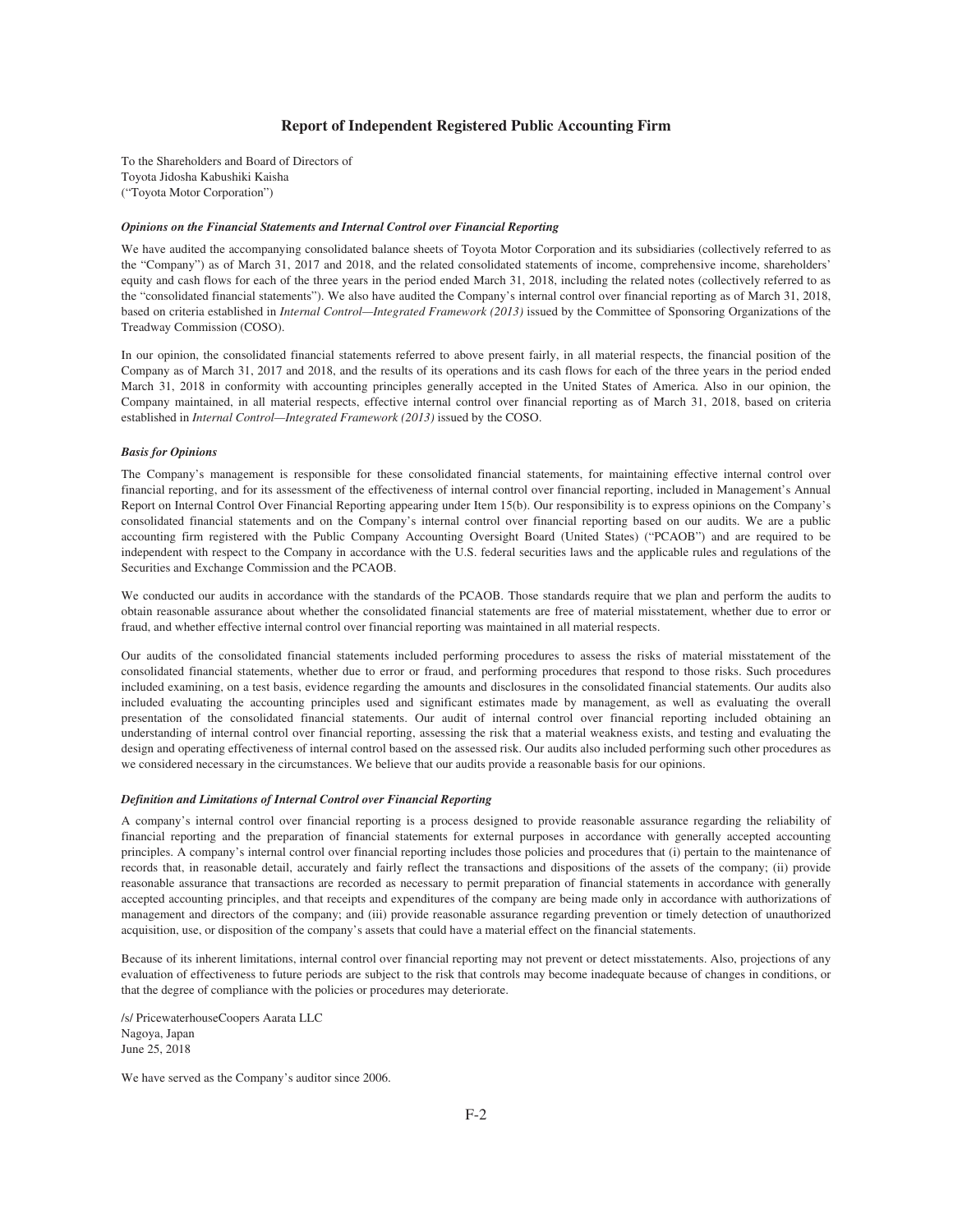# **Report of Independent Registered Public Accounting Firm**

To the Shareholders and Board of Directors of Toyota Jidosha Kabushiki Kaisha ("Toyota Motor Corporation")

#### *Opinions on the Financial Statements and Internal Control over Financial Reporting*

We have audited the accompanying consolidated balance sheets of Toyota Motor Corporation and its subsidiaries (collectively referred to as the "Company") as of March 31, 2017 and 2018, and the related consolidated statements of income, comprehensive income, shareholders' equity and cash flows for each of the three years in the period ended March 31, 2018, including the related notes (collectively referred to as the "consolidated financial statements"). We also have audited the Company's internal control over financial reporting as of March 31, 2018, based on criteria established in *Internal Control—Integrated Framework (2013)* issued by the Committee of Sponsoring Organizations of the Treadway Commission (COSO).

In our opinion, the consolidated financial statements referred to above present fairly, in all material respects, the financial position of the Company as of March 31, 2017 and 2018, and the results of its operations and its cash flows for each of the three years in the period ended March 31, 2018 in conformity with accounting principles generally accepted in the United States of America. Also in our opinion, the Company maintained, in all material respects, effective internal control over financial reporting as of March 31, 2018, based on criteria established in *Internal Control—Integrated Framework (2013)* issued by the COSO.

#### *Basis for Opinions*

The Company's management is responsible for these consolidated financial statements, for maintaining effective internal control over financial reporting, and for its assessment of the effectiveness of internal control over financial reporting, included in Management's Annual Report on Internal Control Over Financial Reporting appearing under Item 15(b). Our responsibility is to express opinions on the Company's consolidated financial statements and on the Company's internal control over financial reporting based on our audits. We are a public accounting firm registered with the Public Company Accounting Oversight Board (United States) ("PCAOB") and are required to be independent with respect to the Company in accordance with the U.S. federal securities laws and the applicable rules and regulations of the Securities and Exchange Commission and the PCAOB.

We conducted our audits in accordance with the standards of the PCAOB. Those standards require that we plan and perform the audits to obtain reasonable assurance about whether the consolidated financial statements are free of material misstatement, whether due to error or fraud, and whether effective internal control over financial reporting was maintained in all material respects.

Our audits of the consolidated financial statements included performing procedures to assess the risks of material misstatement of the consolidated financial statements, whether due to error or fraud, and performing procedures that respond to those risks. Such procedures included examining, on a test basis, evidence regarding the amounts and disclosures in the consolidated financial statements. Our audits also included evaluating the accounting principles used and significant estimates made by management, as well as evaluating the overall presentation of the consolidated financial statements. Our audit of internal control over financial reporting included obtaining an understanding of internal control over financial reporting, assessing the risk that a material weakness exists, and testing and evaluating the design and operating effectiveness of internal control based on the assessed risk. Our audits also included performing such other procedures as we considered necessary in the circumstances. We believe that our audits provide a reasonable basis for our opinions.

#### *Definition and Limitations of Internal Control over Financial Reporting*

A company's internal control over financial reporting is a process designed to provide reasonable assurance regarding the reliability of financial reporting and the preparation of financial statements for external purposes in accordance with generally accepted accounting principles. A company's internal control over financial reporting includes those policies and procedures that (i) pertain to the maintenance of records that, in reasonable detail, accurately and fairly reflect the transactions and dispositions of the assets of the company; (ii) provide reasonable assurance that transactions are recorded as necessary to permit preparation of financial statements in accordance with generally accepted accounting principles, and that receipts and expenditures of the company are being made only in accordance with authorizations of management and directors of the company; and (iii) provide reasonable assurance regarding prevention or timely detection of unauthorized acquisition, use, or disposition of the company's assets that could have a material effect on the financial statements.

Because of its inherent limitations, internal control over financial reporting may not prevent or detect misstatements. Also, projections of any evaluation of effectiveness to future periods are subject to the risk that controls may become inadequate because of changes in conditions, or that the degree of compliance with the policies or procedures may deteriorate.

/s/ PricewaterhouseCoopers Aarata LLC Nagoya, Japan June 25, 2018

We have served as the Company's auditor since 2006.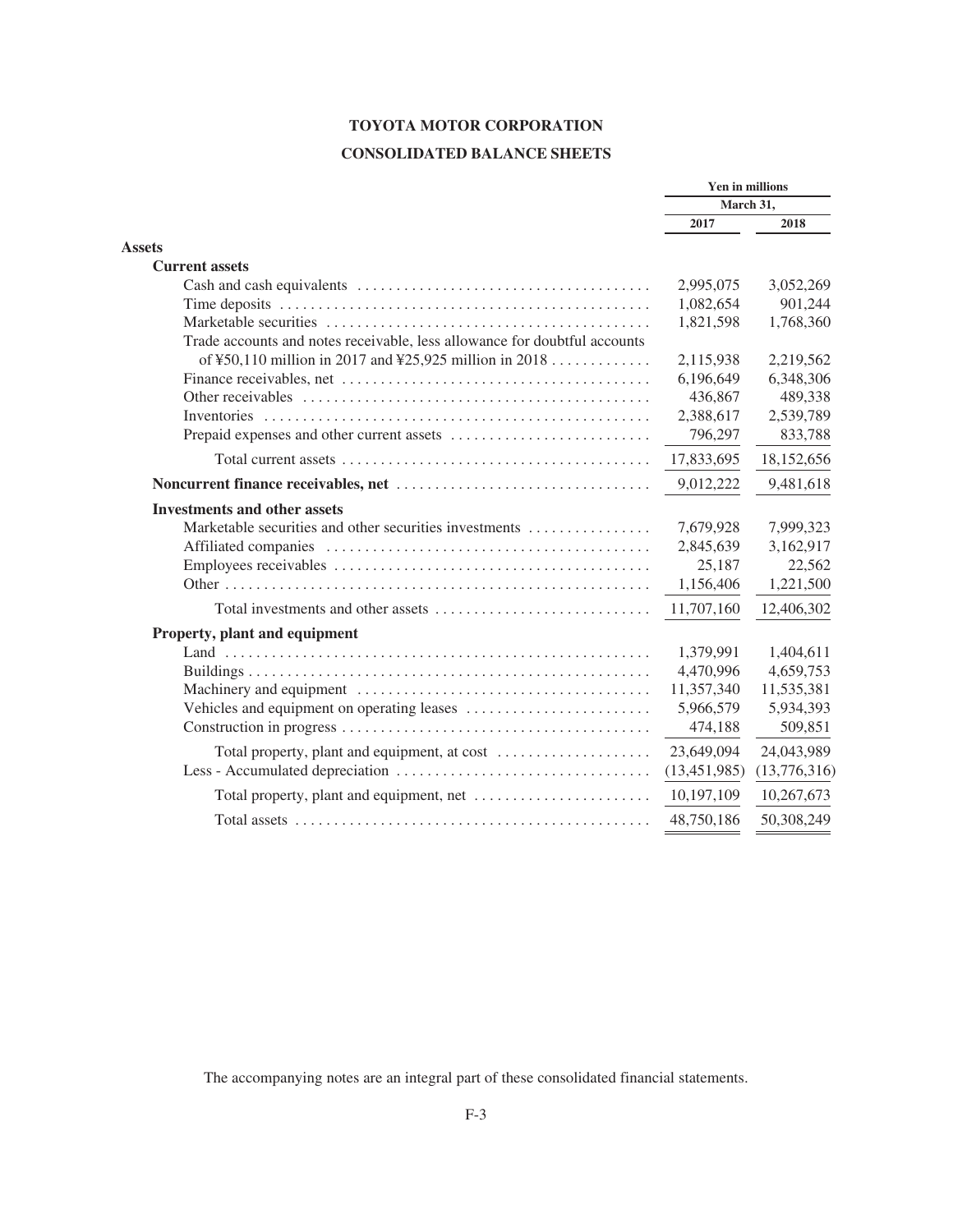# **TOYOTA MOTOR CORPORATION**

# **CONSOLIDATED BALANCE SHEETS**

|                                                                                                                     | <b>Yen in millions</b> |              |
|---------------------------------------------------------------------------------------------------------------------|------------------------|--------------|
|                                                                                                                     | March 31,              |              |
|                                                                                                                     | 2017                   | 2018         |
| <b>Assets</b>                                                                                                       |                        |              |
| <b>Current assets</b>                                                                                               |                        |              |
|                                                                                                                     | 2,995,075              | 3,052,269    |
|                                                                                                                     | 1,082,654              | 901,244      |
|                                                                                                                     | 1,821,598              | 1,768,360    |
| Trade accounts and notes receivable, less allowance for doubtful accounts                                           |                        |              |
| of ¥50,110 million in 2017 and ¥25,925 million in 2018                                                              | 2,115,938              | 2,219,562    |
|                                                                                                                     | 6,196,649              | 6,348,306    |
| Other receivables $\dots \dots \dots \dots \dots \dots \dots \dots \dots \dots \dots \dots \dots \dots \dots \dots$ | 436,867                | 489,338      |
|                                                                                                                     | 2,388,617              | 2,539,789    |
|                                                                                                                     | 796,297                | 833,788      |
|                                                                                                                     | 17,833,695             | 18,152,656   |
|                                                                                                                     | 9,012,222              | 9,481,618    |
| <b>Investments and other assets</b>                                                                                 |                        |              |
| Marketable securities and other securities investments                                                              | 7,679,928              | 7,999,323    |
|                                                                                                                     | 2,845,639              | 3,162,917    |
|                                                                                                                     | 25,187                 | 22,562       |
|                                                                                                                     | 1,156,406              | 1,221,500    |
|                                                                                                                     | 11,707,160             | 12,406,302   |
| Property, plant and equipment                                                                                       |                        |              |
|                                                                                                                     | 1,379,991              | 1,404,611    |
|                                                                                                                     | 4,470,996              | 4,659,753    |
|                                                                                                                     | 11,357,340             | 11,535,381   |
|                                                                                                                     | 5,966,579              | 5,934,393    |
|                                                                                                                     | 474,188                | 509,851      |
| Total property, plant and equipment, at cost                                                                        | 23,649,094             | 24,043,989   |
|                                                                                                                     | (13, 451, 985)         | (13,776,316) |
|                                                                                                                     | 10,197,109             | 10,267,673   |
|                                                                                                                     | 48,750,186             | 50,308,249   |

The accompanying notes are an integral part of these consolidated financial statements.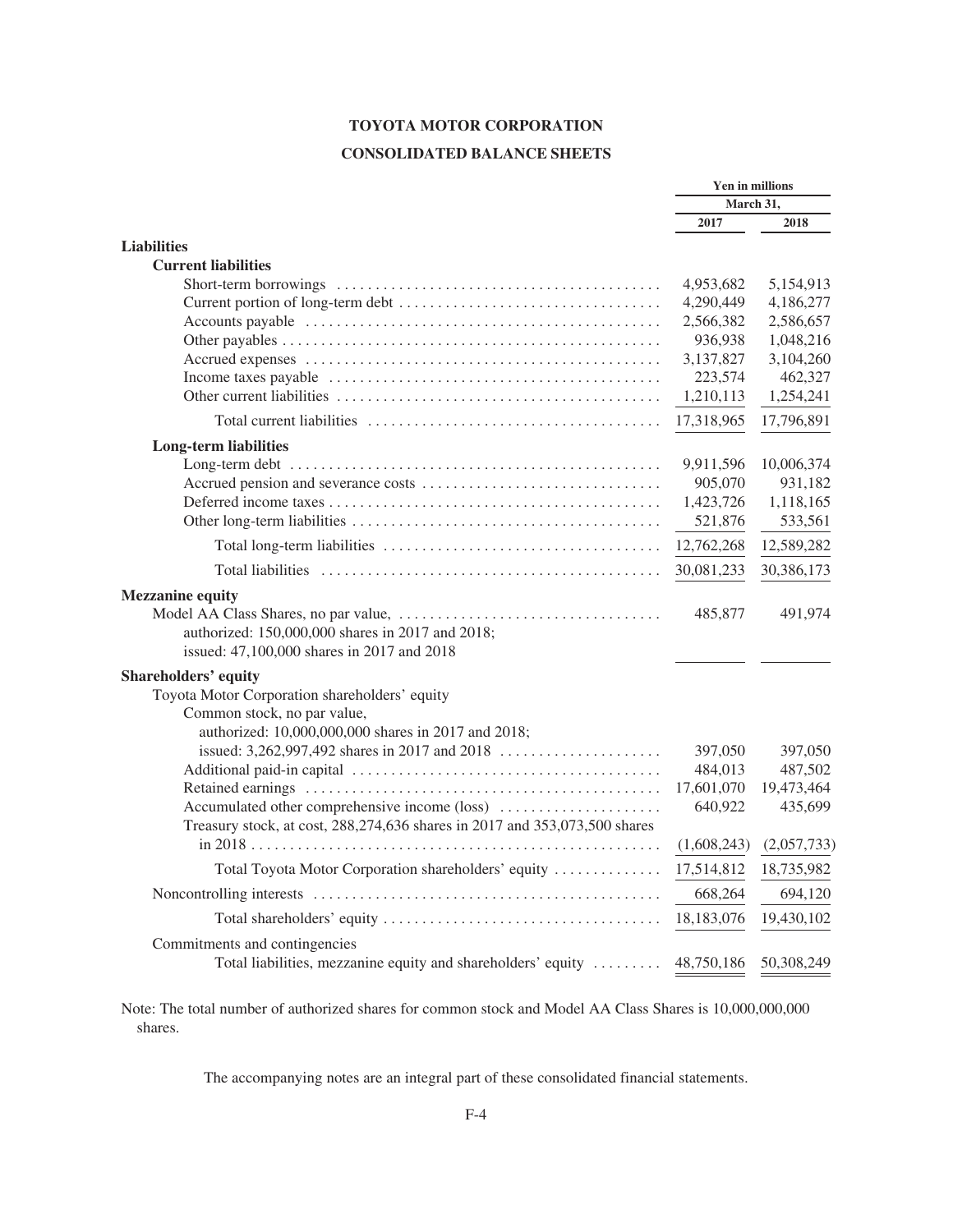# **TOYOTA MOTOR CORPORATION**

# **CONSOLIDATED BALANCE SHEETS**

|                                                                                                                           | Yen in millions<br>March 31, |             |
|---------------------------------------------------------------------------------------------------------------------------|------------------------------|-------------|
|                                                                                                                           |                              |             |
|                                                                                                                           | 2017                         | 2018        |
| <b>Liabilities</b>                                                                                                        |                              |             |
| <b>Current liabilities</b>                                                                                                |                              |             |
|                                                                                                                           | 4,953,682                    | 5,154,913   |
|                                                                                                                           | 4,290,449                    | 4,186,277   |
|                                                                                                                           | 2,566,382                    | 2,586,657   |
|                                                                                                                           | 936,938                      | 1,048,216   |
|                                                                                                                           | 3,137,827                    | 3,104,260   |
|                                                                                                                           | 223,574                      | 462,327     |
|                                                                                                                           | 1,210,113                    | 1,254,241   |
|                                                                                                                           | 17,318,965                   | 17,796,891  |
| <b>Long-term liabilities</b>                                                                                              |                              |             |
|                                                                                                                           | 9,911,596                    | 10,006,374  |
|                                                                                                                           | 905,070                      | 931,182     |
|                                                                                                                           | 1,423,726                    | 1,118,165   |
|                                                                                                                           | 521,876                      | 533,561     |
|                                                                                                                           | 12,762,268                   | 12,589,282  |
|                                                                                                                           | 30,081,233                   | 30,386,173  |
| <b>Mezzanine equity</b><br>authorized: 150,000,000 shares in 2017 and 2018;<br>issued: 47,100,000 shares in 2017 and 2018 | 485,877                      | 491,974     |
| <b>Shareholders' equity</b>                                                                                               |                              |             |
| Toyota Motor Corporation shareholders' equity                                                                             |                              |             |
| Common stock, no par value,                                                                                               |                              |             |
| authorized: 10,000,000,000 shares in 2017 and 2018;                                                                       |                              |             |
|                                                                                                                           | 397,050                      | 397,050     |
|                                                                                                                           | 484,013                      | 487,502     |
|                                                                                                                           | 17,601,070                   | 19,473,464  |
| Accumulated other comprehensive income (loss)                                                                             | 640,922                      | 435,699     |
| Treasury stock, at cost, 288,274,636 shares in 2017 and 353,073,500 shares                                                |                              |             |
|                                                                                                                           | (1,608,243)                  | (2,057,733) |
| Total Toyota Motor Corporation shareholders' equity                                                                       | 17,514,812                   | 18,735,982  |
|                                                                                                                           | 668,264                      | 694,120     |
|                                                                                                                           | 18,183,076                   | 19,430,102  |
| Commitments and contingencies                                                                                             |                              |             |
| Total liabilities, mezzanine equity and shareholders' equity                                                              | 48,750,186                   | 50,308,249  |

Note: The total number of authorized shares for common stock and Model AA Class Shares is 10,000,000,000 shares.

The accompanying notes are an integral part of these consolidated financial statements.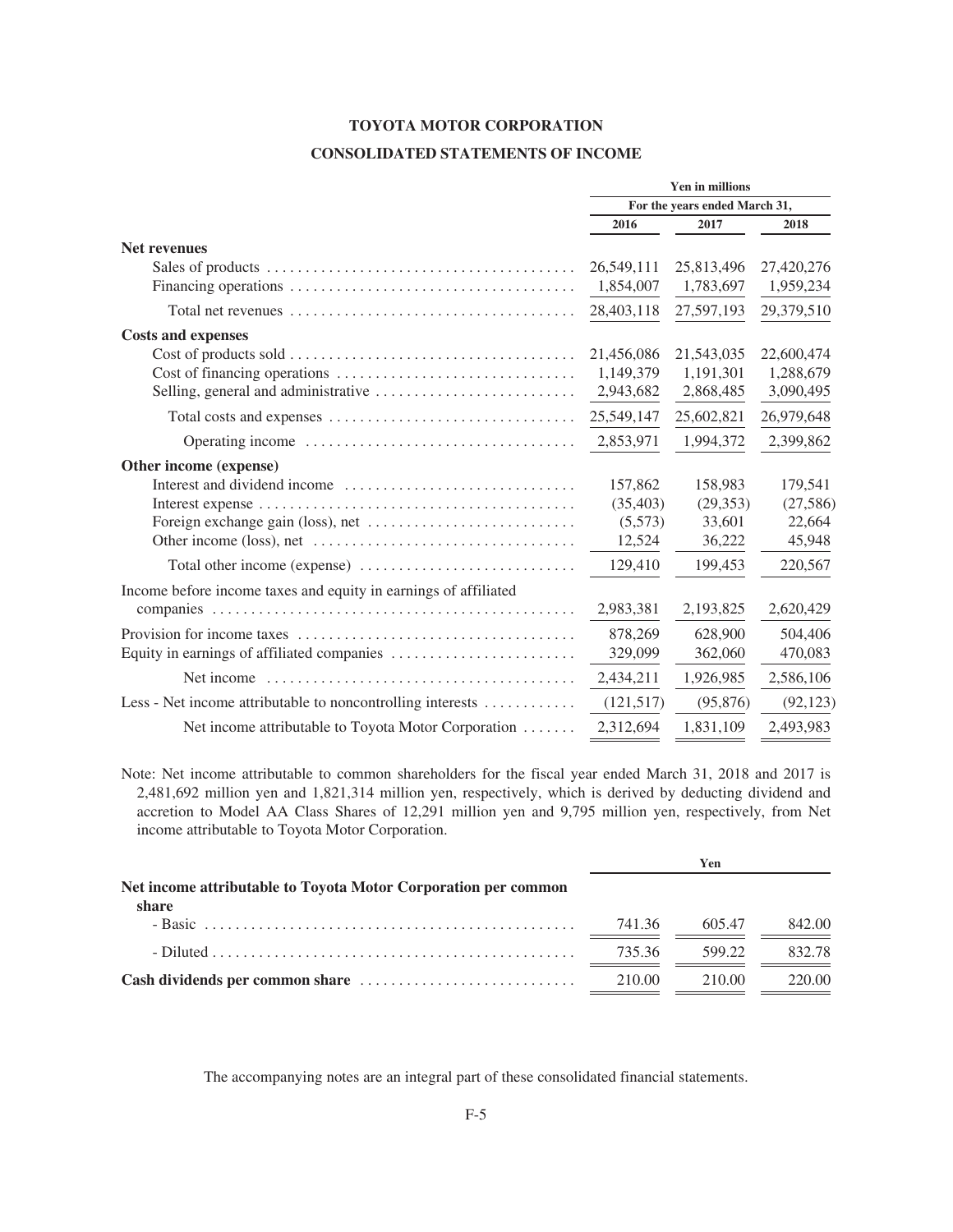# **CONSOLIDATED STATEMENTS OF INCOME**

|                                                                                                       | <b>Yen in millions</b> |                               |            |  |
|-------------------------------------------------------------------------------------------------------|------------------------|-------------------------------|------------|--|
|                                                                                                       |                        | For the years ended March 31, |            |  |
|                                                                                                       | 2016                   | 2017                          | 2018       |  |
| Net revenues                                                                                          |                        |                               |            |  |
|                                                                                                       | 26,549,111             | 25,813,496                    | 27,420,276 |  |
|                                                                                                       | 1,854,007              | 1,783,697                     | 1,959,234  |  |
|                                                                                                       | 28,403,118             | 27,597,193                    | 29,379,510 |  |
| <b>Costs and expenses</b>                                                                             |                        |                               |            |  |
| $Cost of products sold \dots \dots \dots \dots \dots \dots \dots \dots \dots \dots \dots \dots \dots$ | 21,456,086             | 21,543,035                    | 22,600,474 |  |
|                                                                                                       | 1,149,379              | 1,191,301                     | 1,288,679  |  |
|                                                                                                       | 2,943,682              | 2,868,485                     | 3,090,495  |  |
|                                                                                                       | 25,549,147             | 25,602,821                    | 26,979,648 |  |
|                                                                                                       | 2,853,971              | 1,994,372                     | 2,399,862  |  |
| Other income (expense)                                                                                |                        |                               |            |  |
|                                                                                                       | 157,862                | 158,983                       | 179,541    |  |
|                                                                                                       | (35, 403)              | (29, 353)                     | (27, 586)  |  |
|                                                                                                       | (5,573)                | 33,601                        | 22,664     |  |
| Other income (loss), net $\dots\dots\dots\dots\dots\dots\dots\dots\dots\dots\dots\dots\dots\dots$     | 12,524                 | 36,222                        | 45,948     |  |
|                                                                                                       | 129,410                | 199,453                       | 220,567    |  |
| Income before income taxes and equity in earnings of affiliated                                       |                        |                               |            |  |
|                                                                                                       | 2,983,381              | 2,193,825                     | 2,620,429  |  |
|                                                                                                       | 878,269                | 628,900                       | 504,406    |  |
|                                                                                                       | 329,099                | 362,060                       | 470,083    |  |
|                                                                                                       | 2,434,211              | 1,926,985                     | 2,586,106  |  |
| Less - Net income attributable to noncontrolling interests                                            | (121, 517)             | (95, 876)                     | (92, 123)  |  |
| Net income attributable to Toyota Motor Corporation                                                   | 2,312,694              | 1,831,109                     | 2,493,983  |  |

Note: Net income attributable to common shareholders for the fiscal year ended March 31, 2018 and 2017 is 2,481,692 million yen and 1,821,314 million yen, respectively, which is derived by deducting dividend and accretion to Model AA Class Shares of 12,291 million yen and 9,795 million yen, respectively, from Net income attributable to Toyota Motor Corporation.

|                                                                         |        | Yen    |        |
|-------------------------------------------------------------------------|--------|--------|--------|
| Net income attributable to Toyota Motor Corporation per common<br>share |        |        |        |
|                                                                         | 741.36 | 605.47 | 842.00 |
|                                                                         | 735.36 | 599.22 | 832.78 |
|                                                                         | 210.00 | 210.00 | 220.00 |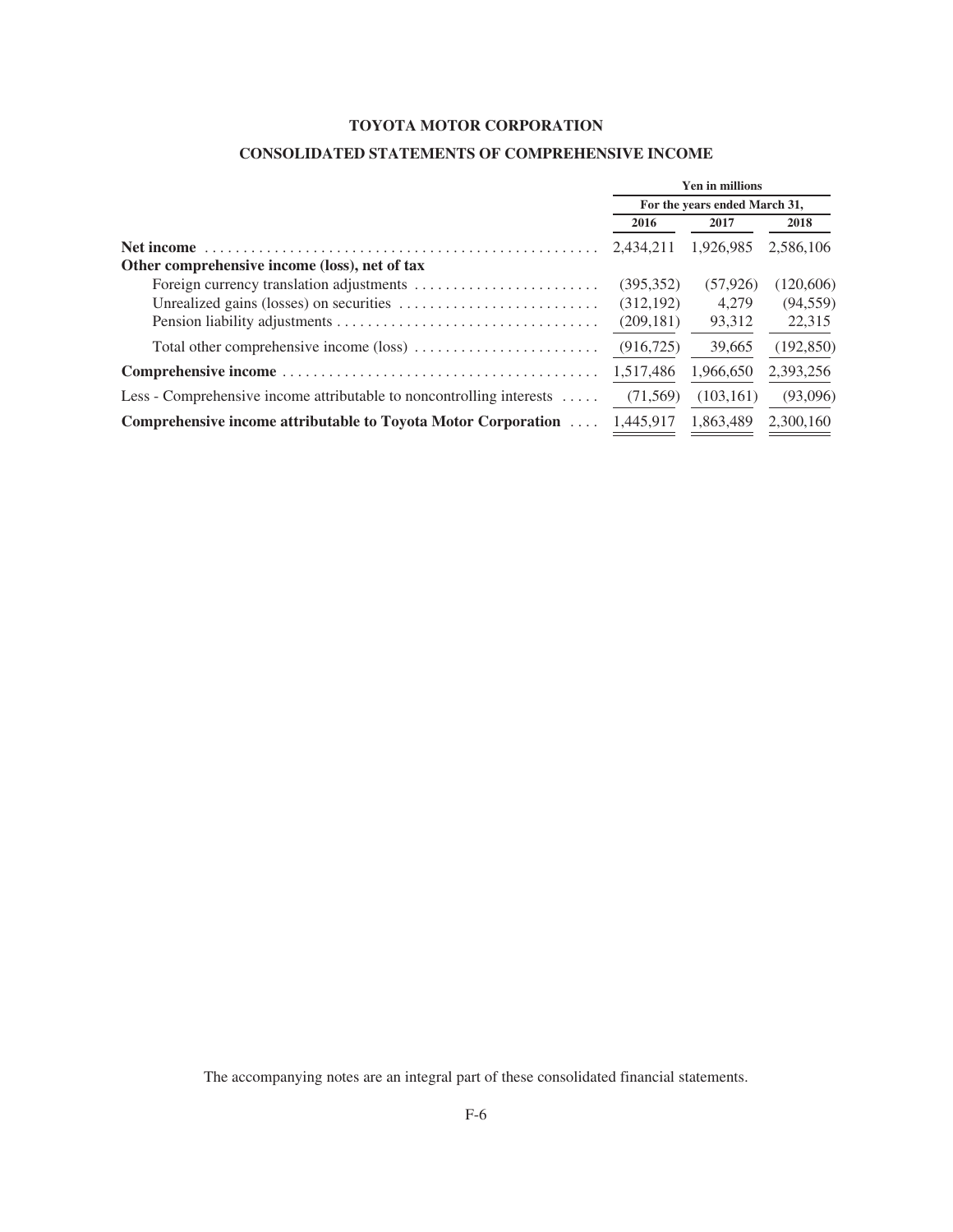|                                                                          | <b>Yen in millions</b>        |           |            |  |
|--------------------------------------------------------------------------|-------------------------------|-----------|------------|--|
|                                                                          | For the years ended March 31, |           |            |  |
|                                                                          | 2016                          | 2017      | 2018       |  |
|                                                                          | 2.434.211                     | 1.926.985 | 2.586.106  |  |
| Other comprehensive income (loss), net of tax                            |                               |           |            |  |
|                                                                          | (395.352)                     | (57, 926) | (120.606)  |  |
|                                                                          | (312, 192)                    | 4.279     | (94, 559)  |  |
|                                                                          | (209, 181)                    | 93,312    | 22,315     |  |
|                                                                          | (916, 725)                    | 39,665    | (192, 850) |  |
|                                                                          | 1,517,486                     | 1,966,650 | 2,393,256  |  |
| Less - Comprehensive income attributable to noncontrolling interests     | (71,569)                      | (103.161) | (93,096)   |  |
| Comprehensive income attributable to Toyota Motor Corporation  1,445,917 |                               | 1.863.489 | 2.300.160  |  |

# **CONSOLIDATED STATEMENTS OF COMPREHENSIVE INCOME**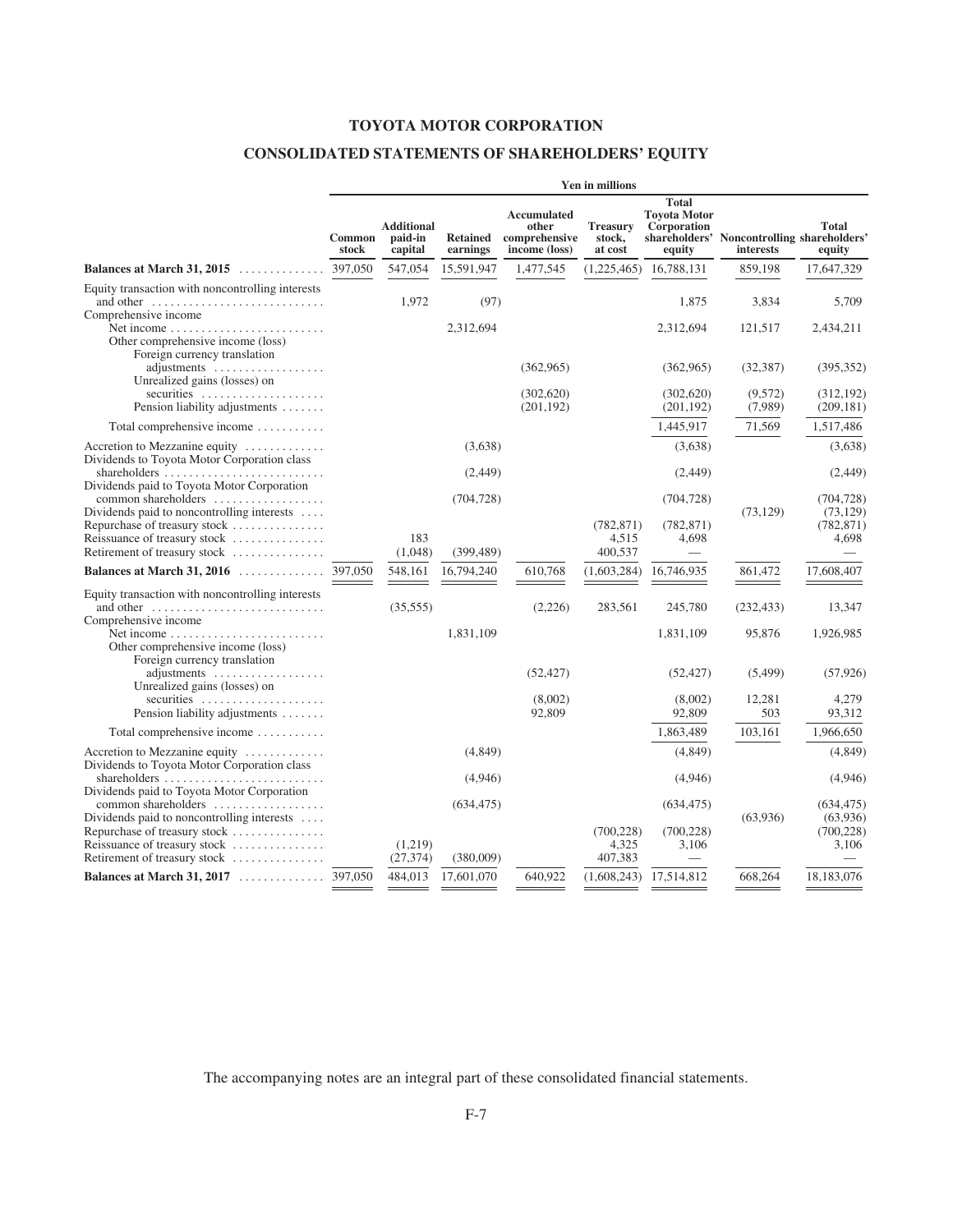# **CONSOLIDATED STATEMENTS OF SHAREHOLDERS' EQUITY**

|                                                                                                                         |                 |                                         |                             |                                                               | Yen in millions                      |                                                              |                                                         |                          |
|-------------------------------------------------------------------------------------------------------------------------|-----------------|-----------------------------------------|-----------------------------|---------------------------------------------------------------|--------------------------------------|--------------------------------------------------------------|---------------------------------------------------------|--------------------------|
|                                                                                                                         | Common<br>stock | <b>Additional</b><br>paid-in<br>capital | <b>Retained</b><br>earnings | <b>Accumulated</b><br>other<br>comprehensive<br>income (loss) | <b>Treasury</b><br>stock,<br>at cost | <b>Total</b><br><b>Toyota Motor</b><br>Corporation<br>equity | shareholders' Noncontrolling shareholders'<br>interests | <b>Total</b><br>equity   |
| Balances at March 31, 2015 $\ldots$                                                                                     | 397,050         | 547,054                                 | 15,591,947                  | 1,477,545                                                     |                                      | $(1,225,465)$ 16,788,131                                     | 859,198                                                 | 17,647,329               |
| Equity transaction with noncontrolling interests<br>and other<br>Comprehensive income                                   |                 | 1,972                                   | (97)                        |                                                               |                                      | 1,875                                                        | 3,834                                                   | 5,709                    |
| Net income<br>Other comprehensive income (loss)<br>Foreign currency translation                                         |                 |                                         | 2,312,694                   |                                                               |                                      | 2,312,694                                                    | 121,517                                                 | 2,434,211                |
| adjustments<br>Unrealized gains (losses) on                                                                             |                 |                                         |                             | (362, 965)                                                    |                                      | (362,965)                                                    | (32, 387)                                               | (395, 352)               |
| securities $\ldots \ldots \ldots \ldots \ldots$<br>Pension liability adjustments                                        |                 |                                         |                             | (302,620)<br>(201, 192)                                       |                                      | (302,620)<br>(201, 192)                                      | (9,572)<br>(7,989)                                      | (312, 192)<br>(209, 181) |
| Total comprehensive income                                                                                              |                 |                                         |                             |                                                               |                                      | 1,445,917                                                    | 71,569                                                  | 1,517,486                |
| Accretion to Mezzanine equity<br>Dividends to Toyota Motor Corporation class                                            |                 |                                         | (3,638)                     |                                                               |                                      | (3,638)                                                      |                                                         | (3,638)                  |
| Dividends paid to Toyota Motor Corporation                                                                              |                 |                                         | (2,449)                     |                                                               |                                      | (2,449)                                                      |                                                         | (2,449)                  |
| common shareholders<br>Dividends paid to noncontrolling interests $\dots$                                               |                 |                                         | (704, 728)                  |                                                               |                                      | (704, 728)                                                   | (73, 129)                                               | (704, 728)<br>(73, 129)  |
| Repurchase of treasury stock                                                                                            |                 |                                         |                             |                                                               | (782, 871)                           | (782, 871)                                                   |                                                         | (782, 871)               |
| Reissuance of treasury stock<br>Retirement of treasury stock                                                            |                 | 183<br>(1,048)                          | (399, 489)                  |                                                               | 4,515<br>400,537                     | 4,698                                                        |                                                         | 4,698                    |
| Balances at March 31, 2016 $\ldots$                                                                                     | 397,050         | 548,161                                 | 16,794,240                  | 610,768                                                       | (1,603,284)                          | 16,746,935                                                   | 861,472                                                 | 17,608,407               |
| Equity transaction with noncontrolling interests<br>and other $\dots\dots\dots\dots\dots\dots\dots\dots\dots\dots\dots$ |                 | (35, 555)                               |                             | (2,226)                                                       | 283,561                              | 245,780                                                      | (232, 433)                                              | 13,347                   |
| Comprehensive income                                                                                                    |                 |                                         | 1,831,109                   |                                                               |                                      | 1,831,109                                                    | 95,876                                                  | 1,926,985                |
| Other comprehensive income (loss)<br>Foreign currency translation                                                       |                 |                                         |                             |                                                               |                                      |                                                              |                                                         |                          |
| adjustments<br>Unrealized gains (losses) on                                                                             |                 |                                         |                             | (52, 427)                                                     |                                      | (52, 427)                                                    | (5,499)                                                 | (57, 926)                |
| securities<br>Pension liability adjustments                                                                             |                 |                                         |                             | (8,002)<br>92,809                                             |                                      | (8,002)<br>92,809                                            | 12,281<br>503                                           | 4,279<br>93.312          |
| Total comprehensive income                                                                                              |                 |                                         |                             |                                                               |                                      | 1,863,489                                                    | 103,161                                                 | 1,966,650                |
| Accretion to Mezzanine equity<br>Dividends to Toyota Motor Corporation class                                            |                 |                                         | (4,849)                     |                                                               |                                      | (4,849)                                                      |                                                         | (4, 849)                 |
| shareholders $\dots\dots\dots\dots\dots\dots\dots\dots\dots\dots$<br>Dividends paid to Toyota Motor Corporation         |                 |                                         | (4,946)                     |                                                               |                                      | (4,946)                                                      |                                                         | (4,946)                  |
| common shareholders<br>Dividends paid to noncontrolling interests                                                       |                 |                                         | (634, 475)                  |                                                               |                                      | (634, 475)                                                   | (63,936)                                                | (634, 475)<br>(63,936)   |
| Repurchase of treasury stock<br>Reissuance of treasury stock<br>Retirement of treasury stock                            |                 | (1,219)<br>(27, 374)                    | (380,009)                   |                                                               | (700, 228)<br>4,325<br>407,383       | (700, 228)<br>3,106                                          |                                                         | (700, 228)<br>3,106      |
|                                                                                                                         |                 | 484,013                                 | 17,601,070                  | 640,922                                                       |                                      | $(1,608,243)$ 17,514,812                                     | 668.264                                                 | 18,183,076               |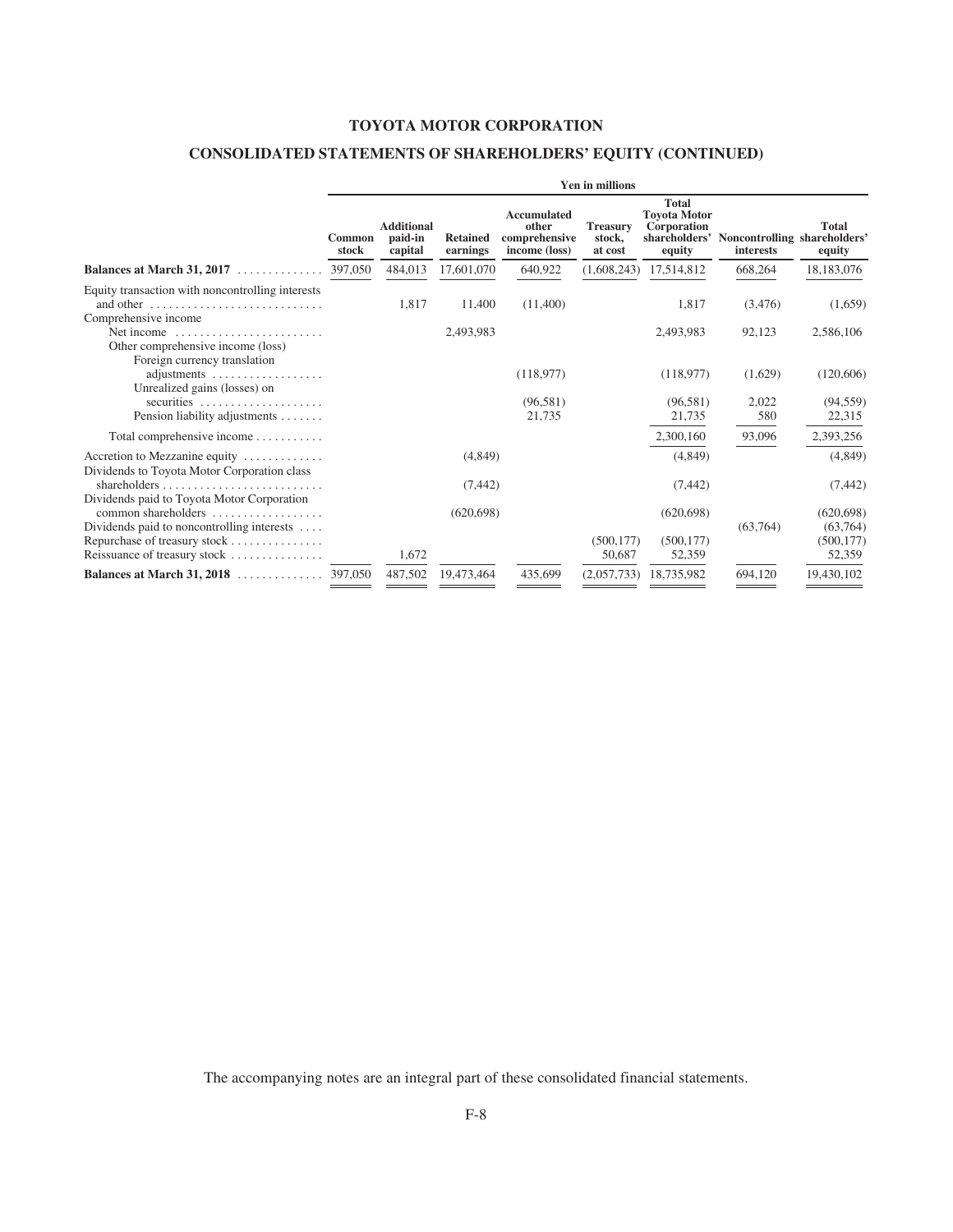# **CONSOLIDATED STATEMENTS OF SHAREHOLDERS' EQUITY (CONTINUED)**

|                                                                                                                         | Yen in millions |                                         |                             |                                                               |                                      |                                                                               |                             |                                  |
|-------------------------------------------------------------------------------------------------------------------------|-----------------|-----------------------------------------|-----------------------------|---------------------------------------------------------------|--------------------------------------|-------------------------------------------------------------------------------|-----------------------------|----------------------------------|
|                                                                                                                         | Common<br>stock | <b>Additional</b><br>paid-in<br>capital | <b>Retained</b><br>earnings | <b>Accumulated</b><br>other<br>comprehensive<br>income (loss) | <b>Treasury</b><br>stock.<br>at cost | <b>Total</b><br><b>Toyota Motor</b><br>Corporation<br>shareholders'<br>equity | Noncontrolling<br>interests | Total<br>shareholders'<br>equity |
| Balances at March 31, $2017$                                                                                            | 397,050         | 484,013                                 | 17,601,070                  | 640,922                                                       | (1,608,243)                          | 17,514,812                                                                    | 668,264                     | 18,183,076                       |
| Equity transaction with noncontrolling interests<br>and other $\dots\dots\dots\dots\dots\dots\dots\dots\dots\dots\dots$ |                 | 1,817                                   | 11,400                      | (11,400)                                                      |                                      | 1,817                                                                         | (3,476)                     | (1,659)                          |
| Comprehensive income<br>Net income<br>Other comprehensive income (loss)                                                 |                 |                                         | 2,493,983                   |                                                               |                                      | 2,493,983                                                                     | 92,123                      | 2,586,106                        |
| Foreign currency translation<br>adjustments $\ldots \ldots \ldots \ldots \ldots$<br>Unrealized gains (losses) on        |                 |                                         |                             | (118,977)                                                     |                                      | (118,977)                                                                     | (1,629)                     | (120,606)                        |
| securities $\ldots \ldots \ldots \ldots \ldots$<br>Pension liability adjustments                                        |                 |                                         |                             | (96, 581)<br>21,735                                           |                                      | (96, 581)<br>21,735                                                           | 2,022<br>580                | (94, 559)<br>22,315              |
| Total comprehensive income                                                                                              |                 |                                         |                             |                                                               |                                      | 2,300,160                                                                     | 93,096                      | 2,393,256                        |
| Accretion to Mezzanine equity<br>Dividends to Toyota Motor Corporation class                                            |                 |                                         | (4, 849)                    |                                                               |                                      | (4, 849)                                                                      |                             | (4, 849)                         |
| Dividends paid to Toyota Motor Corporation                                                                              |                 |                                         | (7, 442)                    |                                                               |                                      | (7, 442)                                                                      |                             | (7, 442)                         |
| common shareholders<br>Dividends paid to noncontrolling interests $\dots$                                               |                 |                                         | (620, 698)                  |                                                               |                                      | (620, 698)                                                                    | (63,764)                    | (620, 698)<br>(63,764)           |
| Repurchase of treasury stock<br>Reissuance of treasury stock                                                            |                 | 1,672                                   |                             |                                                               | (500, 177)<br>50,687                 | (500, 177)<br>52,359                                                          |                             | (500, 177)<br>52,359             |
| <b>Balances at March 31, 2018</b> 397,050                                                                               |                 | 487,502                                 | 19,473,464                  | 435,699                                                       | (2,057,733)                          | 18,735,982                                                                    | 694,120                     | 19,430,102                       |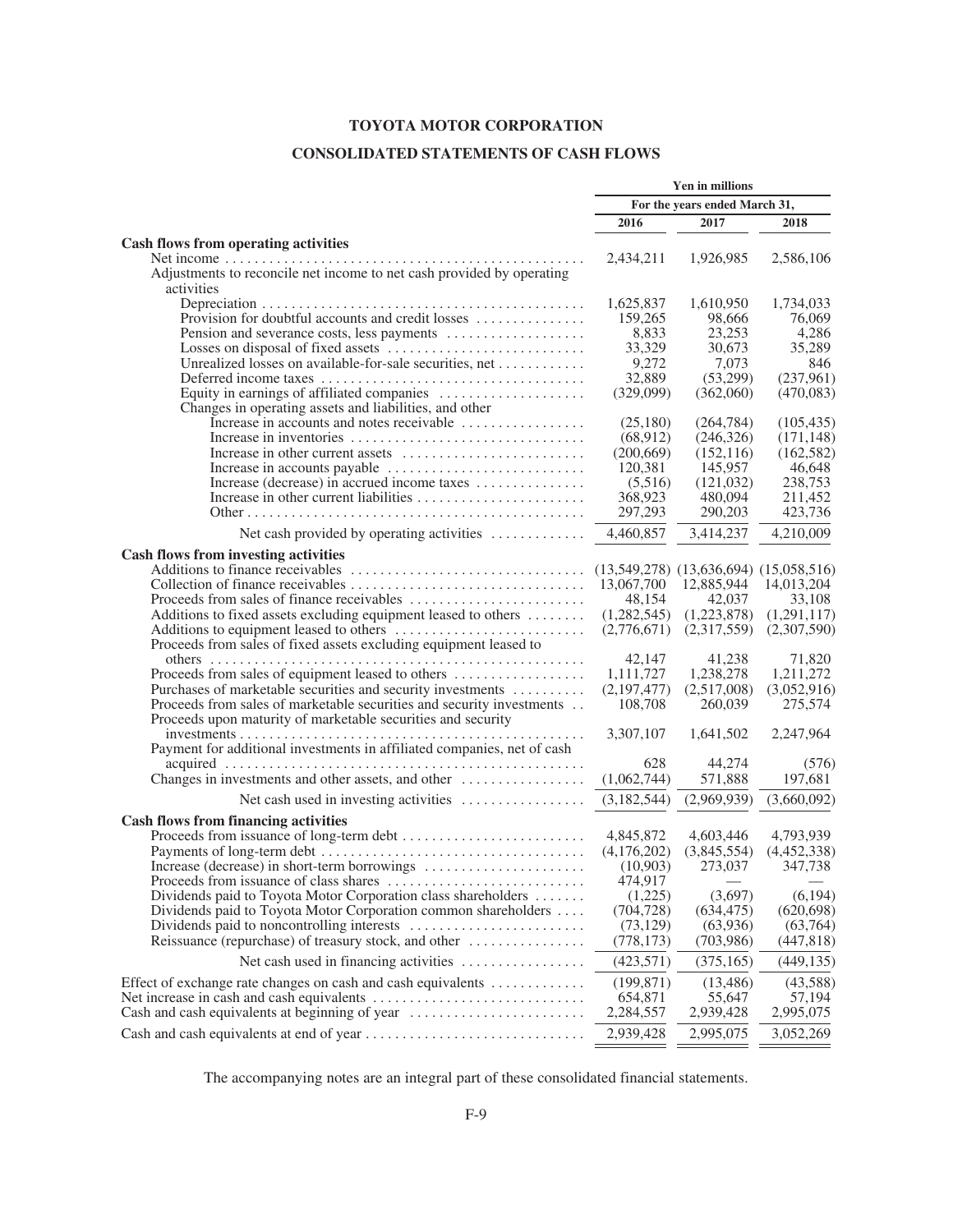# **CONSOLIDATED STATEMENTS OF CASH FLOWS**

|                                                                         | Yen in millions |                                              |                  |
|-------------------------------------------------------------------------|-----------------|----------------------------------------------|------------------|
|                                                                         |                 | For the years ended March 31,                |                  |
|                                                                         | 2016            | 2017                                         | 2018             |
| <b>Cash flows from operating activities</b>                             |                 |                                              |                  |
|                                                                         | 2,434,211       | 1,926,985                                    | 2,586,106        |
| Adjustments to reconcile net income to net cash provided by operating   |                 |                                              |                  |
| activities                                                              |                 |                                              |                  |
|                                                                         | 1,625,837       | 1,610,950                                    | 1,734,033        |
| Provision for doubtful accounts and credit losses                       | 159,265         | 98,666                                       | 76,069           |
|                                                                         | 8,833           | 23,253                                       | 4,286            |
|                                                                         | 33,329          | 30,673                                       | 35,289           |
| Unrealized losses on available-for-sale securities, net                 | 9,272           | 7,073                                        | 846              |
|                                                                         | 32,889          | (53,299)                                     | (237,961)        |
| Equity in earnings of affiliated companies                              | (329,099)       | (362,060)                                    | (470,083)        |
| Changes in operating assets and liabilities, and other                  |                 |                                              |                  |
| Increase in accounts and notes receivable                               | (25,180)        | (264, 784)                                   | (105, 435)       |
| Increase in inventories                                                 | (68, 912)       | (246, 326)                                   | (171, 148)       |
|                                                                         | (200,669)       | (152, 116)                                   | (162, 582)       |
|                                                                         | 120,381         | 145,957                                      | 46,648           |
| Increase (decrease) in accrued income taxes                             | (5,516)         | (121, 032)                                   | 238,753          |
| Increase in other current liabilities                                   | 368,923         | 480,094                                      | 211,452          |
|                                                                         | 297,293         | 290,203                                      | 423,736          |
| Net cash provided by operating activities                               | 4,460,857       | 3,414,237                                    | 4,210,009        |
| <b>Cash flows from investing activities</b>                             |                 |                                              |                  |
|                                                                         |                 | $(13,549,278)$ $(13,636,694)$ $(15,058,516)$ |                  |
|                                                                         | 13,067,700      | 12,885,944                                   | 14,013,204       |
|                                                                         | 48,154          | 42,037                                       | 33,108           |
| Additions to fixed assets excluding equipment leased to others          | (1,282,545)     | (1,223,878)                                  | (1,291,117)      |
|                                                                         | (2,776,671)     | (2,317,559)                                  | (2,307,590)      |
| Proceeds from sales of fixed assets excluding equipment leased to       |                 |                                              |                  |
| others $\ldots$ , $\ldots$                                              | 42,147          | 41,238                                       | 71,820           |
| Proceeds from sales of equipment leased to others                       | 1,111,727       | 1,238,278                                    | 1,211,272        |
| Purchases of marketable securities and security investments             | (2, 197, 477)   | (2,517,008)                                  | (3,052,916)      |
| Proceeds from sales of marketable securities and security investments   | 108,708         | 260,039                                      | 275,574          |
| Proceeds upon maturity of marketable securities and security            |                 |                                              |                  |
|                                                                         | 3,307,107       | 1,641,502                                    | 2,247,964        |
| Payment for additional investments in affiliated companies, net of cash |                 |                                              |                  |
|                                                                         | 628             | 44,274                                       |                  |
| Changes in investments and other assets, and other                      | (1,062,744)     | 571,888                                      | (576)<br>197,681 |
|                                                                         |                 |                                              |                  |
| Net cash used in investing activities                                   | (3,182,544)     | (2,969,939)                                  | (3,660,092)      |
| <b>Cash flows from financing activities</b>                             |                 |                                              |                  |
|                                                                         | 4,845,872       | 4,603,446                                    | 4,793,939        |
|                                                                         | (4,176,202)     | (3,845,554)                                  | (4,452,338)      |
|                                                                         | (10,903)        | 273,037                                      | 347,738          |
|                                                                         | 474,917         |                                              |                  |
| Dividends paid to Toyota Motor Corporation class shareholders           | (1,225)         | (3,697)                                      | (6, 194)         |
| Dividends paid to Toyota Motor Corporation common shareholders          | (704, 728)      | (634, 475)                                   | (620, 698)       |
|                                                                         | (73, 129)       | (63,936)                                     | (63,764)         |
| Reissuance (repurchase) of treasury stock, and other                    | (778, 173)      | (703, 986)                                   | (447, 818)       |
| Net cash used in financing activities                                   | (423, 571)      | (375, 165)                                   | (449, 135)       |
| Effect of exchange rate changes on cash and cash equivalents            | (199, 871)      | (13, 486)                                    | (43,588)         |
|                                                                         | 654,871         | 55,647                                       | 57,194           |
| Cash and cash equivalents at beginning of year                          | 2,284,557       | 2,939,428                                    | 2,995,075        |
|                                                                         |                 |                                              |                  |
|                                                                         | 2,939,428       | 2,995,075                                    | 3,052,269        |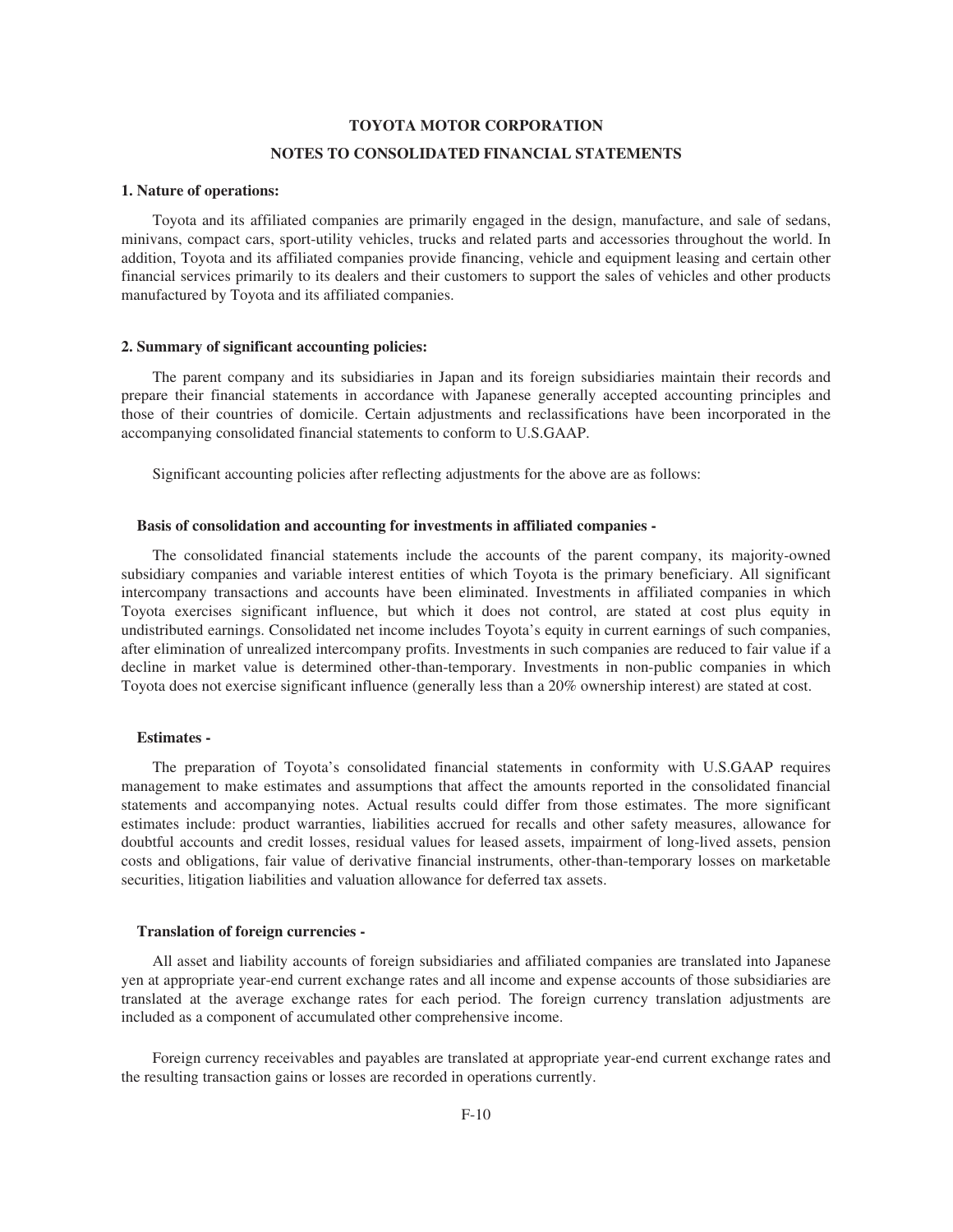## **NOTES TO CONSOLIDATED FINANCIAL STATEMENTS**

### **1. Nature of operations:**

Toyota and its affiliated companies are primarily engaged in the design, manufacture, and sale of sedans, minivans, compact cars, sport-utility vehicles, trucks and related parts and accessories throughout the world. In addition, Toyota and its affiliated companies provide financing, vehicle and equipment leasing and certain other financial services primarily to its dealers and their customers to support the sales of vehicles and other products manufactured by Toyota and its affiliated companies.

#### **2. Summary of significant accounting policies:**

The parent company and its subsidiaries in Japan and its foreign subsidiaries maintain their records and prepare their financial statements in accordance with Japanese generally accepted accounting principles and those of their countries of domicile. Certain adjustments and reclassifications have been incorporated in the accompanying consolidated financial statements to conform to U.S.GAAP.

Significant accounting policies after reflecting adjustments for the above are as follows:

#### **Basis of consolidation and accounting for investments in affiliated companies -**

The consolidated financial statements include the accounts of the parent company, its majority-owned subsidiary companies and variable interest entities of which Toyota is the primary beneficiary. All significant intercompany transactions and accounts have been eliminated. Investments in affiliated companies in which Toyota exercises significant influence, but which it does not control, are stated at cost plus equity in undistributed earnings. Consolidated net income includes Toyota's equity in current earnings of such companies, after elimination of unrealized intercompany profits. Investments in such companies are reduced to fair value if a decline in market value is determined other-than-temporary. Investments in non-public companies in which Toyota does not exercise significant influence (generally less than a 20% ownership interest) are stated at cost.

#### **Estimates -**

The preparation of Toyota's consolidated financial statements in conformity with U.S.GAAP requires management to make estimates and assumptions that affect the amounts reported in the consolidated financial statements and accompanying notes. Actual results could differ from those estimates. The more significant estimates include: product warranties, liabilities accrued for recalls and other safety measures, allowance for doubtful accounts and credit losses, residual values for leased assets, impairment of long-lived assets, pension costs and obligations, fair value of derivative financial instruments, other-than-temporary losses on marketable securities, litigation liabilities and valuation allowance for deferred tax assets.

#### **Translation of foreign currencies -**

All asset and liability accounts of foreign subsidiaries and affiliated companies are translated into Japanese yen at appropriate year-end current exchange rates and all income and expense accounts of those subsidiaries are translated at the average exchange rates for each period. The foreign currency translation adjustments are included as a component of accumulated other comprehensive income.

Foreign currency receivables and payables are translated at appropriate year-end current exchange rates and the resulting transaction gains or losses are recorded in operations currently.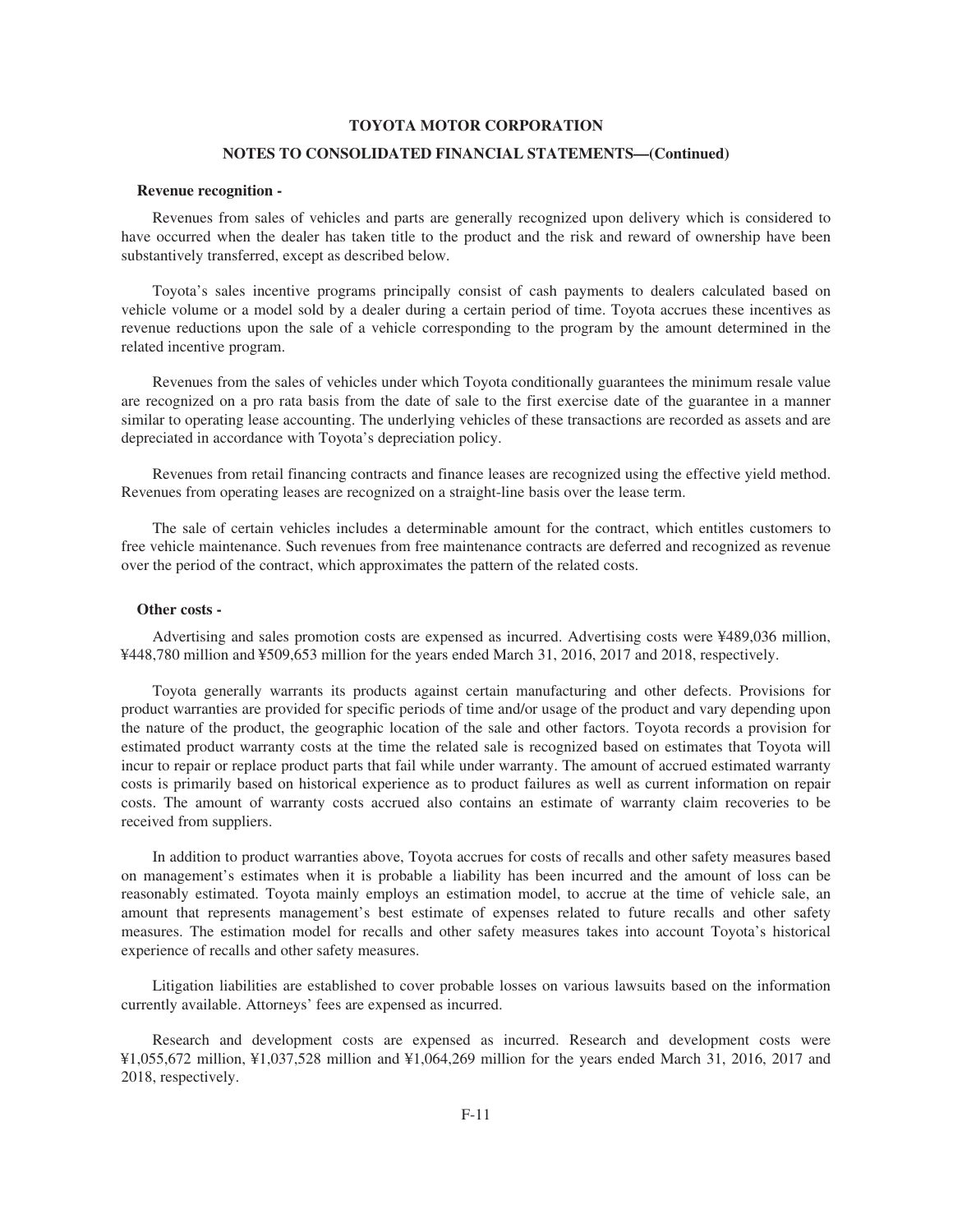### **NOTES TO CONSOLIDATED FINANCIAL STATEMENTS—(Continued)**

#### **Revenue recognition -**

Revenues from sales of vehicles and parts are generally recognized upon delivery which is considered to have occurred when the dealer has taken title to the product and the risk and reward of ownership have been substantively transferred, except as described below.

Toyota's sales incentive programs principally consist of cash payments to dealers calculated based on vehicle volume or a model sold by a dealer during a certain period of time. Toyota accrues these incentives as revenue reductions upon the sale of a vehicle corresponding to the program by the amount determined in the related incentive program.

Revenues from the sales of vehicles under which Toyota conditionally guarantees the minimum resale value are recognized on a pro rata basis from the date of sale to the first exercise date of the guarantee in a manner similar to operating lease accounting. The underlying vehicles of these transactions are recorded as assets and are depreciated in accordance with Toyota's depreciation policy.

Revenues from retail financing contracts and finance leases are recognized using the effective yield method. Revenues from operating leases are recognized on a straight-line basis over the lease term.

The sale of certain vehicles includes a determinable amount for the contract, which entitles customers to free vehicle maintenance. Such revenues from free maintenance contracts are deferred and recognized as revenue over the period of the contract, which approximates the pattern of the related costs.

### **Other costs -**

Advertising and sales promotion costs are expensed as incurred. Advertising costs were ¥489,036 million, ¥448,780 million and ¥509,653 million for the years ended March 31, 2016, 2017 and 2018, respectively.

Toyota generally warrants its products against certain manufacturing and other defects. Provisions for product warranties are provided for specific periods of time and/or usage of the product and vary depending upon the nature of the product, the geographic location of the sale and other factors. Toyota records a provision for estimated product warranty costs at the time the related sale is recognized based on estimates that Toyota will incur to repair or replace product parts that fail while under warranty. The amount of accrued estimated warranty costs is primarily based on historical experience as to product failures as well as current information on repair costs. The amount of warranty costs accrued also contains an estimate of warranty claim recoveries to be received from suppliers.

In addition to product warranties above, Toyota accrues for costs of recalls and other safety measures based on management's estimates when it is probable a liability has been incurred and the amount of loss can be reasonably estimated. Toyota mainly employs an estimation model, to accrue at the time of vehicle sale, an amount that represents management's best estimate of expenses related to future recalls and other safety measures. The estimation model for recalls and other safety measures takes into account Toyota's historical experience of recalls and other safety measures.

Litigation liabilities are established to cover probable losses on various lawsuits based on the information currently available. Attorneys' fees are expensed as incurred.

Research and development costs are expensed as incurred. Research and development costs were ¥1,055,672 million, ¥1,037,528 million and ¥1,064,269 million for the years ended March 31, 2016, 2017 and 2018, respectively.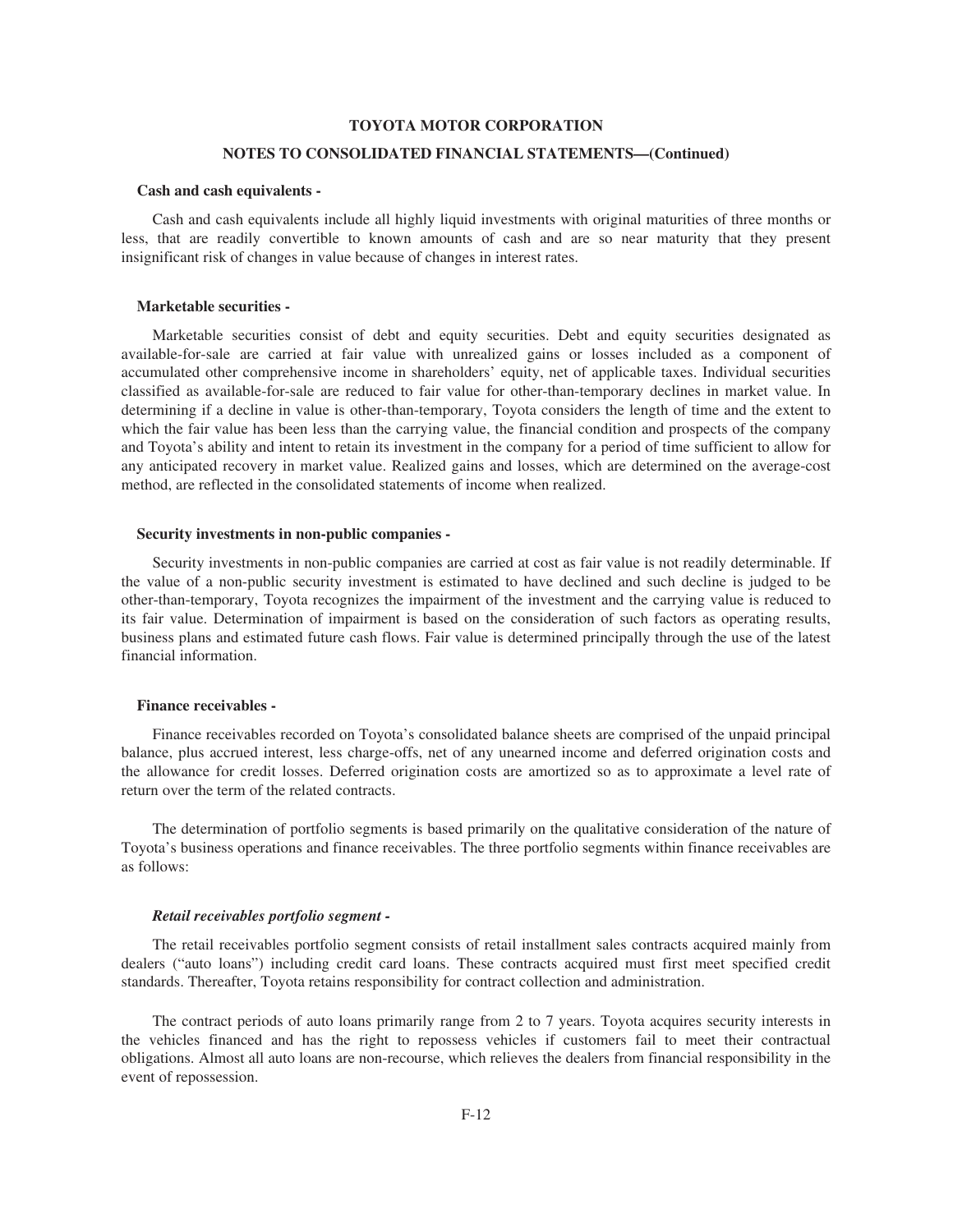## **NOTES TO CONSOLIDATED FINANCIAL STATEMENTS—(Continued)**

#### **Cash and cash equivalents -**

Cash and cash equivalents include all highly liquid investments with original maturities of three months or less, that are readily convertible to known amounts of cash and are so near maturity that they present insignificant risk of changes in value because of changes in interest rates.

### **Marketable securities -**

Marketable securities consist of debt and equity securities. Debt and equity securities designated as available-for-sale are carried at fair value with unrealized gains or losses included as a component of accumulated other comprehensive income in shareholders' equity, net of applicable taxes. Individual securities classified as available-for-sale are reduced to fair value for other-than-temporary declines in market value. In determining if a decline in value is other-than-temporary, Toyota considers the length of time and the extent to which the fair value has been less than the carrying value, the financial condition and prospects of the company and Toyota's ability and intent to retain its investment in the company for a period of time sufficient to allow for any anticipated recovery in market value. Realized gains and losses, which are determined on the average-cost method, are reflected in the consolidated statements of income when realized.

#### **Security investments in non-public companies -**

Security investments in non-public companies are carried at cost as fair value is not readily determinable. If the value of a non-public security investment is estimated to have declined and such decline is judged to be other-than-temporary, Toyota recognizes the impairment of the investment and the carrying value is reduced to its fair value. Determination of impairment is based on the consideration of such factors as operating results, business plans and estimated future cash flows. Fair value is determined principally through the use of the latest financial information.

#### **Finance receivables -**

Finance receivables recorded on Toyota's consolidated balance sheets are comprised of the unpaid principal balance, plus accrued interest, less charge-offs, net of any unearned income and deferred origination costs and the allowance for credit losses. Deferred origination costs are amortized so as to approximate a level rate of return over the term of the related contracts.

The determination of portfolio segments is based primarily on the qualitative consideration of the nature of Toyota's business operations and finance receivables. The three portfolio segments within finance receivables are as follows:

#### *Retail receivables portfolio segment -*

The retail receivables portfolio segment consists of retail installment sales contracts acquired mainly from dealers ("auto loans") including credit card loans. These contracts acquired must first meet specified credit standards. Thereafter, Toyota retains responsibility for contract collection and administration.

The contract periods of auto loans primarily range from 2 to 7 years. Toyota acquires security interests in the vehicles financed and has the right to repossess vehicles if customers fail to meet their contractual obligations. Almost all auto loans are non-recourse, which relieves the dealers from financial responsibility in the event of repossession.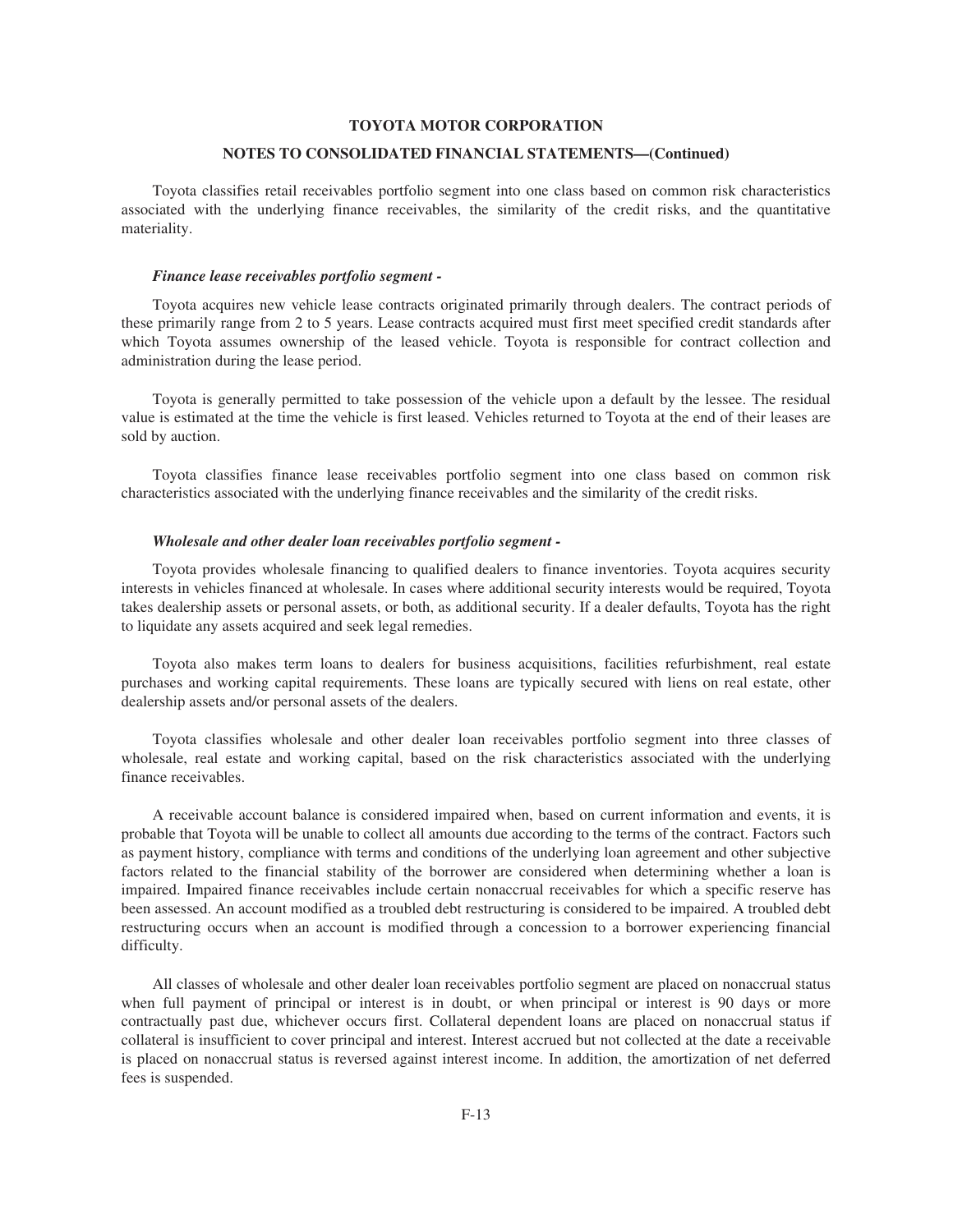## **NOTES TO CONSOLIDATED FINANCIAL STATEMENTS—(Continued)**

Toyota classifies retail receivables portfolio segment into one class based on common risk characteristics associated with the underlying finance receivables, the similarity of the credit risks, and the quantitative materiality.

#### *Finance lease receivables portfolio segment -*

Toyota acquires new vehicle lease contracts originated primarily through dealers. The contract periods of these primarily range from 2 to 5 years. Lease contracts acquired must first meet specified credit standards after which Toyota assumes ownership of the leased vehicle. Toyota is responsible for contract collection and administration during the lease period.

Toyota is generally permitted to take possession of the vehicle upon a default by the lessee. The residual value is estimated at the time the vehicle is first leased. Vehicles returned to Toyota at the end of their leases are sold by auction.

Toyota classifies finance lease receivables portfolio segment into one class based on common risk characteristics associated with the underlying finance receivables and the similarity of the credit risks.

#### *Wholesale and other dealer loan receivables portfolio segment -*

Toyota provides wholesale financing to qualified dealers to finance inventories. Toyota acquires security interests in vehicles financed at wholesale. In cases where additional security interests would be required, Toyota takes dealership assets or personal assets, or both, as additional security. If a dealer defaults, Toyota has the right to liquidate any assets acquired and seek legal remedies.

Toyota also makes term loans to dealers for business acquisitions, facilities refurbishment, real estate purchases and working capital requirements. These loans are typically secured with liens on real estate, other dealership assets and/or personal assets of the dealers.

Toyota classifies wholesale and other dealer loan receivables portfolio segment into three classes of wholesale, real estate and working capital, based on the risk characteristics associated with the underlying finance receivables.

A receivable account balance is considered impaired when, based on current information and events, it is probable that Toyota will be unable to collect all amounts due according to the terms of the contract. Factors such as payment history, compliance with terms and conditions of the underlying loan agreement and other subjective factors related to the financial stability of the borrower are considered when determining whether a loan is impaired. Impaired finance receivables include certain nonaccrual receivables for which a specific reserve has been assessed. An account modified as a troubled debt restructuring is considered to be impaired. A troubled debt restructuring occurs when an account is modified through a concession to a borrower experiencing financial difficulty.

All classes of wholesale and other dealer loan receivables portfolio segment are placed on nonaccrual status when full payment of principal or interest is in doubt, or when principal or interest is 90 days or more contractually past due, whichever occurs first. Collateral dependent loans are placed on nonaccrual status if collateral is insufficient to cover principal and interest. Interest accrued but not collected at the date a receivable is placed on nonaccrual status is reversed against interest income. In addition, the amortization of net deferred fees is suspended.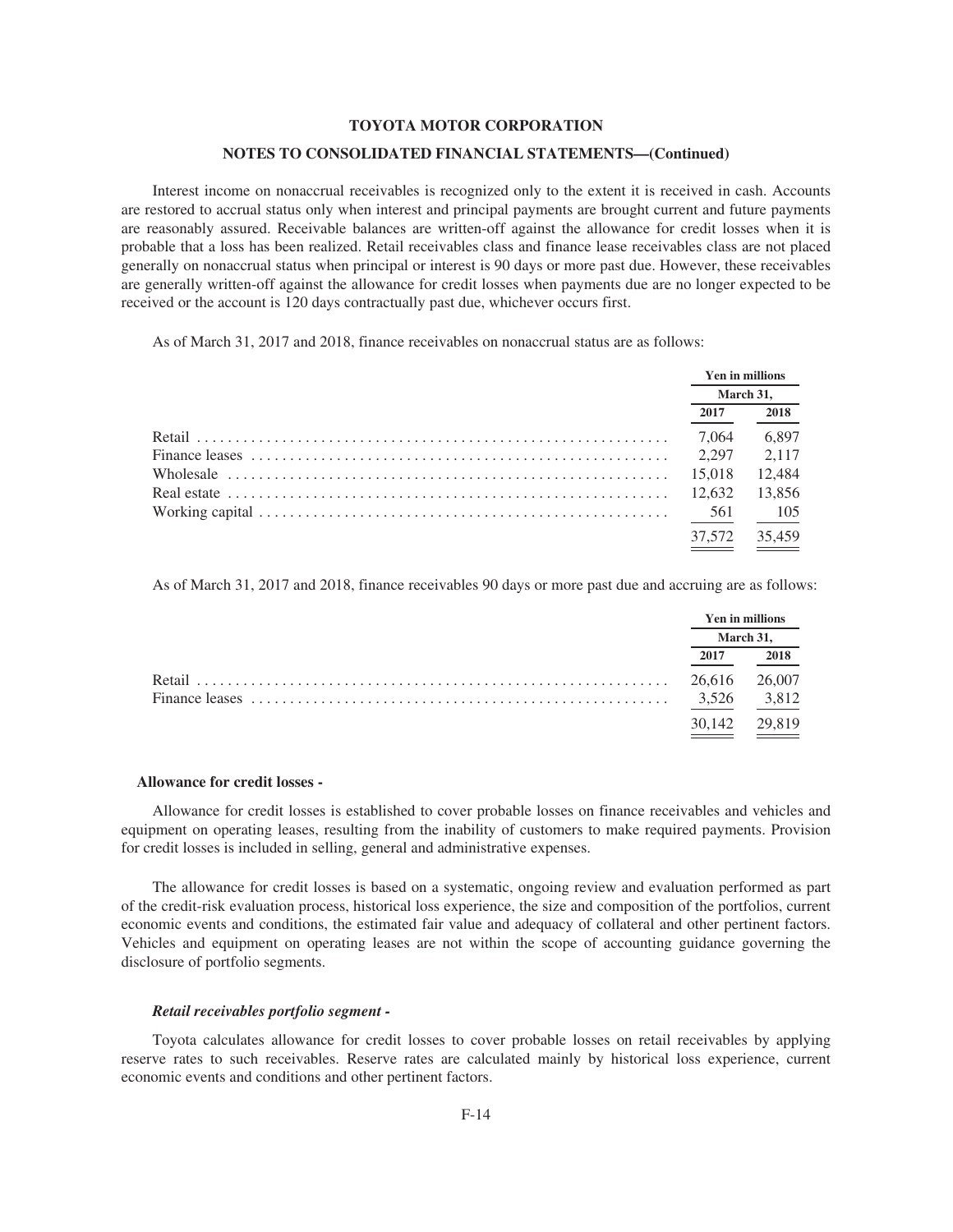## **NOTES TO CONSOLIDATED FINANCIAL STATEMENTS—(Continued)**

Interest income on nonaccrual receivables is recognized only to the extent it is received in cash. Accounts are restored to accrual status only when interest and principal payments are brought current and future payments are reasonably assured. Receivable balances are written-off against the allowance for credit losses when it is probable that a loss has been realized. Retail receivables class and finance lease receivables class are not placed generally on nonaccrual status when principal or interest is 90 days or more past due. However, these receivables are generally written-off against the allowance for credit losses when payments due are no longer expected to be received or the account is 120 days contractually past due, whichever occurs first.

As of March 31, 2017 and 2018, finance receivables on nonaccrual status are as follows:

|  | Yen in millions<br>March 31, |        |
|--|------------------------------|--------|
|  |                              |        |
|  | 2017                         | 2018   |
|  | 7.064                        | 6,897  |
|  | 2.297                        | 2.117  |
|  | 15,018                       | 12.484 |
|  | 12.632                       | 13.856 |
|  | 561                          | 105    |
|  | 37,572                       | 35,459 |

As of March 31, 2017 and 2018, finance receivables 90 days or more past due and accruing are as follows:

|        | Yen in millions |  |
|--------|-----------------|--|
|        | March 31,       |  |
| 2017   | 2018            |  |
| 26.616 | 26,007          |  |
| 3,526  | 3,812           |  |
| 30.142 | 29.819          |  |

#### **Allowance for credit losses -**

Allowance for credit losses is established to cover probable losses on finance receivables and vehicles and equipment on operating leases, resulting from the inability of customers to make required payments. Provision for credit losses is included in selling, general and administrative expenses.

The allowance for credit losses is based on a systematic, ongoing review and evaluation performed as part of the credit-risk evaluation process, historical loss experience, the size and composition of the portfolios, current economic events and conditions, the estimated fair value and adequacy of collateral and other pertinent factors. Vehicles and equipment on operating leases are not within the scope of accounting guidance governing the disclosure of portfolio segments.

#### *Retail receivables portfolio segment -*

Toyota calculates allowance for credit losses to cover probable losses on retail receivables by applying reserve rates to such receivables. Reserve rates are calculated mainly by historical loss experience, current economic events and conditions and other pertinent factors.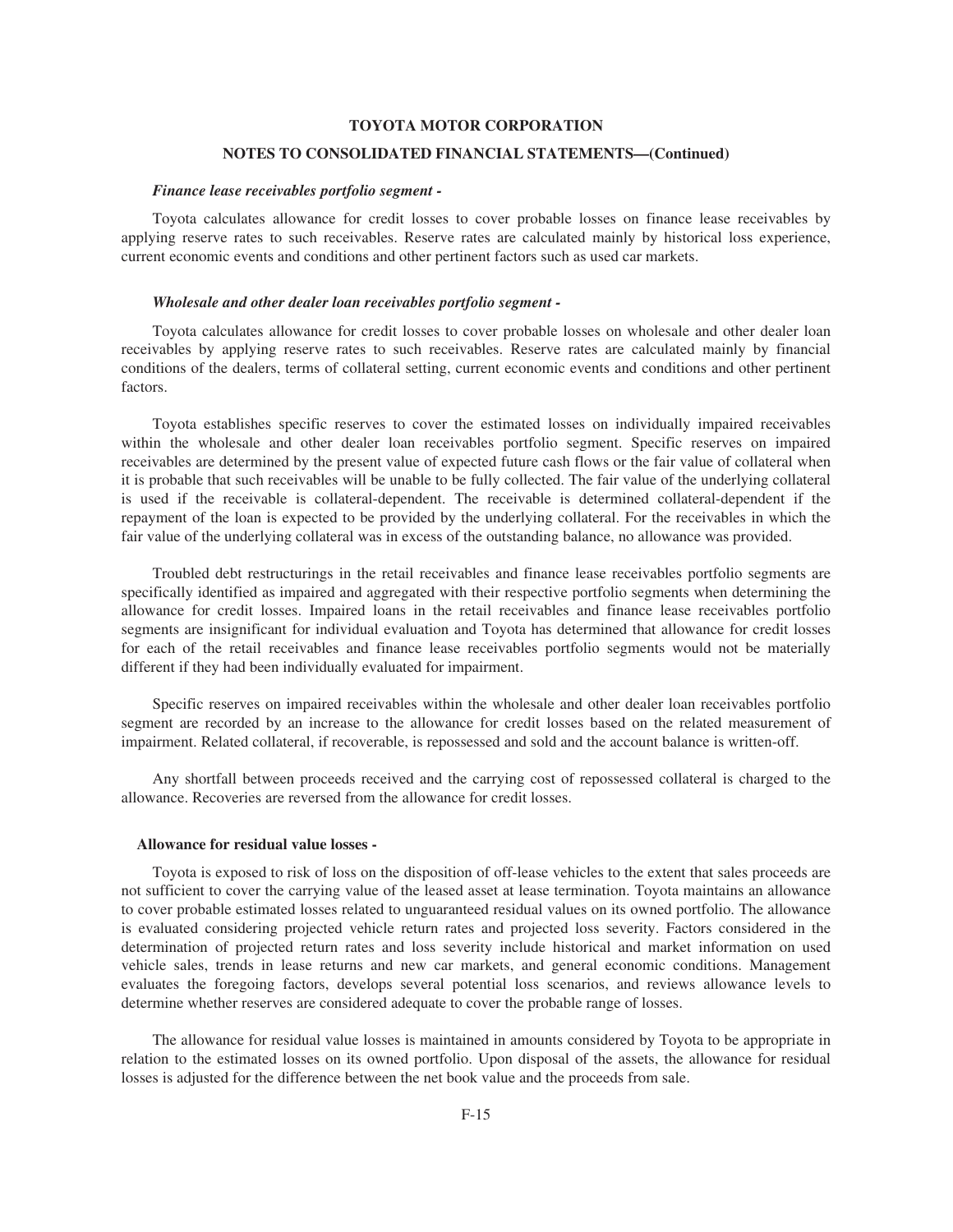## **NOTES TO CONSOLIDATED FINANCIAL STATEMENTS—(Continued)**

#### *Finance lease receivables portfolio segment -*

Toyota calculates allowance for credit losses to cover probable losses on finance lease receivables by applying reserve rates to such receivables. Reserve rates are calculated mainly by historical loss experience, current economic events and conditions and other pertinent factors such as used car markets.

#### *Wholesale and other dealer loan receivables portfolio segment -*

Toyota calculates allowance for credit losses to cover probable losses on wholesale and other dealer loan receivables by applying reserve rates to such receivables. Reserve rates are calculated mainly by financial conditions of the dealers, terms of collateral setting, current economic events and conditions and other pertinent factors.

Toyota establishes specific reserves to cover the estimated losses on individually impaired receivables within the wholesale and other dealer loan receivables portfolio segment. Specific reserves on impaired receivables are determined by the present value of expected future cash flows or the fair value of collateral when it is probable that such receivables will be unable to be fully collected. The fair value of the underlying collateral is used if the receivable is collateral-dependent. The receivable is determined collateral-dependent if the repayment of the loan is expected to be provided by the underlying collateral. For the receivables in which the fair value of the underlying collateral was in excess of the outstanding balance, no allowance was provided.

Troubled debt restructurings in the retail receivables and finance lease receivables portfolio segments are specifically identified as impaired and aggregated with their respective portfolio segments when determining the allowance for credit losses. Impaired loans in the retail receivables and finance lease receivables portfolio segments are insignificant for individual evaluation and Toyota has determined that allowance for credit losses for each of the retail receivables and finance lease receivables portfolio segments would not be materially different if they had been individually evaluated for impairment.

Specific reserves on impaired receivables within the wholesale and other dealer loan receivables portfolio segment are recorded by an increase to the allowance for credit losses based on the related measurement of impairment. Related collateral, if recoverable, is repossessed and sold and the account balance is written-off.

Any shortfall between proceeds received and the carrying cost of repossessed collateral is charged to the allowance. Recoveries are reversed from the allowance for credit losses.

#### **Allowance for residual value losses -**

Toyota is exposed to risk of loss on the disposition of off-lease vehicles to the extent that sales proceeds are not sufficient to cover the carrying value of the leased asset at lease termination. Toyota maintains an allowance to cover probable estimated losses related to unguaranteed residual values on its owned portfolio. The allowance is evaluated considering projected vehicle return rates and projected loss severity. Factors considered in the determination of projected return rates and loss severity include historical and market information on used vehicle sales, trends in lease returns and new car markets, and general economic conditions. Management evaluates the foregoing factors, develops several potential loss scenarios, and reviews allowance levels to determine whether reserves are considered adequate to cover the probable range of losses.

The allowance for residual value losses is maintained in amounts considered by Toyota to be appropriate in relation to the estimated losses on its owned portfolio. Upon disposal of the assets, the allowance for residual losses is adjusted for the difference between the net book value and the proceeds from sale.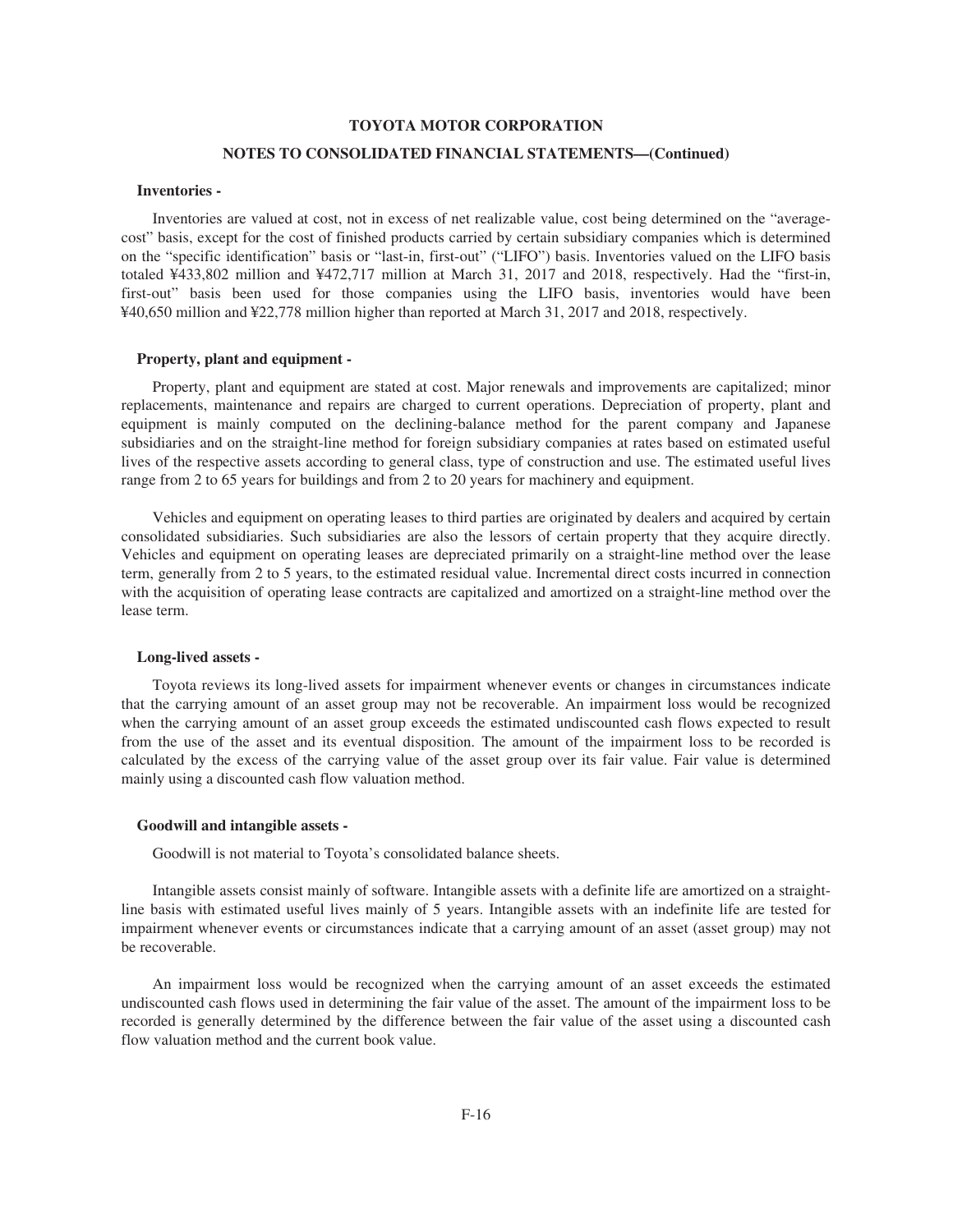### **NOTES TO CONSOLIDATED FINANCIAL STATEMENTS—(Continued)**

### **Inventories -**

Inventories are valued at cost, not in excess of net realizable value, cost being determined on the "averagecost" basis, except for the cost of finished products carried by certain subsidiary companies which is determined on the "specific identification" basis or "last-in, first-out" ("LIFO") basis. Inventories valued on the LIFO basis totaled ¥433,802 million and ¥472,717 million at March 31, 2017 and 2018, respectively. Had the "first-in, first-out" basis been used for those companies using the LIFO basis, inventories would have been ¥40,650 million and ¥22,778 million higher than reported at March 31, 2017 and 2018, respectively.

#### **Property, plant and equipment -**

Property, plant and equipment are stated at cost. Major renewals and improvements are capitalized; minor replacements, maintenance and repairs are charged to current operations. Depreciation of property, plant and equipment is mainly computed on the declining-balance method for the parent company and Japanese subsidiaries and on the straight-line method for foreign subsidiary companies at rates based on estimated useful lives of the respective assets according to general class, type of construction and use. The estimated useful lives range from 2 to 65 years for buildings and from 2 to 20 years for machinery and equipment.

Vehicles and equipment on operating leases to third parties are originated by dealers and acquired by certain consolidated subsidiaries. Such subsidiaries are also the lessors of certain property that they acquire directly. Vehicles and equipment on operating leases are depreciated primarily on a straight-line method over the lease term, generally from 2 to 5 years, to the estimated residual value. Incremental direct costs incurred in connection with the acquisition of operating lease contracts are capitalized and amortized on a straight-line method over the lease term.

#### **Long-lived assets -**

Toyota reviews its long-lived assets for impairment whenever events or changes in circumstances indicate that the carrying amount of an asset group may not be recoverable. An impairment loss would be recognized when the carrying amount of an asset group exceeds the estimated undiscounted cash flows expected to result from the use of the asset and its eventual disposition. The amount of the impairment loss to be recorded is calculated by the excess of the carrying value of the asset group over its fair value. Fair value is determined mainly using a discounted cash flow valuation method.

#### **Goodwill and intangible assets -**

Goodwill is not material to Toyota's consolidated balance sheets.

Intangible assets consist mainly of software. Intangible assets with a definite life are amortized on a straightline basis with estimated useful lives mainly of 5 years. Intangible assets with an indefinite life are tested for impairment whenever events or circumstances indicate that a carrying amount of an asset (asset group) may not be recoverable.

An impairment loss would be recognized when the carrying amount of an asset exceeds the estimated undiscounted cash flows used in determining the fair value of the asset. The amount of the impairment loss to be recorded is generally determined by the difference between the fair value of the asset using a discounted cash flow valuation method and the current book value.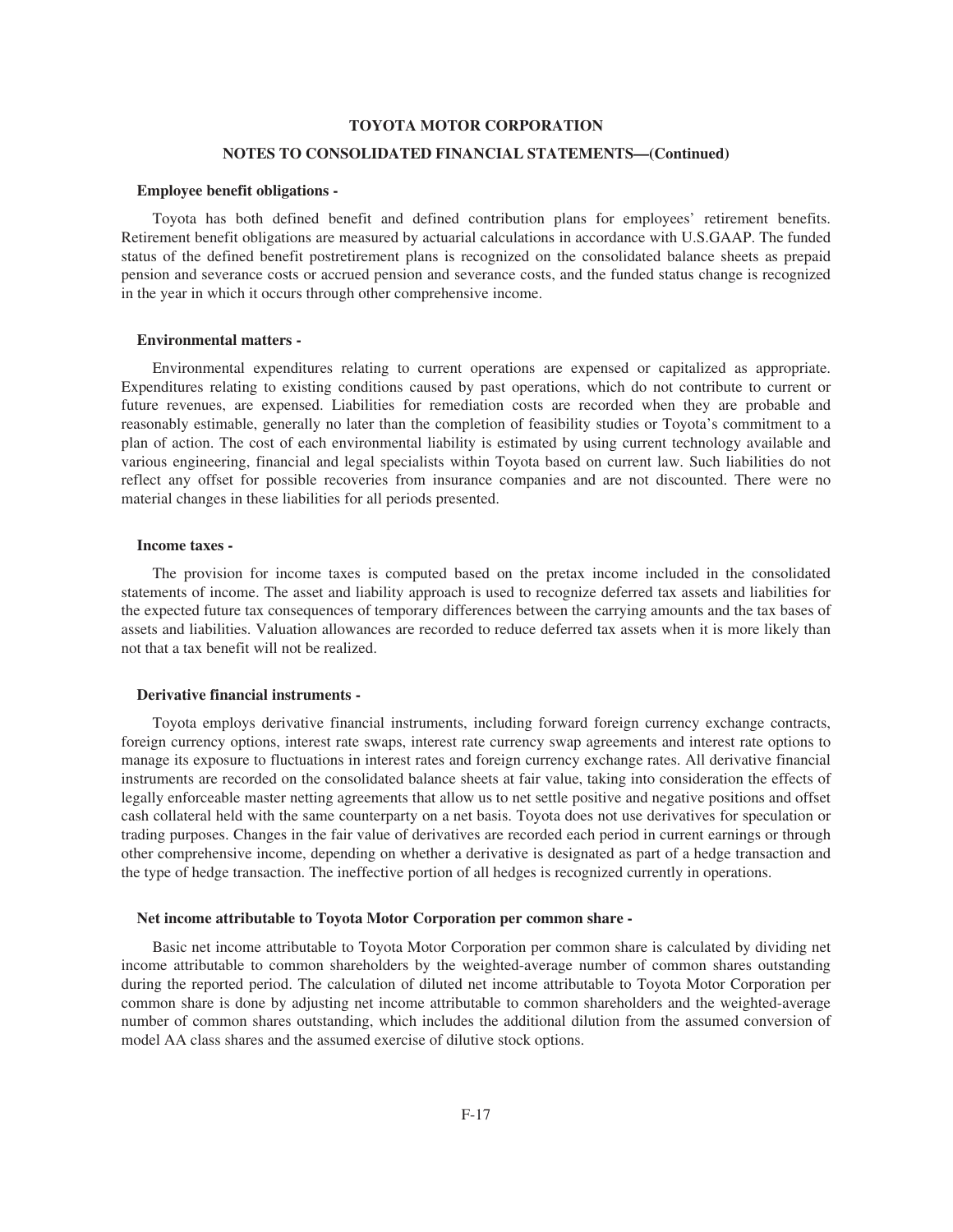## **NOTES TO CONSOLIDATED FINANCIAL STATEMENTS—(Continued)**

#### **Employee benefit obligations -**

Toyota has both defined benefit and defined contribution plans for employees' retirement benefits. Retirement benefit obligations are measured by actuarial calculations in accordance with U.S.GAAP. The funded status of the defined benefit postretirement plans is recognized on the consolidated balance sheets as prepaid pension and severance costs or accrued pension and severance costs, and the funded status change is recognized in the year in which it occurs through other comprehensive income.

#### **Environmental matters -**

Environmental expenditures relating to current operations are expensed or capitalized as appropriate. Expenditures relating to existing conditions caused by past operations, which do not contribute to current or future revenues, are expensed. Liabilities for remediation costs are recorded when they are probable and reasonably estimable, generally no later than the completion of feasibility studies or Toyota's commitment to a plan of action. The cost of each environmental liability is estimated by using current technology available and various engineering, financial and legal specialists within Toyota based on current law. Such liabilities do not reflect any offset for possible recoveries from insurance companies and are not discounted. There were no material changes in these liabilities for all periods presented.

#### **Income taxes -**

The provision for income taxes is computed based on the pretax income included in the consolidated statements of income. The asset and liability approach is used to recognize deferred tax assets and liabilities for the expected future tax consequences of temporary differences between the carrying amounts and the tax bases of assets and liabilities. Valuation allowances are recorded to reduce deferred tax assets when it is more likely than not that a tax benefit will not be realized.

#### **Derivative financial instruments -**

Toyota employs derivative financial instruments, including forward foreign currency exchange contracts, foreign currency options, interest rate swaps, interest rate currency swap agreements and interest rate options to manage its exposure to fluctuations in interest rates and foreign currency exchange rates. All derivative financial instruments are recorded on the consolidated balance sheets at fair value, taking into consideration the effects of legally enforceable master netting agreements that allow us to net settle positive and negative positions and offset cash collateral held with the same counterparty on a net basis. Toyota does not use derivatives for speculation or trading purposes. Changes in the fair value of derivatives are recorded each period in current earnings or through other comprehensive income, depending on whether a derivative is designated as part of a hedge transaction and the type of hedge transaction. The ineffective portion of all hedges is recognized currently in operations.

#### **Net income attributable to Toyota Motor Corporation per common share -**

Basic net income attributable to Toyota Motor Corporation per common share is calculated by dividing net income attributable to common shareholders by the weighted-average number of common shares outstanding during the reported period. The calculation of diluted net income attributable to Toyota Motor Corporation per common share is done by adjusting net income attributable to common shareholders and the weighted-average number of common shares outstanding, which includes the additional dilution from the assumed conversion of model AA class shares and the assumed exercise of dilutive stock options.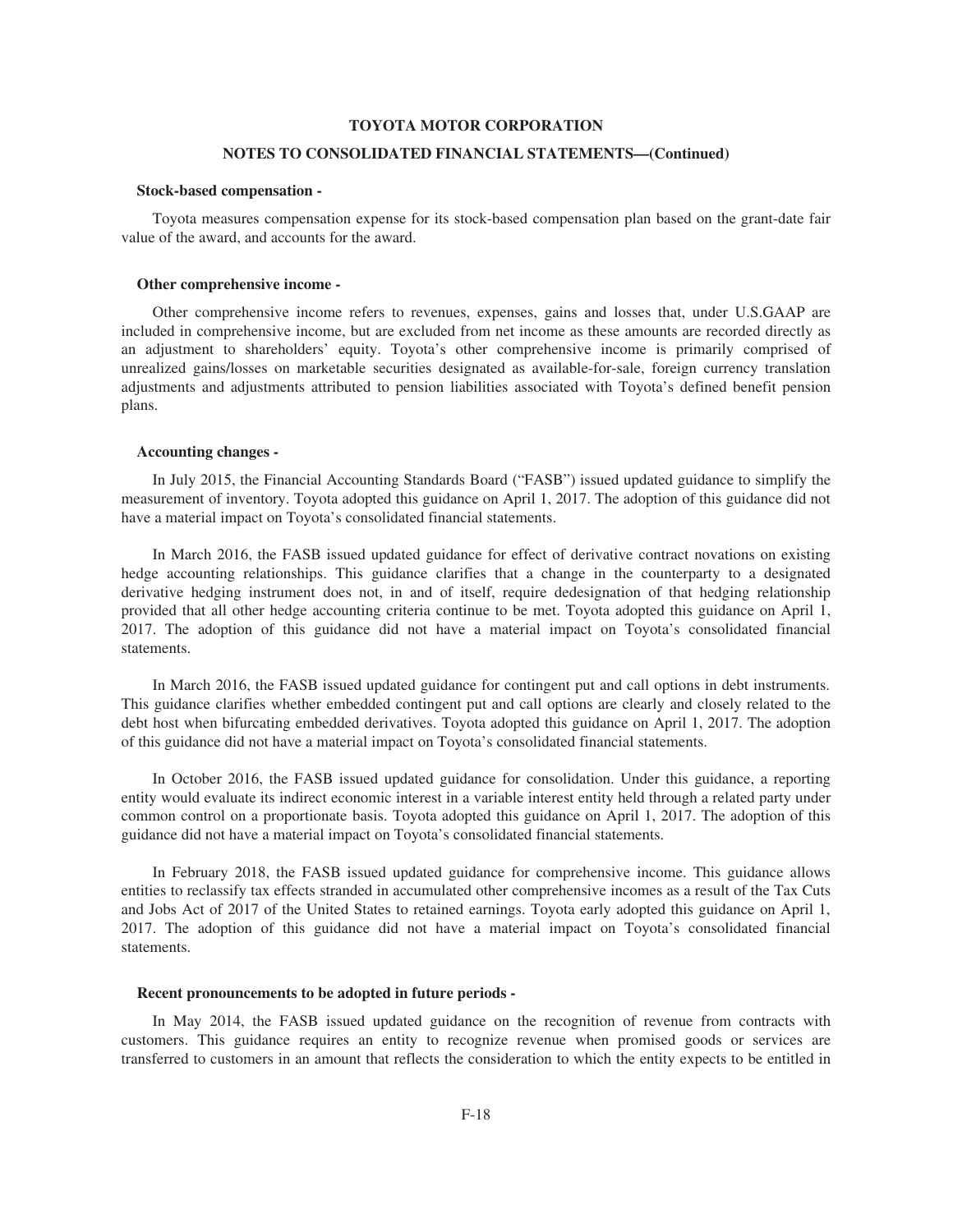#### **NOTES TO CONSOLIDATED FINANCIAL STATEMENTS—(Continued)**

#### **Stock-based compensation -**

Toyota measures compensation expense for its stock-based compensation plan based on the grant-date fair value of the award, and accounts for the award.

#### **Other comprehensive income -**

Other comprehensive income refers to revenues, expenses, gains and losses that, under U.S.GAAP are included in comprehensive income, but are excluded from net income as these amounts are recorded directly as an adjustment to shareholders' equity. Toyota's other comprehensive income is primarily comprised of unrealized gains/losses on marketable securities designated as available-for-sale, foreign currency translation adjustments and adjustments attributed to pension liabilities associated with Toyota's defined benefit pension plans.

#### **Accounting changes -**

In July 2015, the Financial Accounting Standards Board ("FASB") issued updated guidance to simplify the measurement of inventory. Toyota adopted this guidance on April 1, 2017. The adoption of this guidance did not have a material impact on Toyota's consolidated financial statements.

In March 2016, the FASB issued updated guidance for effect of derivative contract novations on existing hedge accounting relationships. This guidance clarifies that a change in the counterparty to a designated derivative hedging instrument does not, in and of itself, require dedesignation of that hedging relationship provided that all other hedge accounting criteria continue to be met. Toyota adopted this guidance on April 1, 2017. The adoption of this guidance did not have a material impact on Toyota's consolidated financial statements.

In March 2016, the FASB issued updated guidance for contingent put and call options in debt instruments. This guidance clarifies whether embedded contingent put and call options are clearly and closely related to the debt host when bifurcating embedded derivatives. Toyota adopted this guidance on April 1, 2017. The adoption of this guidance did not have a material impact on Toyota's consolidated financial statements.

In October 2016, the FASB issued updated guidance for consolidation. Under this guidance, a reporting entity would evaluate its indirect economic interest in a variable interest entity held through a related party under common control on a proportionate basis. Toyota adopted this guidance on April 1, 2017. The adoption of this guidance did not have a material impact on Toyota's consolidated financial statements.

In February 2018, the FASB issued updated guidance for comprehensive income. This guidance allows entities to reclassify tax effects stranded in accumulated other comprehensive incomes as a result of the Tax Cuts and Jobs Act of 2017 of the United States to retained earnings. Toyota early adopted this guidance on April 1, 2017. The adoption of this guidance did not have a material impact on Toyota's consolidated financial statements.

#### **Recent pronouncements to be adopted in future periods -**

In May 2014, the FASB issued updated guidance on the recognition of revenue from contracts with customers. This guidance requires an entity to recognize revenue when promised goods or services are transferred to customers in an amount that reflects the consideration to which the entity expects to be entitled in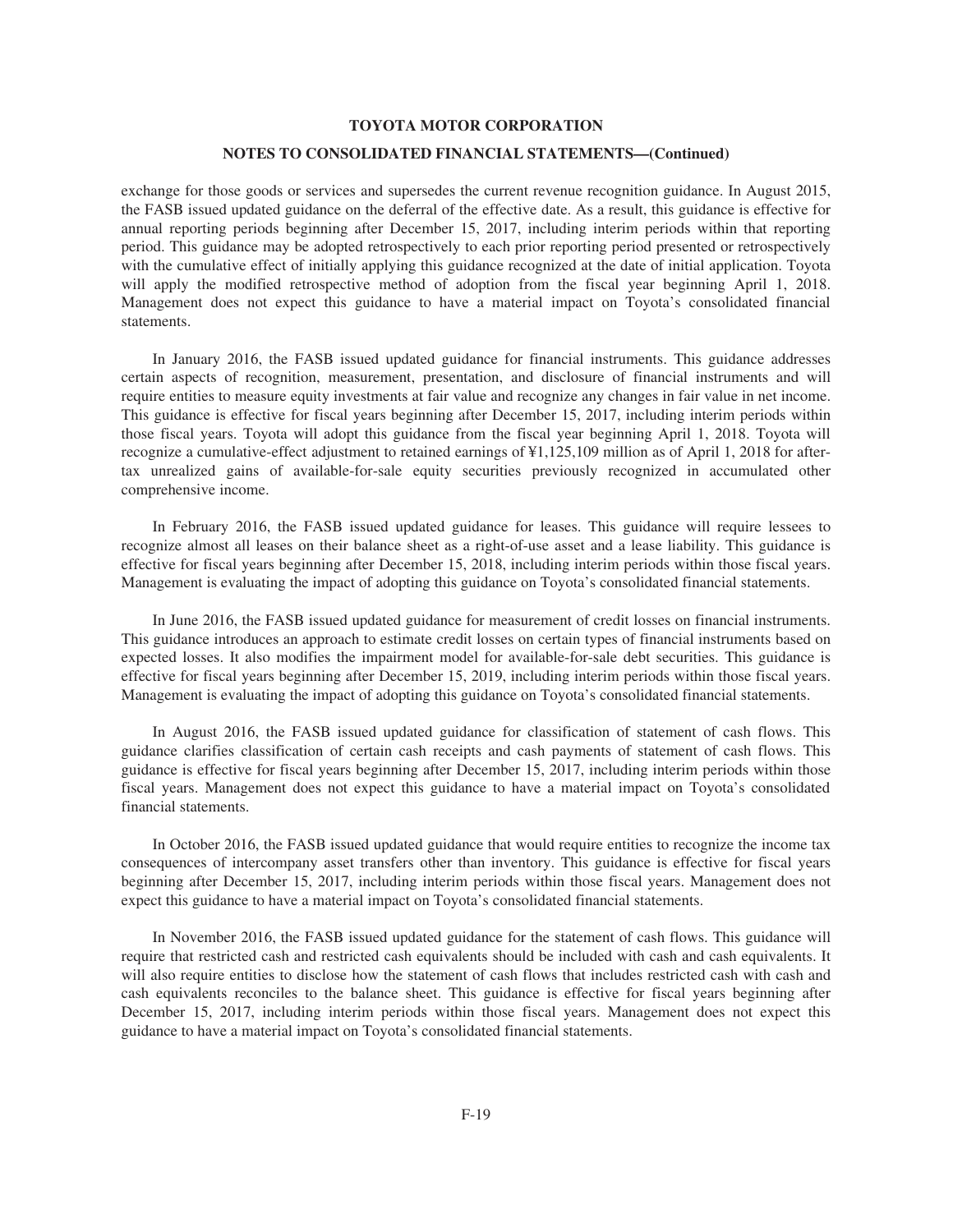### **NOTES TO CONSOLIDATED FINANCIAL STATEMENTS—(Continued)**

exchange for those goods or services and supersedes the current revenue recognition guidance. In August 2015, the FASB issued updated guidance on the deferral of the effective date. As a result, this guidance is effective for annual reporting periods beginning after December 15, 2017, including interim periods within that reporting period. This guidance may be adopted retrospectively to each prior reporting period presented or retrospectively with the cumulative effect of initially applying this guidance recognized at the date of initial application. Toyota will apply the modified retrospective method of adoption from the fiscal year beginning April 1, 2018. Management does not expect this guidance to have a material impact on Toyota's consolidated financial statements.

In January 2016, the FASB issued updated guidance for financial instruments. This guidance addresses certain aspects of recognition, measurement, presentation, and disclosure of financial instruments and will require entities to measure equity investments at fair value and recognize any changes in fair value in net income. This guidance is effective for fiscal years beginning after December 15, 2017, including interim periods within those fiscal years. Toyota will adopt this guidance from the fiscal year beginning April 1, 2018. Toyota will recognize a cumulative-effect adjustment to retained earnings of ¥1,125,109 million as of April 1, 2018 for aftertax unrealized gains of available-for-sale equity securities previously recognized in accumulated other comprehensive income.

In February 2016, the FASB issued updated guidance for leases. This guidance will require lessees to recognize almost all leases on their balance sheet as a right-of-use asset and a lease liability. This guidance is effective for fiscal years beginning after December 15, 2018, including interim periods within those fiscal years. Management is evaluating the impact of adopting this guidance on Toyota's consolidated financial statements.

In June 2016, the FASB issued updated guidance for measurement of credit losses on financial instruments. This guidance introduces an approach to estimate credit losses on certain types of financial instruments based on expected losses. It also modifies the impairment model for available-for-sale debt securities. This guidance is effective for fiscal years beginning after December 15, 2019, including interim periods within those fiscal years. Management is evaluating the impact of adopting this guidance on Toyota's consolidated financial statements.

In August 2016, the FASB issued updated guidance for classification of statement of cash flows. This guidance clarifies classification of certain cash receipts and cash payments of statement of cash flows. This guidance is effective for fiscal years beginning after December 15, 2017, including interim periods within those fiscal years. Management does not expect this guidance to have a material impact on Toyota's consolidated financial statements.

In October 2016, the FASB issued updated guidance that would require entities to recognize the income tax consequences of intercompany asset transfers other than inventory. This guidance is effective for fiscal years beginning after December 15, 2017, including interim periods within those fiscal years. Management does not expect this guidance to have a material impact on Toyota's consolidated financial statements.

In November 2016, the FASB issued updated guidance for the statement of cash flows. This guidance will require that restricted cash and restricted cash equivalents should be included with cash and cash equivalents. It will also require entities to disclose how the statement of cash flows that includes restricted cash with cash and cash equivalents reconciles to the balance sheet. This guidance is effective for fiscal years beginning after December 15, 2017, including interim periods within those fiscal years. Management does not expect this guidance to have a material impact on Toyota's consolidated financial statements.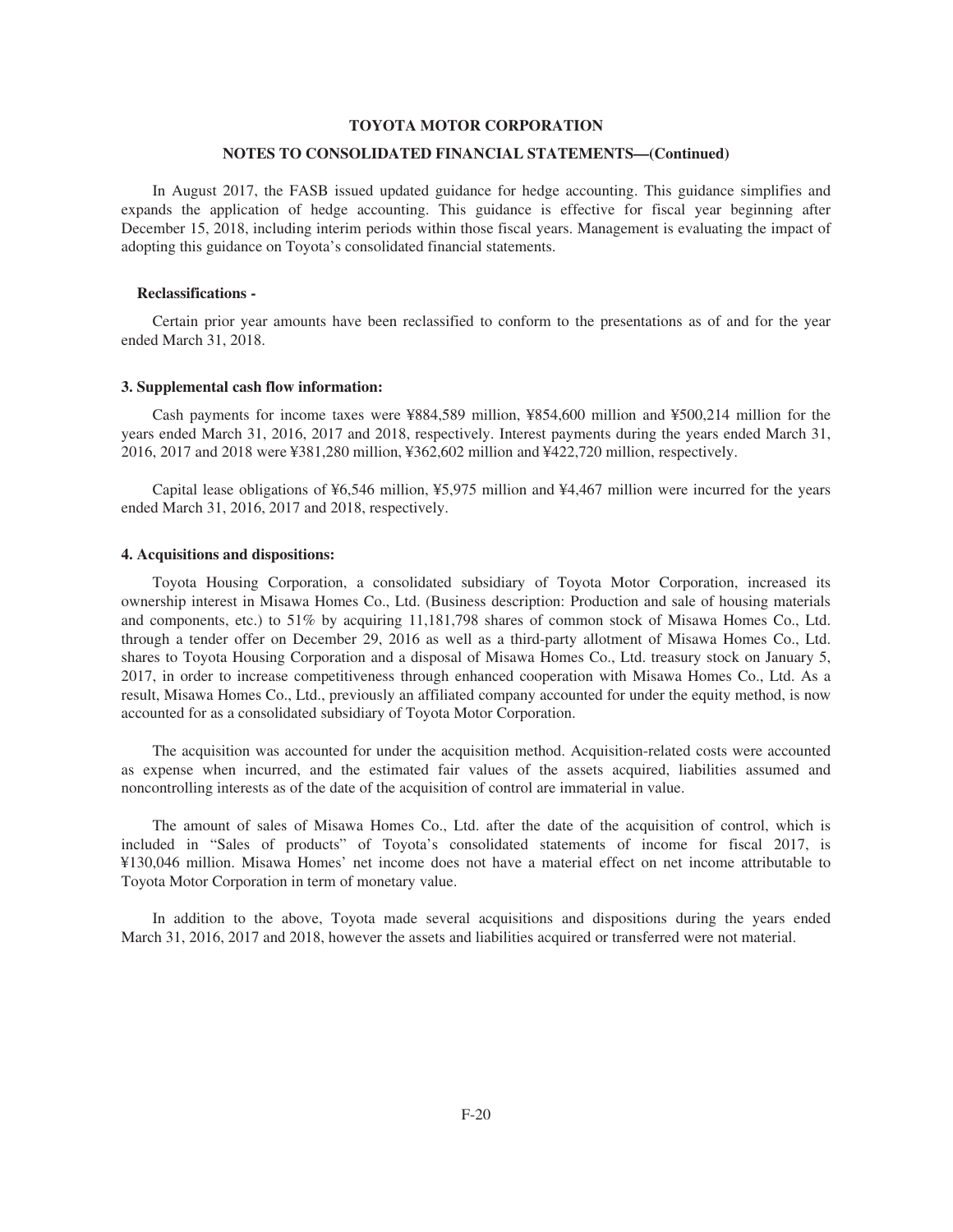#### **NOTES TO CONSOLIDATED FINANCIAL STATEMENTS—(Continued)**

In August 2017, the FASB issued updated guidance for hedge accounting. This guidance simplifies and expands the application of hedge accounting. This guidance is effective for fiscal year beginning after December 15, 2018, including interim periods within those fiscal years. Management is evaluating the impact of adopting this guidance on Toyota's consolidated financial statements.

#### **Reclassifications -**

Certain prior year amounts have been reclassified to conform to the presentations as of and for the year ended March 31, 2018.

#### **3. Supplemental cash flow information:**

Cash payments for income taxes were ¥884,589 million, ¥854,600 million and ¥500,214 million for the years ended March 31, 2016, 2017 and 2018, respectively. Interest payments during the years ended March 31, 2016, 2017 and 2018 were ¥381,280 million, ¥362,602 million and ¥422,720 million, respectively.

Capital lease obligations of ¥6,546 million, ¥5,975 million and ¥4,467 million were incurred for the years ended March 31, 2016, 2017 and 2018, respectively.

#### **4. Acquisitions and dispositions:**

Toyota Housing Corporation, a consolidated subsidiary of Toyota Motor Corporation, increased its ownership interest in Misawa Homes Co., Ltd. (Business description: Production and sale of housing materials and components, etc.) to 51% by acquiring 11,181,798 shares of common stock of Misawa Homes Co., Ltd. through a tender offer on December 29, 2016 as well as a third-party allotment of Misawa Homes Co., Ltd. shares to Toyota Housing Corporation and a disposal of Misawa Homes Co., Ltd. treasury stock on January 5, 2017, in order to increase competitiveness through enhanced cooperation with Misawa Homes Co., Ltd. As a result, Misawa Homes Co., Ltd., previously an affiliated company accounted for under the equity method, is now accounted for as a consolidated subsidiary of Toyota Motor Corporation.

The acquisition was accounted for under the acquisition method. Acquisition-related costs were accounted as expense when incurred, and the estimated fair values of the assets acquired, liabilities assumed and noncontrolling interests as of the date of the acquisition of control are immaterial in value.

The amount of sales of Misawa Homes Co., Ltd. after the date of the acquisition of control, which is included in "Sales of products" of Toyota's consolidated statements of income for fiscal 2017, is ¥130,046 million. Misawa Homes' net income does not have a material effect on net income attributable to Toyota Motor Corporation in term of monetary value.

In addition to the above, Toyota made several acquisitions and dispositions during the years ended March 31, 2016, 2017 and 2018, however the assets and liabilities acquired or transferred were not material.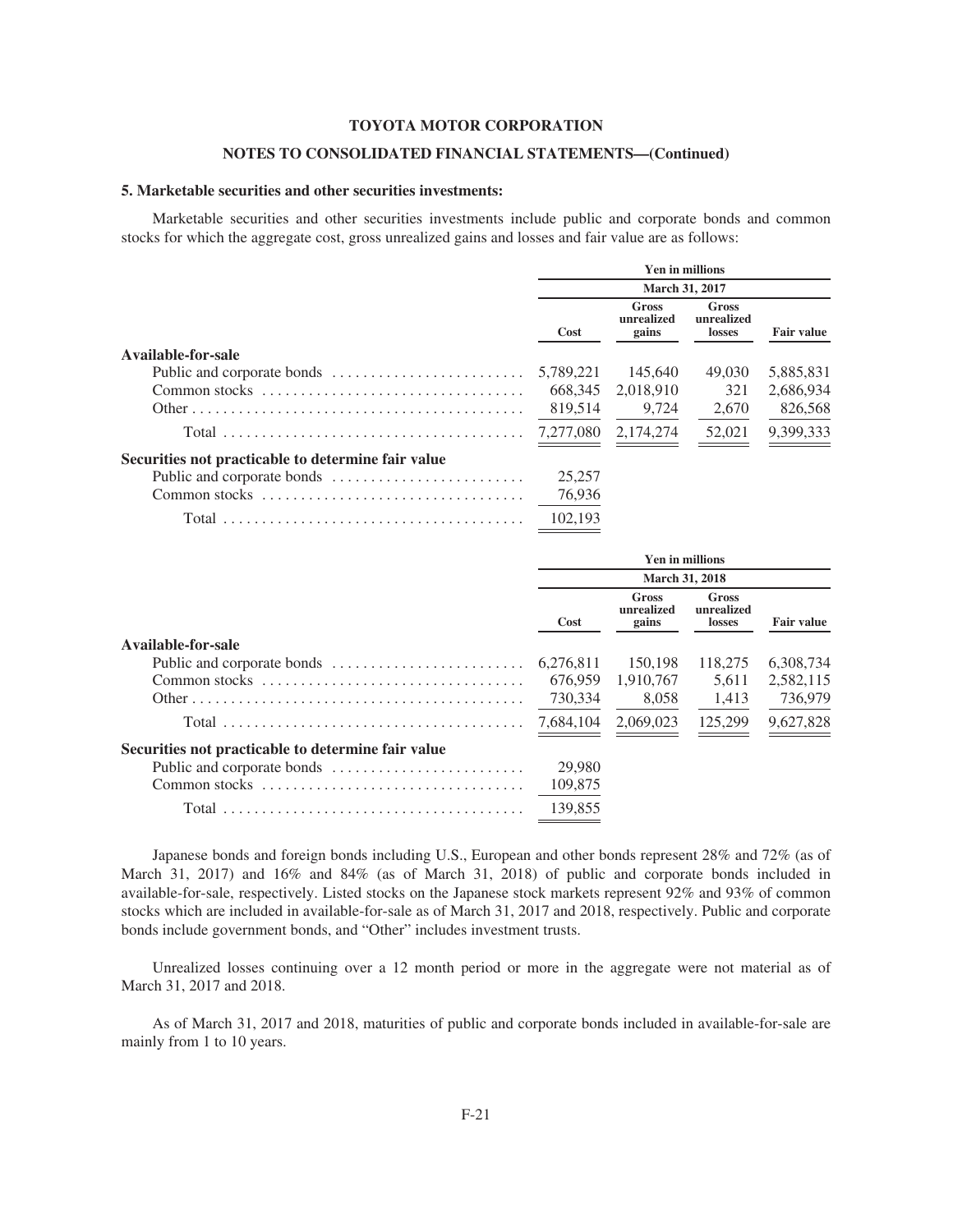## **NOTES TO CONSOLIDATED FINANCIAL STATEMENTS—(Continued)**

#### **5. Marketable securities and other securities investments:**

Marketable securities and other securities investments include public and corporate bonds and common stocks for which the aggregate cost, gross unrealized gains and losses and fair value are as follows:

|                                                    | <b>Yen in millions</b><br><b>March 31, 2017</b> |                                     |                               |                   |
|----------------------------------------------------|-------------------------------------------------|-------------------------------------|-------------------------------|-------------------|
|                                                    |                                                 |                                     |                               |                   |
|                                                    | Cost                                            | <b>Gross</b><br>unrealized<br>gains | Gross<br>unrealized<br>losses | <b>Fair value</b> |
| Available-for-sale                                 |                                                 |                                     |                               |                   |
|                                                    | 5.789.221                                       | 145,640                             | 49,030                        | 5.885.831         |
|                                                    | 668.345                                         | 2.018.910                           | 321                           | 2.686.934         |
|                                                    | 819,514                                         | 9.724                               | 2,670                         | 826,568           |
|                                                    | 7.277.080                                       | 2.174.274                           | 52,021                        | 9.399.333         |
| Securities not practicable to determine fair value |                                                 |                                     |                               |                   |
|                                                    | 25,257                                          |                                     |                               |                   |
|                                                    | 76,936                                          |                                     |                               |                   |
|                                                    | 102.193                                         |                                     |                               |                   |

|                                                    | Yen in millions       |                              |                               |                   |
|----------------------------------------------------|-----------------------|------------------------------|-------------------------------|-------------------|
|                                                    | <b>March 31, 2018</b> |                              |                               |                   |
|                                                    | Cost                  | Gross<br>unrealized<br>gains | Gross<br>unrealized<br>losses | <b>Fair value</b> |
| Available-for-sale                                 |                       |                              |                               |                   |
|                                                    | 6.276.811             | 150.198                      | 118,275                       | 6.308.734         |
| Common stocks                                      | 676,959               | 1.910.767                    | 5.611                         | 2,582,115         |
|                                                    | 730,334               | 8,058                        | 1,413                         | 736,979           |
|                                                    | 7,684,104             | 2.069.023                    | 125,299                       | 9,627,828         |
| Securities not practicable to determine fair value |                       |                              |                               |                   |
|                                                    | 29,980                |                              |                               |                   |
| Common stocks                                      | 109,875               |                              |                               |                   |
|                                                    | 139,855               |                              |                               |                   |

Japanese bonds and foreign bonds including U.S., European and other bonds represent 28% and 72% (as of March 31, 2017) and 16% and 84% (as of March 31, 2018) of public and corporate bonds included in available-for-sale, respectively. Listed stocks on the Japanese stock markets represent 92% and 93% of common stocks which are included in available-for-sale as of March 31, 2017 and 2018, respectively. Public and corporate bonds include government bonds, and "Other" includes investment trusts.

Unrealized losses continuing over a 12 month period or more in the aggregate were not material as of March 31, 2017 and 2018.

As of March 31, 2017 and 2018, maturities of public and corporate bonds included in available-for-sale are mainly from 1 to 10 years.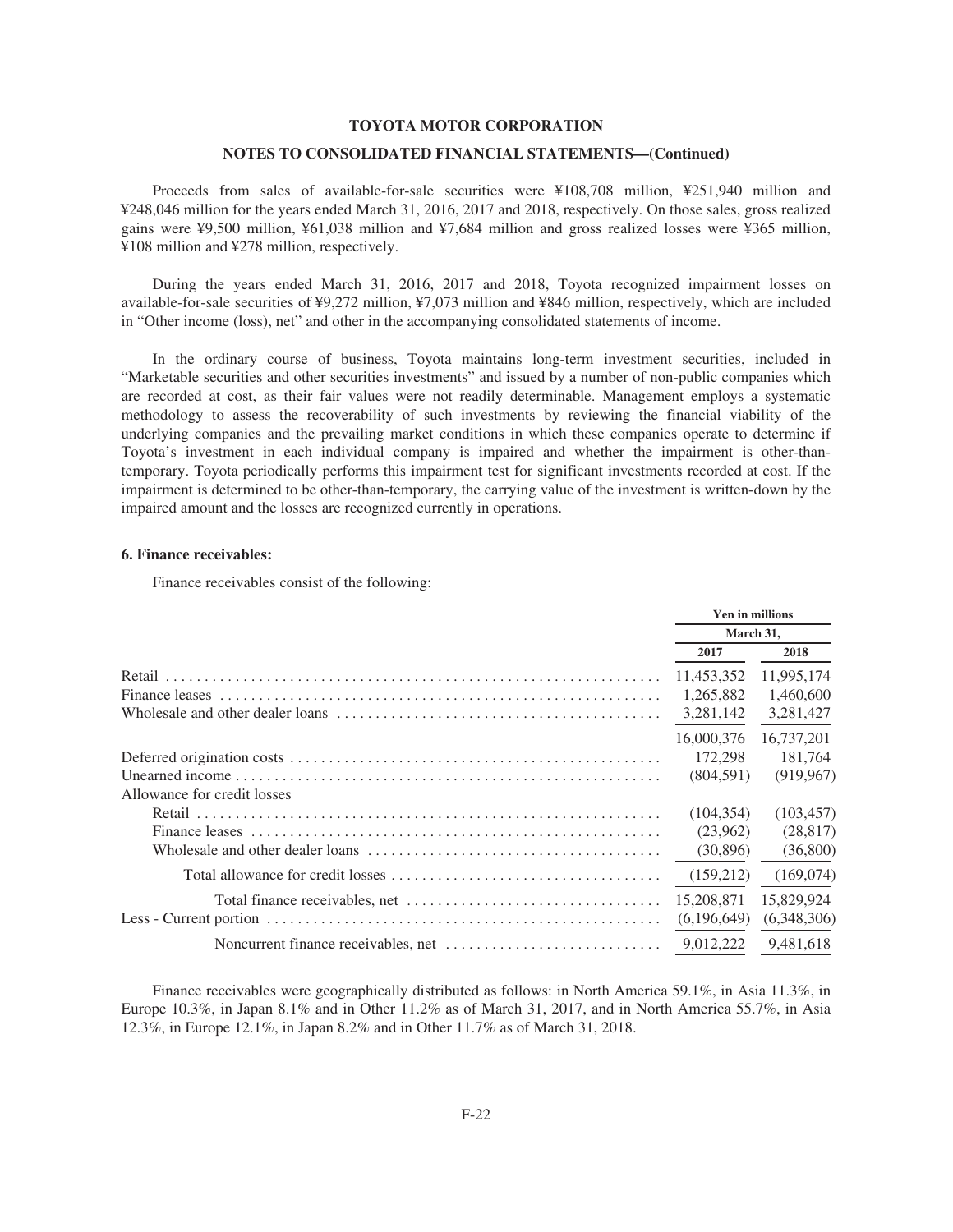## **NOTES TO CONSOLIDATED FINANCIAL STATEMENTS—(Continued)**

Proceeds from sales of available-for-sale securities were ¥108,708 million, ¥251,940 million and ¥248,046 million for the years ended March 31, 2016, 2017 and 2018, respectively. On those sales, gross realized gains were ¥9,500 million, ¥61,038 million and ¥7,684 million and gross realized losses were ¥365 million, ¥108 million and ¥278 million, respectively.

During the years ended March 31, 2016, 2017 and 2018, Toyota recognized impairment losses on available-for-sale securities of ¥9,272 million, ¥7,073 million and ¥846 million, respectively, which are included in "Other income (loss), net" and other in the accompanying consolidated statements of income.

In the ordinary course of business, Toyota maintains long-term investment securities, included in "Marketable securities and other securities investments" and issued by a number of non-public companies which are recorded at cost, as their fair values were not readily determinable. Management employs a systematic methodology to assess the recoverability of such investments by reviewing the financial viability of the underlying companies and the prevailing market conditions in which these companies operate to determine if Toyota's investment in each individual company is impaired and whether the impairment is other-thantemporary. Toyota periodically performs this impairment test for significant investments recorded at cost. If the impairment is determined to be other-than-temporary, the carrying value of the investment is written-down by the impaired amount and the losses are recognized currently in operations.

### **6. Finance receivables:**

Finance receivables consist of the following:

|                             | Yen in millions |             |
|-----------------------------|-----------------|-------------|
|                             | March 31,       |             |
|                             | 2017            | 2018        |
|                             | 11,453,352      | 11,995,174  |
|                             | 1,265,882       | 1,460,600   |
|                             | 3,281,142       | 3,281,427   |
|                             | 16,000,376      | 16.737.201  |
|                             | 172,298         | 181,764     |
|                             | (804, 591)      | (919, 967)  |
| Allowance for credit losses |                 |             |
|                             | (104, 354)      | (103, 457)  |
|                             | (23,962)        | (28, 817)   |
|                             | (30, 896)       | (36,800)    |
|                             | (159,212)       | (169,074)   |
|                             | 15,208,871      | 15,829,924  |
|                             | (6,196,649)     | (6,348,306) |
|                             | 9,012,222       | 9,481,618   |
|                             |                 |             |

Finance receivables were geographically distributed as follows: in North America 59.1%, in Asia 11.3%, in Europe 10.3%, in Japan 8.1% and in Other 11.2% as of March 31, 2017, and in North America 55.7%, in Asia 12.3%, in Europe 12.1%, in Japan 8.2% and in Other 11.7% as of March 31, 2018.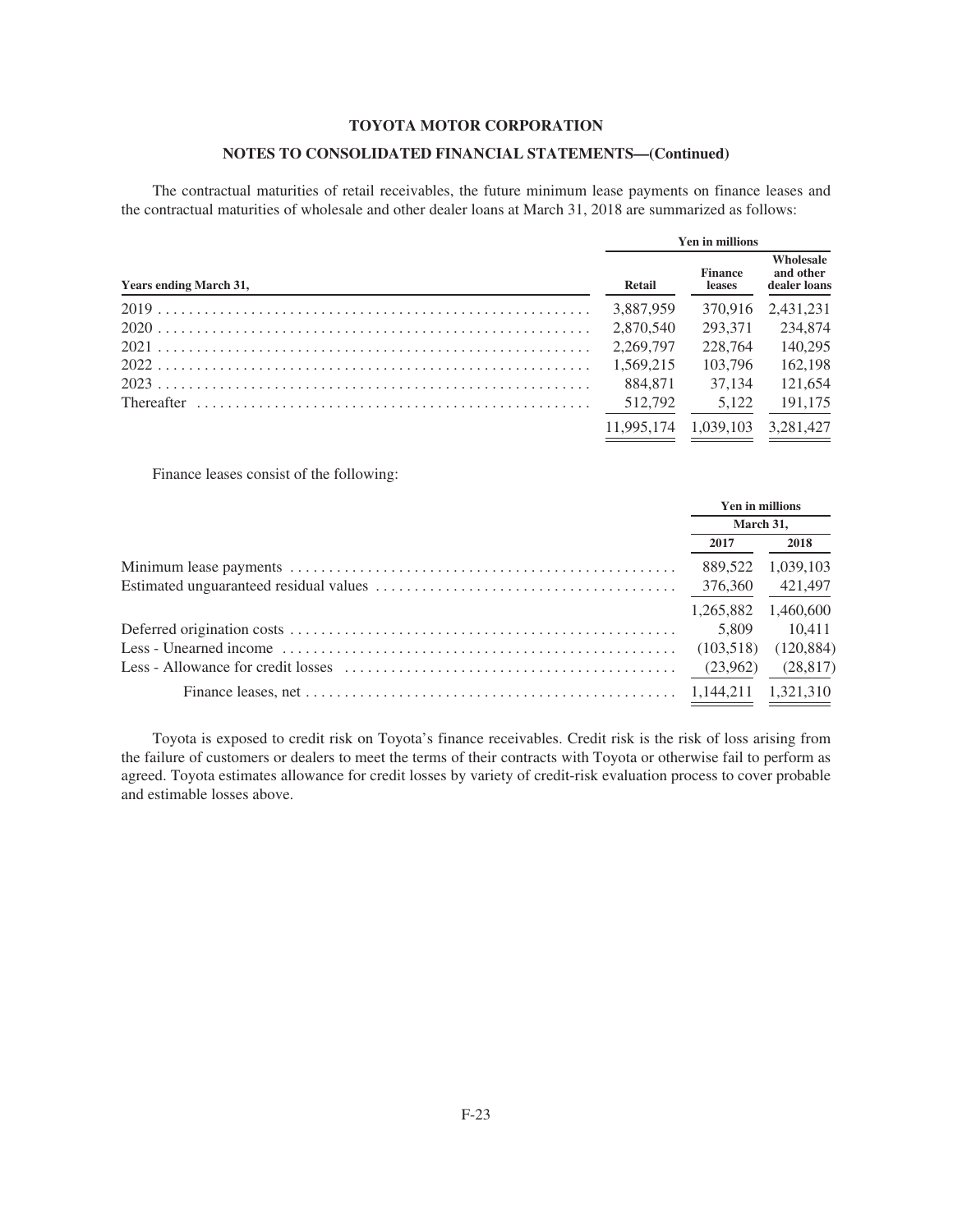## **NOTES TO CONSOLIDATED FINANCIAL STATEMENTS—(Continued)**

The contractual maturities of retail receivables, the future minimum lease payments on finance leases and the contractual maturities of wholesale and other dealer loans at March 31, 2018 are summarized as follows:

|                               | Yen in millions |                          |                                        |
|-------------------------------|-----------------|--------------------------|----------------------------------------|
| <b>Years ending March 31,</b> | Retail          | <b>Finance</b><br>leases | Wholesale<br>and other<br>dealer loans |
|                               | 3.887.959       | 370,916                  | 2.431.231                              |
|                               | 2,870,540       | 293.371                  | 234,874                                |
|                               | 2.269.797       | 228,764                  | 140.295                                |
|                               | 1.569.215       | 103,796                  | 162,198                                |
|                               | 884.871         | 37.134                   | 121,654                                |
|                               | 512.792         | 5.122                    | 191.175                                |
|                               | 11.995.174      | 1.039.103                | 3,281,427                              |
|                               |                 |                          |                                        |

Finance leases consist of the following:

| Yen in millions     |                   |  |
|---------------------|-------------------|--|
| March 31,           |                   |  |
| 2017                | 2018              |  |
|                     | 889.522 1.039.103 |  |
| 376,360             | 421,497           |  |
| 1.265.882 1.460.600 |                   |  |
| 5.809               | 10.411            |  |
| (103,518)           | (120, 884)        |  |
| (23,962)            | (28, 817)         |  |
|                     | 1.321.310         |  |

Toyota is exposed to credit risk on Toyota's finance receivables. Credit risk is the risk of loss arising from the failure of customers or dealers to meet the terms of their contracts with Toyota or otherwise fail to perform as agreed. Toyota estimates allowance for credit losses by variety of credit-risk evaluation process to cover probable and estimable losses above.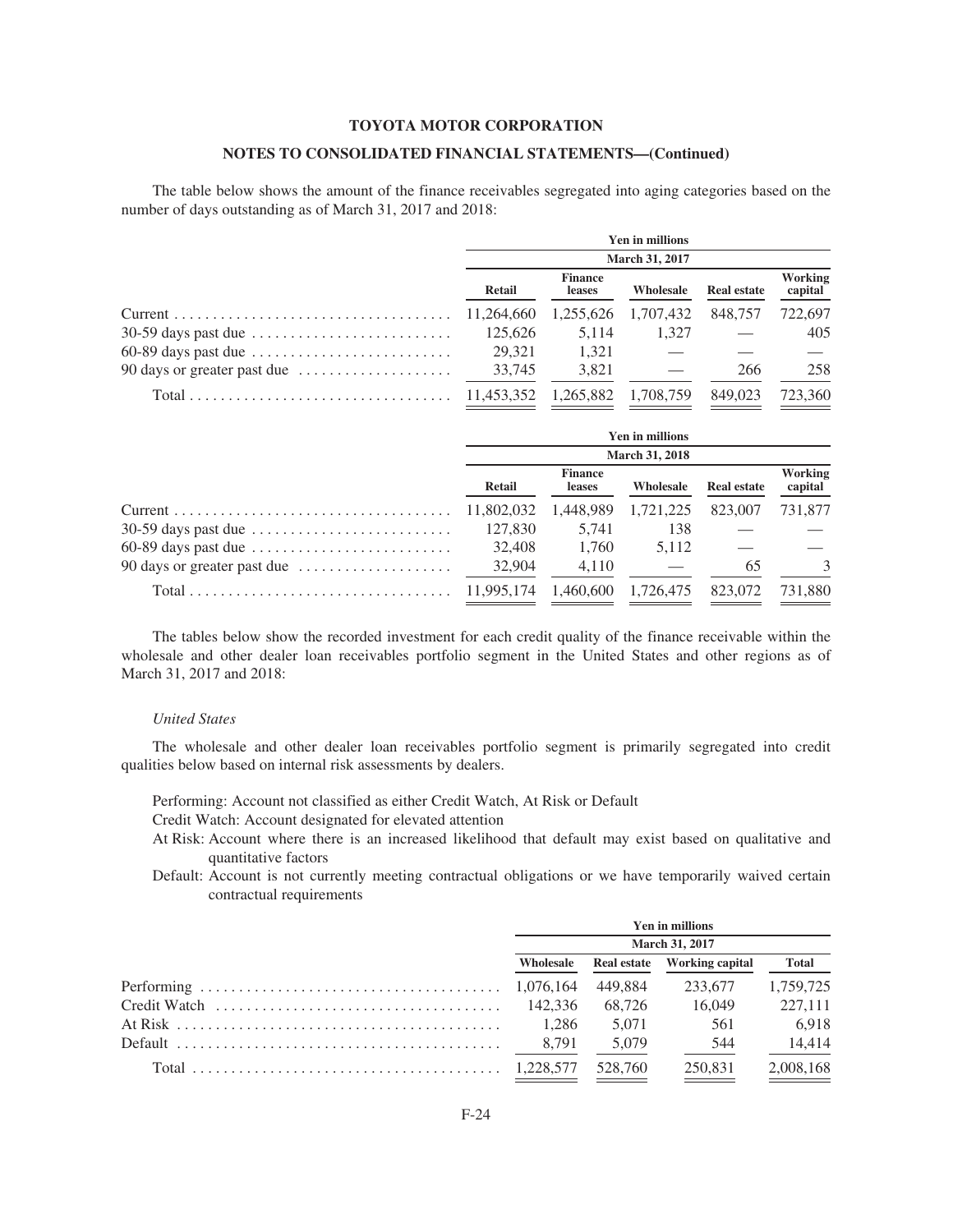## **NOTES TO CONSOLIDATED FINANCIAL STATEMENTS—(Continued)**

The table below shows the amount of the finance receivables segregated into aging categories based on the number of days outstanding as of March 31, 2017 and 2018:

|                                                                   | Yen in millions |                          |                     |                    |                    |  |
|-------------------------------------------------------------------|-----------------|--------------------------|---------------------|--------------------|--------------------|--|
|                                                                   |                 | <b>March 31, 2017</b>    |                     |                    |                    |  |
|                                                                   | <b>Retail</b>   | <b>Finance</b><br>leases | Wholesale           | <b>Real estate</b> | Working<br>capital |  |
|                                                                   |                 |                          | 1,255,626 1,707,432 | 848.757            | 722,697            |  |
|                                                                   | 125.626         | 5.114                    | 1.327               |                    | 405                |  |
|                                                                   | 29.321          | 1,321                    |                     |                    |                    |  |
| 90 days or greater past due $\dots\dots\dots\dots\dots\dots\dots$ | 33.745          | 3,821                    |                     | 266                | 258                |  |
|                                                                   |                 |                          |                     | 849.023            | 723,360            |  |

|                             | Yen in millions       |                          |           |                    |                    |  |
|-----------------------------|-----------------------|--------------------------|-----------|--------------------|--------------------|--|
|                             | <b>March 31, 2018</b> |                          |           |                    |                    |  |
|                             | <b>Retail</b>         | <b>Finance</b><br>leases | Wholesale | <b>Real estate</b> | Working<br>capital |  |
|                             |                       | 1,448,989 1,721,225      |           | 823,007            | 731,877            |  |
|                             | 127,830               | 5,741                    | 138       |                    |                    |  |
|                             | 32,408                | 1,760                    | 5,112     |                    |                    |  |
| 90 days or greater past due | 32,904                | 4.110                    |           | 65                 | 3                  |  |
|                             |                       |                          |           |                    | 731,880            |  |

The tables below show the recorded investment for each credit quality of the finance receivable within the wholesale and other dealer loan receivables portfolio segment in the United States and other regions as of March 31, 2017 and 2018:

### *United States*

The wholesale and other dealer loan receivables portfolio segment is primarily segregated into credit qualities below based on internal risk assessments by dealers.

Performing: Account not classified as either Credit Watch, At Risk or Default

Credit Watch: Account designated for elevated attention

- At Risk: Account where there is an increased likelihood that default may exist based on qualitative and quantitative factors
- Default: Account is not currently meeting contractual obligations or we have temporarily waived certain contractual requirements

|  | Yen in millions<br><b>March 31, 2017</b> |         |                             |              |  |  |
|--|------------------------------------------|---------|-----------------------------|--------------|--|--|
|  |                                          |         |                             |              |  |  |
|  | Wholesale                                |         | Real estate Working capital | <b>Total</b> |  |  |
|  |                                          | 449.884 | 233.677                     | 1.759.725    |  |  |
|  |                                          | 68.726  | 16.049                      | 227.111      |  |  |
|  | 1.286                                    | 5.071   | 561                         | 6.918        |  |  |
|  | 8,791                                    | 5.079   | 544                         | 14.414       |  |  |
|  |                                          | 528,760 | 250.831                     | 2,008,168    |  |  |
|  |                                          |         |                             |              |  |  |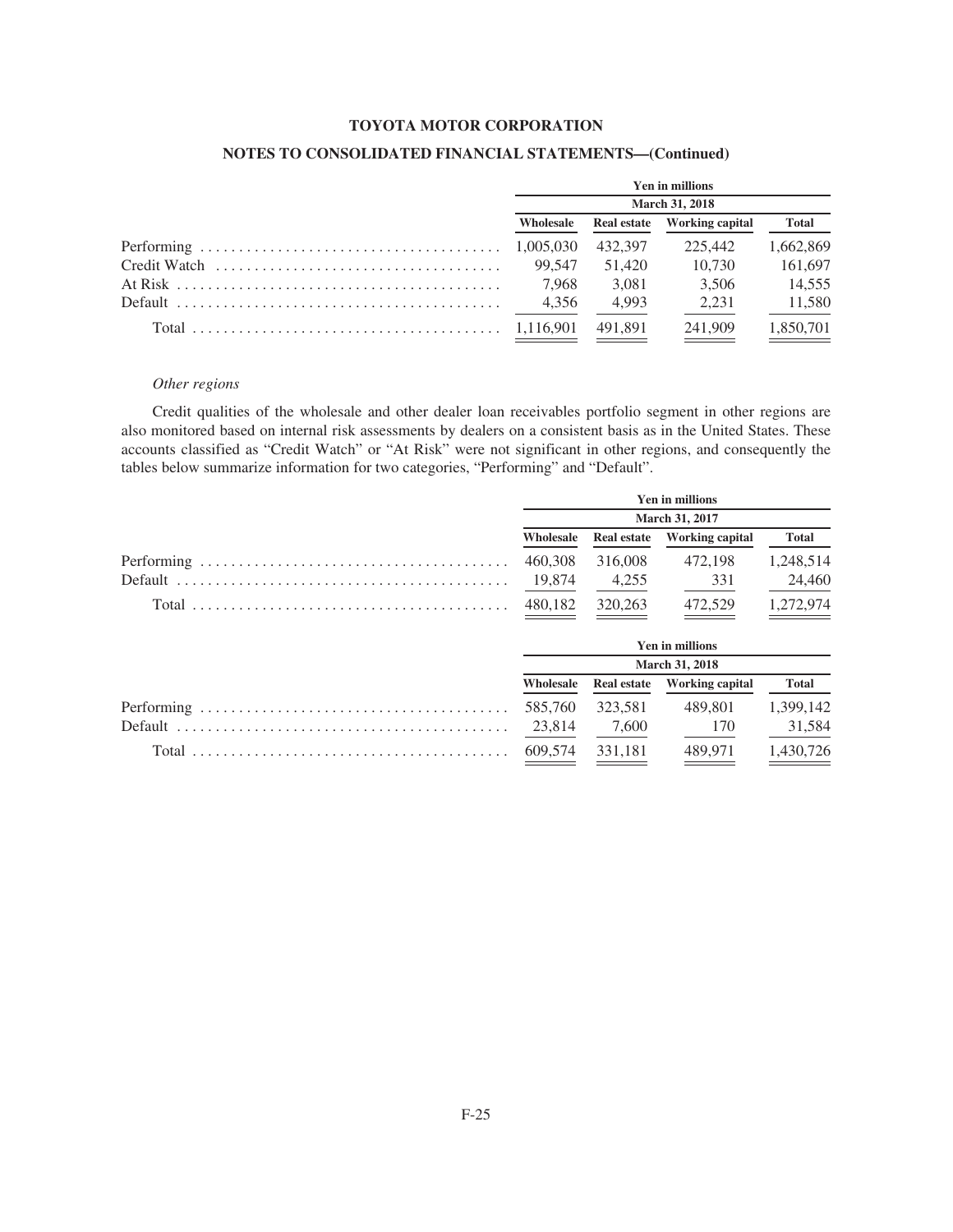|  | Yen in millions<br><b>March 31, 2018</b> |                    |                 |           |  |
|--|------------------------------------------|--------------------|-----------------|-----------|--|
|  |                                          |                    |                 |           |  |
|  | Wholesale                                | <b>Real estate</b> | Working capital | Total     |  |
|  |                                          | 432.397            | 225.442         | 1.662.869 |  |
|  | 99.547                                   | 51.420             | 10.730          | 161,697   |  |
|  | 7.968                                    | 3.081              | 3.506           | 14.555    |  |
|  | 4.356                                    | 4.993              | 2.231           | 11,580    |  |
|  |                                          | 491.891            | 241,909         | 1.850.701 |  |

# **NOTES TO CONSOLIDATED FINANCIAL STATEMENTS—(Continued)**

## *Other regions*

Credit qualities of the wholesale and other dealer loan receivables portfolio segment in other regions are also monitored based on internal risk assessments by dealers on a consistent basis as in the United States. These accounts classified as "Credit Watch" or "At Risk" were not significant in other regions, and consequently the tables below summarize information for two categories, "Performing" and "Default".

| Yen in millions       |       |                                       |              |  |
|-----------------------|-------|---------------------------------------|--------------|--|
| <b>March 31, 2017</b> |       |                                       |              |  |
|                       |       | Wholesale Real estate Working capital | <b>Total</b> |  |
|                       |       | 472.198                               | 1,248,514    |  |
|                       | 4.255 | 331                                   | 24.460       |  |
|                       |       | 472.529 1.272.974                     |              |  |

|                                                                                                             | Yen in millions       |       |                                       |           |  |
|-------------------------------------------------------------------------------------------------------------|-----------------------|-------|---------------------------------------|-----------|--|
|                                                                                                             | <b>March 31, 2018</b> |       |                                       |           |  |
|                                                                                                             |                       |       | Wholesale Real estate Working capital | Total     |  |
|                                                                                                             |                       |       | 489.801                               | 1.399.142 |  |
| Default $\ldots \ldots \ldots \ldots \ldots \ldots \ldots \ldots \ldots \ldots \ldots \ldots \ldots$ 23.814 |                       | 7.600 | 170                                   | 31.584    |  |
|                                                                                                             |                       |       | 489.971                               | 1,430,726 |  |
|                                                                                                             |                       |       |                                       |           |  |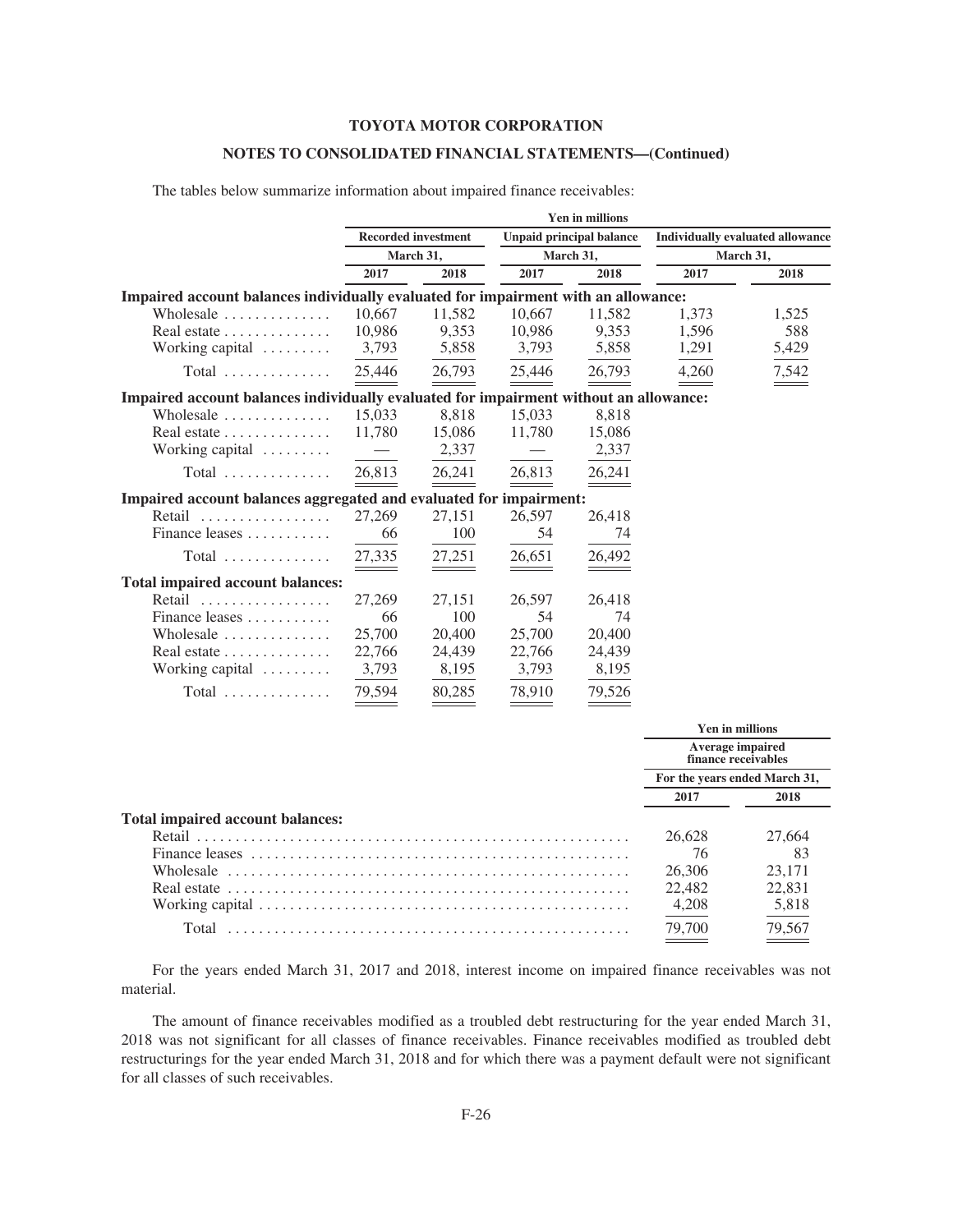## **NOTES TO CONSOLIDATED FINANCIAL STATEMENTS—(Continued)**

The tables below summarize information about impaired finance receivables:

|                                                                                       |        |                            |        | Yen in millions                 |                                                |                                         |
|---------------------------------------------------------------------------------------|--------|----------------------------|--------|---------------------------------|------------------------------------------------|-----------------------------------------|
|                                                                                       |        | <b>Recorded investment</b> |        | <b>Unpaid principal balance</b> |                                                | <b>Individually evaluated allowance</b> |
|                                                                                       |        | March 31,                  |        | March 31,                       |                                                | March 31,                               |
|                                                                                       | 2017   | 2018                       | 2017   | 2018                            | 2017                                           | 2018                                    |
| Impaired account balances individually evaluated for impairment with an allowance:    |        |                            |        |                                 |                                                |                                         |
| Wholesale                                                                             | 10,667 | 11,582                     | 10,667 | 11,582                          | 1,373                                          | 1,525                                   |
| Real estate                                                                           | 10,986 | 9,353                      | 10,986 | 9,353                           | 1,596                                          | 588                                     |
| Working capital                                                                       | 3.793  | 5,858                      | 3,793  | 5,858                           | 1.291                                          | 5,429                                   |
| $Total$                                                                               | 25,446 | 26,793                     | 25,446 | 26,793                          | 4.260                                          | 7,542                                   |
| Impaired account balances individually evaluated for impairment without an allowance: |        |                            |        |                                 |                                                |                                         |
| Wholesale                                                                             | 15,033 | 8,818                      | 15,033 | 8,818                           |                                                |                                         |
| Real estate $\ldots \ldots \ldots \ldots$                                             | 11,780 | 15,086                     | 11,780 | 15,086                          |                                                |                                         |
| Working capital $\dots\dots\dots$                                                     |        | 2,337                      |        | 2,337                           |                                                |                                         |
| $Total$                                                                               | 26,813 | 26,241                     | 26,813 | 26,241                          |                                                |                                         |
| Impaired account balances aggregated and evaluated for impairment:                    |        |                            |        |                                 |                                                |                                         |
| Retail                                                                                | 27,269 | 27,151                     | 26,597 | 26,418                          |                                                |                                         |
| Finance leases                                                                        | 66     | 100                        | 54     | 74                              |                                                |                                         |
| $Total$                                                                               | 27,335 | 27.251                     | 26.651 | 26.492                          |                                                |                                         |
| Total impaired account balances:                                                      |        |                            |        |                                 |                                                |                                         |
| Retail                                                                                | 27,269 | 27,151                     | 26,597 | 26,418                          |                                                |                                         |
| Finance leases                                                                        | 66     | 100                        | 54     | 74                              |                                                |                                         |
| Wholesale                                                                             | 25,700 | 20,400                     | 25,700 | 20,400                          |                                                |                                         |
| Real estate                                                                           | 22,766 | 24,439                     | 22,766 | 24,439                          |                                                |                                         |
| Working capital                                                                       | 3,793  | 8,195                      | 3,793  | 8,195                           |                                                |                                         |
| Total                                                                                 | 79,594 | 80,285                     | 78,910 | 79,526                          |                                                |                                         |
|                                                                                       |        |                            |        |                                 | Yen in millions                                |                                         |
|                                                                                       |        |                            |        |                                 | <b>Average impaired</b><br>finance receivables |                                         |
|                                                                                       |        |                            |        |                                 | For the years ended March 31,                  |                                         |
|                                                                                       |        |                            |        |                                 | 2017                                           | 2018                                    |
| <b>Total impaired account balances:</b>                                               |        |                            |        |                                 |                                                |                                         |
|                                                                                       |        |                            |        |                                 | 26,628                                         | 27,664                                  |
|                                                                                       |        |                            |        |                                 | 76                                             | 83                                      |
|                                                                                       |        |                            |        |                                 | 26,306                                         | 23,171                                  |
|                                                                                       |        |                            |        |                                 | 22,482                                         | 22,831                                  |
|                                                                                       |        |                            |        |                                 | 4,208                                          | 5,818                                   |

For the years ended March 31, 2017 and 2018, interest income on impaired finance receivables was not material.

Total .................................................... 79,700 79,567

The amount of finance receivables modified as a troubled debt restructuring for the year ended March 31, 2018 was not significant for all classes of finance receivables. Finance receivables modified as troubled debt restructurings for the year ended March 31, 2018 and for which there was a payment default were not significant for all classes of such receivables.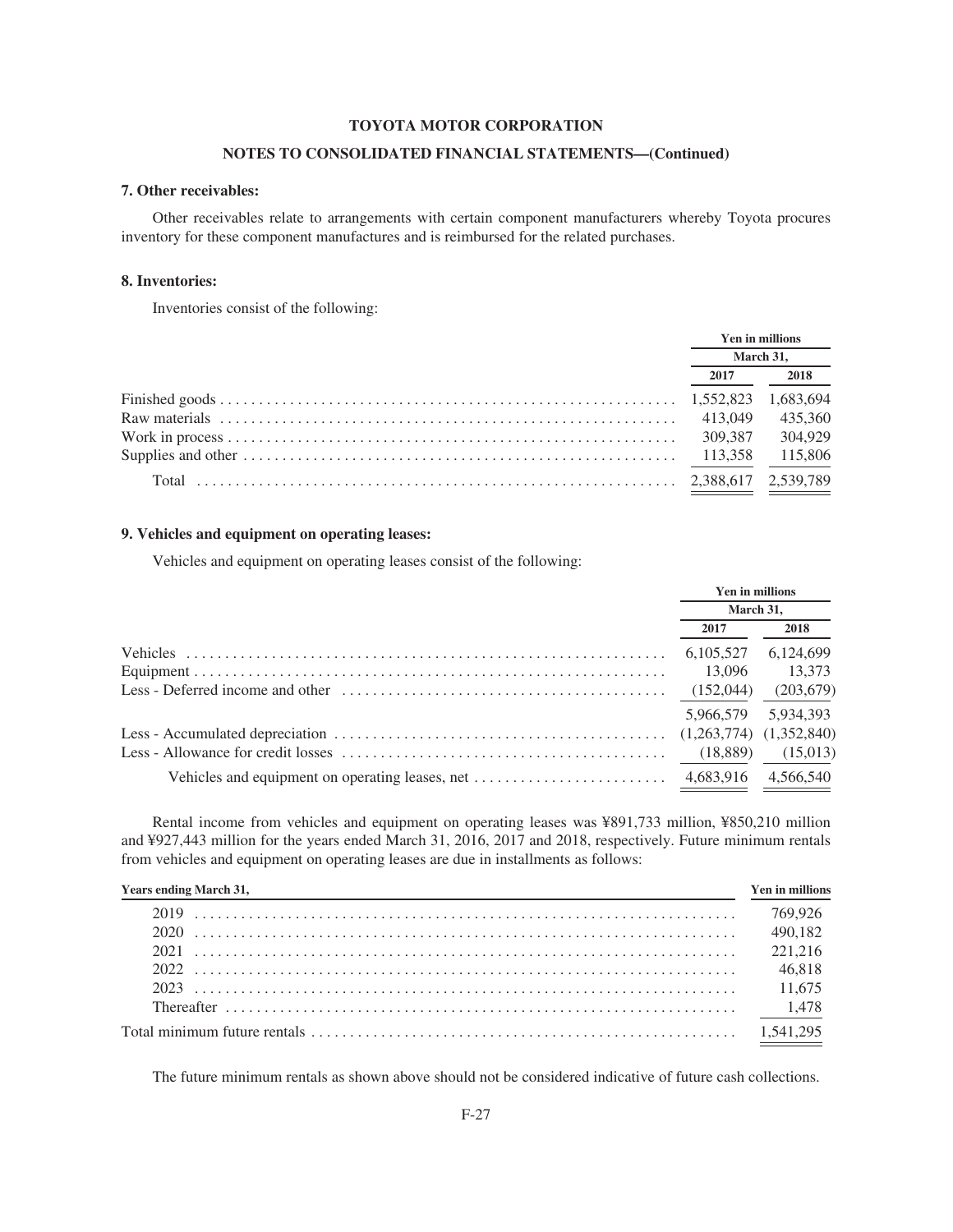## **NOTES TO CONSOLIDATED FINANCIAL STATEMENTS—(Continued)**

## **7. Other receivables:**

Other receivables relate to arrangements with certain component manufacturers whereby Toyota procures inventory for these component manufactures and is reimbursed for the related purchases.

### **8. Inventories:**

Inventories consist of the following:

| Yen in millions |           |  |
|-----------------|-----------|--|
|                 | March 31. |  |
| 2017            | 2018      |  |
|                 |           |  |
|                 | 435,360   |  |
|                 |           |  |
|                 | 115,806   |  |
|                 |           |  |
|                 |           |  |

## **9. Vehicles and equipment on operating leases:**

Vehicles and equipment on operating leases consist of the following:

| Yen in millions |            |  |
|-----------------|------------|--|
| March 31,       |            |  |
| 2017            | 2018       |  |
| 6,105,527       | 6,124,699  |  |
| 13,096          | 13,373     |  |
| (152, 044)      | (203, 679) |  |
| 5.966.579       | 5,934,393  |  |
|                 |            |  |
| (18, 889)       | (15,013)   |  |
|                 | 4.566.540  |  |

Rental income from vehicles and equipment on operating leases was ¥891,733 million, ¥850,210 million and ¥927,443 million for the years ended March 31, 2016, 2017 and 2018, respectively. Future minimum rentals from vehicles and equipment on operating leases are due in installments as follows:

| <b>Years ending March 31,</b><br>and the control of the control of the control of the control of the control of the control of the control of the | <b>Yen in millions</b> |
|---------------------------------------------------------------------------------------------------------------------------------------------------|------------------------|
|                                                                                                                                                   | 769.926                |
|                                                                                                                                                   | 490.182                |
|                                                                                                                                                   | 221.216                |
|                                                                                                                                                   | 46.818                 |
|                                                                                                                                                   |                        |
|                                                                                                                                                   |                        |
|                                                                                                                                                   |                        |

The future minimum rentals as shown above should not be considered indicative of future cash collections.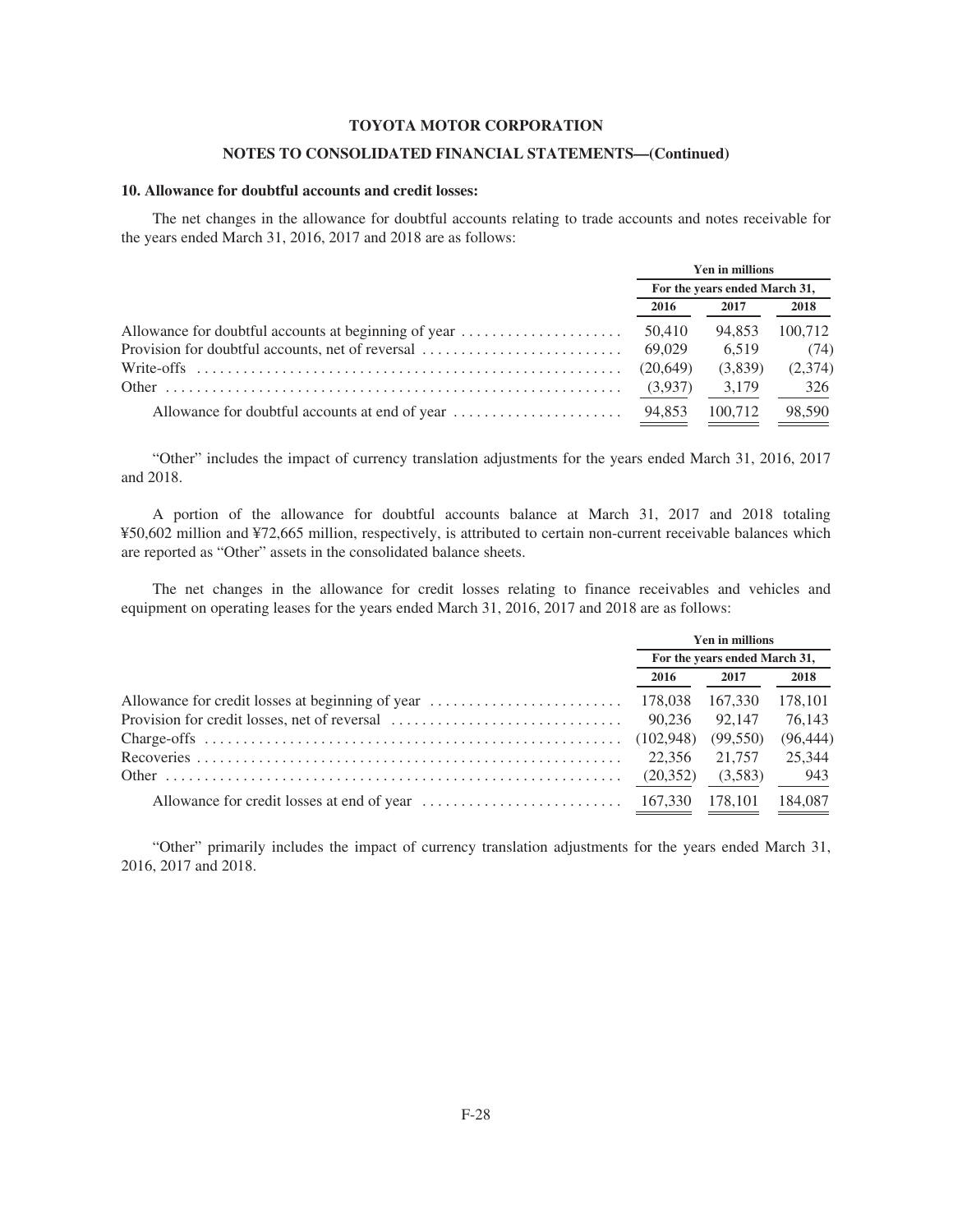### **NOTES TO CONSOLIDATED FINANCIAL STATEMENTS—(Continued)**

## **10. Allowance for doubtful accounts and credit losses:**

The net changes in the allowance for doubtful accounts relating to trade accounts and notes receivable for the years ended March 31, 2016, 2017 and 2018 are as follows:

|                                                      | Yen in millions               |         |         |  |
|------------------------------------------------------|-------------------------------|---------|---------|--|
|                                                      | For the years ended March 31, |         |         |  |
|                                                      | 2016                          | 2017    | 2018    |  |
| Allowance for doubtful accounts at beginning of year | 50,410                        | 94.853  | 100,712 |  |
| Provision for doubtful accounts, net of reversal     | 69.029                        | 6.519   | (74)    |  |
|                                                      | (20.649)                      | (3.839) | (2,374) |  |
|                                                      | (3,937)                       | 3.179   | 326     |  |
|                                                      |                               | 100,712 | 98,590  |  |

"Other" includes the impact of currency translation adjustments for the years ended March 31, 2016, 2017 and 2018.

A portion of the allowance for doubtful accounts balance at March 31, 2017 and 2018 totaling ¥50,602 million and ¥72,665 million, respectively, is attributed to certain non-current receivable balances which are reported as "Other" assets in the consolidated balance sheets.

The net changes in the allowance for credit losses relating to finance receivables and vehicles and equipment on operating leases for the years ended March 31, 2016, 2017 and 2018 are as follows:

| Yen in millions               |           |           |
|-------------------------------|-----------|-----------|
| For the years ended March 31, |           |           |
| 2016                          | 2017      | 2018      |
|                               | 167,330   | 178.101   |
|                               | 92,147    | 76.143    |
|                               | (99, 550) | (96, 444) |
| 22.356                        | 21.757    | 25,344    |
| (20,352)                      | (3,583)   | 943       |
|                               | 178.101   | 184,087   |

"Other" primarily includes the impact of currency translation adjustments for the years ended March 31, 2016, 2017 and 2018.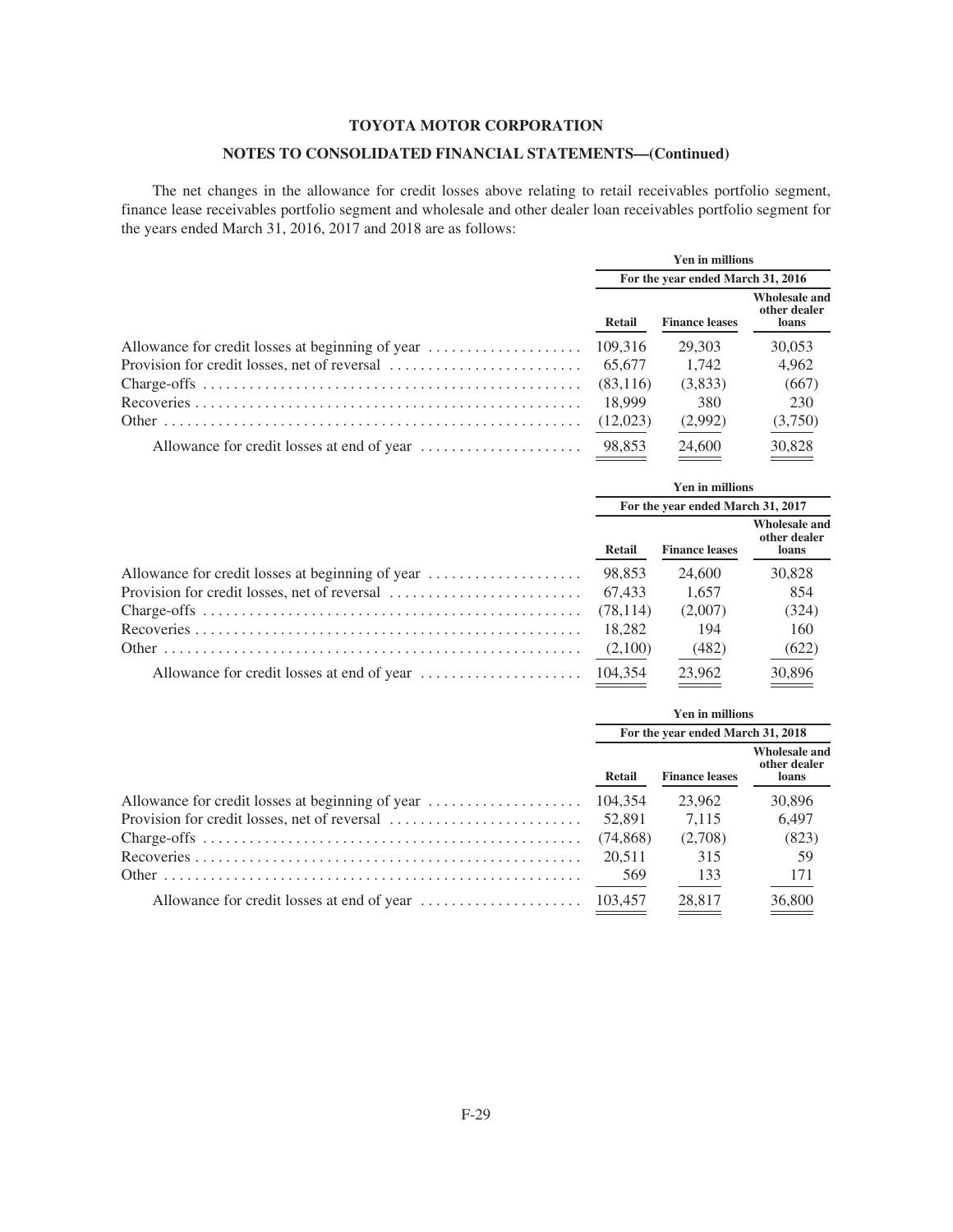# **NOTES TO CONSOLIDATED FINANCIAL STATEMENTS—(Continued)**

The net changes in the allowance for credit losses above relating to retail receivables portfolio segment, finance lease receivables portfolio segment and wholesale and other dealer loan receivables portfolio segment for the years ended March 31, 2016, 2017 and 2018 are as follows:

|                                              |          | <b>Yen in millions</b>            |                                               |  |
|----------------------------------------------|----------|-----------------------------------|-----------------------------------------------|--|
|                                              |          | For the year ended March 31, 2016 |                                               |  |
|                                              | Retail   | <b>Finance leases</b>             | <b>Wholesale and</b><br>other dealer<br>loans |  |
|                                              | 109.316  | 29.303                            | 30,053                                        |  |
| Provision for credit losses, net of reversal | 65,677   | 1.742                             | 4,962                                         |  |
|                                              | (83,116) | (3,833)                           | (667)                                         |  |
|                                              | 18.999   | 380                               | 230                                           |  |
|                                              | (12,023) | (2,992)                           | (3,750)                                       |  |
|                                              | 98,853   | 24,600                            | 30,828                                        |  |

|                                              |           | Yen in millions                   |                                               |  |
|----------------------------------------------|-----------|-----------------------------------|-----------------------------------------------|--|
|                                              |           | For the year ended March 31, 2017 |                                               |  |
|                                              | Retail    | <b>Finance leases</b>             | <b>Wholesale and</b><br>other dealer<br>loans |  |
|                                              | 98.853    | 24,600                            | 30,828                                        |  |
| Provision for credit losses, net of reversal | 67.433    | 1.657                             | 854                                           |  |
|                                              | (78, 114) | (2,007)                           | (324)                                         |  |
|                                              | 18,282    | 194                               | 160                                           |  |
|                                              | (2,100)   | (482)                             | (622)                                         |  |
|                                              |           | 23,962                            | 30,896                                        |  |

|                                              | <b>Yen in millions</b>            |                       |                                               |
|----------------------------------------------|-----------------------------------|-----------------------|-----------------------------------------------|
|                                              | For the year ended March 31, 2018 |                       |                                               |
|                                              | Retail                            | <b>Finance leases</b> | <b>Wholesale and</b><br>other dealer<br>loans |
|                                              | 104.354                           | 23.962                | 30,896                                        |
| Provision for credit losses, net of reversal | 52.891                            | 7.115                 | 6.497                                         |
|                                              | (74, 868)                         | (2,708)               | (823)                                         |
|                                              | 20.511                            | 315                   | 59                                            |
|                                              | 569                               | 133                   | 171                                           |
|                                              | 103.457                           | 28,817                | 36,800                                        |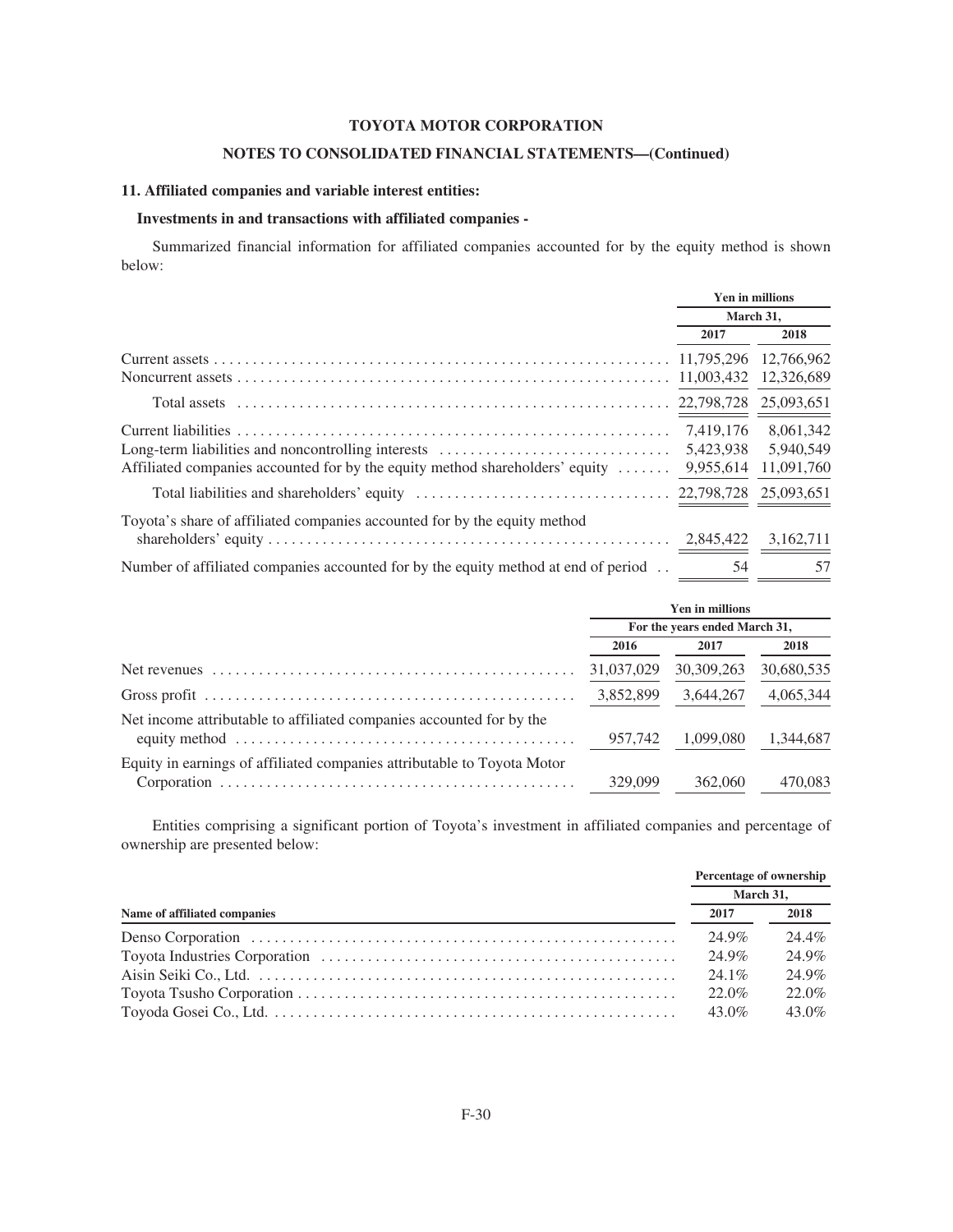# **NOTES TO CONSOLIDATED FINANCIAL STATEMENTS—(Continued)**

## **11. Affiliated companies and variable interest entities:**

## **Investments in and transactions with affiliated companies -**

Summarized financial information for affiliated companies accounted for by the equity method is shown below:

|                                                                                    | Yen in millions |            |
|------------------------------------------------------------------------------------|-----------------|------------|
|                                                                                    | March 31,       |            |
|                                                                                    | 2017            | 2018       |
|                                                                                    |                 | 12.766.962 |
|                                                                                    |                 |            |
|                                                                                    |                 |            |
|                                                                                    | 7.419.176       | 8.061.342  |
| Long-term liabilities and noncontrolling interests                                 | 5,423,938       | 5,940,549  |
| Affiliated companies accounted for by the equity method shareholders' equity       | 9,955,614       | 11,091,760 |
|                                                                                    |                 |            |
| Toyota's share of affiliated companies accounted for by the equity method          |                 |            |
|                                                                                    |                 | 3.162.711  |
| Number of affiliated companies accounted for by the equity method at end of period | 54              | 57         |

|                                                                         |            | Yen in millions               |            |  |
|-------------------------------------------------------------------------|------------|-------------------------------|------------|--|
|                                                                         |            | For the years ended March 31, |            |  |
|                                                                         | 2016       | 2017                          | 2018       |  |
|                                                                         | 31,037,029 | 30,309,263                    | 30,680,535 |  |
|                                                                         | 3,852,899  | 3,644,267                     | 4,065,344  |  |
| Net income attributable to affiliated companies accounted for by the    |            |                               |            |  |
|                                                                         | 957,742    | 1.099.080                     | 1.344.687  |  |
| Equity in earnings of affiliated companies attributable to Toyota Motor |            |                               |            |  |
|                                                                         | 329,099    | 362,060                       | 470.083    |  |

Entities comprising a significant portion of Toyota's investment in affiliated companies and percentage of ownership are presented below:

|                              | Percentage of ownership |           |
|------------------------------|-------------------------|-----------|
|                              |                         | March 31, |
| Name of affiliated companies | 2017                    | 2018      |
|                              | 24.9%                   | 24.4%     |
|                              | 24.9%                   | 24.9%     |
|                              | $24.1\%$                | 24.9%     |
|                              | 22.0%                   | $22.0\%$  |
|                              | 43.0%                   | 43.0%     |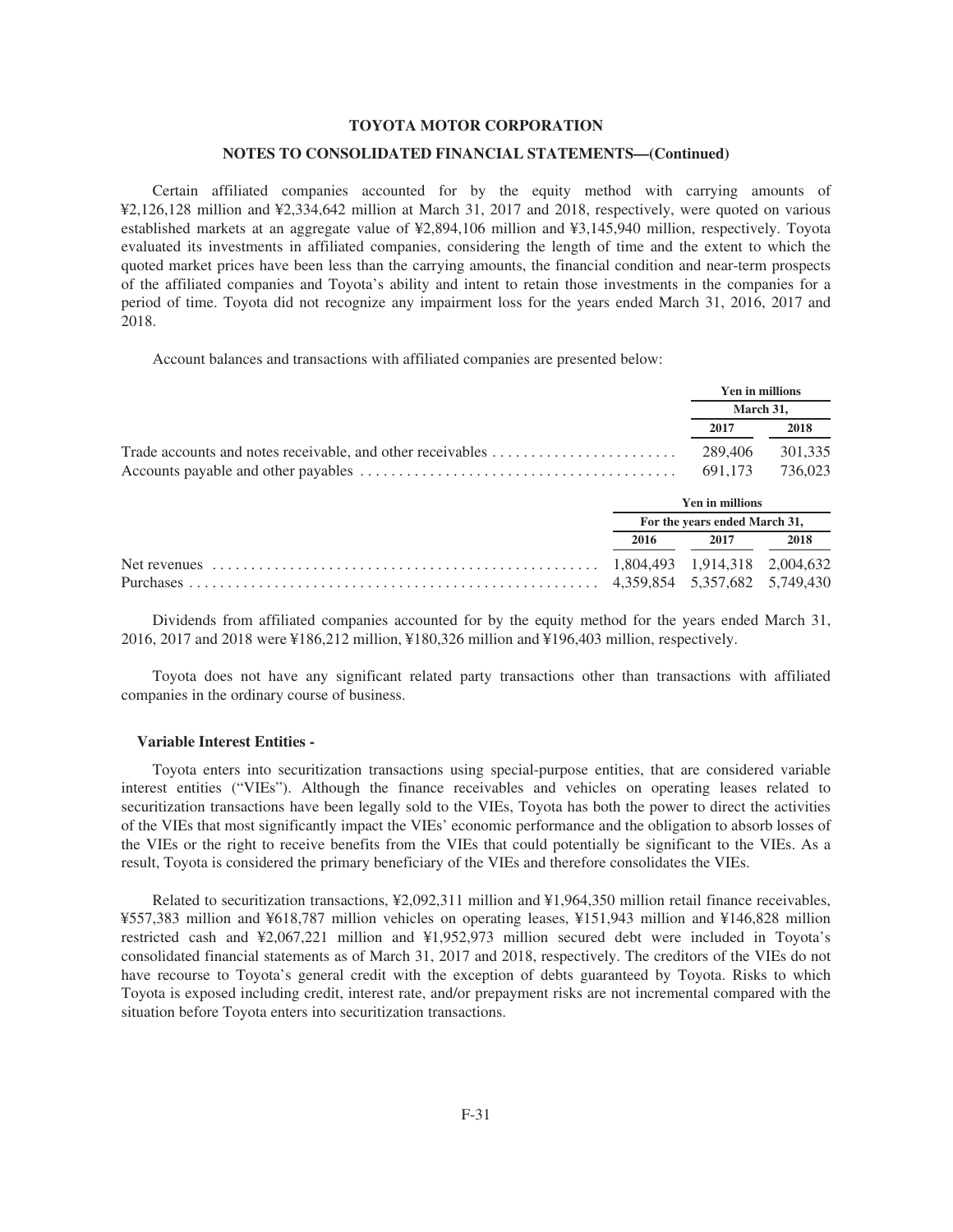## **NOTES TO CONSOLIDATED FINANCIAL STATEMENTS—(Continued)**

Certain affiliated companies accounted for by the equity method with carrying amounts of ¥2,126,128 million and ¥2,334,642 million at March 31, 2017 and 2018, respectively, were quoted on various established markets at an aggregate value of ¥2,894,106 million and ¥3,145,940 million, respectively. Toyota evaluated its investments in affiliated companies, considering the length of time and the extent to which the quoted market prices have been less than the carrying amounts, the financial condition and near-term prospects of the affiliated companies and Toyota's ability and intent to retain those investments in the companies for a period of time. Toyota did not recognize any impairment loss for the years ended March 31, 2016, 2017 and 2018.

Account balances and transactions with affiliated companies are presented below:

| Yen in millions |         |
|-----------------|---------|
| March 31.       |         |
| 2017            | 2018    |
| 289.406 301.335 |         |
| 691.173         | 736.023 |

|      | Yen in millions               |      |  |
|------|-------------------------------|------|--|
|      | For the years ended March 31, |      |  |
| 2016 | 2017                          | 2018 |  |
|      |                               |      |  |
|      |                               |      |  |

Dividends from affiliated companies accounted for by the equity method for the years ended March 31, 2016, 2017 and 2018 were ¥186,212 million, ¥180,326 million and ¥196,403 million, respectively.

Toyota does not have any significant related party transactions other than transactions with affiliated companies in the ordinary course of business.

#### **Variable Interest Entities -**

Toyota enters into securitization transactions using special-purpose entities, that are considered variable interest entities ("VIEs"). Although the finance receivables and vehicles on operating leases related to securitization transactions have been legally sold to the VIEs, Toyota has both the power to direct the activities of the VIEs that most significantly impact the VIEs' economic performance and the obligation to absorb losses of the VIEs or the right to receive benefits from the VIEs that could potentially be significant to the VIEs. As a result, Toyota is considered the primary beneficiary of the VIEs and therefore consolidates the VIEs.

Related to securitization transactions, ¥2,092,311 million and ¥1,964,350 million retail finance receivables, ¥557,383 million and ¥618,787 million vehicles on operating leases, ¥151,943 million and ¥146,828 million restricted cash and ¥2,067,221 million and ¥1,952,973 million secured debt were included in Toyota's consolidated financial statements as of March 31, 2017 and 2018, respectively. The creditors of the VIEs do not have recourse to Toyota's general credit with the exception of debts guaranteed by Toyota. Risks to which Toyota is exposed including credit, interest rate, and/or prepayment risks are not incremental compared with the situation before Toyota enters into securitization transactions.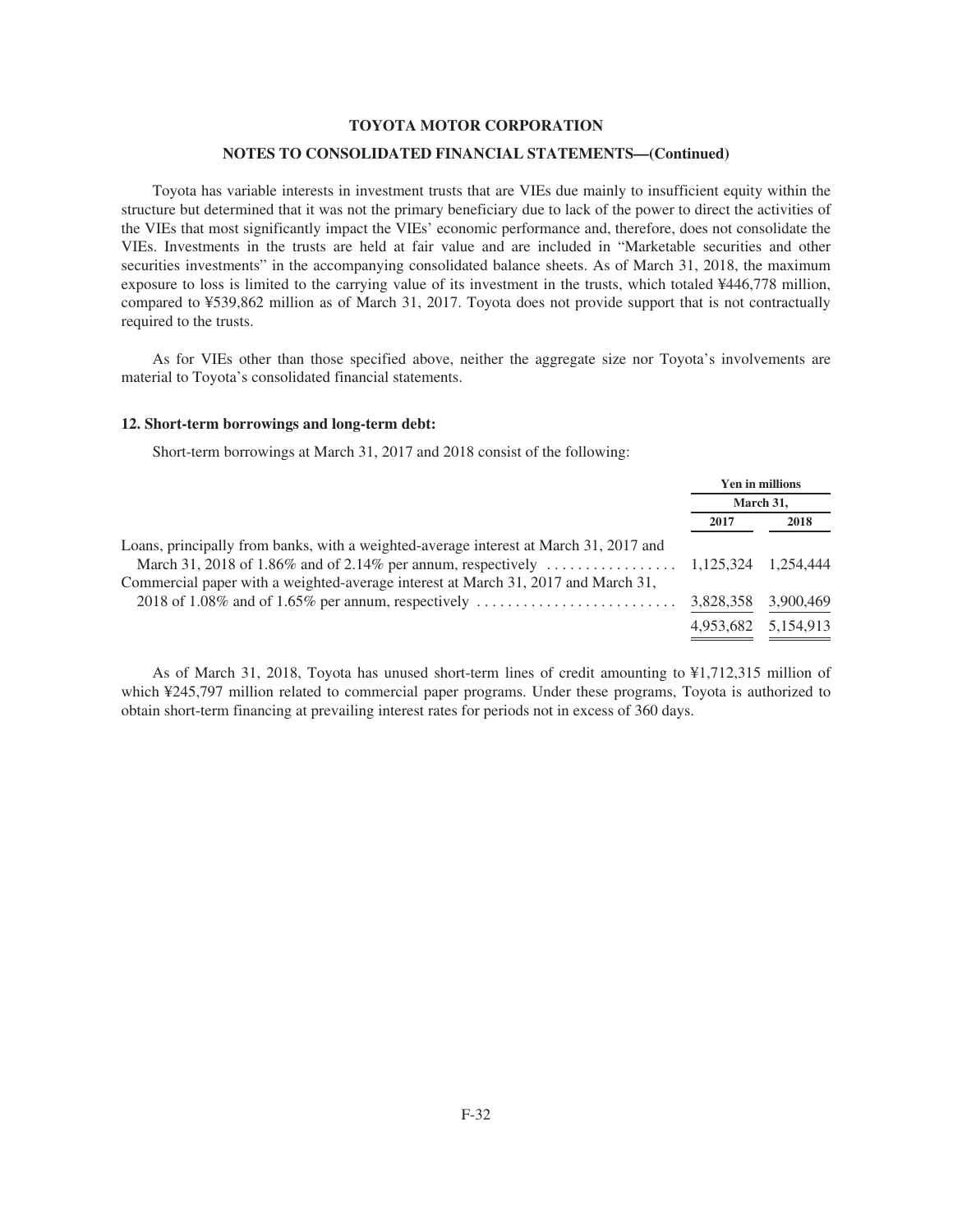## **NOTES TO CONSOLIDATED FINANCIAL STATEMENTS—(Continued)**

Toyota has variable interests in investment trusts that are VIEs due mainly to insufficient equity within the structure but determined that it was not the primary beneficiary due to lack of the power to direct the activities of the VIEs that most significantly impact the VIEs' economic performance and, therefore, does not consolidate the VIEs. Investments in the trusts are held at fair value and are included in "Marketable securities and other securities investments" in the accompanying consolidated balance sheets. As of March 31, 2018, the maximum exposure to loss is limited to the carrying value of its investment in the trusts, which totaled ¥446,778 million, compared to ¥539,862 million as of March 31, 2017. Toyota does not provide support that is not contractually required to the trusts.

As for VIEs other than those specified above, neither the aggregate size nor Toyota's involvements are material to Toyota's consolidated financial statements.

#### **12. Short-term borrowings and long-term debt:**

Short-term borrowings at March 31, 2017 and 2018 consist of the following:

|                                                                                                                                           | Yen in millions     |           |
|-------------------------------------------------------------------------------------------------------------------------------------------|---------------------|-----------|
|                                                                                                                                           | March 31,           |           |
|                                                                                                                                           | 2017                | 2018      |
| Loans, principally from banks, with a weighted-average interest at March 31, 2017 and                                                     |                     |           |
| Commercial paper with a weighted-average interest at March 31, 2017 and March 31,<br>$2018$ of 1.08% and of 1.65% per annum, respectively | 3,828,358           | 3,900,469 |
|                                                                                                                                           | 4,953,682 5,154,913 |           |

As of March 31, 2018, Toyota has unused short-term lines of credit amounting to ¥1,712,315 million of which ¥245,797 million related to commercial paper programs. Under these programs, Toyota is authorized to obtain short-term financing at prevailing interest rates for periods not in excess of 360 days.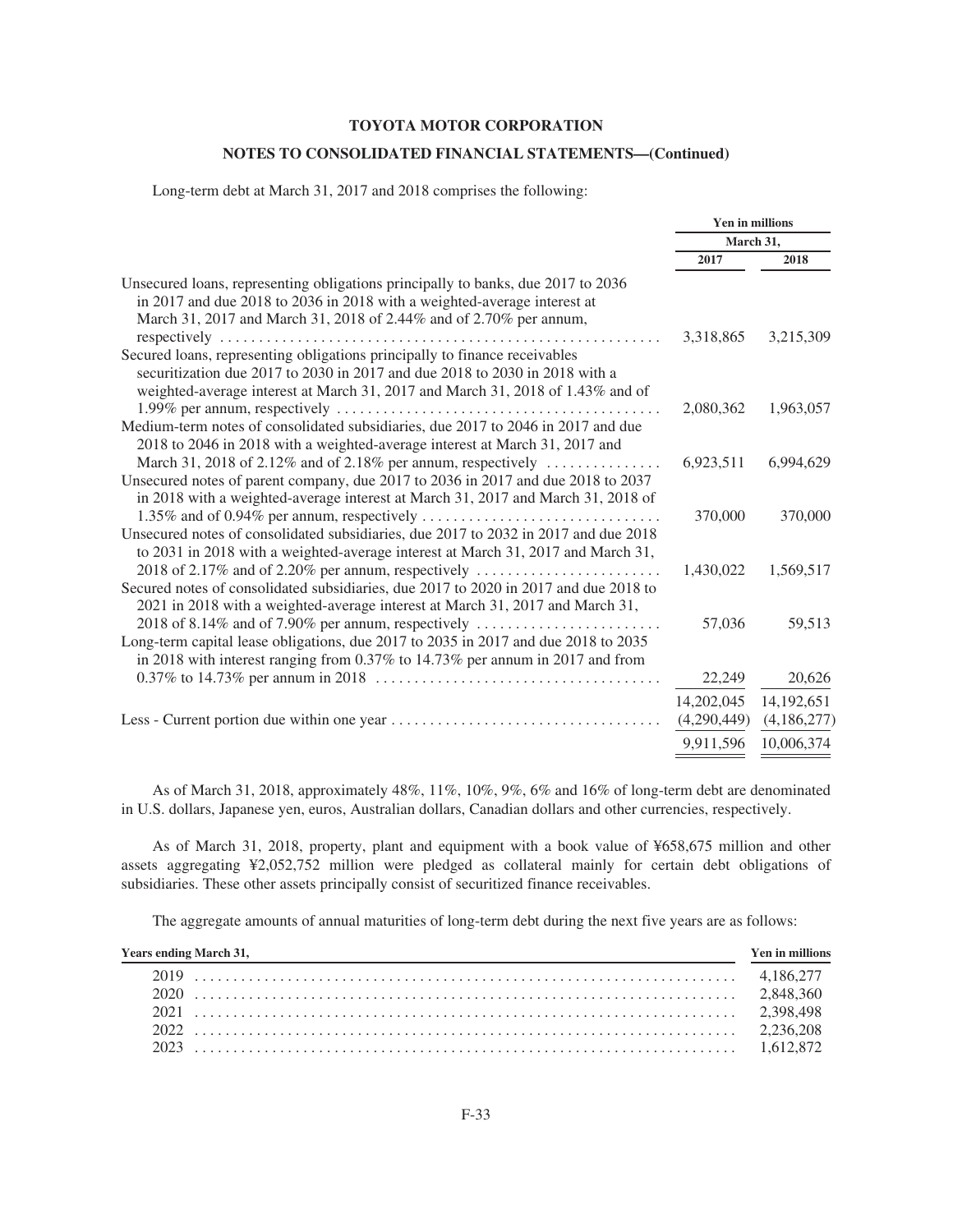# **NOTES TO CONSOLIDATED FINANCIAL STATEMENTS—(Continued)**

Long-term debt at March 31, 2017 and 2018 comprises the following:

|                                                                                                                                                                                                                                                             | Yen in millions |             |
|-------------------------------------------------------------------------------------------------------------------------------------------------------------------------------------------------------------------------------------------------------------|-----------------|-------------|
|                                                                                                                                                                                                                                                             | March 31,       |             |
|                                                                                                                                                                                                                                                             | 2017            | 2018        |
| Unsecured loans, representing obligations principally to banks, due 2017 to 2036<br>in 2017 and due 2018 to 2036 in 2018 with a weighted-average interest at<br>March 31, 2017 and March 31, 2018 of 2.44% and of 2.70% per annum,                          | 3,318,865       | 3,215,309   |
| Secured loans, representing obligations principally to finance receivables<br>securitization due 2017 to 2030 in 2017 and due 2018 to 2030 in 2018 with a<br>weighted-average interest at March 31, 2017 and March 31, 2018 of 1.43% and of                 | 2,080,362       | 1,963,057   |
| Medium-term notes of consolidated subsidiaries, due 2017 to 2046 in 2017 and due<br>2018 to 2046 in 2018 with a weighted-average interest at March 31, 2017 and<br>March 31, 2018 of 2.12% and of 2.18% per annum, respectively $\dots\dots\dots\dots\dots$ | 6,923,511       | 6,994,629   |
| Unsecured notes of parent company, due 2017 to 2036 in 2017 and due 2018 to 2037<br>in 2018 with a weighted-average interest at March 31, 2017 and March 31, 2018 of                                                                                        | 370,000         | 370,000     |
| Unsecured notes of consolidated subsidiaries, due 2017 to 2032 in 2017 and due 2018<br>to 2031 in 2018 with a weighted-average interest at March 31, 2017 and March 31,<br>2018 of 2.17% and of 2.20% per annum, respectively                               | 1,430,022       | 1,569,517   |
| Secured notes of consolidated subsidiaries, due 2017 to 2020 in 2017 and due 2018 to<br>2021 in 2018 with a weighted-average interest at March 31, 2017 and March 31,<br>2018 of 8.14% and of 7.90% per annum, respectively                                 | 57,036          | 59,513      |
| Long-term capital lease obligations, due 2017 to 2035 in 2017 and due 2018 to 2035<br>in 2018 with interest ranging from 0.37% to 14.73% per annum in 2017 and from                                                                                         |                 |             |
|                                                                                                                                                                                                                                                             | 22,249          | 20,626      |
|                                                                                                                                                                                                                                                             | 14,202,045      | 14,192,651  |
|                                                                                                                                                                                                                                                             | (4,290,449)     | (4,186,277) |
|                                                                                                                                                                                                                                                             | 9,911,596       | 10,006,374  |
|                                                                                                                                                                                                                                                             |                 |             |

As of March 31, 2018, approximately 48%, 11%, 10%, 9%, 6% and 16% of long-term debt are denominated in U.S. dollars, Japanese yen, euros, Australian dollars, Canadian dollars and other currencies, respectively.

As of March 31, 2018, property, plant and equipment with a book value of ¥658,675 million and other assets aggregating ¥2,052,752 million were pledged as collateral mainly for certain debt obligations of subsidiaries. These other assets principally consist of securitized finance receivables.

The aggregate amounts of annual maturities of long-term debt during the next five years are as follows:

| <b>Years ending March 31,</b><br><u> 1989 - Johann Stoff, deutscher Stoff, der Stoff, der Stoff, der Stoff, der Stoff, der Stoff, der Stoff, der S</u> | <b>Yen in millions</b> |
|--------------------------------------------------------------------------------------------------------------------------------------------------------|------------------------|
|                                                                                                                                                        |                        |
|                                                                                                                                                        |                        |
|                                                                                                                                                        |                        |
|                                                                                                                                                        |                        |
|                                                                                                                                                        |                        |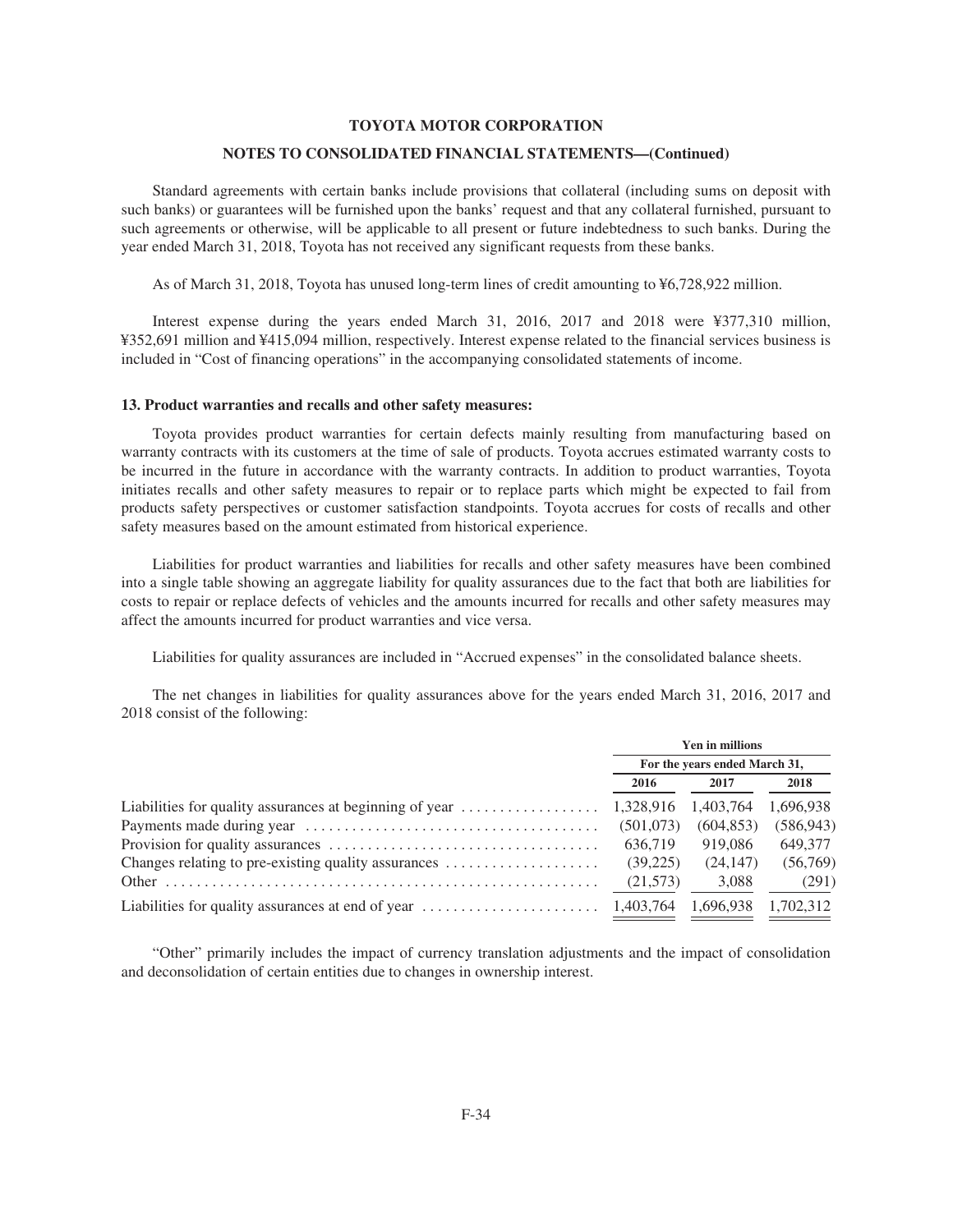## **NOTES TO CONSOLIDATED FINANCIAL STATEMENTS—(Continued)**

Standard agreements with certain banks include provisions that collateral (including sums on deposit with such banks) or guarantees will be furnished upon the banks' request and that any collateral furnished, pursuant to such agreements or otherwise, will be applicable to all present or future indebtedness to such banks. During the year ended March 31, 2018, Toyota has not received any significant requests from these banks.

As of March 31, 2018, Toyota has unused long-term lines of credit amounting to ¥6,728,922 million.

Interest expense during the years ended March 31, 2016, 2017 and 2018 were ¥377,310 million, ¥352,691 million and ¥415,094 million, respectively. Interest expense related to the financial services business is included in "Cost of financing operations" in the accompanying consolidated statements of income.

#### **13. Product warranties and recalls and other safety measures:**

Toyota provides product warranties for certain defects mainly resulting from manufacturing based on warranty contracts with its customers at the time of sale of products. Toyota accrues estimated warranty costs to be incurred in the future in accordance with the warranty contracts. In addition to product warranties, Toyota initiates recalls and other safety measures to repair or to replace parts which might be expected to fail from products safety perspectives or customer satisfaction standpoints. Toyota accrues for costs of recalls and other safety measures based on the amount estimated from historical experience.

Liabilities for product warranties and liabilities for recalls and other safety measures have been combined into a single table showing an aggregate liability for quality assurances due to the fact that both are liabilities for costs to repair or replace defects of vehicles and the amounts incurred for recalls and other safety measures may affect the amounts incurred for product warranties and vice versa.

Liabilities for quality assurances are included in "Accrued expenses" in the consolidated balance sheets.

The net changes in liabilities for quality assurances above for the years ended March 31, 2016, 2017 and 2018 consist of the following:

| Yen in millions               |            |            |
|-------------------------------|------------|------------|
| For the years ended March 31, |            |            |
| 2016                          | 2017       | 2018       |
|                               | 1,403,764  | 1.696.938  |
| (501,073)                     | (604, 853) | (586, 943) |
| 636,719                       | 919,086    | 649,377    |
| (39,225)                      | (24, 147)  | (56,769)   |
| (21,573)                      | 3,088      | (291)      |
|                               |            | 1.702.312  |

"Other" primarily includes the impact of currency translation adjustments and the impact of consolidation and deconsolidation of certain entities due to changes in ownership interest.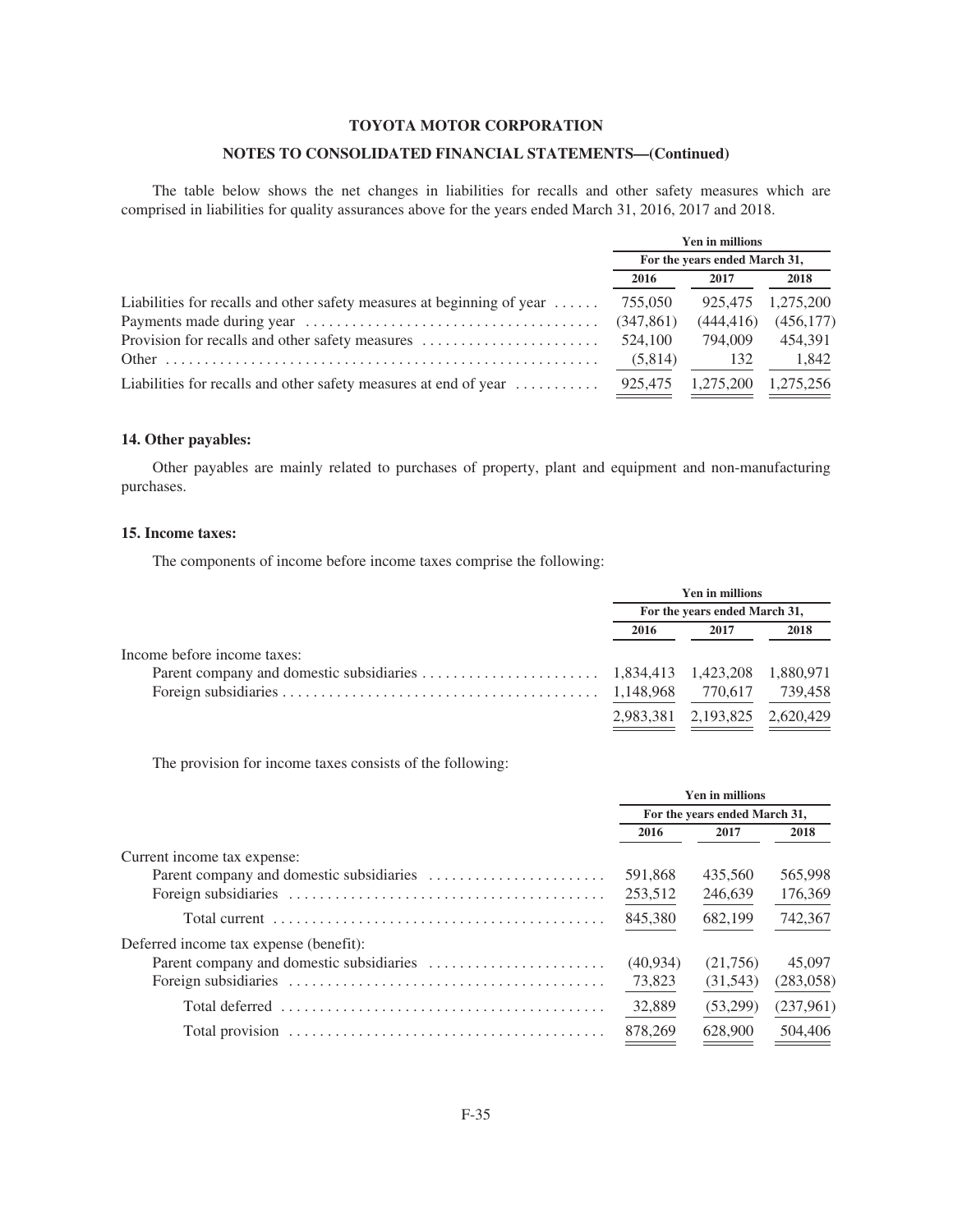# **NOTES TO CONSOLIDATED FINANCIAL STATEMENTS—(Continued)**

The table below shows the net changes in liabilities for recalls and other safety measures which are comprised in liabilities for quality assurances above for the years ended March 31, 2016, 2017 and 2018.

|                                                                                      | Yen in millions               |           |            |
|--------------------------------------------------------------------------------------|-------------------------------|-----------|------------|
|                                                                                      | For the years ended March 31, |           |            |
|                                                                                      | 2016                          | 2017      | 2018       |
| Liabilities for recalls and other safety measures at beginning of year $\dots$ .     | 755,050                       | 925,475   | 1.275.200  |
|                                                                                      | (347, 861)                    | (444.416) | (456, 177) |
| Provision for recalls and other safety measures                                      | 524,100                       | 794.009   | 454.391    |
|                                                                                      | (5,814)                       | 132       | 1,842      |
| Liabilities for recalls and other safety measures at end of year $\dots \dots \dots$ | 925.475                       | 1,275,200 | 1.275.256  |

## **14. Other payables:**

Other payables are mainly related to purchases of property, plant and equipment and non-manufacturing purchases.

## **15. Income taxes:**

The components of income before income taxes comprise the following:

|                             | Yen in millions               |                               |      |
|-----------------------------|-------------------------------|-------------------------------|------|
|                             | For the years ended March 31, |                               |      |
|                             | 2016                          | 2017                          | 2018 |
| Income before income taxes: |                               |                               |      |
|                             |                               |                               |      |
|                             |                               |                               |      |
|                             |                               | 2,983,381 2,193,825 2,620,429 |      |
|                             |                               |                               |      |

The provision for income taxes consists of the following:

|                                                                                                     | <b>Yen in millions</b>        |          |            |
|-----------------------------------------------------------------------------------------------------|-------------------------------|----------|------------|
|                                                                                                     | For the years ended March 31, |          |            |
|                                                                                                     | 2016                          | 2017     | 2018       |
| Current income tax expense:                                                                         |                               |          |            |
|                                                                                                     | 591.868                       | 435.560  | 565,998    |
|                                                                                                     | 253,512                       | 246,639  | 176,369    |
| Total current $\ldots \ldots \ldots \ldots \ldots \ldots \ldots \ldots \ldots \ldots \ldots \ldots$ | 845,380                       | 682.199  | 742,367    |
| Deferred income tax expense (benefit):                                                              |                               |          |            |
|                                                                                                     | (40, 934)                     | (21,756) | 45,097     |
|                                                                                                     | 73,823                        | (31,543) | (283, 058) |
|                                                                                                     | 32,889                        | (53,299) | (237,961)  |
|                                                                                                     | 878,269                       | 628.900  | 504,406    |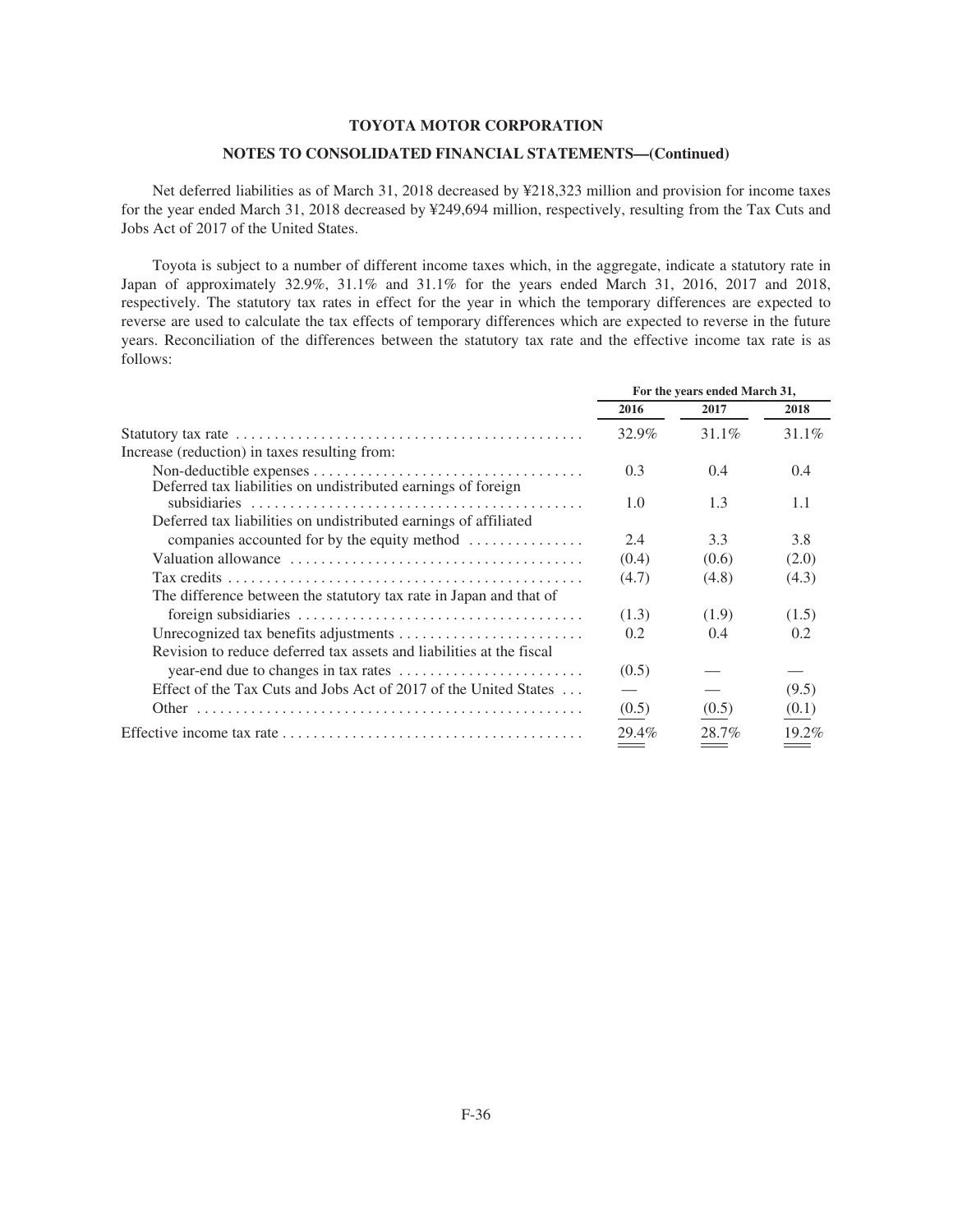## **NOTES TO CONSOLIDATED FINANCIAL STATEMENTS—(Continued)**

Net deferred liabilities as of March 31, 2018 decreased by ¥218,323 million and provision for income taxes for the year ended March 31, 2018 decreased by ¥249,694 million, respectively, resulting from the Tax Cuts and Jobs Act of 2017 of the United States.

Toyota is subject to a number of different income taxes which, in the aggregate, indicate a statutory rate in Japan of approximately 32.9%, 31.1% and 31.1% for the years ended March 31, 2016, 2017 and 2018, respectively. The statutory tax rates in effect for the year in which the temporary differences are expected to reverse are used to calculate the tax effects of temporary differences which are expected to reverse in the future years. Reconciliation of the differences between the statutory tax rate and the effective income tax rate is as follows:

|                                                                                                   | For the years ended March 31, |       |       |
|---------------------------------------------------------------------------------------------------|-------------------------------|-------|-------|
|                                                                                                   | 2016                          | 2017  | 2018  |
|                                                                                                   | 32.9%                         | 31.1% | 31.1% |
| Increase (reduction) in taxes resulting from:                                                     |                               |       |       |
| Non-deductible expenses $\dots \dots \dots \dots \dots \dots \dots \dots \dots \dots \dots \dots$ | 0.3                           | 0.4   | 0.4   |
| Deferred tax liabilities on undistributed earnings of foreign                                     |                               |       |       |
|                                                                                                   | 1.0                           | 1.3   | 1.1   |
| Deferred tax liabilities on undistributed earnings of affiliated                                  |                               |       |       |
| companies accounted for by the equity method                                                      | 2.4                           | 3.3   | 3.8   |
|                                                                                                   | (0.4)                         | (0.6) | (2.0) |
|                                                                                                   | (4.7)                         | (4.8) | (4.3) |
| The difference between the statutory tax rate in Japan and that of                                |                               |       |       |
|                                                                                                   | (1.3)                         | (1.9) | (1.5) |
| Unrecognized tax benefits adjustments $\dots \dots \dots \dots \dots \dots \dots$                 | 0.2                           | 0.4   | 0.2   |
| Revision to reduce deferred tax assets and liabilities at the fiscal                              |                               |       |       |
|                                                                                                   | (0.5)                         |       |       |
| Effect of the Tax Cuts and Jobs Act of 2017 of the United States $\dots$                          |                               |       | (9.5) |
|                                                                                                   | (0.5)                         | (0.5) | (0.1) |
|                                                                                                   |                               |       |       |
|                                                                                                   | 29.4%                         | 28.7% | 19.2% |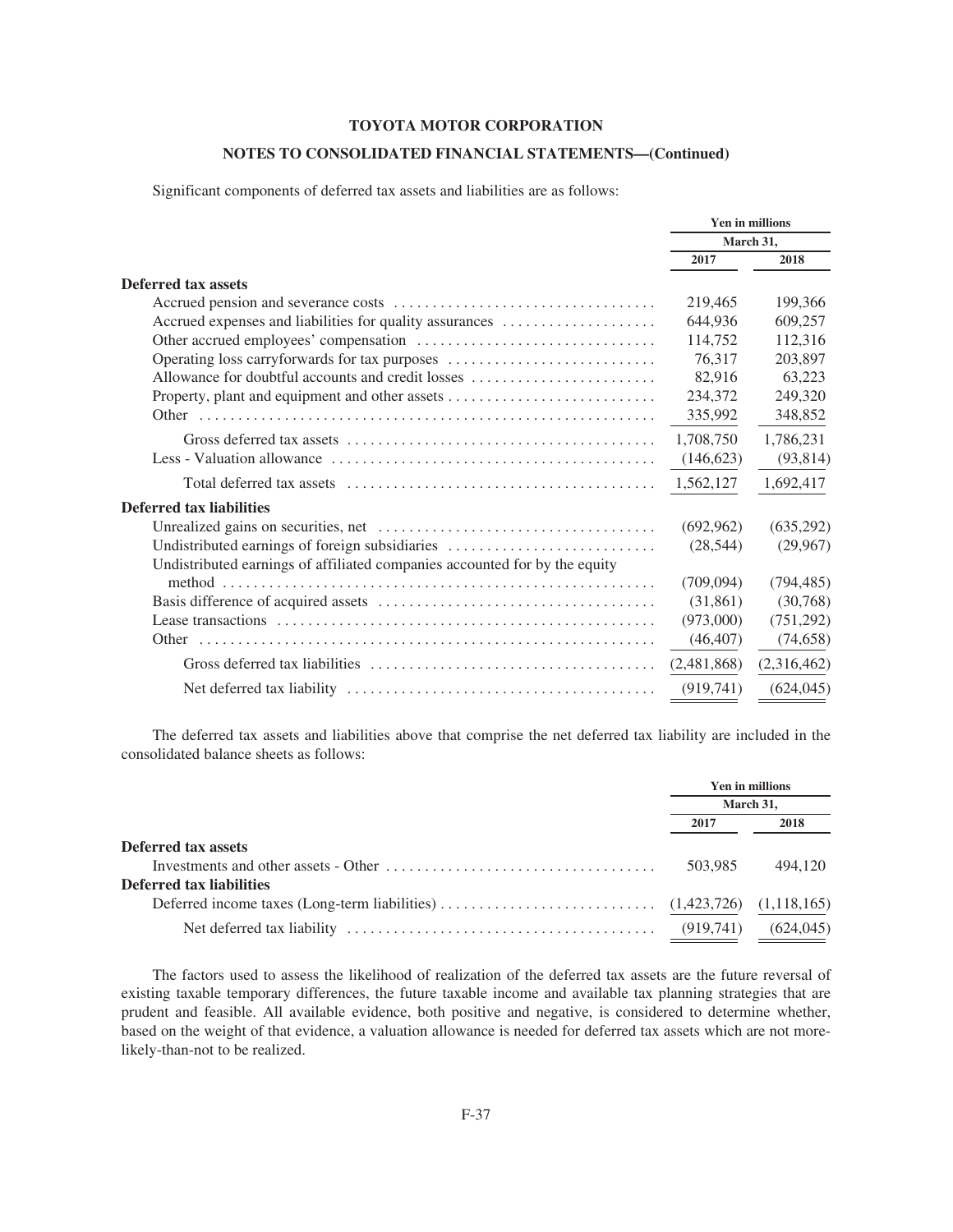# **NOTES TO CONSOLIDATED FINANCIAL STATEMENTS—(Continued)**

Significant components of deferred tax assets and liabilities are as follows:

|                                                                            | Yen in millions |             |
|----------------------------------------------------------------------------|-----------------|-------------|
|                                                                            | March 31,       |             |
|                                                                            | 2017            | 2018        |
| Deferred tax assets                                                        |                 |             |
|                                                                            | 219,465         | 199,366     |
| Accrued expenses and liabilities for quality assurances                    | 644,936         | 609,257     |
|                                                                            | 114,752         | 112,316     |
| Operating loss carryforwards for tax purposes                              | 76,317          | 203,897     |
| Allowance for doubtful accounts and credit losses                          | 82,916          | 63,223      |
|                                                                            | 234,372         | 249,320     |
| Other                                                                      | 335,992         | 348,852     |
|                                                                            | 1,708,750       | 1,786,231   |
|                                                                            | (146, 623)      | (93, 814)   |
|                                                                            | 1,562,127       | 1,692,417   |
| Deferred tax liabilities                                                   |                 |             |
|                                                                            | (692,962)       | (635,292)   |
| Undistributed earnings of foreign subsidiaries                             | (28, 544)       | (29,967)    |
| Undistributed earnings of affiliated companies accounted for by the equity |                 |             |
|                                                                            | (709,094)       | (794, 485)  |
|                                                                            | (31, 861)       | (30,768)    |
|                                                                            | (973,000)       | (751,292)   |
|                                                                            | (46, 407)       | (74, 658)   |
|                                                                            | (2,481,868)     | (2,316,462) |
|                                                                            | (919, 741)      | (624, 045)  |
|                                                                            |                 |             |

The deferred tax assets and liabilities above that comprise the net deferred tax liability are included in the consolidated balance sheets as follows:

|                          | Yen in millions<br>March 31, |            |
|--------------------------|------------------------------|------------|
|                          |                              |            |
|                          | 2017                         | 2018       |
| Deferred tax assets      |                              |            |
|                          | 503.985                      | 494.120    |
| Deferred tax liabilities |                              |            |
|                          |                              |            |
|                          |                              | (624, 045) |

The factors used to assess the likelihood of realization of the deferred tax assets are the future reversal of existing taxable temporary differences, the future taxable income and available tax planning strategies that are prudent and feasible. All available evidence, both positive and negative, is considered to determine whether, based on the weight of that evidence, a valuation allowance is needed for deferred tax assets which are not morelikely-than-not to be realized.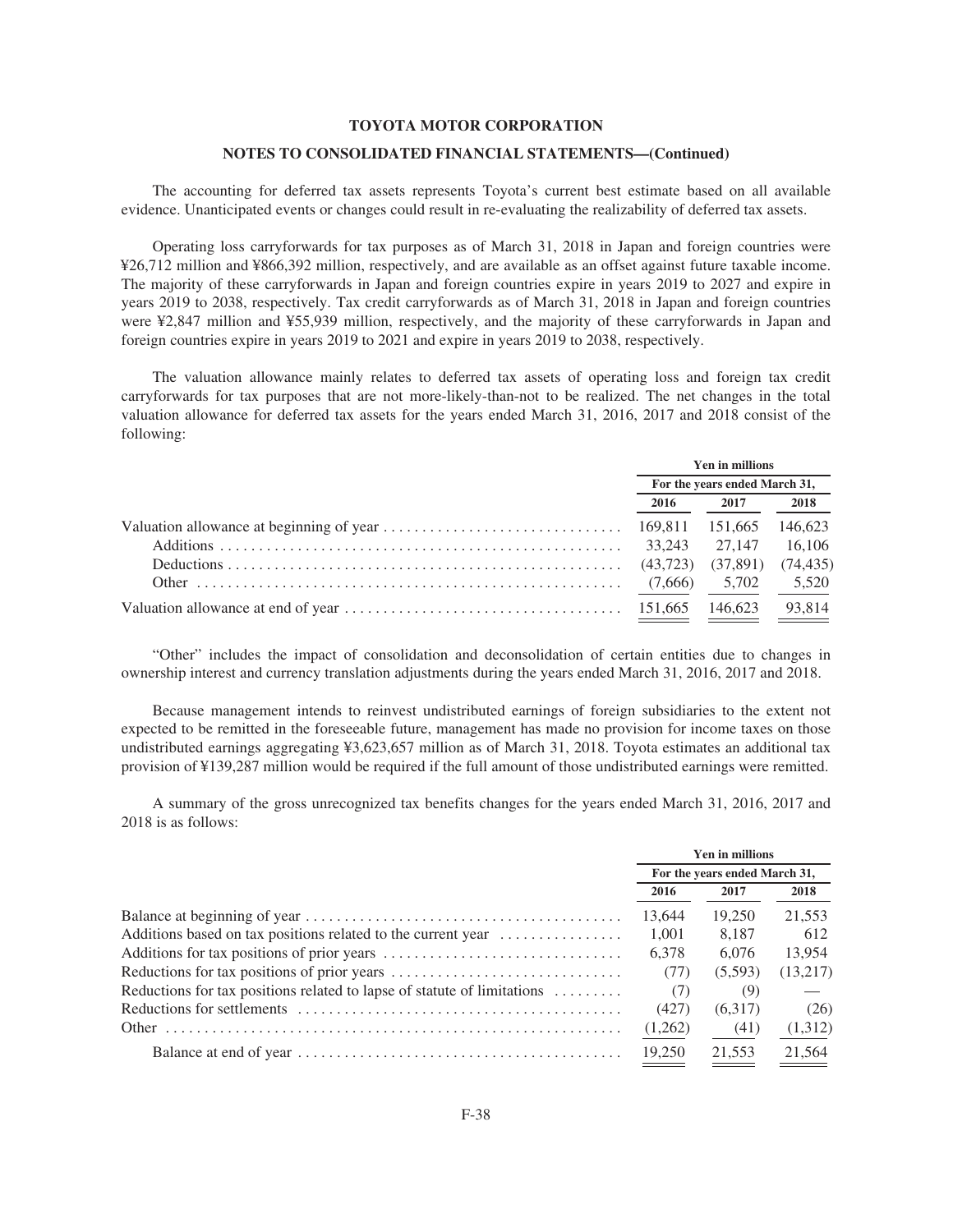## **NOTES TO CONSOLIDATED FINANCIAL STATEMENTS—(Continued)**

The accounting for deferred tax assets represents Toyota's current best estimate based on all available evidence. Unanticipated events or changes could result in re-evaluating the realizability of deferred tax assets.

Operating loss carryforwards for tax purposes as of March 31, 2018 in Japan and foreign countries were ¥26,712 million and ¥866,392 million, respectively, and are available as an offset against future taxable income. The majority of these carryforwards in Japan and foreign countries expire in years 2019 to 2027 and expire in years 2019 to 2038, respectively. Tax credit carryforwards as of March 31, 2018 in Japan and foreign countries were ¥2,847 million and ¥55,939 million, respectively, and the majority of these carryforwards in Japan and foreign countries expire in years 2019 to 2021 and expire in years 2019 to 2038, respectively.

The valuation allowance mainly relates to deferred tax assets of operating loss and foreign tax credit carryforwards for tax purposes that are not more-likely-than-not to be realized. The net changes in the total valuation allowance for deferred tax assets for the years ended March 31, 2016, 2017 and 2018 consist of the following:

| Yen in millions               |          |           |
|-------------------------------|----------|-----------|
| For the years ended March 31, |          |           |
| 2016                          | 2017     | 2018      |
|                               | 151.665  | 146,623   |
| 33.243                        | 27.147   | 16.106    |
| (43,723)                      | (37.891) | (74, 435) |
| (7,666)                       | 5,702    | 5,520     |
|                               | 146.623  | 93,814    |

"Other" includes the impact of consolidation and deconsolidation of certain entities due to changes in ownership interest and currency translation adjustments during the years ended March 31, 2016, 2017 and 2018.

Because management intends to reinvest undistributed earnings of foreign subsidiaries to the extent not expected to be remitted in the foreseeable future, management has made no provision for income taxes on those undistributed earnings aggregating ¥3,623,657 million as of March 31, 2018. Toyota estimates an additional tax provision of ¥139,287 million would be required if the full amount of those undistributed earnings were remitted.

A summary of the gross unrecognized tax benefits changes for the years ended March 31, 2016, 2017 and 2018 is as follows:

|                                                                         | <b>Yen in millions</b>        |         |          |
|-------------------------------------------------------------------------|-------------------------------|---------|----------|
|                                                                         | For the years ended March 31, |         |          |
|                                                                         | 2016                          | 2017    | 2018     |
|                                                                         | 13,644                        | 19.250  | 21,553   |
| Additions based on tax positions related to the current year            | 1.001                         | 8,187   | 612      |
|                                                                         | 6,378                         | 6.076   | 13.954   |
|                                                                         | (77)                          | (5,593) | (13,217) |
| Reductions for tax positions related to lapse of statute of limitations | (7)                           | (9)     |          |
|                                                                         | (427)                         | (6,317) | (26)     |
|                                                                         | (1,262)                       | (41)    | (1,312)  |
|                                                                         | 19.250                        | 21.553  | 21,564   |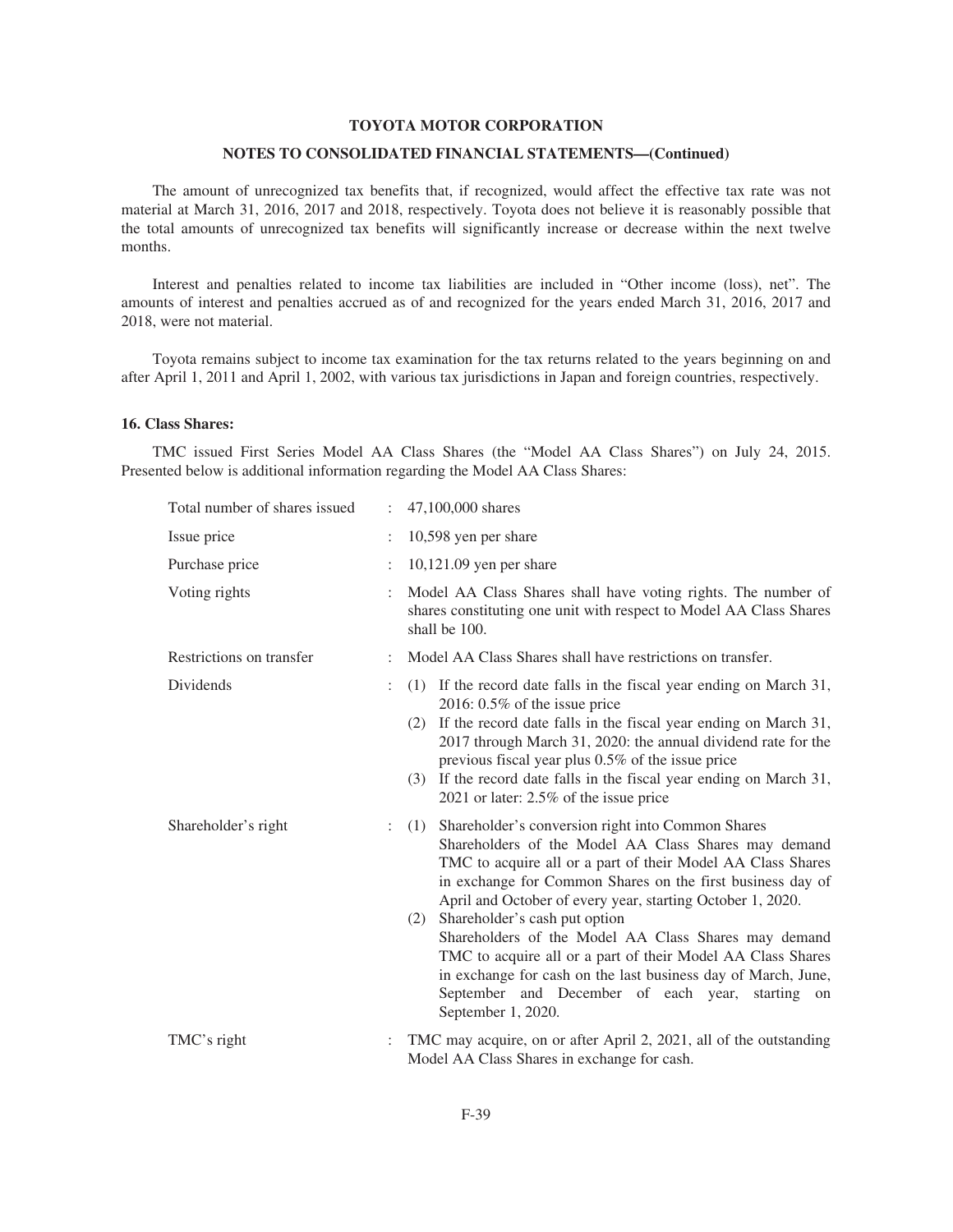## **NOTES TO CONSOLIDATED FINANCIAL STATEMENTS—(Continued)**

The amount of unrecognized tax benefits that, if recognized, would affect the effective tax rate was not material at March 31, 2016, 2017 and 2018, respectively. Toyota does not believe it is reasonably possible that the total amounts of unrecognized tax benefits will significantly increase or decrease within the next twelve months.

Interest and penalties related to income tax liabilities are included in "Other income (loss), net". The amounts of interest and penalties accrued as of and recognized for the years ended March 31, 2016, 2017 and 2018, were not material.

Toyota remains subject to income tax examination for the tax returns related to the years beginning on and after April 1, 2011 and April 1, 2002, with various tax jurisdictions in Japan and foreign countries, respectively.

### **16. Class Shares:**

TMC issued First Series Model AA Class Shares (the "Model AA Class Shares") on July 24, 2015. Presented below is additional information regarding the Model AA Class Shares:

| Total number of shares issued |    | 47,100,000 shares                                                                                                                                                                                                                                                                                                                                                                                                                                                                                                                                                                                                  |
|-------------------------------|----|--------------------------------------------------------------------------------------------------------------------------------------------------------------------------------------------------------------------------------------------------------------------------------------------------------------------------------------------------------------------------------------------------------------------------------------------------------------------------------------------------------------------------------------------------------------------------------------------------------------------|
| Issue price                   |    | 10,598 yen per share                                                                                                                                                                                                                                                                                                                                                                                                                                                                                                                                                                                               |
| Purchase price                |    | $10,121.09$ yen per share                                                                                                                                                                                                                                                                                                                                                                                                                                                                                                                                                                                          |
| Voting rights                 |    | Model AA Class Shares shall have voting rights. The number of<br>shares constituting one unit with respect to Model AA Class Shares<br>shall be 100.                                                                                                                                                                                                                                                                                                                                                                                                                                                               |
| Restrictions on transfer      |    | Model AA Class Shares shall have restrictions on transfer.                                                                                                                                                                                                                                                                                                                                                                                                                                                                                                                                                         |
| Dividends                     |    | (1) If the record date falls in the fiscal year ending on March 31,<br>2016: $0.5\%$ of the issue price<br>If the record date falls in the fiscal year ending on March 31,<br>(2)<br>2017 through March 31, 2020: the annual dividend rate for the<br>previous fiscal year plus 0.5% of the issue price<br>(3) If the record date falls in the fiscal year ending on March 31,<br>2021 or later: 2.5% of the issue price                                                                                                                                                                                           |
| Shareholder's right           |    | (1) Shareholder's conversion right into Common Shares<br>Shareholders of the Model AA Class Shares may demand<br>TMC to acquire all or a part of their Model AA Class Shares<br>in exchange for Common Shares on the first business day of<br>April and October of every year, starting October 1, 2020.<br>Shareholder's cash put option<br>(2)<br>Shareholders of the Model AA Class Shares may demand<br>TMC to acquire all or a part of their Model AA Class Shares<br>in exchange for cash on the last business day of March, June,<br>September and December of each year, starting on<br>September 1, 2020. |
| TMC's right                   | ÷. | TMC may acquire, on or after April 2, 2021, all of the outstanding<br>Model AA Class Shares in exchange for cash.                                                                                                                                                                                                                                                                                                                                                                                                                                                                                                  |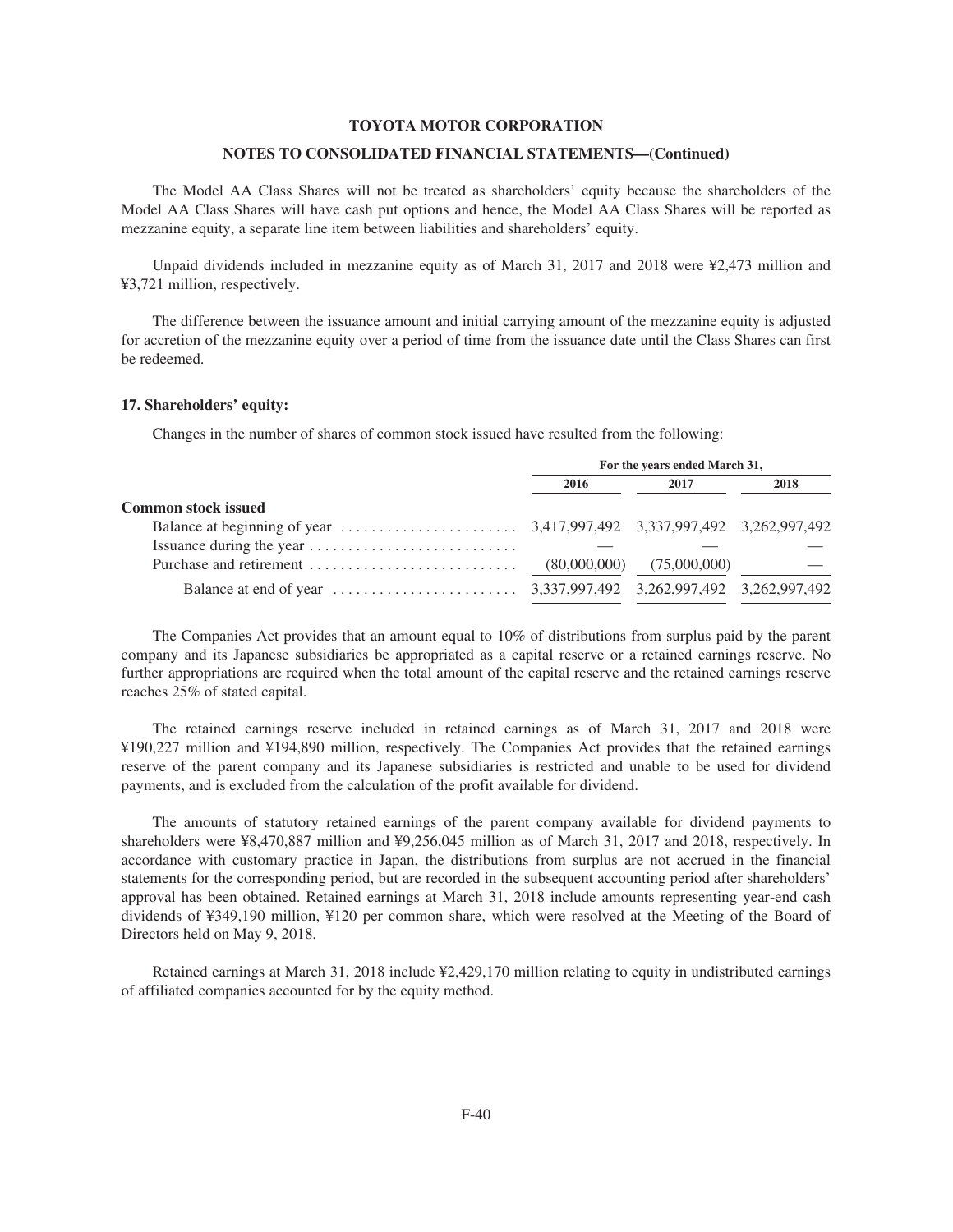## **NOTES TO CONSOLIDATED FINANCIAL STATEMENTS—(Continued)**

The Model AA Class Shares will not be treated as shareholders' equity because the shareholders of the Model AA Class Shares will have cash put options and hence, the Model AA Class Shares will be reported as mezzanine equity, a separate line item between liabilities and shareholders' equity.

Unpaid dividends included in mezzanine equity as of March 31, 2017 and 2018 were ¥2,473 million and ¥3,721 million, respectively.

The difference between the issuance amount and initial carrying amount of the mezzanine equity is adjusted for accretion of the mezzanine equity over a period of time from the issuance date until the Class Shares can first be redeemed.

#### **17. Shareholders' equity:**

Changes in the number of shares of common stock issued have resulted from the following:

|                     | For the years ended March 31, |                               |      |
|---------------------|-------------------------------|-------------------------------|------|
|                     | 2016                          | 2017                          | 2018 |
| Common stock issued |                               |                               |      |
|                     |                               |                               |      |
|                     |                               |                               |      |
|                     |                               | $(80,000,000)$ $(75,000,000)$ |      |
|                     |                               |                               |      |
|                     |                               |                               |      |

The Companies Act provides that an amount equal to 10% of distributions from surplus paid by the parent company and its Japanese subsidiaries be appropriated as a capital reserve or a retained earnings reserve. No further appropriations are required when the total amount of the capital reserve and the retained earnings reserve reaches 25% of stated capital.

The retained earnings reserve included in retained earnings as of March 31, 2017 and 2018 were ¥190,227 million and ¥194,890 million, respectively. The Companies Act provides that the retained earnings reserve of the parent company and its Japanese subsidiaries is restricted and unable to be used for dividend payments, and is excluded from the calculation of the profit available for dividend.

The amounts of statutory retained earnings of the parent company available for dividend payments to shareholders were ¥8,470,887 million and ¥9,256,045 million as of March 31, 2017 and 2018, respectively. In accordance with customary practice in Japan, the distributions from surplus are not accrued in the financial statements for the corresponding period, but are recorded in the subsequent accounting period after shareholders' approval has been obtained. Retained earnings at March 31, 2018 include amounts representing year-end cash dividends of ¥349,190 million, ¥120 per common share, which were resolved at the Meeting of the Board of Directors held on May 9, 2018.

Retained earnings at March 31, 2018 include ¥2,429,170 million relating to equity in undistributed earnings of affiliated companies accounted for by the equity method.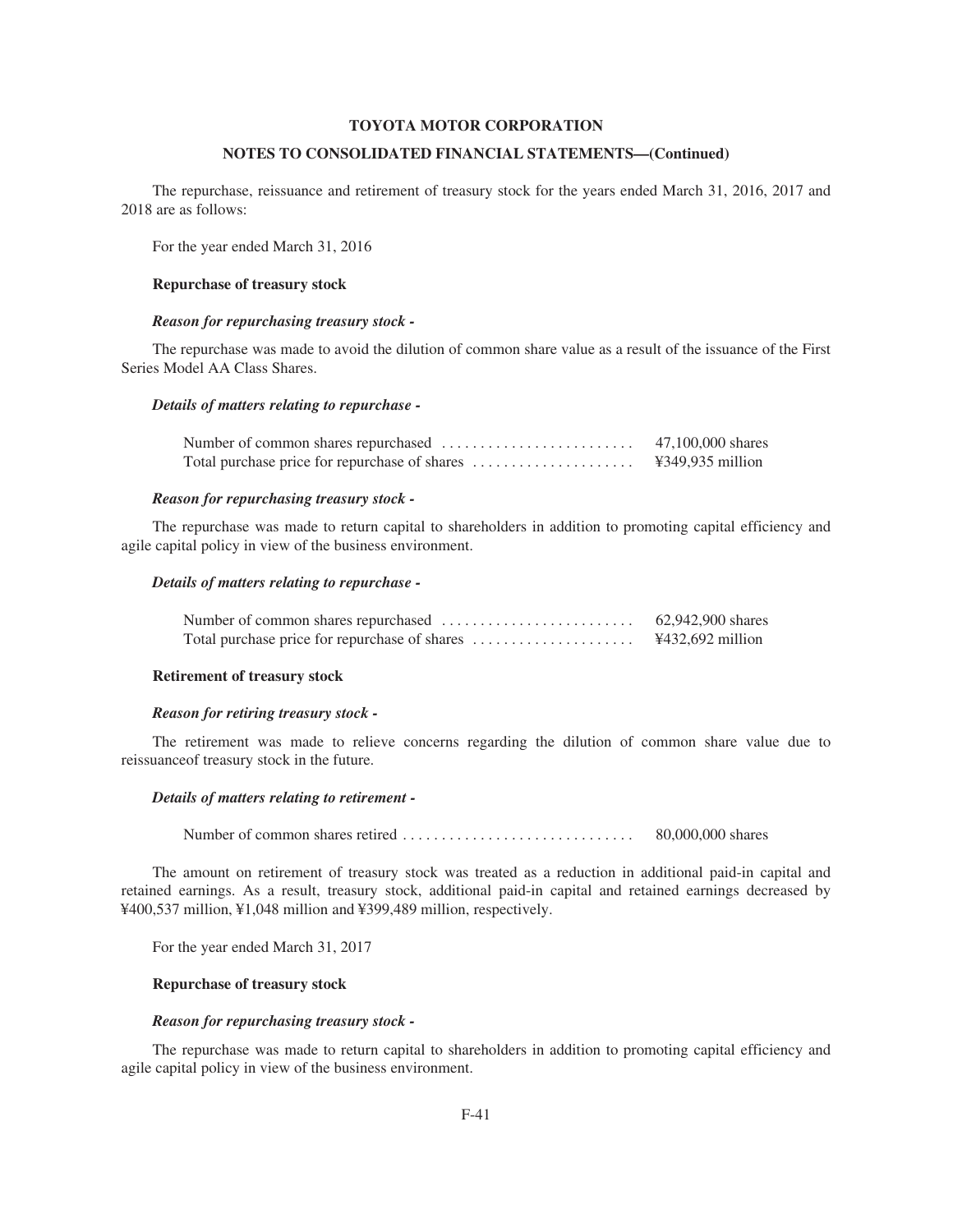### **NOTES TO CONSOLIDATED FINANCIAL STATEMENTS—(Continued)**

The repurchase, reissuance and retirement of treasury stock for the years ended March 31, 2016, 2017 and 2018 are as follows:

For the year ended March 31, 2016

### **Repurchase of treasury stock**

#### *Reason for repurchasing treasury stock -*

The repurchase was made to avoid the dilution of common share value as a result of the issuance of the First Series Model AA Class Shares.

#### *Details of matters relating to repurchase -*

| 47,100,000 shares |
|-------------------|
| ¥349,935 million  |

#### *Reason for repurchasing treasury stock -*

The repurchase was made to return capital to shareholders in addition to promoting capital efficiency and agile capital policy in view of the business environment.

#### *Details of matters relating to repurchase -*

| 62,942,900 shares |
|-------------------|
| $432,692$ million |

#### **Retirement of treasury stock**

#### *Reason for retiring treasury stock -*

The retirement was made to relieve concerns regarding the dilution of common share value due to reissuanceof treasury stock in the future.

### *Details of matters relating to retirement -*

Number of common shares retired .............................. 80,000,000 shares

The amount on retirement of treasury stock was treated as a reduction in additional paid-in capital and retained earnings. As a result, treasury stock, additional paid-in capital and retained earnings decreased by ¥400,537 million, ¥1,048 million and ¥399,489 million, respectively.

For the year ended March 31, 2017

#### **Repurchase of treasury stock**

#### *Reason for repurchasing treasury stock -*

The repurchase was made to return capital to shareholders in addition to promoting capital efficiency and agile capital policy in view of the business environment.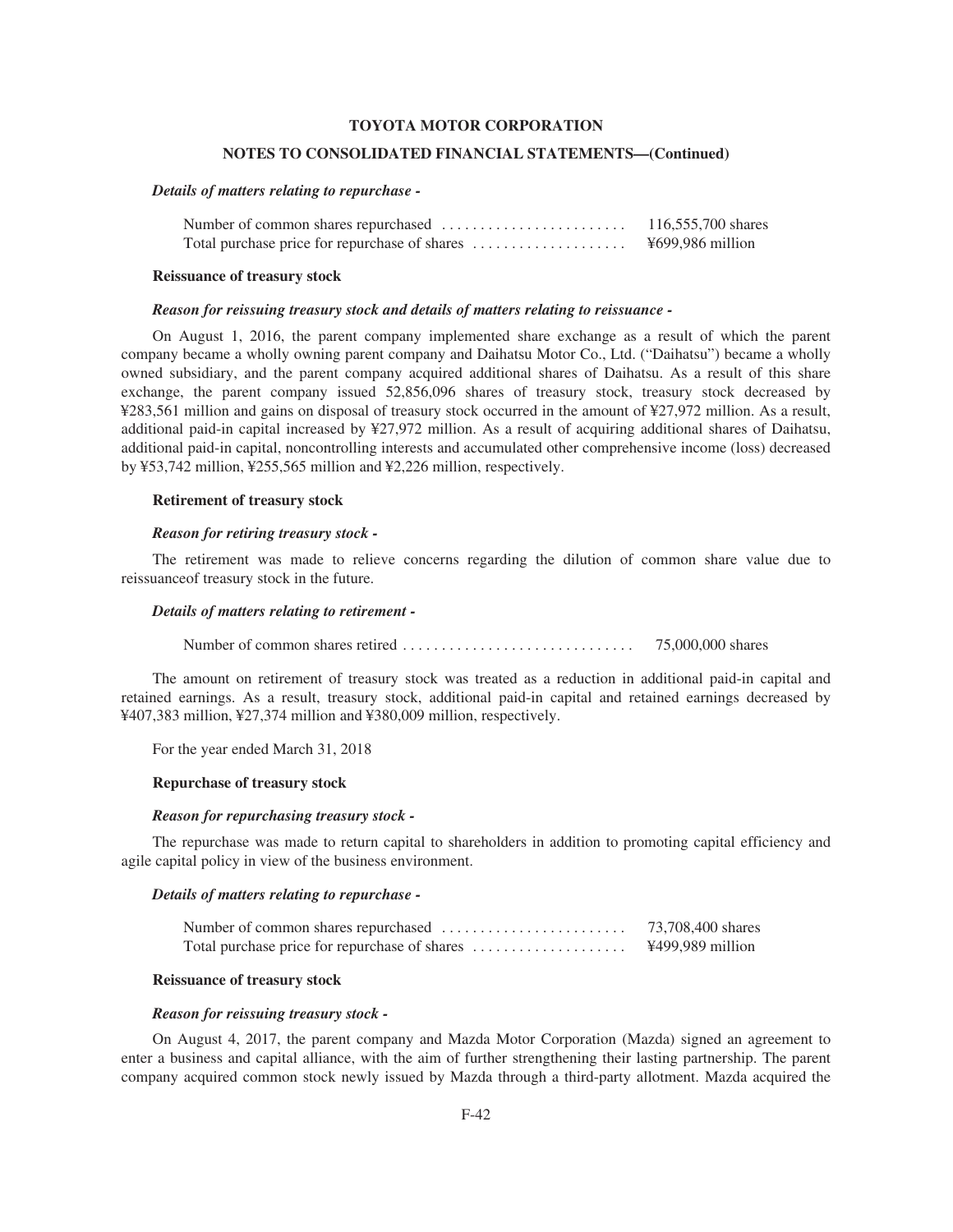#### **NOTES TO CONSOLIDATED FINANCIAL STATEMENTS—(Continued)**

#### *Details of matters relating to repurchase -*

| 116,555,700 shares |
|--------------------|
| ¥699,986 million   |

#### **Reissuance of treasury stock**

#### *Reason for reissuing treasury stock and details of matters relating to reissuance -*

On August 1, 2016, the parent company implemented share exchange as a result of which the parent company became a wholly owning parent company and Daihatsu Motor Co., Ltd. ("Daihatsu") became a wholly owned subsidiary, and the parent company acquired additional shares of Daihatsu. As a result of this share exchange, the parent company issued 52,856,096 shares of treasury stock, treasury stock decreased by ¥283,561 million and gains on disposal of treasury stock occurred in the amount of ¥27,972 million. As a result, additional paid-in capital increased by ¥27,972 million. As a result of acquiring additional shares of Daihatsu, additional paid-in capital, noncontrolling interests and accumulated other comprehensive income (loss) decreased by ¥53,742 million, ¥255,565 million and ¥2,226 million, respectively.

#### **Retirement of treasury stock**

#### *Reason for retiring treasury stock -*

The retirement was made to relieve concerns regarding the dilution of common share value due to reissuanceof treasury stock in the future.

#### *Details of matters relating to retirement -*

Number of common shares retired .............................. 75,000,000 shares

The amount on retirement of treasury stock was treated as a reduction in additional paid-in capital and retained earnings. As a result, treasury stock, additional paid-in capital and retained earnings decreased by ¥407,383 million, ¥27,374 million and ¥380,009 million, respectively.

For the year ended March 31, 2018

#### **Repurchase of treasury stock**

#### *Reason for repurchasing treasury stock -*

The repurchase was made to return capital to shareholders in addition to promoting capital efficiency and agile capital policy in view of the business environment.

#### *Details of matters relating to repurchase -*

| 73,708,400 shares |
|-------------------|
| ¥499,989 million  |

#### **Reissuance of treasury stock**

#### *Reason for reissuing treasury stock -*

On August 4, 2017, the parent company and Mazda Motor Corporation (Mazda) signed an agreement to enter a business and capital alliance, with the aim of further strengthening their lasting partnership. The parent company acquired common stock newly issued by Mazda through a third-party allotment. Mazda acquired the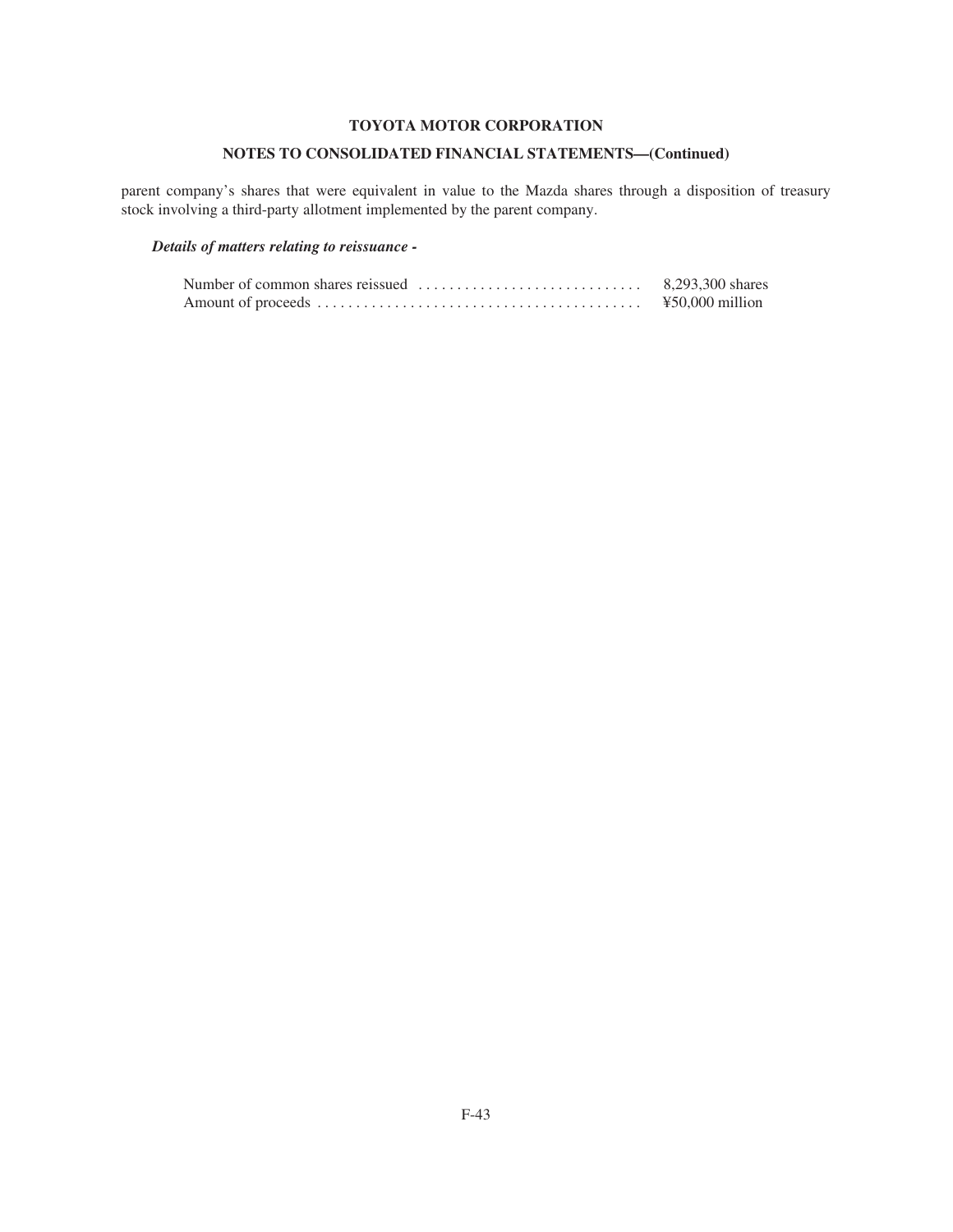## **NOTES TO CONSOLIDATED FINANCIAL STATEMENTS—(Continued)**

parent company's shares that were equivalent in value to the Mazda shares through a disposition of treasury stock involving a third-party allotment implemented by the parent company.

## *Details of matters relating to reissuance -*

| Number of common shares reissued $\ldots, \ldots, \ldots, \ldots, \ldots, \ldots, \ldots$ | 8,293,300 shares |
|-------------------------------------------------------------------------------------------|------------------|
|                                                                                           |                  |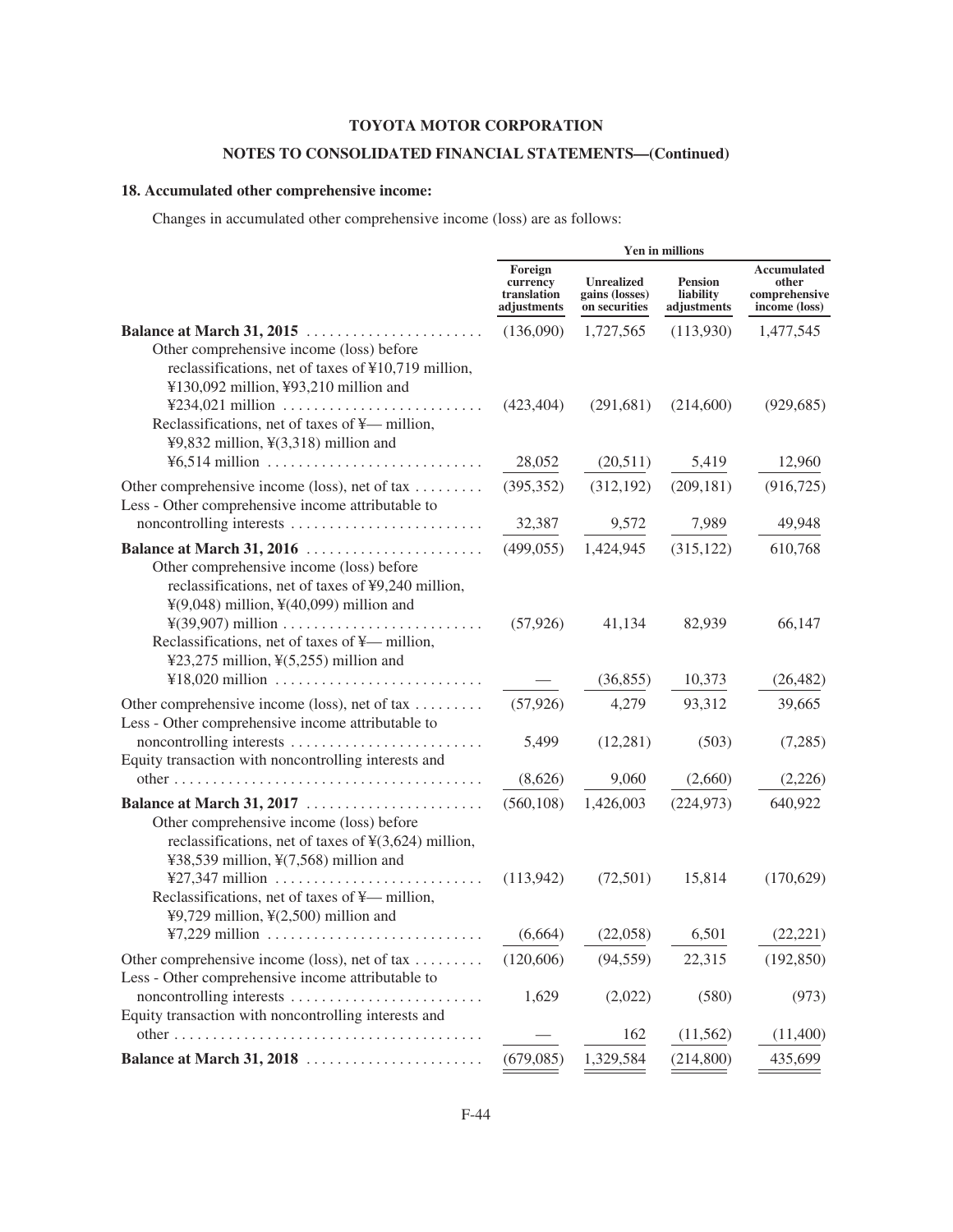## **NOTES TO CONSOLIDATED FINANCIAL STATEMENTS—(Continued)**

## **18. Accumulated other comprehensive income:**

Changes in accumulated other comprehensive income (loss) are as follows:

|                                                                                                                                                                                                                | Yen in millions                                   |                                                      |                                            |                                                        |  |
|----------------------------------------------------------------------------------------------------------------------------------------------------------------------------------------------------------------|---------------------------------------------------|------------------------------------------------------|--------------------------------------------|--------------------------------------------------------|--|
|                                                                                                                                                                                                                | Foreign<br>currency<br>translation<br>adjustments | <b>Unrealized</b><br>gains (losses)<br>on securities | <b>Pension</b><br>liability<br>adjustments | Accumulated<br>other<br>comprehensive<br>income (loss) |  |
| Balance at March 31, 2015                                                                                                                                                                                      | (136,090)                                         | 1,727,565                                            | (113,930)                                  | 1,477,545                                              |  |
| Other comprehensive income (loss) before<br>reclassifications, net of taxes of ¥10,719 million,<br>¥130,092 million, ¥93,210 million and<br>¥234,021 million<br>Reclassifications, net of taxes of ¥— million, | (423, 404)                                        | (291, 681)                                           | (214,600)                                  | (929, 685)                                             |  |
| ¥9,832 million, $\frac{1}{2}(3,318)$ million and                                                                                                                                                               |                                                   |                                                      |                                            |                                                        |  |
|                                                                                                                                                                                                                | 28,052                                            | (20,511)                                             | 5,419                                      | 12,960                                                 |  |
| Other comprehensive income (loss), net of tax<br>Less - Other comprehensive income attributable to                                                                                                             | (395, 352)                                        | (312, 192)                                           | (209, 181)                                 | (916, 725)                                             |  |
|                                                                                                                                                                                                                | 32,387                                            | 9,572                                                | 7,989                                      | 49,948                                                 |  |
| Balance at March 31, 2016<br>Other comprehensive income (loss) before<br>reclassifications, net of taxes of ¥9,240 million,<br>$\frac{1}{2}(9,048)$ million, $\frac{1}{2}(40,099)$ million and                 | (499, 055)                                        | 1,424,945                                            | (315, 122)                                 | 610,768                                                |  |
| Reclassifications, net of taxes of ¥— million,<br>¥23,275 million, $\frac{1}{2}$ (5,255) million and                                                                                                           | (57, 926)                                         | 41,134                                               | 82,939                                     | 66,147                                                 |  |
|                                                                                                                                                                                                                |                                                   | (36, 855)                                            | 10,373                                     | (26, 482)                                              |  |
| Other comprehensive income (loss), net of tax<br>Less - Other comprehensive income attributable to                                                                                                             | (57, 926)                                         | 4,279                                                | 93,312                                     | 39,665                                                 |  |
| Equity transaction with noncontrolling interests and                                                                                                                                                           | 5,499                                             | (12,281)                                             | (503)                                      | (7,285)                                                |  |
|                                                                                                                                                                                                                | (8,626)                                           | 9,060                                                | (2,660)                                    | (2,226)                                                |  |
| Balance at March 31, 2017<br>Other comprehensive income (loss) before<br>reclassifications, net of taxes of $\frac{1}{2}(3,624)$ million,<br>¥38,539 million, $\frac{1}{2}$ (7,568) million and                | (560, 108)                                        | 1,426,003                                            | (224, 973)                                 | 640,922                                                |  |
| Reclassifications, net of taxes of ¥— million,<br>¥9,729 million, $\frac{1}{2}$ (2,500) million and                                                                                                            | (113,942)                                         | (72,501)                                             | 15,814                                     | (170,629)                                              |  |
|                                                                                                                                                                                                                | (6,664)                                           | (22,058)                                             | 6,501                                      | (22, 221)                                              |  |
| Other comprehensive income (loss), net of tax<br>Less - Other comprehensive income attributable to                                                                                                             | (120, 606)                                        | (94, 559)                                            | 22,315                                     | (192, 850)                                             |  |
| noncontrolling interests<br>Equity transaction with noncontrolling interests and                                                                                                                               | 1,629                                             | (2,022)                                              | (580)                                      | (973)                                                  |  |
|                                                                                                                                                                                                                |                                                   | 162                                                  | (11, 562)                                  | (11,400)                                               |  |
|                                                                                                                                                                                                                | (679, 085)                                        | 1,329,584                                            | (214,800)                                  | 435,699                                                |  |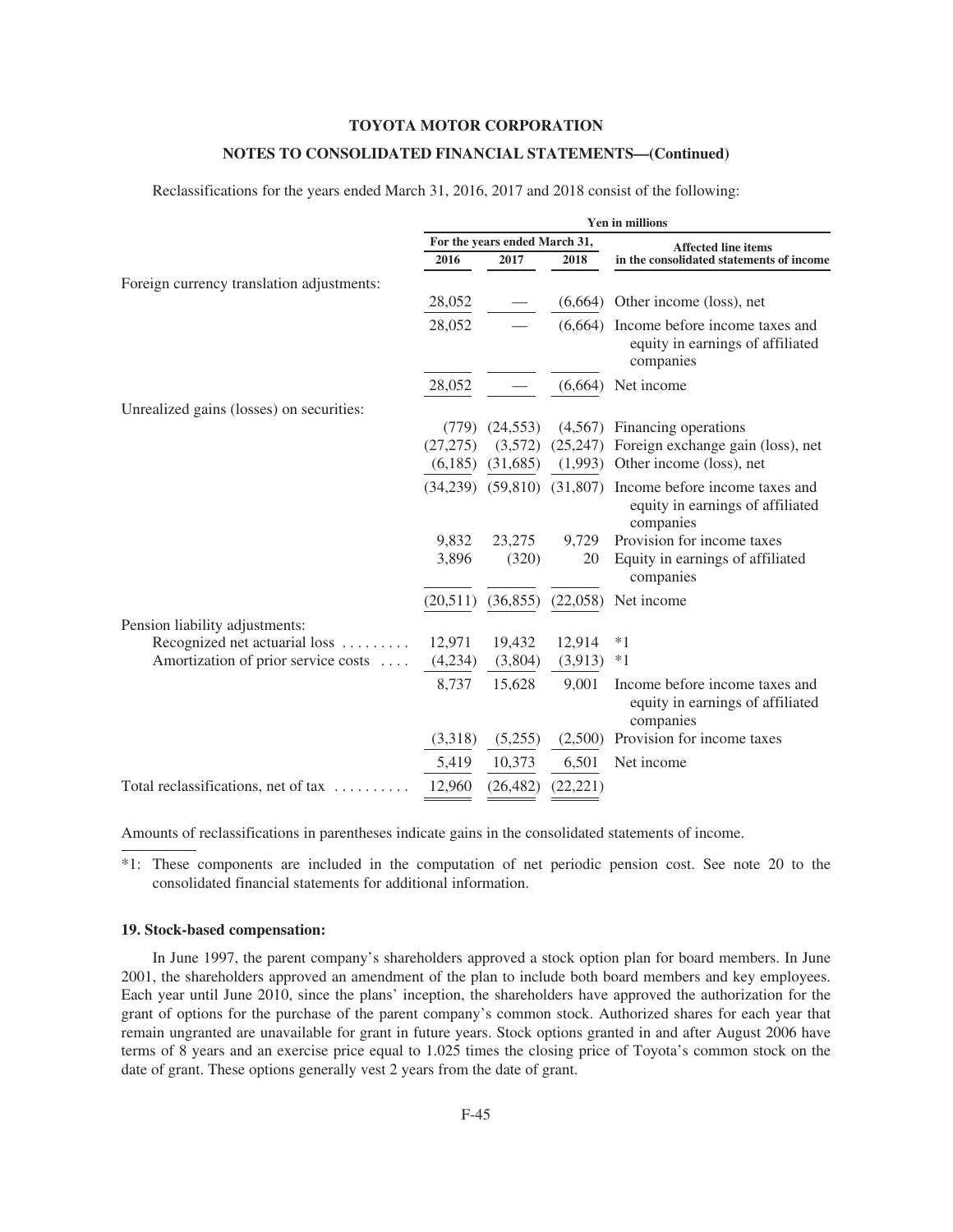## **NOTES TO CONSOLIDATED FINANCIAL STATEMENTS—(Continued)**

Reclassifications for the years ended March 31, 2016, 2017 and 2018 consist of the following:

|                                                       | <b>Yen in millions</b>                                      |           |           |                                                                                           |  |
|-------------------------------------------------------|-------------------------------------------------------------|-----------|-----------|-------------------------------------------------------------------------------------------|--|
|                                                       | For the years ended March 31,<br><b>Affected line items</b> |           |           |                                                                                           |  |
|                                                       | 2016                                                        | 2017      | 2018      | in the consolidated statements of income                                                  |  |
| Foreign currency translation adjustments:             |                                                             |           |           |                                                                                           |  |
|                                                       | 28,052                                                      |           |           | $(6,664)$ Other income (loss), net                                                        |  |
|                                                       | 28,052                                                      |           |           | $(6,664)$ Income before income taxes and<br>equity in earnings of affiliated<br>companies |  |
|                                                       | 28,052                                                      |           | (6,664)   | Net income                                                                                |  |
| Unrealized gains (losses) on securities:              |                                                             |           |           |                                                                                           |  |
|                                                       | (779)                                                       | (24, 553) |           | $(4,567)$ Financing operations                                                            |  |
|                                                       | (27, 275)                                                   | (3,572)   | (25, 247) | Foreign exchange gain (loss), net                                                         |  |
|                                                       | (6,185)                                                     | (31,685)  |           | $(1,993)$ Other income (loss), net                                                        |  |
|                                                       | (34,239)                                                    | (59, 810) |           | (31,807) Income before income taxes and<br>equity in earnings of affiliated<br>companies  |  |
|                                                       | 9,832                                                       | 23,275    | 9,729     | Provision for income taxes                                                                |  |
|                                                       | 3,896                                                       | (320)     | 20        | Equity in earnings of affiliated<br>companies                                             |  |
|                                                       | (20,511)                                                    | (36, 855) | (22,058)  | Net income                                                                                |  |
| Pension liability adjustments:                        |                                                             |           |           |                                                                                           |  |
| Recognized net actuarial loss                         | 12,971                                                      | 19,432    | 12,914    | $*1$                                                                                      |  |
| Amortization of prior service costs                   | (4,234)                                                     | (3,804)   | (3,913)   | $*1$                                                                                      |  |
|                                                       | 8,737                                                       | 15,628    | 9,001     | Income before income taxes and<br>equity in earnings of affiliated<br>companies           |  |
|                                                       | (3,318)                                                     | (5,255)   | (2,500)   | Provision for income taxes                                                                |  |
|                                                       | 5,419                                                       | 10,373    | 6,501     | Net income                                                                                |  |
| Total reclassifications, net of tax $\dots\dots\dots$ | 12,960                                                      | (26, 482) | (22, 221) |                                                                                           |  |

Amounts of reclassifications in parentheses indicate gains in the consolidated statements of income.

\*1: These components are included in the computation of net periodic pension cost. See note 20 to the consolidated financial statements for additional information.

#### **19. Stock-based compensation:**

In June 1997, the parent company's shareholders approved a stock option plan for board members. In June 2001, the shareholders approved an amendment of the plan to include both board members and key employees. Each year until June 2010, since the plans' inception, the shareholders have approved the authorization for the grant of options for the purchase of the parent company's common stock. Authorized shares for each year that remain ungranted are unavailable for grant in future years. Stock options granted in and after August 2006 have terms of 8 years and an exercise price equal to 1.025 times the closing price of Toyota's common stock on the date of grant. These options generally vest 2 years from the date of grant.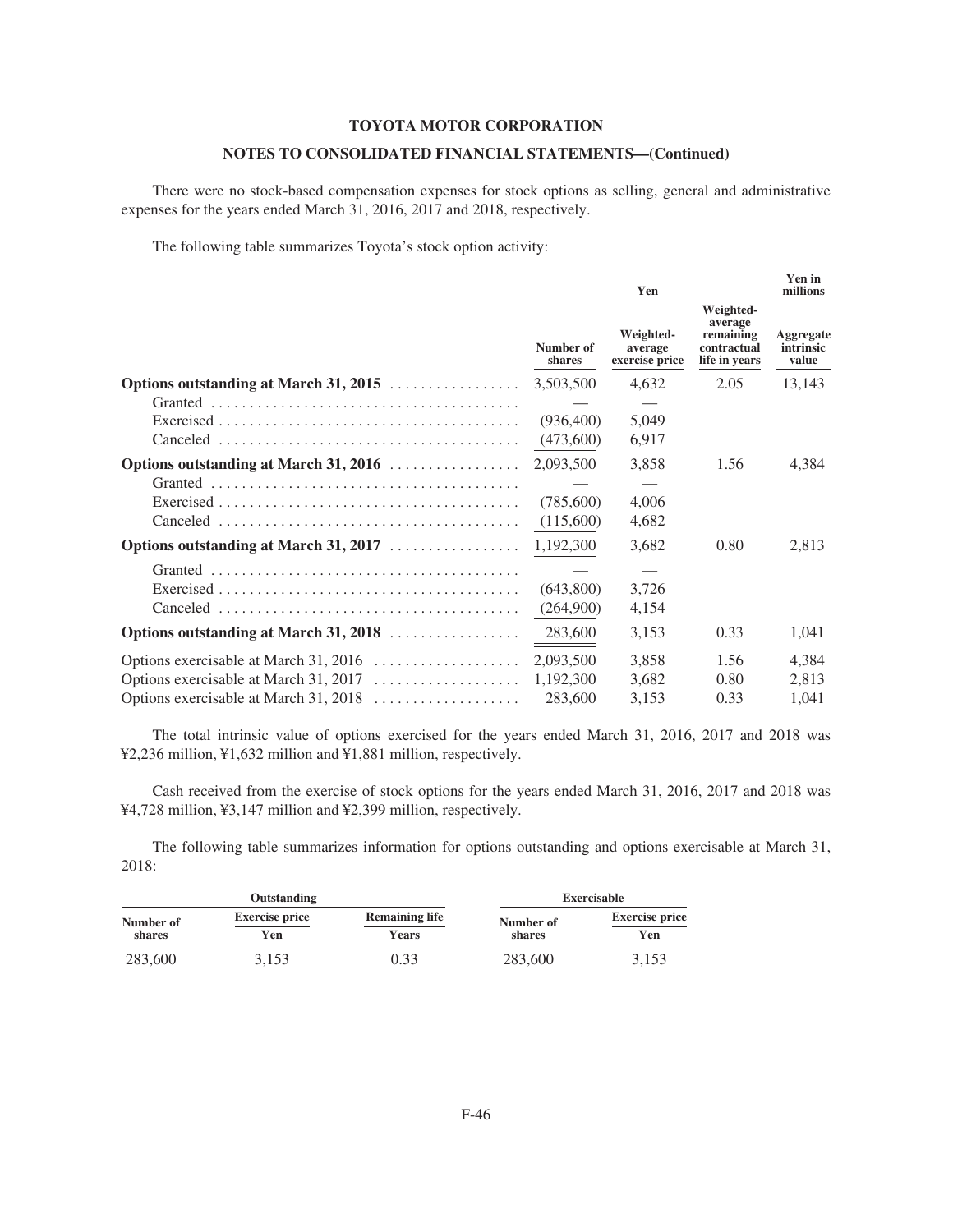### **NOTES TO CONSOLIDATED FINANCIAL STATEMENTS—(Continued)**

There were no stock-based compensation expenses for stock options as selling, general and administrative expenses for the years ended March 31, 2016, 2017 and 2018, respectively.

The following table summarizes Toyota's stock option activity:

|                                                                                                                                                                                                                                                  |                                     | Yen                                    |                                                                   | Yen in<br>millions              |
|--------------------------------------------------------------------------------------------------------------------------------------------------------------------------------------------------------------------------------------------------|-------------------------------------|----------------------------------------|-------------------------------------------------------------------|---------------------------------|
|                                                                                                                                                                                                                                                  | Number of<br>shares                 | Weighted-<br>average<br>exercise price | Weighted-<br>average<br>remaining<br>contractual<br>life in years | Aggregate<br>intrinsic<br>value |
| Options outstanding at March 31, 2015 $\ldots$                                                                                                                                                                                                   | 3,503,500                           | 4,632                                  | 2.05                                                              | 13,143                          |
| $Exercised \dots \dots \dots \dots \dots \dots \dots \dots \dots \dots \dots \dots \dots \dots \dots$<br>$Canceled \dots \dots \dots \dots \dots \dots \dots \dots \dots \dots \dots \dots \dots \dots$                                          | (936, 400)<br>(473,600)             | 5,049<br>6,917                         |                                                                   |                                 |
| Options outstanding at March 31, 2016<br>$Exercised \dots \dots \dots \dots \dots \dots \dots \dots \dots \dots \dots \dots \dots \dots \dots$<br>$Canceled \dots \dots \dots \dots \dots \dots \dots \dots \dots \dots \dots \dots \dots \dots$ | 2,093,500<br>(785,600)<br>(115,600) | 3,858<br>4,006<br>4,682                | 1.56                                                              | 4,384                           |
| Options outstanding at March 31, 2017                                                                                                                                                                                                            | 1,192,300                           | 3,682                                  | 0.80                                                              | 2,813                           |
| $\text{Exercised} \dots \dots \dots \dots \dots \dots \dots \dots \dots \dots \dots \dots \dots \dots$<br>$Canceled \dots \dots \dots \dots \dots \dots \dots \dots \dots \dots \dots \dots \dots$                                               | (643,800)<br>(264,900)              | 3,726<br>4,154                         |                                                                   |                                 |
| Options outstanding at March 31, 2018                                                                                                                                                                                                            | 283,600                             | 3,153                                  | 0.33                                                              | 1,041                           |
| Options exercisable at March 31, 2017                                                                                                                                                                                                            | 2,093,500<br>1,192,300<br>283,600   | 3,858<br>3,682<br>3,153                | 1.56<br>0.80<br>0.33                                              | 4,384<br>2,813<br>1,041         |

The total intrinsic value of options exercised for the years ended March 31, 2016, 2017 and 2018 was ¥2,236 million, ¥1,632 million and ¥1,881 million, respectively.

Cash received from the exercise of stock options for the years ended March 31, 2016, 2017 and 2018 was ¥4,728 million, ¥3,147 million and ¥2,399 million, respectively.

The following table summarizes information for options outstanding and options exercisable at March 31, 2018:

|                     | Outstanding                  |                                | Exercisable         |                              |
|---------------------|------------------------------|--------------------------------|---------------------|------------------------------|
| Number of<br>shares | <b>Exercise price</b><br>Yen | <b>Remaining life</b><br>Years | Number of<br>shares | <b>Exercise price</b><br>Yen |
| 283,600             | 3,153                        | 0.33                           | 283,600             | 3,153                        |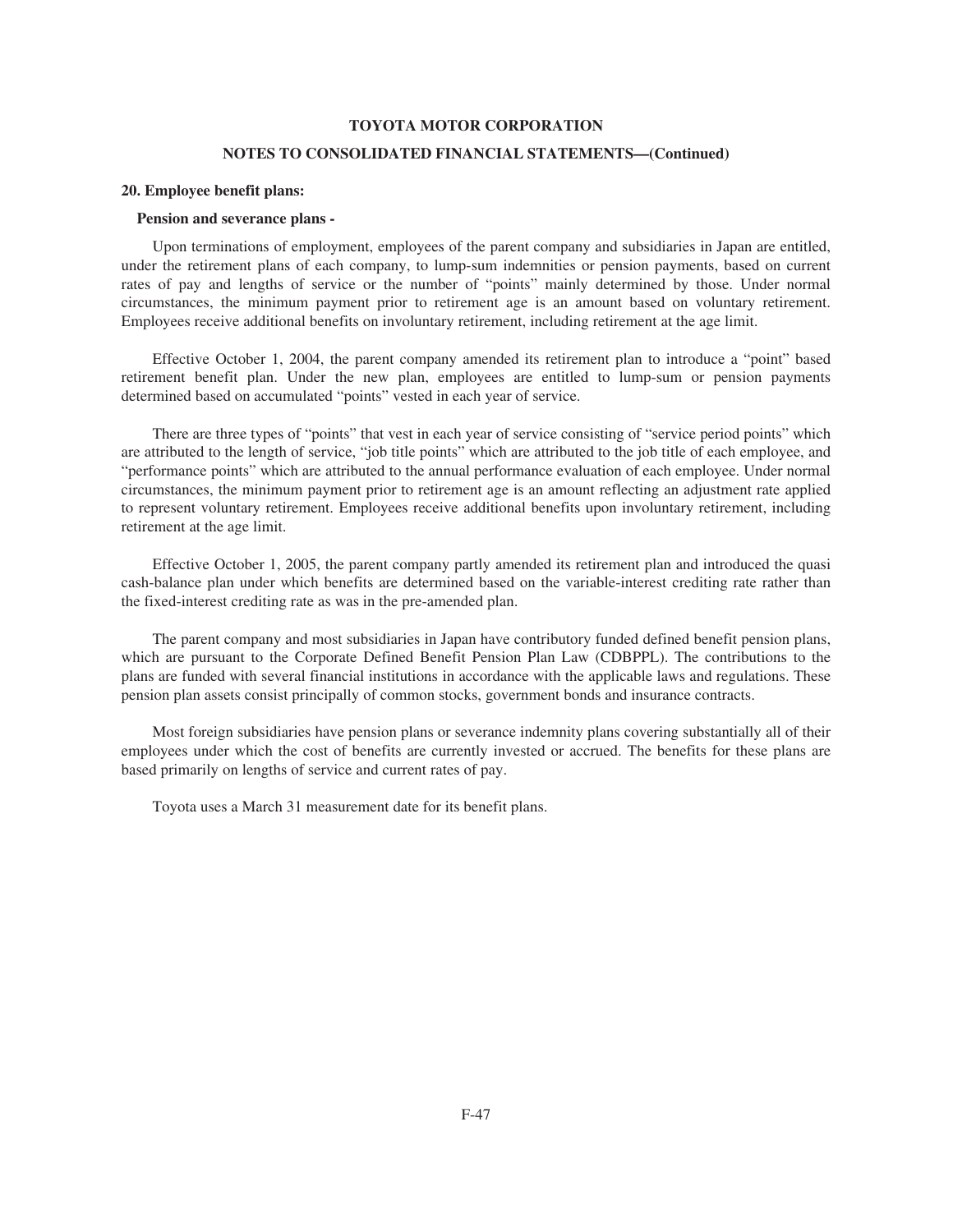#### **NOTES TO CONSOLIDATED FINANCIAL STATEMENTS—(Continued)**

#### **20. Employee benefit plans:**

#### **Pension and severance plans -**

Upon terminations of employment, employees of the parent company and subsidiaries in Japan are entitled, under the retirement plans of each company, to lump-sum indemnities or pension payments, based on current rates of pay and lengths of service or the number of "points" mainly determined by those. Under normal circumstances, the minimum payment prior to retirement age is an amount based on voluntary retirement. Employees receive additional benefits on involuntary retirement, including retirement at the age limit.

Effective October 1, 2004, the parent company amended its retirement plan to introduce a "point" based retirement benefit plan. Under the new plan, employees are entitled to lump-sum or pension payments determined based on accumulated "points" vested in each year of service.

There are three types of "points" that vest in each year of service consisting of "service period points" which are attributed to the length of service, "job title points" which are attributed to the job title of each employee, and "performance points" which are attributed to the annual performance evaluation of each employee. Under normal circumstances, the minimum payment prior to retirement age is an amount reflecting an adjustment rate applied to represent voluntary retirement. Employees receive additional benefits upon involuntary retirement, including retirement at the age limit.

Effective October 1, 2005, the parent company partly amended its retirement plan and introduced the quasi cash-balance plan under which benefits are determined based on the variable-interest crediting rate rather than the fixed-interest crediting rate as was in the pre-amended plan.

The parent company and most subsidiaries in Japan have contributory funded defined benefit pension plans, which are pursuant to the Corporate Defined Benefit Pension Plan Law (CDBPPL). The contributions to the plans are funded with several financial institutions in accordance with the applicable laws and regulations. These pension plan assets consist principally of common stocks, government bonds and insurance contracts.

Most foreign subsidiaries have pension plans or severance indemnity plans covering substantially all of their employees under which the cost of benefits are currently invested or accrued. The benefits for these plans are based primarily on lengths of service and current rates of pay.

Toyota uses a March 31 measurement date for its benefit plans.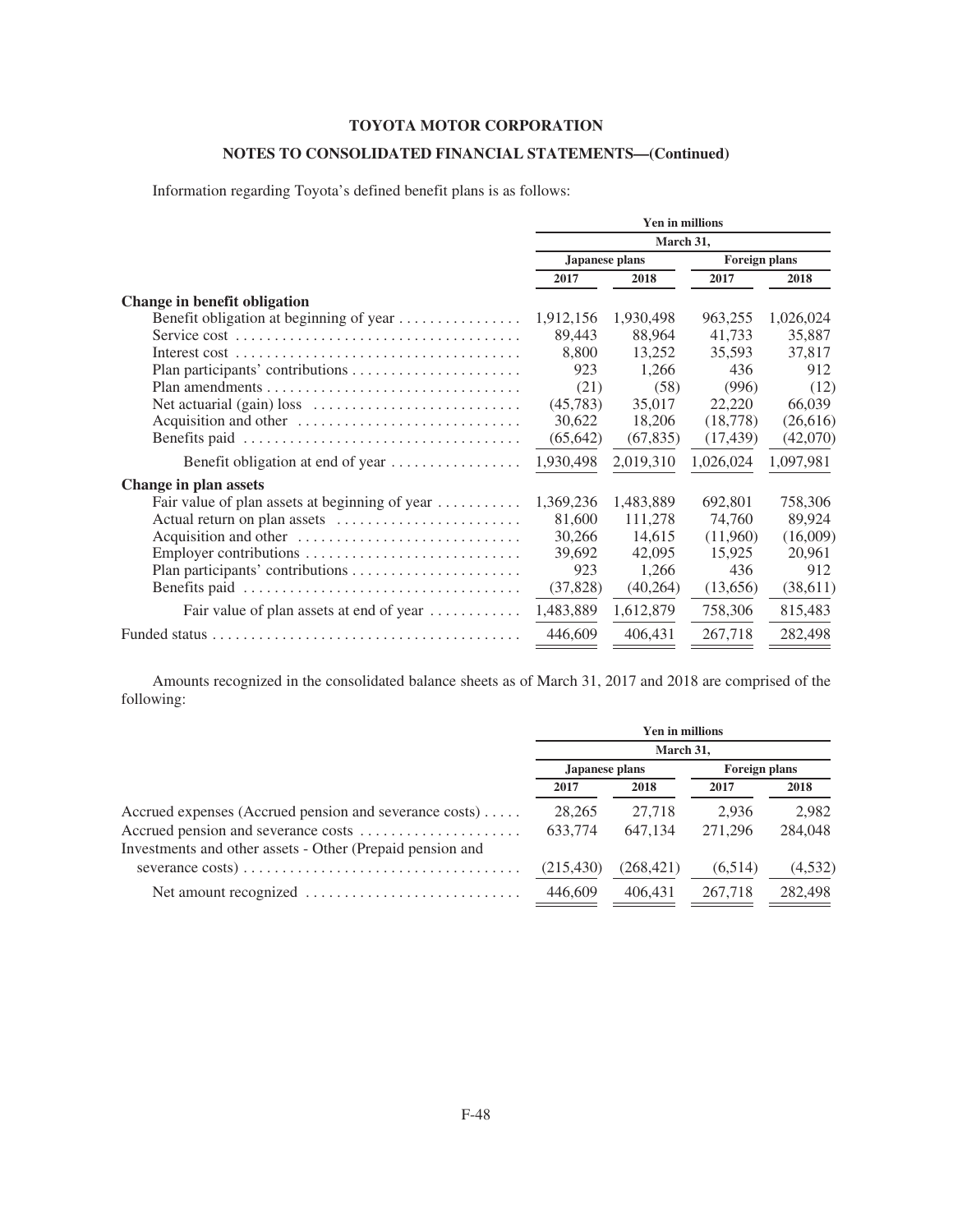## **NOTES TO CONSOLIDATED FINANCIAL STATEMENTS—(Continued)**

Information regarding Toyota's defined benefit plans is as follows:

|                                                                                             | Yen in millions |           |                      |           |  |
|---------------------------------------------------------------------------------------------|-----------------|-----------|----------------------|-----------|--|
|                                                                                             | March 31.       |           |                      |           |  |
|                                                                                             | Japanese plans  |           | <b>Foreign plans</b> |           |  |
|                                                                                             | 2017            | 2018      | 2017                 | 2018      |  |
| Change in benefit obligation                                                                |                 |           |                      |           |  |
| Benefit obligation at beginning of year                                                     | 1,912,156       | 1,930,498 | 963,255              | 1,026,024 |  |
|                                                                                             | 89,443          | 88,964    | 41,733               | 35,887    |  |
| Interest cost $\dots\dots\dots\dots\dots\dots\dots\dots\dots\dots\dots\dots\dots\dots\dots$ | 8,800           | 13,252    | 35,593               | 37,817    |  |
|                                                                                             | 923             | 1,266     | 436                  | 912       |  |
|                                                                                             | (21)            | (58)      | (996)                | (12)      |  |
|                                                                                             | (45,783)        | 35,017    | 22,220               | 66,039    |  |
|                                                                                             | 30,622          | 18,206    | (18,778)             | (26,616)  |  |
|                                                                                             | (65, 642)       | (67, 835) | (17, 439)            | (42,070)  |  |
| Benefit obligation at end of year                                                           | 1,930,498       | 2,019,310 | 1,026,024            | 1,097,981 |  |
| Change in plan assets                                                                       |                 |           |                      |           |  |
| Fair value of plan assets at beginning of year                                              | 1,369,236       | 1,483,889 | 692,801              | 758,306   |  |
|                                                                                             | 81,600          | 111,278   | 74,760               | 89,924    |  |
|                                                                                             | 30,266          | 14,615    | (11,960)             | (16,009)  |  |
| Employer contributions                                                                      | 39,692          | 42,095    | 15,925               | 20,961    |  |
|                                                                                             | 923             | 1,266     | 436                  | 912       |  |
|                                                                                             | (37, 828)       | (40,264)  | (13,656)             | (38,611)  |  |
| Fair value of plan assets at end of year $\dots\dots\dots\dots$                             | 1,483,889       | 1,612,879 | 758,306              | 815,483   |  |
|                                                                                             | 446,609         | 406,431   | 267,718              | 282,498   |  |
|                                                                                             |                 |           |                      |           |  |

Amounts recognized in the consolidated balance sheets as of March 31, 2017 and 2018 are comprised of the following:

|                                                                  | Yen in millions<br>March 31, |            |                      |         |  |
|------------------------------------------------------------------|------------------------------|------------|----------------------|---------|--|
|                                                                  |                              |            |                      |         |  |
|                                                                  | Japanese plans               |            | <b>Foreign plans</b> |         |  |
|                                                                  | 2017                         | 2018       | 2017                 | 2018    |  |
| Accrued expenses (Accrued pension and severance costs) $\dots$ . | 28,265                       | 27.718     | 2.936                | 2.982   |  |
|                                                                  | 633,774                      | 647.134    | 271.296              | 284,048 |  |
| Investments and other assets - Other (Prepaid pension and        |                              |            |                      |         |  |
|                                                                  | (215, 430)                   | (268, 421) | (6,514)              | (4,532) |  |
|                                                                  | 446,609                      | 406.431    | 267,718              | 282,498 |  |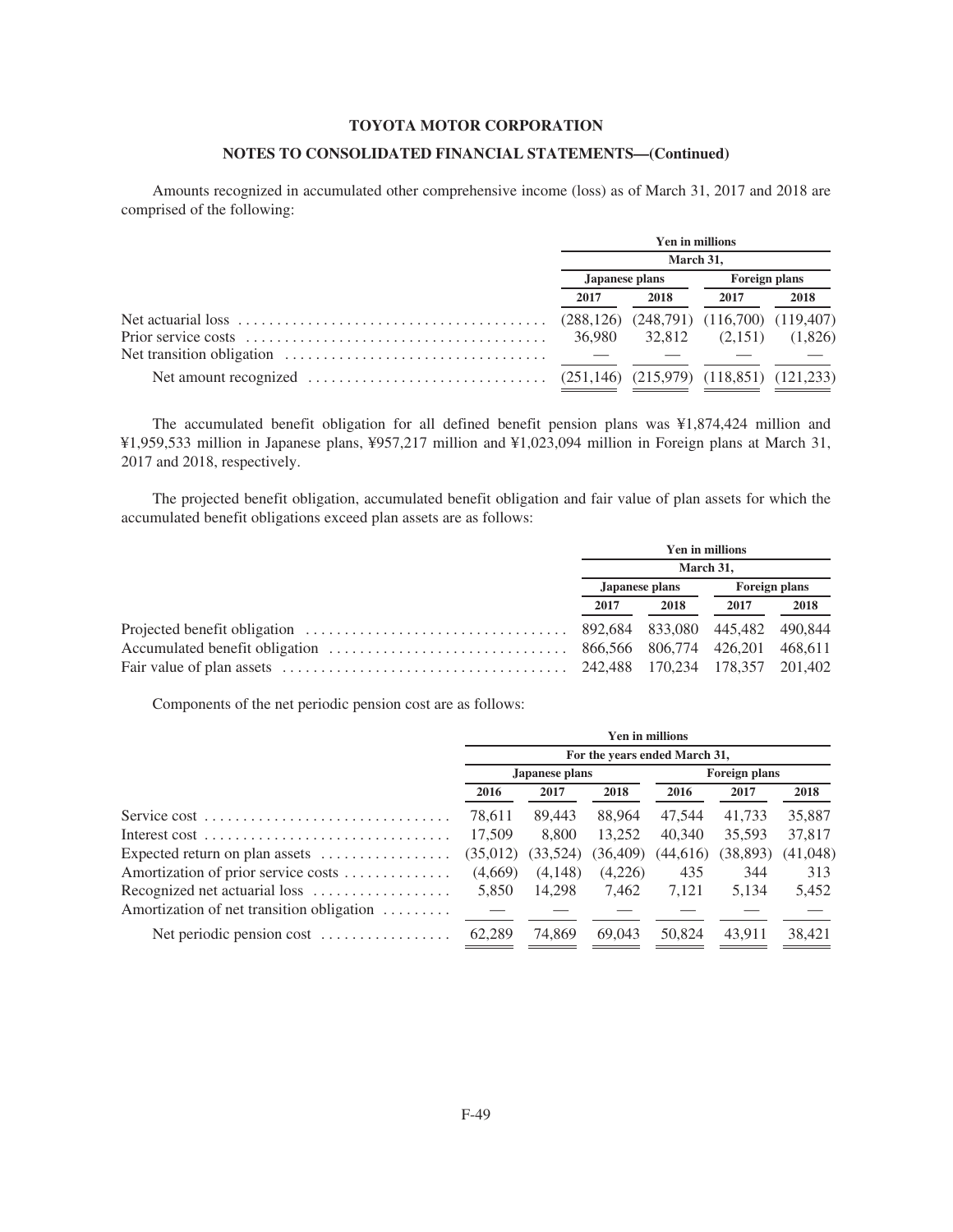## **NOTES TO CONSOLIDATED FINANCIAL STATEMENTS—(Continued)**

Amounts recognized in accumulated other comprehensive income (loss) as of March 31, 2017 and 2018 are comprised of the following:

|                                                                                                                             | Yen in millions |      |                                                 |      |
|-----------------------------------------------------------------------------------------------------------------------------|-----------------|------|-------------------------------------------------|------|
|                                                                                                                             | March 31,       |      |                                                 |      |
|                                                                                                                             | Japanese plans  |      | Foreign plans                                   |      |
|                                                                                                                             | 2017            | 2018 | 2017                                            | 2018 |
|                                                                                                                             |                 |      | $(288,126)$ $(248,791)$ $(116,700)$ $(119,407)$ |      |
|                                                                                                                             |                 |      | 36,980 32,812 (2,151) (1,826)                   |      |
| Net transition obligation $\dots \dots \dots \dots \dots \dots \dots \dots \dots \dots \dots \dots \dots \dots \dots \dots$ |                 |      |                                                 |      |
|                                                                                                                             |                 |      |                                                 |      |

The accumulated benefit obligation for all defined benefit pension plans was ¥1,874,424 million and ¥1,959,533 million in Japanese plans, ¥957,217 million and ¥1,023,094 million in Foreign plans at March 31, 2017 and 2018, respectively.

The projected benefit obligation, accumulated benefit obligation and fair value of plan assets for which the accumulated benefit obligations exceed plan assets are as follows:

|                | Yen in millions |      |                      |  |
|----------------|-----------------|------|----------------------|--|
|                | March 31,       |      |                      |  |
| Japanese plans |                 |      | <b>Foreign plans</b> |  |
| 2017           | 2018            | 2017 | 2018                 |  |
|                |                 |      |                      |  |
|                |                 |      |                      |  |
|                |                 |      |                      |  |

Components of the net periodic pension cost are as follows:

| 2016     | 2017     | 2018      | 2016           | 2017            | 2018                                                               |  |
|----------|----------|-----------|----------------|-----------------|--------------------------------------------------------------------|--|
| 78,611   | 89,443   | 88,964    | 47.544         | 41,733          | 35,887                                                             |  |
| 17,509   | 8,800    | 13,252    | 40,340         | 35,593          | 37,817                                                             |  |
| (35,012) | (33,524) | (36, 409) |                | (38,893)        | (41,048)                                                           |  |
| (4,669)  | (4,148)  | (4,226)   | 435            | 344             | 313                                                                |  |
| 5.850    | 14,298   | 7.462     | 7.121          | 5.134           | 5,452                                                              |  |
|          |          |           |                |                 |                                                                    |  |
| 62,289   | 74,869   | 69,043    | 50,824         | 43.911          | 38,421                                                             |  |
|          |          |           | Japanese plans | Yen in millions | For the years ended March 31,<br><b>Foreign plans</b><br>(44, 616) |  |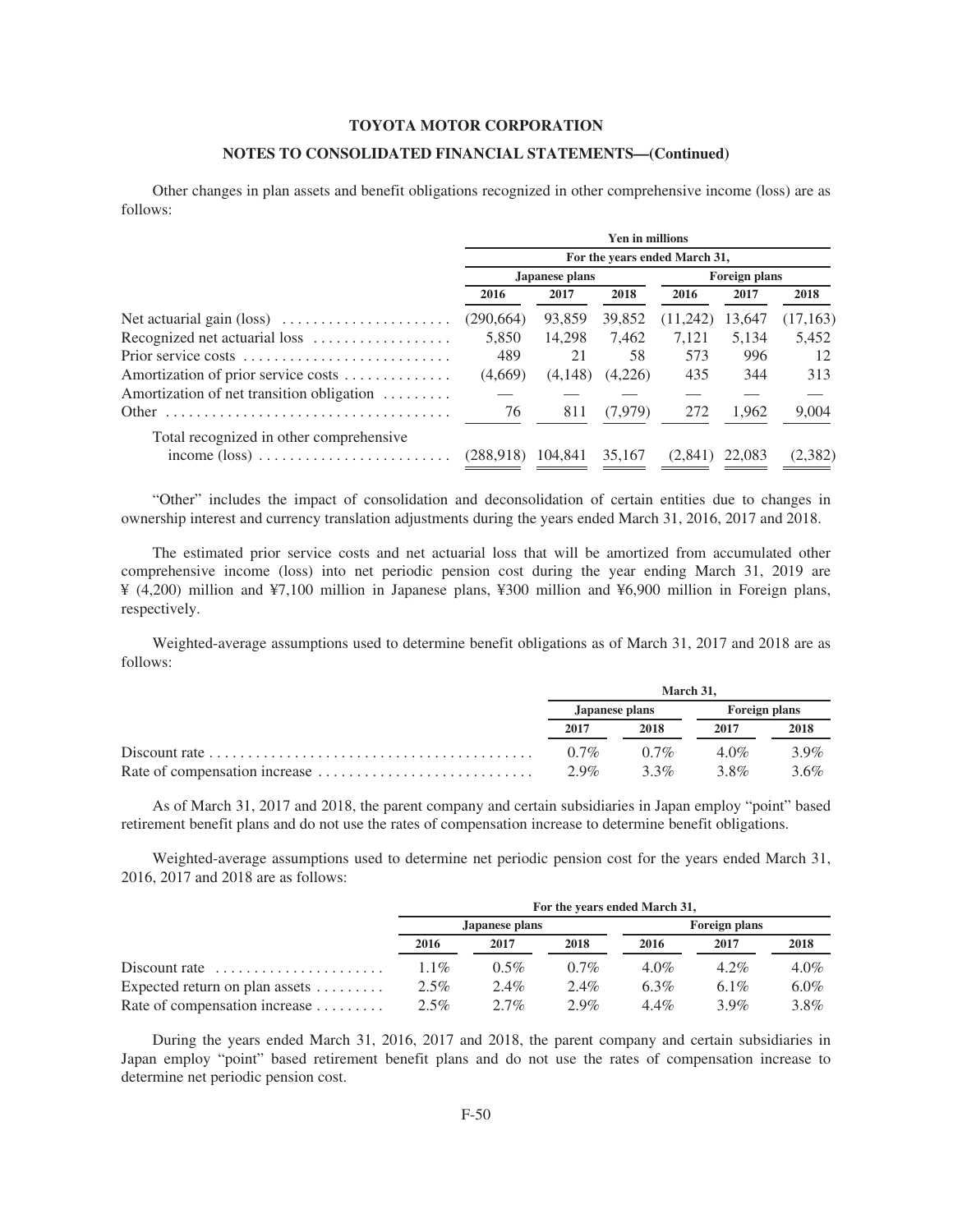### **NOTES TO CONSOLIDATED FINANCIAL STATEMENTS—(Continued)**

Other changes in plan assets and benefit obligations recognized in other comprehensive income (loss) are as follows:

|                                           | <b>Yen in millions</b>        |                |         |          |                      |           |  |
|-------------------------------------------|-------------------------------|----------------|---------|----------|----------------------|-----------|--|
|                                           | For the years ended March 31, |                |         |          |                      |           |  |
|                                           |                               | Japanese plans |         |          | <b>Foreign plans</b> |           |  |
|                                           | 2016                          | 2017           | 2018    | 2016     | 2017                 | 2018      |  |
|                                           | (290,664)                     | 93.859         | 39,852  | (11,242) | 13,647               | (17, 163) |  |
| Recognized net actuarial loss             | 5,850                         | 14.298         | 7.462   | 7,121    | 5,134                | 5,452     |  |
| Prior service costs                       | 489                           | 21             | 58      | 573      | 996                  | 12        |  |
| Amortization of prior service costs       | (4,669)                       | (4,148)        | (4,226) | 435      | 344                  | 313       |  |
| Amortization of net transition obligation |                               |                |         |          |                      |           |  |
|                                           | 76                            | 811            | (7,979) | 272      | 1,962                | 9,004     |  |
| Total recognized in other comprehensive   |                               |                |         |          |                      |           |  |
|                                           | (288,918)                     | 104.841        | 35,167  | (2,841)  | 22.083               | (2,382)   |  |

"Other" includes the impact of consolidation and deconsolidation of certain entities due to changes in ownership interest and currency translation adjustments during the years ended March 31, 2016, 2017 and 2018.

The estimated prior service costs and net actuarial loss that will be amortized from accumulated other comprehensive income (loss) into net periodic pension cost during the year ending March 31, 2019 are ¥ (4,200) million and ¥7,100 million in Japanese plans, ¥300 million and ¥6,900 million in Foreign plans, respectively.

Weighted-average assumptions used to determine benefit obligations as of March 31, 2017 and 2018 are as follows:

|                                                                                                     | March 31.      |         |                      |         |  |
|-----------------------------------------------------------------------------------------------------|----------------|---------|----------------------|---------|--|
|                                                                                                     | Japanese plans |         | <b>Foreign plans</b> |         |  |
|                                                                                                     | 2017           | 2018    | 2017                 | 2018    |  |
| Discount rate $\ldots \ldots \ldots \ldots \ldots \ldots \ldots \ldots \ldots \ldots \ldots \ldots$ | $0.7\%$        | $0.7\%$ | $4.0\%$              | 3.9%    |  |
|                                                                                                     | $2.9\%$        | 3.3%    | $3.8\%$              | $3.6\%$ |  |

As of March 31, 2017 and 2018, the parent company and certain subsidiaries in Japan employ "point" based retirement benefit plans and do not use the rates of compensation increase to determine benefit obligations.

Weighted-average assumptions used to determine net periodic pension cost for the years ended March 31, 2016, 2017 and 2018 are as follows:

|                                                     | For the years ended March 31, |         |         |         |                      |         |
|-----------------------------------------------------|-------------------------------|---------|---------|---------|----------------------|---------|
|                                                     | Japanese plans                |         |         |         | <b>Foreign plans</b> |         |
|                                                     | 2016                          | 2017    | 2018    | 2016    | 2017                 | 2018    |
| Discount rate $\dots\dots\dots\dots\dots\dots\dots$ | $1.1\%$                       | $0.5\%$ | $0.7\%$ | $4.0\%$ | $4.2\%$              | $4.0\%$ |
| Expected return on plan assets $\dots\dots\dots$    | $2.5\%$                       | $2.4\%$ | $2.4\%$ | $6.3\%$ | 6.1%                 | $6.0\%$ |
| Rate of compensation increase                       | $2.5\%$                       | $2.7\%$ | $2.9\%$ | $4.4\%$ | $3.9\%$              | 3.8%    |

During the years ended March 31, 2016, 2017 and 2018, the parent company and certain subsidiaries in Japan employ "point" based retirement benefit plans and do not use the rates of compensation increase to determine net periodic pension cost.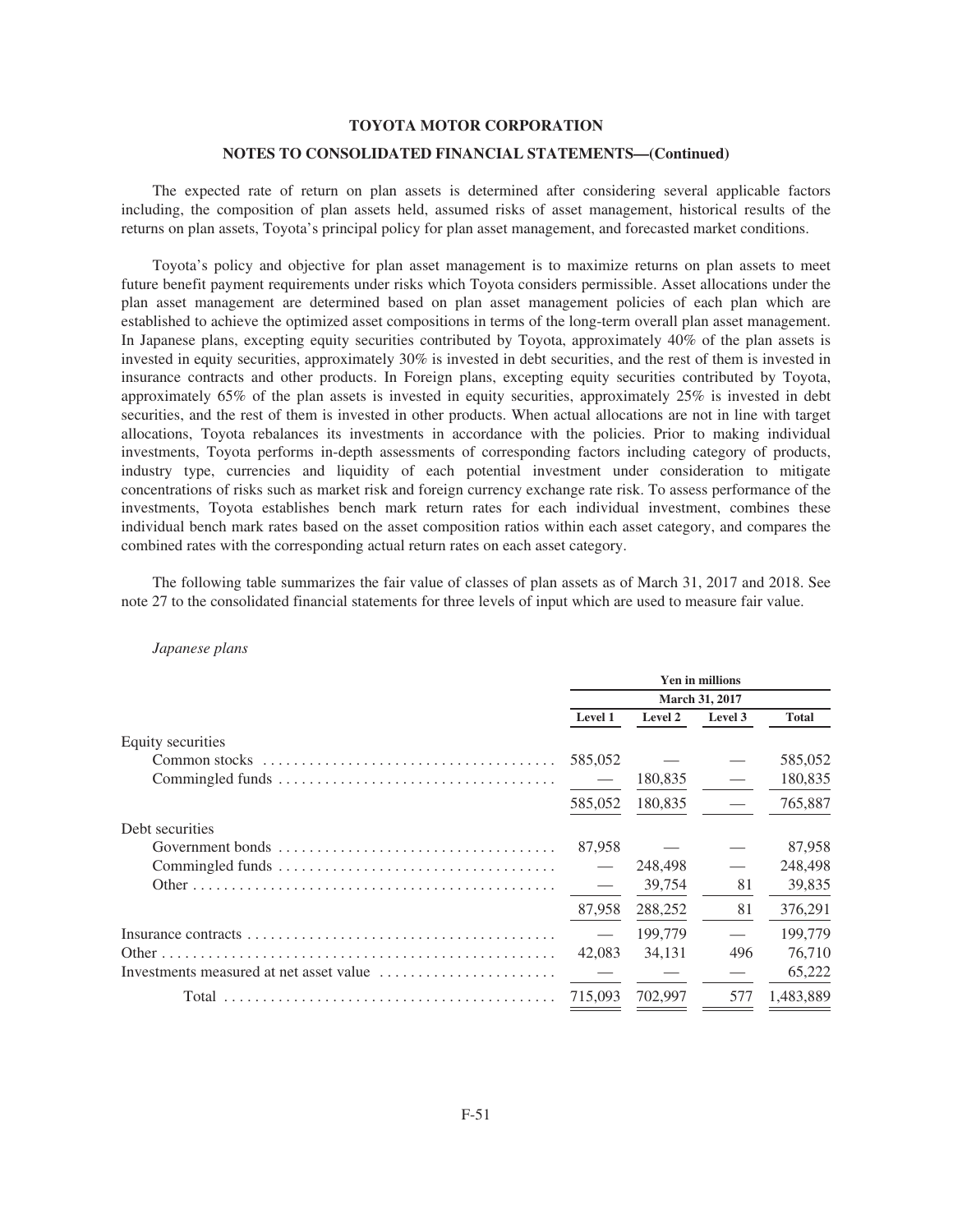## **NOTES TO CONSOLIDATED FINANCIAL STATEMENTS—(Continued)**

The expected rate of return on plan assets is determined after considering several applicable factors including, the composition of plan assets held, assumed risks of asset management, historical results of the returns on plan assets, Toyota's principal policy for plan asset management, and forecasted market conditions.

Toyota's policy and objective for plan asset management is to maximize returns on plan assets to meet future benefit payment requirements under risks which Toyota considers permissible. Asset allocations under the plan asset management are determined based on plan asset management policies of each plan which are established to achieve the optimized asset compositions in terms of the long-term overall plan asset management. In Japanese plans, excepting equity securities contributed by Toyota, approximately 40% of the plan assets is invested in equity securities, approximately 30% is invested in debt securities, and the rest of them is invested in insurance contracts and other products. In Foreign plans, excepting equity securities contributed by Toyota, approximately 65% of the plan assets is invested in equity securities, approximately 25% is invested in debt securities, and the rest of them is invested in other products. When actual allocations are not in line with target allocations, Toyota rebalances its investments in accordance with the policies. Prior to making individual investments, Toyota performs in-depth assessments of corresponding factors including category of products, industry type, currencies and liquidity of each potential investment under consideration to mitigate concentrations of risks such as market risk and foreign currency exchange rate risk. To assess performance of the investments, Toyota establishes bench mark return rates for each individual investment, combines these individual bench mark rates based on the asset composition ratios within each asset category, and compares the combined rates with the corresponding actual return rates on each asset category.

The following table summarizes the fair value of classes of plan assets as of March 31, 2017 and 2018. See note 27 to the consolidated financial statements for three levels of input which are used to measure fair value.

|                                                                                     | Yen in millions          |         |                       |              |  |
|-------------------------------------------------------------------------------------|--------------------------|---------|-----------------------|--------------|--|
|                                                                                     |                          |         | <b>March 31, 2017</b> |              |  |
|                                                                                     | Level 1                  | Level 2 | Level 3               | <b>Total</b> |  |
| Equity securities                                                                   |                          |         |                       |              |  |
|                                                                                     | 585,052                  |         |                       | 585,052      |  |
|                                                                                     |                          | 180,835 |                       | 180,835      |  |
|                                                                                     | 585,052                  | 180,835 |                       | 765,887      |  |
| Debt securities                                                                     |                          |         |                       |              |  |
|                                                                                     | 87,958                   |         |                       | 87,958       |  |
|                                                                                     |                          | 248,498 |                       | 248,498      |  |
|                                                                                     |                          | 39,754  | 81                    | 39,835       |  |
|                                                                                     | 87,958                   | 288,252 | 81                    | 376,291      |  |
|                                                                                     | $\overline{\phantom{m}}$ | 199,779 |                       | 199,779      |  |
|                                                                                     | 42,083                   | 34,131  | 496                   | 76,710       |  |
| Investments measured at net asset value $\dots \dots \dots \dots \dots \dots \dots$ |                          |         |                       | 65,222       |  |
|                                                                                     | 715,093                  | 702,997 | 577                   | 1,483,889    |  |

*Japanese plans*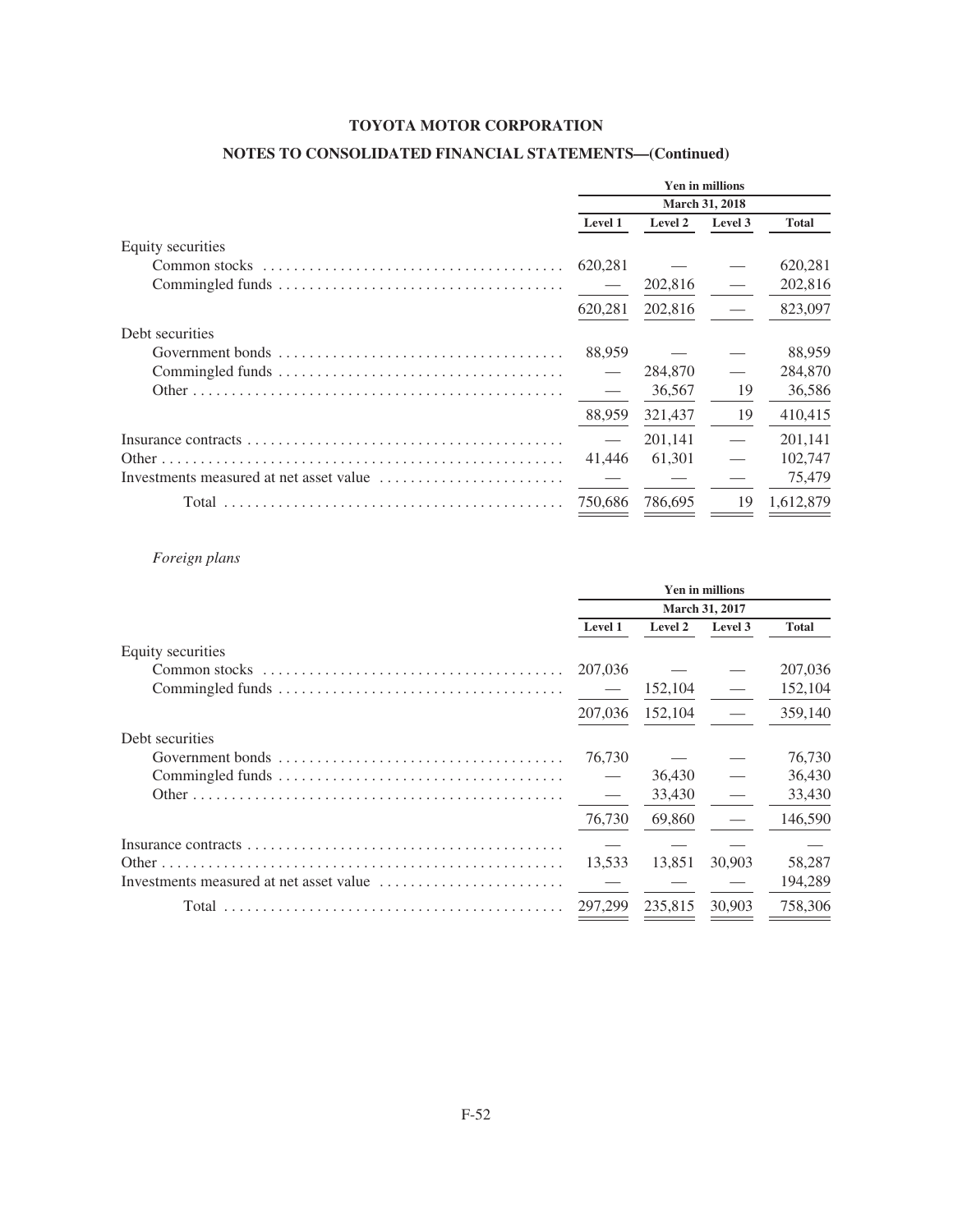|                                                                                    | Yen in millions                 |                       |         |              |  |
|------------------------------------------------------------------------------------|---------------------------------|-----------------------|---------|--------------|--|
|                                                                                    |                                 | <b>March 31, 2018</b> |         |              |  |
|                                                                                    | Level 1                         | <b>Level 2</b>        | Level 3 | <b>Total</b> |  |
| Equity securities                                                                  |                                 |                       |         |              |  |
|                                                                                    | 620,281                         |                       |         | 620,281      |  |
|                                                                                    | $\sim$ $-$                      | 202,816               |         | 202,816      |  |
|                                                                                    | 620,281                         | 202,816               |         | 823,097      |  |
| Debt securities                                                                    |                                 |                       |         |              |  |
|                                                                                    | 88,959                          |                       |         | 88,959       |  |
|                                                                                    |                                 | 284,870               |         | 284,870      |  |
|                                                                                    |                                 | 36,567                | 19      | 36,586       |  |
|                                                                                    | 88,959                          | 321,437               | 19      | 410,415      |  |
|                                                                                    | $\hspace{0.1mm}-\hspace{0.1mm}$ | 201,141               |         | 201,141      |  |
|                                                                                    | 41,446                          | 61,301                |         | 102,747      |  |
| Investments measured at net asset value $\dots\dots\dots\dots\dots\dots\dots\dots$ |                                 |                       |         | 75,479       |  |
|                                                                                    | 750,686                         | 786,695               | 19      | 1,612,879    |  |
|                                                                                    |                                 |                       |         |              |  |

## **NOTES TO CONSOLIDATED FINANCIAL STATEMENTS—(Continued)**

# *Foreign plans*

|                   | Yen in millions |         |                |              |
|-------------------|-----------------|---------|----------------|--------------|
|                   |                 |         | March 31, 2017 |              |
|                   | Level 1         | Level 2 | Level 3        | <b>Total</b> |
| Equity securities |                 |         |                |              |
|                   | 207,036         |         |                | 207,036      |
|                   |                 | 152,104 |                | 152,104      |
|                   | 207,036         | 152,104 |                | 359,140      |
| Debt securities   |                 |         |                |              |
|                   | 76,730          |         |                | 76,730       |
|                   |                 | 36,430  |                | 36,430       |
|                   |                 | 33,430  |                | 33,430       |
|                   | 76,730          | 69,860  |                | 146,590      |
|                   |                 |         |                |              |
|                   | 13,533          | 13.851  | 30,903         | 58,287       |
|                   |                 |         |                | 194,289      |
|                   | 297,299         | 235,815 | 30,903         | 758,306      |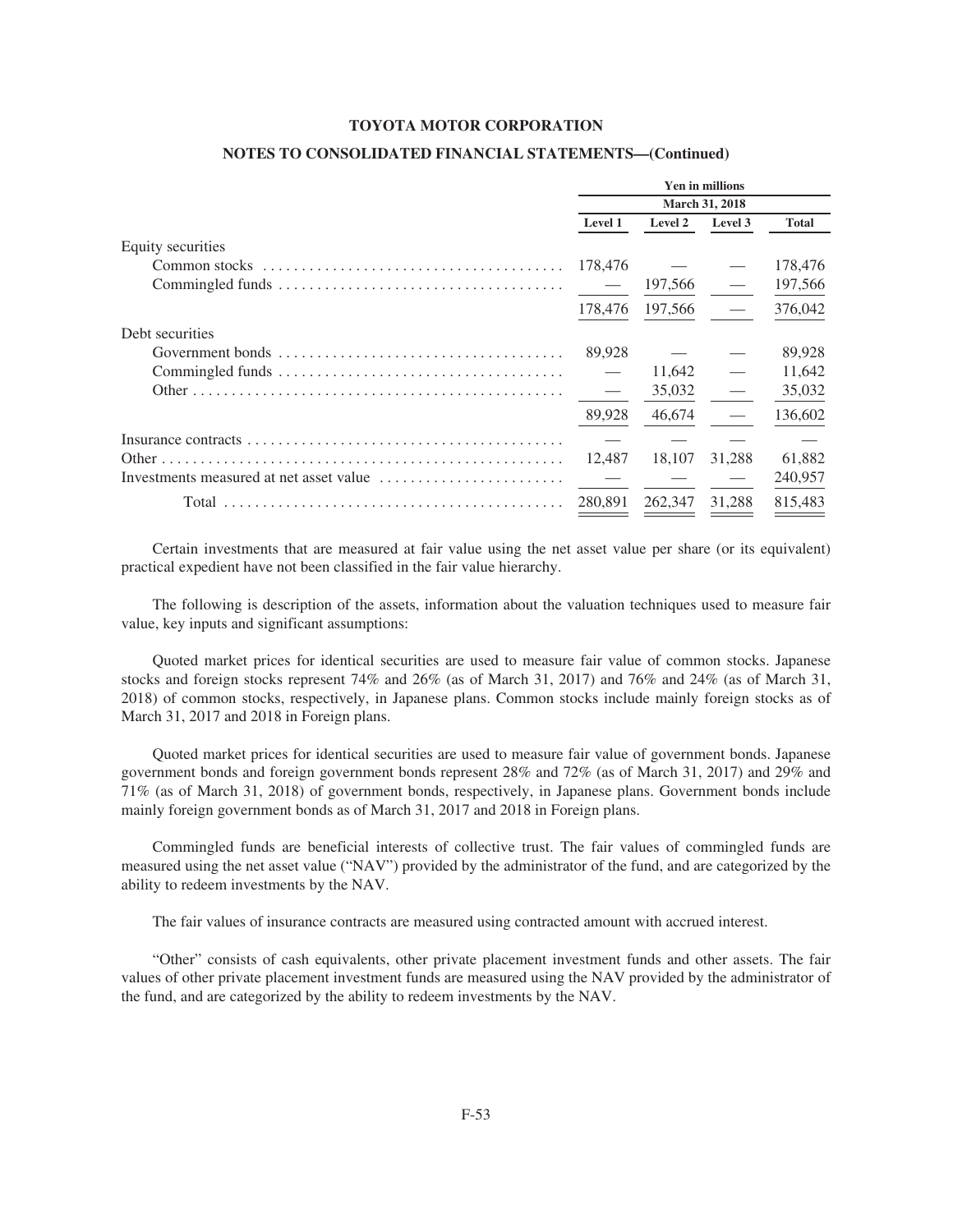|                                                                                    | Yen in millions                 |                |                          |              |
|------------------------------------------------------------------------------------|---------------------------------|----------------|--------------------------|--------------|
|                                                                                    |                                 |                | March 31, 2018           |              |
|                                                                                    | Level 1                         | <b>Level 2</b> | Level 3                  | <b>Total</b> |
| Equity securities                                                                  |                                 |                |                          |              |
|                                                                                    | 178,476                         |                |                          | 178,476      |
|                                                                                    | $\sim$ $-$                      | 197,566        |                          | 197,566      |
|                                                                                    | 178,476                         | 197,566        |                          | 376,042      |
| Debt securities                                                                    |                                 |                |                          |              |
|                                                                                    | 89,928                          |                |                          | 89,928       |
|                                                                                    |                                 | 11,642         |                          | 11,642       |
|                                                                                    | $\hspace{0.1mm}-\hspace{0.1mm}$ | 35,032         | $\overline{\phantom{m}}$ | 35,032       |
|                                                                                    | 89,928                          | 46,674         |                          | 136,602      |
|                                                                                    |                                 |                |                          |              |
|                                                                                    | 12,487                          | 18,107         | 31,288                   | 61,882       |
| Investments measured at net asset value $\dots\dots\dots\dots\dots\dots\dots\dots$ |                                 |                |                          | 240,957      |
|                                                                                    | 280,891                         | 262,347        | 31,288                   | 815,483      |

#### **NOTES TO CONSOLIDATED FINANCIAL STATEMENTS—(Continued)**

Certain investments that are measured at fair value using the net asset value per share (or its equivalent) practical expedient have not been classified in the fair value hierarchy.

The following is description of the assets, information about the valuation techniques used to measure fair value, key inputs and significant assumptions:

Quoted market prices for identical securities are used to measure fair value of common stocks. Japanese stocks and foreign stocks represent 74% and 26% (as of March 31, 2017) and 76% and 24% (as of March 31, 2018) of common stocks, respectively, in Japanese plans. Common stocks include mainly foreign stocks as of March 31, 2017 and 2018 in Foreign plans.

Quoted market prices for identical securities are used to measure fair value of government bonds. Japanese government bonds and foreign government bonds represent 28% and 72% (as of March 31, 2017) and 29% and 71% (as of March 31, 2018) of government bonds, respectively, in Japanese plans. Government bonds include mainly foreign government bonds as of March 31, 2017 and 2018 in Foreign plans.

Commingled funds are beneficial interests of collective trust. The fair values of commingled funds are measured using the net asset value ("NAV") provided by the administrator of the fund, and are categorized by the ability to redeem investments by the NAV.

The fair values of insurance contracts are measured using contracted amount with accrued interest.

"Other" consists of cash equivalents, other private placement investment funds and other assets. The fair values of other private placement investment funds are measured using the NAV provided by the administrator of the fund, and are categorized by the ability to redeem investments by the NAV.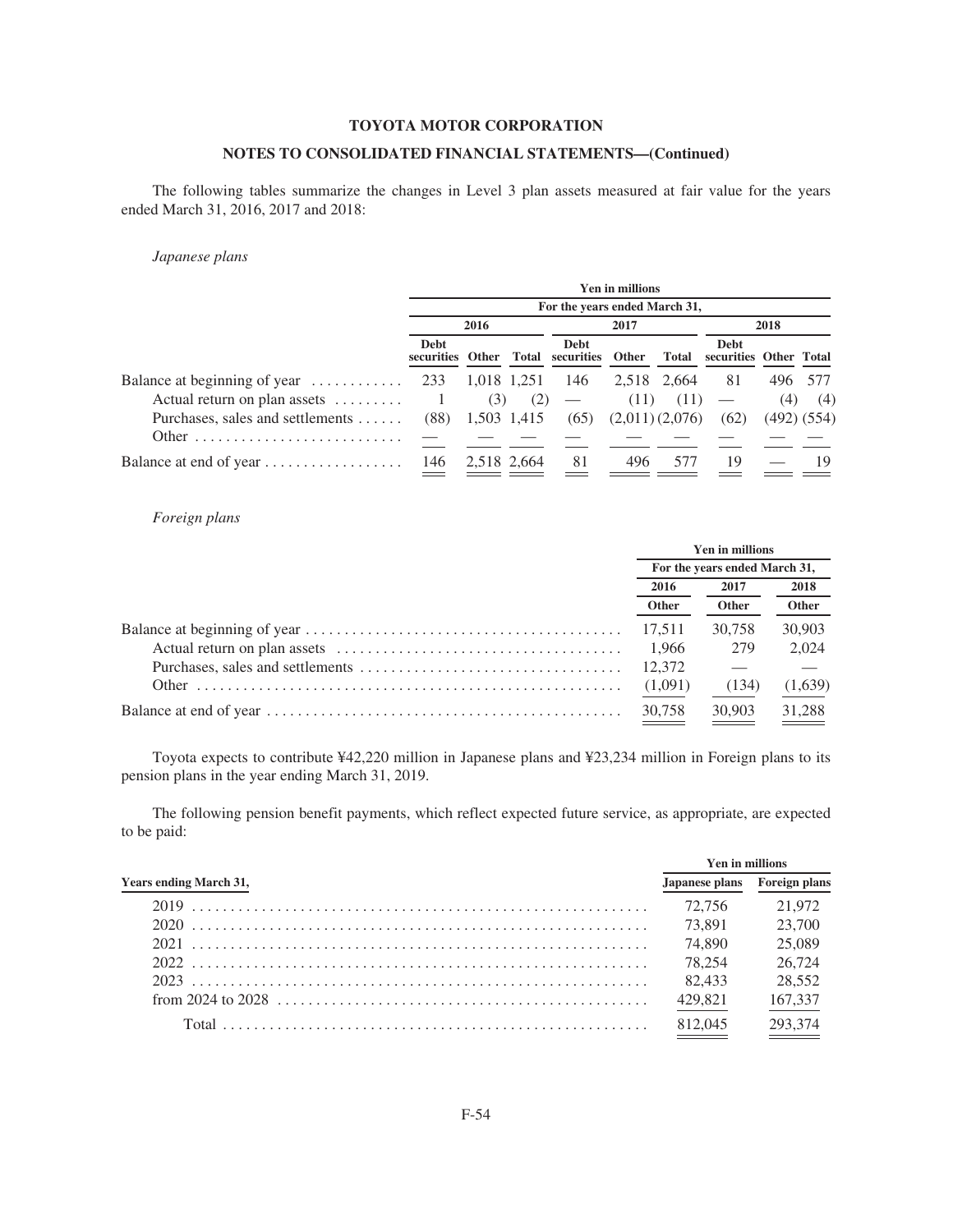## **NOTES TO CONSOLIDATED FINANCIAL STATEMENTS—(Continued)**

The following tables summarize the changes in Level 3 plan assets measured at fair value for the years ended March 31, 2016, 2017 and 2018:

## *Japanese plans*

|                                                                        |                               |                    |     |                                                        | Yen in millions            |      |                                             |                 |         |
|------------------------------------------------------------------------|-------------------------------|--------------------|-----|--------------------------------------------------------|----------------------------|------|---------------------------------------------|-----------------|---------|
|                                                                        | For the years ended March 31, |                    |     |                                                        |                            |      |                                             |                 |         |
|                                                                        | 2016                          |                    |     | 2017                                                   |                            | 2018 |                                             |                 |         |
|                                                                        | <b>Debt</b>                   |                    |     | <b>Debt</b><br>securities Other Total securities Other |                            |      | <b>Debt</b><br>Total securities Other Total |                 |         |
| Balance at beginning of year $\dots \dots \dots \dots$ 233 1,018 1,251 |                               |                    |     | 146 2,518 2,664                                        |                            |      | -81                                         |                 | 496 577 |
| Actual return on plan assets                                           |                               | (3)                | (2) |                                                        | (11)                       | (11) |                                             | (4)             | (4)     |
| Purchases, sales and settlements                                       |                               | $(88)$ 1,503 1,415 |     |                                                        | $(65)$ $(2,011)$ $(2,076)$ |      | (62)                                        | $(492)$ $(554)$ |         |
|                                                                        |                               |                    |     |                                                        |                            |      |                                             |                 |         |
| Balance at end of year $\dots\dots\dots\dots\dots\dots$                | - 146                         | 2,518 2,664        |     | 81                                                     | 496                        |      | 19                                          |                 | 19      |

## *Foreign plans*

|  | Yen in millions<br>For the years ended March 31, |              |                                    |  |
|--|--------------------------------------------------|--------------|------------------------------------|--|
|  |                                                  |              |                                    |  |
|  | 2016                                             | 2017         | 2018                               |  |
|  | Other                                            | <b>Other</b> | Other                              |  |
|  |                                                  | 30,758       | 30,903                             |  |
|  | 1.966                                            | 279          | 2.024                              |  |
|  | 12.372                                           |              |                                    |  |
|  | (1,091)                                          | (134)        | (1,639)                            |  |
|  | 30,758                                           | 30,903       | 31,288<br>$\overline{\phantom{a}}$ |  |

Toyota expects to contribute ¥42,220 million in Japanese plans and ¥23,234 million in Foreign plans to its pension plans in the year ending March 31, 2019.

The following pension benefit payments, which reflect expected future service, as appropriate, are expected to be paid:

| <b>Years ending March 31,</b> |         | <b>Yen in millions</b>       |
|-------------------------------|---------|------------------------------|
|                               |         | Japanese plans Foreign plans |
|                               | 72.756  | 21.972                       |
|                               | 73.891  | 23,700                       |
|                               | 74.890  | 25,089                       |
|                               | 78.254  | 26.724                       |
|                               | 82.433  | 28.552                       |
|                               | 429.821 | 167,337                      |
|                               | 812.045 | 293,374                      |
|                               |         |                              |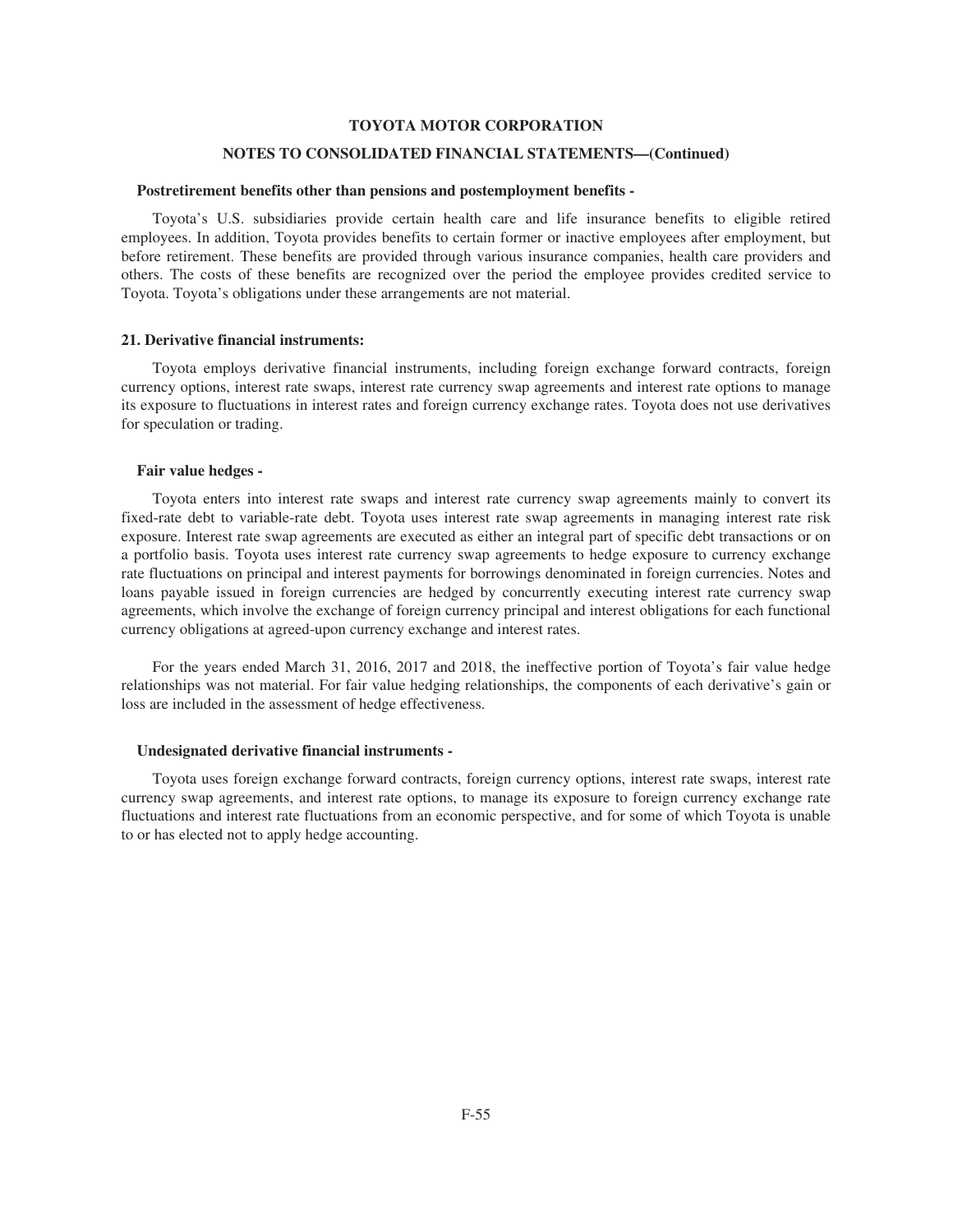## **NOTES TO CONSOLIDATED FINANCIAL STATEMENTS—(Continued)**

#### **Postretirement benefits other than pensions and postemployment benefits -**

Toyota's U.S. subsidiaries provide certain health care and life insurance benefits to eligible retired employees. In addition, Toyota provides benefits to certain former or inactive employees after employment, but before retirement. These benefits are provided through various insurance companies, health care providers and others. The costs of these benefits are recognized over the period the employee provides credited service to Toyota. Toyota's obligations under these arrangements are not material.

#### **21. Derivative financial instruments:**

Toyota employs derivative financial instruments, including foreign exchange forward contracts, foreign currency options, interest rate swaps, interest rate currency swap agreements and interest rate options to manage its exposure to fluctuations in interest rates and foreign currency exchange rates. Toyota does not use derivatives for speculation or trading.

#### **Fair value hedges -**

Toyota enters into interest rate swaps and interest rate currency swap agreements mainly to convert its fixed-rate debt to variable-rate debt. Toyota uses interest rate swap agreements in managing interest rate risk exposure. Interest rate swap agreements are executed as either an integral part of specific debt transactions or on a portfolio basis. Toyota uses interest rate currency swap agreements to hedge exposure to currency exchange rate fluctuations on principal and interest payments for borrowings denominated in foreign currencies. Notes and loans payable issued in foreign currencies are hedged by concurrently executing interest rate currency swap agreements, which involve the exchange of foreign currency principal and interest obligations for each functional currency obligations at agreed-upon currency exchange and interest rates.

For the years ended March 31, 2016, 2017 and 2018, the ineffective portion of Toyota's fair value hedge relationships was not material. For fair value hedging relationships, the components of each derivative's gain or loss are included in the assessment of hedge effectiveness.

#### **Undesignated derivative financial instruments -**

Toyota uses foreign exchange forward contracts, foreign currency options, interest rate swaps, interest rate currency swap agreements, and interest rate options, to manage its exposure to foreign currency exchange rate fluctuations and interest rate fluctuations from an economic perspective, and for some of which Toyota is unable to or has elected not to apply hedge accounting.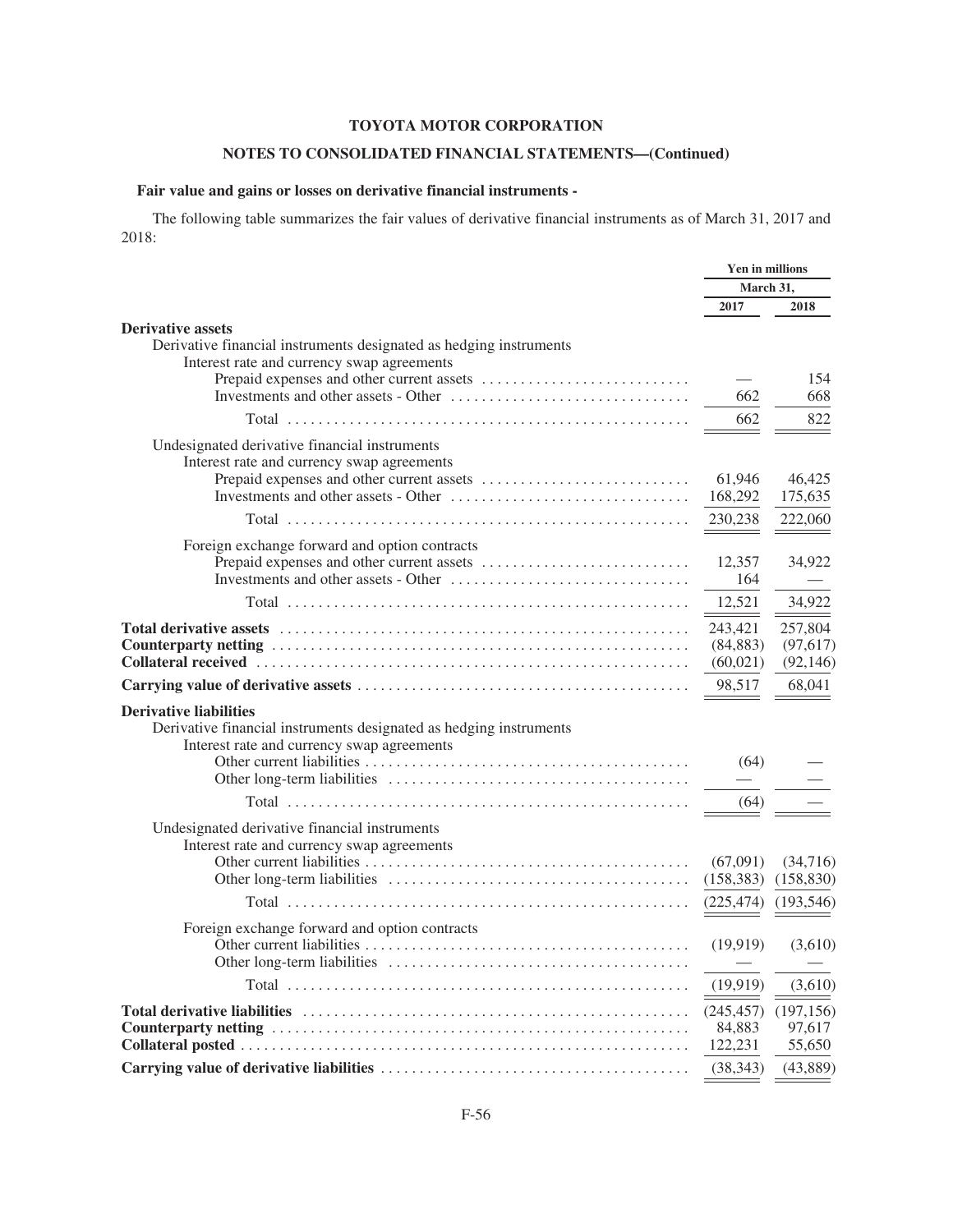## **NOTES TO CONSOLIDATED FINANCIAL STATEMENTS—(Continued)**

## **Fair value and gains or losses on derivative financial instruments -**

The following table summarizes the fair values of derivative financial instruments as of March 31, 2017 and 2018:

|                                                                                                                                                                                                                               | <b>Yen in millions</b> |            |
|-------------------------------------------------------------------------------------------------------------------------------------------------------------------------------------------------------------------------------|------------------------|------------|
|                                                                                                                                                                                                                               | March 31,              |            |
|                                                                                                                                                                                                                               | 2017                   | 2018       |
| <b>Derivative assets</b>                                                                                                                                                                                                      |                        |            |
| Derivative financial instruments designated as hedging instruments                                                                                                                                                            |                        |            |
| Interest rate and currency swap agreements                                                                                                                                                                                    |                        |            |
|                                                                                                                                                                                                                               |                        | 154        |
|                                                                                                                                                                                                                               | 662                    | 668        |
|                                                                                                                                                                                                                               | 662                    | 822        |
| Undesignated derivative financial instruments                                                                                                                                                                                 |                        |            |
| Interest rate and currency swap agreements                                                                                                                                                                                    |                        |            |
|                                                                                                                                                                                                                               | 61,946                 | 46,425     |
|                                                                                                                                                                                                                               | 168,292                | 175,635    |
|                                                                                                                                                                                                                               | 230,238                | 222,060    |
| Foreign exchange forward and option contracts                                                                                                                                                                                 |                        |            |
|                                                                                                                                                                                                                               | 12,357                 | 34,922     |
|                                                                                                                                                                                                                               | 164                    |            |
|                                                                                                                                                                                                                               | 12,521                 | 34,922     |
|                                                                                                                                                                                                                               | 243,421                | 257,804    |
|                                                                                                                                                                                                                               | (84, 883)              | (97,617)   |
|                                                                                                                                                                                                                               | (60, 021)              | (92, 146)  |
|                                                                                                                                                                                                                               | 98,517                 | 68,041     |
|                                                                                                                                                                                                                               |                        |            |
| <b>Derivative liabilities</b>                                                                                                                                                                                                 |                        |            |
| Derivative financial instruments designated as hedging instruments                                                                                                                                                            |                        |            |
| Interest rate and currency swap agreements                                                                                                                                                                                    | (64)                   |            |
|                                                                                                                                                                                                                               |                        |            |
|                                                                                                                                                                                                                               |                        |            |
|                                                                                                                                                                                                                               | (64)                   |            |
| Undesignated derivative financial instruments                                                                                                                                                                                 |                        |            |
| Interest rate and currency swap agreements                                                                                                                                                                                    |                        |            |
|                                                                                                                                                                                                                               | (67,091)               | (34,716)   |
|                                                                                                                                                                                                                               | (158, 383)             | (158, 830) |
|                                                                                                                                                                                                                               | (225, 474)             | (193, 546) |
| Foreign exchange forward and option contracts                                                                                                                                                                                 |                        |            |
|                                                                                                                                                                                                                               | (19,919)               | (3,610)    |
|                                                                                                                                                                                                                               |                        |            |
|                                                                                                                                                                                                                               | (19,919)               | (3,610)    |
| Total derivative liabilities entertainment contracts and derivative in the set of the set of the set of the set of the set of the set of the set of the set of the set of the set of the set of the set of the set of the set | (245, 457)             | (197, 156) |
|                                                                                                                                                                                                                               | 84,883                 | 97,617     |
|                                                                                                                                                                                                                               | 122,231                | 55,650     |
|                                                                                                                                                                                                                               | (38, 343)              | (43, 889)  |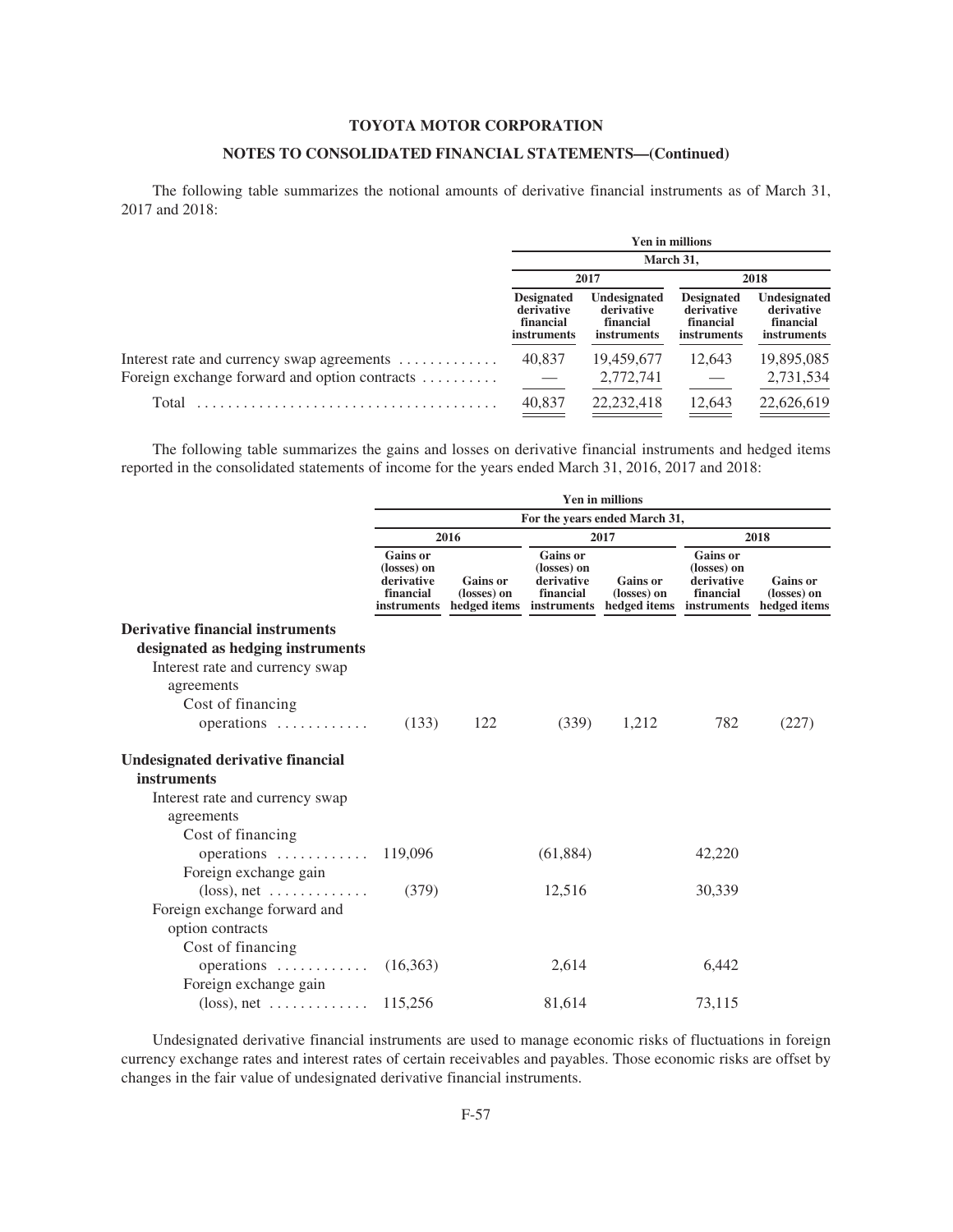## **NOTES TO CONSOLIDATED FINANCIAL STATEMENTS—(Continued)**

The following table summarizes the notional amounts of derivative financial instruments as of March 31, 2017 and 2018:

|                                                                   | <b>Yen in millions</b>                                             |                                                               |                                                                    |                                                        |  |
|-------------------------------------------------------------------|--------------------------------------------------------------------|---------------------------------------------------------------|--------------------------------------------------------------------|--------------------------------------------------------|--|
|                                                                   |                                                                    |                                                               | March 31,                                                          |                                                        |  |
|                                                                   | 2017<br>2018                                                       |                                                               |                                                                    |                                                        |  |
|                                                                   | <b>Designated</b><br>derivative<br>financial<br><i>instruments</i> | Undesignated<br>derivative<br>financial<br><i>instruments</i> | <b>Designated</b><br>derivative<br>financial<br><i>instruments</i> | Undesignated<br>derivative<br>financial<br>instruments |  |
| Interest rate and currency swap agreements $\dots\dots\dots\dots$ | 40,837                                                             | 19,459,677                                                    | 12,643                                                             | 19,895,085                                             |  |
| Foreign exchange forward and option contracts                     | $\hspace{0.1cm}$                                                   | 2,772,741                                                     |                                                                    | 2,731,534                                              |  |
| Total                                                             | 40,837                                                             | 22, 232, 418                                                  | 12,643                                                             | 22,626,619                                             |  |

The following table summarizes the gains and losses on derivative financial instruments and hedged items reported in the consolidated statements of income for the years ended March 31, 2016, 2017 and 2018:

|                                                                                                    |                                                                          |                                                | <b>Yen in millions</b>                                                   |                                                |                                                                          |                                                |  |  |  |
|----------------------------------------------------------------------------------------------------|--------------------------------------------------------------------------|------------------------------------------------|--------------------------------------------------------------------------|------------------------------------------------|--------------------------------------------------------------------------|------------------------------------------------|--|--|--|
|                                                                                                    |                                                                          | For the years ended March 31,                  |                                                                          |                                                |                                                                          |                                                |  |  |  |
|                                                                                                    |                                                                          | 2016                                           |                                                                          | 2017                                           | 2018                                                                     |                                                |  |  |  |
|                                                                                                    | <b>Gains or</b><br>(losses) on<br>derivative<br>financial<br>instruments | <b>Gains</b> or<br>(losses) on<br>hedged items | <b>Gains or</b><br>(losses) on<br>derivative<br>financial<br>instruments | <b>Gains or</b><br>(losses) on<br>hedged items | <b>Gains or</b><br>(losses) on<br>derivative<br>financial<br>instruments | <b>Gains or</b><br>(losses) on<br>hedged items |  |  |  |
| <b>Derivative financial instruments</b><br>designated as hedging instruments                       |                                                                          |                                                |                                                                          |                                                |                                                                          |                                                |  |  |  |
| Interest rate and currency swap<br>agreements                                                      |                                                                          |                                                |                                                                          |                                                |                                                                          |                                                |  |  |  |
| Cost of financing                                                                                  |                                                                          |                                                |                                                                          |                                                |                                                                          |                                                |  |  |  |
| operations                                                                                         | (133)                                                                    | 122                                            | (339)                                                                    | 1,212                                          | 782                                                                      | (227)                                          |  |  |  |
| <b>Undesignated derivative financial</b><br><i>instruments</i>                                     |                                                                          |                                                |                                                                          |                                                |                                                                          |                                                |  |  |  |
| Interest rate and currency swap<br>agreements                                                      |                                                                          |                                                |                                                                          |                                                |                                                                          |                                                |  |  |  |
| Cost of financing<br>operations $\ldots \ldots \ldots \ldots$ 119,096                              |                                                                          |                                                | (61, 884)                                                                |                                                | 42,220                                                                   |                                                |  |  |  |
| Foreign exchange gain<br>$(\text{loss})$ , net $\dots \dots \dots$<br>Foreign exchange forward and | (379)                                                                    |                                                | 12,516                                                                   |                                                | 30,339                                                                   |                                                |  |  |  |
| option contracts                                                                                   |                                                                          |                                                |                                                                          |                                                |                                                                          |                                                |  |  |  |
| Cost of financing<br>$operations \ldots \ldots \ldots$<br>Foreign exchange gain                    | (16,363)                                                                 |                                                | 2,614                                                                    |                                                | 6,442                                                                    |                                                |  |  |  |
| $(\text{loss})$ , net $\dots \dots \dots$                                                          | 115,256                                                                  |                                                | 81,614                                                                   |                                                | 73,115                                                                   |                                                |  |  |  |

Undesignated derivative financial instruments are used to manage economic risks of fluctuations in foreign currency exchange rates and interest rates of certain receivables and payables. Those economic risks are offset by changes in the fair value of undesignated derivative financial instruments.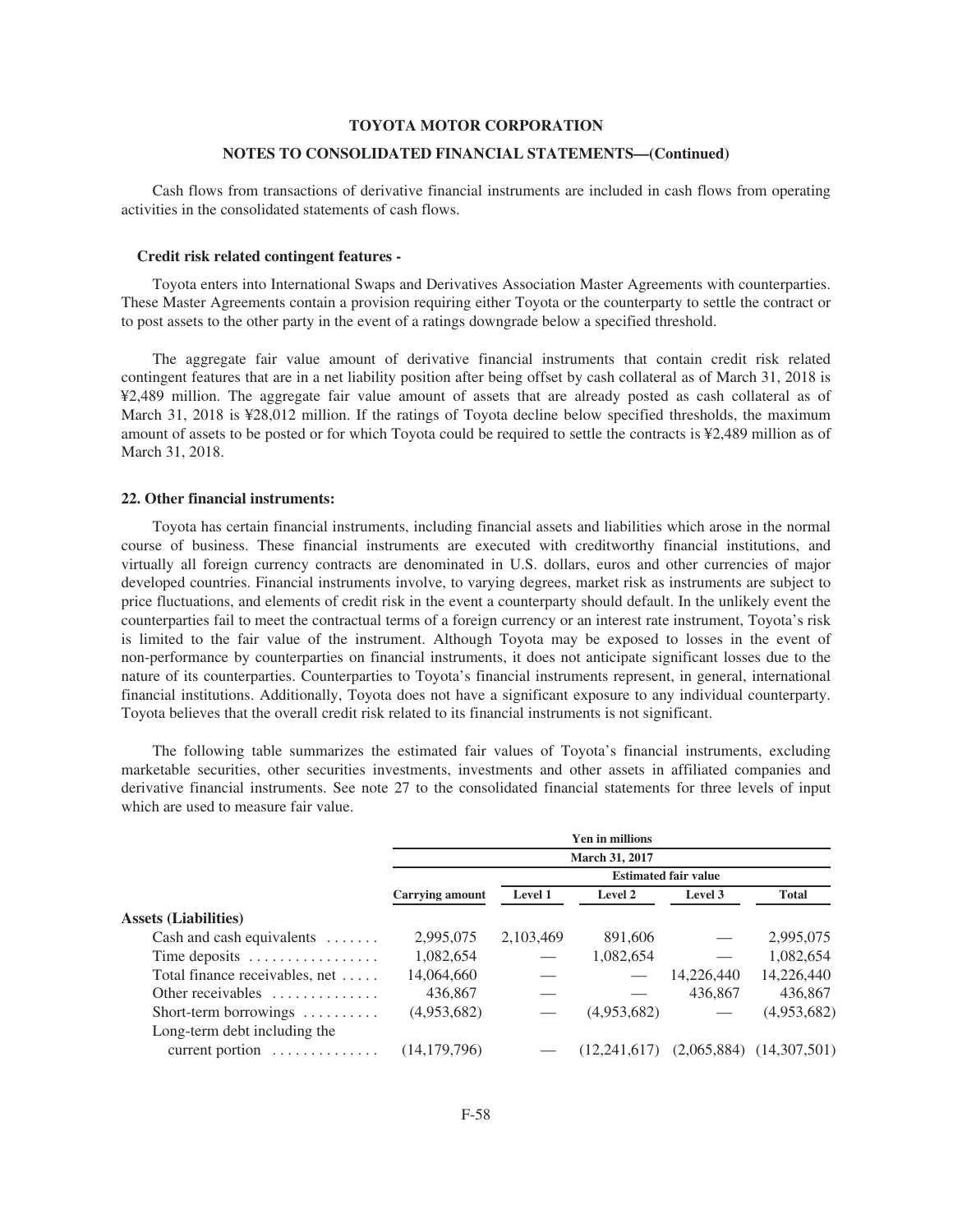#### **NOTES TO CONSOLIDATED FINANCIAL STATEMENTS—(Continued)**

Cash flows from transactions of derivative financial instruments are included in cash flows from operating activities in the consolidated statements of cash flows.

#### **Credit risk related contingent features -**

Toyota enters into International Swaps and Derivatives Association Master Agreements with counterparties. These Master Agreements contain a provision requiring either Toyota or the counterparty to settle the contract or to post assets to the other party in the event of a ratings downgrade below a specified threshold.

The aggregate fair value amount of derivative financial instruments that contain credit risk related contingent features that are in a net liability position after being offset by cash collateral as of March 31, 2018 is ¥2,489 million. The aggregate fair value amount of assets that are already posted as cash collateral as of March 31, 2018 is ¥28,012 million. If the ratings of Toyota decline below specified thresholds, the maximum amount of assets to be posted or for which Toyota could be required to settle the contracts is ¥2,489 million as of March 31, 2018.

#### **22. Other financial instruments:**

Toyota has certain financial instruments, including financial assets and liabilities which arose in the normal course of business. These financial instruments are executed with creditworthy financial institutions, and virtually all foreign currency contracts are denominated in U.S. dollars, euros and other currencies of major developed countries. Financial instruments involve, to varying degrees, market risk as instruments are subject to price fluctuations, and elements of credit risk in the event a counterparty should default. In the unlikely event the counterparties fail to meet the contractual terms of a foreign currency or an interest rate instrument, Toyota's risk is limited to the fair value of the instrument. Although Toyota may be exposed to losses in the event of non-performance by counterparties on financial instruments, it does not anticipate significant losses due to the nature of its counterparties. Counterparties to Toyota's financial instruments represent, in general, international financial institutions. Additionally, Toyota does not have a significant exposure to any individual counterparty. Toyota believes that the overall credit risk related to its financial instruments is not significant.

The following table summarizes the estimated fair values of Toyota's financial instruments, excluding marketable securities, other securities investments, investments and other assets in affiliated companies and derivative financial instruments. See note 27 to the consolidated financial statements for three levels of input which are used to measure fair value.

|                                               | <b>Yen in millions</b> |                |                |            |                              |  |  |  |
|-----------------------------------------------|------------------------|----------------|----------------|------------|------------------------------|--|--|--|
|                                               | March 31, 2017         |                |                |            |                              |  |  |  |
|                                               |                        |                |                |            |                              |  |  |  |
|                                               | <b>Carrying amount</b> | <b>Level 1</b> | Level 2        | Level 3    | <b>Total</b>                 |  |  |  |
| <b>Assets (Liabilities)</b>                   |                        |                |                |            |                              |  |  |  |
| Cash and cash equivalents $\dots$             | 2,995,075              | 2,103,469      | 891,606        |            | 2,995,075                    |  |  |  |
| Time deposits $\dots \dots \dots \dots \dots$ | 1,082,654              |                | 1,082,654      |            | 1,082,654                    |  |  |  |
| Total finance receivables, net                | 14,064,660             |                |                | 14,226,440 | 14,226,440                   |  |  |  |
| Other receivables $\dots\dots\dots\dots\dots$ | 436,867                |                |                | 436,867    | 436,867                      |  |  |  |
| Short-term borrowings $\dots\dots\dots$       | (4,953,682)            |                | (4,953,682)    |            | (4,953,682)                  |  |  |  |
| Long-term debt including the                  |                        |                |                |            |                              |  |  |  |
| current portion $\dots\dots\dots\dots$        | (14, 179, 796)         |                | (12, 241, 617) |            | $(2,065,884)$ $(14,307,501)$ |  |  |  |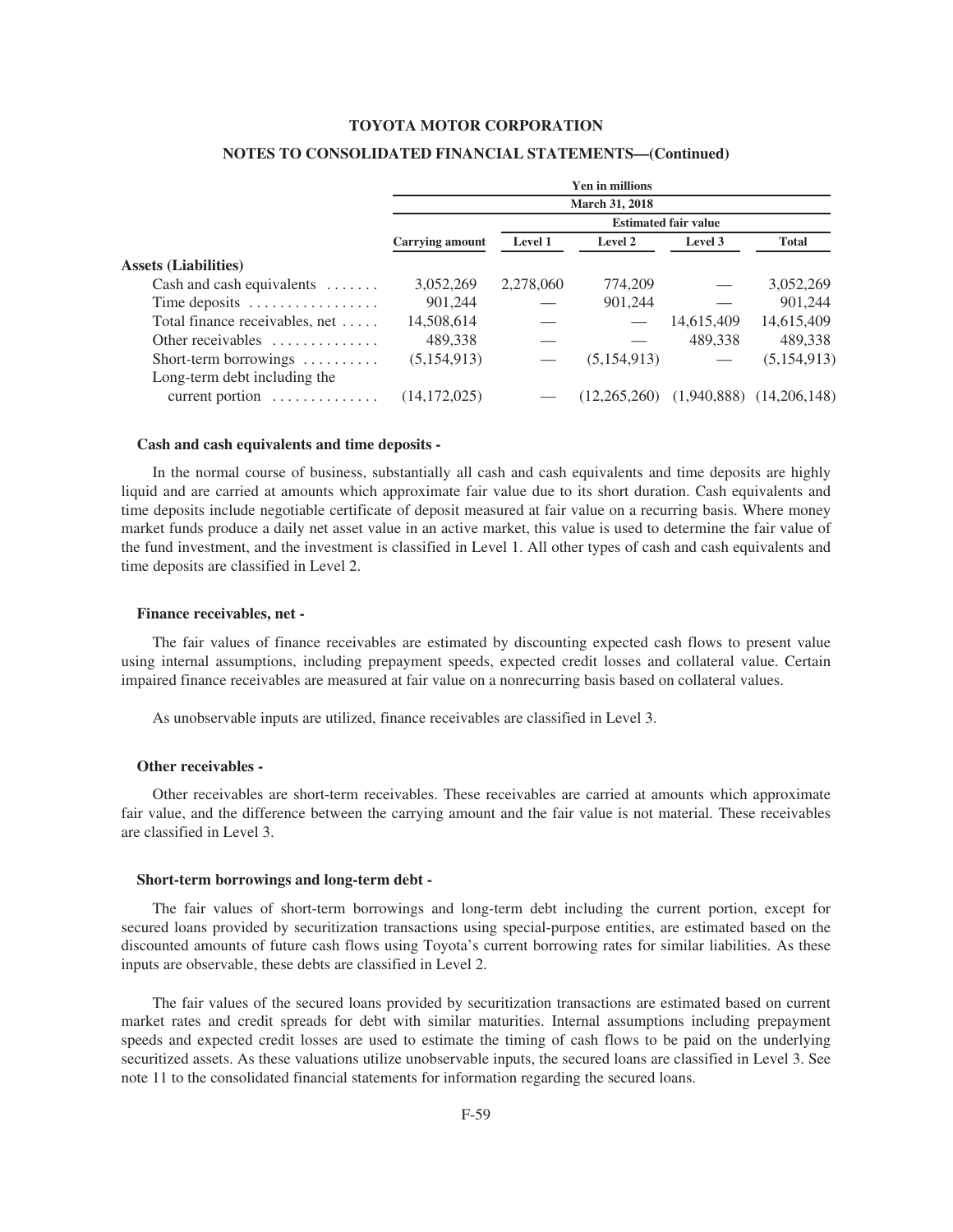| <b>Yen in millions</b>                          |                        |                |              |            |                              |  |  |
|-------------------------------------------------|------------------------|----------------|--------------|------------|------------------------------|--|--|
|                                                 | <b>March 31, 2018</b>  |                |              |            |                              |  |  |
|                                                 |                        |                |              |            |                              |  |  |
|                                                 | <b>Carrying amount</b> | <b>Level 1</b> | Level 2      | Level 3    | <b>Total</b>                 |  |  |
| <b>Assets (Liabilities)</b>                     |                        |                |              |            |                              |  |  |
| Cash and cash equivalents $\dots \dots$         | 3,052,269              | 2,278,060      | 774.209      |            | 3,052,269                    |  |  |
| Time deposits $\dots \dots \dots \dots \dots$   | 901,244                |                | 901,244      |            | 901,244                      |  |  |
| Total finance receivables, net                  | 14,508,614             |                |              | 14,615,409 | 14,615,409                   |  |  |
| Other receivables $\dots\dots\dots\dots\dots$   | 489,338                |                |              | 489,338    | 489,338                      |  |  |
| Short-term borrowings                           | (5,154,913)            |                | (5,154,913)  |            | (5, 154, 913)                |  |  |
| Long-term debt including the                    |                        |                |              |            |                              |  |  |
| $current$ portion $\ldots \ldots \ldots \ldots$ | (14, 172, 025)         |                | (12.265.260) |            | $(1,940,888)$ $(14,206,148)$ |  |  |

### **NOTES TO CONSOLIDATED FINANCIAL STATEMENTS—(Continued)**

#### **Cash and cash equivalents and time deposits -**

In the normal course of business, substantially all cash and cash equivalents and time deposits are highly liquid and are carried at amounts which approximate fair value due to its short duration. Cash equivalents and time deposits include negotiable certificate of deposit measured at fair value on a recurring basis. Where money market funds produce a daily net asset value in an active market, this value is used to determine the fair value of the fund investment, and the investment is classified in Level 1. All other types of cash and cash equivalents and time deposits are classified in Level 2.

#### **Finance receivables, net -**

The fair values of finance receivables are estimated by discounting expected cash flows to present value using internal assumptions, including prepayment speeds, expected credit losses and collateral value. Certain impaired finance receivables are measured at fair value on a nonrecurring basis based on collateral values.

As unobservable inputs are utilized, finance receivables are classified in Level 3.

### **Other receivables -**

Other receivables are short-term receivables. These receivables are carried at amounts which approximate fair value, and the difference between the carrying amount and the fair value is not material. These receivables are classified in Level 3.

### **Short-term borrowings and long-term debt -**

The fair values of short-term borrowings and long-term debt including the current portion, except for secured loans provided by securitization transactions using special-purpose entities, are estimated based on the discounted amounts of future cash flows using Toyota's current borrowing rates for similar liabilities. As these inputs are observable, these debts are classified in Level 2.

The fair values of the secured loans provided by securitization transactions are estimated based on current market rates and credit spreads for debt with similar maturities. Internal assumptions including prepayment speeds and expected credit losses are used to estimate the timing of cash flows to be paid on the underlying securitized assets. As these valuations utilize unobservable inputs, the secured loans are classified in Level 3. See note 11 to the consolidated financial statements for information regarding the secured loans.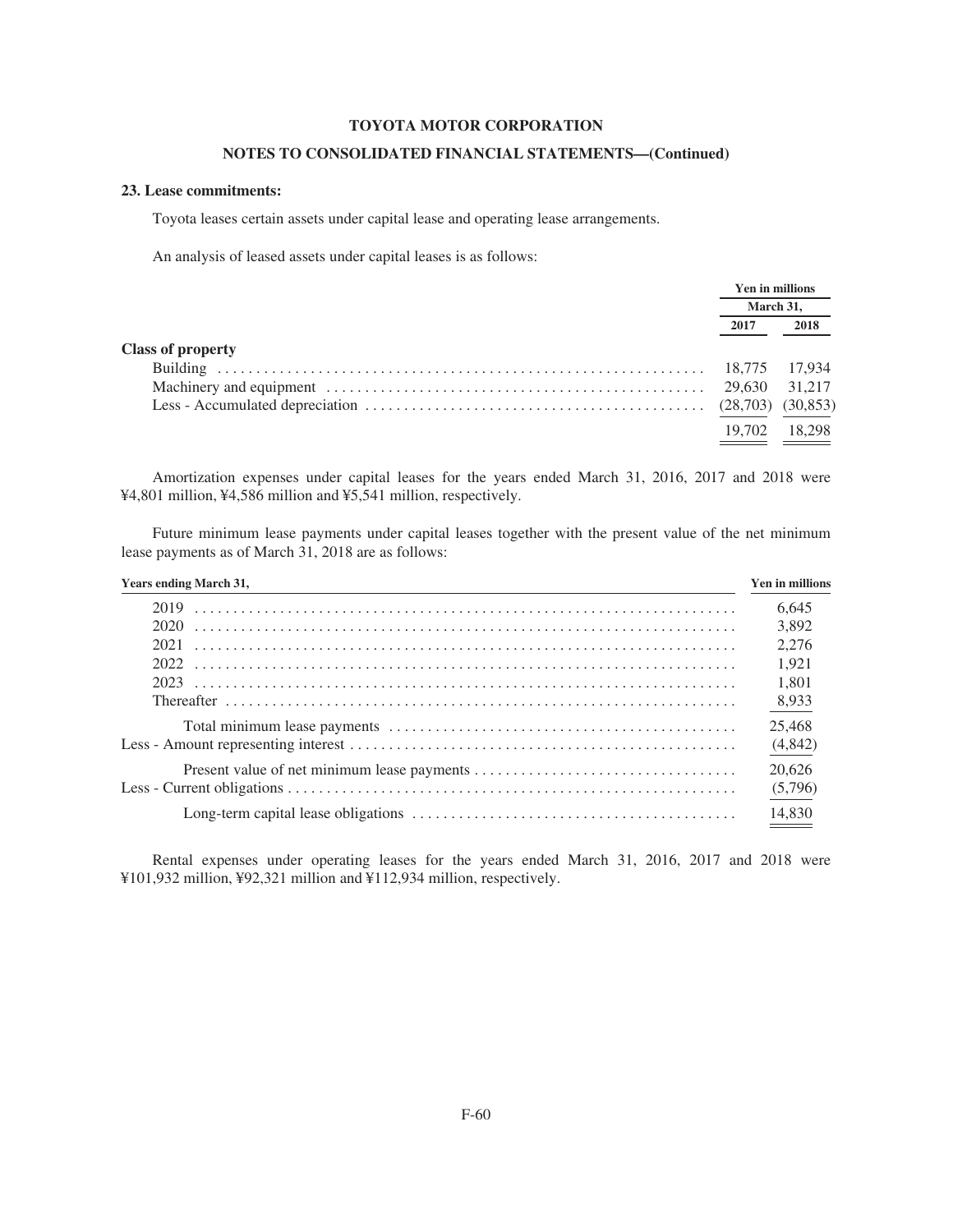## **NOTES TO CONSOLIDATED FINANCIAL STATEMENTS—(Continued)**

### **23. Lease commitments:**

Toyota leases certain assets under capital lease and operating lease arrangements.

An analysis of leased assets under capital leases is as follows:

|                          | Yen in millions<br>March 31, |           |
|--------------------------|------------------------------|-----------|
|                          |                              |           |
|                          | 2017                         | 2018      |
| <b>Class of property</b> |                              |           |
|                          | 18.775                       | 17.934    |
|                          | 29.630                       | 31.217    |
|                          | (28,703)                     | (30, 853) |
|                          | 19.702                       | 18.298    |

Amortization expenses under capital leases for the years ended March 31, 2016, 2017 and 2018 were ¥4,801 million, ¥4,586 million and ¥5,541 million, respectively.

Future minimum lease payments under capital leases together with the present value of the net minimum lease payments as of March 31, 2018 are as follows:

| <b>Years ending March 31,</b> | <b>Yen in millions</b> |
|-------------------------------|------------------------|
|                               | 6.645                  |
|                               | 3.892                  |
| 2021                          | 2.276                  |
|                               | 1.921                  |
|                               | 1.801                  |
|                               | 8,933                  |
|                               | 25,468                 |
|                               | (4,842)                |
|                               | 20,626                 |
|                               | (5,796)                |
|                               | 14,830                 |

Rental expenses under operating leases for the years ended March 31, 2016, 2017 and 2018 were ¥101,932 million, ¥92,321 million and ¥112,934 million, respectively.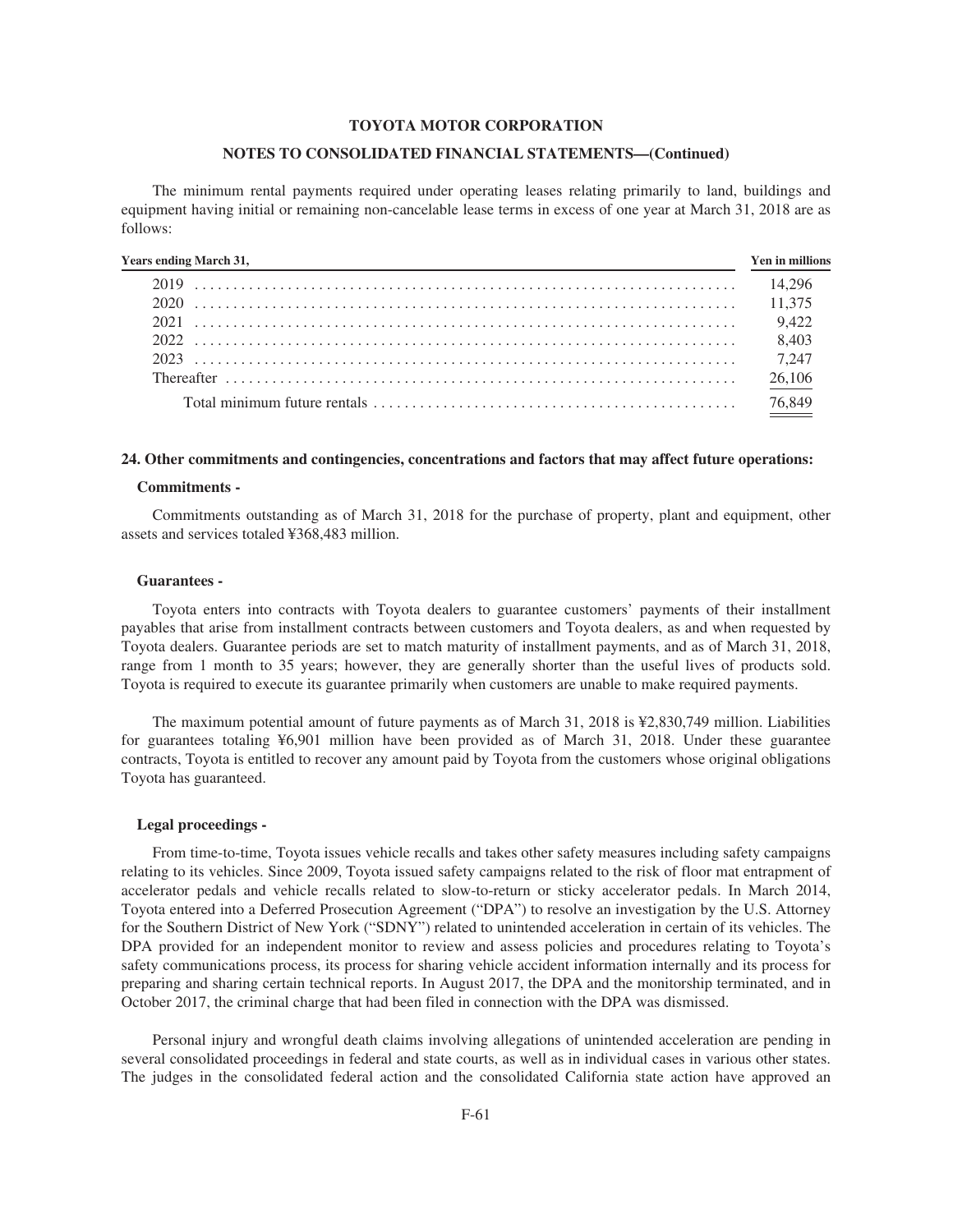### **NOTES TO CONSOLIDATED FINANCIAL STATEMENTS—(Continued)**

The minimum rental payments required under operating leases relating primarily to land, buildings and equipment having initial or remaining non-cancelable lease terms in excess of one year at March 31, 2018 are as follows:

| <b>Years ending March 31,</b><br>and the control of the control of the control of the control of the control of the control of the control of the | <b>Yen in millions</b> |
|---------------------------------------------------------------------------------------------------------------------------------------------------|------------------------|
|                                                                                                                                                   |                        |
|                                                                                                                                                   |                        |
|                                                                                                                                                   | 9,422                  |
|                                                                                                                                                   | 8.403                  |
|                                                                                                                                                   | 7.247                  |
|                                                                                                                                                   | 26,106                 |
|                                                                                                                                                   | 76,849                 |

#### **24. Other commitments and contingencies, concentrations and factors that may affect future operations:**

#### **Commitments -**

Commitments outstanding as of March 31, 2018 for the purchase of property, plant and equipment, other assets and services totaled ¥368,483 million.

#### **Guarantees -**

Toyota enters into contracts with Toyota dealers to guarantee customers' payments of their installment payables that arise from installment contracts between customers and Toyota dealers, as and when requested by Toyota dealers. Guarantee periods are set to match maturity of installment payments, and as of March 31, 2018, range from 1 month to 35 years; however, they are generally shorter than the useful lives of products sold. Toyota is required to execute its guarantee primarily when customers are unable to make required payments.

The maximum potential amount of future payments as of March 31, 2018 is ¥2,830,749 million. Liabilities for guarantees totaling ¥6,901 million have been provided as of March 31, 2018. Under these guarantee contracts, Toyota is entitled to recover any amount paid by Toyota from the customers whose original obligations Toyota has guaranteed.

#### **Legal proceedings -**

From time-to-time, Toyota issues vehicle recalls and takes other safety measures including safety campaigns relating to its vehicles. Since 2009, Toyota issued safety campaigns related to the risk of floor mat entrapment of accelerator pedals and vehicle recalls related to slow-to-return or sticky accelerator pedals. In March 2014, Toyota entered into a Deferred Prosecution Agreement ("DPA") to resolve an investigation by the U.S. Attorney for the Southern District of New York ("SDNY") related to unintended acceleration in certain of its vehicles. The DPA provided for an independent monitor to review and assess policies and procedures relating to Toyota's safety communications process, its process for sharing vehicle accident information internally and its process for preparing and sharing certain technical reports. In August 2017, the DPA and the monitorship terminated, and in October 2017, the criminal charge that had been filed in connection with the DPA was dismissed.

Personal injury and wrongful death claims involving allegations of unintended acceleration are pending in several consolidated proceedings in federal and state courts, as well as in individual cases in various other states. The judges in the consolidated federal action and the consolidated California state action have approved an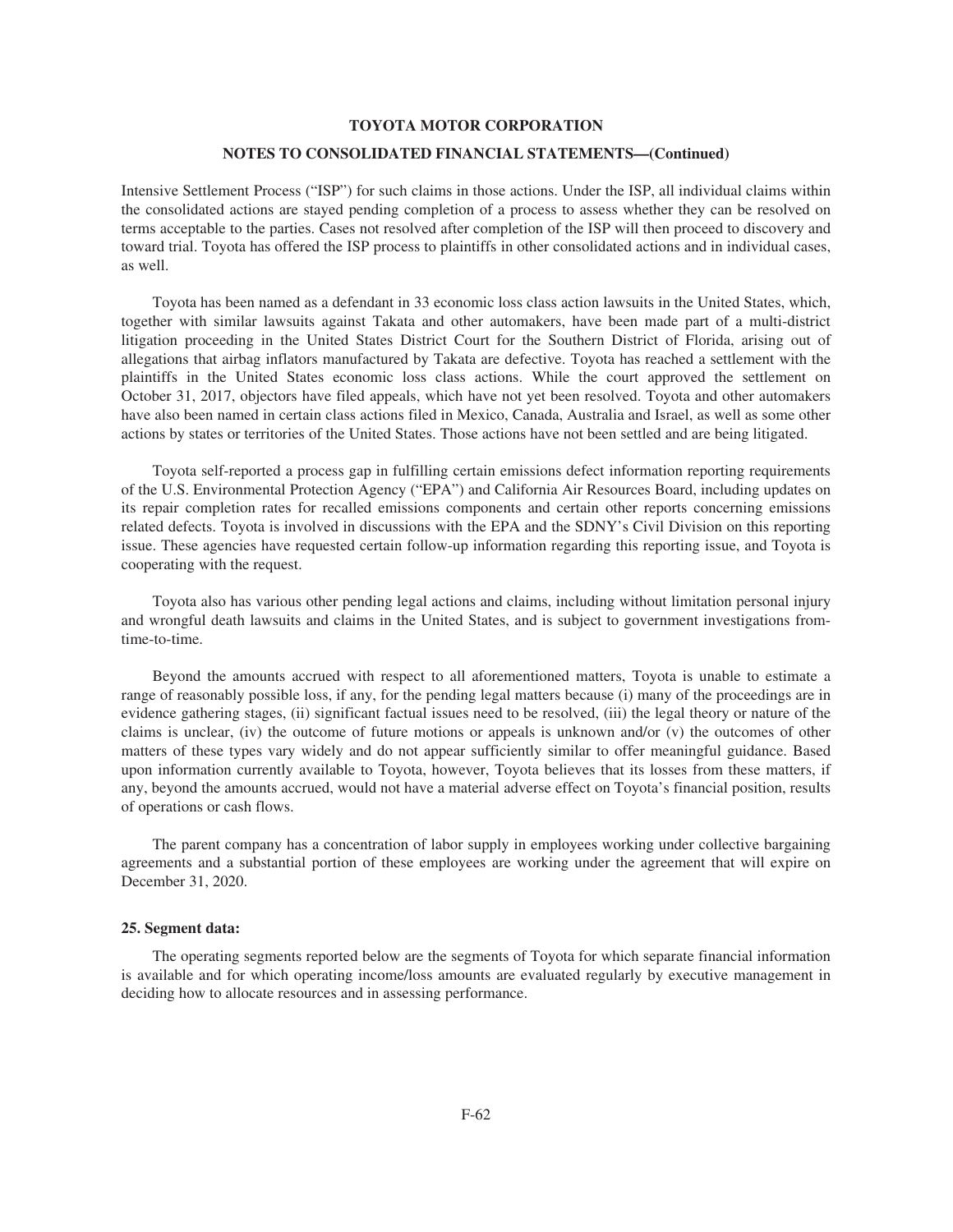### **NOTES TO CONSOLIDATED FINANCIAL STATEMENTS—(Continued)**

Intensive Settlement Process ("ISP") for such claims in those actions. Under the ISP, all individual claims within the consolidated actions are stayed pending completion of a process to assess whether they can be resolved on terms acceptable to the parties. Cases not resolved after completion of the ISP will then proceed to discovery and toward trial. Toyota has offered the ISP process to plaintiffs in other consolidated actions and in individual cases, as well.

Toyota has been named as a defendant in 33 economic loss class action lawsuits in the United States, which, together with similar lawsuits against Takata and other automakers, have been made part of a multi-district litigation proceeding in the United States District Court for the Southern District of Florida, arising out of allegations that airbag inflators manufactured by Takata are defective. Toyota has reached a settlement with the plaintiffs in the United States economic loss class actions. While the court approved the settlement on October 31, 2017, objectors have filed appeals, which have not yet been resolved. Toyota and other automakers have also been named in certain class actions filed in Mexico, Canada, Australia and Israel, as well as some other actions by states or territories of the United States. Those actions have not been settled and are being litigated.

Toyota self-reported a process gap in fulfilling certain emissions defect information reporting requirements of the U.S. Environmental Protection Agency ("EPA") and California Air Resources Board, including updates on its repair completion rates for recalled emissions components and certain other reports concerning emissions related defects. Toyota is involved in discussions with the EPA and the SDNY's Civil Division on this reporting issue. These agencies have requested certain follow-up information regarding this reporting issue, and Toyota is cooperating with the request.

Toyota also has various other pending legal actions and claims, including without limitation personal injury and wrongful death lawsuits and claims in the United States, and is subject to government investigations fromtime-to-time.

Beyond the amounts accrued with respect to all aforementioned matters, Toyota is unable to estimate a range of reasonably possible loss, if any, for the pending legal matters because (i) many of the proceedings are in evidence gathering stages, (ii) significant factual issues need to be resolved, (iii) the legal theory or nature of the claims is unclear, (iv) the outcome of future motions or appeals is unknown and/or (v) the outcomes of other matters of these types vary widely and do not appear sufficiently similar to offer meaningful guidance. Based upon information currently available to Toyota, however, Toyota believes that its losses from these matters, if any, beyond the amounts accrued, would not have a material adverse effect on Toyota's financial position, results of operations or cash flows.

The parent company has a concentration of labor supply in employees working under collective bargaining agreements and a substantial portion of these employees are working under the agreement that will expire on December 31, 2020.

### **25. Segment data:**

The operating segments reported below are the segments of Toyota for which separate financial information is available and for which operating income/loss amounts are evaluated regularly by executive management in deciding how to allocate resources and in assessing performance.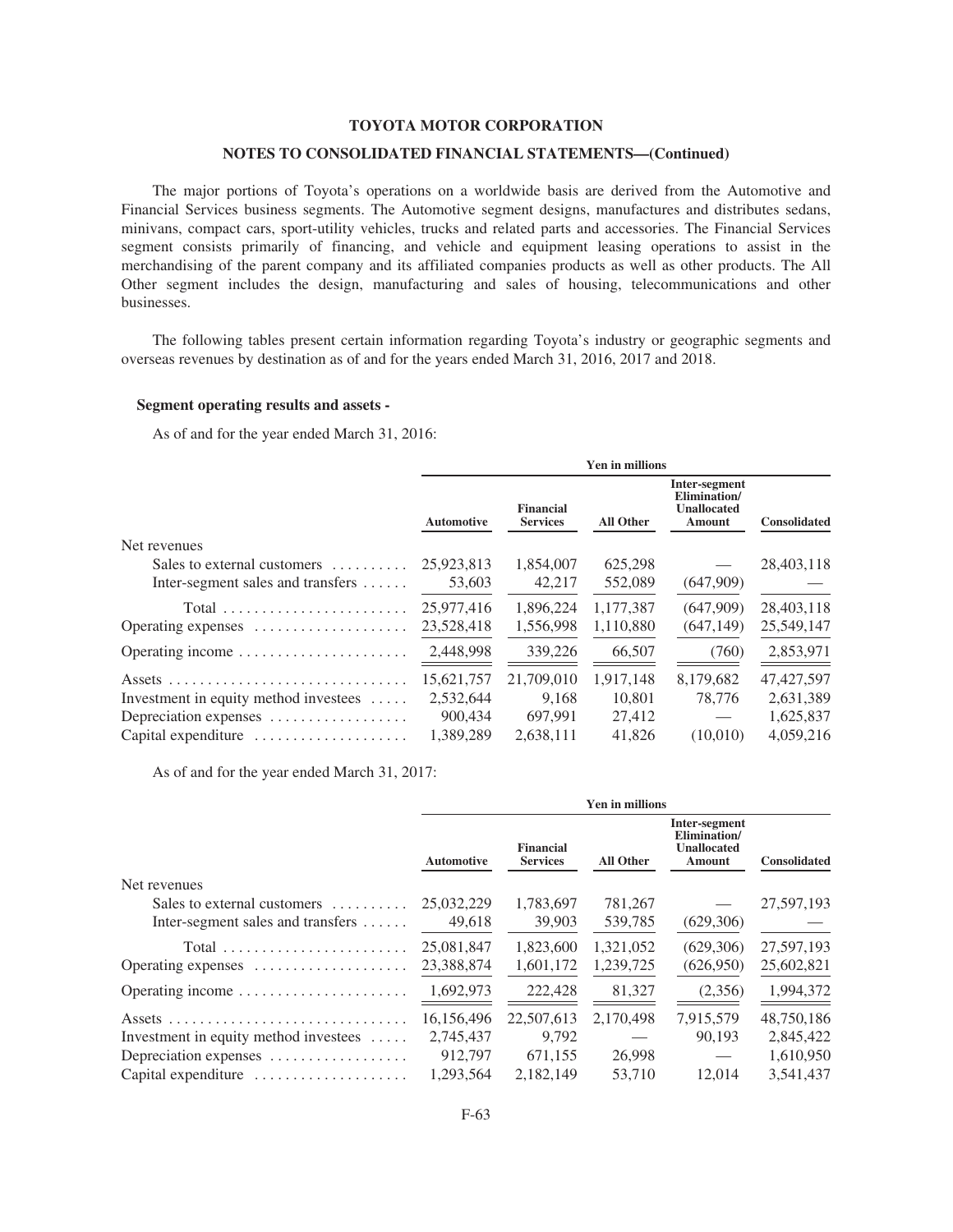### **NOTES TO CONSOLIDATED FINANCIAL STATEMENTS—(Continued)**

The major portions of Toyota's operations on a worldwide basis are derived from the Automotive and Financial Services business segments. The Automotive segment designs, manufactures and distributes sedans, minivans, compact cars, sport-utility vehicles, trucks and related parts and accessories. The Financial Services segment consists primarily of financing, and vehicle and equipment leasing operations to assist in the merchandising of the parent company and its affiliated companies products as well as other products. The All Other segment includes the design, manufacturing and sales of housing, telecommunications and other businesses.

The following tables present certain information regarding Toyota's industry or geographic segments and overseas revenues by destination as of and for the years ended March 31, 2016, 2017 and 2018.

### **Segment operating results and assets -**

As of and for the year ended March 31, 2016:

|                                                             | Yen in millions   |                                     |                  |                                                               |                     |  |
|-------------------------------------------------------------|-------------------|-------------------------------------|------------------|---------------------------------------------------------------|---------------------|--|
|                                                             | <b>Automotive</b> | <b>Financial</b><br><b>Services</b> | <b>All Other</b> | Inter-segment<br>Elimination/<br><b>Unallocated</b><br>Amount | <b>Consolidated</b> |  |
| Net revenues                                                |                   |                                     |                  |                                                               |                     |  |
| Sales to external customers $\dots\dots\dots$               | 25,923,813        | 1,854,007                           | 625,298          |                                                               | 28,403,118          |  |
| Inter-segment sales and transfers $\dots$ .                 | 53,603            | 42,217                              | 552,089          | (647,909)                                                     |                     |  |
| $Total$                                                     | 25,977,416        | 1,896,224                           | 1,177,387        | (647,909)                                                     | 28,403,118          |  |
| Operating expenses                                          | 23,528,418        | 1,556,998                           | 1,110,880        | (647, 149)                                                    | 25,549,147          |  |
| Operating income $\dots\dots\dots\dots\dots\dots\dots\dots$ | 2,448,998         | 339,226                             | 66,507           | (760)                                                         | 2,853,971           |  |
|                                                             | 15,621,757        | 21,709,010                          | 1.917.148        | 8,179,682                                                     | 47, 427, 597        |  |
| Investment in equity method investees $\dots$               | 2,532,644         | 9.168                               | 10,801           | 78,776                                                        | 2,631,389           |  |
| Depreciation expenses                                       | 900,434           | 697.991                             | 27,412           |                                                               | 1,625,837           |  |
| Capital expenditure                                         | 1,389,289         | 2,638,111                           | 41,826           | (10,010)                                                      | 4,059,216           |  |

As of and for the year ended March 31, 2017:

|                                               | <b>Yen in millions</b> |                                     |                  |                                                               |                     |  |
|-----------------------------------------------|------------------------|-------------------------------------|------------------|---------------------------------------------------------------|---------------------|--|
|                                               | <b>Automotive</b>      | <b>Financial</b><br><b>Services</b> | <b>All Other</b> | Inter-segment<br>Elimination/<br><b>Unallocated</b><br>Amount | <b>Consolidated</b> |  |
| Net revenues                                  |                        |                                     |                  |                                                               |                     |  |
| Sales to external customers $\dots\dots\dots$ | 25,032,229             | 1,783,697                           | 781,267          |                                                               | 27,597,193          |  |
| Inter-segment sales and transfers $\dots$     | 49,618                 | 39,903                              | 539,785          | (629, 306)                                                    |                     |  |
| Total                                         | 25,081,847             | 1,823,600                           | 1.321.052        | (629, 306)                                                    | 27,597,193          |  |
| Operating expenses                            | 23,388,874             | 1,601,172                           | 1,239,725        | (626,950)                                                     | 25,602,821          |  |
| Operating income                              | 1,692,973              | 222,428                             | 81,327           | (2,356)                                                       | 1,994,372           |  |
|                                               | 16.156.496             | 22,507,613                          | 2.170.498        | 7,915,579                                                     | 48,750,186          |  |
| Investment in equity method investees         | 2,745,437              | 9,792                               |                  | 90,193                                                        | 2,845,422           |  |
| Depreciation expenses                         | 912,797                | 671.155                             | 26,998           |                                                               | 1,610,950           |  |
| Capital expenditure                           | 1.293.564              | 2.182.149                           | 53,710           | 12.014                                                        | 3.541.437           |  |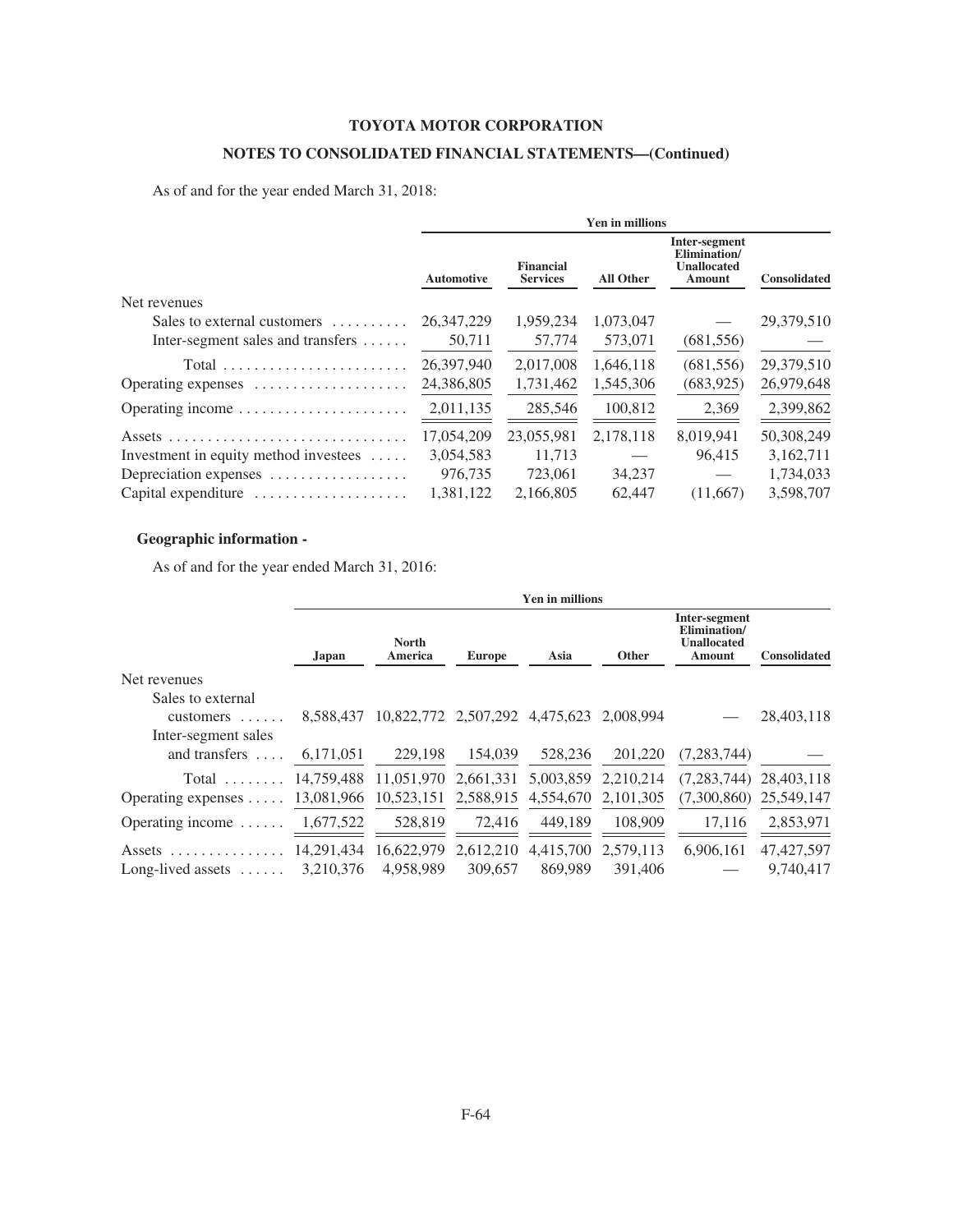## **NOTES TO CONSOLIDATED FINANCIAL STATEMENTS—(Continued)**

As of and for the year ended March 31, 2018:

|                                                        | Yen in millions   |                                     |                  |                                                               |                     |  |
|--------------------------------------------------------|-------------------|-------------------------------------|------------------|---------------------------------------------------------------|---------------------|--|
|                                                        | <b>Automotive</b> | <b>Financial</b><br><b>Services</b> | <b>All Other</b> | Inter-segment<br>Elimination/<br><b>Unallocated</b><br>Amount | <b>Consolidated</b> |  |
| Net revenues                                           |                   |                                     |                  |                                                               |                     |  |
| Sales to external customers $\dots\dots\dots$          | 26, 347, 229      | 1,959,234                           | 1,073,047        |                                                               | 29,379,510          |  |
| Inter-segment sales and transfers $\dots$              | 50,711            | 57,774                              | 573,071          | (681, 556)                                                    |                     |  |
|                                                        | 26,397,940        | 2,017,008                           | 1,646,118        | (681, 556)                                                    | 29,379,510          |  |
| Operating expenses                                     | 24,386,805        | 1,731,462                           | 1,545,306        | (683, 925)                                                    | 26,979,648          |  |
| Operating income $\dots \dots \dots \dots \dots \dots$ | 2,011,135         | 285,546                             | 100,812          | 2,369                                                         | 2,399,862           |  |
|                                                        | 17,054,209        | 23,055,981                          | 2.178.118        | 8,019,941                                                     | 50,308,249          |  |
| Investment in equity method investees                  | 3,054,583         | 11,713                              |                  | 96,415                                                        | 3,162,711           |  |
| Depreciation expenses $\dots\dots\dots\dots\dots\dots$ | 976.735           | 723,061                             | 34,237           |                                                               | 1,734,033           |  |
| Capital expenditure                                    | 1,381,122         | 2,166,805                           | 62,447           | (11,667)                                                      | 3,598,707           |  |
|                                                        |                   |                                     |                  |                                                               |                     |  |

## **Geographic information -**

As of and for the year ended March 31, 2016:

|                                                                             | Yen in millions |                                          |                      |                      |                      |                                                               |                           |
|-----------------------------------------------------------------------------|-----------------|------------------------------------------|----------------------|----------------------|----------------------|---------------------------------------------------------------|---------------------------|
|                                                                             | Japan           | <b>North</b><br>America                  | <b>Europe</b>        | Asia                 | <b>Other</b>         | Inter-segment<br>Elimination/<br><b>Unallocated</b><br>Amount | <b>Consolidated</b>       |
| Net revenues                                                                |                 |                                          |                      |                      |                      |                                                               |                           |
| Sales to external<br>$\text{customers } \dots \dots$<br>Inter-segment sales | 8.588.437       | 10,822,772 2,507,292 4,475,623 2,008,994 |                      |                      |                      |                                                               | 28,403,118                |
| and transfers $\dots$ 6,171,051                                             |                 | 229,198                                  | 154,039              | 528,236              | 201,220              | (7, 283, 744)                                                 |                           |
| Total  14,759,488 11,051,970 2,661,331 5,003,859 2,210,214                  |                 |                                          |                      |                      |                      | $(7.283.744)$ 28.403.118                                      |                           |
| Operating expenses  13,081,966 10,523,151 2,588,915 4,554,670 2,101,305     |                 |                                          |                      |                      |                      | (7,300,860)                                                   | 25,549,147                |
| Operating income $\dots \dots$ 1,677,522                                    |                 | 528.819                                  | 72,416               | 449.189              | 108,909              | 17.116                                                        | 2,853,971                 |
| Assets 14,291,434<br>Long-lived assets $\ldots$ . 3,210,376                 |                 | 16,622,979<br>4.958.989                  | 2,612,210<br>309,657 | 4,415,700<br>869,989 | 2,579,113<br>391,406 | 6,906,161                                                     | 47, 427, 597<br>9.740.417 |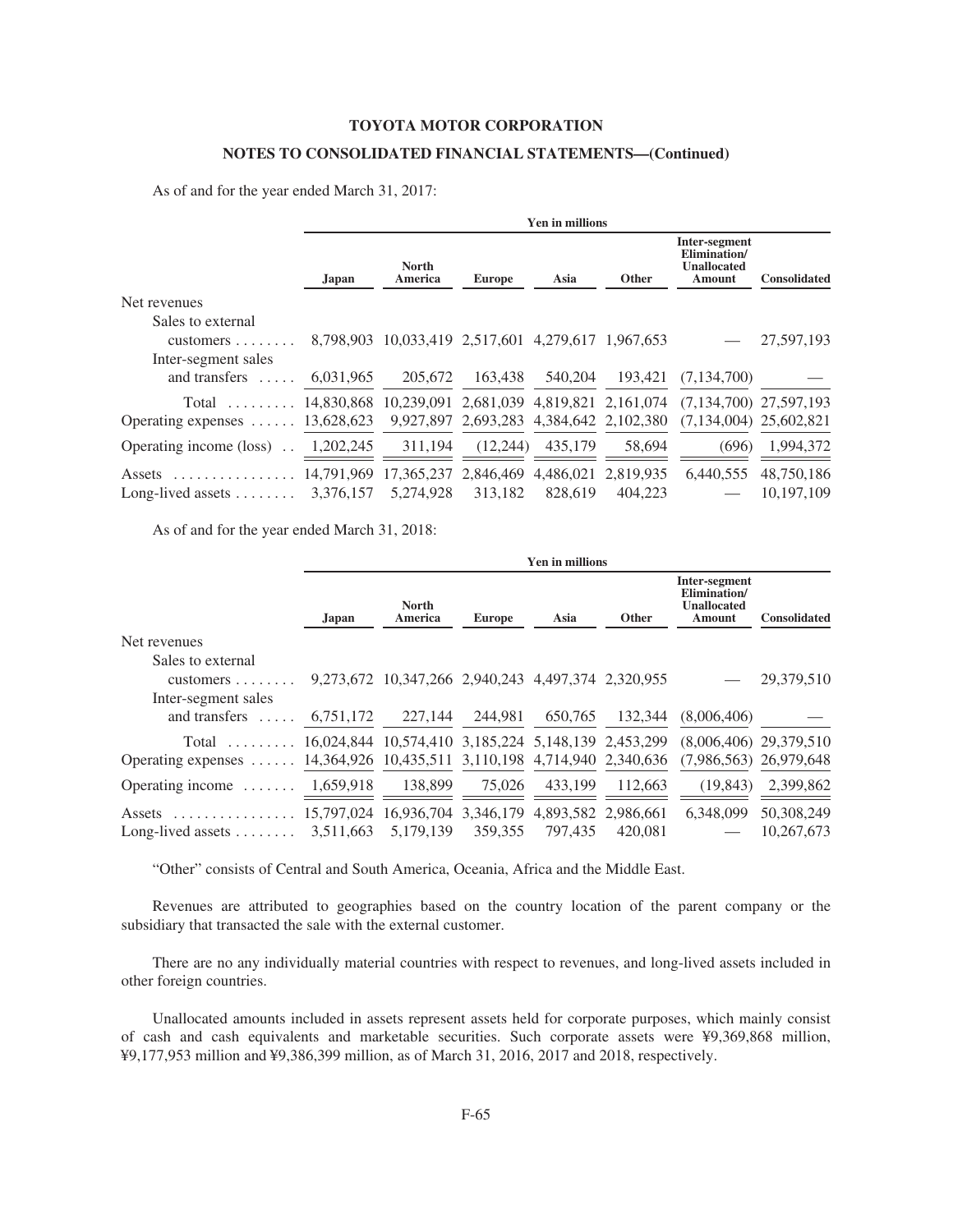### **NOTES TO CONSOLIDATED FINANCIAL STATEMENTS—(Continued)**

As of and for the year ended March 31, 2017:

| Japan                                                               | <b>North</b><br>America | <b>Europe</b>                                                                          | Asia    | Other    | Inter-segment<br>Elimination/<br><b>Unallocated</b><br>Amount                                                                                                           | <b>Consolidated</b>                                                                              |
|---------------------------------------------------------------------|-------------------------|----------------------------------------------------------------------------------------|---------|----------|-------------------------------------------------------------------------------------------------------------------------------------------------------------------------|--------------------------------------------------------------------------------------------------|
|                                                                     |                         |                                                                                        |         |          |                                                                                                                                                                         |                                                                                                  |
|                                                                     |                         |                                                                                        |         |          |                                                                                                                                                                         | 27,597,193                                                                                       |
| and transfers $\dots$ 6,031,965                                     | 205,672                 | 163.438                                                                                | 540,204 | 193,421  | (7,134,700)                                                                                                                                                             |                                                                                                  |
|                                                                     |                         |                                                                                        |         |          |                                                                                                                                                                         |                                                                                                  |
| Operating expenses $\dots \dots$ 13,628,623                         |                         |                                                                                        |         |          |                                                                                                                                                                         |                                                                                                  |
|                                                                     |                         |                                                                                        | 435,179 | 58.694   | (696)                                                                                                                                                                   | 1,994,372                                                                                        |
| $\overline{Assets}$<br>3.376.157<br>Long-lived assets $\dots \dots$ | 5.274.928               | 313.182                                                                                | 828,619 | 404,223  | 6,440,555                                                                                                                                                               | 48.750.186<br>10.197.109                                                                         |
|                                                                     |                         | Total $\ldots \ldots \ldots 14,830,868$<br>Operating income (loss) . 1,202,245 311,194 |         | (12,244) | Yen in millions<br>8,798,903 10,033,419 2,517,601 4,279,617 1,967,653<br>9,927,897 2,693,283 4,384,642 2,102,380<br>14,791,969 17,365,237 2,846,469 4,486,021 2,819,935 | 10,239,091 2,681,039 4,819,821 2,161,074<br>$(7.134.700)$ 27.597.193<br>$(7.134.004)$ 25.602.821 |

As of and for the year ended March 31, 2018:

|                                                                         |           |                                                    |               | Yen in millions |                     |                                                               |                     |
|-------------------------------------------------------------------------|-----------|----------------------------------------------------|---------------|-----------------|---------------------|---------------------------------------------------------------|---------------------|
|                                                                         | Japan     | <b>North</b><br>America                            | <b>Europe</b> | Asia            | <b>Other</b>        | Inter-segment<br>Elimination/<br><b>Unallocated</b><br>Amount | <b>Consolidated</b> |
| Net revenues                                                            |           |                                                    |               |                 |                     |                                                               |                     |
| Sales to external<br>customers $\ldots \ldots$                          |           | 9,273,672 10,347,266 2,940,243 4,497,374 2,320,955 |               |                 |                     |                                                               | 29,379,510          |
| Inter-segment sales<br>and transfers $\dots$ 6.751,172                  |           | 227,144                                            | 244.981       | 650.765         | 132,344             | (8,006,406)                                                   |                     |
| Total  16,024,844 10,574,410 3,185,224 5,148,139 2,453,299              |           |                                                    |               |                 |                     | $(8.006.406)$ 29.379.510                                      |                     |
| Operating expenses  14,364,926 10,435,511 3,110,198 4,714,940 2,340,636 |           |                                                    |               |                 |                     | $(7,986,563)$ 26,979,648                                      |                     |
| Operating income $\dots \dots$ 1,659,918                                |           | 138,899                                            | 75,026        | 433.199         | 112,663             | (19, 843)                                                     | 2,399,862           |
|                                                                         |           |                                                    |               |                 | 4,893,582 2,986,661 | 6,348,099                                                     | 50,308,249          |
| Long-lived assets $\dots$                                               | 3.511.663 | 5.179.139                                          | 359.355       | 797.435         | 420.081             |                                                               | 10.267.673          |

"Other" consists of Central and South America, Oceania, Africa and the Middle East.

Revenues are attributed to geographies based on the country location of the parent company or the subsidiary that transacted the sale with the external customer.

There are no any individually material countries with respect to revenues, and long-lived assets included in other foreign countries.

Unallocated amounts included in assets represent assets held for corporate purposes, which mainly consist of cash and cash equivalents and marketable securities. Such corporate assets were ¥9,369,868 million, ¥9,177,953 million and ¥9,386,399 million, as of March 31, 2016, 2017 and 2018, respectively.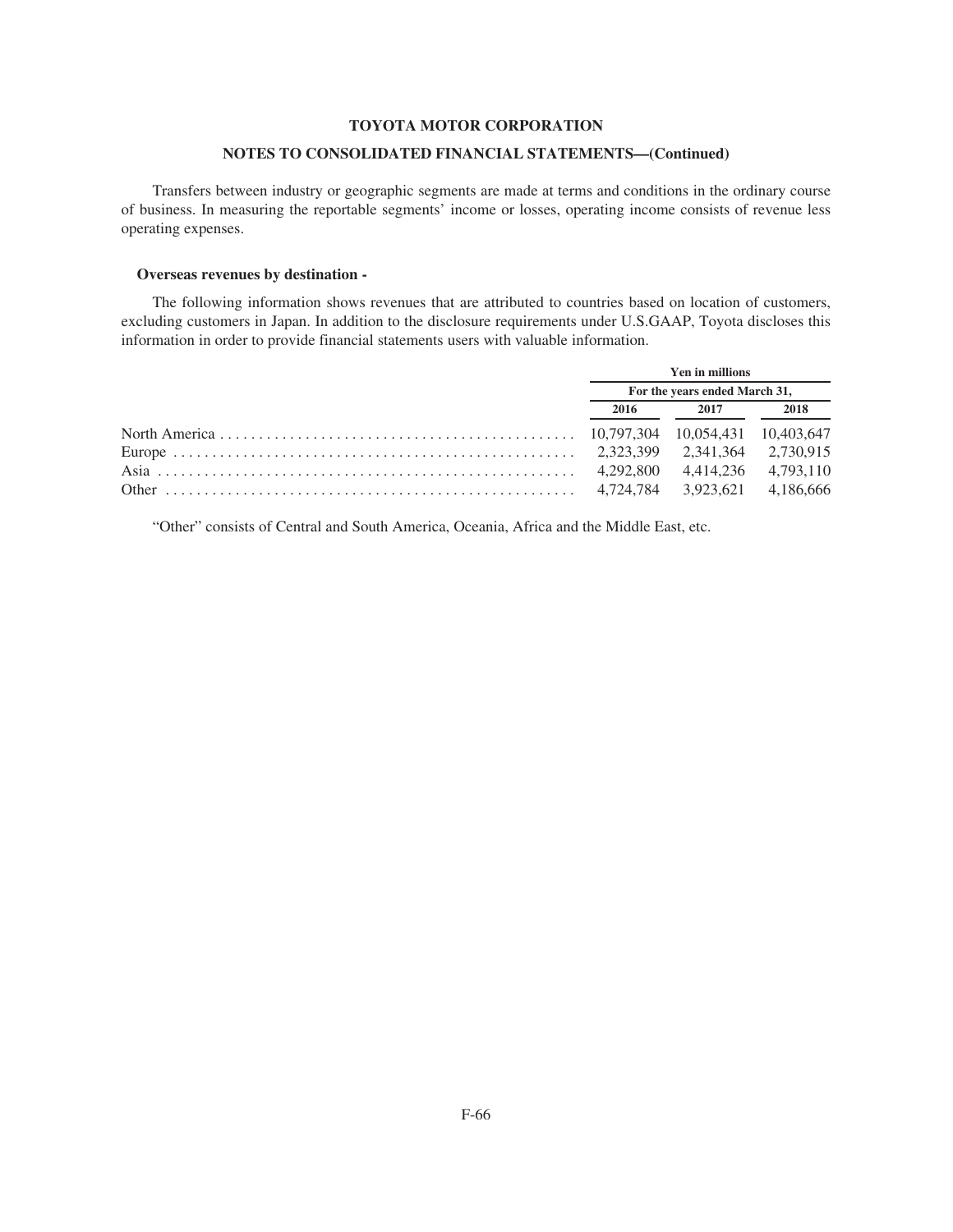## **NOTES TO CONSOLIDATED FINANCIAL STATEMENTS—(Continued)**

Transfers between industry or geographic segments are made at terms and conditions in the ordinary course of business. In measuring the reportable segments' income or losses, operating income consists of revenue less operating expenses.

### **Overseas revenues by destination -**

The following information shows revenues that are attributed to countries based on location of customers, excluding customers in Japan. In addition to the disclosure requirements under U.S.GAAP, Toyota discloses this information in order to provide financial statements users with valuable information.

|      | Yen in millions               |           |  |  |
|------|-------------------------------|-----------|--|--|
|      | For the years ended March 31, |           |  |  |
| 2016 | 2017                          | 2018      |  |  |
|      |                               |           |  |  |
|      |                               |           |  |  |
|      | 4.414.236                     | 4.793.110 |  |  |
|      |                               |           |  |  |

"Other" consists of Central and South America, Oceania, Africa and the Middle East, etc.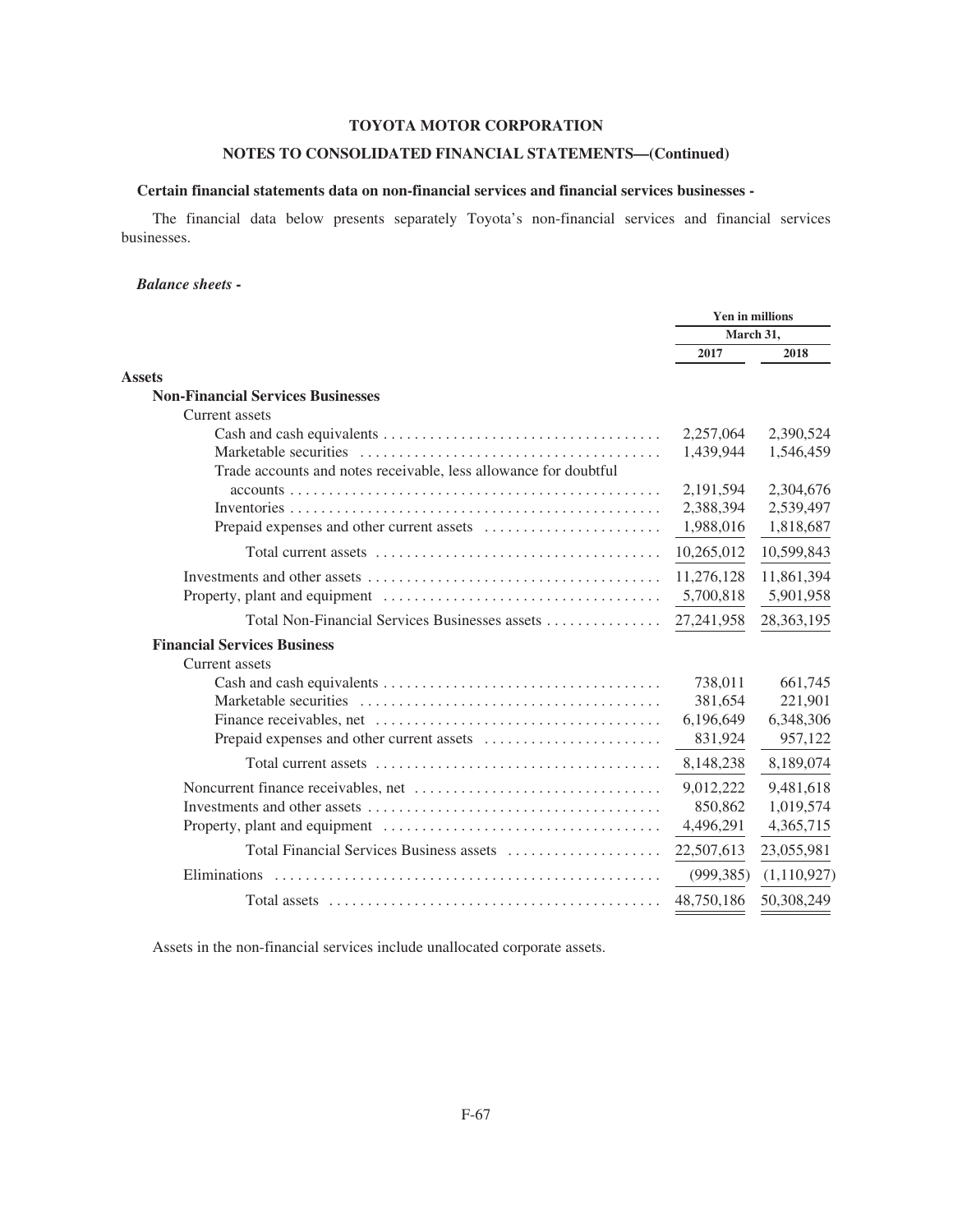## **NOTES TO CONSOLIDATED FINANCIAL STATEMENTS—(Continued)**

## **Certain financial statements data on non-financial services and financial services businesses -**

The financial data below presents separately Toyota's non-financial services and financial services businesses.

## *Balance sheets -*

|                                                                                                    | Yen in millions |             |
|----------------------------------------------------------------------------------------------------|-----------------|-------------|
|                                                                                                    | March 31,       |             |
|                                                                                                    | 2017            | 2018        |
| <b>Assets</b>                                                                                      |                 |             |
| <b>Non-Financial Services Businesses</b>                                                           |                 |             |
| <b>Current</b> assets                                                                              |                 |             |
|                                                                                                    | 2,257,064       | 2,390,524   |
|                                                                                                    | 1,439,944       | 1,546,459   |
| Trade accounts and notes receivable, less allowance for doubtful                                   |                 |             |
|                                                                                                    | 2,191,594       | 2,304,676   |
|                                                                                                    | 2,388,394       | 2,539,497   |
|                                                                                                    | 1,988,016       | 1,818,687   |
|                                                                                                    | 10,265,012      | 10,599,843  |
|                                                                                                    | 11,276,128      | 11,861,394  |
|                                                                                                    | 5,700,818       | 5,901,958   |
| Total Non-Financial Services Businesses assets                                                     | 27,241,958      | 28,363,195  |
| <b>Financial Services Business</b>                                                                 |                 |             |
| Current assets                                                                                     |                 |             |
|                                                                                                    | 738,011         | 661,745     |
|                                                                                                    | 381,654         | 221,901     |
|                                                                                                    | 6,196,649       | 6,348,306   |
|                                                                                                    | 831,924         | 957,122     |
|                                                                                                    | 8,148,238       | 8,189,074   |
|                                                                                                    | 9,012,222       | 9,481,618   |
|                                                                                                    | 850,862         | 1,019,574   |
|                                                                                                    | 4,496,291       | 4,365,715   |
| Total Financial Services Business assets                                                           | 22,507,613      | 23,055,981  |
|                                                                                                    | (999, 385)      | (1,110,927) |
| Total assets $\ldots \ldots \ldots \ldots \ldots \ldots \ldots \ldots \ldots \ldots \ldots \ldots$ | 48,750,186      | 50,308,249  |

Assets in the non-financial services include unallocated corporate assets.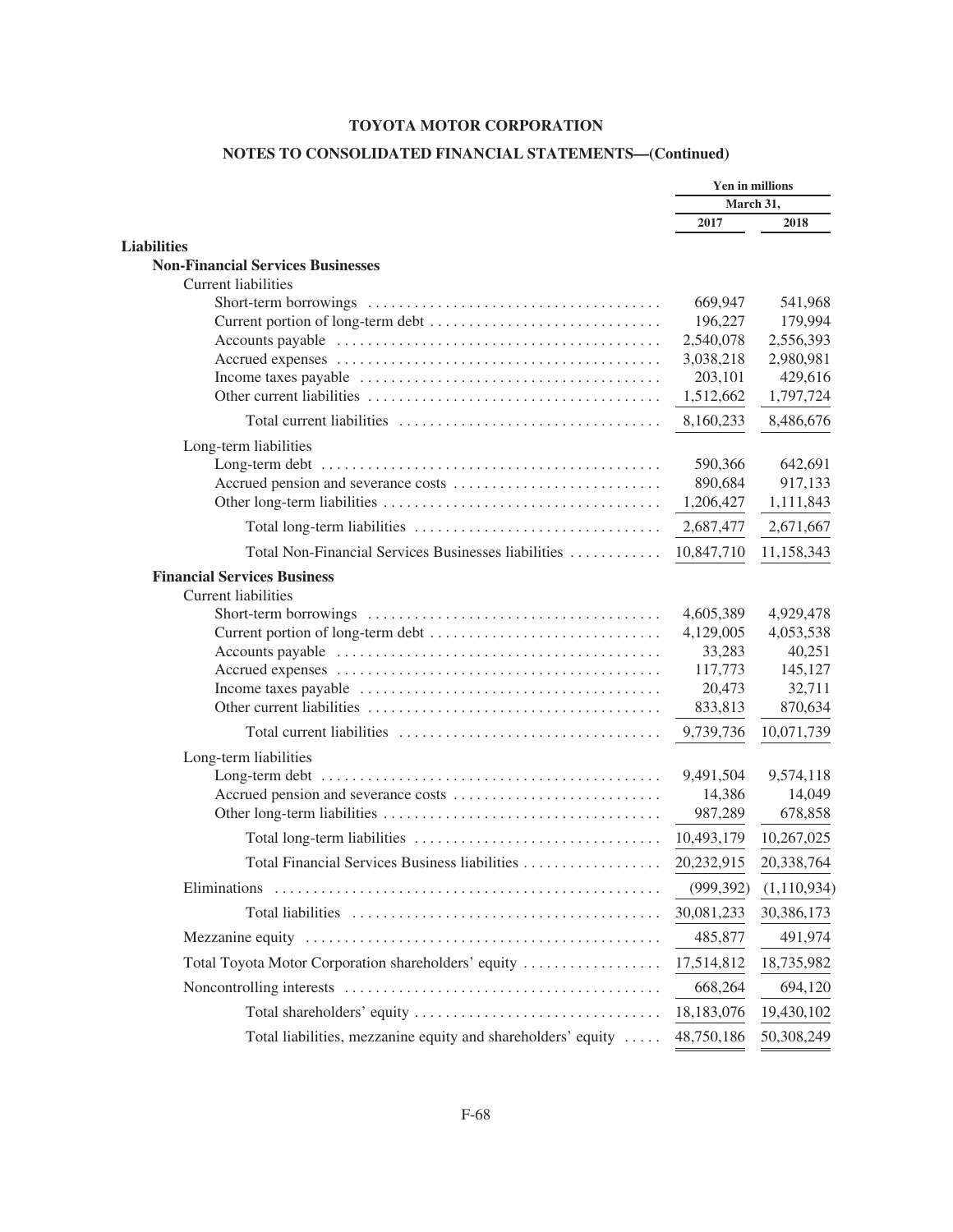## **NOTES TO CONSOLIDATED FINANCIAL STATEMENTS—(Continued)**

|                                                              | Yen in millions     |                      |
|--------------------------------------------------------------|---------------------|----------------------|
|                                                              | March 31,           |                      |
|                                                              | 2017                | 2018                 |
| <b>Liabilities</b>                                           |                     |                      |
| <b>Non-Financial Services Businesses</b>                     |                     |                      |
| <b>Current liabilities</b>                                   |                     |                      |
|                                                              | 669,947<br>196,227  | 541,968              |
|                                                              | 2,540,078           | 179,994<br>2,556,393 |
|                                                              | 3,038,218           | 2,980,981            |
|                                                              | 203,101             | 429,616              |
|                                                              | 1,512,662           | 1,797,724            |
|                                                              | 8,160,233           | 8,486,676            |
| Long-term liabilities                                        |                     |                      |
|                                                              | 590,366             | 642,691              |
|                                                              | 890,684             | 917,133              |
|                                                              | 1,206,427           | 1,111,843            |
|                                                              | 2,687,477           | 2,671,667            |
| Total Non-Financial Services Businesses liabilities          | 10,847,710          | 11,158,343           |
| <b>Financial Services Business</b>                           |                     |                      |
| <b>Current liabilities</b>                                   |                     |                      |
|                                                              | 4,605,389           | 4,929,478            |
|                                                              | 4,129,005<br>33,283 | 4,053,538<br>40,251  |
|                                                              | 117,773             | 145,127              |
|                                                              | 20,473              | 32,711               |
|                                                              | 833,813             | 870,634              |
|                                                              | 9,739,736           | 10,071,739           |
| Long-term liabilities                                        |                     |                      |
|                                                              | 9,491,504           | 9,574,118            |
|                                                              | 14,386              | 14,049               |
|                                                              | 987,289             | 678,858              |
|                                                              | 10,493,179          | 10,267,025           |
| Total Financial Services Business liabilities                | 20,232,915          | 20,338,764           |
|                                                              | (999, 392)          | (1,110,934)          |
|                                                              | 30,081,233          | 30,386,173           |
|                                                              | 485,877             | 491,974              |
| Total Toyota Motor Corporation shareholders' equity          | 17,514,812          | 18,735,982           |
|                                                              | 668,264             | 694,120              |
|                                                              | 18,183,076          | 19,430,102           |
| Total liabilities, mezzanine equity and shareholders' equity | 48,750,186          | 50,308,249           |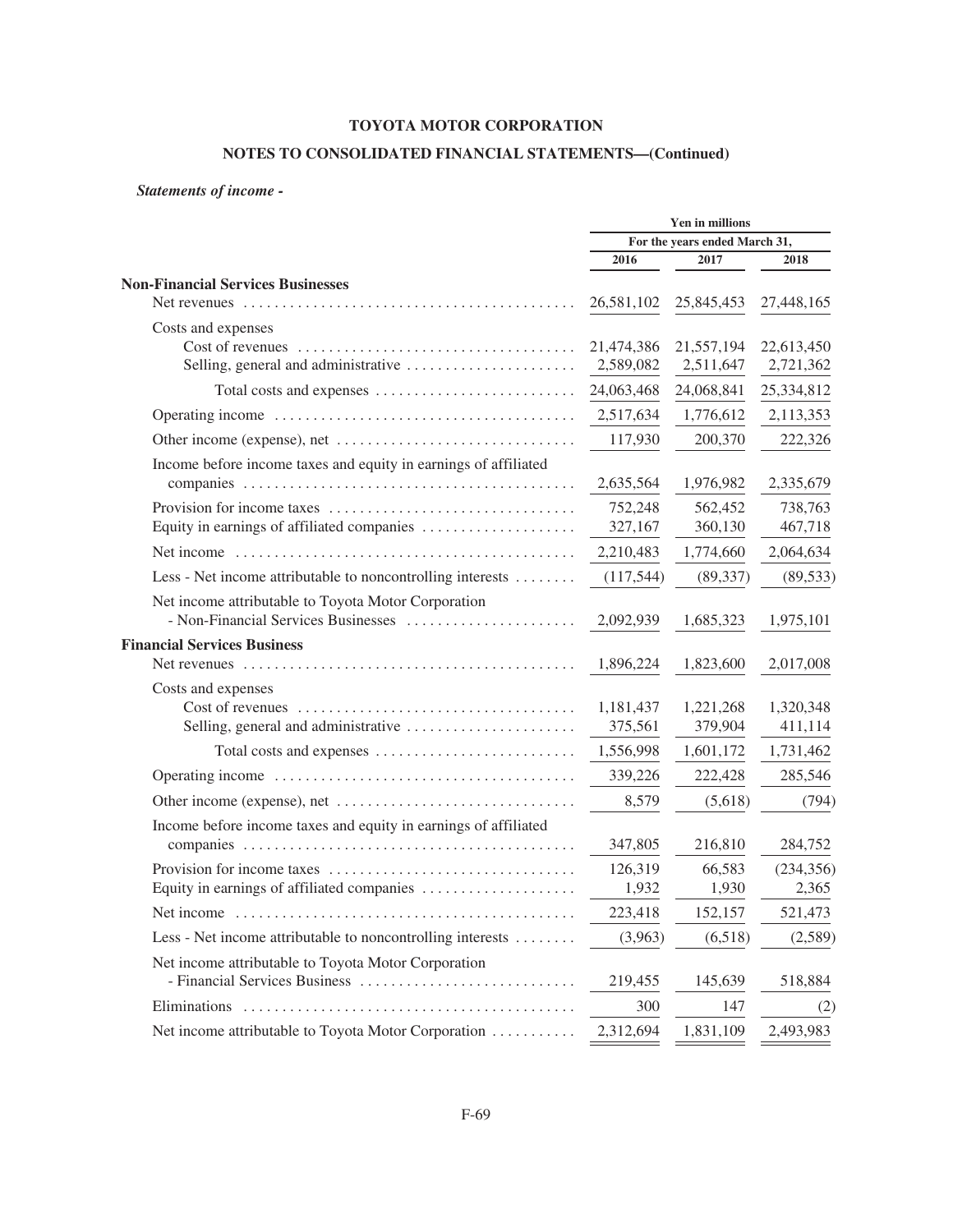# **NOTES TO CONSOLIDATED FINANCIAL STATEMENTS—(Continued)**

## *Statements of income -*

|                                                                                            | <b>Yen in millions</b> |                               |            |  |
|--------------------------------------------------------------------------------------------|------------------------|-------------------------------|------------|--|
|                                                                                            |                        | For the years ended March 31, |            |  |
|                                                                                            | 2016                   | 2017                          | 2018       |  |
| <b>Non-Financial Services Businesses</b>                                                   |                        |                               |            |  |
|                                                                                            | 26,581,102             | 25,845,453                    | 27,448,165 |  |
| Costs and expenses                                                                         |                        |                               |            |  |
|                                                                                            | 21,474,386             | 21,557,194                    | 22,613,450 |  |
| Selling, general and administrative                                                        | 2,589,082              | 2,511,647                     | 2,721,362  |  |
| Total costs and expenses                                                                   | 24,063,468             | 24,068,841                    | 25,334,812 |  |
|                                                                                            | 2,517,634              | 1,776,612                     | 2,113,353  |  |
|                                                                                            | 117,930                | 200,370                       | 222,326    |  |
| Income before income taxes and equity in earnings of affiliated                            |                        |                               |            |  |
|                                                                                            | 2,635,564              | 1,976,982                     | 2,335,679  |  |
|                                                                                            | 752,248                | 562,452                       | 738,763    |  |
| Equity in earnings of affiliated companies                                                 | 327,167                | 360,130                       | 467,718    |  |
|                                                                                            | 2,210,483              | 1,774,660                     | 2,064,634  |  |
| Less - Net income attributable to noncontrolling interests                                 | (117,544)              | (89, 337)                     | (89, 533)  |  |
| Net income attributable to Toyota Motor Corporation<br>- Non-Financial Services Businesses | 2,092,939              | 1,685,323                     | 1,975,101  |  |
| <b>Financial Services Business</b>                                                         |                        |                               |            |  |
|                                                                                            | 1,896,224              | 1,823,600                     | 2,017,008  |  |
| Costs and expenses                                                                         |                        |                               |            |  |
|                                                                                            | 1,181,437              | 1,221,268                     | 1,320,348  |  |
|                                                                                            | 375,561                | 379,904                       | 411,114    |  |
|                                                                                            | 1,556,998              | 1,601,172                     | 1,731,462  |  |
|                                                                                            | 339,226                | 222,428                       | 285,546    |  |
|                                                                                            | 8,579                  | (5,618)                       | (794)      |  |
| Income before income taxes and equity in earnings of affiliated                            |                        |                               |            |  |
|                                                                                            | 347,805                | 216,810                       | 284,752    |  |
|                                                                                            | 126,319                | 66,583                        | (234, 356) |  |
|                                                                                            | 1,932                  | 1,930                         | 2,365      |  |
| Net income                                                                                 | 223,418                | 152,157                       | 521,473    |  |
| Less - Net income attributable to noncontrolling interests                                 | (3.963)                | (6,518)                       | (2,589)    |  |
| Net income attributable to Toyota Motor Corporation                                        |                        |                               |            |  |
| - Financial Services Business                                                              | 219,455                | 145,639                       | 518,884    |  |
|                                                                                            | 300                    | 147                           | (2)        |  |
| Net income attributable to Toyota Motor Corporation                                        | 2,312,694              | 1,831,109                     | 2,493,983  |  |
|                                                                                            |                        |                               |            |  |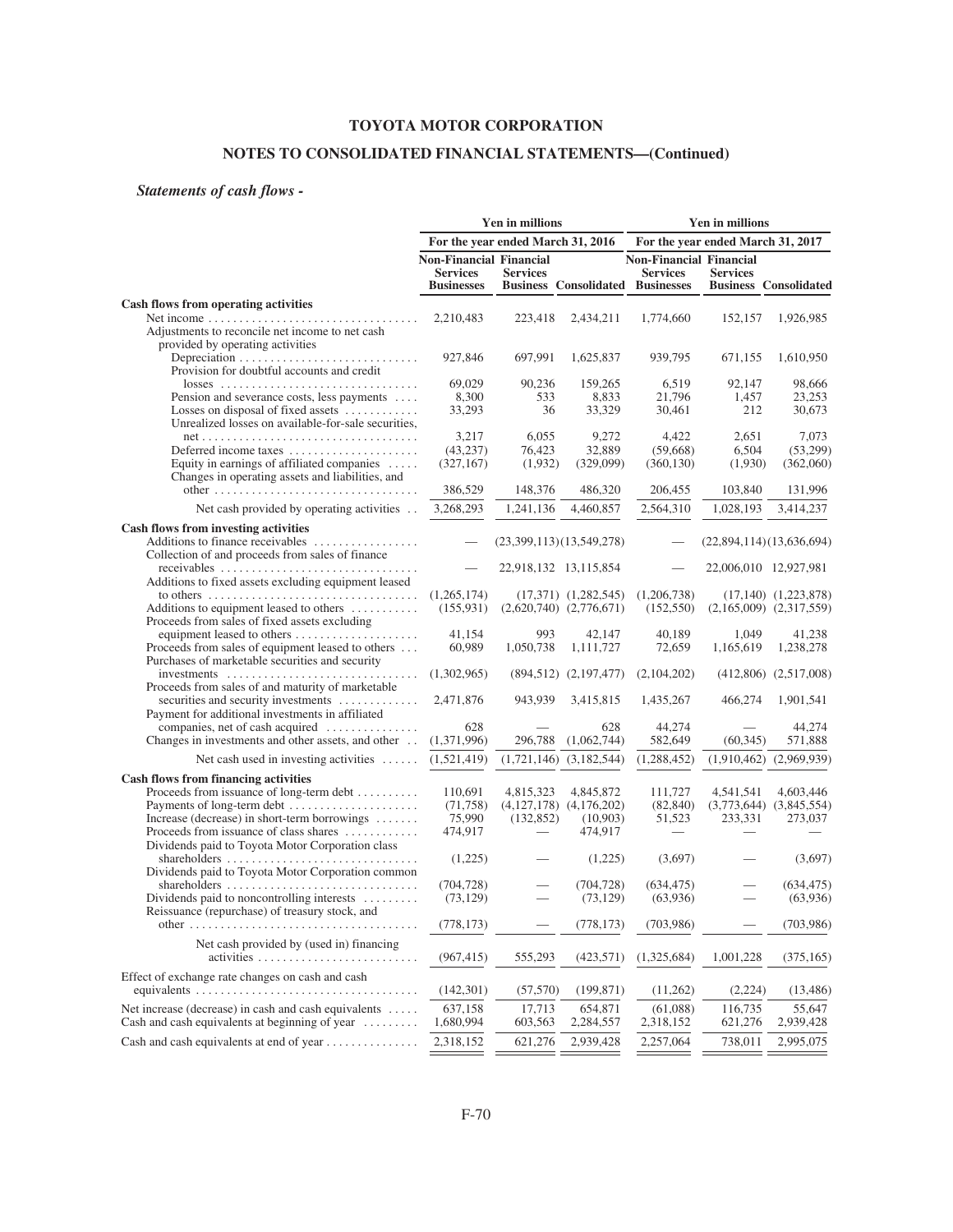# **NOTES TO CONSOLIDATED FINANCIAL STATEMENTS—(Continued)**

# *Statements of cash flows -*

| For the year ended March 31, 2017<br>For the year ended March 31, 2016<br><b>Non-Financial Financial</b><br><b>Non-Financial Financial</b><br><b>Services</b><br><b>Services</b><br><b>Services</b><br><b>Services</b><br><b>Business Consolidated Businesses</b><br><b>Business</b> Consolidated<br><b>Businesses</b><br><b>Cash flows from operating activities</b><br>2,210,483<br>223,418<br>2,434,211<br>1,774,660<br>152,157<br>1,926,985<br>Adjustments to reconcile net income to net cash<br>provided by operating activities<br>697,991<br>939,795<br>1,610,950<br>927,846<br>1,625,837<br>671,155<br>Provision for doubtful accounts and credit<br>69,029<br>90,236<br>159,265<br>6,519<br>98,666<br>92,147<br>21,796<br>23,253<br>8,300<br>533<br>8,833<br>1,457<br>Pension and severance costs, less payments<br>33,293<br>Losses on disposal of fixed assets<br>36<br>33,329<br>30,461<br>212<br>30,673<br>Unrealized losses on available-for-sale securities,<br>3,217<br>6,055<br>9,272<br>4,422<br>2,651<br>7,073<br>76,423<br>32,889<br>6,504<br>(53,299)<br>(43, 237)<br>(59,668)<br>Deferred income taxes<br>Equity in earnings of affiliated companies<br>(329,099)<br>(360, 130)<br>(1,930)<br>(327, 167)<br>(1,932)<br>(362,060)<br>Changes in operating assets and liabilities, and<br>386,529<br>148,376<br>131,996<br>486,320<br>206,455<br>103,840<br>2,564,310<br>Net cash provided by operating activities<br>3,268,293<br>1,241,136<br>4,460,857<br>1,028,193<br>3,414,237<br>Additions to finance receivables<br>(23,399,113)(13,549,278)<br>(22,894,114)(13,636,694)<br>Collection of and proceeds from sales of finance<br>22,006,010 12,927,981<br>$receivables$<br>22,918,132 13,115,854<br>Additions to fixed assets excluding equipment leased<br>(1,265,174)<br>$(17,371)$ $(1,282,545)$<br>(1,206,738)<br>$(17,140)$ $(1,223,878)$<br>Additions to equipment leased to others<br>(155, 931)<br>$(2,620,740)$ $(2,776,671)$<br>(152, 550)<br>$(2,165,009)$ $(2,317,559)$<br>Proceeds from sales of fixed assets excluding<br>41,154<br>993<br>42,147<br>40,189<br>1,049<br>41,238<br>Proceeds from sales of equipment leased to others<br>60,989<br>1,050,738<br>72,659<br>1,165,619<br>1,111,727<br>1,238,278<br>Purchases of marketable securities and security<br>investments<br>(1,302,965)<br>$(894, 512)$ $(2, 197, 477)$<br>(2,104,202)<br>$(412,806)$ $(2,517,008)$<br>Proceeds from sales of and maturity of marketable<br>securities and security investments<br>2,471,876<br>3,415,815<br>1,435,267<br>1,901,541<br>943,939<br>466,274<br>Payment for additional investments in affiliated<br>628<br>44,274<br>44,274<br>companies, net of cash acquired<br>628<br>296,788<br>Changes in investments and other assets, and other<br>(1,371,996)<br>582,649<br>(60, 345)<br>(1,062,744)<br>571,888<br>$(1,721,146)$ $(3,182,544)$<br>(1,521,419)<br>(1,288,452)<br>$(1,910,462)$ $(2,969,939)$<br>Net cash used in investing activities $\dots$<br>Proceeds from issuance of long-term debt<br>4,603,446<br>110,691<br>4,815,323<br>4,845,872<br>111,727<br>4,541,541<br>$(4,127,178)$ $(4,176,202)$<br>(82, 840)<br>$(3,773,644)$ $(3,845,554)$<br>(71, 758)<br>75,990<br>Increase (decrease) in short-term borrowings $\dots\dots$<br>(132, 852)<br>(10,903)<br>51,523<br>233,331<br>273,037<br>Proceeds from issuance of class shares<br>474,917<br>474,917<br>Dividends paid to Toyota Motor Corporation class<br>shareholders $\dots\dots\dots\dots\dots\dots\dots\dots\dots\dots\dots\dots$<br>(1,225)<br>(1,225)<br>(3,697)<br>(3,697)<br>Dividends paid to Toyota Motor Corporation common<br>(704, 728)<br>(704, 728)<br>(634, 475)<br>shareholders $\dots \dots \dots \dots \dots \dots \dots \dots \dots \dots$<br>(634, 475)<br>Dividends paid to noncontrolling interests<br>(73, 129)<br>(73, 129)<br>(63,936)<br>(63,936)<br>Reissuance (repurchase) of treasury stock, and<br>(778, 173)<br>(778, 173)<br>(703,986)<br>(703, 986)<br>other $\dots\dots\dots\dots\dots\dots\dots$<br>Net cash provided by (used in) financing<br>555,293<br>(1,325,684)<br>1,001,228<br>(375, 165)<br>(967, 415)<br>(423, 571)<br>(142,301)<br>(199, 871)<br>(2,224)<br>(57, 570)<br>(11,262)<br>(13, 486)<br>Net increase (decrease) in cash and cash equivalents<br>637,158<br>17,713<br>(61,088)<br>55,647<br>654,871<br>116,735<br>Cash and cash equivalents at beginning of year $\dots\dots\dots$<br>1,680,994<br>603,563<br>2,284,557<br>2,318,152<br>621,276<br>2,939,428<br>Cash and cash equivalents at end of year $\dots\dots\dots\dots\dots$<br>2,318,152<br>621,276<br>2,939,428<br>2,257,064<br>2,995,075<br>738,011 |                                                  | <b>Yen in millions</b> | Yen in millions |  |  |  |
|------------------------------------------------------------------------------------------------------------------------------------------------------------------------------------------------------------------------------------------------------------------------------------------------------------------------------------------------------------------------------------------------------------------------------------------------------------------------------------------------------------------------------------------------------------------------------------------------------------------------------------------------------------------------------------------------------------------------------------------------------------------------------------------------------------------------------------------------------------------------------------------------------------------------------------------------------------------------------------------------------------------------------------------------------------------------------------------------------------------------------------------------------------------------------------------------------------------------------------------------------------------------------------------------------------------------------------------------------------------------------------------------------------------------------------------------------------------------------------------------------------------------------------------------------------------------------------------------------------------------------------------------------------------------------------------------------------------------------------------------------------------------------------------------------------------------------------------------------------------------------------------------------------------------------------------------------------------------------------------------------------------------------------------------------------------------------------------------------------------------------------------------------------------------------------------------------------------------------------------------------------------------------------------------------------------------------------------------------------------------------------------------------------------------------------------------------------------------------------------------------------------------------------------------------------------------------------------------------------------------------------------------------------------------------------------------------------------------------------------------------------------------------------------------------------------------------------------------------------------------------------------------------------------------------------------------------------------------------------------------------------------------------------------------------------------------------------------------------------------------------------------------------------------------------------------------------------------------------------------------------------------------------------------------------------------------------------------------------------------------------------------------------------------------------------------------------------------------------------------------------------------------------------------------------------------------------------------------------------------------------------------------------------------------------------------------------------------------------------------------------------------------------------------------------------------------------------------------------------------------------------------------------------------------------------------------------------------------------------------------------------------------------------------------------------------------------------------------------------------------------------------------------------------------------------------------------------------------------------------------------------------------------------------------------------------------------------------------------------------------------------------------------------------------------------------------------------------------------------------------------------------------------------------------------------------------------------------------------------------------------------------------------------------------------------|--------------------------------------------------|------------------------|-----------------|--|--|--|
|                                                                                                                                                                                                                                                                                                                                                                                                                                                                                                                                                                                                                                                                                                                                                                                                                                                                                                                                                                                                                                                                                                                                                                                                                                                                                                                                                                                                                                                                                                                                                                                                                                                                                                                                                                                                                                                                                                                                                                                                                                                                                                                                                                                                                                                                                                                                                                                                                                                                                                                                                                                                                                                                                                                                                                                                                                                                                                                                                                                                                                                                                                                                                                                                                                                                                                                                                                                                                                                                                                                                                                                                                                                                                                                                                                                                                                                                                                                                                                                                                                                                                                                                                                                                                                                                                                                                                                                                                                                                                                                                                                                                                                                                                    |                                                  |                        |                 |  |  |  |
|                                                                                                                                                                                                                                                                                                                                                                                                                                                                                                                                                                                                                                                                                                                                                                                                                                                                                                                                                                                                                                                                                                                                                                                                                                                                                                                                                                                                                                                                                                                                                                                                                                                                                                                                                                                                                                                                                                                                                                                                                                                                                                                                                                                                                                                                                                                                                                                                                                                                                                                                                                                                                                                                                                                                                                                                                                                                                                                                                                                                                                                                                                                                                                                                                                                                                                                                                                                                                                                                                                                                                                                                                                                                                                                                                                                                                                                                                                                                                                                                                                                                                                                                                                                                                                                                                                                                                                                                                                                                                                                                                                                                                                                                                    |                                                  |                        |                 |  |  |  |
|                                                                                                                                                                                                                                                                                                                                                                                                                                                                                                                                                                                                                                                                                                                                                                                                                                                                                                                                                                                                                                                                                                                                                                                                                                                                                                                                                                                                                                                                                                                                                                                                                                                                                                                                                                                                                                                                                                                                                                                                                                                                                                                                                                                                                                                                                                                                                                                                                                                                                                                                                                                                                                                                                                                                                                                                                                                                                                                                                                                                                                                                                                                                                                                                                                                                                                                                                                                                                                                                                                                                                                                                                                                                                                                                                                                                                                                                                                                                                                                                                                                                                                                                                                                                                                                                                                                                                                                                                                                                                                                                                                                                                                                                                    |                                                  |                        |                 |  |  |  |
|                                                                                                                                                                                                                                                                                                                                                                                                                                                                                                                                                                                                                                                                                                                                                                                                                                                                                                                                                                                                                                                                                                                                                                                                                                                                                                                                                                                                                                                                                                                                                                                                                                                                                                                                                                                                                                                                                                                                                                                                                                                                                                                                                                                                                                                                                                                                                                                                                                                                                                                                                                                                                                                                                                                                                                                                                                                                                                                                                                                                                                                                                                                                                                                                                                                                                                                                                                                                                                                                                                                                                                                                                                                                                                                                                                                                                                                                                                                                                                                                                                                                                                                                                                                                                                                                                                                                                                                                                                                                                                                                                                                                                                                                                    |                                                  |                        |                 |  |  |  |
|                                                                                                                                                                                                                                                                                                                                                                                                                                                                                                                                                                                                                                                                                                                                                                                                                                                                                                                                                                                                                                                                                                                                                                                                                                                                                                                                                                                                                                                                                                                                                                                                                                                                                                                                                                                                                                                                                                                                                                                                                                                                                                                                                                                                                                                                                                                                                                                                                                                                                                                                                                                                                                                                                                                                                                                                                                                                                                                                                                                                                                                                                                                                                                                                                                                                                                                                                                                                                                                                                                                                                                                                                                                                                                                                                                                                                                                                                                                                                                                                                                                                                                                                                                                                                                                                                                                                                                                                                                                                                                                                                                                                                                                                                    |                                                  |                        |                 |  |  |  |
|                                                                                                                                                                                                                                                                                                                                                                                                                                                                                                                                                                                                                                                                                                                                                                                                                                                                                                                                                                                                                                                                                                                                                                                                                                                                                                                                                                                                                                                                                                                                                                                                                                                                                                                                                                                                                                                                                                                                                                                                                                                                                                                                                                                                                                                                                                                                                                                                                                                                                                                                                                                                                                                                                                                                                                                                                                                                                                                                                                                                                                                                                                                                                                                                                                                                                                                                                                                                                                                                                                                                                                                                                                                                                                                                                                                                                                                                                                                                                                                                                                                                                                                                                                                                                                                                                                                                                                                                                                                                                                                                                                                                                                                                                    |                                                  |                        |                 |  |  |  |
|                                                                                                                                                                                                                                                                                                                                                                                                                                                                                                                                                                                                                                                                                                                                                                                                                                                                                                                                                                                                                                                                                                                                                                                                                                                                                                                                                                                                                                                                                                                                                                                                                                                                                                                                                                                                                                                                                                                                                                                                                                                                                                                                                                                                                                                                                                                                                                                                                                                                                                                                                                                                                                                                                                                                                                                                                                                                                                                                                                                                                                                                                                                                                                                                                                                                                                                                                                                                                                                                                                                                                                                                                                                                                                                                                                                                                                                                                                                                                                                                                                                                                                                                                                                                                                                                                                                                                                                                                                                                                                                                                                                                                                                                                    |                                                  |                        |                 |  |  |  |
|                                                                                                                                                                                                                                                                                                                                                                                                                                                                                                                                                                                                                                                                                                                                                                                                                                                                                                                                                                                                                                                                                                                                                                                                                                                                                                                                                                                                                                                                                                                                                                                                                                                                                                                                                                                                                                                                                                                                                                                                                                                                                                                                                                                                                                                                                                                                                                                                                                                                                                                                                                                                                                                                                                                                                                                                                                                                                                                                                                                                                                                                                                                                                                                                                                                                                                                                                                                                                                                                                                                                                                                                                                                                                                                                                                                                                                                                                                                                                                                                                                                                                                                                                                                                                                                                                                                                                                                                                                                                                                                                                                                                                                                                                    |                                                  |                        |                 |  |  |  |
|                                                                                                                                                                                                                                                                                                                                                                                                                                                                                                                                                                                                                                                                                                                                                                                                                                                                                                                                                                                                                                                                                                                                                                                                                                                                                                                                                                                                                                                                                                                                                                                                                                                                                                                                                                                                                                                                                                                                                                                                                                                                                                                                                                                                                                                                                                                                                                                                                                                                                                                                                                                                                                                                                                                                                                                                                                                                                                                                                                                                                                                                                                                                                                                                                                                                                                                                                                                                                                                                                                                                                                                                                                                                                                                                                                                                                                                                                                                                                                                                                                                                                                                                                                                                                                                                                                                                                                                                                                                                                                                                                                                                                                                                                    |                                                  |                        |                 |  |  |  |
|                                                                                                                                                                                                                                                                                                                                                                                                                                                                                                                                                                                                                                                                                                                                                                                                                                                                                                                                                                                                                                                                                                                                                                                                                                                                                                                                                                                                                                                                                                                                                                                                                                                                                                                                                                                                                                                                                                                                                                                                                                                                                                                                                                                                                                                                                                                                                                                                                                                                                                                                                                                                                                                                                                                                                                                                                                                                                                                                                                                                                                                                                                                                                                                                                                                                                                                                                                                                                                                                                                                                                                                                                                                                                                                                                                                                                                                                                                                                                                                                                                                                                                                                                                                                                                                                                                                                                                                                                                                                                                                                                                                                                                                                                    |                                                  |                        |                 |  |  |  |
|                                                                                                                                                                                                                                                                                                                                                                                                                                                                                                                                                                                                                                                                                                                                                                                                                                                                                                                                                                                                                                                                                                                                                                                                                                                                                                                                                                                                                                                                                                                                                                                                                                                                                                                                                                                                                                                                                                                                                                                                                                                                                                                                                                                                                                                                                                                                                                                                                                                                                                                                                                                                                                                                                                                                                                                                                                                                                                                                                                                                                                                                                                                                                                                                                                                                                                                                                                                                                                                                                                                                                                                                                                                                                                                                                                                                                                                                                                                                                                                                                                                                                                                                                                                                                                                                                                                                                                                                                                                                                                                                                                                                                                                                                    |                                                  |                        |                 |  |  |  |
|                                                                                                                                                                                                                                                                                                                                                                                                                                                                                                                                                                                                                                                                                                                                                                                                                                                                                                                                                                                                                                                                                                                                                                                                                                                                                                                                                                                                                                                                                                                                                                                                                                                                                                                                                                                                                                                                                                                                                                                                                                                                                                                                                                                                                                                                                                                                                                                                                                                                                                                                                                                                                                                                                                                                                                                                                                                                                                                                                                                                                                                                                                                                                                                                                                                                                                                                                                                                                                                                                                                                                                                                                                                                                                                                                                                                                                                                                                                                                                                                                                                                                                                                                                                                                                                                                                                                                                                                                                                                                                                                                                                                                                                                                    |                                                  |                        |                 |  |  |  |
|                                                                                                                                                                                                                                                                                                                                                                                                                                                                                                                                                                                                                                                                                                                                                                                                                                                                                                                                                                                                                                                                                                                                                                                                                                                                                                                                                                                                                                                                                                                                                                                                                                                                                                                                                                                                                                                                                                                                                                                                                                                                                                                                                                                                                                                                                                                                                                                                                                                                                                                                                                                                                                                                                                                                                                                                                                                                                                                                                                                                                                                                                                                                                                                                                                                                                                                                                                                                                                                                                                                                                                                                                                                                                                                                                                                                                                                                                                                                                                                                                                                                                                                                                                                                                                                                                                                                                                                                                                                                                                                                                                                                                                                                                    | <b>Cash flows from investing activities</b>      |                        |                 |  |  |  |
|                                                                                                                                                                                                                                                                                                                                                                                                                                                                                                                                                                                                                                                                                                                                                                                                                                                                                                                                                                                                                                                                                                                                                                                                                                                                                                                                                                                                                                                                                                                                                                                                                                                                                                                                                                                                                                                                                                                                                                                                                                                                                                                                                                                                                                                                                                                                                                                                                                                                                                                                                                                                                                                                                                                                                                                                                                                                                                                                                                                                                                                                                                                                                                                                                                                                                                                                                                                                                                                                                                                                                                                                                                                                                                                                                                                                                                                                                                                                                                                                                                                                                                                                                                                                                                                                                                                                                                                                                                                                                                                                                                                                                                                                                    |                                                  |                        |                 |  |  |  |
|                                                                                                                                                                                                                                                                                                                                                                                                                                                                                                                                                                                                                                                                                                                                                                                                                                                                                                                                                                                                                                                                                                                                                                                                                                                                                                                                                                                                                                                                                                                                                                                                                                                                                                                                                                                                                                                                                                                                                                                                                                                                                                                                                                                                                                                                                                                                                                                                                                                                                                                                                                                                                                                                                                                                                                                                                                                                                                                                                                                                                                                                                                                                                                                                                                                                                                                                                                                                                                                                                                                                                                                                                                                                                                                                                                                                                                                                                                                                                                                                                                                                                                                                                                                                                                                                                                                                                                                                                                                                                                                                                                                                                                                                                    |                                                  |                        |                 |  |  |  |
|                                                                                                                                                                                                                                                                                                                                                                                                                                                                                                                                                                                                                                                                                                                                                                                                                                                                                                                                                                                                                                                                                                                                                                                                                                                                                                                                                                                                                                                                                                                                                                                                                                                                                                                                                                                                                                                                                                                                                                                                                                                                                                                                                                                                                                                                                                                                                                                                                                                                                                                                                                                                                                                                                                                                                                                                                                                                                                                                                                                                                                                                                                                                                                                                                                                                                                                                                                                                                                                                                                                                                                                                                                                                                                                                                                                                                                                                                                                                                                                                                                                                                                                                                                                                                                                                                                                                                                                                                                                                                                                                                                                                                                                                                    |                                                  |                        |                 |  |  |  |
|                                                                                                                                                                                                                                                                                                                                                                                                                                                                                                                                                                                                                                                                                                                                                                                                                                                                                                                                                                                                                                                                                                                                                                                                                                                                                                                                                                                                                                                                                                                                                                                                                                                                                                                                                                                                                                                                                                                                                                                                                                                                                                                                                                                                                                                                                                                                                                                                                                                                                                                                                                                                                                                                                                                                                                                                                                                                                                                                                                                                                                                                                                                                                                                                                                                                                                                                                                                                                                                                                                                                                                                                                                                                                                                                                                                                                                                                                                                                                                                                                                                                                                                                                                                                                                                                                                                                                                                                                                                                                                                                                                                                                                                                                    |                                                  |                        |                 |  |  |  |
|                                                                                                                                                                                                                                                                                                                                                                                                                                                                                                                                                                                                                                                                                                                                                                                                                                                                                                                                                                                                                                                                                                                                                                                                                                                                                                                                                                                                                                                                                                                                                                                                                                                                                                                                                                                                                                                                                                                                                                                                                                                                                                                                                                                                                                                                                                                                                                                                                                                                                                                                                                                                                                                                                                                                                                                                                                                                                                                                                                                                                                                                                                                                                                                                                                                                                                                                                                                                                                                                                                                                                                                                                                                                                                                                                                                                                                                                                                                                                                                                                                                                                                                                                                                                                                                                                                                                                                                                                                                                                                                                                                                                                                                                                    |                                                  |                        |                 |  |  |  |
|                                                                                                                                                                                                                                                                                                                                                                                                                                                                                                                                                                                                                                                                                                                                                                                                                                                                                                                                                                                                                                                                                                                                                                                                                                                                                                                                                                                                                                                                                                                                                                                                                                                                                                                                                                                                                                                                                                                                                                                                                                                                                                                                                                                                                                                                                                                                                                                                                                                                                                                                                                                                                                                                                                                                                                                                                                                                                                                                                                                                                                                                                                                                                                                                                                                                                                                                                                                                                                                                                                                                                                                                                                                                                                                                                                                                                                                                                                                                                                                                                                                                                                                                                                                                                                                                                                                                                                                                                                                                                                                                                                                                                                                                                    |                                                  |                        |                 |  |  |  |
|                                                                                                                                                                                                                                                                                                                                                                                                                                                                                                                                                                                                                                                                                                                                                                                                                                                                                                                                                                                                                                                                                                                                                                                                                                                                                                                                                                                                                                                                                                                                                                                                                                                                                                                                                                                                                                                                                                                                                                                                                                                                                                                                                                                                                                                                                                                                                                                                                                                                                                                                                                                                                                                                                                                                                                                                                                                                                                                                                                                                                                                                                                                                                                                                                                                                                                                                                                                                                                                                                                                                                                                                                                                                                                                                                                                                                                                                                                                                                                                                                                                                                                                                                                                                                                                                                                                                                                                                                                                                                                                                                                                                                                                                                    |                                                  |                        |                 |  |  |  |
|                                                                                                                                                                                                                                                                                                                                                                                                                                                                                                                                                                                                                                                                                                                                                                                                                                                                                                                                                                                                                                                                                                                                                                                                                                                                                                                                                                                                                                                                                                                                                                                                                                                                                                                                                                                                                                                                                                                                                                                                                                                                                                                                                                                                                                                                                                                                                                                                                                                                                                                                                                                                                                                                                                                                                                                                                                                                                                                                                                                                                                                                                                                                                                                                                                                                                                                                                                                                                                                                                                                                                                                                                                                                                                                                                                                                                                                                                                                                                                                                                                                                                                                                                                                                                                                                                                                                                                                                                                                                                                                                                                                                                                                                                    |                                                  |                        |                 |  |  |  |
|                                                                                                                                                                                                                                                                                                                                                                                                                                                                                                                                                                                                                                                                                                                                                                                                                                                                                                                                                                                                                                                                                                                                                                                                                                                                                                                                                                                                                                                                                                                                                                                                                                                                                                                                                                                                                                                                                                                                                                                                                                                                                                                                                                                                                                                                                                                                                                                                                                                                                                                                                                                                                                                                                                                                                                                                                                                                                                                                                                                                                                                                                                                                                                                                                                                                                                                                                                                                                                                                                                                                                                                                                                                                                                                                                                                                                                                                                                                                                                                                                                                                                                                                                                                                                                                                                                                                                                                                                                                                                                                                                                                                                                                                                    | <b>Cash flows from financing activities</b>      |                        |                 |  |  |  |
|                                                                                                                                                                                                                                                                                                                                                                                                                                                                                                                                                                                                                                                                                                                                                                                                                                                                                                                                                                                                                                                                                                                                                                                                                                                                                                                                                                                                                                                                                                                                                                                                                                                                                                                                                                                                                                                                                                                                                                                                                                                                                                                                                                                                                                                                                                                                                                                                                                                                                                                                                                                                                                                                                                                                                                                                                                                                                                                                                                                                                                                                                                                                                                                                                                                                                                                                                                                                                                                                                                                                                                                                                                                                                                                                                                                                                                                                                                                                                                                                                                                                                                                                                                                                                                                                                                                                                                                                                                                                                                                                                                                                                                                                                    |                                                  |                        |                 |  |  |  |
|                                                                                                                                                                                                                                                                                                                                                                                                                                                                                                                                                                                                                                                                                                                                                                                                                                                                                                                                                                                                                                                                                                                                                                                                                                                                                                                                                                                                                                                                                                                                                                                                                                                                                                                                                                                                                                                                                                                                                                                                                                                                                                                                                                                                                                                                                                                                                                                                                                                                                                                                                                                                                                                                                                                                                                                                                                                                                                                                                                                                                                                                                                                                                                                                                                                                                                                                                                                                                                                                                                                                                                                                                                                                                                                                                                                                                                                                                                                                                                                                                                                                                                                                                                                                                                                                                                                                                                                                                                                                                                                                                                                                                                                                                    |                                                  |                        |                 |  |  |  |
|                                                                                                                                                                                                                                                                                                                                                                                                                                                                                                                                                                                                                                                                                                                                                                                                                                                                                                                                                                                                                                                                                                                                                                                                                                                                                                                                                                                                                                                                                                                                                                                                                                                                                                                                                                                                                                                                                                                                                                                                                                                                                                                                                                                                                                                                                                                                                                                                                                                                                                                                                                                                                                                                                                                                                                                                                                                                                                                                                                                                                                                                                                                                                                                                                                                                                                                                                                                                                                                                                                                                                                                                                                                                                                                                                                                                                                                                                                                                                                                                                                                                                                                                                                                                                                                                                                                                                                                                                                                                                                                                                                                                                                                                                    |                                                  |                        |                 |  |  |  |
|                                                                                                                                                                                                                                                                                                                                                                                                                                                                                                                                                                                                                                                                                                                                                                                                                                                                                                                                                                                                                                                                                                                                                                                                                                                                                                                                                                                                                                                                                                                                                                                                                                                                                                                                                                                                                                                                                                                                                                                                                                                                                                                                                                                                                                                                                                                                                                                                                                                                                                                                                                                                                                                                                                                                                                                                                                                                                                                                                                                                                                                                                                                                                                                                                                                                                                                                                                                                                                                                                                                                                                                                                                                                                                                                                                                                                                                                                                                                                                                                                                                                                                                                                                                                                                                                                                                                                                                                                                                                                                                                                                                                                                                                                    |                                                  |                        |                 |  |  |  |
|                                                                                                                                                                                                                                                                                                                                                                                                                                                                                                                                                                                                                                                                                                                                                                                                                                                                                                                                                                                                                                                                                                                                                                                                                                                                                                                                                                                                                                                                                                                                                                                                                                                                                                                                                                                                                                                                                                                                                                                                                                                                                                                                                                                                                                                                                                                                                                                                                                                                                                                                                                                                                                                                                                                                                                                                                                                                                                                                                                                                                                                                                                                                                                                                                                                                                                                                                                                                                                                                                                                                                                                                                                                                                                                                                                                                                                                                                                                                                                                                                                                                                                                                                                                                                                                                                                                                                                                                                                                                                                                                                                                                                                                                                    |                                                  |                        |                 |  |  |  |
|                                                                                                                                                                                                                                                                                                                                                                                                                                                                                                                                                                                                                                                                                                                                                                                                                                                                                                                                                                                                                                                                                                                                                                                                                                                                                                                                                                                                                                                                                                                                                                                                                                                                                                                                                                                                                                                                                                                                                                                                                                                                                                                                                                                                                                                                                                                                                                                                                                                                                                                                                                                                                                                                                                                                                                                                                                                                                                                                                                                                                                                                                                                                                                                                                                                                                                                                                                                                                                                                                                                                                                                                                                                                                                                                                                                                                                                                                                                                                                                                                                                                                                                                                                                                                                                                                                                                                                                                                                                                                                                                                                                                                                                                                    |                                                  |                        |                 |  |  |  |
|                                                                                                                                                                                                                                                                                                                                                                                                                                                                                                                                                                                                                                                                                                                                                                                                                                                                                                                                                                                                                                                                                                                                                                                                                                                                                                                                                                                                                                                                                                                                                                                                                                                                                                                                                                                                                                                                                                                                                                                                                                                                                                                                                                                                                                                                                                                                                                                                                                                                                                                                                                                                                                                                                                                                                                                                                                                                                                                                                                                                                                                                                                                                                                                                                                                                                                                                                                                                                                                                                                                                                                                                                                                                                                                                                                                                                                                                                                                                                                                                                                                                                                                                                                                                                                                                                                                                                                                                                                                                                                                                                                                                                                                                                    |                                                  |                        |                 |  |  |  |
|                                                                                                                                                                                                                                                                                                                                                                                                                                                                                                                                                                                                                                                                                                                                                                                                                                                                                                                                                                                                                                                                                                                                                                                                                                                                                                                                                                                                                                                                                                                                                                                                                                                                                                                                                                                                                                                                                                                                                                                                                                                                                                                                                                                                                                                                                                                                                                                                                                                                                                                                                                                                                                                                                                                                                                                                                                                                                                                                                                                                                                                                                                                                                                                                                                                                                                                                                                                                                                                                                                                                                                                                                                                                                                                                                                                                                                                                                                                                                                                                                                                                                                                                                                                                                                                                                                                                                                                                                                                                                                                                                                                                                                                                                    |                                                  |                        |                 |  |  |  |
|                                                                                                                                                                                                                                                                                                                                                                                                                                                                                                                                                                                                                                                                                                                                                                                                                                                                                                                                                                                                                                                                                                                                                                                                                                                                                                                                                                                                                                                                                                                                                                                                                                                                                                                                                                                                                                                                                                                                                                                                                                                                                                                                                                                                                                                                                                                                                                                                                                                                                                                                                                                                                                                                                                                                                                                                                                                                                                                                                                                                                                                                                                                                                                                                                                                                                                                                                                                                                                                                                                                                                                                                                                                                                                                                                                                                                                                                                                                                                                                                                                                                                                                                                                                                                                                                                                                                                                                                                                                                                                                                                                                                                                                                                    | Effect of exchange rate changes on cash and cash |                        |                 |  |  |  |
|                                                                                                                                                                                                                                                                                                                                                                                                                                                                                                                                                                                                                                                                                                                                                                                                                                                                                                                                                                                                                                                                                                                                                                                                                                                                                                                                                                                                                                                                                                                                                                                                                                                                                                                                                                                                                                                                                                                                                                                                                                                                                                                                                                                                                                                                                                                                                                                                                                                                                                                                                                                                                                                                                                                                                                                                                                                                                                                                                                                                                                                                                                                                                                                                                                                                                                                                                                                                                                                                                                                                                                                                                                                                                                                                                                                                                                                                                                                                                                                                                                                                                                                                                                                                                                                                                                                                                                                                                                                                                                                                                                                                                                                                                    |                                                  |                        |                 |  |  |  |
|                                                                                                                                                                                                                                                                                                                                                                                                                                                                                                                                                                                                                                                                                                                                                                                                                                                                                                                                                                                                                                                                                                                                                                                                                                                                                                                                                                                                                                                                                                                                                                                                                                                                                                                                                                                                                                                                                                                                                                                                                                                                                                                                                                                                                                                                                                                                                                                                                                                                                                                                                                                                                                                                                                                                                                                                                                                                                                                                                                                                                                                                                                                                                                                                                                                                                                                                                                                                                                                                                                                                                                                                                                                                                                                                                                                                                                                                                                                                                                                                                                                                                                                                                                                                                                                                                                                                                                                                                                                                                                                                                                                                                                                                                    |                                                  |                        |                 |  |  |  |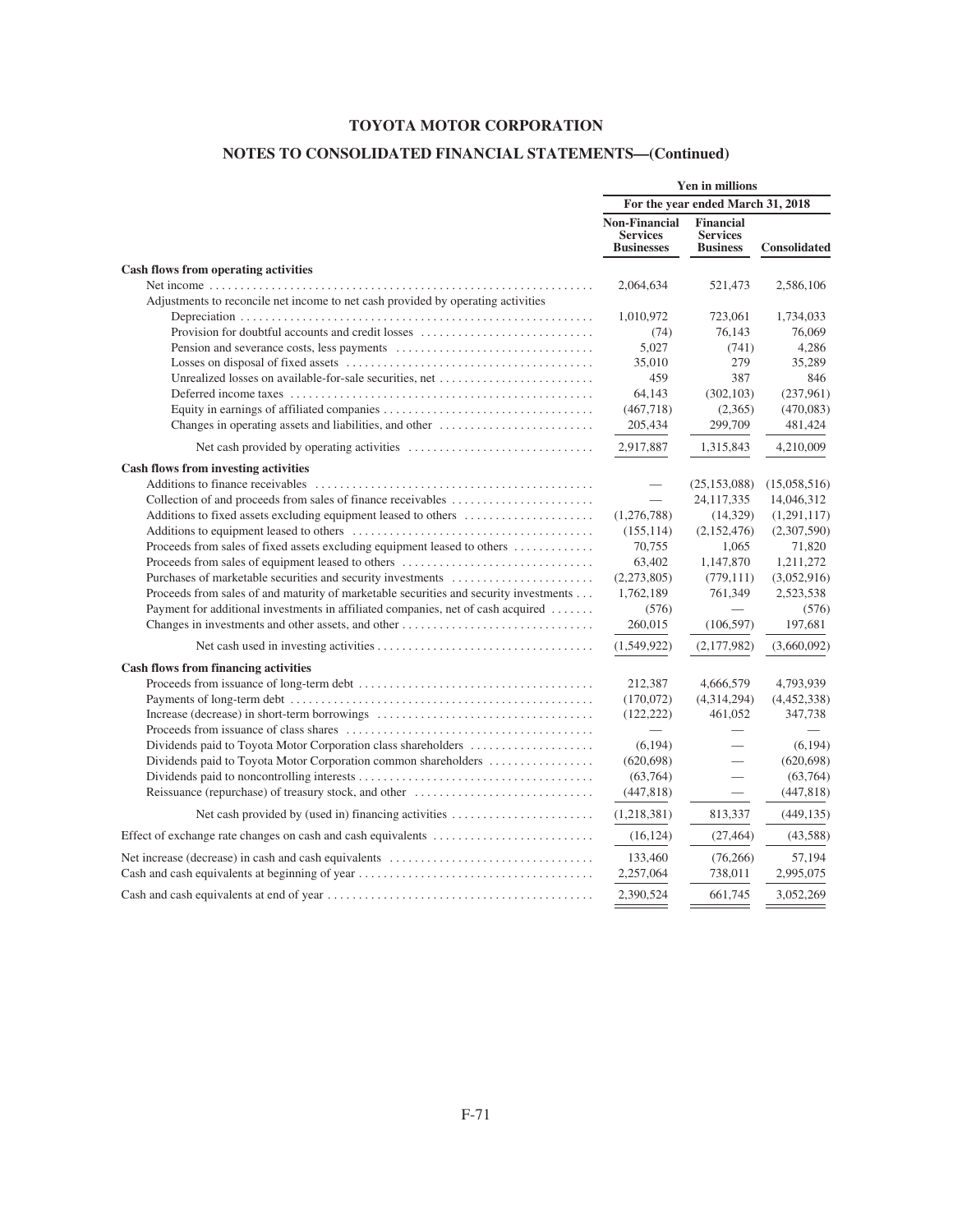## **NOTES TO CONSOLIDATED FINANCIAL STATEMENTS—(Continued)**

|                                                                                       |                                                              | <b>Yen in millions</b>                                 |                     |  |  |
|---------------------------------------------------------------------------------------|--------------------------------------------------------------|--------------------------------------------------------|---------------------|--|--|
|                                                                                       |                                                              | For the year ended March 31, 2018                      |                     |  |  |
|                                                                                       | <b>Non-Financial</b><br><b>Services</b><br><b>Businesses</b> | <b>Financial</b><br><b>Services</b><br><b>Business</b> | <b>Consolidated</b> |  |  |
| Cash flows from operating activities                                                  |                                                              |                                                        |                     |  |  |
|                                                                                       | 2,064,634                                                    | 521,473                                                | 2,586,106           |  |  |
| Adjustments to reconcile net income to net cash provided by operating activities      |                                                              |                                                        |                     |  |  |
|                                                                                       | 1,010,972                                                    | 723,061                                                | 1,734,033           |  |  |
| Provision for doubtful accounts and credit losses                                     | (74)                                                         | 76,143                                                 | 76,069              |  |  |
|                                                                                       | 5,027                                                        | (741)                                                  | 4,286               |  |  |
|                                                                                       | 35,010                                                       | 279                                                    | 35,289              |  |  |
|                                                                                       | 459                                                          | 387                                                    | 846                 |  |  |
|                                                                                       | 64,143                                                       | (302, 103)                                             | (237,961)           |  |  |
|                                                                                       | (467,718)                                                    | (2,365)                                                | (470,083)           |  |  |
| Changes in operating assets and liabilities, and other                                | 205,434                                                      | 299,709                                                | 481,424             |  |  |
|                                                                                       | 2,917,887                                                    | 1,315,843                                              | 4,210,009           |  |  |
| <b>Cash flows from investing activities</b>                                           |                                                              |                                                        |                     |  |  |
|                                                                                       |                                                              | (25, 153, 088)                                         | (15,058,516)        |  |  |
| Collection of and proceeds from sales of finance receivables                          |                                                              | 24,117,335                                             | 14,046,312          |  |  |
| Additions to fixed assets excluding equipment leased to others                        | (1,276,788)                                                  | (14, 329)                                              | (1,291,117)         |  |  |
|                                                                                       | (155, 114)                                                   | (2,152,476)                                            | (2,307,590)         |  |  |
| Proceeds from sales of fixed assets excluding equipment leased to others              | 70,755                                                       | 1,065                                                  | 71,820              |  |  |
| Proceeds from sales of equipment leased to others                                     | 63,402                                                       | 1,147,870                                              | 1,211,272           |  |  |
| Purchases of marketable securities and security investments                           | (2,273,805)                                                  | (779, 111)                                             | (3,052,916)         |  |  |
| Proceeds from sales of and maturity of marketable securities and security investments | 1,762,189                                                    | 761,349                                                | 2,523,538           |  |  |
| Payment for additional investments in affiliated companies, net of cash acquired      | (576)                                                        |                                                        | (576)               |  |  |
| Changes in investments and other assets, and other                                    | 260,015                                                      | (106, 597)                                             | 197,681             |  |  |
|                                                                                       | (1,549,922)                                                  | (2,177,982)                                            | (3,660,092)         |  |  |
| <b>Cash flows from financing activities</b>                                           |                                                              |                                                        |                     |  |  |
|                                                                                       | 212,387                                                      | 4,666,579                                              | 4,793,939           |  |  |
|                                                                                       | (170,072)                                                    | (4,314,294)                                            | (4,452,338)         |  |  |
| Increase (decrease) in short-term borrowings                                          | (122, 222)                                                   | 461,052                                                | 347,738             |  |  |
|                                                                                       | $\overline{\phantom{0}}$                                     |                                                        |                     |  |  |
| Dividends paid to Toyota Motor Corporation class shareholders                         | (6, 194)                                                     |                                                        | (6, 194)            |  |  |
| Dividends paid to Toyota Motor Corporation common shareholders                        | (620, 698)                                                   |                                                        | (620, 698)          |  |  |
|                                                                                       | (63, 764)                                                    |                                                        | (63, 764)           |  |  |
| Reissuance (repurchase) of treasury stock, and other                                  | (447, 818)                                                   | $\overline{\phantom{0}}$                               | (447, 818)          |  |  |
| Net cash provided by (used in) financing activities                                   | (1,218,381)                                                  | 813,337                                                | (449, 135)          |  |  |
|                                                                                       | (16, 124)                                                    | (27, 464)                                              | (43,588)            |  |  |
|                                                                                       | 133,460                                                      | (76, 266)                                              | 57,194              |  |  |
|                                                                                       | 2,257,064                                                    | 738,011                                                | 2,995,075           |  |  |
|                                                                                       | 2,390,524                                                    | 661,745                                                | 3,052,269           |  |  |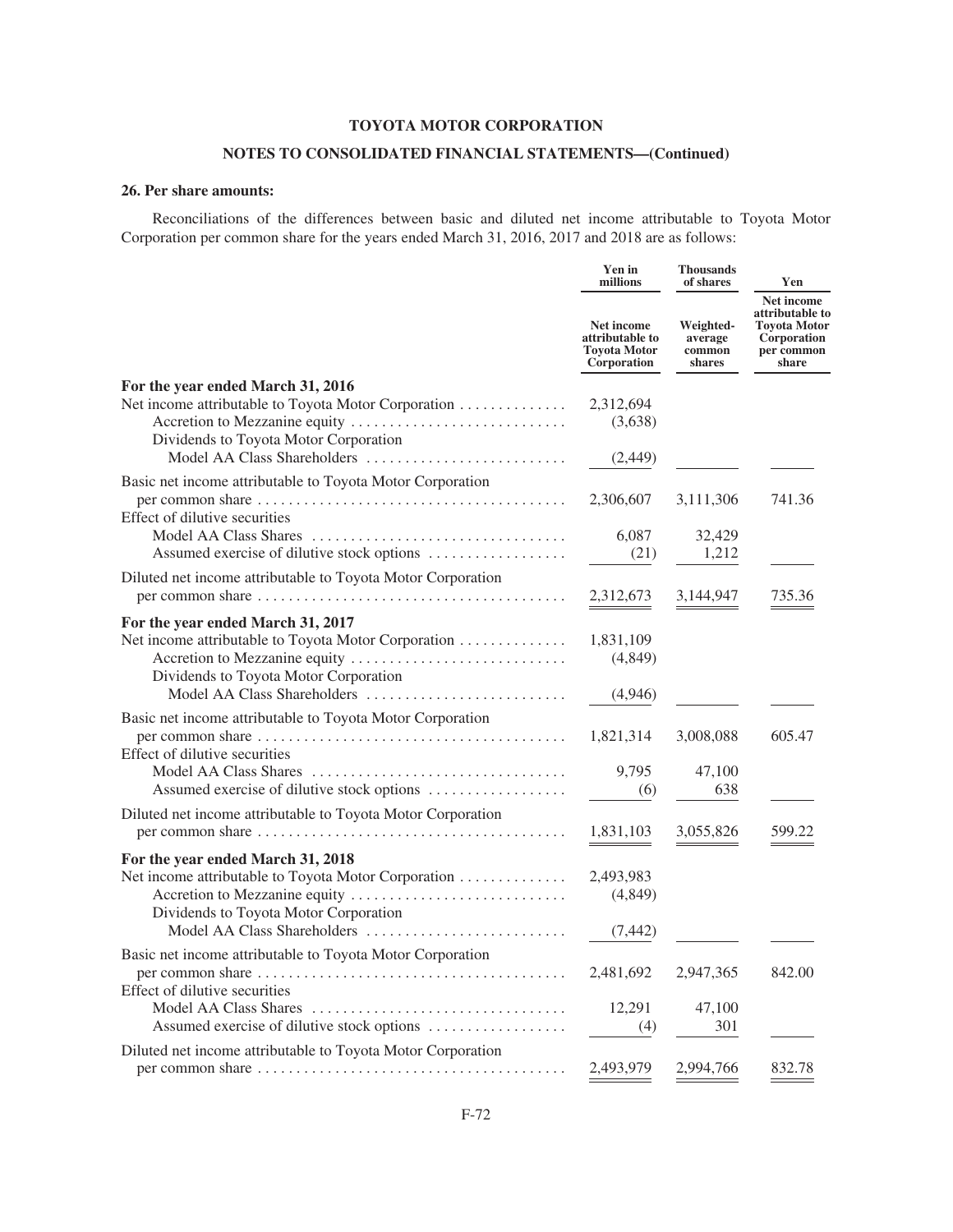## **NOTES TO CONSOLIDATED FINANCIAL STATEMENTS—(Continued)**

## **26. Per share amounts:**

Reconciliations of the differences between basic and diluted net income attributable to Toyota Motor Corporation per common share for the years ended March 31, 2016, 2017 and 2018 are as follows:

|                                                                                              | Yen in<br>millions                                                  | <b>Thousands</b><br>of shares            | Yen    |
|----------------------------------------------------------------------------------------------|---------------------------------------------------------------------|------------------------------------------|--------|
|                                                                                              | Net income<br>attributable to<br><b>Toyota Motor</b><br>Corporation | Weighted-<br>average<br>common<br>shares |        |
| For the year ended March 31, 2016                                                            |                                                                     |                                          |        |
| Net income attributable to Toyota Motor Corporation<br>Dividends to Toyota Motor Corporation | 2,312,694<br>(3,638)                                                |                                          |        |
| Model AA Class Shareholders                                                                  | (2,449)                                                             |                                          |        |
| Basic net income attributable to Toyota Motor Corporation<br>Effect of dilutive securities   | 2,306,607                                                           | 3,111,306                                | 741.36 |
| Assumed exercise of dilutive stock options                                                   | 6,087<br>(21)                                                       | 32,429<br>1,212                          |        |
| Diluted net income attributable to Toyota Motor Corporation                                  | 2,312,673                                                           | 3,144,947                                | 735.36 |
| For the year ended March 31, 2017                                                            |                                                                     |                                          |        |
| Net income attributable to Toyota Motor Corporation<br>Dividends to Toyota Motor Corporation | 1,831,109<br>(4,849)                                                |                                          |        |
| Model AA Class Shareholders                                                                  | (4,946)                                                             |                                          |        |
| Basic net income attributable to Toyota Motor Corporation                                    |                                                                     |                                          |        |
| Effect of dilutive securities                                                                | 1,821,314                                                           | 3,008,088                                | 605.47 |
| Assumed exercise of dilutive stock options                                                   | 9,795<br>(6)                                                        | 47,100<br>638                            |        |
| Diluted net income attributable to Toyota Motor Corporation                                  | 1,831,103                                                           | 3,055,826                                | 599.22 |
| For the year ended March 31, 2018                                                            |                                                                     |                                          |        |
| Net income attributable to Toyota Motor Corporation                                          | 2,493,983                                                           |                                          |        |
| Dividends to Toyota Motor Corporation                                                        | (4, 849)                                                            |                                          |        |
| Model AA Class Shareholders                                                                  | (7, 442)                                                            |                                          |        |
| Basic net income attributable to Toyota Motor Corporation<br>Effect of dilutive securities   | 2,481,692                                                           | 2,947,365                                | 842.00 |
| Assumed exercise of dilutive stock options                                                   | 12,291<br>(4)                                                       | 47,100<br>301                            |        |
| Diluted net income attributable to Toyota Motor Corporation                                  |                                                                     |                                          |        |
|                                                                                              | 2,493,979                                                           | 2,994,766                                | 832.78 |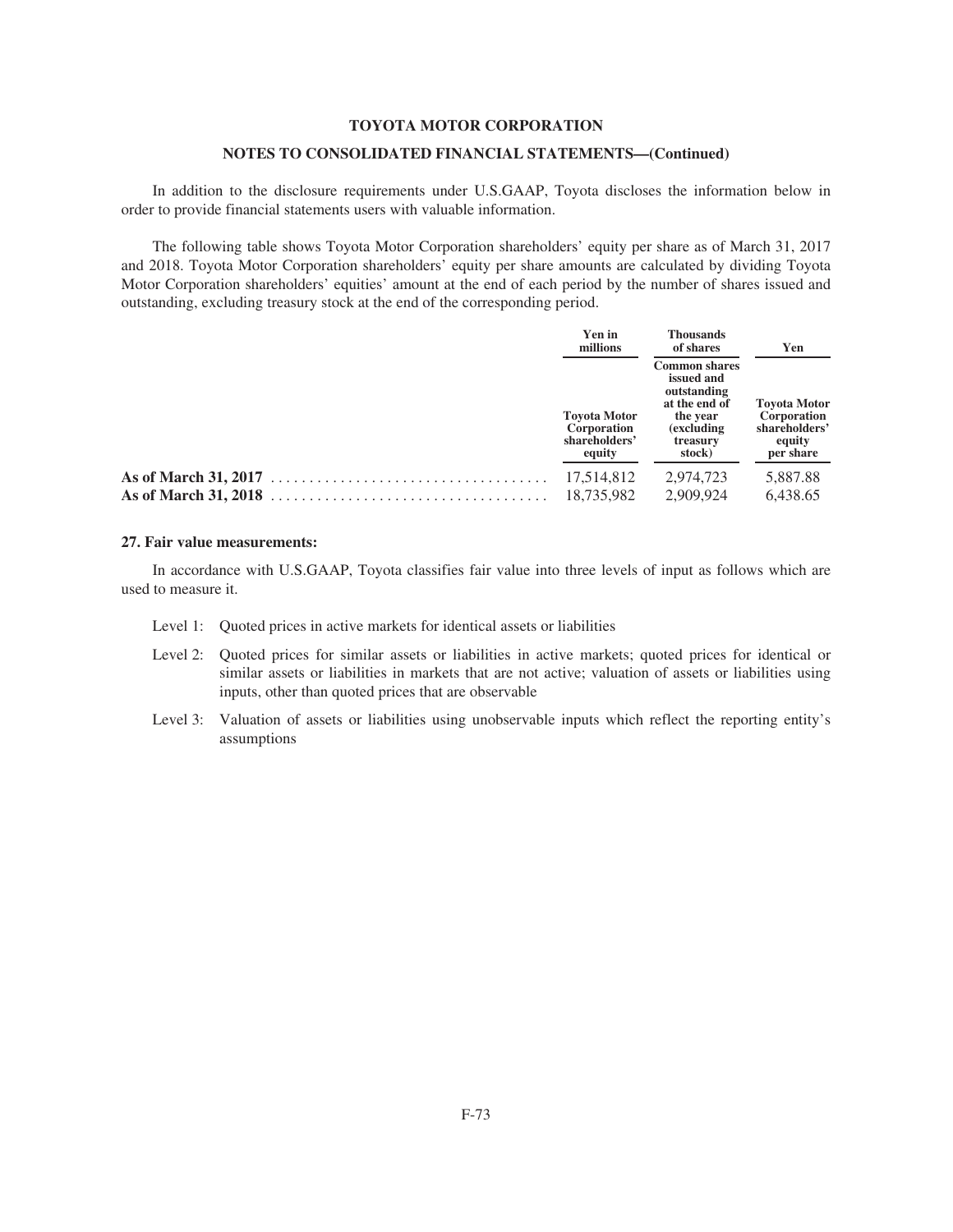### **NOTES TO CONSOLIDATED FINANCIAL STATEMENTS—(Continued)**

In addition to the disclosure requirements under U.S.GAAP, Toyota discloses the information below in order to provide financial statements users with valuable information.

The following table shows Toyota Motor Corporation shareholders' equity per share as of March 31, 2017 and 2018. Toyota Motor Corporation shareholders' equity per share amounts are calculated by dividing Toyota Motor Corporation shareholders' equities' amount at the end of each period by the number of shares issued and outstanding, excluding treasury stock at the end of the corresponding period.

| Yen in<br>millions                                            | <b>Thousands</b><br>of shares                                                                                              | Yen                                                                        |
|---------------------------------------------------------------|----------------------------------------------------------------------------------------------------------------------------|----------------------------------------------------------------------------|
| <b>Toyota Motor</b><br>Corporation<br>shareholders'<br>equity | <b>Common shares</b><br>issued and<br>outstanding<br>at the end of<br>the year<br><i>(excluding)</i><br>treasury<br>stock) | <b>Toyota Motor</b><br>Corporation<br>shareholders'<br>equity<br>per share |
| 17,514,812                                                    | 2,974,723                                                                                                                  | 5,887.88                                                                   |
| 18,735,982                                                    | 2,909,924                                                                                                                  | 6,438.65                                                                   |

### **27. Fair value measurements:**

In accordance with U.S.GAAP, Toyota classifies fair value into three levels of input as follows which are used to measure it.

- Level 1: Quoted prices in active markets for identical assets or liabilities
- Level 2: Quoted prices for similar assets or liabilities in active markets; quoted prices for identical or similar assets or liabilities in markets that are not active; valuation of assets or liabilities using inputs, other than quoted prices that are observable
- Level 3: Valuation of assets or liabilities using unobservable inputs which reflect the reporting entity's assumptions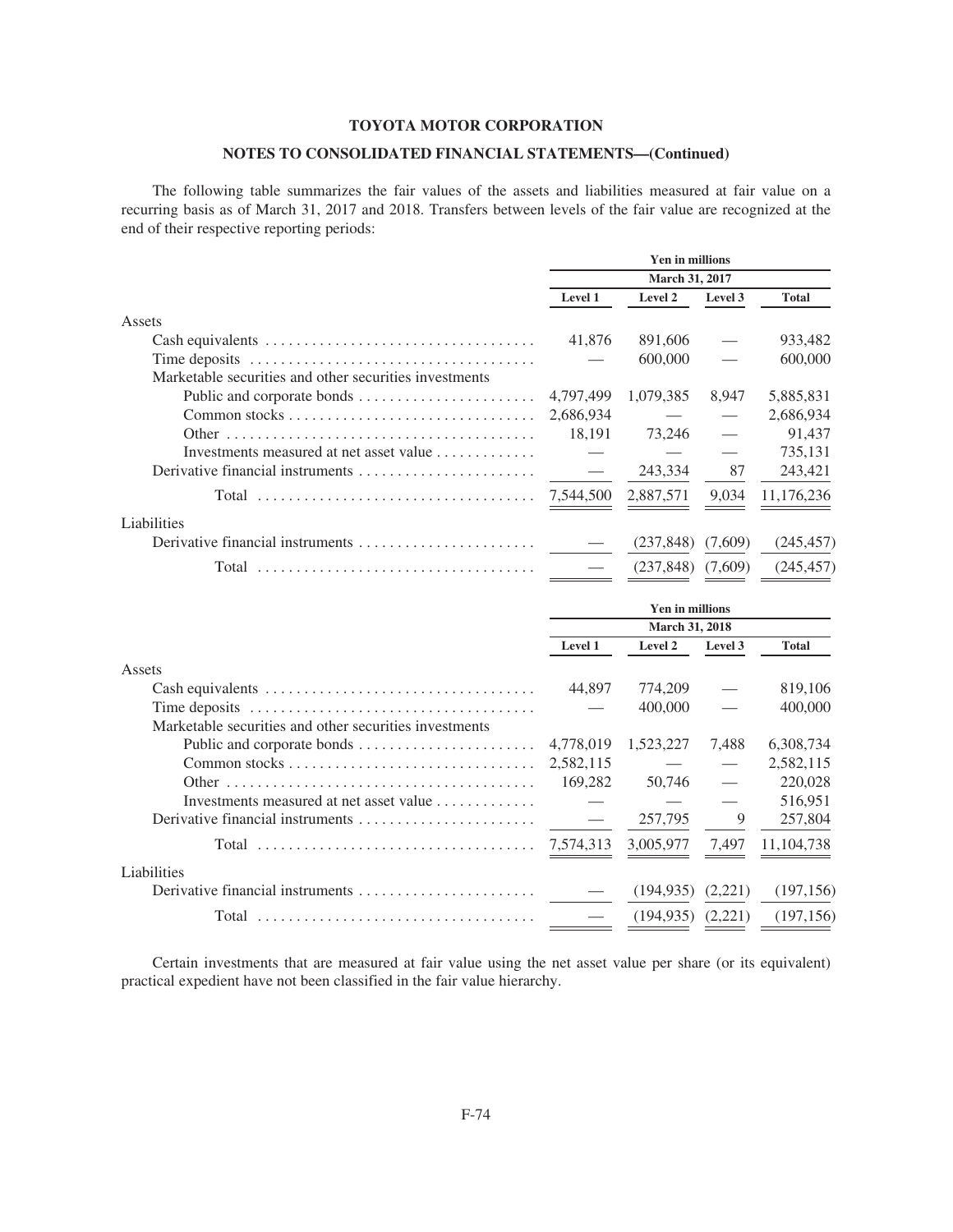## **NOTES TO CONSOLIDATED FINANCIAL STATEMENTS—(Continued)**

The following table summarizes the fair values of the assets and liabilities measured at fair value on a recurring basis as of March 31, 2017 and 2018. Transfers between levels of the fair value are recognized at the end of their respective reporting periods:

|                                                        | Yen in millions       |            |                                 |              |  |  |
|--------------------------------------------------------|-----------------------|------------|---------------------------------|--------------|--|--|
|                                                        | <b>March 31, 2017</b> |            |                                 |              |  |  |
|                                                        | Level 1               | Level 2    | Level 3                         | <b>Total</b> |  |  |
| Assets                                                 |                       |            |                                 |              |  |  |
|                                                        | 41,876                | 891,606    |                                 | 933,482      |  |  |
|                                                        |                       | 600,000    |                                 | 600,000      |  |  |
| Marketable securities and other securities investments |                       |            |                                 |              |  |  |
|                                                        | 4,797,499             | 1,079,385  | 8,947                           | 5,885,831    |  |  |
|                                                        | 2,686,934             |            | $\hspace{0.1mm}-\hspace{0.1mm}$ | 2,686,934    |  |  |
|                                                        | 18,191                | 73,246     |                                 | 91,437       |  |  |
| Investments measured at net asset value                |                       |            |                                 | 735,131      |  |  |
| Derivative financial instruments                       |                       | 243,334    | 87                              | 243,421      |  |  |
|                                                        | 7,544,500             | 2,887,571  | 9.034                           | 11,176,236   |  |  |
| Liabilities                                            |                       |            |                                 |              |  |  |
| Derivative financial instruments                       |                       | (237, 848) | (7,609)                         | (245, 457)   |  |  |
| Total                                                  |                       | (237, 848) | (7.609)                         | (245.457)    |  |  |

|                                                        | <b>Yen in millions</b><br><b>March 31, 2018</b> |            |                                 |              |  |
|--------------------------------------------------------|-------------------------------------------------|------------|---------------------------------|--------------|--|
|                                                        |                                                 |            |                                 |              |  |
|                                                        | Level 1                                         | Level 2    | Level 3                         | <b>Total</b> |  |
| Assets                                                 |                                                 |            |                                 |              |  |
|                                                        | 44.897                                          | 774,209    |                                 | 819,106      |  |
|                                                        |                                                 | 400,000    |                                 | 400,000      |  |
| Marketable securities and other securities investments |                                                 |            |                                 |              |  |
|                                                        | 4,778,019                                       | 1,523,227  | 7.488                           | 6,308,734    |  |
|                                                        | 2,582,115                                       |            | $\hspace{0.1mm}-\hspace{0.1mm}$ | 2,582,115    |  |
|                                                        | 169,282                                         | 50,746     |                                 | 220,028      |  |
| Investments measured at net asset value                |                                                 |            |                                 | 516,951      |  |
| Derivative financial instruments                       |                                                 | 257,795    | 9                               | 257,804      |  |
|                                                        | 7,574,313                                       | 3,005,977  | 7,497                           | 11, 104, 738 |  |
| Liabilities                                            |                                                 |            |                                 |              |  |
| Derivative financial instruments                       |                                                 | (194, 935) | (2,221)                         | (197,156)    |  |
|                                                        |                                                 | (194, 935) | (2.221)                         | (197, 156)   |  |

Certain investments that are measured at fair value using the net asset value per share (or its equivalent) practical expedient have not been classified in the fair value hierarchy.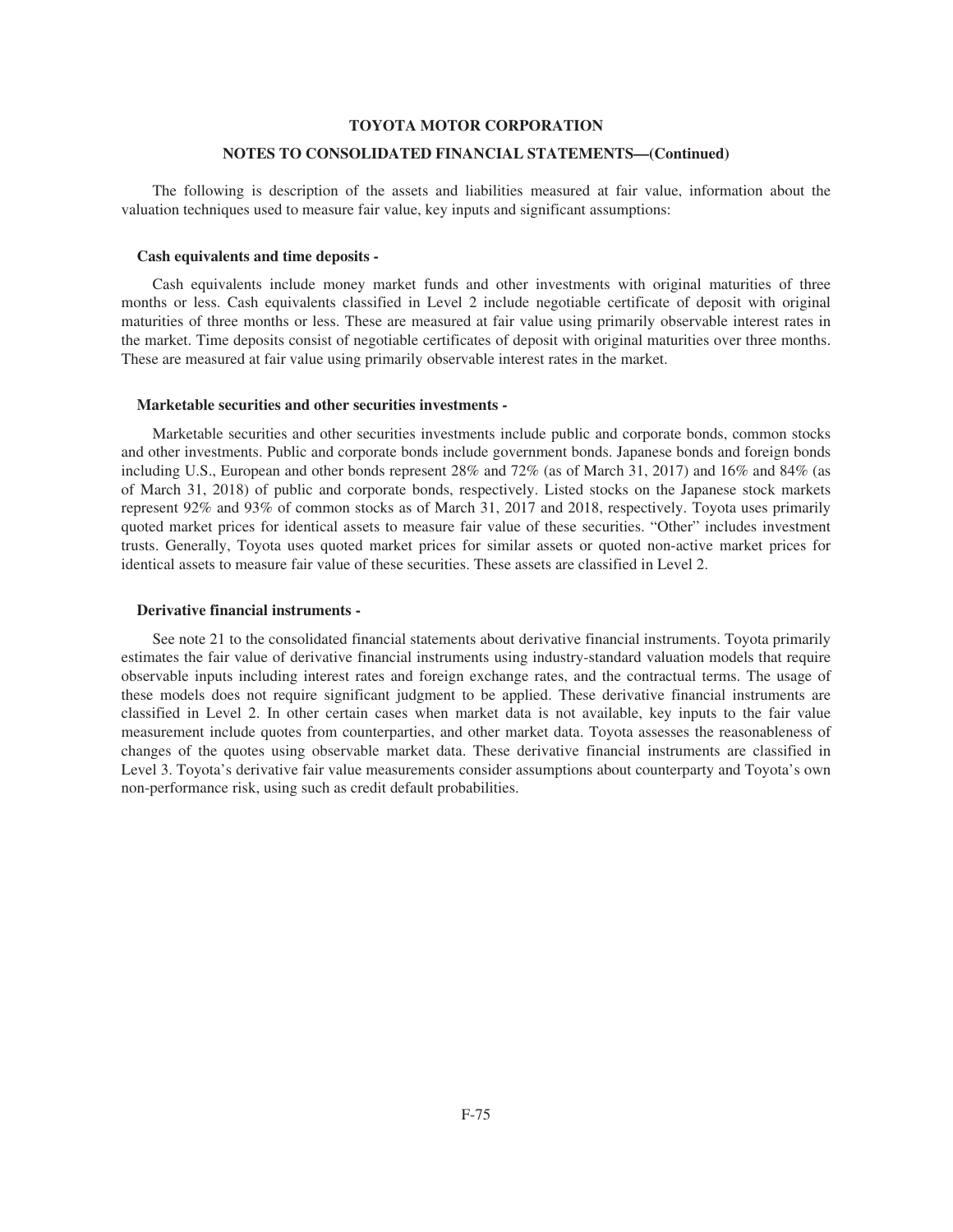#### **NOTES TO CONSOLIDATED FINANCIAL STATEMENTS—(Continued)**

The following is description of the assets and liabilities measured at fair value, information about the valuation techniques used to measure fair value, key inputs and significant assumptions:

#### **Cash equivalents and time deposits -**

Cash equivalents include money market funds and other investments with original maturities of three months or less. Cash equivalents classified in Level 2 include negotiable certificate of deposit with original maturities of three months or less. These are measured at fair value using primarily observable interest rates in the market. Time deposits consist of negotiable certificates of deposit with original maturities over three months. These are measured at fair value using primarily observable interest rates in the market.

#### **Marketable securities and other securities investments -**

Marketable securities and other securities investments include public and corporate bonds, common stocks and other investments. Public and corporate bonds include government bonds. Japanese bonds and foreign bonds including U.S., European and other bonds represent 28% and 72% (as of March 31, 2017) and 16% and 84% (as of March 31, 2018) of public and corporate bonds, respectively. Listed stocks on the Japanese stock markets represent 92% and 93% of common stocks as of March 31, 2017 and 2018, respectively. Toyota uses primarily quoted market prices for identical assets to measure fair value of these securities. "Other" includes investment trusts. Generally, Toyota uses quoted market prices for similar assets or quoted non-active market prices for identical assets to measure fair value of these securities. These assets are classified in Level 2.

#### **Derivative financial instruments -**

See note 21 to the consolidated financial statements about derivative financial instruments. Toyota primarily estimates the fair value of derivative financial instruments using industry-standard valuation models that require observable inputs including interest rates and foreign exchange rates, and the contractual terms. The usage of these models does not require significant judgment to be applied. These derivative financial instruments are classified in Level 2. In other certain cases when market data is not available, key inputs to the fair value measurement include quotes from counterparties, and other market data. Toyota assesses the reasonableness of changes of the quotes using observable market data. These derivative financial instruments are classified in Level 3. Toyota's derivative fair value measurements consider assumptions about counterparty and Toyota's own non-performance risk, using such as credit default probabilities.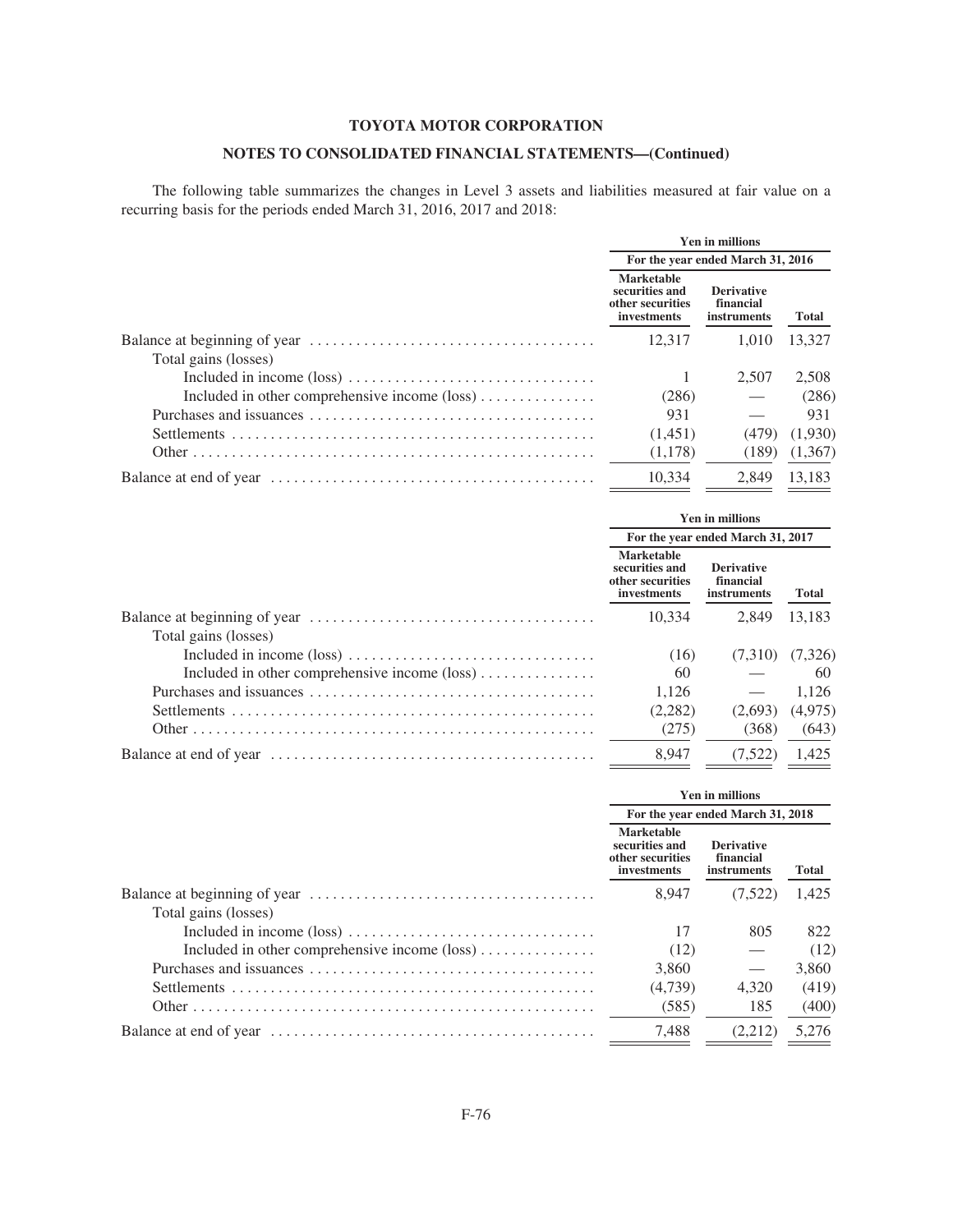## **NOTES TO CONSOLIDATED FINANCIAL STATEMENTS—(Continued)**

The following table summarizes the changes in Level 3 assets and liabilities measured at fair value on a recurring basis for the periods ended March 31, 2016, 2017 and 2018:

|                                               | Yen in millions<br>For the year ended March 31, 2016                          |                                               |              |  |
|-----------------------------------------------|-------------------------------------------------------------------------------|-----------------------------------------------|--------------|--|
|                                               |                                                                               |                                               |              |  |
|                                               | <b>Marketable</b><br>securities and<br>other securities<br><i>investments</i> | <b>Derivative</b><br>financial<br>instruments | <b>Total</b> |  |
|                                               | 12.317                                                                        | 1.010                                         | 13.327       |  |
| Total gains (losses)                          |                                                                               |                                               |              |  |
|                                               |                                                                               | 2.507                                         | 2.508        |  |
| Included in other comprehensive income (loss) | (286)                                                                         |                                               | (286)        |  |
|                                               | 931                                                                           |                                               | 931          |  |
|                                               | (1,451)                                                                       | (479)                                         | (1,930)      |  |
|                                               | (1,178)                                                                       | (189)                                         | (1,367)      |  |
|                                               | 10.334                                                                        | 2.849                                         | 13.183       |  |

|                                                        | <b>Yen in millions</b><br>For the year ended March 31, 2017            |                                                      |         |  |
|--------------------------------------------------------|------------------------------------------------------------------------|------------------------------------------------------|---------|--|
|                                                        |                                                                        |                                                      |         |  |
|                                                        | <b>Marketable</b><br>securities and<br>other securities<br>investments | <b>Derivative</b><br>financial<br><i>instruments</i> | Total   |  |
|                                                        | 10.334                                                                 | 2.849                                                | 13.183  |  |
| Total gains (losses)                                   |                                                                        |                                                      |         |  |
|                                                        | (16)                                                                   | (7.310)                                              | (7,326) |  |
| Included in other comprehensive income $(\text{loss})$ | 60                                                                     |                                                      | 60      |  |
|                                                        | 1.126                                                                  |                                                      | 1.126   |  |
|                                                        | (2,282)                                                                | (2,693)                                              | (4,975) |  |
|                                                        | (275)                                                                  | (368)                                                | (643)   |  |
|                                                        | 8.947                                                                  | (7.522)                                              | 1.425   |  |

|                                                        | <b>Yen in millions</b><br>For the year ended March 31, 2018                   |                                                      |              |  |
|--------------------------------------------------------|-------------------------------------------------------------------------------|------------------------------------------------------|--------------|--|
|                                                        |                                                                               |                                                      |              |  |
|                                                        | <b>Marketable</b><br>securities and<br>other securities<br><i>investments</i> | <b>Derivative</b><br>financial<br><i>instruments</i> | <b>Total</b> |  |
|                                                        | 8.947                                                                         | (7.522)                                              | 1.425        |  |
| Total gains (losses)                                   |                                                                               |                                                      |              |  |
|                                                        | 17                                                                            | 805                                                  | 822          |  |
| Included in other comprehensive income $(\text{loss})$ | (12)                                                                          |                                                      | (12)         |  |
|                                                        | 3.860                                                                         |                                                      | 3.860        |  |
|                                                        | (4,739)                                                                       | 4.320                                                | (419)        |  |
|                                                        | (585)                                                                         | 185                                                  | (400)        |  |
|                                                        | 7.488                                                                         | (2.212)                                              | 5.276        |  |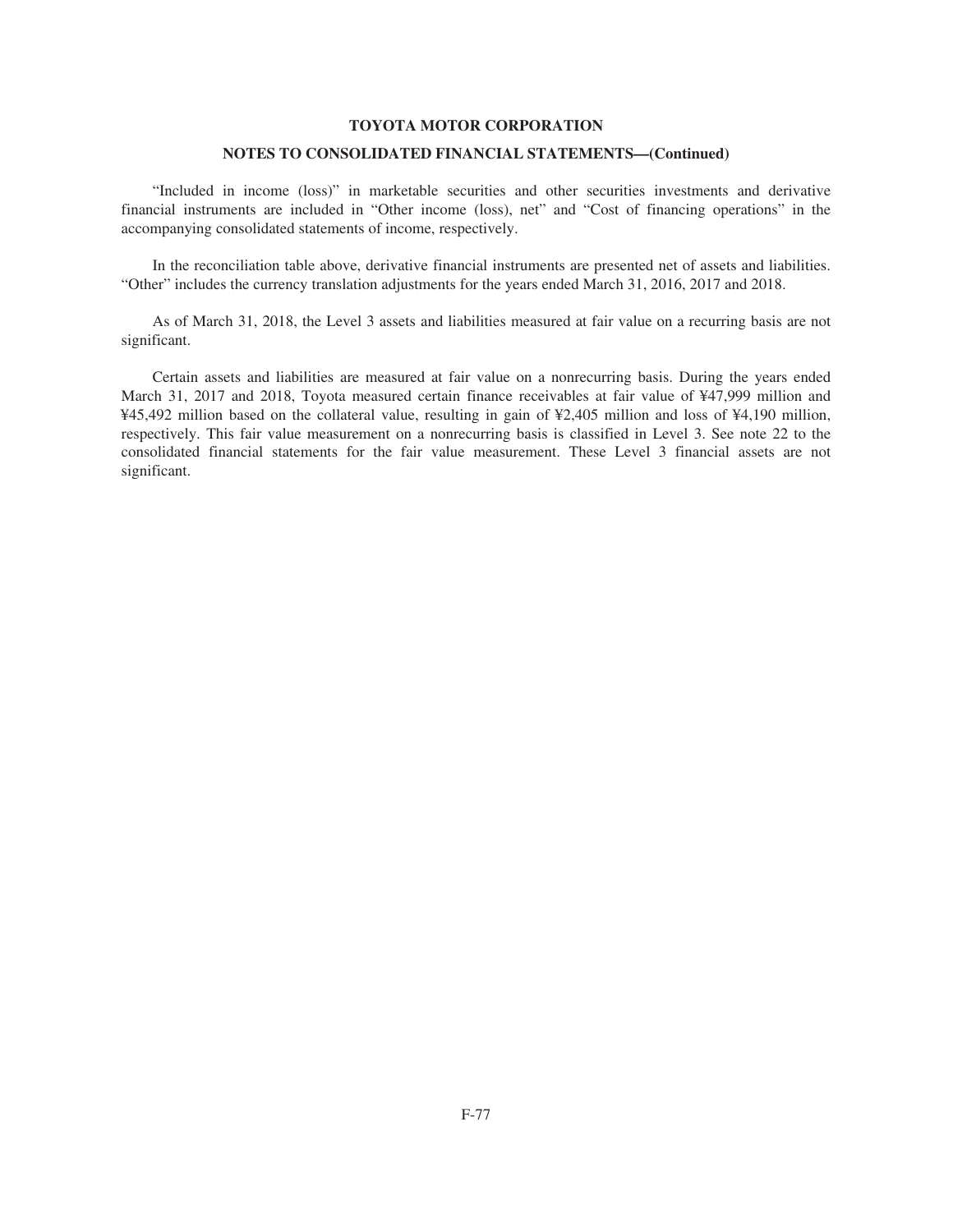# **TOYOTA MOTOR CORPORATION**

# **NOTES TO CONSOLIDATED FINANCIAL STATEMENTS—(Continued)**

"Included in income (loss)" in marketable securities and other securities investments and derivative financial instruments are included in "Other income (loss), net" and "Cost of financing operations" in the accompanying consolidated statements of income, respectively.

In the reconciliation table above, derivative financial instruments are presented net of assets and liabilities. "Other" includes the currency translation adjustments for the years ended March 31, 2016, 2017 and 2018.

As of March 31, 2018, the Level 3 assets and liabilities measured at fair value on a recurring basis are not significant.

Certain assets and liabilities are measured at fair value on a nonrecurring basis. During the years ended March 31, 2017 and 2018, Toyota measured certain finance receivables at fair value of ¥47,999 million and ¥45,492 million based on the collateral value, resulting in gain of ¥2,405 million and loss of ¥4,190 million, respectively. This fair value measurement on a nonrecurring basis is classified in Level 3. See note 22 to the consolidated financial statements for the fair value measurement. These Level 3 financial assets are not significant.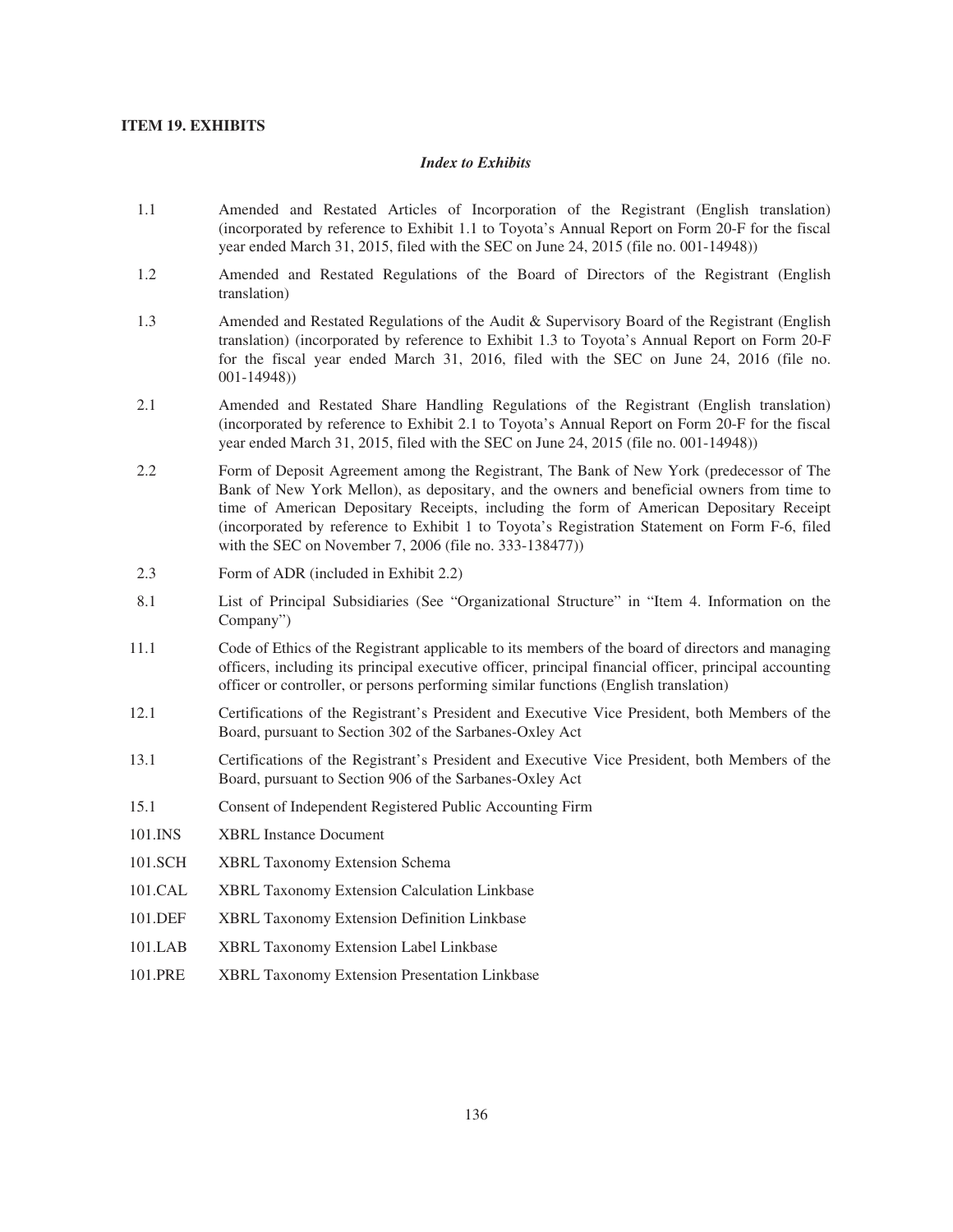### **ITEM 19. EXHIBITS**

### *Index to Exhibits*

- 1.1 Amended and Restated Articles of Incorporation of the Registrant (English translation) (incorporated by reference to Exhibit 1.1 to Toyota's Annual Report on Form 20-F for the fiscal year ended March 31, 2015, filed with the SEC on June 24, 2015 (file no. 001-14948))
- 1.2 Amended and Restated Regulations of the Board of Directors of the Registrant (English translation)
- 1.3 Amended and Restated Regulations of the Audit & Supervisory Board of the Registrant (English translation) (incorporated by reference to Exhibit 1.3 to Toyota's Annual Report on Form 20-F for the fiscal year ended March 31, 2016, filed with the SEC on June 24, 2016 (file no. 001-14948))
- 2.1 Amended and Restated Share Handling Regulations of the Registrant (English translation) (incorporated by reference to Exhibit 2.1 to Toyota's Annual Report on Form 20-F for the fiscal year ended March 31, 2015, filed with the SEC on June 24, 2015 (file no. 001-14948))
- 2.2 Form of Deposit Agreement among the Registrant, The Bank of New York (predecessor of The Bank of New York Mellon), as depositary, and the owners and beneficial owners from time to time of American Depositary Receipts, including the form of American Depositary Receipt (incorporated by reference to Exhibit 1 to Toyota's Registration Statement on Form F-6, filed with the SEC on November 7, 2006 (file no. 333-138477))
- 2.3 Form of ADR (included in Exhibit 2.2)
- 8.1 List of Principal Subsidiaries (See "Organizational Structure" in "Item 4. Information on the Company")
- 11.1 Code of Ethics of the Registrant applicable to its members of the board of directors and managing officers, including its principal executive officer, principal financial officer, principal accounting officer or controller, or persons performing similar functions (English translation)
- 12.1 Certifications of the Registrant's President and Executive Vice President, both Members of the Board, pursuant to Section 302 of the Sarbanes-Oxley Act
- 13.1 Certifications of the Registrant's President and Executive Vice President, both Members of the Board, pursuant to Section 906 of the Sarbanes-Oxley Act
- 15.1 Consent of Independent Registered Public Accounting Firm
- 101.INS XBRL Instance Document
- 101.SCH XBRL Taxonomy Extension Schema
- 101.CAL XBRL Taxonomy Extension Calculation Linkbase
- 101.DEF XBRL Taxonomy Extension Definition Linkbase
- 101.LAB XBRL Taxonomy Extension Label Linkbase
- 101.PRE XBRL Taxonomy Extension Presentation Linkbase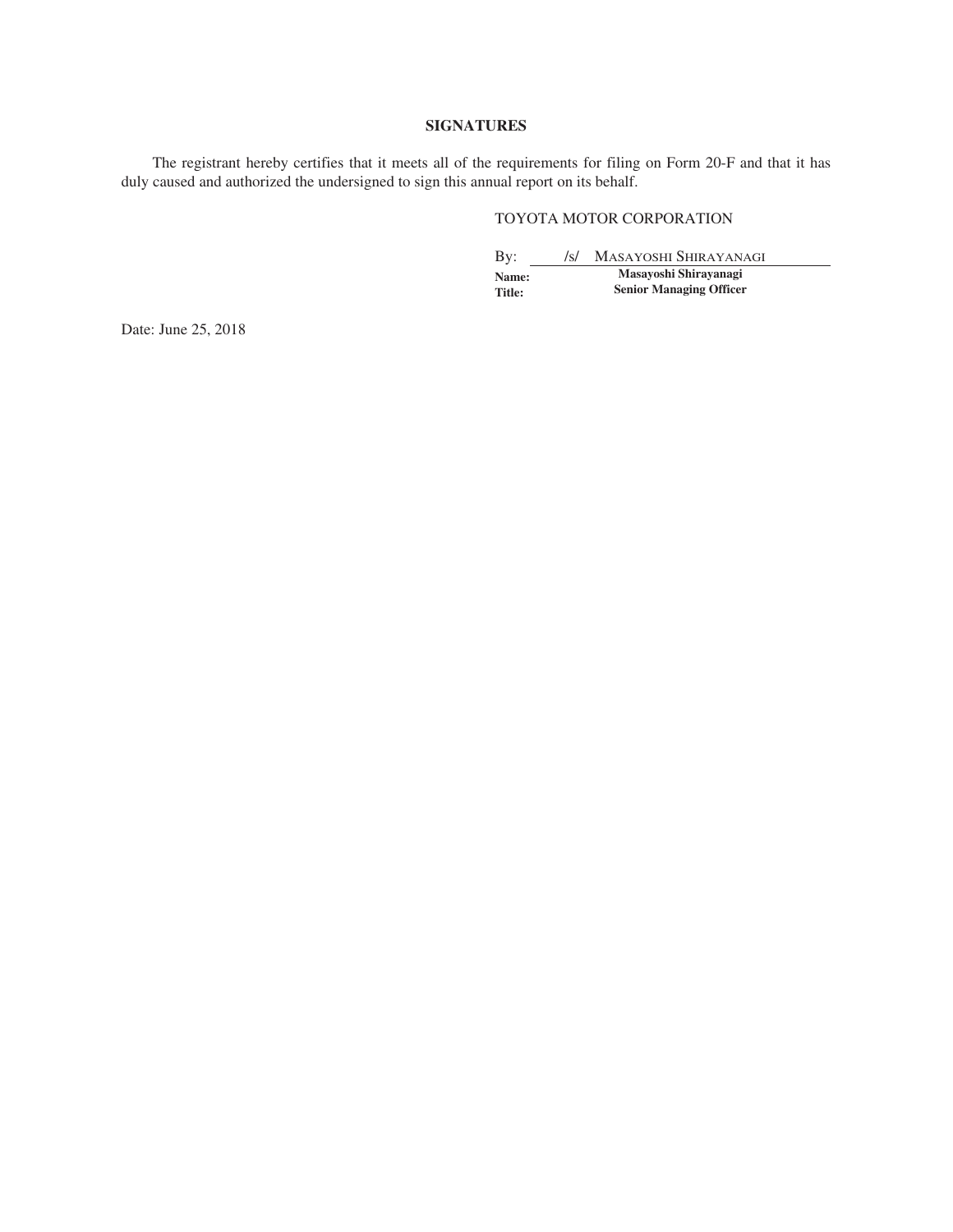# **SIGNATURES**

The registrant hereby certifies that it meets all of the requirements for filing on Form 20-F and that it has duly caused and authorized the undersigned to sign this annual report on its behalf.

# TOYOTA MOTOR CORPORATION

By: /s/ MASAYOSHI SHIRAYANAGI

**Name: Masayoshi Shirayanagi Senior Managing Officer** 

Date: June 25, 2018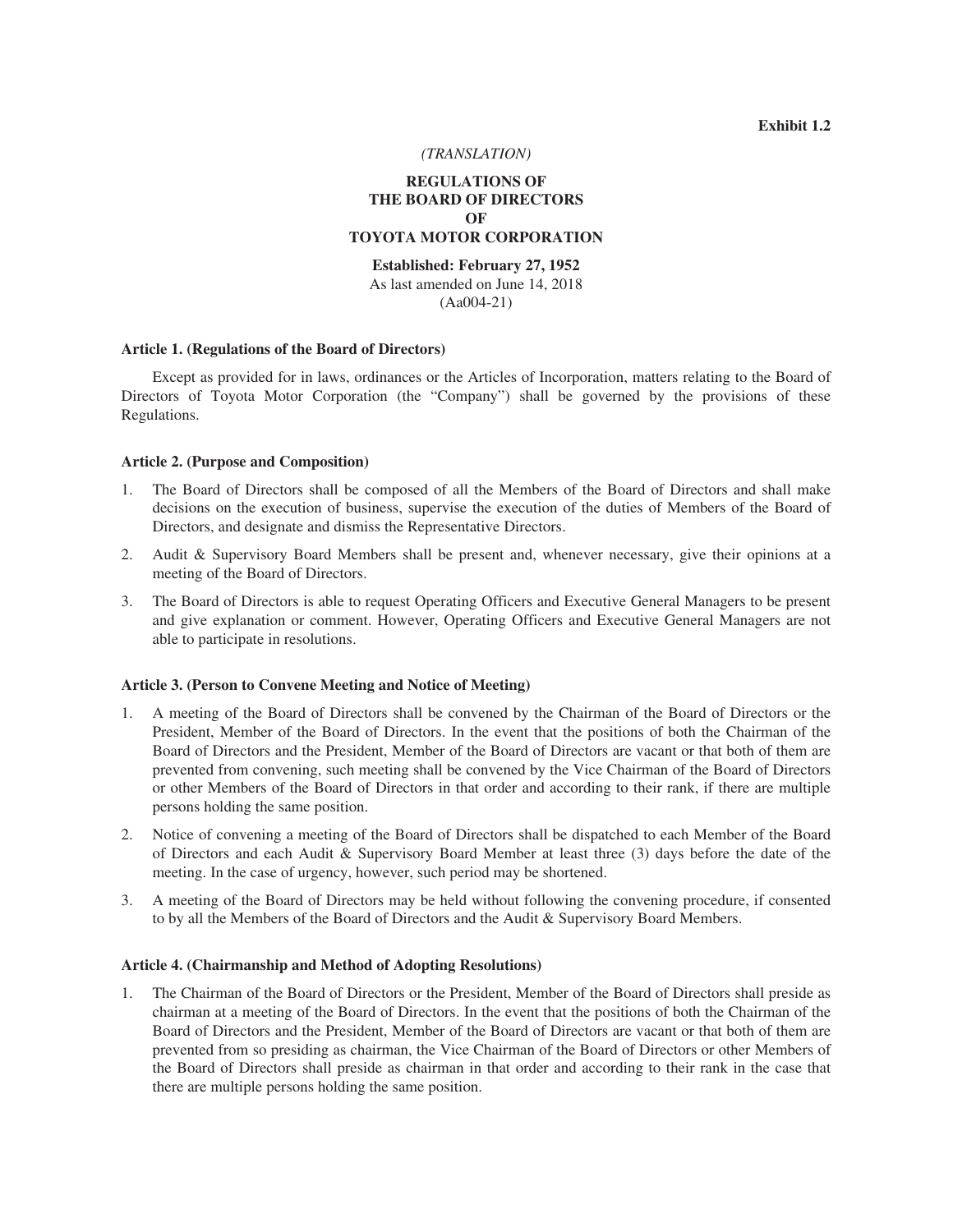### *(TRANSLATION)*

# **REGULATIONS OF THE BOARD OF DIRECTORS OF TOYOTA MOTOR CORPORATION**

# **Established: February 27, 1952** As last amended on June 14, 2018 (Aa004-21)

#### **Article 1. (Regulations of the Board of Directors)**

Except as provided for in laws, ordinances or the Articles of Incorporation, matters relating to the Board of Directors of Toyota Motor Corporation (the "Company") shall be governed by the provisions of these Regulations.

### **Article 2. (Purpose and Composition)**

- 1. The Board of Directors shall be composed of all the Members of the Board of Directors and shall make decisions on the execution of business, supervise the execution of the duties of Members of the Board of Directors, and designate and dismiss the Representative Directors.
- 2. Audit & Supervisory Board Members shall be present and, whenever necessary, give their opinions at a meeting of the Board of Directors.
- 3. The Board of Directors is able to request Operating Officers and Executive General Managers to be present and give explanation or comment. However, Operating Officers and Executive General Managers are not able to participate in resolutions.

### **Article 3. (Person to Convene Meeting and Notice of Meeting)**

- 1. A meeting of the Board of Directors shall be convened by the Chairman of the Board of Directors or the President, Member of the Board of Directors. In the event that the positions of both the Chairman of the Board of Directors and the President, Member of the Board of Directors are vacant or that both of them are prevented from convening, such meeting shall be convened by the Vice Chairman of the Board of Directors or other Members of the Board of Directors in that order and according to their rank, if there are multiple persons holding the same position.
- 2. Notice of convening a meeting of the Board of Directors shall be dispatched to each Member of the Board of Directors and each Audit & Supervisory Board Member at least three (3) days before the date of the meeting. In the case of urgency, however, such period may be shortened.
- 3. A meeting of the Board of Directors may be held without following the convening procedure, if consented to by all the Members of the Board of Directors and the Audit & Supervisory Board Members.

# **Article 4. (Chairmanship and Method of Adopting Resolutions)**

1. The Chairman of the Board of Directors or the President, Member of the Board of Directors shall preside as chairman at a meeting of the Board of Directors. In the event that the positions of both the Chairman of the Board of Directors and the President, Member of the Board of Directors are vacant or that both of them are prevented from so presiding as chairman, the Vice Chairman of the Board of Directors or other Members of the Board of Directors shall preside as chairman in that order and according to their rank in the case that there are multiple persons holding the same position.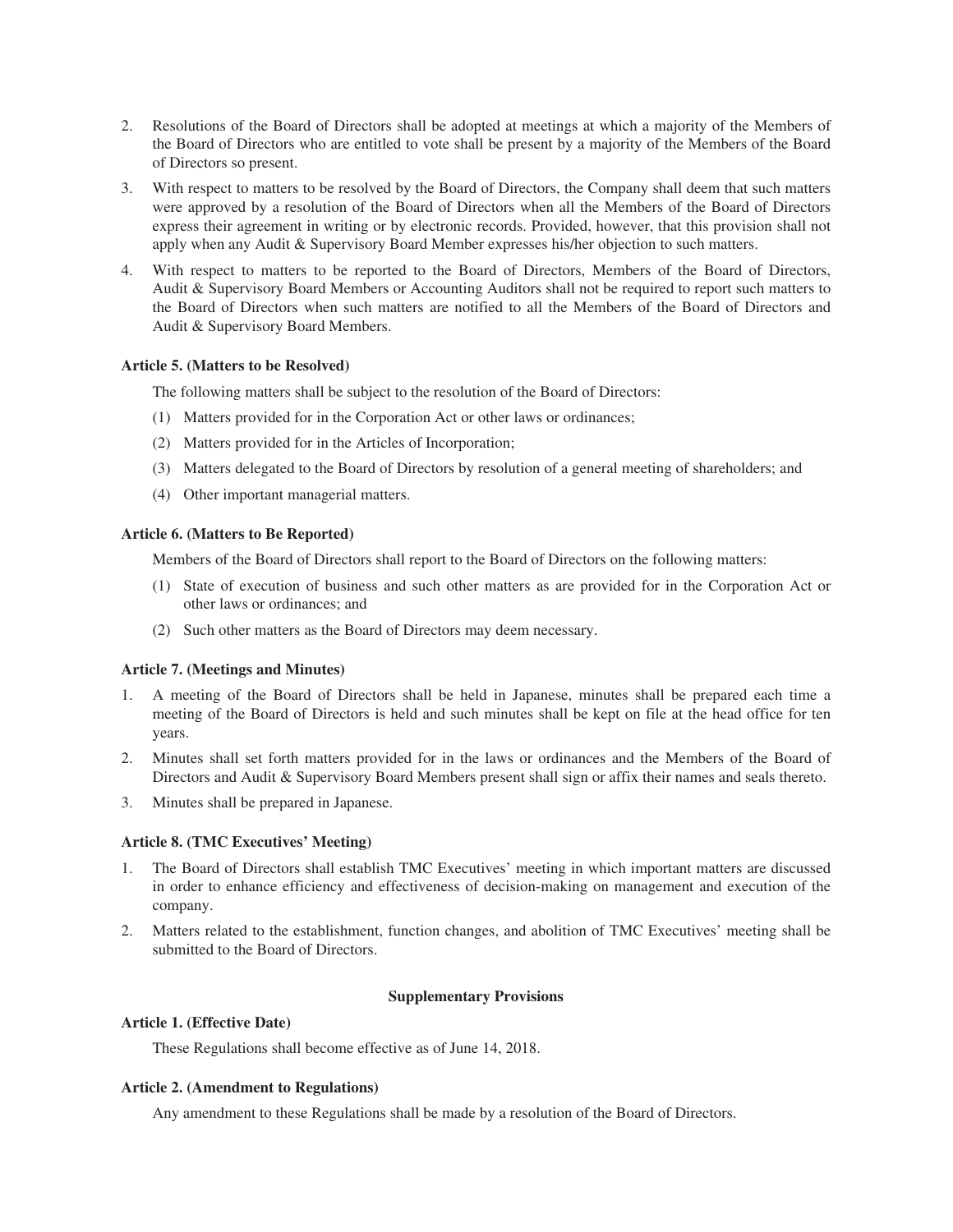- 2. Resolutions of the Board of Directors shall be adopted at meetings at which a majority of the Members of the Board of Directors who are entitled to vote shall be present by a majority of the Members of the Board of Directors so present.
- 3. With respect to matters to be resolved by the Board of Directors, the Company shall deem that such matters were approved by a resolution of the Board of Directors when all the Members of the Board of Directors express their agreement in writing or by electronic records. Provided, however, that this provision shall not apply when any Audit & Supervisory Board Member expresses his/her objection to such matters.
- 4. With respect to matters to be reported to the Board of Directors, Members of the Board of Directors, Audit & Supervisory Board Members or Accounting Auditors shall not be required to report such matters to the Board of Directors when such matters are notified to all the Members of the Board of Directors and Audit & Supervisory Board Members.

### **Article 5. (Matters to be Resolved)**

The following matters shall be subject to the resolution of the Board of Directors:

- (1) Matters provided for in the Corporation Act or other laws or ordinances;
- (2) Matters provided for in the Articles of Incorporation;
- (3) Matters delegated to the Board of Directors by resolution of a general meeting of shareholders; and
- (4) Other important managerial matters.

### **Article 6. (Matters to Be Reported)**

Members of the Board of Directors shall report to the Board of Directors on the following matters:

- (1) State of execution of business and such other matters as are provided for in the Corporation Act or other laws or ordinances; and
- (2) Such other matters as the Board of Directors may deem necessary.

## **Article 7. (Meetings and Minutes)**

- 1. A meeting of the Board of Directors shall be held in Japanese, minutes shall be prepared each time a meeting of the Board of Directors is held and such minutes shall be kept on file at the head office for ten years.
- 2. Minutes shall set forth matters provided for in the laws or ordinances and the Members of the Board of Directors and Audit & Supervisory Board Members present shall sign or affix their names and seals thereto.
- 3. Minutes shall be prepared in Japanese.

## **Article 8. (TMC Executives' Meeting)**

- 1. The Board of Directors shall establish TMC Executives' meeting in which important matters are discussed in order to enhance efficiency and effectiveness of decision-making on management and execution of the company.
- 2. Matters related to the establishment, function changes, and abolition of TMC Executives' meeting shall be submitted to the Board of Directors.

### **Supplementary Provisions**

### **Article 1. (Effective Date)**

These Regulations shall become effective as of June 14, 2018.

### **Article 2. (Amendment to Regulations)**

Any amendment to these Regulations shall be made by a resolution of the Board of Directors.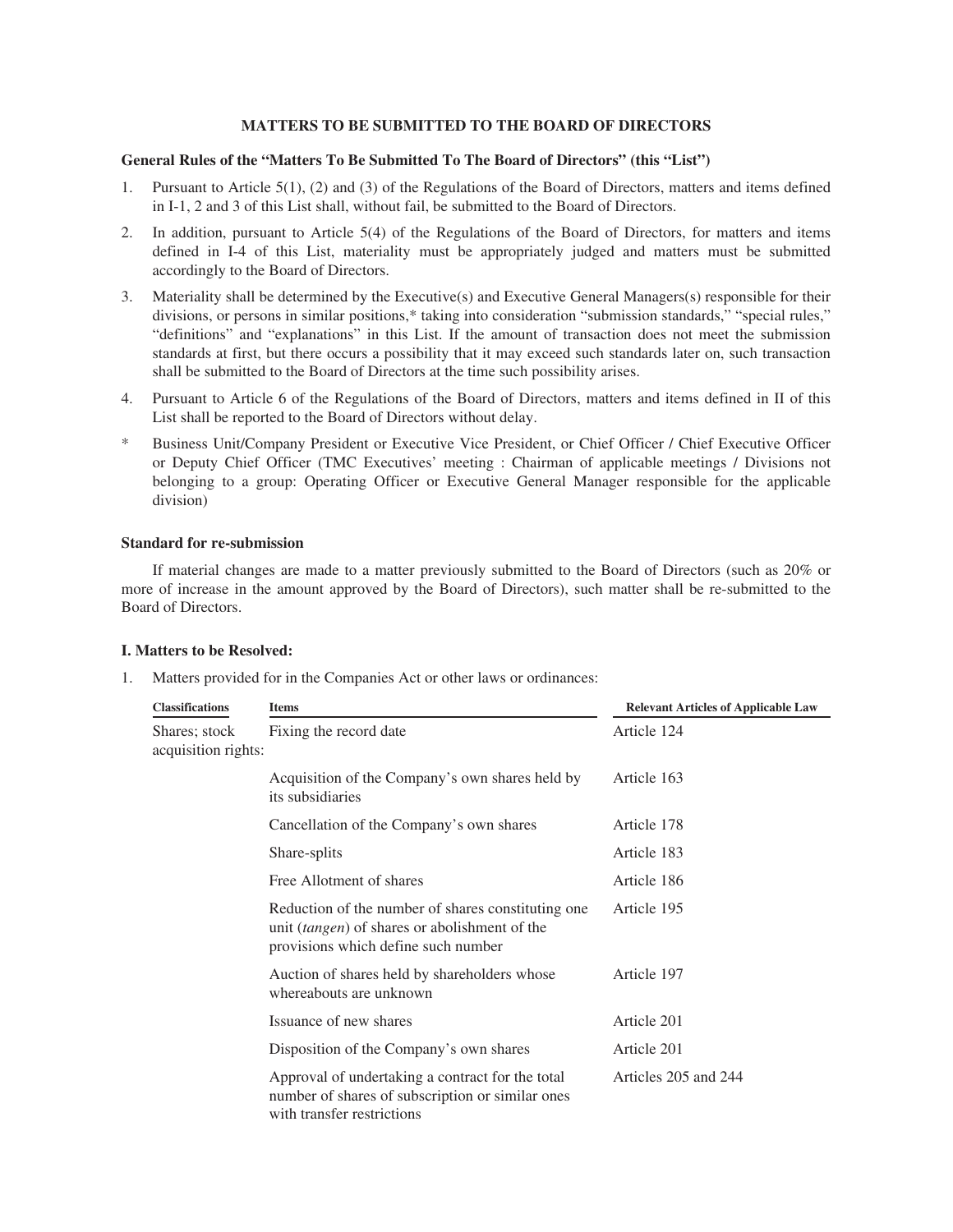### **MATTERS TO BE SUBMITTED TO THE BOARD OF DIRECTORS**

#### **General Rules of the "Matters To Be Submitted To The Board of Directors" (this "List")**

- 1. Pursuant to Article 5(1), (2) and (3) of the Regulations of the Board of Directors, matters and items defined in I-1, 2 and 3 of this List shall, without fail, be submitted to the Board of Directors.
- 2. In addition, pursuant to Article 5(4) of the Regulations of the Board of Directors, for matters and items defined in I-4 of this List, materiality must be appropriately judged and matters must be submitted accordingly to the Board of Directors.
- 3. Materiality shall be determined by the Executive(s) and Executive General Managers(s) responsible for their divisions, or persons in similar positions,\* taking into consideration "submission standards," "special rules," "definitions" and "explanations" in this List. If the amount of transaction does not meet the submission standards at first, but there occurs a possibility that it may exceed such standards later on, such transaction shall be submitted to the Board of Directors at the time such possibility arises.
- 4. Pursuant to Article 6 of the Regulations of the Board of Directors, matters and items defined in II of this List shall be reported to the Board of Directors without delay.
- \* Business Unit/Company President or Executive Vice President, or Chief Officer / Chief Executive Officer or Deputy Chief Officer (TMC Executives' meeting : Chairman of applicable meetings / Divisions not belonging to a group: Operating Officer or Executive General Manager responsible for the applicable division)

# **Standard for re-submission**

If material changes are made to a matter previously submitted to the Board of Directors (such as 20% or more of increase in the amount approved by the Board of Directors), such matter shall be re-submitted to the Board of Directors.

# **I. Matters to be Resolved:**

1. Matters provided for in the Companies Act or other laws or ordinances:

| <b>Classifications</b>               | <b>Items</b>                                                                                                                                | <b>Relevant Articles of Applicable Law</b> |
|--------------------------------------|---------------------------------------------------------------------------------------------------------------------------------------------|--------------------------------------------|
| Shares; stock<br>acquisition rights: | Fixing the record date                                                                                                                      | Article 124                                |
|                                      | Acquisition of the Company's own shares held by<br>its subsidiaries                                                                         | Article 163                                |
|                                      | Cancellation of the Company's own shares                                                                                                    | Article 178                                |
|                                      | Share-splits                                                                                                                                | Article 183                                |
|                                      | Free Allotment of shares                                                                                                                    | Article 186                                |
|                                      | Reduction of the number of shares constituting one.<br>unit (tangen) of shares or abolishment of the<br>provisions which define such number | Article 195                                |
|                                      | Auction of shares held by shareholders whose<br>whereabouts are unknown                                                                     | Article 197                                |
|                                      | Issuance of new shares                                                                                                                      | Article 201                                |
|                                      | Disposition of the Company's own shares                                                                                                     | Article 201                                |
|                                      | Approval of undertaking a contract for the total<br>number of shares of subscription or similar ones<br>with transfer restrictions          | Articles 205 and 244                       |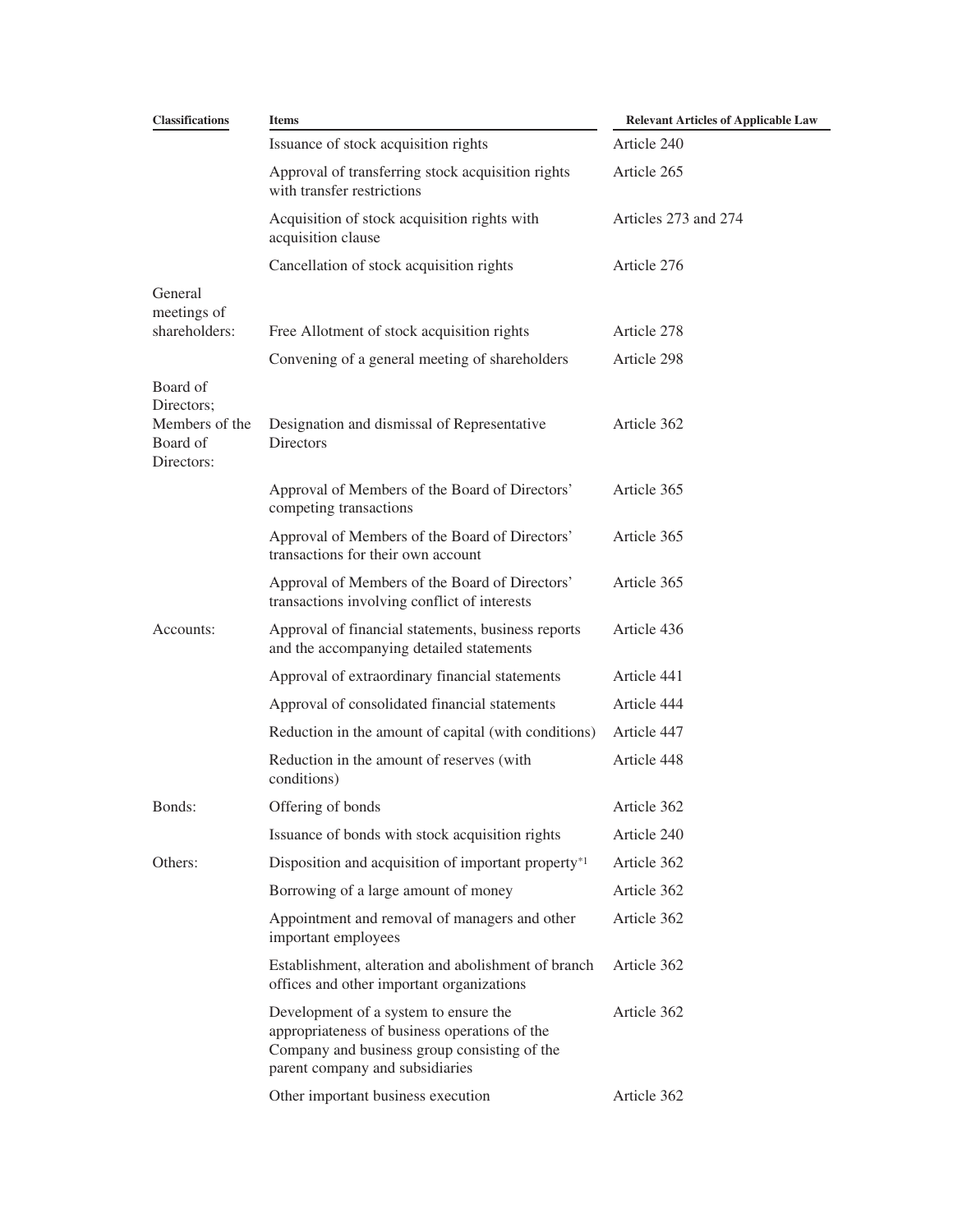| <b>Classifications</b>                   | <b>Items</b>                                                                                                                                                              | <b>Relevant Articles of Applicable Law</b> |
|------------------------------------------|---------------------------------------------------------------------------------------------------------------------------------------------------------------------------|--------------------------------------------|
|                                          | Issuance of stock acquisition rights                                                                                                                                      | Article 240                                |
|                                          | Approval of transferring stock acquisition rights<br>with transfer restrictions                                                                                           | Article 265                                |
|                                          | Acquisition of stock acquisition rights with<br>acquisition clause                                                                                                        | Articles 273 and 274                       |
|                                          | Cancellation of stock acquisition rights                                                                                                                                  | Article 276                                |
| General<br>meetings of                   |                                                                                                                                                                           |                                            |
| shareholders:                            | Free Allotment of stock acquisition rights                                                                                                                                | Article 278                                |
|                                          | Convening of a general meeting of shareholders                                                                                                                            | Article 298                                |
| Board of<br>Directors;                   |                                                                                                                                                                           |                                            |
| Members of the<br>Board of<br>Directors: | Designation and dismissal of Representative<br><b>Directors</b>                                                                                                           | Article 362                                |
|                                          | Approval of Members of the Board of Directors'<br>competing transactions                                                                                                  | Article 365                                |
|                                          | Approval of Members of the Board of Directors'<br>transactions for their own account                                                                                      | Article 365                                |
|                                          | Approval of Members of the Board of Directors'<br>transactions involving conflict of interests                                                                            | Article 365                                |
| Accounts:                                | Approval of financial statements, business reports<br>and the accompanying detailed statements                                                                            | Article 436                                |
|                                          | Approval of extraordinary financial statements                                                                                                                            | Article 441                                |
|                                          | Approval of consolidated financial statements                                                                                                                             | Article 444                                |
|                                          | Reduction in the amount of capital (with conditions)                                                                                                                      | Article 447                                |
|                                          | Reduction in the amount of reserves (with<br>conditions)                                                                                                                  | Article 448                                |
| Bonds:                                   | Offering of bonds                                                                                                                                                         | Article 362                                |
|                                          | Issuance of bonds with stock acquisition rights                                                                                                                           | Article 240                                |
| Others:                                  | Disposition and acquisition of important property $*1$                                                                                                                    | Article 362                                |
|                                          | Borrowing of a large amount of money                                                                                                                                      | Article 362                                |
|                                          | Appointment and removal of managers and other<br>important employees                                                                                                      | Article 362                                |
|                                          | Establishment, alteration and abolishment of branch<br>offices and other important organizations                                                                          | Article 362                                |
|                                          | Development of a system to ensure the<br>appropriateness of business operations of the<br>Company and business group consisting of the<br>parent company and subsidiaries | Article 362                                |
|                                          | Other important business execution                                                                                                                                        | Article 362                                |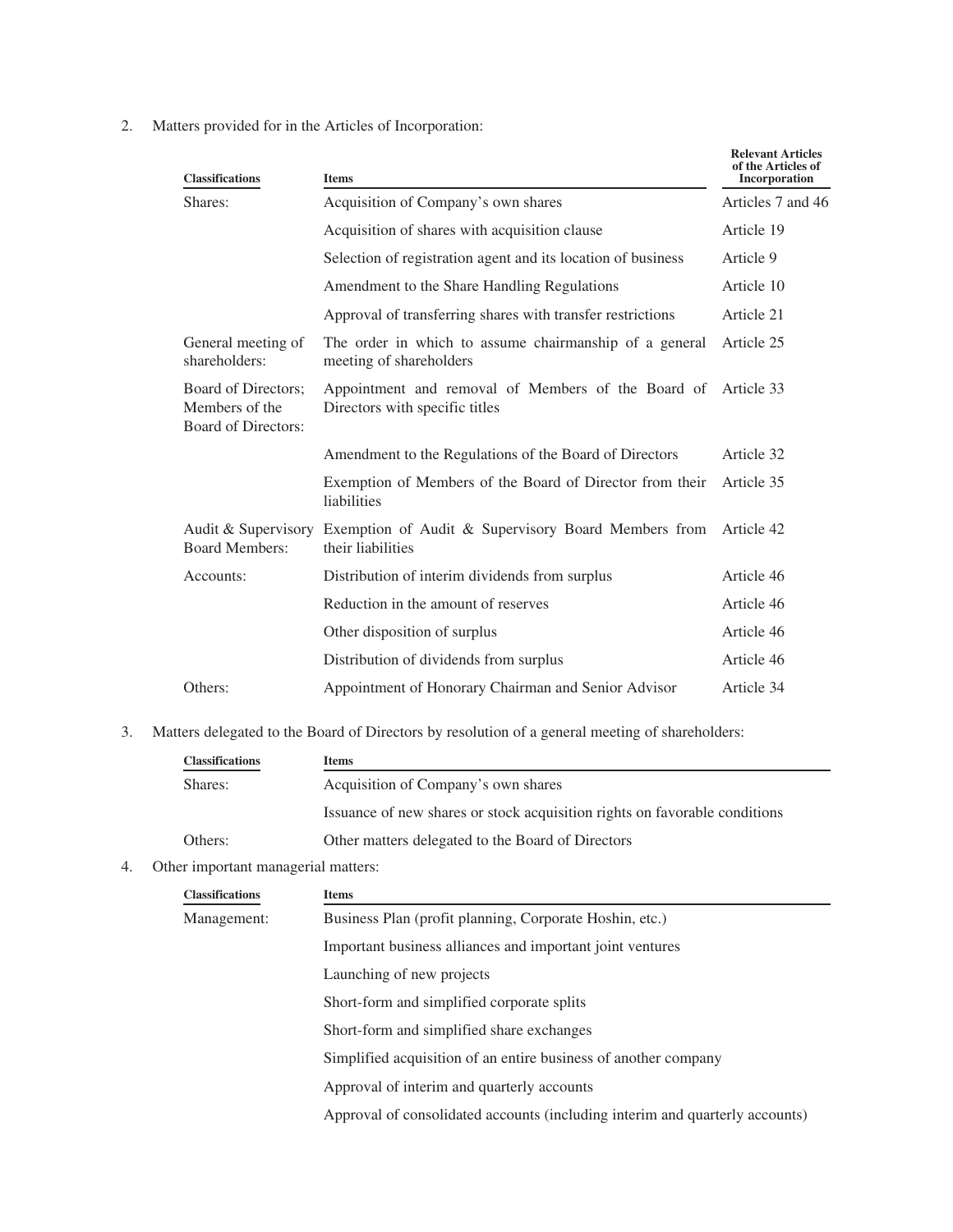2. Matters provided for in the Articles of Incorporation:

| <b>Classifications</b>                                              | <b>Items</b>                                                                                 | <b>Relevant Articles</b><br>of the Articles of<br><b>Incorporation</b> |
|---------------------------------------------------------------------|----------------------------------------------------------------------------------------------|------------------------------------------------------------------------|
| Shares:                                                             | Acquisition of Company's own shares                                                          | Articles 7 and 46                                                      |
|                                                                     | Acquisition of shares with acquisition clause                                                | Article 19                                                             |
|                                                                     | Selection of registration agent and its location of business                                 | Article 9                                                              |
|                                                                     | Amendment to the Share Handling Regulations                                                  | Article 10                                                             |
|                                                                     | Approval of transferring shares with transfer restrictions                                   | Article 21                                                             |
| General meeting of<br>shareholders:                                 | The order in which to assume chairmanship of a general<br>meeting of shareholders            | Article 25                                                             |
| Board of Directors;<br>Members of the<br><b>Board of Directors:</b> | Appointment and removal of Members of the Board of<br>Directors with specific titles         | Article 33                                                             |
|                                                                     | Amendment to the Regulations of the Board of Directors                                       | Article 32                                                             |
|                                                                     | Exemption of Members of the Board of Director from their<br>liabilities                      | Article 35                                                             |
| <b>Board Members:</b>                                               | Audit & Supervisory Exemption of Audit & Supervisory Board Members from<br>their liabilities | Article 42                                                             |
| Accounts:                                                           | Distribution of interim dividends from surplus                                               | Article 46                                                             |
|                                                                     | Reduction in the amount of reserves                                                          | Article 46                                                             |
|                                                                     | Other disposition of surplus                                                                 | Article 46                                                             |
|                                                                     | Distribution of dividends from surplus                                                       | Article 46                                                             |
| Others:                                                             | Appointment of Honorary Chairman and Senior Advisor                                          | Article 34                                                             |

# 3. Matters delegated to the Board of Directors by resolution of a general meeting of shareholders:

| <b>Classifications</b> | <b>Items</b>                                                               |  |
|------------------------|----------------------------------------------------------------------------|--|
| Shares:                | Acquisition of Company's own shares                                        |  |
|                        | Issuance of new shares or stock acquisition rights on favorable conditions |  |
| Others:                | Other matters delegated to the Board of Directors                          |  |

4. Other important managerial matters:

| <b>Classifications</b> | <b>Items</b>                                                                 |
|------------------------|------------------------------------------------------------------------------|
| Management:            | Business Plan (profit planning, Corporate Hoshin, etc.)                      |
|                        | Important business alliances and important joint ventures                    |
|                        | Launching of new projects                                                    |
|                        | Short-form and simplified corporate splits                                   |
|                        | Short-form and simplified share exchanges                                    |
|                        | Simplified acquisition of an entire business of another company              |
|                        | Approval of interim and quarterly accounts                                   |
|                        | Approval of consolidated accounts (including interim and quarterly accounts) |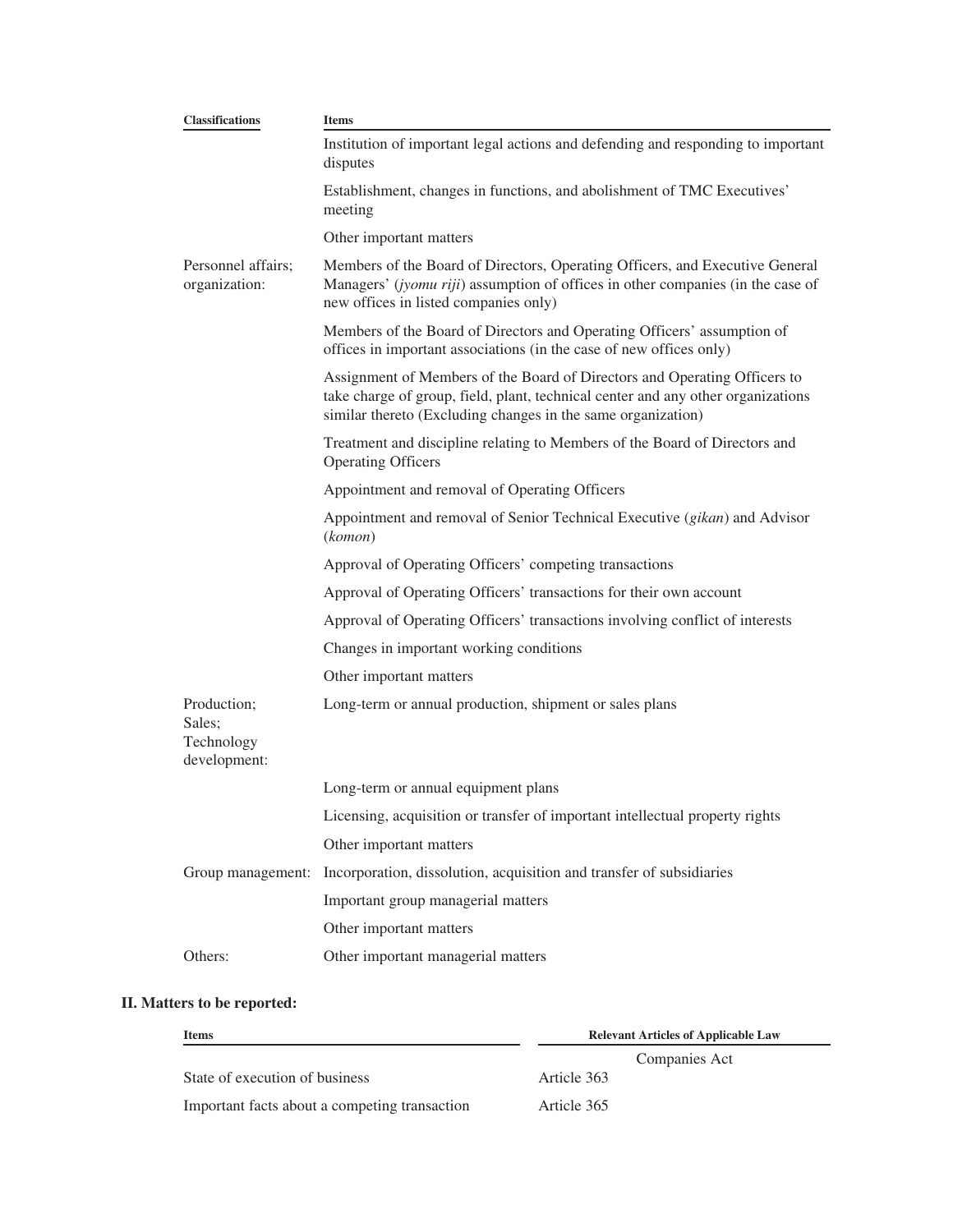| <b>Classifications</b>                              | <b>Items</b>                                                                                                                                                                                                                  |
|-----------------------------------------------------|-------------------------------------------------------------------------------------------------------------------------------------------------------------------------------------------------------------------------------|
|                                                     | Institution of important legal actions and defending and responding to important<br>disputes                                                                                                                                  |
|                                                     | Establishment, changes in functions, and abolishment of TMC Executives'<br>meeting                                                                                                                                            |
|                                                     | Other important matters                                                                                                                                                                                                       |
| Personnel affairs;<br>organization:                 | Members of the Board of Directors, Operating Officers, and Executive General<br>Managers' (jyomu riji) assumption of offices in other companies (in the case of<br>new offices in listed companies only)                      |
|                                                     | Members of the Board of Directors and Operating Officers' assumption of<br>offices in important associations (in the case of new offices only)                                                                                |
|                                                     | Assignment of Members of the Board of Directors and Operating Officers to<br>take charge of group, field, plant, technical center and any other organizations<br>similar thereto (Excluding changes in the same organization) |
|                                                     | Treatment and discipline relating to Members of the Board of Directors and<br><b>Operating Officers</b>                                                                                                                       |
|                                                     | Appointment and removal of Operating Officers                                                                                                                                                                                 |
|                                                     | Appointment and removal of Senior Technical Executive (gikan) and Advisor<br>(komon)                                                                                                                                          |
|                                                     | Approval of Operating Officers' competing transactions                                                                                                                                                                        |
|                                                     | Approval of Operating Officers' transactions for their own account                                                                                                                                                            |
|                                                     | Approval of Operating Officers' transactions involving conflict of interests                                                                                                                                                  |
|                                                     | Changes in important working conditions                                                                                                                                                                                       |
|                                                     | Other important matters                                                                                                                                                                                                       |
| Production;<br>Sales;<br>Technology<br>development: | Long-term or annual production, shipment or sales plans                                                                                                                                                                       |
|                                                     | Long-term or annual equipment plans                                                                                                                                                                                           |
|                                                     | Licensing, acquisition or transfer of important intellectual property rights                                                                                                                                                  |
|                                                     | Other important matters                                                                                                                                                                                                       |
| Group management:                                   | Incorporation, dissolution, acquisition and transfer of subsidiaries                                                                                                                                                          |
|                                                     | Important group managerial matters                                                                                                                                                                                            |
|                                                     | Other important matters                                                                                                                                                                                                       |
| Others:                                             | Other important managerial matters                                                                                                                                                                                            |

# **II. Matters to be reported:**

| <b>Items</b>                                  | <b>Relevant Articles of Applicable Law</b> |               |
|-----------------------------------------------|--------------------------------------------|---------------|
|                                               |                                            | Companies Act |
| State of execution of business                | Article 363                                |               |
| Important facts about a competing transaction | Article 365                                |               |

-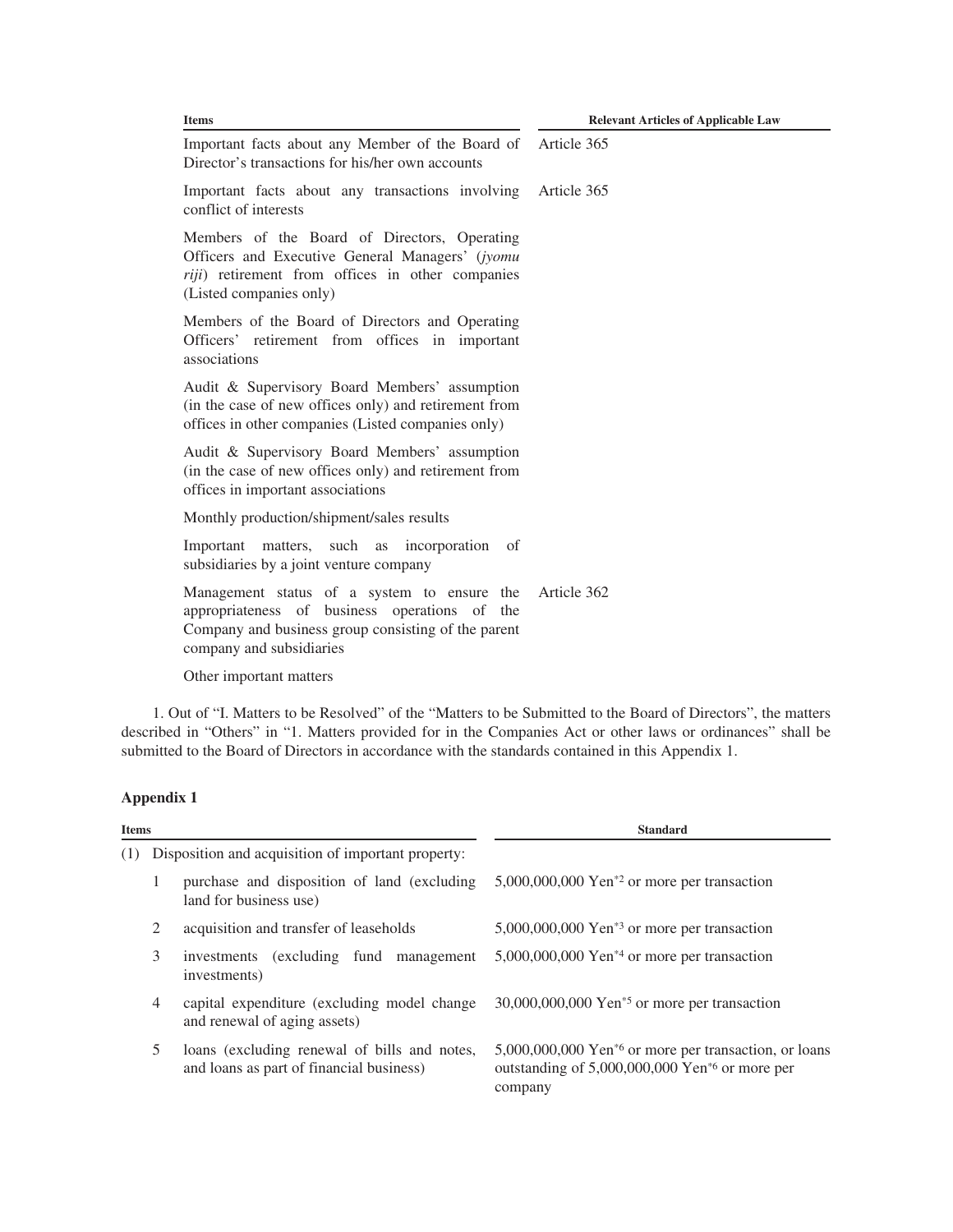| <b>Items</b>                                                                                                                                                                    | <b>Relevant Articles of Applicable Law</b> |
|---------------------------------------------------------------------------------------------------------------------------------------------------------------------------------|--------------------------------------------|
| Important facts about any Member of the Board of<br>Director's transactions for his/her own accounts                                                                            | Article 365                                |
| Important facts about any transactions involving<br>conflict of interests                                                                                                       | Article 365                                |
| Members of the Board of Directors, Operating<br>Officers and Executive General Managers' (jyomu<br>riji) retirement from offices in other companies<br>(Listed companies only)  |                                            |
| Members of the Board of Directors and Operating<br>Officers' retirement from offices in important<br>associations                                                               |                                            |
| Audit & Supervisory Board Members' assumption<br>(in the case of new offices only) and retirement from<br>offices in other companies (Listed companies only)                    |                                            |
| Audit & Supervisory Board Members' assumption<br>(in the case of new offices only) and retirement from<br>offices in important associations                                     |                                            |
| Monthly production/shipment/sales results                                                                                                                                       |                                            |
| Important matters, such as incorporation of<br>subsidiaries by a joint venture company                                                                                          |                                            |
| Management status of a system to ensure the<br>appropriateness of business operations of the<br>Company and business group consisting of the parent<br>company and subsidiaries | Article 362                                |
| Other important matters                                                                                                                                                         |                                            |
|                                                                                                                                                                                 |                                            |

1. Out of "I. Matters to be Resolved" of the "Matters to be Submitted to the Board of Directors", the matters described in "Others" in "1. Matters provided for in the Companies Act or other laws or ordinances" shall be submitted to the Board of Directors in accordance with the standards contained in this Appendix 1.

| <b>Items</b> |                                                    |                                                                                          | <b>Standard</b>                                                                                                                                |  |
|--------------|----------------------------------------------------|------------------------------------------------------------------------------------------|------------------------------------------------------------------------------------------------------------------------------------------------|--|
| (1)          | Disposition and acquisition of important property: |                                                                                          |                                                                                                                                                |  |
|              | 1                                                  | purchase and disposition of land (excluding)<br>land for business use)                   | $5,000,000,000$ Yen <sup>*2</sup> or more per transaction                                                                                      |  |
|              | 2                                                  | acquisition and transfer of leaseholds                                                   | $5,000,000,000$ Yen <sup>*3</sup> or more per transaction                                                                                      |  |
|              | 3                                                  | (excluding fund management<br>investments<br>investments)                                | $5,000,000,000$ Yen <sup>*4</sup> or more per transaction                                                                                      |  |
|              | 4                                                  | capital expenditure (excluding model change)<br>and renewal of aging assets)             | $30,000,000,000$ Yen <sup>*5</sup> or more per transaction                                                                                     |  |
|              | 5                                                  | loans (excluding renewal of bills and notes,<br>and loans as part of financial business) | $5,000,000,000$ Yen <sup>*6</sup> or more per transaction, or loans<br>outstanding of $5,000,000,000$ Yen <sup>*6</sup> or more per<br>company |  |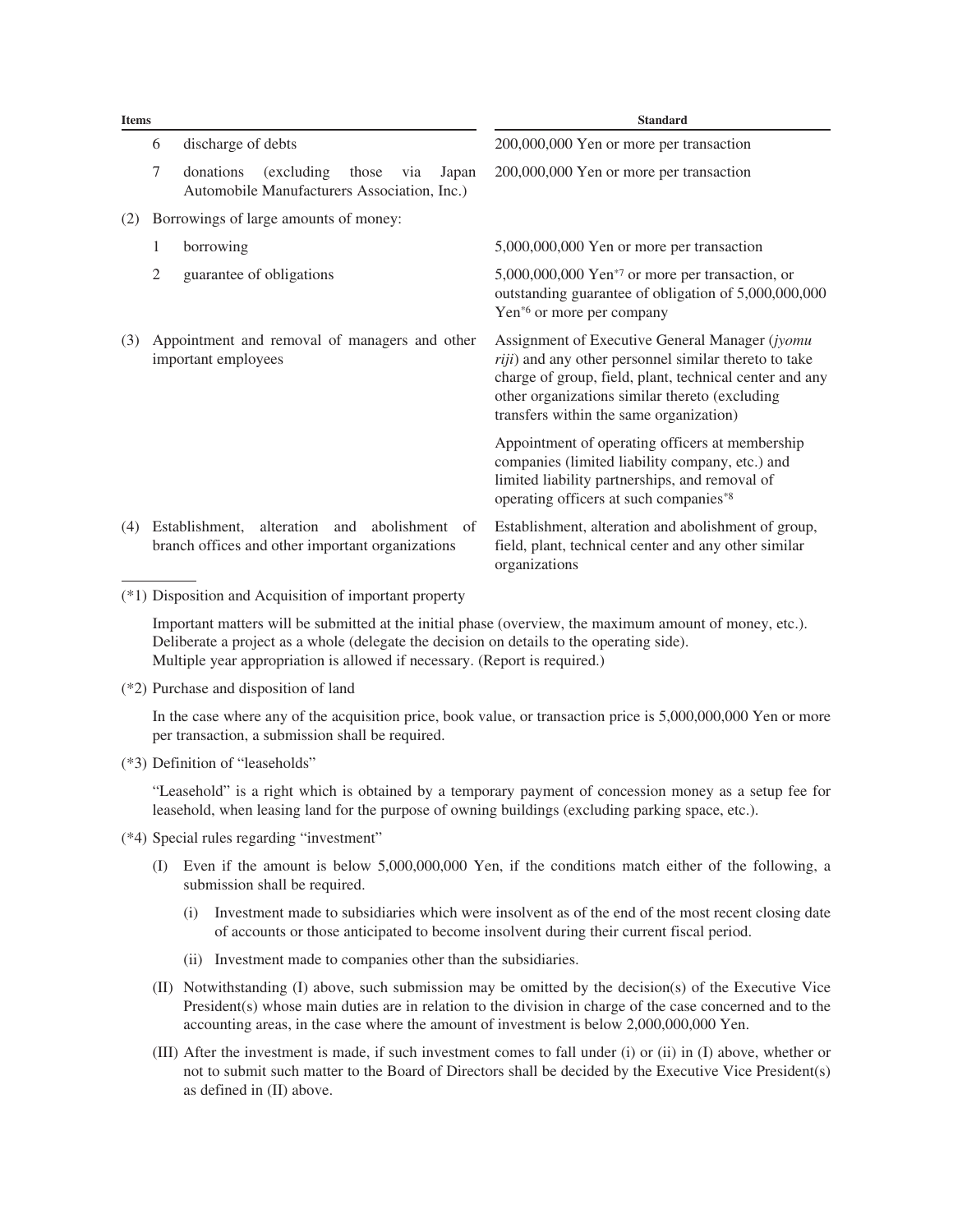| <b>Items</b> |                                                                      |                                                                                                           | <b>Standard</b>                                                                                                                                                                                                                                                         |  |
|--------------|----------------------------------------------------------------------|-----------------------------------------------------------------------------------------------------------|-------------------------------------------------------------------------------------------------------------------------------------------------------------------------------------------------------------------------------------------------------------------------|--|
|              | 6                                                                    | discharge of debts                                                                                        | 200,000,000 Yen or more per transaction                                                                                                                                                                                                                                 |  |
|              | 7                                                                    | donations<br>(excluding<br>those<br>Japan<br>via<br>Automobile Manufacturers Association, Inc.)           | 200,000,000 Yen or more per transaction                                                                                                                                                                                                                                 |  |
| (2)          |                                                                      | Borrowings of large amounts of money:                                                                     |                                                                                                                                                                                                                                                                         |  |
|              | 1                                                                    | borrowing                                                                                                 | 5,000,000,000 Yen or more per transaction                                                                                                                                                                                                                               |  |
|              | $\overline{2}$                                                       | guarantee of obligations                                                                                  | $5,000,000,000$ Yen <sup>*7</sup> or more per transaction, or<br>outstanding guarantee of obligation of 5,000,000,000<br>Yen <sup>*6</sup> or more per company                                                                                                          |  |
| (3)          | Appointment and removal of managers and other<br>important employees |                                                                                                           | Assignment of Executive General Manager ( <i>jyomu</i><br>riji) and any other personnel similar thereto to take<br>charge of group, field, plant, technical center and any<br>other organizations similar thereto (excluding<br>transfers within the same organization) |  |
|              |                                                                      |                                                                                                           | Appointment of operating officers at membership<br>companies (limited liability company, etc.) and<br>limited liability partnerships, and removal of<br>operating officers at such companies*8                                                                          |  |
| (4)          |                                                                      | Establishment,<br>alteration<br>abolishment of<br>and<br>branch offices and other important organizations | Establishment, alteration and abolishment of group,<br>field, plant, technical center and any other similar<br>organizations                                                                                                                                            |  |

# (\*1) Disposition and Acquisition of important property

Important matters will be submitted at the initial phase (overview, the maximum amount of money, etc.). Deliberate a project as a whole (delegate the decision on details to the operating side). Multiple year appropriation is allowed if necessary. (Report is required.)

(\*2) Purchase and disposition of land

In the case where any of the acquisition price, book value, or transaction price is 5,000,000,000 Yen or more per transaction, a submission shall be required.

(\*3) Definition of "leaseholds"

"Leasehold" is a right which is obtained by a temporary payment of concession money as a setup fee for leasehold, when leasing land for the purpose of owning buildings (excluding parking space, etc.).

- (\*4) Special rules regarding "investment"
	- (I) Even if the amount is below 5,000,000,000 Yen, if the conditions match either of the following, a submission shall be required.
		- (i) Investment made to subsidiaries which were insolvent as of the end of the most recent closing date of accounts or those anticipated to become insolvent during their current fiscal period.
		- (ii) Investment made to companies other than the subsidiaries.
	- (II) Notwithstanding (I) above, such submission may be omitted by the decision(s) of the Executive Vice President(s) whose main duties are in relation to the division in charge of the case concerned and to the accounting areas, in the case where the amount of investment is below 2,000,000,000 Yen.
	- (III) After the investment is made, if such investment comes to fall under (i) or (ii) in (I) above, whether or not to submit such matter to the Board of Directors shall be decided by the Executive Vice President(s) as defined in (II) above.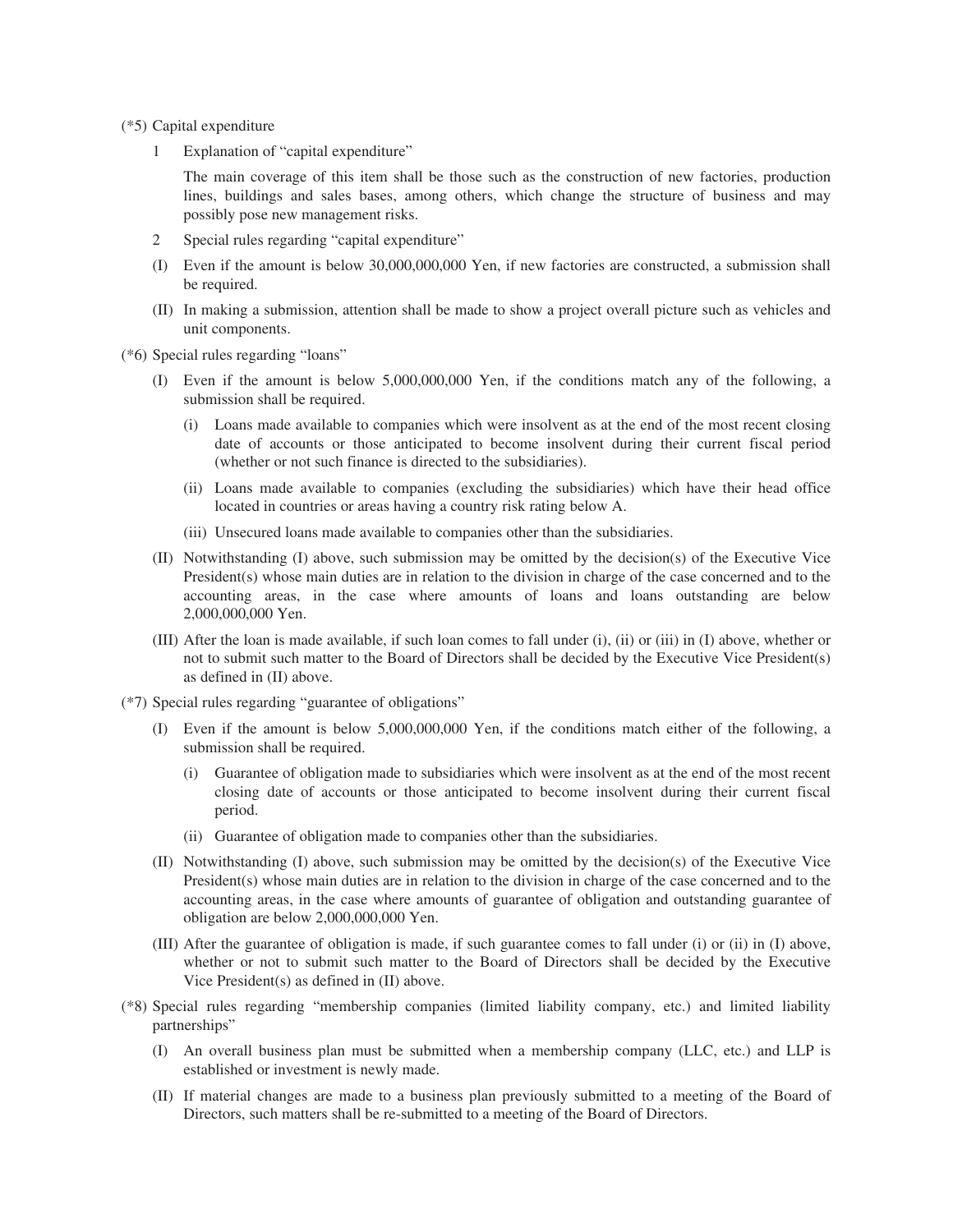- (\*5) Capital expenditure
	- 1 Explanation of "capital expenditure"

The main coverage of this item shall be those such as the construction of new factories, production lines, buildings and sales bases, among others, which change the structure of business and may possibly pose new management risks.

- 2 Special rules regarding "capital expenditure"
- (I) Even if the amount is below 30,000,000,000 Yen, if new factories are constructed, a submission shall be required.
- (II) In making a submission, attention shall be made to show a project overall picture such as vehicles and unit components.
- (\*6) Special rules regarding "loans"
	- (I) Even if the amount is below 5,000,000,000 Yen, if the conditions match any of the following, a submission shall be required.
		- (i) Loans made available to companies which were insolvent as at the end of the most recent closing date of accounts or those anticipated to become insolvent during their current fiscal period (whether or not such finance is directed to the subsidiaries).
		- (ii) Loans made available to companies (excluding the subsidiaries) which have their head office located in countries or areas having a country risk rating below A.
		- (iii) Unsecured loans made available to companies other than the subsidiaries.
	- (II) Notwithstanding (I) above, such submission may be omitted by the decision(s) of the Executive Vice President(s) whose main duties are in relation to the division in charge of the case concerned and to the accounting areas, in the case where amounts of loans and loans outstanding are below 2,000,000,000 Yen.
	- (III) After the loan is made available, if such loan comes to fall under (i), (ii) or (iii) in (I) above, whether or not to submit such matter to the Board of Directors shall be decided by the Executive Vice President(s) as defined in (II) above.
- (\*7) Special rules regarding "guarantee of obligations"
	- (I) Even if the amount is below 5,000,000,000 Yen, if the conditions match either of the following, a submission shall be required.
		- (i) Guarantee of obligation made to subsidiaries which were insolvent as at the end of the most recent closing date of accounts or those anticipated to become insolvent during their current fiscal period.
		- (ii) Guarantee of obligation made to companies other than the subsidiaries.
	- (II) Notwithstanding (I) above, such submission may be omitted by the decision(s) of the Executive Vice President(s) whose main duties are in relation to the division in charge of the case concerned and to the accounting areas, in the case where amounts of guarantee of obligation and outstanding guarantee of obligation are below 2,000,000,000 Yen.
	- (III) After the guarantee of obligation is made, if such guarantee comes to fall under (i) or (ii) in (I) above, whether or not to submit such matter to the Board of Directors shall be decided by the Executive Vice President(s) as defined in (II) above.
- (\*8) Special rules regarding "membership companies (limited liability company, etc.) and limited liability partnerships"
	- (I) An overall business plan must be submitted when a membership company (LLC, etc.) and LLP is established or investment is newly made.
	- (II) If material changes are made to a business plan previously submitted to a meeting of the Board of Directors, such matters shall be re-submitted to a meeting of the Board of Directors.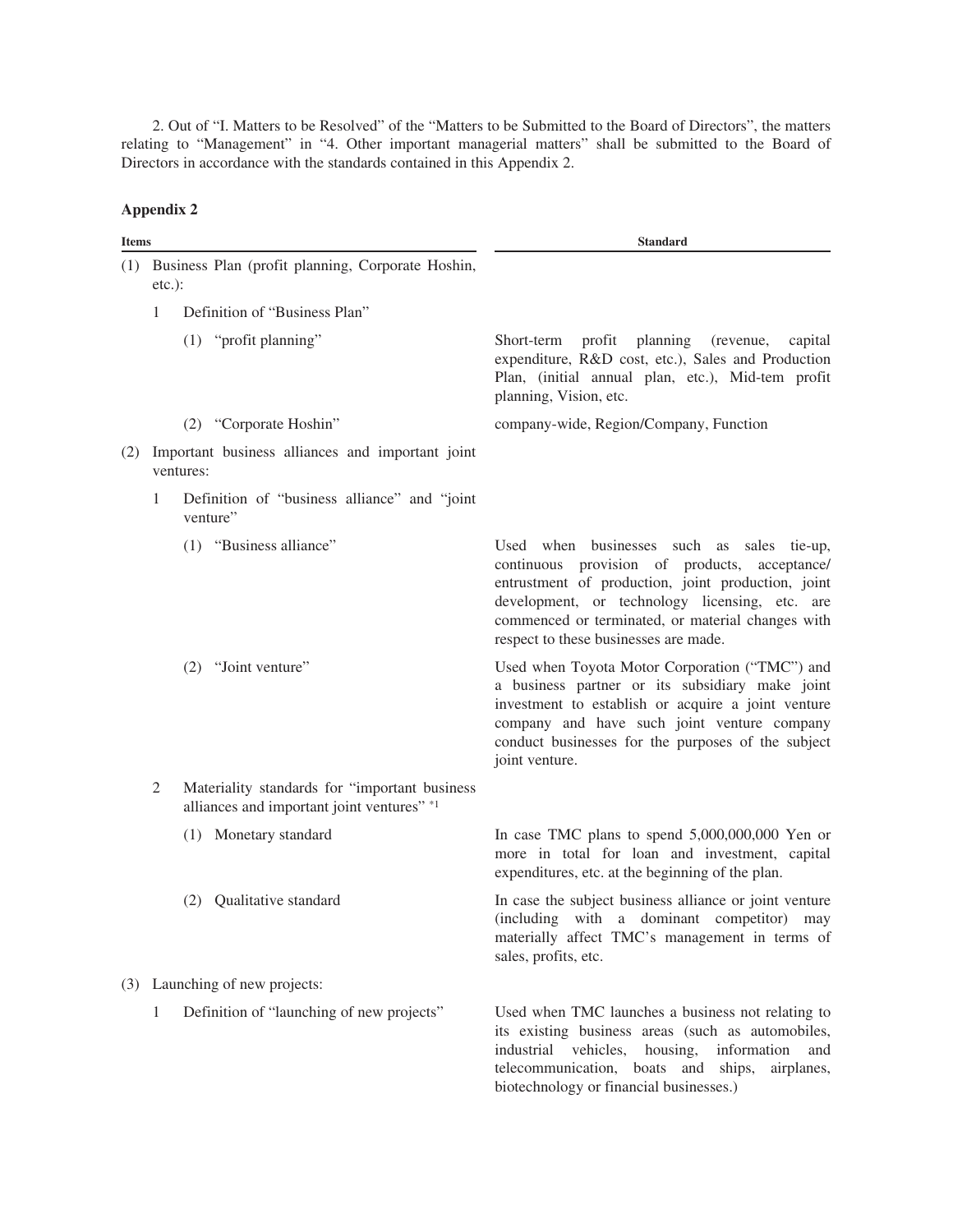2. Out of "I. Matters to be Resolved" of the "Matters to be Submitted to the Board of Directors", the matters relating to "Management" in "4. Other important managerial matters" shall be submitted to the Board of Directors in accordance with the standards contained in this Appendix 2.

| <b>Items</b> |                                                                                                  | <b>Standard</b>                                                                                                                                                                                                                                                                                   |  |
|--------------|--------------------------------------------------------------------------------------------------|---------------------------------------------------------------------------------------------------------------------------------------------------------------------------------------------------------------------------------------------------------------------------------------------------|--|
| (1)          | Business Plan (profit planning, Corporate Hoshin,<br>$etc.$ ):                                   |                                                                                                                                                                                                                                                                                                   |  |
|              | Definition of "Business Plan"<br>1                                                               |                                                                                                                                                                                                                                                                                                   |  |
|              | (1) "profit planning"                                                                            | profit planning<br>(revenue,<br>Short-term<br>capital<br>expenditure, R&D cost, etc.), Sales and Production<br>Plan, (initial annual plan, etc.), Mid-tem profit<br>planning, Vision, etc.                                                                                                        |  |
|              | "Corporate Hoshin"<br>(2)                                                                        | company-wide, Region/Company, Function                                                                                                                                                                                                                                                            |  |
| (2)          | Important business alliances and important joint<br>ventures:                                    |                                                                                                                                                                                                                                                                                                   |  |
|              | Definition of "business alliance" and "joint<br>1<br>venture"                                    |                                                                                                                                                                                                                                                                                                   |  |
|              | (1) "Business alliance"                                                                          | Used when businesses such as sales tie-up,<br>continuous provision of products, acceptance/<br>entrustment of production, joint production, joint<br>development, or technology licensing, etc. are<br>commenced or terminated, or material changes with<br>respect to these businesses are made. |  |
|              | (2) "Joint venture"                                                                              | Used when Toyota Motor Corporation ("TMC") and<br>a business partner or its subsidiary make joint<br>investment to establish or acquire a joint venture<br>company and have such joint venture company<br>conduct businesses for the purposes of the subject<br>joint venture.                    |  |
|              | 2<br>Materiality standards for "important business<br>alliances and important joint ventures" *1 |                                                                                                                                                                                                                                                                                                   |  |
|              | (1) Monetary standard                                                                            | In case TMC plans to spend 5,000,000,000 Yen or<br>more in total for loan and investment, capital<br>expenditures, etc. at the beginning of the plan.                                                                                                                                             |  |
|              | Qualitative standard<br>(2)                                                                      | In case the subject business alliance or joint venture<br>(including with a dominant competitor)<br>may<br>materially affect TMC's management in terms of<br>sales, profits, etc.                                                                                                                 |  |
|              | (3) Launching of new projects:                                                                   |                                                                                                                                                                                                                                                                                                   |  |
|              | Definition of "launching of new projects"<br>1                                                   | Used when TMC launches a business not relating to<br>its existing business areas (such as automobiles,<br>industrial vehicles, housing, information<br>and<br>telecommunication, boats and ships,<br>airplanes,<br>biotechnology or financial businesses.)                                        |  |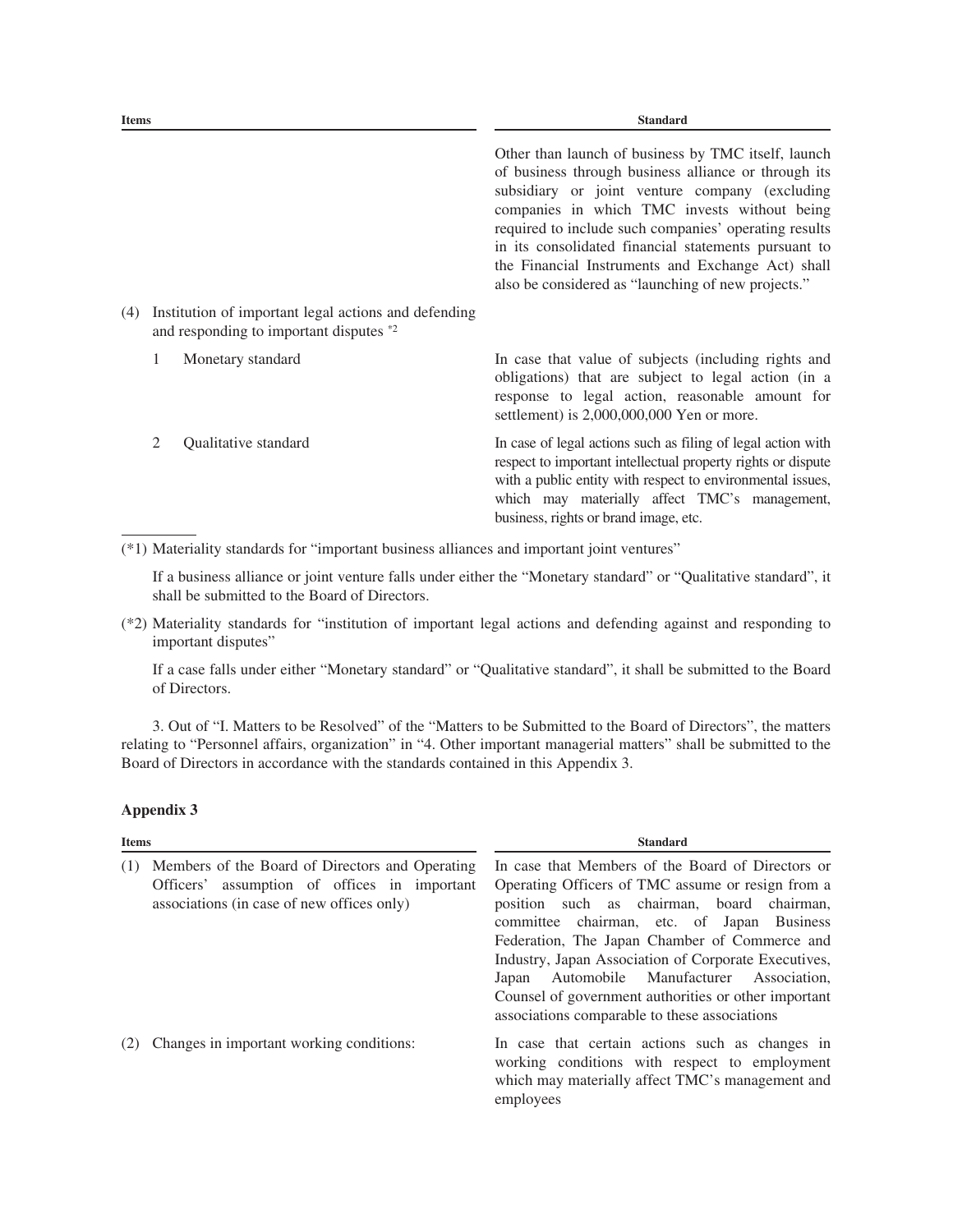| <b>Items</b> |   |                                                                                                 | <b>Standard</b>                                                                                                                                                                                                                                                                                                                                                                                                                           |  |
|--------------|---|-------------------------------------------------------------------------------------------------|-------------------------------------------------------------------------------------------------------------------------------------------------------------------------------------------------------------------------------------------------------------------------------------------------------------------------------------------------------------------------------------------------------------------------------------------|--|
|              |   |                                                                                                 | Other than launch of business by TMC itself, launch<br>of business through business alliance or through its<br>subsidiary or joint venture company (excluding<br>companies in which TMC invests without being<br>required to include such companies' operating results<br>in its consolidated financial statements pursuant to<br>the Financial Instruments and Exchange Act) shall<br>also be considered as "launching of new projects." |  |
| (4)          |   | Institution of important legal actions and defending<br>and responding to important disputes *2 |                                                                                                                                                                                                                                                                                                                                                                                                                                           |  |
|              | 1 | Monetary standard                                                                               | In case that value of subjects (including rights and<br>obligations) that are subject to legal action (in a<br>response to legal action, reasonable amount for<br>settlement) is 2,000,000,000 Yen or more.                                                                                                                                                                                                                               |  |
|              | 2 | Qualitative standard                                                                            | In case of legal actions such as filing of legal action with<br>respect to important intellectual property rights or dispute<br>with a public entity with respect to environmental issues,<br>which may materially affect TMC's management,<br>business, rights or brand image, etc.                                                                                                                                                      |  |

(\*1) Materiality standards for "important business alliances and important joint ventures"

If a business alliance or joint venture falls under either the "Monetary standard" or "Qualitative standard", it shall be submitted to the Board of Directors.

(\*2) Materiality standards for "institution of important legal actions and defending against and responding to important disputes"

If a case falls under either "Monetary standard" or "Qualitative standard", it shall be submitted to the Board of Directors.

3. Out of "I. Matters to be Resolved" of the "Matters to be Submitted to the Board of Directors", the matters relating to "Personnel affairs, organization" in "4. Other important managerial matters" shall be submitted to the Board of Directors in accordance with the standards contained in this Appendix 3.

| <b>Items</b> |                                                                                                                                               | <b>Standard</b>                                                                                                                                                                                                                                                                                                                                                                                                                                                       |  |
|--------------|-----------------------------------------------------------------------------------------------------------------------------------------------|-----------------------------------------------------------------------------------------------------------------------------------------------------------------------------------------------------------------------------------------------------------------------------------------------------------------------------------------------------------------------------------------------------------------------------------------------------------------------|--|
| (1)          | Members of the Board of Directors and Operating<br>Officers' assumption of offices in important<br>associations (in case of new offices only) | In case that Members of the Board of Directors or<br>Operating Officers of TMC assume or resign from a<br>position such as chairman, board chairman,<br>committee chairman, etc. of Japan Business<br>Federation, The Japan Chamber of Commerce and<br>Industry, Japan Association of Corporate Executives,<br>Automobile Manufacturer Association,<br>Japan<br>Counsel of government authorities or other important<br>associations comparable to these associations |  |
| (2)          | Changes in important working conditions:                                                                                                      | In case that certain actions such as changes in<br>working conditions with respect to employment<br>which may materially affect TMC's management and<br>employees                                                                                                                                                                                                                                                                                                     |  |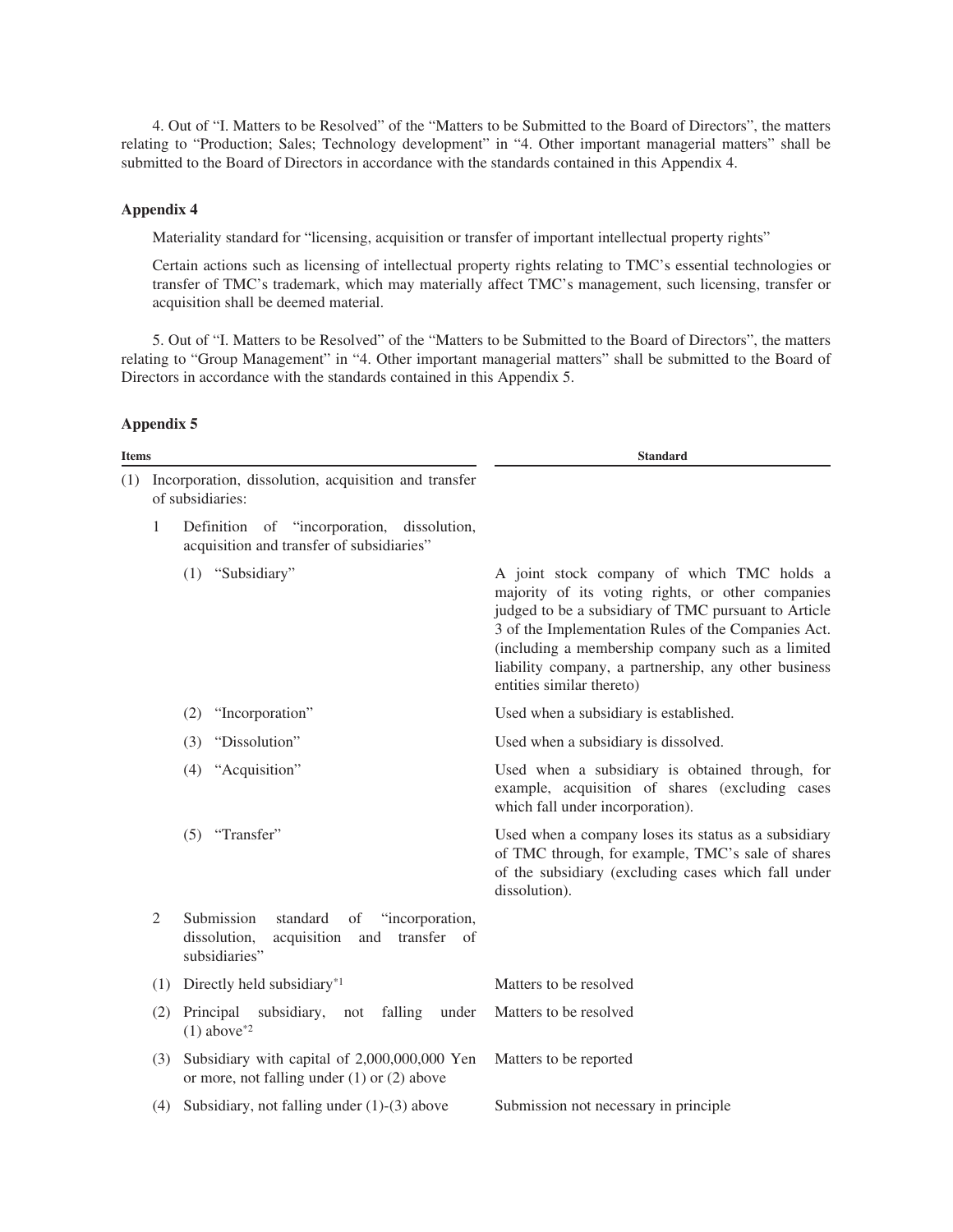4. Out of "I. Matters to be Resolved" of the "Matters to be Submitted to the Board of Directors", the matters relating to "Production; Sales; Technology development" in "4. Other important managerial matters" shall be submitted to the Board of Directors in accordance with the standards contained in this Appendix 4.

### **Appendix 4**

Materiality standard for "licensing, acquisition or transfer of important intellectual property rights"

Certain actions such as licensing of intellectual property rights relating to TMC's essential technologies or transfer of TMC's trademark, which may materially affect TMC's management, such licensing, transfer or acquisition shall be deemed material.

5. Out of "I. Matters to be Resolved" of the "Matters to be Submitted to the Board of Directors", the matters relating to "Group Management" in "4. Other important managerial matters" shall be submitted to the Board of Directors in accordance with the standards contained in this Appendix 5.

| Items |                |                                                                                                                       | <b>Standard</b>                                                                                                                                                                                                                                                                                                                                          |  |
|-------|----------------|-----------------------------------------------------------------------------------------------------------------------|----------------------------------------------------------------------------------------------------------------------------------------------------------------------------------------------------------------------------------------------------------------------------------------------------------------------------------------------------------|--|
| (1)   |                | Incorporation, dissolution, acquisition and transfer<br>of subsidiaries:                                              |                                                                                                                                                                                                                                                                                                                                                          |  |
|       | 1              | of "incorporation,<br>Definition<br>dissolution,<br>acquisition and transfer of subsidiaries"                         |                                                                                                                                                                                                                                                                                                                                                          |  |
|       |                | (1) "Subsidiary"                                                                                                      | A joint stock company of which TMC holds a<br>majority of its voting rights, or other companies<br>judged to be a subsidiary of TMC pursuant to Article<br>3 of the Implementation Rules of the Companies Act.<br>(including a membership company such as a limited<br>liability company, a partnership, any other business<br>entities similar thereto) |  |
|       |                | "Incorporation"<br>(2)                                                                                                | Used when a subsidiary is established.                                                                                                                                                                                                                                                                                                                   |  |
|       |                | "Dissolution"<br>(3)                                                                                                  | Used when a subsidiary is dissolved.                                                                                                                                                                                                                                                                                                                     |  |
|       |                | "Acquisition"<br>(4)                                                                                                  | Used when a subsidiary is obtained through, for<br>example, acquisition of shares (excluding cases<br>which fall under incorporation).                                                                                                                                                                                                                   |  |
|       |                | "Transfer"<br>(5)                                                                                                     | Used when a company loses its status as a subsidiary<br>of TMC through, for example, TMC's sale of shares<br>of the subsidiary (excluding cases which fall under<br>dissolution).                                                                                                                                                                        |  |
|       | $\mathfrak{2}$ | Submission<br>standard<br>"incorporation,<br>of<br>dissolution,<br>acquisition<br>transfer of<br>and<br>subsidiaries" |                                                                                                                                                                                                                                                                                                                                                          |  |
|       | (1)            | Directly held subsidiary*1                                                                                            | Matters to be resolved                                                                                                                                                                                                                                                                                                                                   |  |
|       | (2)            | Principal<br>falling<br>subsidiary,<br>under<br>not<br>$(1)$ above <sup>*2</sup>                                      | Matters to be resolved                                                                                                                                                                                                                                                                                                                                   |  |
|       | (3)            | Subsidiary with capital of 2,000,000,000 Yen<br>or more, not falling under $(1)$ or $(2)$ above                       | Matters to be reported                                                                                                                                                                                                                                                                                                                                   |  |
|       |                | (4) Subsidiary, not falling under $(1)-(3)$ above                                                                     | Submission not necessary in principle                                                                                                                                                                                                                                                                                                                    |  |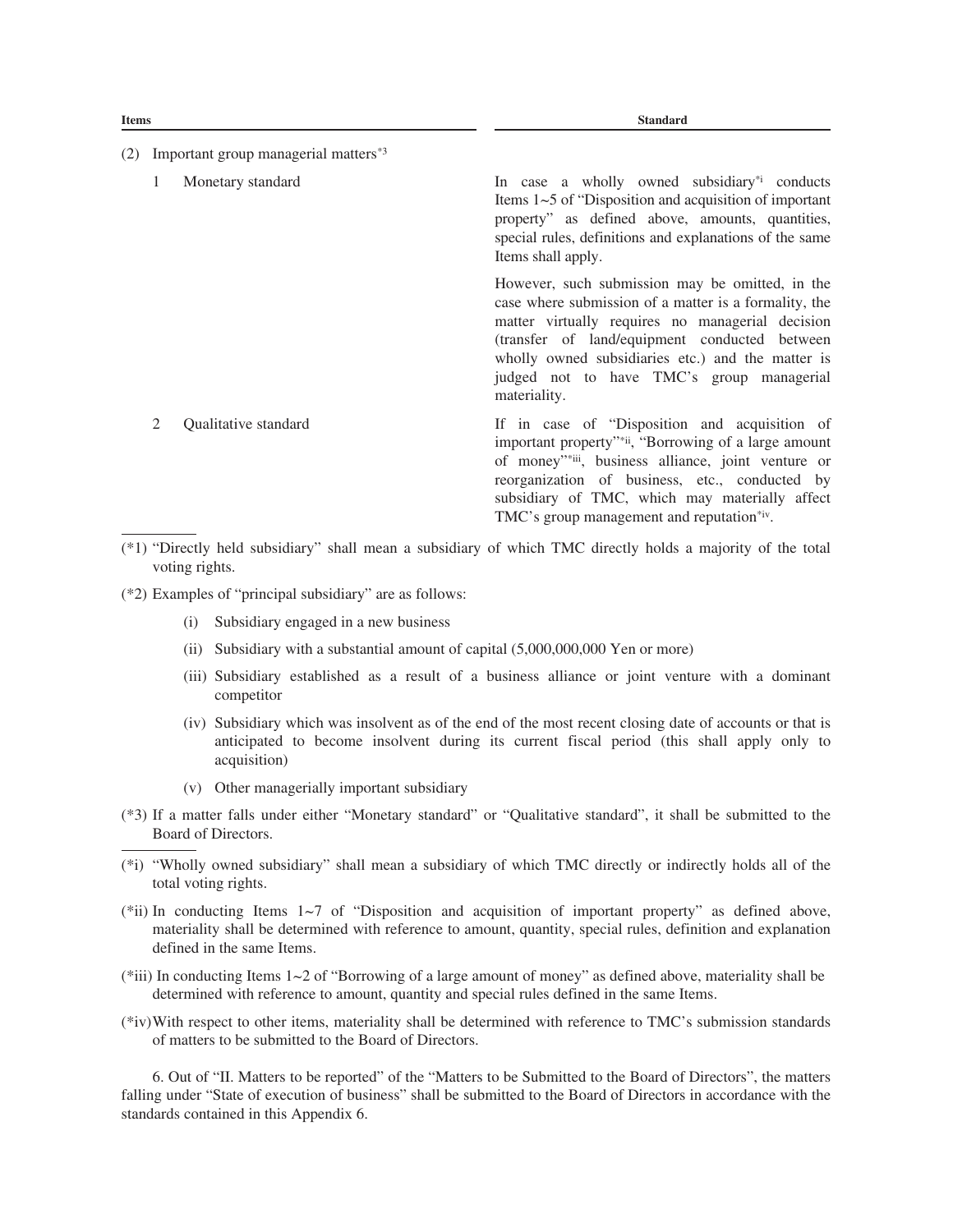- (2) Important group managerial matters\*3
	-

1 Monetary standard **In case a wholly owned subsidiary**<sup>\*i</sup> conducts Items 1~5 of "Disposition and acquisition of important property" as defined above, amounts, quantities, special rules, definitions and explanations of the same Items shall apply.

> However, such submission may be omitted, in the case where submission of a matter is a formality, the matter virtually requires no managerial decision (transfer of land/equipment conducted between wholly owned subsidiaries etc.) and the matter is judged not to have TMC's group managerial materiality.

- 2 Qualitative standard If in case of "Disposition and acquisition of important property"\*ii, "Borrowing of a large amount of money"\*iii, business alliance, joint venture or reorganization of business, etc., conducted by subsidiary of TMC, which may materially affect TMC's group management and reputation<sup>\*iv</sup>.
- (\*1) "Directly held subsidiary" shall mean a subsidiary of which TMC directly holds a majority of the total voting rights.
- (\*2) Examples of "principal subsidiary" are as follows:
	- (i) Subsidiary engaged in a new business
	- (ii) Subsidiary with a substantial amount of capital (5,000,000,000 Yen or more)
	- (iii) Subsidiary established as a result of a business alliance or joint venture with a dominant competitor
	- (iv) Subsidiary which was insolvent as of the end of the most recent closing date of accounts or that is anticipated to become insolvent during its current fiscal period (this shall apply only to acquisition)
	- (v) Other managerially important subsidiary
- (\*3) If a matter falls under either "Monetary standard" or "Qualitative standard", it shall be submitted to the Board of Directors.
- (\*i) "Wholly owned subsidiary" shall mean a subsidiary of which TMC directly or indirectly holds all of the total voting rights.
- (\*ii) In conducting Items  $1~1~7$  of "Disposition and acquisition of important property" as defined above, materiality shall be determined with reference to amount, quantity, special rules, definition and explanation defined in the same Items.
- (\*iii) In conducting Items 1~2 of "Borrowing of a large amount of money" as defined above, materiality shall be determined with reference to amount, quantity and special rules defined in the same Items.
- (\*iv)With respect to other items, materiality shall be determined with reference to TMC's submission standards of matters to be submitted to the Board of Directors.

6. Out of "II. Matters to be reported" of the "Matters to be Submitted to the Board of Directors", the matters falling under "State of execution of business" shall be submitted to the Board of Directors in accordance with the standards contained in this Appendix 6.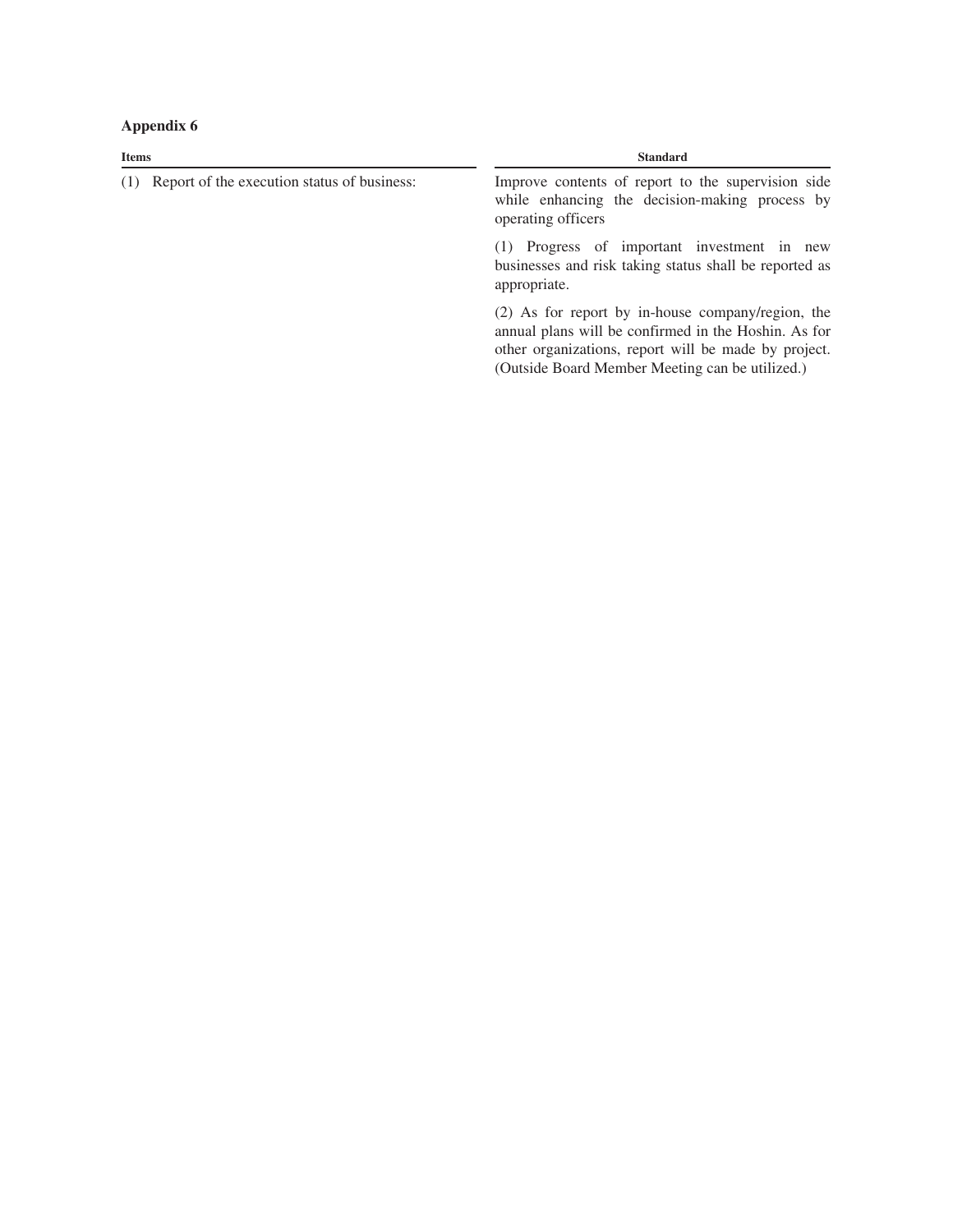# **Appendix 6**

| <b>Items</b>                                    | <b>Standard</b>                                                                                                            |  |
|-------------------------------------------------|----------------------------------------------------------------------------------------------------------------------------|--|
| (1) Report of the execution status of business: | Improve contents of report to the supervision side<br>while enhancing the decision-making process by<br>operating officers |  |
|                                                 | Progress of important investment in new<br>(1)<br>businesses and risk taking status shall be reported as<br>appropriate.   |  |

(2) As for report by in-house company/region, the annual plans will be confirmed in the Hoshin. As for other organizations, report will be made by project. (Outside Board Member Meeting can be utilized.)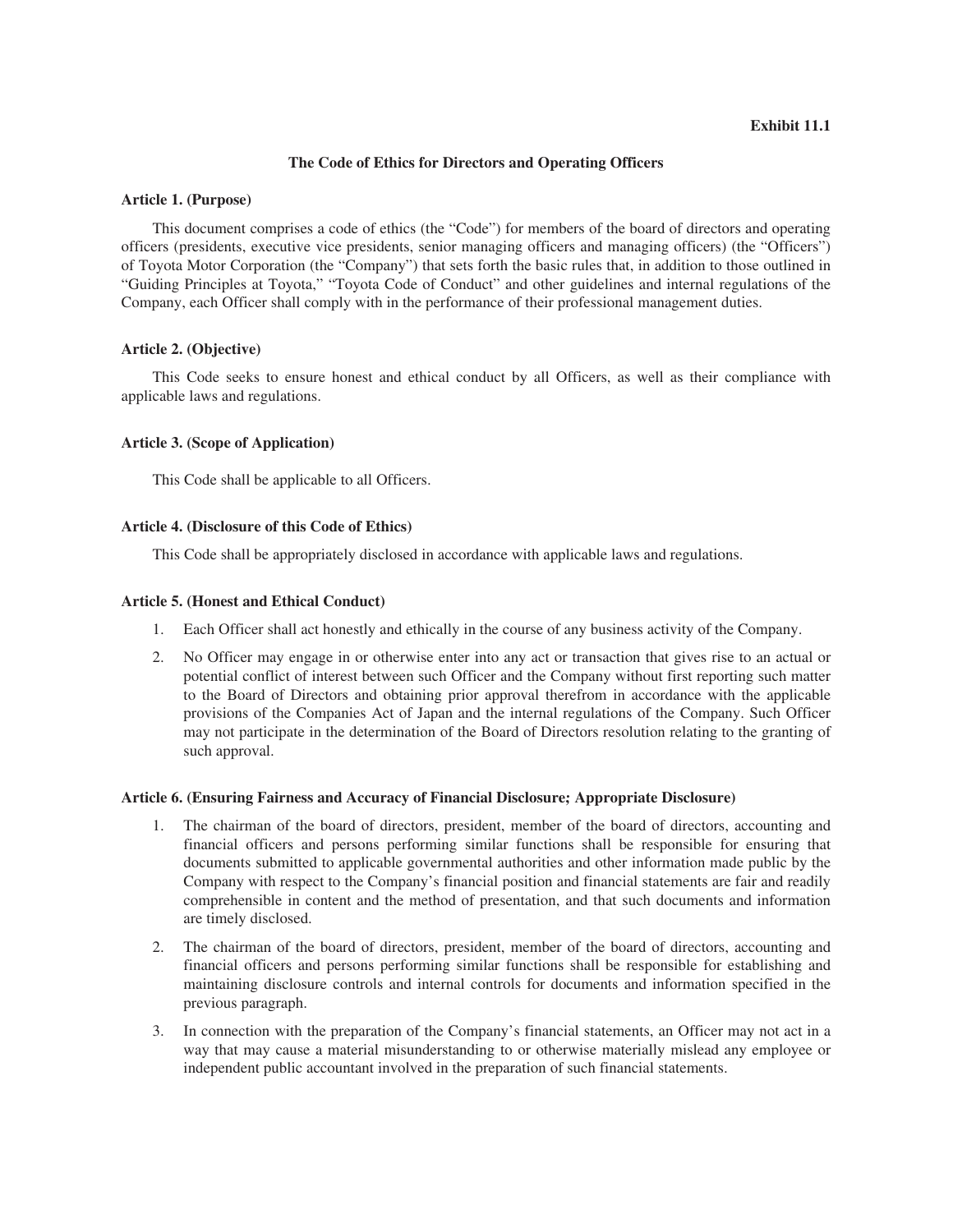### **The Code of Ethics for Directors and Operating Officers**

#### **Article 1. (Purpose)**

This document comprises a code of ethics (the "Code") for members of the board of directors and operating officers (presidents, executive vice presidents, senior managing officers and managing officers) (the "Officers") of Toyota Motor Corporation (the "Company") that sets forth the basic rules that, in addition to those outlined in "Guiding Principles at Toyota," "Toyota Code of Conduct" and other guidelines and internal regulations of the Company, each Officer shall comply with in the performance of their professional management duties.

# **Article 2. (Objective)**

This Code seeks to ensure honest and ethical conduct by all Officers, as well as their compliance with applicable laws and regulations.

#### **Article 3. (Scope of Application)**

This Code shall be applicable to all Officers.

### **Article 4. (Disclosure of this Code of Ethics)**

This Code shall be appropriately disclosed in accordance with applicable laws and regulations.

### **Article 5. (Honest and Ethical Conduct)**

- 1. Each Officer shall act honestly and ethically in the course of any business activity of the Company.
- 2. No Officer may engage in or otherwise enter into any act or transaction that gives rise to an actual or potential conflict of interest between such Officer and the Company without first reporting such matter to the Board of Directors and obtaining prior approval therefrom in accordance with the applicable provisions of the Companies Act of Japan and the internal regulations of the Company. Such Officer may not participate in the determination of the Board of Directors resolution relating to the granting of such approval.

### **Article 6. (Ensuring Fairness and Accuracy of Financial Disclosure; Appropriate Disclosure)**

- 1. The chairman of the board of directors, president, member of the board of directors, accounting and financial officers and persons performing similar functions shall be responsible for ensuring that documents submitted to applicable governmental authorities and other information made public by the Company with respect to the Company's financial position and financial statements are fair and readily comprehensible in content and the method of presentation, and that such documents and information are timely disclosed.
- 2. The chairman of the board of directors, president, member of the board of directors, accounting and financial officers and persons performing similar functions shall be responsible for establishing and maintaining disclosure controls and internal controls for documents and information specified in the previous paragraph.
- 3. In connection with the preparation of the Company's financial statements, an Officer may not act in a way that may cause a material misunderstanding to or otherwise materially mislead any employee or independent public accountant involved in the preparation of such financial statements.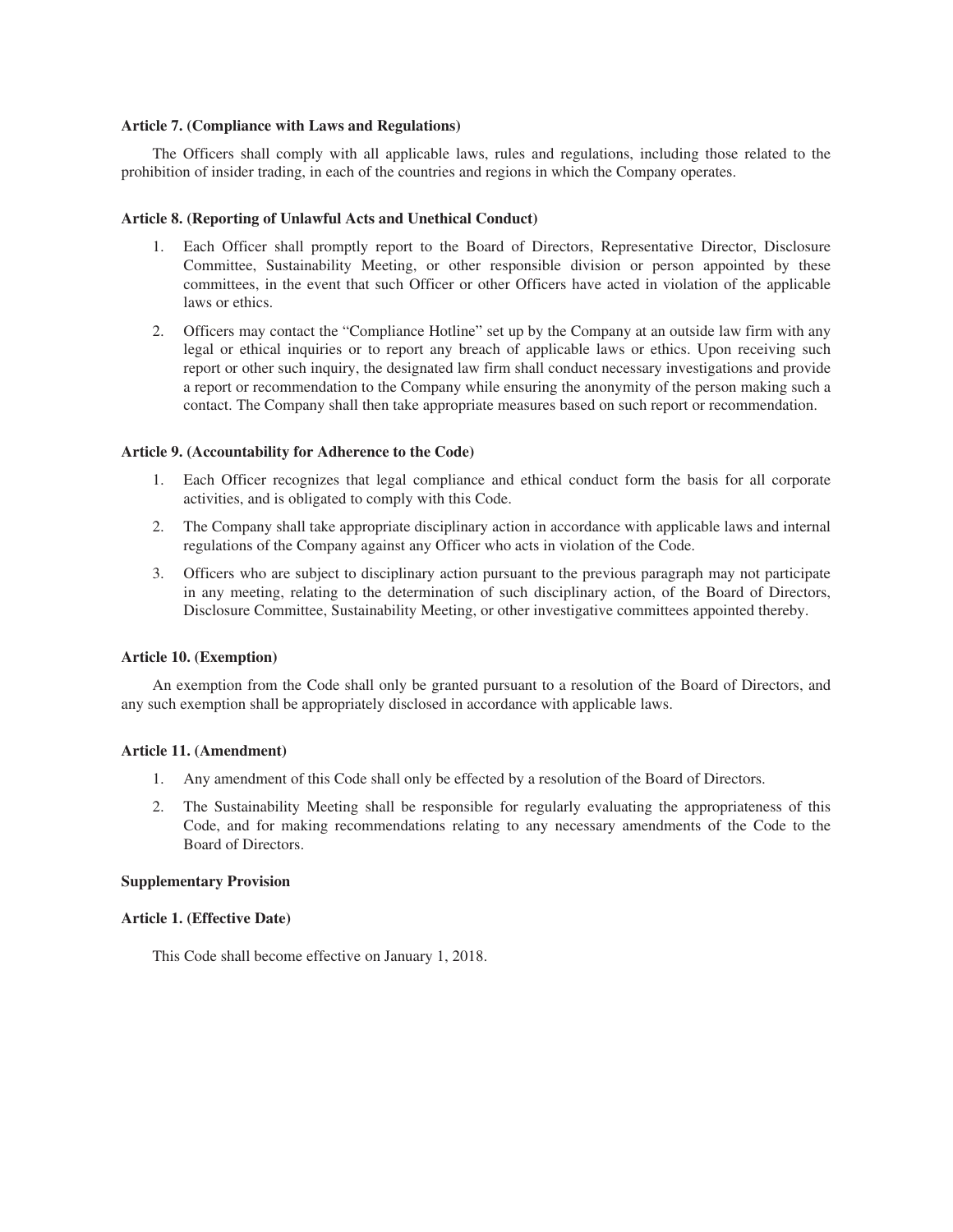### **Article 7. (Compliance with Laws and Regulations)**

The Officers shall comply with all applicable laws, rules and regulations, including those related to the prohibition of insider trading, in each of the countries and regions in which the Company operates.

### **Article 8. (Reporting of Unlawful Acts and Unethical Conduct)**

- 1. Each Officer shall promptly report to the Board of Directors, Representative Director, Disclosure Committee, Sustainability Meeting, or other responsible division or person appointed by these committees, in the event that such Officer or other Officers have acted in violation of the applicable laws or ethics.
- 2. Officers may contact the "Compliance Hotline" set up by the Company at an outside law firm with any legal or ethical inquiries or to report any breach of applicable laws or ethics. Upon receiving such report or other such inquiry, the designated law firm shall conduct necessary investigations and provide a report or recommendation to the Company while ensuring the anonymity of the person making such a contact. The Company shall then take appropriate measures based on such report or recommendation.

### **Article 9. (Accountability for Adherence to the Code)**

- 1. Each Officer recognizes that legal compliance and ethical conduct form the basis for all corporate activities, and is obligated to comply with this Code.
- 2. The Company shall take appropriate disciplinary action in accordance with applicable laws and internal regulations of the Company against any Officer who acts in violation of the Code.
- 3. Officers who are subject to disciplinary action pursuant to the previous paragraph may not participate in any meeting, relating to the determination of such disciplinary action, of the Board of Directors, Disclosure Committee, Sustainability Meeting, or other investigative committees appointed thereby.

# **Article 10. (Exemption)**

An exemption from the Code shall only be granted pursuant to a resolution of the Board of Directors, and any such exemption shall be appropriately disclosed in accordance with applicable laws.

## **Article 11. (Amendment)**

- 1. Any amendment of this Code shall only be effected by a resolution of the Board of Directors.
- 2. The Sustainability Meeting shall be responsible for regularly evaluating the appropriateness of this Code, and for making recommendations relating to any necessary amendments of the Code to the Board of Directors.

## **Supplementary Provision**

### **Article 1. (Effective Date)**

This Code shall become effective on January 1, 2018.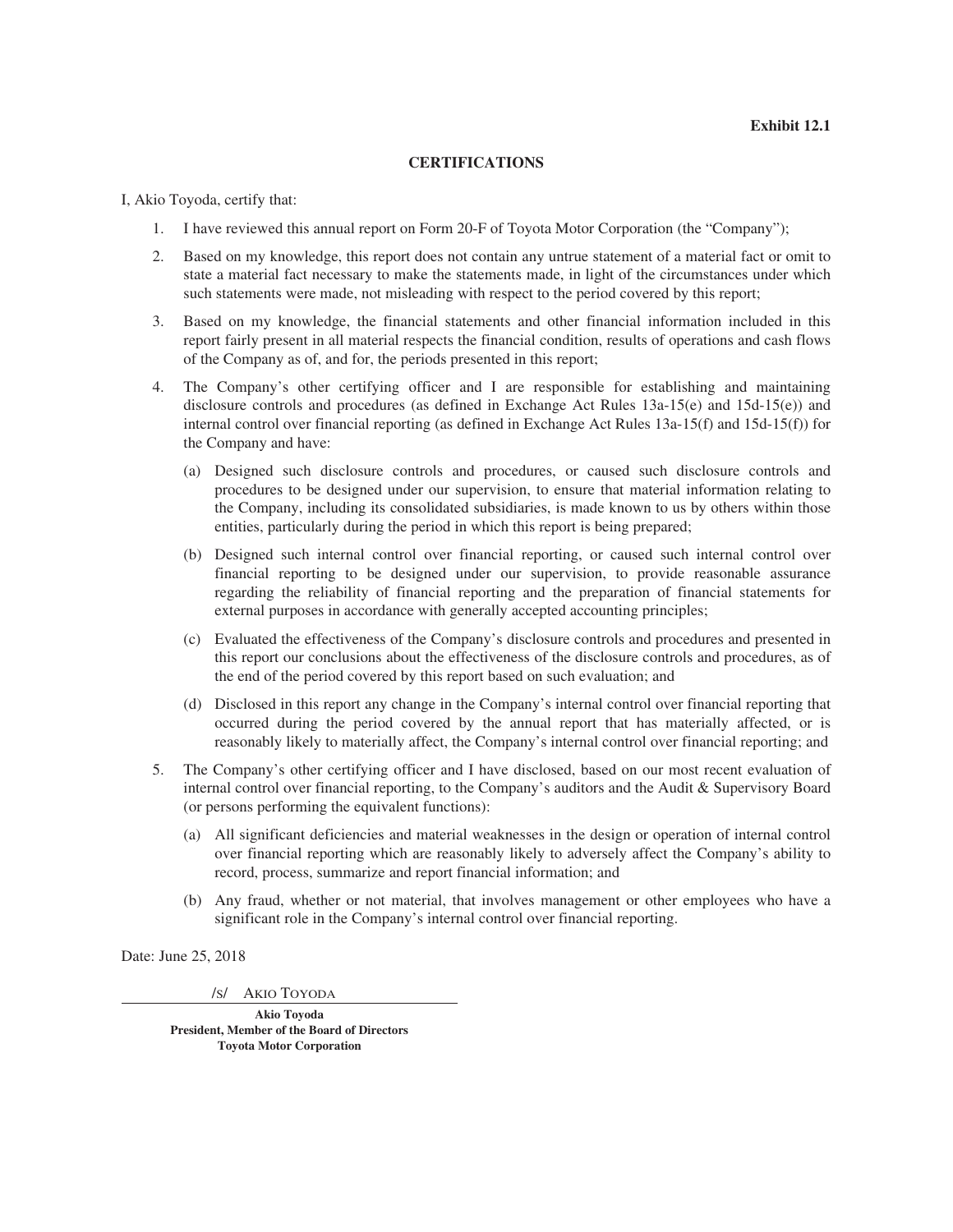### **CERTIFICATIONS**

I, Akio Toyoda, certify that:

- 1. I have reviewed this annual report on Form 20-F of Toyota Motor Corporation (the "Company");
- 2. Based on my knowledge, this report does not contain any untrue statement of a material fact or omit to state a material fact necessary to make the statements made, in light of the circumstances under which such statements were made, not misleading with respect to the period covered by this report;
- 3. Based on my knowledge, the financial statements and other financial information included in this report fairly present in all material respects the financial condition, results of operations and cash flows of the Company as of, and for, the periods presented in this report;
- 4. The Company's other certifying officer and I are responsible for establishing and maintaining disclosure controls and procedures (as defined in Exchange Act Rules 13a-15(e) and 15d-15(e)) and internal control over financial reporting (as defined in Exchange Act Rules 13a-15(f) and 15d-15(f)) for the Company and have:
	- (a) Designed such disclosure controls and procedures, or caused such disclosure controls and procedures to be designed under our supervision, to ensure that material information relating to the Company, including its consolidated subsidiaries, is made known to us by others within those entities, particularly during the period in which this report is being prepared;
	- (b) Designed such internal control over financial reporting, or caused such internal control over financial reporting to be designed under our supervision, to provide reasonable assurance regarding the reliability of financial reporting and the preparation of financial statements for external purposes in accordance with generally accepted accounting principles;
	- (c) Evaluated the effectiveness of the Company's disclosure controls and procedures and presented in this report our conclusions about the effectiveness of the disclosure controls and procedures, as of the end of the period covered by this report based on such evaluation; and
	- (d) Disclosed in this report any change in the Company's internal control over financial reporting that occurred during the period covered by the annual report that has materially affected, or is reasonably likely to materially affect, the Company's internal control over financial reporting; and
- 5. The Company's other certifying officer and I have disclosed, based on our most recent evaluation of internal control over financial reporting, to the Company's auditors and the Audit & Supervisory Board (or persons performing the equivalent functions):
	- (a) All significant deficiencies and material weaknesses in the design or operation of internal control over financial reporting which are reasonably likely to adversely affect the Company's ability to record, process, summarize and report financial information; and
	- (b) Any fraud, whether or not material, that involves management or other employees who have a significant role in the Company's internal control over financial reporting.

Date: June 25, 2018

/S/ AKIO TOYODA

**Akio Toyoda President, Member of the Board of Directors Toyota Motor Corporation**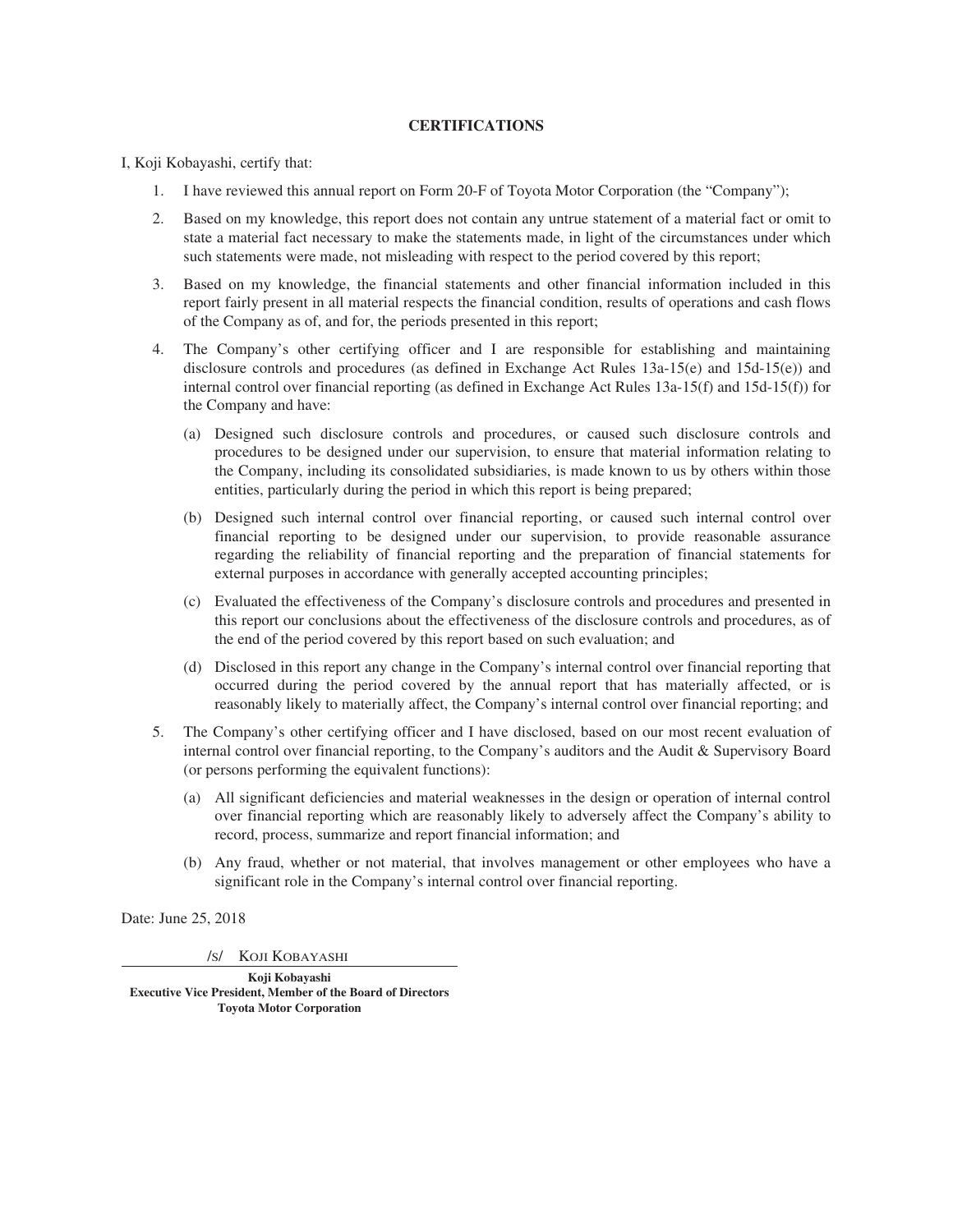# **CERTIFICATIONS**

I, Koji Kobayashi, certify that:

- 1. I have reviewed this annual report on Form 20-F of Toyota Motor Corporation (the "Company");
- 2. Based on my knowledge, this report does not contain any untrue statement of a material fact or omit to state a material fact necessary to make the statements made, in light of the circumstances under which such statements were made, not misleading with respect to the period covered by this report;
- 3. Based on my knowledge, the financial statements and other financial information included in this report fairly present in all material respects the financial condition, results of operations and cash flows of the Company as of, and for, the periods presented in this report;
- 4. The Company's other certifying officer and I are responsible for establishing and maintaining disclosure controls and procedures (as defined in Exchange Act Rules 13a-15(e) and 15d-15(e)) and internal control over financial reporting (as defined in Exchange Act Rules 13a-15(f) and 15d-15(f)) for the Company and have:
	- (a) Designed such disclosure controls and procedures, or caused such disclosure controls and procedures to be designed under our supervision, to ensure that material information relating to the Company, including its consolidated subsidiaries, is made known to us by others within those entities, particularly during the period in which this report is being prepared;
	- (b) Designed such internal control over financial reporting, or caused such internal control over financial reporting to be designed under our supervision, to provide reasonable assurance regarding the reliability of financial reporting and the preparation of financial statements for external purposes in accordance with generally accepted accounting principles;
	- (c) Evaluated the effectiveness of the Company's disclosure controls and procedures and presented in this report our conclusions about the effectiveness of the disclosure controls and procedures, as of the end of the period covered by this report based on such evaluation; and
	- (d) Disclosed in this report any change in the Company's internal control over financial reporting that occurred during the period covered by the annual report that has materially affected, or is reasonably likely to materially affect, the Company's internal control over financial reporting; and
- 5. The Company's other certifying officer and I have disclosed, based on our most recent evaluation of internal control over financial reporting, to the Company's auditors and the Audit & Supervisory Board (or persons performing the equivalent functions):
	- (a) All significant deficiencies and material weaknesses in the design or operation of internal control over financial reporting which are reasonably likely to adversely affect the Company's ability to record, process, summarize and report financial information; and
	- (b) Any fraud, whether or not material, that involves management or other employees who have a significant role in the Company's internal control over financial reporting.

Date: June 25, 2018

/S/ KOJI KOBAYASHI

**Koji Kobayashi Executive Vice President, Member of the Board of Directors Toyota Motor Corporation**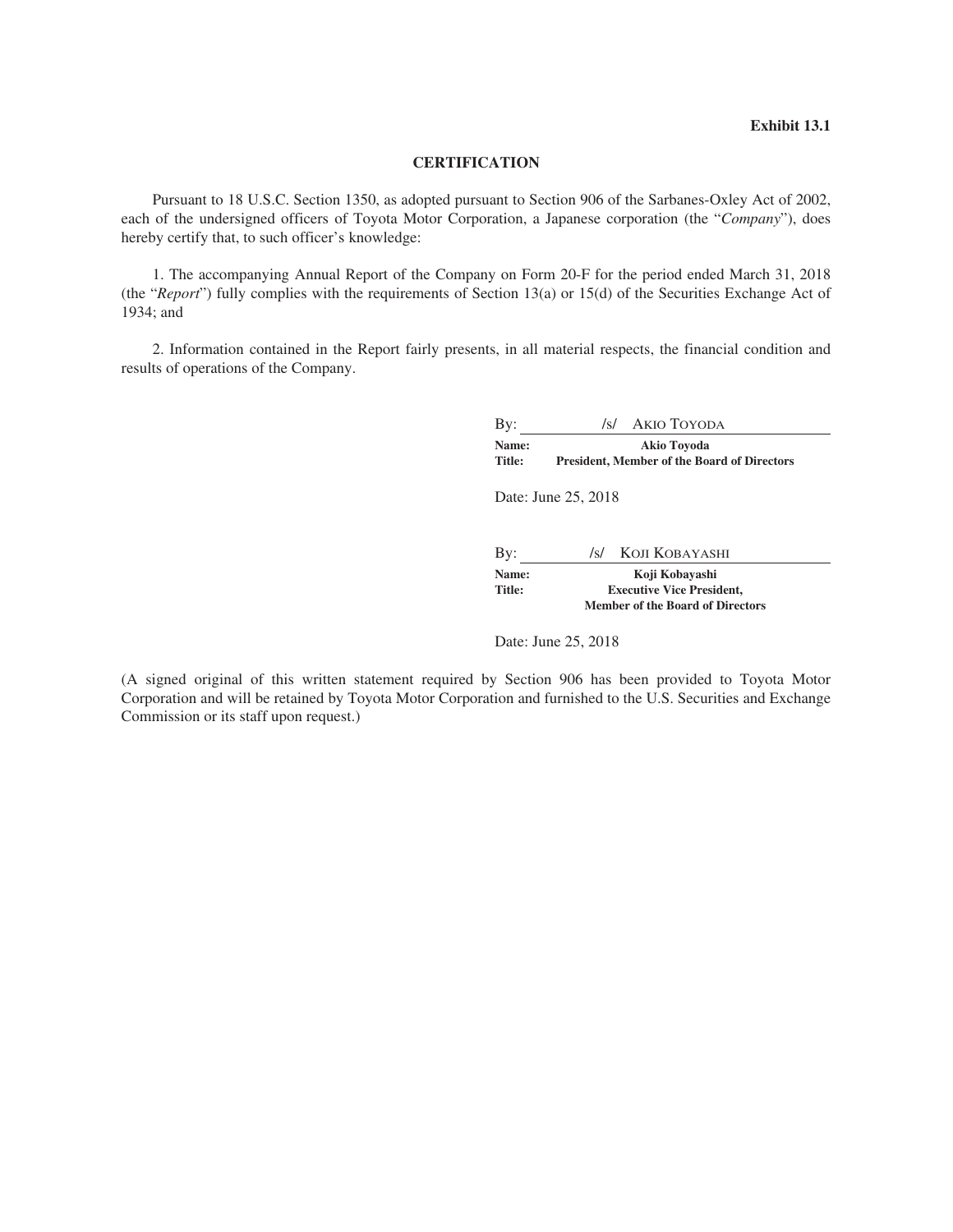# **CERTIFICATION**

Pursuant to 18 U.S.C. Section 1350, as adopted pursuant to Section 906 of the Sarbanes-Oxley Act of 2002, each of the undersigned officers of Toyota Motor Corporation, a Japanese corporation (the "*Company*"), does hereby certify that, to such officer's knowledge:

1. The accompanying Annual Report of the Company on Form 20-F for the period ended March 31, 2018 (the "*Report*") fully complies with the requirements of Section 13(a) or 15(d) of the Securities Exchange Act of 1934; and

2. Information contained in the Report fairly presents, in all material respects, the financial condition and results of operations of the Company.

| By:          | AKIO TOYODA<br>/s/                                 |  |
|--------------|----------------------------------------------------|--|
| <b>Name:</b> | Akio Toyoda                                        |  |
| Title:       | <b>President, Member of the Board of Directors</b> |  |

Date: June 25, 2018

| By:          | KOJI KOBAYASHI<br>$\sqrt{s}$            |  |
|--------------|-----------------------------------------|--|
| <b>Name:</b> | Koji Kobayashi                          |  |
| Title:       | <b>Executive Vice President,</b>        |  |
|              | <b>Member of the Board of Directors</b> |  |

Date: June 25, 2018

(A signed original of this written statement required by Section 906 has been provided to Toyota Motor Corporation and will be retained by Toyota Motor Corporation and furnished to the U.S. Securities and Exchange Commission or its staff upon request.)